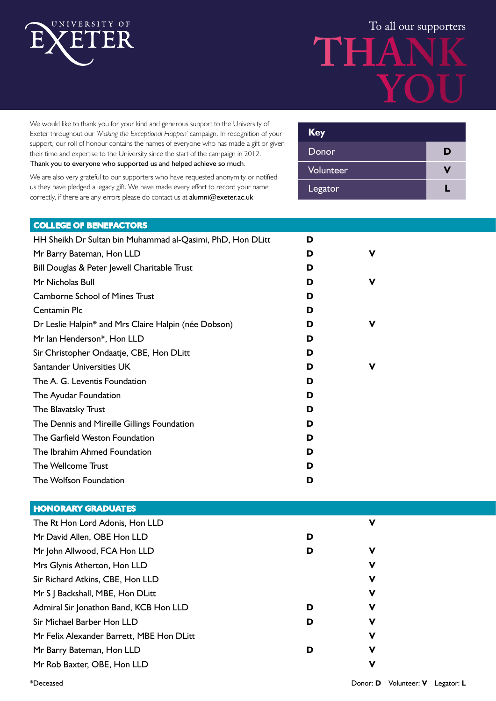

# To all our supporters **THANK YOU**

We would like to thank you for your kind and generous support to the University of Exeter throughout our *'Making the Exceptional Happen'* campaign. In recognition of your support, our roll of honour contains the names of everyone who has made a gift or given their time and expertise to the University since the start of the campaign in 2012. Thank you to everyone who supported us and helped achieve so much.

We are also very grateful to our supporters who have requested anonymity or notified us they have pledged a legacy gift. We have made every effort to record your name correctly, if there are any errors please do contact us at alumni@exeter.ac.uk

| <b>Key</b> |   |
|------------|---|
| Donor      | D |
| Volunteer  |   |
| Legator    |   |

#### **COLLEGE OF BENEFACTORS**

| HH Sheikh Dr Sultan bin Muhammad al-Qasimi, PhD, Hon DLitt | D |   |
|------------------------------------------------------------|---|---|
| Mr Barry Bateman, Hon LLD                                  | D | ν |
| Bill Douglas & Peter Jewell Charitable Trust               | D |   |
| Mr Nicholas Bull                                           | D | ν |
| <b>Camborne School of Mines Trust</b>                      | D |   |
| Centamin Plc                                               | D |   |
| Dr Leslie Halpin* and Mrs Claire Halpin (née Dobson)       | D | ν |
| Mr Ian Henderson*, Hon LLD                                 | D |   |
| Sir Christopher Ondaatje, CBE, Hon DLitt                   | D |   |
| Santander Universities UK                                  | D | ν |
| The A. G. Leventis Foundation                              | D |   |
| The Ayudar Foundation                                      | D |   |
| The Blavatsky Trust                                        | D |   |
| The Dennis and Mireille Gillings Foundation                | D |   |
| The Garfield Weston Foundation                             | D |   |
| The Ibrahim Ahmed Foundation                               | D |   |
| The Wellcome Trust                                         | D |   |
| The Wolfson Foundation                                     | D |   |

| <b>HONORARY GRADUATES</b>                 |   |   |
|-------------------------------------------|---|---|
| The Rt Hon Lord Adonis, Hon LLD           |   | ν |
| Mr David Allen, OBE Hon LLD               | D |   |
| Mr John Allwood, FCA Hon LLD              | D | ν |
| Mrs Glynis Atherton, Hon LLD              |   | ν |
| Sir Richard Atkins, CBE, Hon LLD          |   | ν |
| Mr S J Backshall, MBE, Hon DLitt          |   | ν |
| Admiral Sir Jonathon Band, KCB Hon LLD    | D | ν |
| Sir Michael Barber Hon LLD                | D | ν |
| Mr Felix Alexander Barrett, MBE Hon DLitt |   | ν |
| Mr Barry Bateman, Hon LLD                 | D | ν |
| Mr Rob Baxter, OBE, Hon LLD               |   | ν |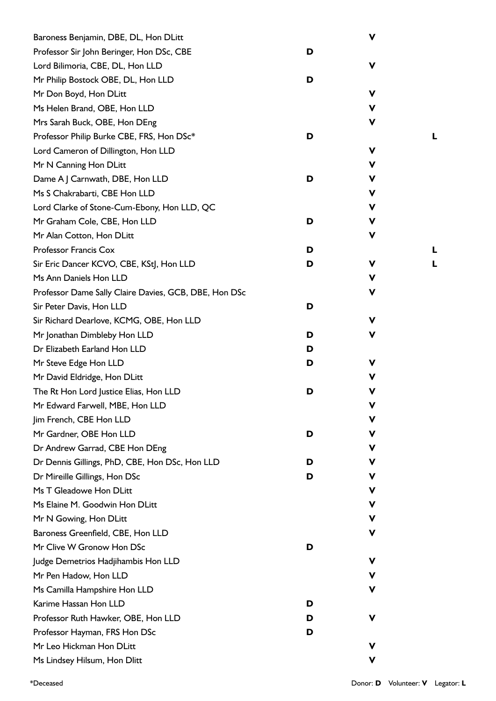| Baroness Benjamin, DBE, DL, Hon DLitt                 |   | V |   |
|-------------------------------------------------------|---|---|---|
| Professor Sir John Beringer, Hon DSc, CBE             | D |   |   |
| Lord Bilimoria, CBE, DL, Hon LLD                      |   | V |   |
| Mr Philip Bostock OBE, DL, Hon LLD                    | D |   |   |
| Mr Don Boyd, Hon DLitt                                |   | ۷ |   |
| Ms Helen Brand, OBE, Hon LLD                          |   | V |   |
| Mrs Sarah Buck, OBE, Hon DEng                         |   | V |   |
| Professor Philip Burke CBE, FRS, Hon DSc*             | D |   |   |
| Lord Cameron of Dillington, Hon LLD                   |   | ۷ |   |
| Mr N Canning Hon DLitt                                |   | ۷ |   |
| Dame A J Carnwath, DBE, Hon LLD                       | D | ۷ |   |
| Ms S Chakrabarti, CBE Hon LLD                         |   | V |   |
| Lord Clarke of Stone-Cum-Ebony, Hon LLD, QC           |   | ۷ |   |
| Mr Graham Cole, CBE, Hon LLD                          | D | v |   |
| Mr Alan Cotton, Hon DLitt                             |   | V |   |
| Professor Francis Cox                                 | D |   | L |
| Sir Eric Dancer KCVO, CBE, KStJ, Hon LLD              | D | ۷ | L |
| Ms Ann Daniels Hon LLD                                |   | ۷ |   |
| Professor Dame Sally Claire Davies, GCB, DBE, Hon DSc |   | ۷ |   |
| Sir Peter Davis, Hon LLD                              | D |   |   |
| Sir Richard Dearlove, KCMG, OBE, Hon LLD              |   | V |   |
| Mr Jonathan Dimbleby Hon LLD                          | D | ۷ |   |
| Dr Elizabeth Earland Hon LLD                          | D |   |   |
| Mr Steve Edge Hon LLD                                 | D | V |   |
| Mr David Eldridge, Hon DLitt                          |   | ۷ |   |
| The Rt Hon Lord Justice Elias, Hon LLD                | D | v |   |
| Mr Edward Farwell, MBE, Hon LLD                       |   | v |   |
| Jim French, CBE Hon LLD                               |   | v |   |
| Mr Gardner, OBE Hon LLD                               | D | ۷ |   |
| Dr Andrew Garrad, CBE Hon DEng                        |   | ۷ |   |
| Dr Dennis Gillings, PhD, CBE, Hon DSc, Hon LLD        | D | v |   |
| Dr Mireille Gillings, Hon DSc                         | D | v |   |
| Ms T Gleadowe Hon DLitt                               |   | v |   |
| Ms Elaine M. Goodwin Hon DLitt                        |   | ۷ |   |
| Mr N Gowing, Hon DLitt                                |   | ۷ |   |
| Baroness Greenfield, CBE, Hon LLD                     |   | v |   |
| Mr Clive W Gronow Hon DSc                             | D |   |   |
| Judge Demetrios Hadjihambis Hon LLD                   |   | v |   |
| Mr Pen Hadow, Hon LLD                                 |   | v |   |
| Ms Camilla Hampshire Hon LLD                          |   | v |   |
| Karime Hassan Hon LLD                                 | D |   |   |
| Professor Ruth Hawker, OBE, Hon LLD                   | D | ۷ |   |
| Professor Hayman, FRS Hon DSc                         | D |   |   |
| Mr Leo Hickman Hon DLitt                              |   | v |   |
| Ms Lindsey Hilsum, Hon Dlitt                          |   | ۷ |   |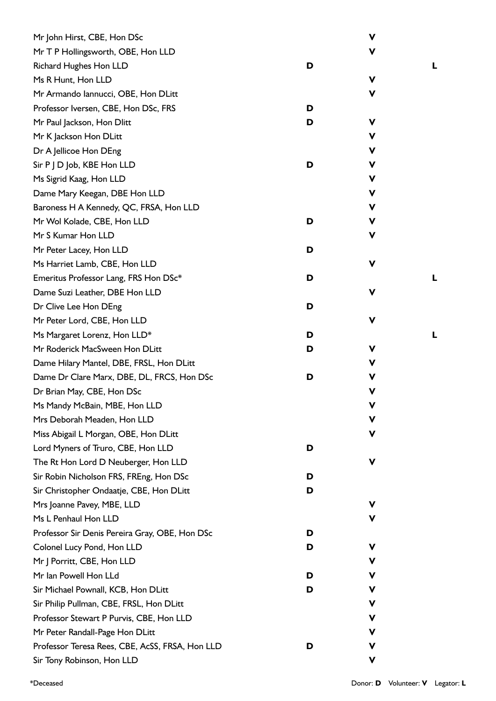| Mr John Hirst, CBE, Hon DSc                     |   | V |   |
|-------------------------------------------------|---|---|---|
| Mr T P Hollingsworth, OBE, Hon LLD              |   | V |   |
| Richard Hughes Hon LLD                          | D |   | L |
| Ms R Hunt, Hon LLD                              |   | V |   |
| Mr Armando Iannucci, OBE, Hon DLitt             |   | ۷ |   |
| Professor Iversen, CBE, Hon DSc, FRS            | D |   |   |
| Mr Paul Jackson, Hon Dlitt                      | D | v |   |
| Mr K Jackson Hon DLitt                          |   | ۷ |   |
| Dr A Jellicoe Hon DEng                          |   | V |   |
| Sir P J D Job, KBE Hon LLD                      | D | v |   |
| Ms Sigrid Kaag, Hon LLD                         |   | ۷ |   |
| Dame Mary Keegan, DBE Hon LLD                   |   | v |   |
| Baroness H A Kennedy, QC, FRSA, Hon LLD         |   | V |   |
| Mr Wol Kolade, CBE, Hon LLD                     | D | v |   |
| Mr S Kumar Hon LLD                              |   | V |   |
| Mr Peter Lacey, Hon LLD                         | D |   |   |
| Ms Harriet Lamb, CBE, Hon LLD                   |   | v |   |
| Emeritus Professor Lang, FRS Hon DSc*           | D |   | L |
| Dame Suzi Leather, DBE Hon LLD                  |   | v |   |
| Dr Clive Lee Hon DEng                           | D |   |   |
| Mr Peter Lord, CBE, Hon LLD                     |   | V |   |
| Ms Margaret Lorenz, Hon LLD*                    | D |   | L |
| Mr Roderick MacSween Hon DLitt                  | D | V |   |
| Dame Hilary Mantel, DBE, FRSL, Hon DLitt        |   | V |   |
| Dame Dr Clare Marx, DBE, DL, FRCS, Hon DSc      | D | V |   |
| Dr Brian May, CBE, Hon DSc                      |   | v |   |
| Ms Mandy McBain, MBE, Hon LLD                   |   |   |   |
| Mrs Deborah Meaden, Hon LLD                     |   | v |   |
| Miss Abigail L Morgan, OBE, Hon DLitt           |   | v |   |
| Lord Myners of Truro, CBE, Hon LLD              | D |   |   |
| The Rt Hon Lord D Neuberger, Hon LLD            |   | v |   |
| Sir Robin Nicholson FRS, FREng, Hon DSc         | D |   |   |
| Sir Christopher Ondaatje, CBE, Hon DLitt        | D |   |   |
| Mrs Joanne Pavey, MBE, LLD                      |   | V |   |
| Ms L Penhaul Hon LLD                            |   | v |   |
| Professor Sir Denis Pereira Gray, OBE, Hon DSc  | D |   |   |
| Colonel Lucy Pond, Hon LLD                      | D | v |   |
| Mr J Porritt, CBE, Hon LLD                      |   | V |   |
| Mr Ian Powell Hon LLd                           | D | v |   |
| Sir Michael Pownall, KCB, Hon DLitt             | D | ۷ |   |
| Sir Philip Pullman, CBE, FRSL, Hon DLitt        |   | V |   |
| Professor Stewart P Purvis, CBE, Hon LLD        |   | v |   |
| Mr Peter Randall-Page Hon DLitt                 |   | V |   |
| Professor Teresa Rees, CBE, AcSS, FRSA, Hon LLD | D | V |   |
| Sir Tony Robinson, Hon LLD                      |   | V |   |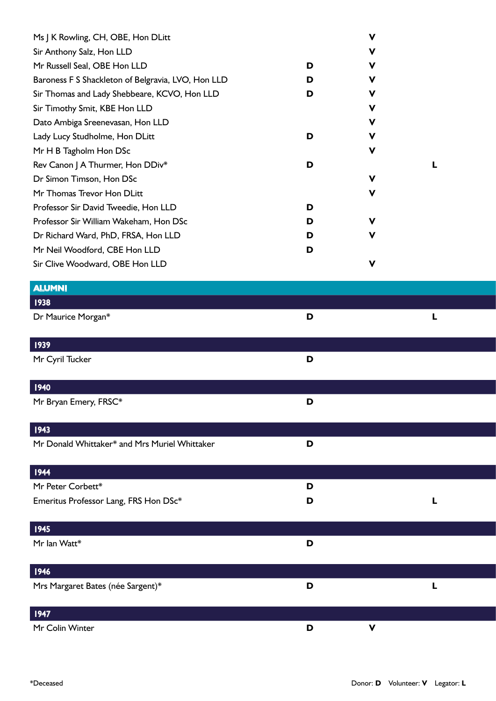| Ms J K Rowling, CH, OBE, Hon DLitt                 |   | $\mathbf v$ |  |
|----------------------------------------------------|---|-------------|--|
| Sir Anthony Salz, Hon LLD                          |   | v           |  |
| Mr Russell Seal, OBE Hon LLD                       | D | v           |  |
| Baroness F S Shackleton of Belgravia, LVO, Hon LLD | D | V           |  |
| Sir Thomas and Lady Shebbeare, KCVO, Hon LLD       | D | V           |  |
| Sir Timothy Smit, KBE Hon LLD                      |   | V           |  |
| Dato Ambiga Sreenevasan, Hon LLD                   |   | v           |  |
| Lady Lucy Studholme, Hon DLitt                     | D | V           |  |
| Mr H B Tagholm Hon DSc                             |   | V           |  |
| Rev Canon J A Thurmer, Hon DDiv*                   | D |             |  |
| Dr Simon Timson, Hon DSc                           |   | V           |  |
| Mr Thomas Trevor Hon DLitt                         |   | V           |  |
| Professor Sir David Tweedie, Hon LLD               | D |             |  |
| Professor Sir William Wakeham, Hon DSc             | D | V           |  |
| Dr Richard Ward, PhD, FRSA, Hon LLD                | D | V           |  |
| Mr Neil Woodford, CBE Hon LLD                      | D |             |  |
| Sir Clive Woodward, OBE Hon LLD                    |   | V           |  |

| <b>ALUMNI</b>                                 |   |             |  |
|-----------------------------------------------|---|-------------|--|
| <b>1938</b>                                   |   |             |  |
| Dr Maurice Morgan*                            | D | L           |  |
|                                               |   |             |  |
| 1939                                          |   |             |  |
| Mr Cyril Tucker                               | D |             |  |
| 1940                                          |   |             |  |
| Mr Bryan Emery, FRSC*                         | D |             |  |
| 1943                                          |   |             |  |
| Mr Donald Whittaker* and Mrs Muriel Whittaker | D |             |  |
| 1944                                          |   |             |  |
| Mr Peter Corbett*                             | D |             |  |
| Emeritus Professor Lang, FRS Hon DSc*         | D | L           |  |
|                                               |   |             |  |
| 1945                                          |   |             |  |
| Mr Ian Watt*                                  | D |             |  |
| 1946                                          |   |             |  |
| Mrs Margaret Bates (née Sargent)*             | D | L           |  |
| 1947                                          |   |             |  |
| Mr Colin Winter                               | D | $\mathbf v$ |  |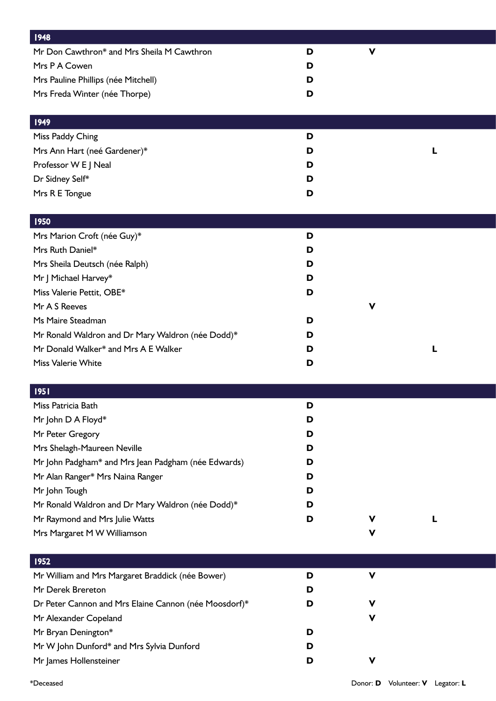| <b>1948</b>                                           |   |             |   |  |
|-------------------------------------------------------|---|-------------|---|--|
| Mr Don Cawthron* and Mrs Sheila M Cawthron            | D | v           |   |  |
| Mrs P A Cowen                                         | D |             |   |  |
| Mrs Pauline Phillips (née Mitchell)                   | D |             |   |  |
| Mrs Freda Winter (née Thorpe)                         | D |             |   |  |
|                                                       |   |             |   |  |
| <b>1949</b>                                           |   |             |   |  |
| Miss Paddy Ching                                      | D |             |   |  |
| Mrs Ann Hart (neé Gardener)*                          | D |             | L |  |
| Professor W E J Neal                                  | D |             |   |  |
| Dr Sidney Self*                                       | D |             |   |  |
| Mrs R E Tongue                                        | D |             |   |  |
|                                                       |   |             |   |  |
| 1950                                                  |   |             |   |  |
| Mrs Marion Croft (née Guy)*                           | D |             |   |  |
| Mrs Ruth Daniel*                                      | D |             |   |  |
| Mrs Sheila Deutsch (née Ralph)                        | D |             |   |  |
| Mr J Michael Harvey*                                  | D |             |   |  |
| Miss Valerie Pettit, OBE*                             | D |             |   |  |
| Mr A S Reeves                                         |   | v           |   |  |
| Ms Maire Steadman                                     | D |             |   |  |
| Mr Ronald Waldron and Dr Mary Waldron (née Dodd)*     | D |             |   |  |
| Mr Donald Walker* and Mrs A E Walker                  | D |             | L |  |
| Miss Valerie White                                    | D |             |   |  |
|                                                       |   |             |   |  |
| 95                                                    |   |             |   |  |
| Miss Patricia Bath                                    | D |             |   |  |
| Mr John D A Floyd*                                    | D |             |   |  |
| Mr Peter Gregory                                      | D |             |   |  |
| Mrs Shelagh-Maureen Neville                           | D |             |   |  |
| Mr John Padgham* and Mrs Jean Padgham (née Edwards)   | D |             |   |  |
| Mr Alan Ranger* Mrs Naina Ranger                      | D |             |   |  |
| Mr John Tough                                         | D |             |   |  |
| Mr Ronald Waldron and Dr Mary Waldron (née Dodd)*     | D |             |   |  |
| Mr Raymond and Mrs Julie Watts                        | D | v           | L |  |
| Mrs Margaret M W Williamson                           |   | ۷           |   |  |
|                                                       |   |             |   |  |
| 1952                                                  |   |             |   |  |
| Mr William and Mrs Margaret Braddick (née Bower)      | D | $\mathbf v$ |   |  |
| Mr Derek Brereton                                     | D |             |   |  |
| Dr Peter Cannon and Mrs Elaine Cannon (née Moosdorf)* | D | V           |   |  |
| Mr Alexander Copeland                                 |   | v           |   |  |
| Mr Bryan Denington*                                   | D |             |   |  |
| Mr W John Dunford* and Mrs Sylvia Dunford             | D |             |   |  |
| Mr James Hollensteiner                                | D | V           |   |  |
|                                                       |   |             |   |  |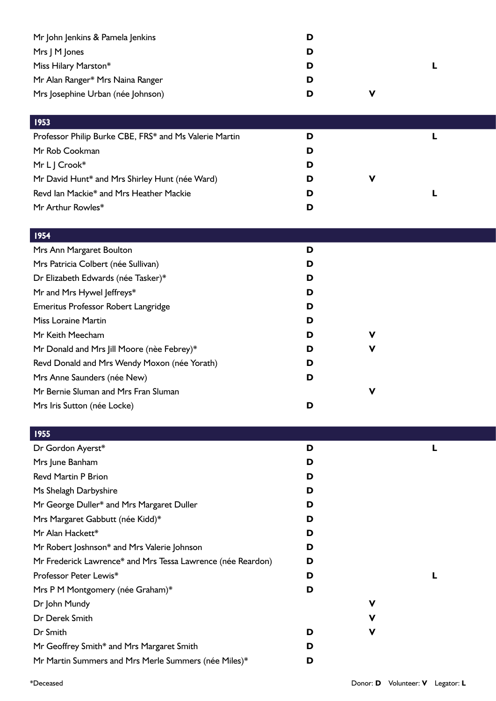| Mr John Jenkins & Pamela Jenkins<br>Mrs J M Jones<br>Miss Hilary Marston*<br>Mr Alan Ranger* Mrs Naina Ranger<br>Mrs Josephine Urban (née Johnson) | D<br>D<br>D<br>D<br>D | V | L |  |
|----------------------------------------------------------------------------------------------------------------------------------------------------|-----------------------|---|---|--|
| 1953                                                                                                                                               |                       |   |   |  |
| Professor Philip Burke CBE, FRS* and Ms Valerie Martin                                                                                             | D                     |   | L |  |
| Mr Rob Cookman                                                                                                                                     | D                     |   |   |  |
| Mr L J Crook*                                                                                                                                      | D                     |   |   |  |
| Mr David Hunt* and Mrs Shirley Hunt (née Ward)                                                                                                     | D                     | V |   |  |
| Revd Ian Mackie* and Mrs Heather Mackie                                                                                                            | D                     |   | L |  |
| Mr Arthur Rowles*                                                                                                                                  | D                     |   |   |  |
| <b>1954</b>                                                                                                                                        |                       |   |   |  |
| Mrs Ann Margaret Boulton                                                                                                                           | D                     |   |   |  |
| Mrs Patricia Colbert (née Sullivan)                                                                                                                | D                     |   |   |  |
| Dr Elizabeth Edwards (née Tasker)*                                                                                                                 | D                     |   |   |  |
| Mr and Mrs Hywel Jeffreys*                                                                                                                         | D                     |   |   |  |
| Emeritus Professor Robert Langridge                                                                                                                | D                     |   |   |  |
| <b>Miss Loraine Martin</b>                                                                                                                         | D                     |   |   |  |
| Mr Keith Meecham                                                                                                                                   | D                     | v |   |  |
| Mr Donald and Mrs Jill Moore (nèe Febrey)*                                                                                                         | D                     | V |   |  |
| Revd Donald and Mrs Wendy Moxon (née Yorath)                                                                                                       | D                     |   |   |  |
| Mrs Anne Saunders (née New)                                                                                                                        | D                     |   |   |  |
| Mr Bernie Sluman and Mrs Fran Sluman                                                                                                               |                       | V |   |  |
| Mrs Iris Sutton (née Locke)                                                                                                                        | D                     |   |   |  |
| 1955                                                                                                                                               |                       |   |   |  |
| Dr Gordon Ayerst*                                                                                                                                  | D                     |   | L |  |
| Mrs June Banham                                                                                                                                    | D                     |   |   |  |
| <b>Revd Martin P Brion</b>                                                                                                                         | D                     |   |   |  |
| Ms Shelagh Darbyshire                                                                                                                              | D                     |   |   |  |
| Mr George Duller* and Mrs Margaret Duller                                                                                                          | D                     |   |   |  |
| Mrs Margaret Gabbutt (née Kidd)*                                                                                                                   | D                     |   |   |  |
| Mr Alan Hackett*                                                                                                                                   | D                     |   |   |  |
| Mr Robert Joshnson* and Mrs Valerie Johnson                                                                                                        | D                     |   |   |  |
| Mr Frederick Lawrence* and Mrs Tessa Lawrence (née Reardon)                                                                                        | D                     |   |   |  |
| Professor Peter Lewis*                                                                                                                             | D                     |   | L |  |
| Mrs P M Montgomery (née Graham)*                                                                                                                   | D                     |   |   |  |
| Dr John Mundy                                                                                                                                      |                       | V |   |  |
| Dr Derek Smith                                                                                                                                     |                       | V |   |  |

Dr Smith **D V** Mr Geoffrey Smith\* and Mrs Margaret Smith **D**

Mr Martin Summers and Mrs Merle Summers (née Miles)\* **D**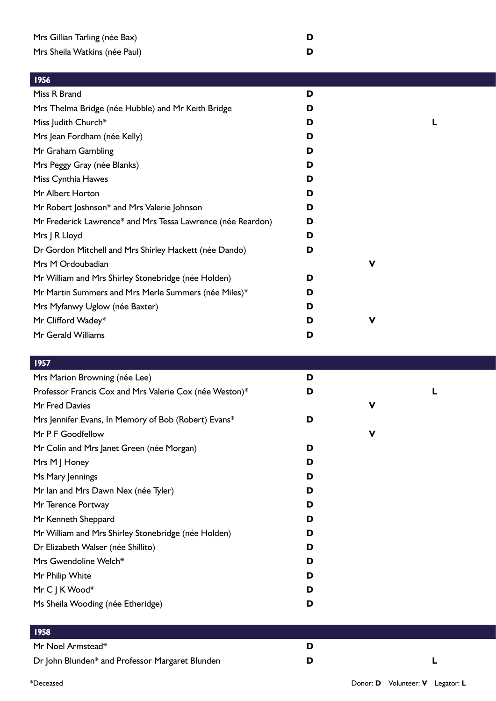| 1956                                                        |   |   |  |
|-------------------------------------------------------------|---|---|--|
| Miss R Brand                                                | D |   |  |
| Mrs Thelma Bridge (née Hubble) and Mr Keith Bridge          | D |   |  |
| Miss Judith Church*                                         | D |   |  |
| Mrs Jean Fordham (née Kelly)                                | D |   |  |
| Mr Graham Gambling                                          | D |   |  |
| Mrs Peggy Gray (née Blanks)                                 | D |   |  |
| Miss Cynthia Hawes                                          | D |   |  |
| Mr Albert Horton                                            | D |   |  |
| Mr Robert Joshnson* and Mrs Valerie Johnson                 | D |   |  |
| Mr Frederick Lawrence* and Mrs Tessa Lawrence (née Reardon) | D |   |  |
| Mrs J R Lloyd                                               | D |   |  |
| Dr Gordon Mitchell and Mrs Shirley Hackett (née Dando)      | D |   |  |
| Mrs M Ordoubadian                                           |   | ν |  |
| Mr William and Mrs Shirley Stonebridge (née Holden)         | D |   |  |
| Mr Martin Summers and Mrs Merle Summers (née Miles)*        | D |   |  |
| Mrs Myfanwy Uglow (née Baxter)                              | D |   |  |
| Mr Clifford Wadey*                                          | D | ۷ |  |

Mr Gerald Williams **D**

| 1957                                                    |   |   |  |
|---------------------------------------------------------|---|---|--|
| Mrs Marion Browning (née Lee)                           | D |   |  |
| Professor Francis Cox and Mrs Valerie Cox (née Weston)* | D |   |  |
| Mr Fred Davies                                          |   | V |  |
| Mrs Jennifer Evans, In Memory of Bob (Robert) Evans*    | D |   |  |
| Mr P F Goodfellow                                       |   | V |  |
| Mr Colin and Mrs Janet Green (née Morgan)               | D |   |  |
| Mrs M J Honey                                           | D |   |  |
| Ms Mary Jennings                                        | D |   |  |
| Mr Ian and Mrs Dawn Nex (née Tyler)                     | D |   |  |
| Mr Terence Portway                                      | D |   |  |
| Mr Kenneth Sheppard                                     | D |   |  |
| Mr William and Mrs Shirley Stonebridge (née Holden)     | D |   |  |
| Dr Elizabeth Walser (née Shillito)                      | D |   |  |
| Mrs Gwendoline Welch*                                   | D |   |  |
| Mr Philip White                                         | D |   |  |
| Mr C J K Wood*                                          | D |   |  |
| Ms Sheila Wooding (née Etheridge)                       | D |   |  |
|                                                         |   |   |  |

| 958                                             |  |
|-------------------------------------------------|--|
| Mr Noel Armstead*                               |  |
| Dr John Blunden* and Professor Margaret Blunden |  |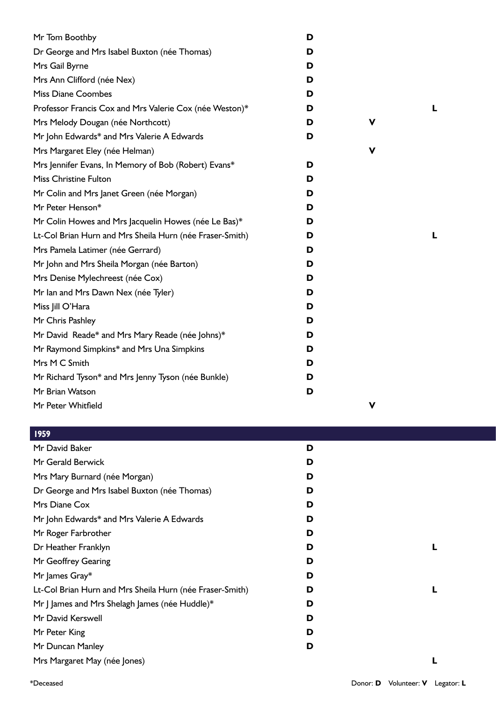| Mr Tom Boothby                                           | D |   |  |
|----------------------------------------------------------|---|---|--|
| Dr George and Mrs Isabel Buxton (née Thomas)             | D |   |  |
| Mrs Gail Byrne                                           | D |   |  |
| Mrs Ann Clifford (née Nex)                               | D |   |  |
| <b>Miss Diane Coombes</b>                                | D |   |  |
| Professor Francis Cox and Mrs Valerie Cox (née Weston)*  | D |   |  |
| Mrs Melody Dougan (née Northcott)                        | D | ۷ |  |
| Mr John Edwards* and Mrs Valerie A Edwards               | D |   |  |
| Mrs Margaret Eley (née Helman)                           |   | V |  |
| Mrs Jennifer Evans, In Memory of Bob (Robert) Evans*     | D |   |  |
| <b>Miss Christine Fulton</b>                             | D |   |  |
| Mr Colin and Mrs Janet Green (née Morgan)                | D |   |  |
| Mr Peter Henson*                                         | D |   |  |
| Mr Colin Howes and Mrs Jacquelin Howes (née Le Bas)*     | D |   |  |
| Lt-Col Brian Hurn and Mrs Sheila Hurn (née Fraser-Smith) | D |   |  |
| Mrs Pamela Latimer (née Gerrard)                         | D |   |  |
| Mr John and Mrs Sheila Morgan (née Barton)               | D |   |  |
| Mrs Denise Mylechreest (née Cox)                         | D |   |  |
| Mr Ian and Mrs Dawn Nex (née Tyler)                      | D |   |  |
| Miss Jill O'Hara                                         | D |   |  |
| Mr Chris Pashley                                         | D |   |  |
| Mr David Reade* and Mrs Mary Reade (née Johns)*          | D |   |  |
| Mr Raymond Simpkins* and Mrs Una Simpkins                | D |   |  |
| Mrs M C Smith                                            | D |   |  |
| Mr Richard Tyson* and Mrs Jenny Tyson (née Bunkle)       | D |   |  |
| Mr Brian Watson                                          | D |   |  |
| Mr Peter Whitfield                                       |   | ۷ |  |

| Mr David Baker                                           | D |  |
|----------------------------------------------------------|---|--|
| Mr Gerald Berwick                                        | D |  |
| Mrs Mary Burnard (née Morgan)                            | D |  |
| Dr George and Mrs Isabel Buxton (née Thomas)             | D |  |
| Mrs Diane Cox                                            | D |  |
| Mr John Edwards* and Mrs Valerie A Edwards               | D |  |
| Mr Roger Farbrother                                      | D |  |
| Dr Heather Franklyn                                      | D |  |
| Mr Geoffrey Gearing                                      | D |  |
| Mr James Gray*                                           | D |  |
| Lt-Col Brian Hurn and Mrs Sheila Hurn (née Fraser-Smith) | D |  |
| Mr J James and Mrs Shelagh James (née Huddle)*           | D |  |
| Mr David Kerswell                                        | D |  |
| Mr Peter King                                            | D |  |
| Mr Duncan Manley                                         | D |  |
| Mrs Margaret May (née Jones)                             |   |  |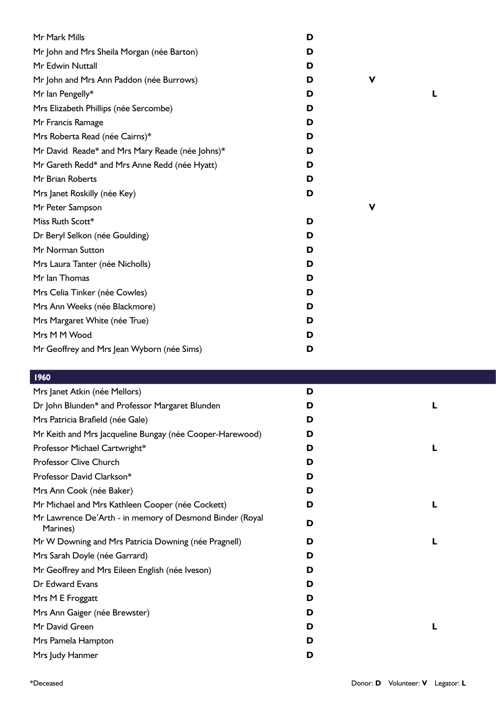| Mr Mark Mills                                   | D |   |  |
|-------------------------------------------------|---|---|--|
| Mr John and Mrs Sheila Morgan (née Barton)      | D |   |  |
| Mr Edwin Nuttall                                | D |   |  |
| Mr John and Mrs Ann Paddon (née Burrows)        | D | v |  |
| Mr Ian Pengelly*                                | D |   |  |
| Mrs Elizabeth Phillips (née Sercombe)           | D |   |  |
| Mr Francis Ramage                               | D |   |  |
| Mrs Roberta Read (née Cairns)*                  | D |   |  |
| Mr David Reade* and Mrs Mary Reade (née Johns)* | D |   |  |
| Mr Gareth Redd* and Mrs Anne Redd (née Hyatt)   | D |   |  |
| Mr Brian Roberts                                | D |   |  |
| Mrs Janet Roskilly (née Key)                    | D |   |  |
| Mr Peter Sampson                                |   | ۷ |  |
| Miss Ruth Scott*                                | D |   |  |
| Dr Beryl Selkon (née Goulding)                  | D |   |  |
| Mr Norman Sutton                                | D |   |  |
| Mrs Laura Tanter (née Nicholls)                 | D |   |  |
| Mr Ian Thomas                                   | D |   |  |
| Mrs Celia Tinker (née Cowles)                   | D |   |  |
| Mrs Ann Weeks (née Blackmore)                   | D |   |  |
| Mrs Margaret White (née True)                   | D |   |  |
| Mrs M M Wood                                    | D |   |  |
| Mr Geoffrey and Mrs Jean Wyborn (née Sims)      | D |   |  |
|                                                 |   |   |  |

| Mrs Janet Atkin (née Mellors)                                        | D |  |
|----------------------------------------------------------------------|---|--|
| Dr John Blunden* and Professor Margaret Blunden                      | D |  |
| Mrs Patricia Brafield (née Gale)                                     | D |  |
| Mr Keith and Mrs Jacqueline Bungay (née Cooper-Harewood)             | D |  |
| Professor Michael Cartwright*                                        | D |  |
| Professor Clive Church                                               | D |  |
| Professor David Clarkson*                                            | D |  |
| Mrs Ann Cook (née Baker)                                             | D |  |
| Mr Michael and Mrs Kathleen Cooper (née Cockett)                     | D |  |
| Mr Lawrence De'Arth - in memory of Desmond Binder (Royal<br>Marines) | D |  |
| Mr W Downing and Mrs Patricia Downing (née Pragnell)                 | D |  |
| Mrs Sarah Doyle (née Garrard)                                        | D |  |
| Mr Geoffrey and Mrs Eileen English (née Iveson)                      | D |  |
| Dr Edward Evans                                                      | D |  |
| Mrs M E Froggatt                                                     | D |  |
| Mrs Ann Gaiger (née Brewster)                                        | D |  |
| Mr David Green                                                       | D |  |
| Mrs Pamela Hampton                                                   | D |  |
| Mrs Judy Hanmer                                                      | D |  |
|                                                                      |   |  |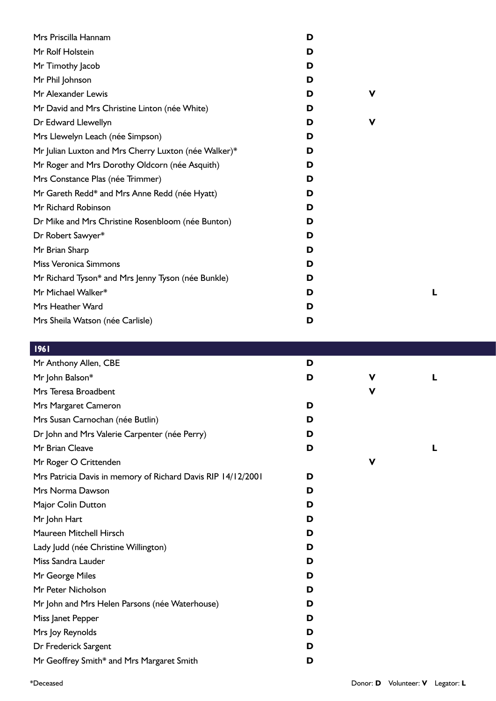| Mrs Priscilla Hannam                                 | D |   |  |
|------------------------------------------------------|---|---|--|
| Mr Rolf Holstein                                     | D |   |  |
| Mr Timothy Jacob                                     | D |   |  |
| Mr Phil Johnson                                      | D |   |  |
| Mr Alexander Lewis                                   | D | v |  |
| Mr David and Mrs Christine Linton (née White)        | D |   |  |
| Dr Edward Llewellyn                                  | D | v |  |
| Mrs Llewelyn Leach (née Simpson)                     | D |   |  |
| Mr Julian Luxton and Mrs Cherry Luxton (née Walker)* | D |   |  |
| Mr Roger and Mrs Dorothy Oldcorn (née Asquith)       | D |   |  |
| Mrs Constance Plas (née Trimmer)                     | D |   |  |
| Mr Gareth Redd* and Mrs Anne Redd (née Hyatt)        | D |   |  |
| Mr Richard Robinson                                  | D |   |  |
| Dr Mike and Mrs Christine Rosenbloom (née Bunton)    | D |   |  |
| Dr Robert Sawyer*                                    | D |   |  |
| Mr Brian Sharp                                       | D |   |  |
| Miss Veronica Simmons                                | D |   |  |
| Mr Richard Tyson* and Mrs Jenny Tyson (née Bunkle)   | D |   |  |
| Mr Michael Walker*                                   | D |   |  |
| Mrs Heather Ward                                     | D |   |  |
| Mrs Sheila Watson (née Carlisle)                     | D |   |  |

| $\blacksquare$ 1701                                          |   |             |   |
|--------------------------------------------------------------|---|-------------|---|
| Mr Anthony Allen, CBE                                        | D |             |   |
| Mr John Balson*                                              | D | V           | L |
| Mrs Teresa Broadbent                                         |   | $\mathbf v$ |   |
| Mrs Margaret Cameron                                         | D |             |   |
| Mrs Susan Carnochan (née Butlin)                             | D |             |   |
| Dr John and Mrs Valerie Carpenter (née Perry)                | D |             |   |
| Mr Brian Cleave                                              | D |             | L |
| Mr Roger O Crittenden                                        |   | V           |   |
| Mrs Patricia Davis in memory of Richard Davis RIP 14/12/2001 | D |             |   |
| Mrs Norma Dawson                                             | D |             |   |
| Major Colin Dutton                                           | D |             |   |
| Mr John Hart                                                 | D |             |   |
| Maureen Mitchell Hirsch                                      | D |             |   |
| Lady Judd (née Christine Willington)                         | D |             |   |
| Miss Sandra Lauder                                           | D |             |   |
| Mr George Miles                                              | D |             |   |
| Mr Peter Nicholson                                           | D |             |   |
| Mr John and Mrs Helen Parsons (née Waterhouse)               | D |             |   |
| Miss Janet Pepper                                            | D |             |   |
| Mrs Joy Reynolds                                             | D |             |   |
| Dr Frederick Sargent                                         | D |             |   |
| Mr Geoffrey Smith* and Mrs Margaret Smith                    | D |             |   |
|                                                              |   |             |   |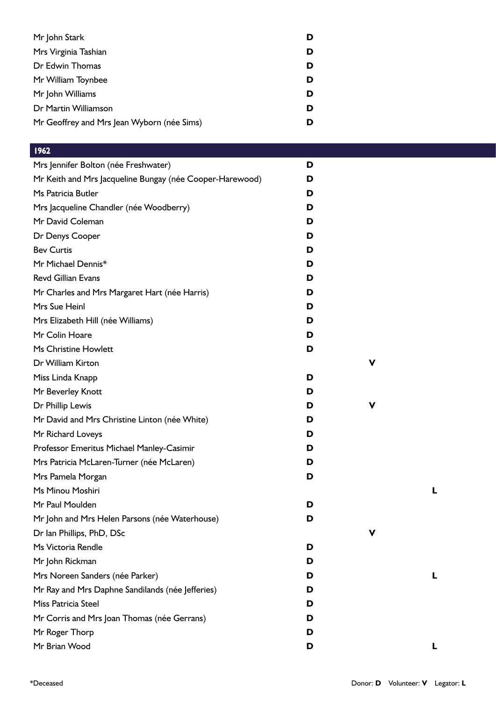| Mr John Stark                              | D |
|--------------------------------------------|---|
| Mrs Virginia Tashian                       | D |
| Dr Edwin Thomas                            | D |
| Mr William Toynbee                         | D |
| Mr John Williams                           | D |
| Dr Martin Williamson                       | D |
| Mr Geoffrey and Mrs Jean Wyborn (née Sims) |   |
|                                            |   |

| Mrs Jennifer Bolton (née Freshwater)                     | D |   |   |  |
|----------------------------------------------------------|---|---|---|--|
| Mr Keith and Mrs Jacqueline Bungay (née Cooper-Harewood) | D |   |   |  |
| Ms Patricia Butler                                       | D |   |   |  |
| Mrs Jacqueline Chandler (née Woodberry)                  | D |   |   |  |
| Mr David Coleman                                         | D |   |   |  |
| Dr Denys Cooper                                          | D |   |   |  |
| <b>Bev Curtis</b>                                        | D |   |   |  |
| Mr Michael Dennis*                                       | D |   |   |  |
| <b>Revd Gillian Evans</b>                                | D |   |   |  |
| Mr Charles and Mrs Margaret Hart (née Harris)            | D |   |   |  |
| Mrs Sue Heinl                                            | D |   |   |  |
| Mrs Elizabeth Hill (née Williams)                        | D |   |   |  |
| Mr Colin Hoare                                           | D |   |   |  |
| Ms Christine Howlett                                     | D |   |   |  |
| Dr William Kirton                                        |   | V |   |  |
| Miss Linda Knapp                                         | D |   |   |  |
| Mr Beverley Knott                                        | D |   |   |  |
| Dr Phillip Lewis                                         | D | V |   |  |
| Mr David and Mrs Christine Linton (née White)            | D |   |   |  |
| Mr Richard Loveys                                        | D |   |   |  |
| Professor Emeritus Michael Manley-Casimir                | D |   |   |  |
| Mrs Patricia McLaren-Turner (née McLaren)                | D |   |   |  |
| Mrs Pamela Morgan                                        | D |   |   |  |
| Ms Minou Moshiri                                         |   |   | L |  |
| Mr Paul Moulden                                          | D |   |   |  |
| Mr John and Mrs Helen Parsons (née Waterhouse)           | D |   |   |  |
| Dr Ian Phillips, PhD, DSc                                |   | v |   |  |
| Ms Victoria Rendle                                       | D |   |   |  |
| Mr John Rickman                                          | D |   |   |  |
| Mrs Noreen Sanders (née Parker)                          | D |   | L |  |
| Mr Ray and Mrs Daphne Sandilands (née Jefferies)         | D |   |   |  |
| Miss Patricia Steel                                      | D |   |   |  |
| Mr Corris and Mrs Joan Thomas (née Gerrans)              | D |   |   |  |
| Mr Roger Thorp                                           | D |   |   |  |
| Mr Brian Wood                                            | D |   | L |  |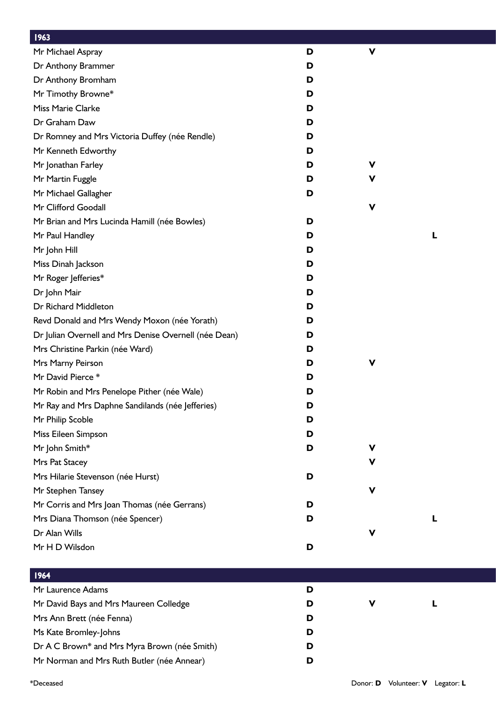| 1963                                                  |   |   |  |
|-------------------------------------------------------|---|---|--|
| Mr Michael Aspray                                     | D | V |  |
| Dr Anthony Brammer                                    | D |   |  |
| Dr Anthony Bromham                                    | D |   |  |
| Mr Timothy Browne*                                    | D |   |  |
| Miss Marie Clarke                                     | D |   |  |
| Dr Graham Daw                                         | D |   |  |
| Dr Romney and Mrs Victoria Duffey (née Rendle)        | D |   |  |
| Mr Kenneth Edworthy                                   | D |   |  |
| Mr Jonathan Farley                                    | D | v |  |
| Mr Martin Fuggle                                      | D | v |  |
| Mr Michael Gallagher                                  | D |   |  |
| Mr Clifford Goodall                                   |   | V |  |
| Mr Brian and Mrs Lucinda Hamill (née Bowles)          | D |   |  |
| Mr Paul Handley                                       | D |   |  |
| Mr John Hill                                          | D |   |  |
| Miss Dinah Jackson                                    | D |   |  |
| Mr Roger Jefferies*                                   | D |   |  |
| Dr John Mair                                          | D |   |  |
| Dr Richard Middleton                                  | D |   |  |
| Revd Donald and Mrs Wendy Moxon (née Yorath)          | D |   |  |
| Dr Julian Overnell and Mrs Denise Overnell (née Dean) | D |   |  |
| Mrs Christine Parkin (née Ward)                       | D |   |  |
| Mrs Marny Peirson                                     | D | V |  |
| Mr David Pierce*                                      | D |   |  |
| Mr Robin and Mrs Penelope Pither (née Wale)           | D |   |  |
| Mr Ray and Mrs Daphne Sandilands (née Jefferies)      | D |   |  |
| Mr Philip Scoble                                      | D |   |  |
| Miss Eileen Simpson                                   | D |   |  |
| Mr John Smith*                                        | D | ۷ |  |
| Mrs Pat Stacey                                        |   | v |  |
| Mrs Hilarie Stevenson (née Hurst)                     | D |   |  |
| Mr Stephen Tansey                                     |   | V |  |
| Mr Corris and Mrs Joan Thomas (née Gerrans)           | D |   |  |
| Mrs Diana Thomson (née Spencer)                       | D |   |  |
| Dr Alan Wills                                         |   | V |  |
| Mr H D Wilsdon                                        | D |   |  |
|                                                       |   |   |  |

| 1964                                         |   |   |  |
|----------------------------------------------|---|---|--|
| Mr Laurence Adams                            | D |   |  |
| Mr David Bays and Mrs Maureen Colledge       | D | ν |  |
| Mrs Ann Brett (née Fenna)                    | D |   |  |
| Ms Kate Bromley-Johns                        | D |   |  |
| Dr A C Brown* and Mrs Myra Brown (née Smith) | D |   |  |
| Mr Norman and Mrs Ruth Butler (née Annear)   | D |   |  |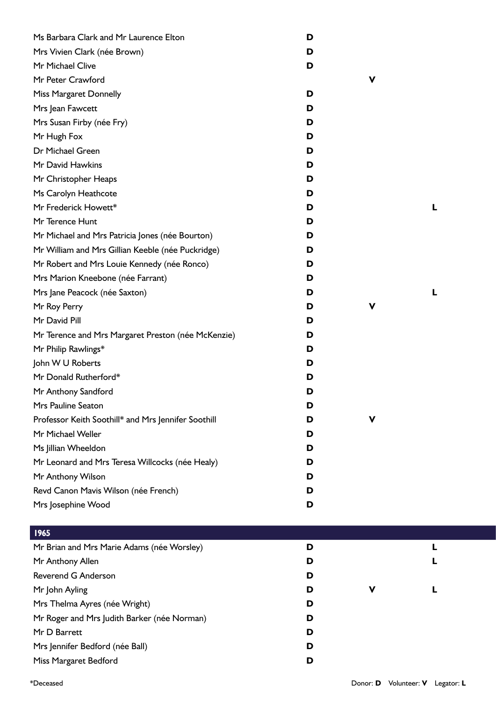| Ms Barbara Clark and Mr Laurence Elton              | D |   |  |
|-----------------------------------------------------|---|---|--|
| Mrs Vivien Clark (née Brown)                        | D |   |  |
| Mr Michael Clive                                    | D |   |  |
| Mr Peter Crawford                                   |   | V |  |
| <b>Miss Margaret Donnelly</b>                       | D |   |  |
| Mrs Jean Fawcett                                    | D |   |  |
| Mrs Susan Firby (née Fry)                           | D |   |  |
| Mr Hugh Fox                                         | D |   |  |
| Dr Michael Green                                    | D |   |  |
| Mr David Hawkins                                    | D |   |  |
| Mr Christopher Heaps                                | D |   |  |
| Ms Carolyn Heathcote                                | D |   |  |
| Mr Frederick Howett*                                | D |   |  |
| Mr Terence Hunt                                     | D |   |  |
| Mr Michael and Mrs Patricia Jones (née Bourton)     | D |   |  |
| Mr William and Mrs Gillian Keeble (née Puckridge)   | D |   |  |
| Mr Robert and Mrs Louie Kennedy (née Ronco)         | D |   |  |
| Mrs Marion Kneebone (née Farrant)                   | D |   |  |
| Mrs Jane Peacock (née Saxton)                       | D |   |  |
| Mr Roy Perry                                        | D | V |  |
| Mr David Pill                                       | D |   |  |
| Mr Terence and Mrs Margaret Preston (née McKenzie)  | D |   |  |
| Mr Philip Rawlings*                                 | D |   |  |
| John W U Roberts                                    | D |   |  |
| Mr Donald Rutherford*                               | D |   |  |
| Mr Anthony Sandford                                 | D |   |  |
| Mrs Pauline Seaton                                  | D |   |  |
| Professor Keith Soothill* and Mrs Jennifer Soothill | D | V |  |
| Mr Michael Weller                                   | D |   |  |
| Ms Jillian Wheeldon                                 | D |   |  |
| Mr Leonard and Mrs Teresa Willcocks (née Healy)     | D |   |  |
| Mr Anthony Wilson                                   | D |   |  |
| Revd Canon Mavis Wilson (née French)                | D |   |  |
| Mrs Josephine Wood                                  | D |   |  |
|                                                     |   |   |  |
| 1965                                                |   |   |  |
| Mr Brian and Mrs Marie Adams (née Worsley)          | D |   |  |
| Mr Anthony Allen                                    | D |   |  |
| Reverend G Anderson                                 | D |   |  |
| Mr John Ayling                                      | D | V |  |
| Mrs Thelma Ayres (née Wright)                       | D |   |  |
| Mr Roger and Mrs Judith Barker (née Norman)         | D |   |  |
| Mr D Barrett                                        | D |   |  |
| Mrs Jennifer Bedford (née Ball)                     | D |   |  |
| Miss Margaret Bedford                               | D |   |  |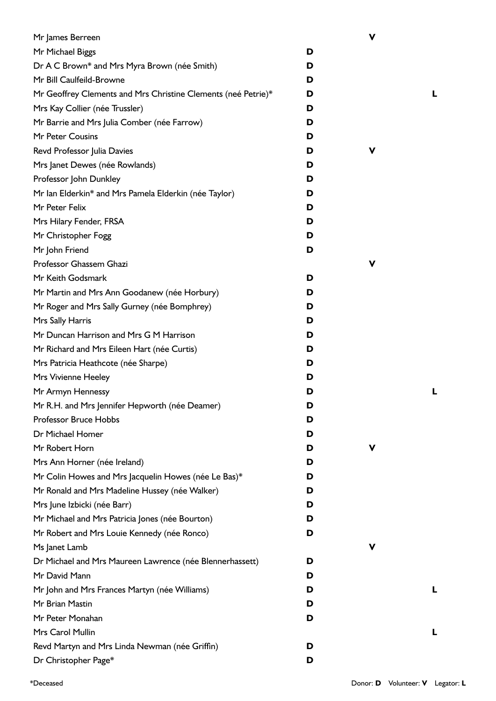| Mr James Berreen                                              |   | V |   |
|---------------------------------------------------------------|---|---|---|
| Mr Michael Biggs                                              | D |   |   |
| Dr A C Brown* and Mrs Myra Brown (née Smith)                  | D |   |   |
| Mr Bill Caulfeild-Browne                                      | D |   |   |
| Mr Geoffrey Clements and Mrs Christine Clements (neé Petrie)* | D |   | L |
| Mrs Kay Collier (née Trussler)                                | D |   |   |
| Mr Barrie and Mrs Julia Comber (née Farrow)                   | D |   |   |
| Mr Peter Cousins                                              | D |   |   |
| Revd Professor Julia Davies                                   | D | v |   |
| Mrs Janet Dewes (née Rowlands)                                | D |   |   |
| Professor John Dunkley                                        | D |   |   |
| Mr Ian Elderkin* and Mrs Pamela Elderkin (née Taylor)         | D |   |   |
| Mr Peter Felix                                                | D |   |   |
| Mrs Hilary Fender, FRSA                                       | D |   |   |
| Mr Christopher Fogg                                           | D |   |   |
| Mr John Friend                                                | D |   |   |
| Professor Ghassem Ghazi                                       |   | ν |   |
| Mr Keith Godsmark                                             | D |   |   |
| Mr Martin and Mrs Ann Goodanew (née Horbury)                  | D |   |   |
| Mr Roger and Mrs Sally Gurney (née Bomphrey)                  | D |   |   |
| Mrs Sally Harris                                              | D |   |   |
| Mr Duncan Harrison and Mrs G M Harrison                       | D |   |   |
| Mr Richard and Mrs Eileen Hart (née Curtis)                   | D |   |   |
| Mrs Patricia Heathcote (née Sharpe)                           | D |   |   |
| Mrs Vivienne Heeley                                           | D |   |   |
| Mr Armyn Hennessy                                             | D |   | L |
| Mr R.H. and Mrs Jennifer Hepworth (née Deamer)                | D |   |   |
| <b>Professor Bruce Hobbs</b>                                  | D |   |   |
| Dr Michael Homer                                              | D |   |   |
| Mr Robert Horn                                                | D | ۷ |   |
| Mrs Ann Horner (née Ireland)                                  | D |   |   |
| Mr Colin Howes and Mrs Jacquelin Howes (née Le Bas)*          | D |   |   |
| Mr Ronald and Mrs Madeline Hussey (née Walker)                | D |   |   |
| Mrs June Izbicki (née Barr)                                   | D |   |   |
| Mr Michael and Mrs Patricia Jones (née Bourton)               | D |   |   |
| Mr Robert and Mrs Louie Kennedy (née Ronco)                   | D |   |   |
| Ms Janet Lamb                                                 |   | V |   |
| Dr Michael and Mrs Maureen Lawrence (née Blennerhassett)      | D |   |   |
| Mr David Mann                                                 | D |   |   |
| Mr John and Mrs Frances Martyn (née Williams)                 | D |   | L |
| Mr Brian Mastin                                               | D |   |   |
| Mr Peter Monahan                                              | D |   |   |
| Mrs Carol Mullin                                              |   |   | L |
| Revd Martyn and Mrs Linda Newman (née Griffin)                | D |   |   |
| Dr Christopher Page*                                          | D |   |   |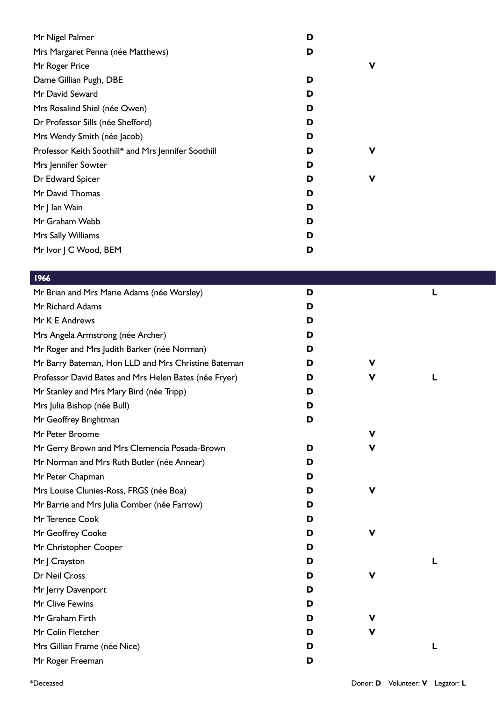| Mr Nigel Palmer                                     | D |   |
|-----------------------------------------------------|---|---|
| Mrs Margaret Penna (née Matthews)                   | D |   |
| Mr Roger Price                                      |   | v |
| Dame Gillian Pugh, DBE                              | D |   |
| Mr David Seward                                     | D |   |
| Mrs Rosalind Shiel (née Owen)                       | D |   |
| Dr Professor Sills (née Shefford)                   | D |   |
| Mrs Wendy Smith (née Jacob)                         | D |   |
| Professor Keith Soothill* and Mrs Jennifer Soothill | D | v |
| Mrs Jennifer Sowter                                 | D |   |
| Dr Edward Spicer                                    | D | v |
| Mr David Thomas                                     | D |   |
| Mr J lan Wain                                       | D |   |
| Mr Graham Webb                                      | D |   |
| Mrs Sally Williams                                  | D |   |
| Mr Ivor J C Wood, BEM                               | D |   |

| 1966                                                  |   |   |  |
|-------------------------------------------------------|---|---|--|
| Mr Brian and Mrs Marie Adams (née Worsley)            | D |   |  |
| Mr Richard Adams                                      | D |   |  |
| Mr K E Andrews                                        | D |   |  |
| Mrs Angela Armstrong (née Archer)                     | D |   |  |
| Mr Roger and Mrs Judith Barker (née Norman)           | D |   |  |
| Mr Barry Bateman, Hon LLD and Mrs Christine Bateman   | D | v |  |
| Professor David Bates and Mrs Helen Bates (née Fryer) | D | v |  |
| Mr Stanley and Mrs Mary Bird (née Tripp)              | D |   |  |
| Mrs Julia Bishop (née Bull)                           | D |   |  |
| Mr Geoffrey Brightman                                 | D |   |  |
| Mr Peter Broome                                       |   | ۷ |  |
| Mr Gerry Brown and Mrs Clemencia Posada-Brown         | D | v |  |
| Mr Norman and Mrs Ruth Butler (née Annear)            | D |   |  |
| Mr Peter Chapman                                      | D |   |  |
| Mrs Louise Clunies-Ross, FRGS (née Boa)               | D | v |  |
| Mr Barrie and Mrs Julia Comber (née Farrow)           | D |   |  |
| Mr Terence Cook                                       | D |   |  |
| Mr Geoffrey Cooke                                     | D | ۷ |  |
| Mr Christopher Cooper                                 | D |   |  |
| Mr J Crayston                                         | D |   |  |
| Dr Neil Cross                                         | D | v |  |
| Mr Jerry Davenport                                    | D |   |  |
| Mr Clive Fewins                                       | D |   |  |
| Mr Graham Firth                                       | D | v |  |
| Mr Colin Fletcher                                     | D | ۷ |  |
| Mrs Gillian Frame (née Nice)                          | D |   |  |
| Mr Roger Freeman                                      | D |   |  |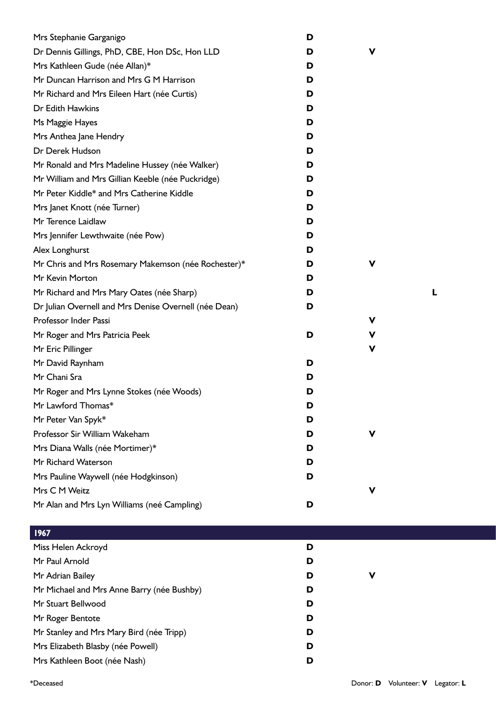| Mrs Stephanie Garganigo                               | D |   |   |
|-------------------------------------------------------|---|---|---|
| Dr Dennis Gillings, PhD, CBE, Hon DSc, Hon LLD        | D | V |   |
| Mrs Kathleen Gude (née Allan)*                        | D |   |   |
| Mr Duncan Harrison and Mrs G M Harrison               | D |   |   |
| Mr Richard and Mrs Eileen Hart (née Curtis)           | D |   |   |
| Dr Edith Hawkins                                      | D |   |   |
| Ms Maggie Hayes                                       | D |   |   |
| Mrs Anthea Jane Hendry                                | D |   |   |
| Dr Derek Hudson                                       | D |   |   |
| Mr Ronald and Mrs Madeline Hussey (née Walker)        | D |   |   |
| Mr William and Mrs Gillian Keeble (née Puckridge)     | D |   |   |
| Mr Peter Kiddle* and Mrs Catherine Kiddle             | D |   |   |
| Mrs Janet Knott (née Turner)                          | D |   |   |
| Mr Terence Laidlaw                                    | D |   |   |
| Mrs Jennifer Lewthwaite (née Pow)                     | D |   |   |
| Alex Longhurst                                        | D |   |   |
| Mr Chris and Mrs Rosemary Makemson (née Rochester)*   | D | V |   |
| Mr Kevin Morton                                       | D |   |   |
| Mr Richard and Mrs Mary Oates (née Sharp)             | D |   | L |
| Dr Julian Overnell and Mrs Denise Overnell (née Dean) | D |   |   |
| Professor Inder Passi                                 |   | v |   |
| Mr Roger and Mrs Patricia Peek                        | D | v |   |
| Mr Eric Pillinger                                     |   | ۷ |   |
| Mr David Raynham                                      | D |   |   |
| Mr Chani Sra                                          | D |   |   |
| Mr Roger and Mrs Lynne Stokes (née Woods)             | D |   |   |
| Mr Lawford Thomas*                                    | D |   |   |
| Mr Peter Van Spyk*                                    | D |   |   |
| Professor Sir William Wakeham                         | D | ۷ |   |
| Mrs Diana Walls (née Mortimer)*                       | D |   |   |
| Mr Richard Waterson                                   | D |   |   |
| Mrs Pauline Waywell (née Hodgkinson)                  | D |   |   |
| Mrs C M Weitz                                         |   | V |   |
| Mr Alan and Mrs Lyn Williams (neé Campling)           | D |   |   |
| 1967                                                  |   |   |   |
| Miss Helen Ackroyd                                    | D |   |   |
| Mr Paul Arnold                                        | D |   |   |
| Mr Adrian Bailey                                      | D | ν |   |
| Mr Michael and Mrs Anne Barry (née Bushby)            | D |   |   |
| Mr Stuart Bellwood                                    | D |   |   |
| Mr Roger Bentote                                      | D |   |   |
| Mr Stanley and Mrs Mary Bird (née Tripp)              | D |   |   |

Mrs Elizabeth Blasby (née Powell) **D** Mrs Kathleen Boot (née Nash) **D**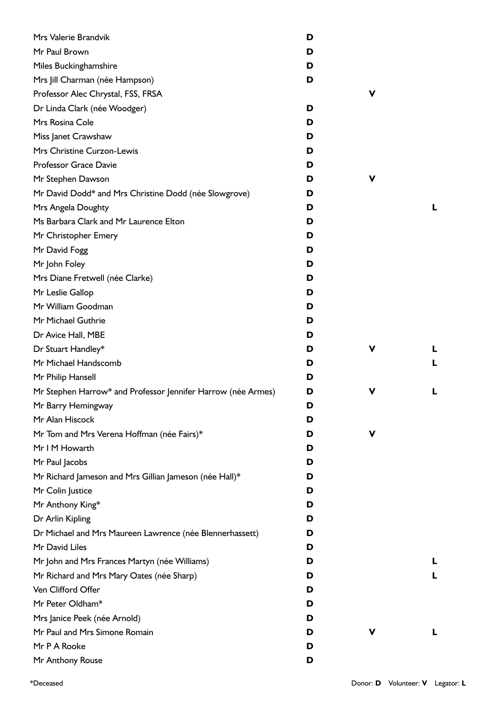| Mrs Valerie Brandvik                                         | D |   |   |
|--------------------------------------------------------------|---|---|---|
| Mr Paul Brown                                                | D |   |   |
| Miles Buckinghamshire                                        | D |   |   |
| Mrs Jill Charman (née Hampson)                               | D |   |   |
| Professor Alec Chrystal, FSS, FRSA                           |   | v |   |
| Dr Linda Clark (née Woodger)                                 | D |   |   |
| Mrs Rosina Cole                                              | D |   |   |
| Miss Janet Crawshaw                                          | D |   |   |
| Mrs Christine Curzon-Lewis                                   | D |   |   |
| Professor Grace Davie                                        | D |   |   |
| Mr Stephen Dawson                                            | D | v |   |
| Mr David Dodd* and Mrs Christine Dodd (née Slowgrove)        | D |   |   |
| Mrs Angela Doughty                                           | D |   | L |
| Ms Barbara Clark and Mr Laurence Elton                       | D |   |   |
| Mr Christopher Emery                                         | D |   |   |
| Mr David Fogg                                                | D |   |   |
| Mr John Foley                                                | D |   |   |
| Mrs Diane Fretwell (née Clarke)                              | D |   |   |
| Mr Leslie Gallop                                             | D |   |   |
| Mr William Goodman                                           | D |   |   |
| Mr Michael Guthrie                                           | D |   |   |
| Dr Avice Hall, MBE                                           | D |   |   |
| Dr Stuart Handley*                                           | D | ۷ | L |
| Mr Michael Handscomb                                         | D |   |   |
| Mr Philip Hansell                                            | D |   |   |
| Mr Stephen Harrow* and Professor Jennifer Harrow (née Armes) | D | v |   |
| Mr Barry Hemingway                                           | D |   |   |
| Mr Alan Hiscock                                              | D |   |   |
| Mr Tom and Mrs Verena Hoffman (née Fairs)*                   | D | ۷ |   |
| Mr I M Howarth                                               | D |   |   |
| Mr Paul Jacobs                                               | D |   |   |
| Mr Richard Jameson and Mrs Gillian Jameson (née Hall)*       | D |   |   |
| Mr Colin Justice                                             | D |   |   |
| Mr Anthony King*                                             | D |   |   |
| Dr Arlin Kipling                                             | D |   |   |
| Dr Michael and Mrs Maureen Lawrence (née Blennerhassett)     | D |   |   |
| Mr David Liles                                               | D |   |   |
| Mr John and Mrs Frances Martyn (née Williams)                | D |   | L |
| Mr Richard and Mrs Mary Oates (née Sharp)                    | D |   |   |
| Ven Clifford Offer                                           | D |   |   |
| Mr Peter Oldham*                                             | D |   |   |
| Mrs Janice Peek (née Arnold)                                 | D |   |   |
| Mr Paul and Mrs Simone Romain                                | D | v | L |
| Mr P A Rooke                                                 | D |   |   |
| Mr Anthony Rouse                                             | D |   |   |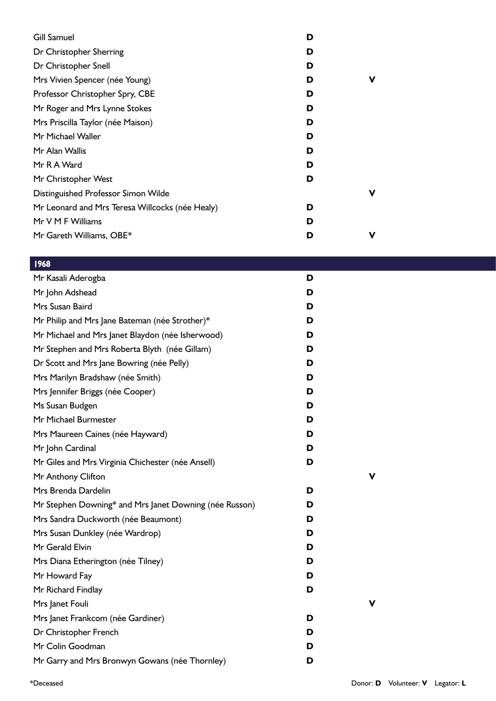| <b>Gill Samuel</b>                              | D |   |
|-------------------------------------------------|---|---|
| Dr Christopher Sherring                         | D |   |
| Dr Christopher Snell                            | D |   |
| Mrs Vivien Spencer (née Young)                  | D | v |
| Professor Christopher Spry, CBE                 | D |   |
| Mr Roger and Mrs Lynne Stokes                   | D |   |
| Mrs Priscilla Taylor (née Maison)               | D |   |
| Mr Michael Waller                               | D |   |
| Mr Alan Wallis                                  | D |   |
| Mr R A Ward                                     | D |   |
| Mr Christopher West                             | D |   |
| Distinguished Professor Simon Wilde             |   | v |
| Mr Leonard and Mrs Teresa Willcocks (née Healy) | D |   |
| Mr V M F Williams                               | D |   |
| Mr Gareth Williams, OBE*                        | D | v |

| Mr Kasali Aderogba                                     | D |   |
|--------------------------------------------------------|---|---|
| Mr John Adshead                                        | D |   |
| Mrs Susan Baird                                        | D |   |
| Mr Philip and Mrs Jane Bateman (née Strother)*         | D |   |
| Mr Michael and Mrs Janet Blaydon (née Isherwood)       | D |   |
| Mr Stephen and Mrs Roberta Blyth (née Gillam)          | D |   |
| Dr Scott and Mrs Jane Bowring (née Pelly)              | D |   |
| Mrs Marilyn Bradshaw (née Smith)                       | D |   |
| Mrs Jennifer Briggs (née Cooper)                       | D |   |
| Ms Susan Budgen                                        | D |   |
| Mr Michael Burmester                                   | D |   |
| Mrs Maureen Caines (née Hayward)                       | D |   |
| Mr John Cardinal                                       | D |   |
| Mr Giles and Mrs Virginia Chichester (née Ansell)      | D |   |
| Mr Anthony Clifton                                     |   | ν |
| Mrs Brenda Dardelin                                    | D |   |
| Mr Stephen Downing* and Mrs Janet Downing (née Russon) | D |   |
| Mrs Sandra Duckworth (née Beaumont)                    | D |   |
| Mrs Susan Dunkley (née Wardrop)                        | D |   |
| Mr Gerald Elvin                                        | D |   |
| Mrs Diana Etherington (née Tilney)                     | D |   |
| Mr Howard Fay                                          | D |   |
| Mr Richard Findlay                                     | D |   |
| Mrs Janet Fouli                                        |   |   |
| Mrs Janet Frankcom (née Gardiner)                      | D |   |
| Dr Christopher French                                  | D |   |
| Mr Colin Goodman                                       | D |   |
| Mr Garry and Mrs Bronwyn Gowans (née Thornley)         | D |   |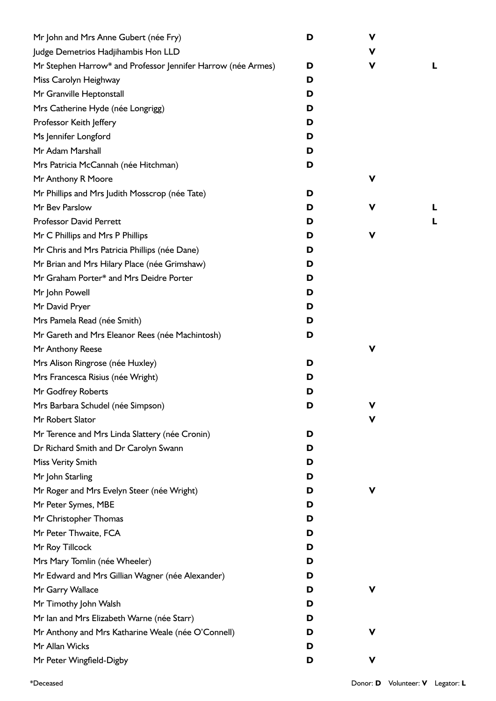| Mr John and Mrs Anne Gubert (née Fry)                        | D | V           |   |
|--------------------------------------------------------------|---|-------------|---|
| Judge Demetrios Hadjihambis Hon LLD                          |   | $\mathbf v$ |   |
| Mr Stephen Harrow* and Professor Jennifer Harrow (née Armes) | D | V           | L |
| Miss Carolyn Heighway                                        | D |             |   |
| Mr Granville Heptonstall                                     | D |             |   |
| Mrs Catherine Hyde (née Longrigg)                            | D |             |   |
| Professor Keith Jeffery                                      | D |             |   |
| Ms Jennifer Longford                                         | D |             |   |
| Mr Adam Marshall                                             | D |             |   |
| Mrs Patricia McCannah (née Hitchman)                         | D |             |   |
| Mr Anthony R Moore                                           |   | v           |   |
| Mr Phillips and Mrs Judith Mosscrop (née Tate)               | D |             |   |
| Mr Bev Parslow                                               | D | V           | L |
| <b>Professor David Perrett</b>                               | D |             | L |
| Mr C Phillips and Mrs P Phillips                             | D | V           |   |
| Mr Chris and Mrs Patricia Phillips (née Dane)                | D |             |   |
| Mr Brian and Mrs Hilary Place (née Grimshaw)                 | D |             |   |
| Mr Graham Porter* and Mrs Deidre Porter                      | D |             |   |
| Mr John Powell                                               | D |             |   |
| Mr David Pryer                                               | D |             |   |
| Mrs Pamela Read (née Smith)                                  | D |             |   |
| Mr Gareth and Mrs Eleanor Rees (née Machintosh)              | D |             |   |
| Mr Anthony Reese                                             |   | V           |   |
| Mrs Alison Ringrose (née Huxley)                             | D |             |   |
| Mrs Francesca Risius (née Wright)                            | D |             |   |
| Mr Godfrey Roberts                                           | D |             |   |
| Mrs Barbara Schudel (née Simpson)                            | D |             |   |
| Mr Robert Slator                                             |   | V           |   |
| Mr Terence and Mrs Linda Slattery (née Cronin)               | D |             |   |
| Dr Richard Smith and Dr Carolyn Swann                        | D |             |   |
| Miss Verity Smith                                            | D |             |   |
| Mr John Starling                                             | D |             |   |
| Mr Roger and Mrs Evelyn Steer (née Wright)                   | D | V           |   |
| Mr Peter Symes, MBE                                          | D |             |   |
| Mr Christopher Thomas                                        | D |             |   |
| Mr Peter Thwaite, FCA                                        | D |             |   |
| Mr Roy Tillcock                                              | D |             |   |
| Mrs Mary Tomlin (née Wheeler)                                | D |             |   |
| Mr Edward and Mrs Gillian Wagner (née Alexander)             | D |             |   |
| Mr Garry Wallace                                             | D | ۷           |   |
| Mr Timothy John Walsh                                        | D |             |   |
| Mr Ian and Mrs Elizabeth Warne (née Starr)                   | D |             |   |
| Mr Anthony and Mrs Katharine Weale (née O'Connell)           | D | v           |   |
| Mr Allan Wicks                                               | D |             |   |
| Mr Peter Wingfield-Digby                                     | D | V           |   |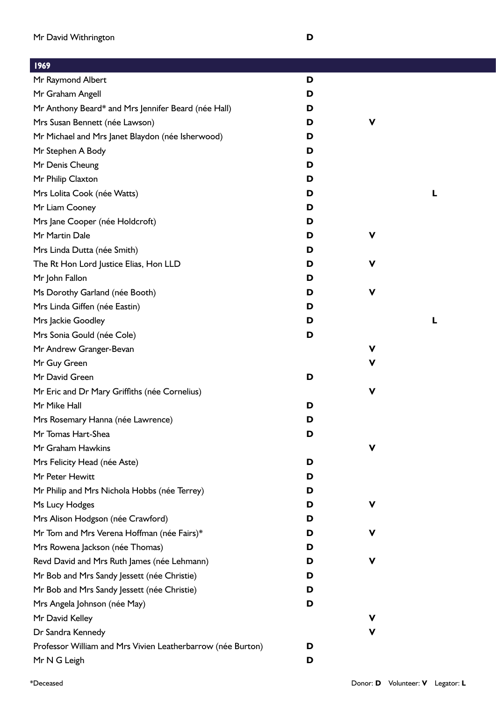| 1707                                                        |   |   |
|-------------------------------------------------------------|---|---|
| Mr Raymond Albert                                           | D |   |
| Mr Graham Angell                                            | D |   |
| Mr Anthony Beard* and Mrs Jennifer Beard (née Hall)         | D |   |
| Mrs Susan Bennett (née Lawson)                              | D | V |
| Mr Michael and Mrs Janet Blaydon (née Isherwood)            | D |   |
| Mr Stephen A Body                                           | D |   |
| Mr Denis Cheung                                             | D |   |
| Mr Philip Claxton                                           | D |   |
| Mrs Lolita Cook (née Watts)                                 | D | L |
| Mr Liam Cooney                                              | D |   |
| Mrs Jane Cooper (née Holdcroft)                             | D |   |
| Mr Martin Dale                                              | D | ۷ |
| Mrs Linda Dutta (née Smith)                                 | D |   |
| The Rt Hon Lord Justice Elias, Hon LLD                      | D | V |
| Mr John Fallon                                              | D |   |
| Ms Dorothy Garland (née Booth)                              | D | V |
| Mrs Linda Giffen (née Eastin)                               | D |   |
| Mrs Jackie Goodley                                          | D | L |
| Mrs Sonia Gould (née Cole)                                  | D |   |
| Mr Andrew Granger-Bevan                                     |   | V |
| Mr Guy Green                                                |   | v |
| Mr David Green                                              | D |   |
| Mr Eric and Dr Mary Griffiths (née Cornelius)               |   | V |
| Mr Mike Hall                                                | D |   |
| Mrs Rosemary Hanna (née Lawrence)                           | D |   |
| Mr Tomas Hart-Shea                                          | D |   |
| Mr Graham Hawkins                                           |   | V |
| Mrs Felicity Head (née Aste)                                | D |   |
| Mr Peter Hewitt                                             | D |   |
| Mr Philip and Mrs Nichola Hobbs (née Terrey)                | D |   |
| Ms Lucy Hodges                                              | D | ۷ |
| Mrs Alison Hodgson (née Crawford)                           | D |   |
| Mr Tom and Mrs Verena Hoffman (née Fairs)*                  | D | V |
| Mrs Rowena Jackson (née Thomas)                             | D |   |
| Revd David and Mrs Ruth James (née Lehmann)                 | D | v |
| Mr Bob and Mrs Sandy Jessett (née Christie)                 | D |   |
| Mr Bob and Mrs Sandy Jessett (née Christie)                 | D |   |
| Mrs Angela Johnson (née May)                                | D |   |
| Mr David Kelley                                             |   | ۷ |
| Dr Sandra Kennedy                                           |   | ۷ |
| Professor William and Mrs Vivien Leatherbarrow (née Burton) | D |   |
| Mr N G Leigh                                                | D |   |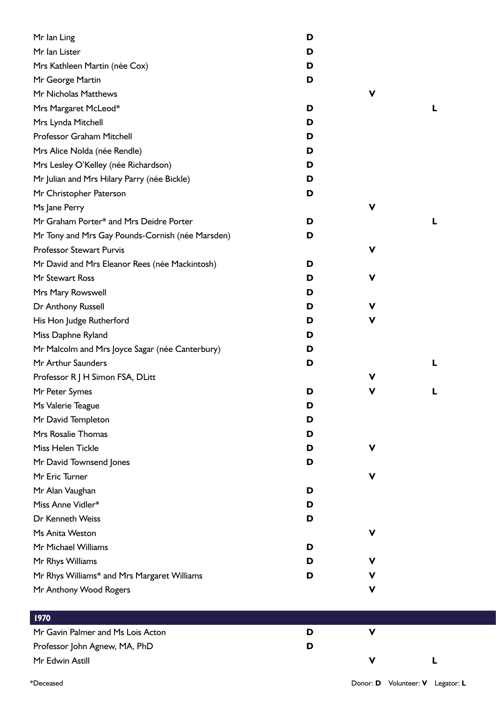| Mr lan Ling                                      | D |             |   |
|--------------------------------------------------|---|-------------|---|
| Mr Ian Lister                                    | D |             |   |
| Mrs Kathleen Martin (née Cox)                    | D |             |   |
| Mr George Martin                                 | D |             |   |
| Mr Nicholas Matthews                             |   | V           |   |
| Mrs Margaret McLeod*                             | D |             | L |
| Mrs Lynda Mitchell                               | D |             |   |
| Professor Graham Mitchell                        | D |             |   |
| Mrs Alice Nolda (née Rendle)                     | D |             |   |
| Mrs Lesley O'Kelley (née Richardson)             | D |             |   |
| Mr Julian and Mrs Hilary Parry (née Bickle)      | D |             |   |
| Mr Christopher Paterson                          | D |             |   |
| Ms Jane Perry                                    |   | V           |   |
| Mr Graham Porter* and Mrs Deidre Porter          | D |             | L |
| Mr Tony and Mrs Gay Pounds-Cornish (née Marsden) | D |             |   |
| <b>Professor Stewart Purvis</b>                  |   | V           |   |
| Mr David and Mrs Eleanor Rees (née Mackintosh)   | D |             |   |
| Mr Stewart Ross                                  | D | V           |   |
| Mrs Mary Rowswell                                | D |             |   |
| Dr Anthony Russell                               | D | V           |   |
| His Hon Judge Rutherford                         | D | V           |   |
| Miss Daphne Ryland                               | D |             |   |
| Mr Malcolm and Mrs Joyce Sagar (née Canterbury)  | D |             |   |
| Mr Arthur Saunders                               | D |             | L |
| Professor R J H Simon FSA, DLitt                 |   | V           |   |
| Mr Peter Symes                                   | D | v           | L |
| Ms Valerie Teague                                | D |             |   |
| Mr David Templeton                               | D |             |   |
| Mrs Rosalie Thomas                               | D |             |   |
| Miss Helen Tickle                                | D | V           |   |
| Mr David Townsend Jones                          | D |             |   |
| Mr Eric Turner                                   |   | V           |   |
| Mr Alan Vaughan                                  | D |             |   |
| Miss Anne Vidler*                                | D |             |   |
| Dr Kenneth Weiss                                 | D |             |   |
| Ms Anita Weston                                  |   | $\mathbf v$ |   |
| Mr Michael Williams                              | D |             |   |
| Mr Rhys Williams                                 | D | v           |   |
| Mr Rhys Williams* and Mrs Margaret Williams      | D | v           |   |
| Mr Anthony Wood Rogers                           |   | V           |   |
|                                                  |   |             |   |
| 1970                                             |   |             |   |
| Mr Gavin Palmer and Ms Lois Acton                | D | $\mathbf v$ |   |
| Professor John Agnew, MA, PhD                    | D |             |   |
| Mr Edwin Astill                                  |   | V           | L |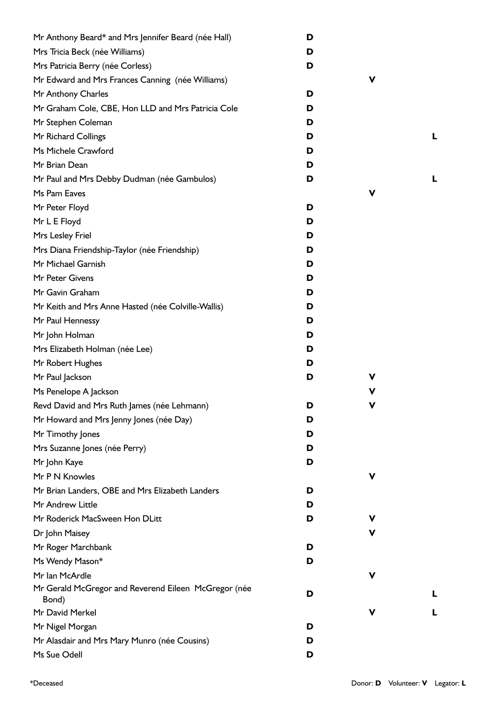| Mr Anthony Beard* and Mrs Jennifer Beard (née Hall)                 | D |   |   |
|---------------------------------------------------------------------|---|---|---|
| Mrs Tricia Beck (née Williams)                                      | D |   |   |
| Mrs Patricia Berry (née Corless)                                    | D |   |   |
| Mr Edward and Mrs Frances Canning (née Williams)                    |   | V |   |
| Mr Anthony Charles                                                  | D |   |   |
| Mr Graham Cole, CBE, Hon LLD and Mrs Patricia Cole                  | D |   |   |
| Mr Stephen Coleman                                                  | D |   |   |
| Mr Richard Collings                                                 | D |   | L |
| Ms Michele Crawford                                                 | D |   |   |
| Mr Brian Dean                                                       | D |   |   |
| Mr Paul and Mrs Debby Dudman (née Gambulos)                         | D |   | L |
| Ms Pam Eaves                                                        |   | v |   |
| Mr Peter Floyd                                                      | D |   |   |
| Mr L E Floyd                                                        | D |   |   |
| Mrs Lesley Friel                                                    | D |   |   |
| Mrs Diana Friendship-Taylor (née Friendship)                        | D |   |   |
| Mr Michael Garnish                                                  | D |   |   |
| Mr Peter Givens                                                     | D |   |   |
| Mr Gavin Graham                                                     | D |   |   |
| Mr Keith and Mrs Anne Hasted (née Colville-Wallis)                  | D |   |   |
| Mr Paul Hennessy                                                    | D |   |   |
| Mr John Holman                                                      | D |   |   |
| Mrs Elizabeth Holman (née Lee)                                      | D |   |   |
| Mr Robert Hughes                                                    | D |   |   |
| Mr Paul Jackson                                                     | D | ۷ |   |
| Ms Penelope A Jackson                                               |   | V |   |
| Revd David and Mrs Ruth James (née Lehmann)                         | D | v |   |
| Mr Howard and Mrs Jenny Jones (née Day)                             | D |   |   |
| Mr Timothy Jones                                                    | D |   |   |
|                                                                     | D |   |   |
| Mrs Suzanne Jones (née Perry)                                       | D |   |   |
| Mr John Kaye<br>Mr P N Knowles                                      |   | ۷ |   |
|                                                                     |   |   |   |
| Mr Brian Landers, OBE and Mrs Elizabeth Landers<br>Mr Andrew Little | D |   |   |
| Mr Roderick MacSween Hon DLitt                                      | D |   |   |
|                                                                     | D | v |   |
| Dr John Maisey                                                      |   | v |   |
| Mr Roger Marchbank                                                  | D |   |   |
| Ms Wendy Mason*                                                     | D |   |   |
| Mr Ian McArdle                                                      |   | V |   |
| Mr Gerald McGregor and Reverend Eileen McGregor (née<br>Bond)       | D |   | L |
| Mr David Merkel                                                     |   | v | L |
| Mr Nigel Morgan                                                     | D |   |   |
| Mr Alasdair and Mrs Mary Munro (née Cousins)                        | D |   |   |
| Ms Sue Odell                                                        | D |   |   |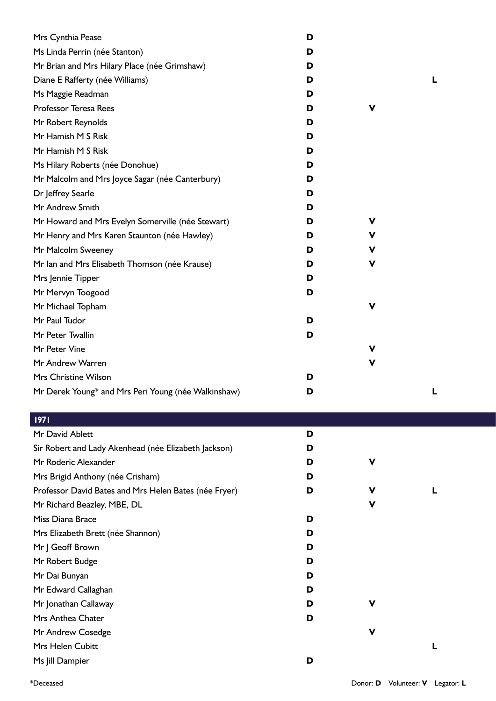| Mrs Cynthia Pease                                   | D |             |  |
|-----------------------------------------------------|---|-------------|--|
| Ms Linda Perrin (née Stanton)                       | D |             |  |
| Mr Brian and Mrs Hilary Place (née Grimshaw)        | D |             |  |
| Diane E Rafferty (née Williams)                     | D |             |  |
| Ms Maggie Readman                                   | D |             |  |
| Professor Teresa Rees                               | D | V           |  |
| Mr Robert Reynolds                                  | D |             |  |
| Mr Hamish M S Risk                                  | D |             |  |
| Mr Hamish M S Risk                                  | D |             |  |
| Ms Hilary Roberts (née Donohue)                     | D |             |  |
| Mr Malcolm and Mrs Joyce Sagar (née Canterbury)     | D |             |  |
| Dr Jeffrey Searle                                   | D |             |  |
| Mr Andrew Smith                                     | D |             |  |
| Mr Howard and Mrs Evelyn Somerville (née Stewart)   | D | ۷           |  |
| Mr Henry and Mrs Karen Staunton (née Hawley)        | D | ۷           |  |
| Mr Malcolm Sweeney                                  | D | ۷           |  |
| Mr Ian and Mrs Elisabeth Thomson (née Krause)       | D | v           |  |
| Mrs Jennie Tipper                                   | D |             |  |
| Mr Mervyn Toogood                                   | D |             |  |
| Mr Michael Topham                                   |   | $\mathbf v$ |  |
| Mr Paul Tudor                                       | D |             |  |
| Mr Peter Twallin                                    | D |             |  |
| Mr Peter Vine                                       |   | V           |  |
| Mr Andrew Warren                                    |   | V           |  |
| Mrs Christine Wilson                                | D |             |  |
| Mr Derek Young* and Mrs Peri Young (née Walkinshaw) | D |             |  |

| 1971                                                  |   |   |  |
|-------------------------------------------------------|---|---|--|
| Mr David Ablett                                       | D |   |  |
| Sir Robert and Lady Akenhead (née Elizabeth Jackson)  | D |   |  |
| Mr Roderic Alexander                                  | D | V |  |
| Mrs Brigid Anthony (née Crisham)                      | D |   |  |
| Professor David Bates and Mrs Helen Bates (née Fryer) | D | V |  |
| Mr Richard Beazley, MBE, DL                           |   | V |  |
| Miss Diana Brace                                      | D |   |  |
| Mrs Elizabeth Brett (née Shannon)                     | D |   |  |
| Mr J Geoff Brown                                      | D |   |  |
| Mr Robert Budge                                       | D |   |  |
| Mr Dai Bunyan                                         | D |   |  |
| Mr Edward Callaghan                                   | D |   |  |
| Mr Jonathan Callaway                                  | D | v |  |
| Mrs Anthea Chater                                     | D |   |  |
| Mr Andrew Cosedge                                     |   | V |  |
| Mrs Helen Cubitt                                      |   |   |  |
| Ms Jill Dampier                                       | D |   |  |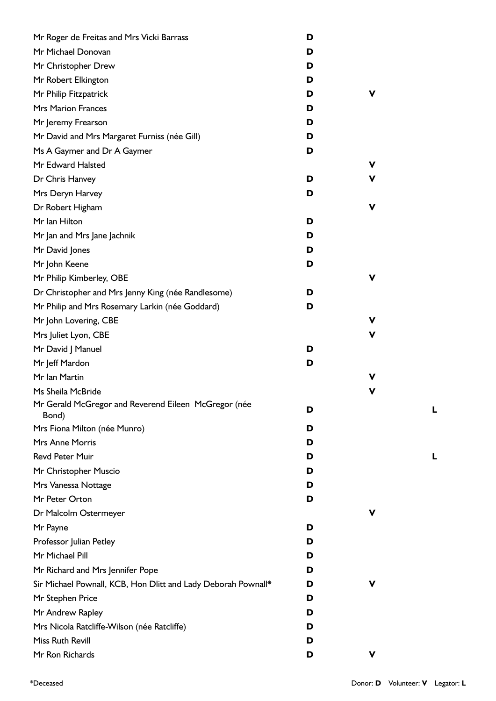| Mr Roger de Freitas and Mrs Vicki Barrass                     | D |   |   |
|---------------------------------------------------------------|---|---|---|
| Mr Michael Donovan                                            | D |   |   |
| Mr Christopher Drew                                           | D |   |   |
| Mr Robert Elkington                                           | D |   |   |
| Mr Philip Fitzpatrick                                         | D | ۷ |   |
| <b>Mrs Marion Frances</b>                                     | D |   |   |
| Mr Jeremy Frearson                                            | D |   |   |
| Mr David and Mrs Margaret Furniss (née Gill)                  | D |   |   |
| Ms A Gaymer and Dr A Gaymer                                   | D |   |   |
| Mr Edward Halsted                                             |   | ۷ |   |
| Dr Chris Hanvey                                               | D | v |   |
| Mrs Deryn Harvey                                              | D |   |   |
| Dr Robert Higham                                              |   | V |   |
| Mr Ian Hilton                                                 | D |   |   |
| Mr Jan and Mrs Jane Jachnik                                   | D |   |   |
| Mr David Jones                                                | D |   |   |
| Mr John Keene                                                 | D |   |   |
| Mr Philip Kimberley, OBE                                      |   | V |   |
| Dr Christopher and Mrs Jenny King (née Randlesome)            | D |   |   |
| Mr Philip and Mrs Rosemary Larkin (née Goddard)               | D |   |   |
| Mr John Lovering, CBE                                         |   | ۷ |   |
| Mrs Juliet Lyon, CBE                                          |   | V |   |
| Mr David J Manuel                                             | D |   |   |
| Mr Jeff Mardon                                                | D |   |   |
| Mr Ian Martin                                                 |   | V |   |
| Ms Sheila McBride                                             |   | V |   |
| Mr Gerald McGregor and Reverend Eileen McGregor (née<br>Bond) | D |   | Ļ |
| Mrs Fiona Milton (née Munro)                                  | D |   |   |
| <b>Mrs Anne Morris</b>                                        | D |   |   |
| <b>Revd Peter Muir</b>                                        | D |   |   |
| Mr Christopher Muscio                                         | D |   |   |
| Mrs Vanessa Nottage                                           | D |   |   |
| Mr Peter Orton                                                | D |   |   |
| Dr Malcolm Ostermeyer                                         |   | ۷ |   |
| Mr Payne                                                      | D |   |   |
| Professor Julian Petley                                       | D |   |   |
| Mr Michael Pill                                               | D |   |   |
| Mr Richard and Mrs Jennifer Pope                              | D |   |   |
| Sir Michael Pownall, KCB, Hon Dlitt and Lady Deborah Pownall* | D | ۷ |   |
| Mr Stephen Price                                              | D |   |   |
| Mr Andrew Rapley                                              | D |   |   |
| Mrs Nicola Ratcliffe-Wilson (née Ratcliffe)                   | D |   |   |
| Miss Ruth Revill                                              | D |   |   |
| Mr Ron Richards                                               | D | V |   |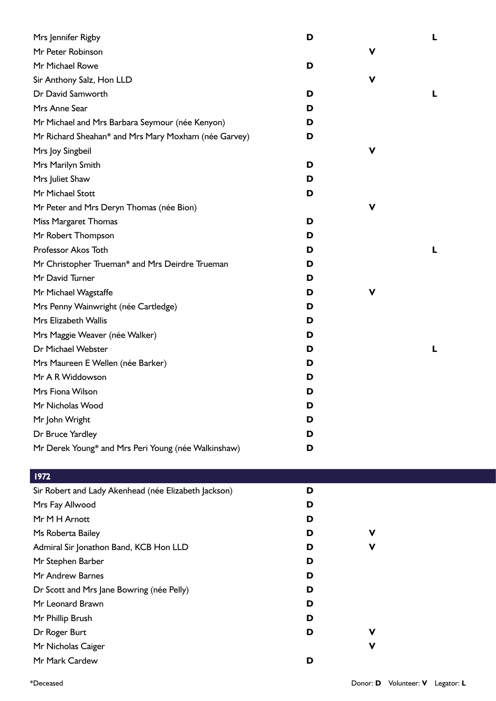| Mrs Jennifer Rigby                                   | D |   |  |
|------------------------------------------------------|---|---|--|
| Mr Peter Robinson                                    |   | v |  |
| Mr Michael Rowe                                      | D |   |  |
| Sir Anthony Salz, Hon LLD                            |   | V |  |
| Dr David Samworth                                    | D |   |  |
| Mrs Anne Sear                                        | D |   |  |
| Mr Michael and Mrs Barbara Seymour (née Kenyon)      | D |   |  |
| Mr Richard Sheahan* and Mrs Mary Moxham (née Garvey) | D |   |  |
| Mrs Joy Singbeil                                     |   | v |  |
| Mrs Marilyn Smith                                    | D |   |  |
| Mrs Juliet Shaw                                      | D |   |  |
| Mr Michael Stott                                     | D |   |  |
| Mr Peter and Mrs Deryn Thomas (née Bion)             |   | v |  |
| Miss Margaret Thomas                                 | D |   |  |
| Mr Robert Thompson                                   | D |   |  |
| Professor Akos Toth                                  | D |   |  |
| Mr Christopher Trueman* and Mrs Deirdre Trueman      | D |   |  |
| Mr David Turner                                      | D |   |  |
| Mr Michael Wagstaffe                                 | D | v |  |
| Mrs Penny Wainwright (née Cartledge)                 | D |   |  |
| Mrs Elizabeth Wallis                                 | D |   |  |
| Mrs Maggie Weaver (née Walker)                       | D |   |  |
| Dr Michael Webster                                   | D |   |  |
| Mrs Maureen E Wellen (née Barker)                    | D |   |  |
| Mr A R Widdowson                                     | D |   |  |
| Mrs Fiona Wilson                                     | D |   |  |
| Mr Nicholas Wood                                     | D |   |  |
| Mr John Wright                                       | D |   |  |
| Dr Bruce Yardley                                     | D |   |  |
| Mr Derek Young* and Mrs Peri Young (née Walkinshaw)  | D |   |  |

| Sir Robert and Lady Akenhead (née Elizabeth Jackson) | D |   |  |
|------------------------------------------------------|---|---|--|
| Mrs Fay Allwood                                      | D |   |  |
| Mr M H Arnott                                        | D |   |  |
| Ms Roberta Bailey                                    | D | V |  |
| Admiral Sir Jonathon Band, KCB Hon LLD               | D | V |  |
| Mr Stephen Barber                                    | D |   |  |
| Mr Andrew Barnes                                     | D |   |  |
| Dr Scott and Mrs Jane Bowring (née Pelly)            | D |   |  |
| Mr Leonard Brawn                                     | D |   |  |
| Mr Phillip Brush                                     | D |   |  |
| Dr Roger Burt                                        | D | v |  |
| Mr Nicholas Caiger                                   |   | V |  |
| Mr Mark Cardew                                       | D |   |  |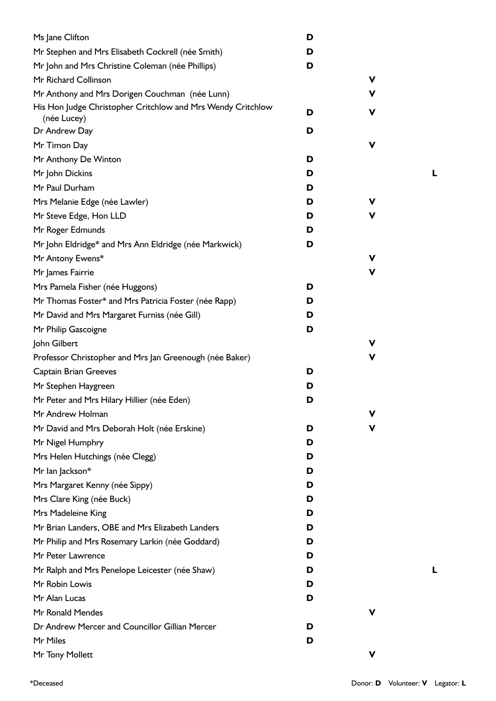| Ms Jane Clifton                                                            | D |   |
|----------------------------------------------------------------------------|---|---|
| Mr Stephen and Mrs Elisabeth Cockrell (née Smith)                          | D |   |
| Mr John and Mrs Christine Coleman (née Phillips)                           | D |   |
| Mr Richard Collinson                                                       |   | V |
| Mr Anthony and Mrs Dorigen Couchman (née Lunn)                             |   | V |
| His Hon Judge Christopher Critchlow and Mrs Wendy Critchlow<br>(née Lucey) | D | V |
| Dr Andrew Day                                                              | D |   |
| Mr Timon Day                                                               |   | V |
| Mr Anthony De Winton                                                       | D |   |
| Mr John Dickins                                                            | D |   |
| Mr Paul Durham                                                             | D |   |
| Mrs Melanie Edge (née Lawler)                                              | D | V |
| Mr Steve Edge, Hon LLD                                                     | D | ۷ |
| Mr Roger Edmunds                                                           | D |   |
| Mr John Eldridge* and Mrs Ann Eldridge (née Markwick)                      | D |   |
| Mr Antony Ewens*                                                           |   | V |
| Mr James Fairrie                                                           |   | V |
| Mrs Pamela Fisher (née Huggons)                                            | D |   |
| Mr Thomas Foster* and Mrs Patricia Foster (née Rapp)                       | D |   |
| Mr David and Mrs Margaret Furniss (née Gill)                               | D |   |
| Mr Philip Gascoigne                                                        | D |   |
| John Gilbert                                                               |   | V |
| Professor Christopher and Mrs Jan Greenough (née Baker)                    |   | ۷ |
| <b>Captain Brian Greeves</b>                                               | D |   |
| Mr Stephen Haygreen                                                        | D |   |
| Mr Peter and Mrs Hilary Hillier (née Eden)                                 | D |   |
| Mr Andrew Holman                                                           |   | v |
| Mr David and Mrs Deborah Holt (née Erskine)                                | D | ۷ |
| Mr Nigel Humphry                                                           | D |   |
| Mrs Helen Hutchings (née Clegg)                                            | D |   |
| Mr lan Jackson*                                                            | D |   |
| Mrs Margaret Kenny (née Sippy)                                             | D |   |
| Mrs Clare King (née Buck)                                                  | D |   |
| Mrs Madeleine King                                                         | D |   |
| Mr Brian Landers, OBE and Mrs Elizabeth Landers                            | D |   |
| Mr Philip and Mrs Rosemary Larkin (née Goddard)                            | D |   |
| Mr Peter Lawrence                                                          | D |   |
| Mr Ralph and Mrs Penelope Leicester (née Shaw)                             | D |   |
| Mr Robin Lowis                                                             | D |   |
| Mr Alan Lucas                                                              | D |   |
| Mr Ronald Mendes                                                           |   | V |
| Dr Andrew Mercer and Councillor Gillian Mercer                             | D |   |
| Mr Miles                                                                   | D |   |
|                                                                            |   |   |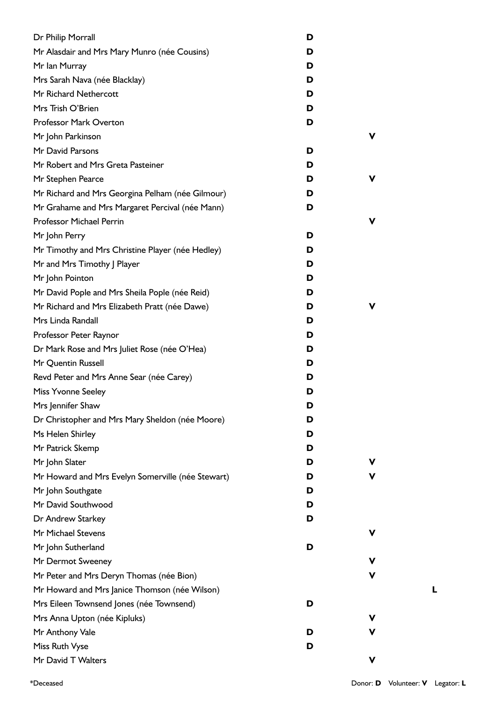| Dr Philip Morrall                                 | D |   |
|---------------------------------------------------|---|---|
| Mr Alasdair and Mrs Mary Munro (née Cousins)      | D |   |
| Mr Ian Murray                                     | D |   |
| Mrs Sarah Nava (née Blacklay)                     | D |   |
| Mr Richard Nethercott                             | D |   |
| Mrs Trish O'Brien                                 | D |   |
| <b>Professor Mark Overton</b>                     | D |   |
| Mr John Parkinson                                 |   | v |
| Mr David Parsons                                  | D |   |
| Mr Robert and Mrs Greta Pasteiner                 | D |   |
| Mr Stephen Pearce                                 | D | v |
| Mr Richard and Mrs Georgina Pelham (née Gilmour)  | D |   |
| Mr Grahame and Mrs Margaret Percival (née Mann)   | D |   |
| Professor Michael Perrin                          |   | v |
| Mr John Perry                                     | D |   |
| Mr Timothy and Mrs Christine Player (née Hedley)  | D |   |
| Mr and Mrs Timothy J Player                       | D |   |
| Mr John Pointon                                   | D |   |
| Mr David Pople and Mrs Sheila Pople (née Reid)    | D |   |
| Mr Richard and Mrs Elizabeth Pratt (née Dawe)     | D |   |
| Mrs Linda Randall                                 | D |   |
| Professor Peter Raynor                            | D |   |
| Dr Mark Rose and Mrs Juliet Rose (née O'Hea)      | D |   |
| Mr Quentin Russell                                | D |   |
| Revd Peter and Mrs Anne Sear (née Carey)          | D |   |
| <b>Miss Yvonne Seeley</b>                         | D |   |
| Mrs Jennifer Shaw                                 | D |   |
| Dr Christopher and Mrs Mary Sheldon (née Moore)   | D |   |
| Ms Helen Shirley                                  | D |   |
| Mr Patrick Skemp                                  | D |   |
| Mr John Slater                                    | D |   |
| Mr Howard and Mrs Evelyn Somerville (née Stewart) | D |   |
| Mr John Southgate                                 | D |   |
| Mr David Southwood                                | D |   |
| Dr Andrew Starkey                                 | D |   |
| Mr Michael Stevens                                |   |   |
| Mr John Sutherland                                | D |   |
| Mr Dermot Sweeney                                 |   |   |
| Mr Peter and Mrs Deryn Thomas (née Bion)          |   | v |
| Mr Howard and Mrs Janice Thomson (née Wilson)     |   |   |
| Mrs Eileen Townsend Jones (née Townsend)          | D |   |
| Mrs Anna Upton (née Kipluks)                      |   | v |
| Mr Anthony Vale                                   | D |   |
| Miss Ruth Vyse                                    | D |   |
| Mr David T Walters                                |   | v |

**L**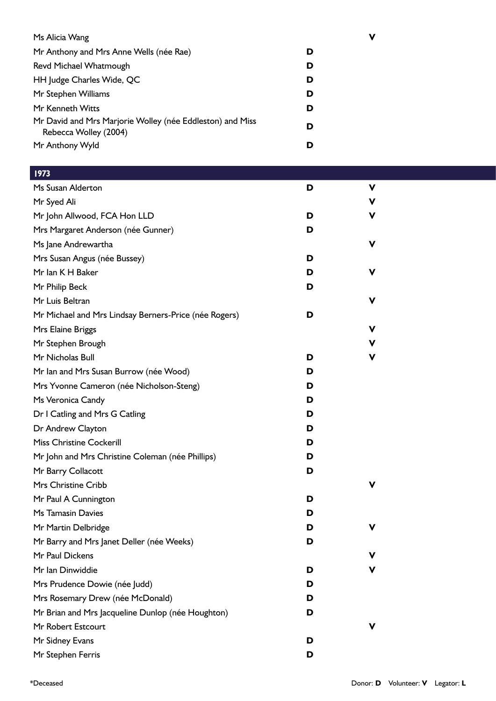| Ms Alicia Wang                                                                     | ν |
|------------------------------------------------------------------------------------|---|
| Mr Anthony and Mrs Anne Wells (née Rae)                                            | D |
| Revd Michael Whatmough                                                             | D |
| HH Judge Charles Wide, QC                                                          | D |
| Mr Stephen Williams                                                                | D |
| Mr Kenneth Witts                                                                   | D |
| Mr David and Mrs Marjorie Wolley (née Eddleston) and Miss<br>Rebecca Wolley (2004) | D |
| Mr Anthony Wyld                                                                    | D |

| 1973                                                  |   |             |  |
|-------------------------------------------------------|---|-------------|--|
| Ms Susan Alderton                                     | D | $\mathbf v$ |  |
| Mr Syed Ali                                           |   | ۷           |  |
| Mr John Allwood, FCA Hon LLD                          | D | V           |  |
| Mrs Margaret Anderson (née Gunner)                    | D |             |  |
| Ms Jane Andrewartha                                   |   | ۷           |  |
| Mrs Susan Angus (née Bussey)                          | D |             |  |
| Mr Ian K H Baker                                      | D | V           |  |
| Mr Philip Beck                                        | D |             |  |
| Mr Luis Beltran                                       |   | V           |  |
| Mr Michael and Mrs Lindsay Berners-Price (née Rogers) | D |             |  |
| Mrs Elaine Briggs                                     |   | V           |  |
| Mr Stephen Brough                                     |   | ۷           |  |
| Mr Nicholas Bull                                      | D | ۷           |  |
| Mr Ian and Mrs Susan Burrow (née Wood)                | D |             |  |
| Mrs Yvonne Cameron (née Nicholson-Steng)              | D |             |  |
| Ms Veronica Candy                                     | D |             |  |
| Dr I Catling and Mrs G Catling                        | D |             |  |
| Dr Andrew Clayton                                     | D |             |  |
| <b>Miss Christine Cockerill</b>                       | D |             |  |
| Mr John and Mrs Christine Coleman (née Phillips)      | D |             |  |
| Mr Barry Collacott                                    | D |             |  |
| Mrs Christine Cribb                                   |   | V           |  |
| Mr Paul A Cunnington                                  | D |             |  |
| Ms Tamasin Davies                                     | D |             |  |
| Mr Martin Delbridge                                   | D | V           |  |
| Mr Barry and Mrs Janet Deller (née Weeks)             | D |             |  |
| Mr Paul Dickens                                       |   | v           |  |
| Mr Ian Dinwiddie                                      | D | ۷           |  |
| Mrs Prudence Dowie (née Judd)                         | D |             |  |
| Mrs Rosemary Drew (née McDonald)                      | D |             |  |
| Mr Brian and Mrs Jacqueline Dunlop (née Houghton)     | D |             |  |
| Mr Robert Estcourt                                    |   | V           |  |
| Mr Sidney Evans                                       | D |             |  |
| Mr Stephen Ferris                                     | D |             |  |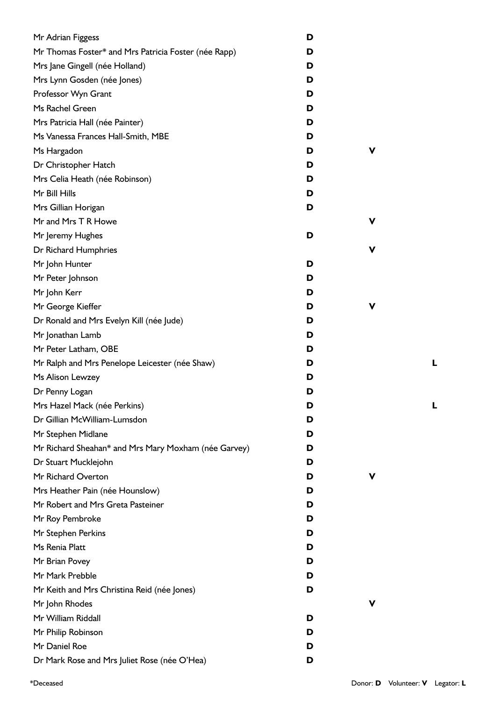| Mr Adrian Figgess                                    | D |   |
|------------------------------------------------------|---|---|
| Mr Thomas Foster* and Mrs Patricia Foster (née Rapp) | D |   |
| Mrs Jane Gingell (née Holland)                       | D |   |
| Mrs Lynn Gosden (née Jones)                          | D |   |
| Professor Wyn Grant                                  | D |   |
| Ms Rachel Green                                      | D |   |
| Mrs Patricia Hall (née Painter)                      | D |   |
| Ms Vanessa Frances Hall-Smith, MBE                   | D |   |
| Ms Hargadon                                          | D | V |
| Dr Christopher Hatch                                 | D |   |
| Mrs Celia Heath (née Robinson)                       | D |   |
| Mr Bill Hills                                        | D |   |
| Mrs Gillian Horigan                                  | D |   |
| Mr and Mrs T R Howe                                  |   | V |
| Mr Jeremy Hughes                                     | D |   |
| Dr Richard Humphries                                 |   | V |
| Mr John Hunter                                       | D |   |
| Mr Peter Johnson                                     | D |   |
| Mr John Kerr                                         | D |   |
| Mr George Kieffer                                    | D | ۷ |
| Dr Ronald and Mrs Evelyn Kill (née Jude)             | D |   |
| Mr Jonathan Lamb                                     | D |   |
| Mr Peter Latham, OBE                                 | D |   |
| Mr Ralph and Mrs Penelope Leicester (née Shaw)       | D |   |
| Ms Alison Lewzey                                     | D |   |
| Dr Penny Logan                                       | D |   |
| Mrs Hazel Mack (née Perkins)                         | D |   |
| Dr Gillian McWilliam-Lumsdon                         | D |   |
| Mr Stephen Midlane                                   | D |   |
| Mr Richard Sheahan* and Mrs Mary Moxham (née Garvey) | D |   |
| Dr Stuart Mucklejohn                                 | D |   |
| Mr Richard Overton                                   | D | v |
| Mrs Heather Pain (née Hounslow)                      | D |   |
| Mr Robert and Mrs Greta Pasteiner                    | D |   |
| Mr Roy Pembroke                                      | D |   |
| Mr Stephen Perkins                                   | D |   |
| Ms Renia Platt                                       | D |   |
| Mr Brian Povey                                       | D |   |
| Mr Mark Prebble                                      | D |   |
| Mr Keith and Mrs Christina Reid (née Jones)          | D |   |
| Mr John Rhodes                                       |   | V |
| Mr William Riddall                                   | D |   |
| Mr Philip Robinson                                   | D |   |
| Mr Daniel Roe                                        | D |   |
| Dr Mark Rose and Mrs Juliet Rose (née O'Hea)         | D |   |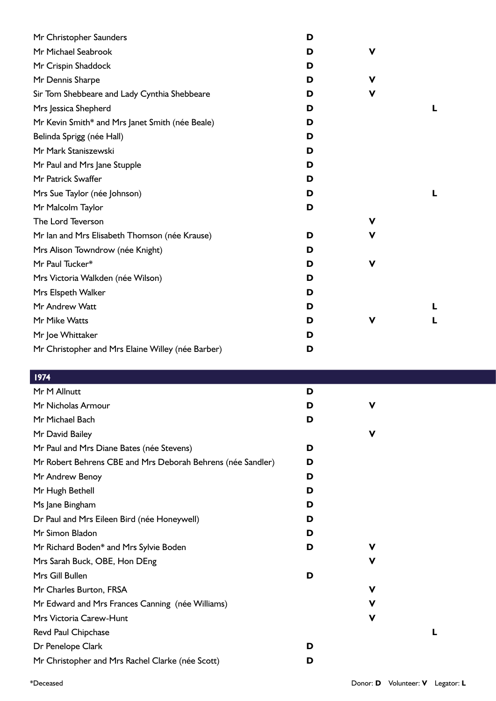| Mr Christopher Saunders                           | D |   |  |
|---------------------------------------------------|---|---|--|
| Mr Michael Seabrook                               | D | v |  |
| Mr Crispin Shaddock                               | D |   |  |
| Mr Dennis Sharpe                                  | D | v |  |
| Sir Tom Shebbeare and Lady Cynthia Shebbeare      | D | v |  |
| Mrs Jessica Shepherd                              | D |   |  |
| Mr Kevin Smith* and Mrs Janet Smith (née Beale)   | D |   |  |
| Belinda Sprigg (née Hall)                         | D |   |  |
| Mr Mark Staniszewski                              | D |   |  |
| Mr Paul and Mrs Jane Stupple                      | D |   |  |
| Mr Patrick Swaffer                                | D |   |  |
| Mrs Sue Taylor (née Johnson)                      | D |   |  |
| Mr Malcolm Taylor                                 | D |   |  |
| The Lord Teverson                                 |   | v |  |
| Mr Ian and Mrs Elisabeth Thomson (née Krause)     | D | ۷ |  |
| Mrs Alison Towndrow (née Knight)                  | D |   |  |
| Mr Paul Tucker*                                   | D | V |  |
| Mrs Victoria Walkden (née Wilson)                 | D |   |  |
| Mrs Elspeth Walker                                | D |   |  |
| Mr Andrew Watt                                    | D |   |  |
| Mr Mike Watts                                     | D | ۷ |  |
| Mr Joe Whittaker                                  | D |   |  |
| Mr Christopher and Mrs Elaine Willey (née Barber) | D |   |  |

| 1974                                                        |   |   |  |
|-------------------------------------------------------------|---|---|--|
| Mr M Allnutt                                                | D |   |  |
| Mr Nicholas Armour                                          | D | v |  |
| Mr Michael Bach                                             | D |   |  |
| Mr David Bailey                                             |   | V |  |
| Mr Paul and Mrs Diane Bates (née Stevens)                   | D |   |  |
| Mr Robert Behrens CBE and Mrs Deborah Behrens (née Sandler) | D |   |  |
| Mr Andrew Benoy                                             | D |   |  |
| Mr Hugh Bethell                                             | D |   |  |
| Ms Jane Bingham                                             | D |   |  |
| Dr Paul and Mrs Eileen Bird (née Honeywell)                 | D |   |  |
| Mr Simon Bladon                                             | D |   |  |
| Mr Richard Boden* and Mrs Sylvie Boden                      | D | v |  |
| Mrs Sarah Buck, OBE, Hon DEng                               |   | ۷ |  |
| Mrs Gill Bullen                                             | D |   |  |
| Mr Charles Burton, FRSA                                     |   | V |  |
| Mr Edward and Mrs Frances Canning (née Williams)            |   | ۷ |  |
| Mrs Victoria Carew-Hunt                                     |   | V |  |
| Revd Paul Chipchase                                         |   |   |  |
| Dr Penelope Clark                                           | D |   |  |
| Mr Christopher and Mrs Rachel Clarke (née Scott)            | D |   |  |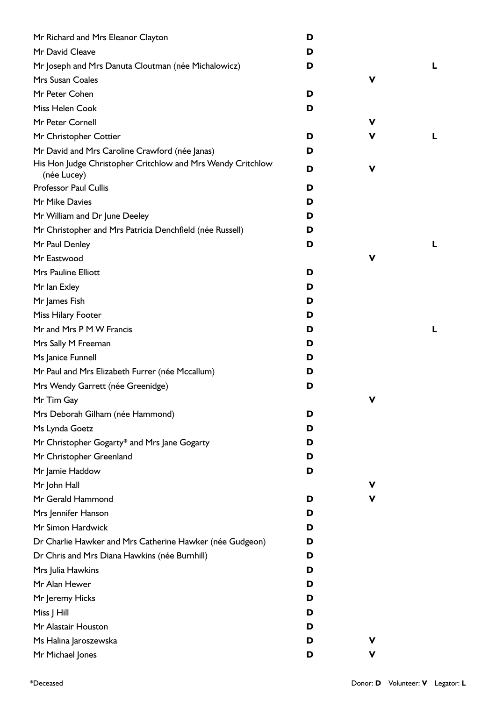| Mr Richard and Mrs Eleanor Clayton                                         | D |   |   |
|----------------------------------------------------------------------------|---|---|---|
| Mr David Cleave                                                            | D |   |   |
| Mr Joseph and Mrs Danuta Cloutman (née Michalowicz)                        | D |   | L |
| Mrs Susan Coales                                                           |   | v |   |
| Mr Peter Cohen                                                             | D |   |   |
| Miss Helen Cook                                                            | D |   |   |
| Mr Peter Cornell                                                           |   | v |   |
| Mr Christopher Cottier                                                     | D | v | L |
| Mr David and Mrs Caroline Crawford (née Janas)                             | D |   |   |
| His Hon Judge Christopher Critchlow and Mrs Wendy Critchlow<br>(née Lucey) | D | ۷ |   |
| <b>Professor Paul Cullis</b>                                               | D |   |   |
| Mr Mike Davies                                                             | D |   |   |
| Mr William and Dr June Deeley                                              | D |   |   |
| Mr Christopher and Mrs Patricia Denchfield (née Russell)                   | D |   |   |
| Mr Paul Denley                                                             | D |   | L |
| Mr Eastwood                                                                |   | v |   |
| <b>Mrs Pauline Elliott</b>                                                 | D |   |   |
| Mr Ian Exley                                                               | D |   |   |
| Mr James Fish                                                              | D |   |   |
| Miss Hilary Footer                                                         | D |   |   |
| Mr and Mrs P M W Francis                                                   | D |   | L |
| Mrs Sally M Freeman                                                        | D |   |   |
| Ms Janice Funnell                                                          | D |   |   |
| Mr Paul and Mrs Elizabeth Furrer (née Mccallum)                            | D |   |   |
| Mrs Wendy Garrett (née Greenidge)                                          | D |   |   |
| Mr Tim Gay                                                                 |   | ۷ |   |
| Mrs Deborah Gilham (née Hammond)                                           | D |   |   |
| Ms Lynda Goetz                                                             | D |   |   |
| Mr Christopher Gogarty* and Mrs Jane Gogarty                               | D |   |   |
| Mr Christopher Greenland                                                   | D |   |   |
| Mr Jamie Haddow                                                            | D |   |   |
| Mr John Hall                                                               |   | ۷ |   |
| Mr Gerald Hammond                                                          | D | v |   |
| Mrs Jennifer Hanson                                                        | D |   |   |
| Mr Simon Hardwick                                                          | D |   |   |
| Dr Charlie Hawker and Mrs Catherine Hawker (née Gudgeon)                   | D |   |   |
| Dr Chris and Mrs Diana Hawkins (née Burnhill)                              | D |   |   |
| Mrs Julia Hawkins                                                          | D |   |   |
| Mr Alan Hewer                                                              | D |   |   |
| Mr Jeremy Hicks                                                            | D |   |   |
| Miss J Hill                                                                | D |   |   |
| Mr Alastair Houston                                                        | D |   |   |
| Ms Halina Jaroszewska                                                      | D | ۷ |   |
| Mr Michael Jones                                                           | D | ۷ |   |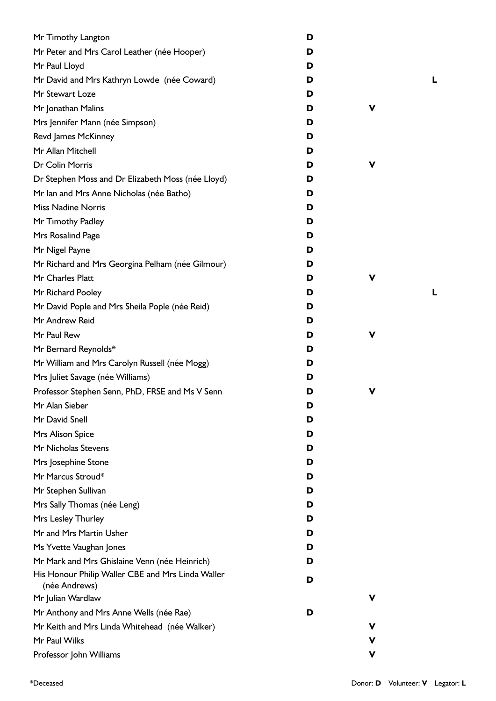| Mr Timothy Langton                                | D |   |   |
|---------------------------------------------------|---|---|---|
| Mr Peter and Mrs Carol Leather (née Hooper)       | D |   |   |
| Mr Paul Lloyd                                     | D |   |   |
| Mr David and Mrs Kathryn Lowde (née Coward)       | D |   | L |
| Mr Stewart Loze                                   | D |   |   |
| Mr Jonathan Malins                                | D | ۷ |   |
| Mrs Jennifer Mann (née Simpson)                   | D |   |   |
| Revd James McKinney                               | D |   |   |
| Mr Allan Mitchell                                 | D |   |   |
| Dr Colin Morris                                   | D | V |   |
| Dr Stephen Moss and Dr Elizabeth Moss (née Lloyd) | D |   |   |
| Mr Ian and Mrs Anne Nicholas (née Batho)          | D |   |   |
| <b>Miss Nadine Norris</b>                         | D |   |   |
| Mr Timothy Padley                                 | D |   |   |
| Mrs Rosalind Page                                 | D |   |   |
| Mr Nigel Payne                                    | D |   |   |
| Mr Richard and Mrs Georgina Pelham (née Gilmour)  | D |   |   |
| Mr Charles Platt                                  | D | V |   |
| Mr Richard Pooley                                 | D |   | L |
| Mr David Pople and Mrs Sheila Pople (née Reid)    | D |   |   |
| Mr Andrew Reid                                    | D |   |   |
| Mr Paul Rew                                       | D | V |   |
| Mr Bernard Reynolds*                              | D |   |   |
| Mr William and Mrs Carolyn Russell (née Mogg)     | D |   |   |
| Mrs Juliet Savage (née Williams)                  | D |   |   |
| Professor Stephen Senn, PhD, FRSE and Ms V Senn   | D | V |   |
| Mr Alan Sieber                                    | D |   |   |
| Mr David Snell                                    | D |   |   |
| Mrs Alison Spice                                  | D |   |   |
| Mr Nicholas Stevens                               | D |   |   |
| Mrs Josephine Stone                               | D |   |   |
| Mr Marcus Stroud*                                 | D |   |   |
| Mr Stephen Sullivan                               | D |   |   |
| Mrs Sally Thomas (née Leng)                       | D |   |   |
| Mrs Lesley Thurley                                | D |   |   |
| Mr and Mrs Martin Usher                           | D |   |   |
| Ms Yvette Vaughan Jones                           | D |   |   |
| Mr Mark and Mrs Ghislaine Venn (née Heinrich)     | D |   |   |
| His Honour Philip Waller CBE and Mrs Linda Waller |   |   |   |
| (née Andrews)                                     | D |   |   |
| Mr Julian Wardlaw                                 |   | ν |   |
| Mr Anthony and Mrs Anne Wells (née Rae)           | D |   |   |
| Mr Keith and Mrs Linda Whitehead (née Walker)     |   | v |   |
| Mr Paul Wilks                                     |   | ۷ |   |
| Professor John Williams                           |   | V |   |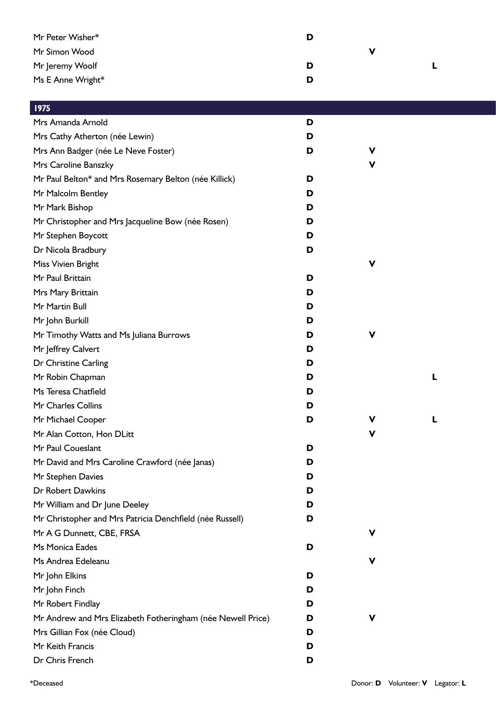| Mr Peter Wisher*                                            | D |             |   |  |
|-------------------------------------------------------------|---|-------------|---|--|
| Mr Simon Wood                                               |   | $\mathbf v$ |   |  |
| Mr Jeremy Woolf                                             | D |             | L |  |
| Ms E Anne Wright*                                           | D |             |   |  |
|                                                             |   |             |   |  |
| $\overline{1975}$                                           |   |             |   |  |
| Mrs Amanda Arnold                                           | D |             |   |  |
| Mrs Cathy Atherton (née Lewin)                              | D |             |   |  |
| Mrs Ann Badger (née Le Neve Foster)                         | D | V           |   |  |
| Mrs Caroline Banszky                                        |   | $\mathbf v$ |   |  |
| Mr Paul Belton* and Mrs Rosemary Belton (née Killick)       | D |             |   |  |
| Mr Malcolm Bentley                                          | D |             |   |  |
| Mr Mark Bishop                                              | D |             |   |  |
| Mr Christopher and Mrs Jacqueline Bow (née Rosen)           | D |             |   |  |
| Mr Stephen Boycott                                          | D |             |   |  |
| Dr Nicola Bradbury                                          | D |             |   |  |
| Miss Vivien Bright                                          |   | $\mathbf v$ |   |  |
| Mr Paul Brittain                                            | D |             |   |  |
| Mrs Mary Brittain                                           | D |             |   |  |
| Mr Martin Bull                                              | D |             |   |  |
| Mr John Burkill                                             | D |             |   |  |
| Mr Timothy Watts and Ms Juliana Burrows                     | D | $\mathbf v$ |   |  |
| Mr Jeffrey Calvert                                          | D |             |   |  |
| Dr Christine Carling                                        | D |             |   |  |
| Mr Robin Chapman                                            | D |             | L |  |
| Ms Teresa Chatfield                                         | D |             |   |  |
| Mr Charles Collins                                          | D |             |   |  |
| Mr Michael Cooper                                           | D | V           | L |  |
| Mr Alan Cotton, Hon DLitt                                   |   | $\mathbf v$ |   |  |
| Mr Paul Coueslant                                           | D |             |   |  |
| Mr David and Mrs Caroline Crawford (née Janas)              | D |             |   |  |
| Mr Stephen Davies                                           | D |             |   |  |
| Dr Robert Dawkins                                           | D |             |   |  |
| Mr William and Dr June Deeley                               | D |             |   |  |
| Mr Christopher and Mrs Patricia Denchfield (née Russell)    | D |             |   |  |
| Mr A G Dunnett, CBE, FRSA                                   |   | V           |   |  |
| Ms Monica Eades                                             | D |             |   |  |
| Ms Andrea Edeleanu                                          |   | V           |   |  |
| Mr John Elkins                                              | D |             |   |  |
| Mr John Finch                                               | D |             |   |  |
| Mr Robert Findlay                                           | D |             |   |  |
| Mr Andrew and Mrs Elizabeth Fotheringham (née Newell Price) | D | V           |   |  |
| Mrs Gillian Fox (née Cloud)                                 | D |             |   |  |
| Mr Keith Francis                                            | D |             |   |  |
| Dr Chris French                                             | D |             |   |  |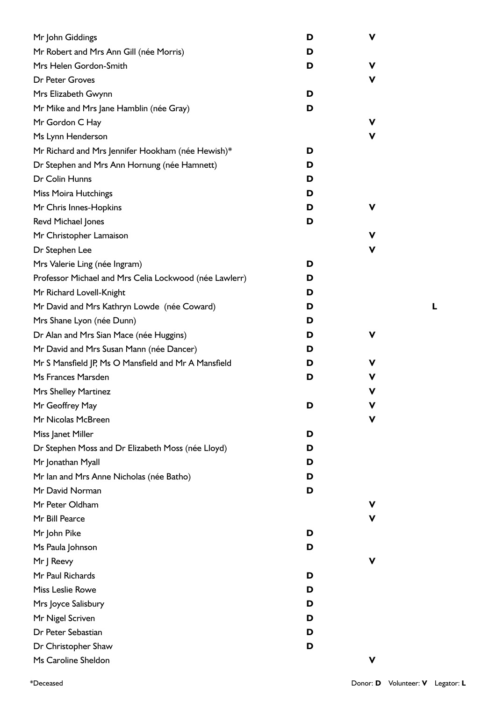| Mr John Giddings                                       | D | V |  |
|--------------------------------------------------------|---|---|--|
| Mr Robert and Mrs Ann Gill (née Morris)                | D |   |  |
| Mrs Helen Gordon-Smith                                 | D | ۷ |  |
| Dr Peter Groves                                        |   | ۷ |  |
| Mrs Elizabeth Gwynn                                    | D |   |  |
| Mr Mike and Mrs Jane Hamblin (née Gray)                | D |   |  |
| Mr Gordon C Hay                                        |   | ۷ |  |
| Ms Lynn Henderson                                      |   | V |  |
| Mr Richard and Mrs Jennifer Hookham (née Hewish)*      | D |   |  |
| Dr Stephen and Mrs Ann Hornung (née Hamnett)           | D |   |  |
| Dr Colin Hunns                                         | D |   |  |
| Miss Moira Hutchings                                   | D |   |  |
| Mr Chris Innes-Hopkins                                 | D | ۷ |  |
| Revd Michael Jones                                     | D |   |  |
| Mr Christopher Lamaison                                |   | ۷ |  |
| Dr Stephen Lee                                         |   | ۷ |  |
| Mrs Valerie Ling (née Ingram)                          | D |   |  |
| Professor Michael and Mrs Celia Lockwood (née Lawlerr) | D |   |  |
| Mr Richard Lovell-Knight                               | D |   |  |
| Mr David and Mrs Kathryn Lowde (née Coward)            | D |   |  |
| Mrs Shane Lyon (née Dunn)                              | D |   |  |
| Dr Alan and Mrs Sian Mace (née Huggins)                | D | ۷ |  |
| Mr David and Mrs Susan Mann (née Dancer)               | D |   |  |
| Mr S Mansfield JP, Ms O Mansfield and Mr A Mansfield   | D | ۷ |  |
| Ms Frances Marsden                                     | D | V |  |
| <b>Mrs Shelley Martinez</b>                            |   | V |  |
| Mr Geoffrey May                                        | D |   |  |
| Mr Nicolas McBreen                                     |   | v |  |
| Miss Janet Miller                                      | D |   |  |
| Dr Stephen Moss and Dr Elizabeth Moss (née Lloyd)      | D |   |  |
| Mr Jonathan Myall                                      | D |   |  |
| Mr Ian and Mrs Anne Nicholas (née Batho)               | D |   |  |
| Mr David Norman                                        | D |   |  |
| Mr Peter Oldham                                        |   | V |  |
| Mr Bill Pearce                                         |   | ۷ |  |
| Mr John Pike                                           | D |   |  |
| Ms Paula Johnson                                       | D |   |  |
| Mr J Reevy                                             |   | V |  |
| Mr Paul Richards                                       | D |   |  |
| Miss Leslie Rowe                                       | D |   |  |
| Mrs Joyce Salisbury                                    | D |   |  |
| Mr Nigel Scriven                                       | D |   |  |
| Dr Peter Sebastian                                     | D |   |  |
| Dr Christopher Shaw                                    | D |   |  |
| Ms Caroline Sheldon                                    |   | ۷ |  |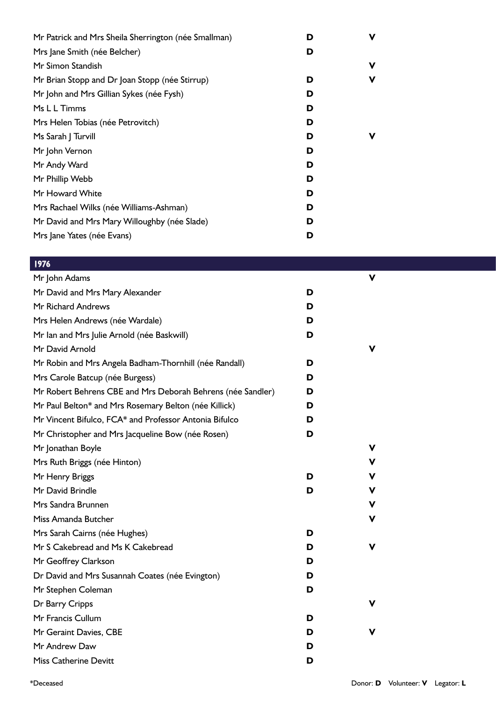| D | ν |
|---|---|
| D |   |
|   | ν |
| D | ν |
| D |   |
| D |   |
| D |   |
| D | ν |
| D |   |
| D |   |
| D |   |
| D |   |
| D |   |
| D |   |
| D |   |
|   |   |

| Mr John Adams                                               |   | v |
|-------------------------------------------------------------|---|---|
| Mr David and Mrs Mary Alexander                             | D |   |
| <b>Mr Richard Andrews</b>                                   | D |   |
| Mrs Helen Andrews (née Wardale)                             | D |   |
| Mr Ian and Mrs Julie Arnold (née Baskwill)                  | D |   |
| Mr David Arnold                                             |   | v |
| Mr Robin and Mrs Angela Badham-Thornhill (née Randall)      | D |   |
| Mrs Carole Batcup (née Burgess)                             | D |   |
| Mr Robert Behrens CBE and Mrs Deborah Behrens (née Sandler) | D |   |
| Mr Paul Belton* and Mrs Rosemary Belton (née Killick)       | D |   |
| Mr Vincent Bifulco, FCA* and Professor Antonia Bifulco      | D |   |
| Mr Christopher and Mrs Jacqueline Bow (née Rosen)           | D |   |
| Mr Jonathan Boyle                                           |   | v |
| Mrs Ruth Briggs (née Hinton)                                |   | v |
| Mr Henry Briggs                                             | D | v |
| Mr David Brindle                                            | D | v |
| Mrs Sandra Brunnen                                          |   | v |
| Miss Amanda Butcher                                         |   | v |
| Mrs Sarah Cairns (née Hughes)                               | D |   |
| Mr S Cakebread and Ms K Cakebread                           | D | v |
| Mr Geoffrey Clarkson                                        | D |   |
| Dr David and Mrs Susannah Coates (née Evington)             | D |   |
| Mr Stephen Coleman                                          | D |   |
| Dr Barry Cripps                                             |   | v |
| Mr Francis Cullum                                           | D |   |
| Mr Geraint Davies, CBE                                      | D | V |
| Mr Andrew Daw                                               | D |   |
| <b>Miss Catherine Devitt</b>                                | D |   |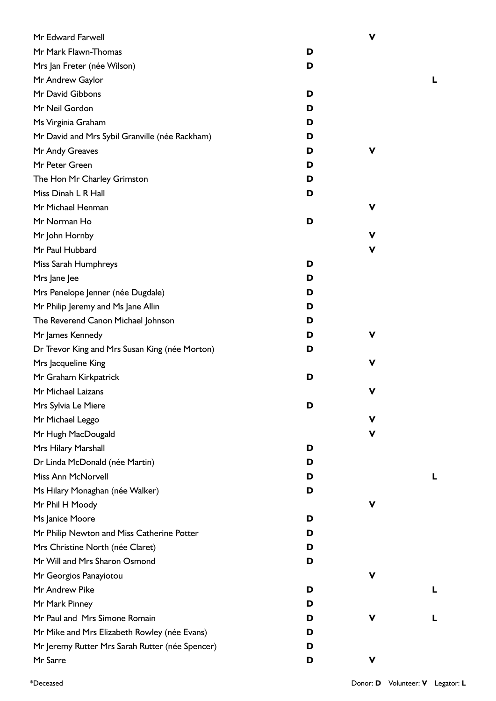| Mr Edward Farwell                               |   | $\mathbf v$ |   |
|-------------------------------------------------|---|-------------|---|
| Mr Mark Flawn-Thomas                            | D |             |   |
| Mrs Jan Freter (née Wilson)                     | D |             |   |
| Mr Andrew Gaylor                                |   |             | L |
| Mr David Gibbons                                | D |             |   |
| Mr Neil Gordon                                  | D |             |   |
| Ms Virginia Graham                              | D |             |   |
| Mr David and Mrs Sybil Granville (née Rackham)  | D |             |   |
| Mr Andy Greaves                                 | D | V           |   |
| Mr Peter Green                                  | D |             |   |
| The Hon Mr Charley Grimston                     | D |             |   |
| Miss Dinah L R Hall                             | D |             |   |
| Mr Michael Henman                               |   | V           |   |
| Mr Norman Ho                                    | D |             |   |
| Mr John Hornby                                  |   | V           |   |
| Mr Paul Hubbard                                 |   | V           |   |
| Miss Sarah Humphreys                            | D |             |   |
| Mrs Jane Jee                                    | D |             |   |
| Mrs Penelope Jenner (née Dugdale)               | D |             |   |
| Mr Philip Jeremy and Ms Jane Allin              | D |             |   |
| The Reverend Canon Michael Johnson              | D |             |   |
| Mr James Kennedy                                | D | v           |   |
| Dr Trevor King and Mrs Susan King (née Morton)  | D |             |   |
| Mrs Jacqueline King                             |   | V           |   |
| Mr Graham Kirkpatrick                           | D |             |   |
| Mr Michael Laizans                              |   | V           |   |
| Mrs Sylvia Le Miere                             | D |             |   |
| Mr Michael Leggo                                |   | v           |   |
| Mr Hugh MacDougald                              |   | V           |   |
| Mrs Hilary Marshall                             | D |             |   |
| Dr Linda McDonald (née Martin)                  | D |             |   |
| Miss Ann McNorvell                              | D |             |   |
| Ms Hilary Monaghan (née Walker)                 | D |             |   |
| Mr Phil H Moody                                 |   | V           |   |
| Ms Janice Moore                                 | D |             |   |
| Mr Philip Newton and Miss Catherine Potter      | D |             |   |
| Mrs Christine North (née Claret)                | D |             |   |
| Mr Will and Mrs Sharon Osmond                   | D |             |   |
| Mr Georgios Panayiotou                          |   | v           |   |
| Mr Andrew Pike                                  | D |             | L |
| Mr Mark Pinney                                  | D |             |   |
| Mr Paul and Mrs Simone Romain                   | D | v           |   |
| Mr Mike and Mrs Elizabeth Rowley (née Evans)    | D |             |   |
| Mr Jeremy Rutter Mrs Sarah Rutter (née Spencer) | D |             |   |
| Mr Sarre                                        | D | V           |   |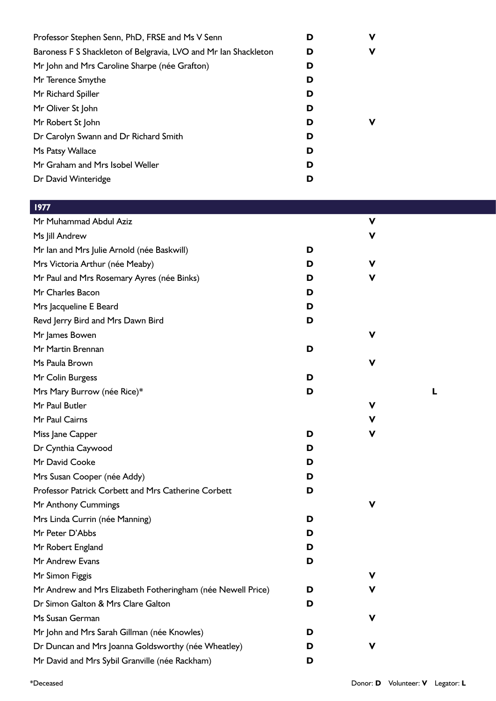| Professor Stephen Senn, PhD, FRSE and Ms V Senn                 | D | ν |
|-----------------------------------------------------------------|---|---|
| Baroness F S Shackleton of Belgravia, LVO and Mr Ian Shackleton | D | ν |
| Mr John and Mrs Caroline Sharpe (née Grafton)                   | D |   |
| Mr Terence Smythe                                               | D |   |
| Mr Richard Spiller                                              | D |   |
| Mr Oliver St John                                               | D |   |
| Mr Robert St John                                               | D | ν |
| Dr Carolyn Swann and Dr Richard Smith                           | D |   |
| Ms Patsy Wallace                                                | D |   |
| Mr Graham and Mrs Isobel Weller                                 | D |   |
| Dr David Winteridge                                             | D |   |

## Mr Muhammad Abdul Aziz **V** Ms Jill Andrew **V** Mr Ian and Mrs Julie Arnold (née Baskwill) **D Mrs Victoria Arthur (née Meaby) D D** Mr Paul and Mrs Rosemary Ayres (née Binks) **D** Mr Charles Bacon **D** Mrs Jacqueline E Beard **D** Revd Jerry Bird and Mrs Dawn Bird **D Mr** James Bowen Mr Martin Brennan **D Ms Paula Brown** Mr Colin Burgess **D** Mrs Mary Burrow (née Rice)\* **D L Mr Paul Butler Mr Paul Cairns** Miss Jane Capper **D** Dr Cynthia Caywood **D** Mr David Cooke **D** Mrs Susan Cooper (née Addy) **D** Professor Patrick Corbett and Mrs Catherine Corbett **D** Mr Anthony Cummings **V** Mrs Linda Currin (née Manning) **D** Mr Peter D'Abbs **D** Mr Robert England **D** Mr Andrew Evans **D Mr Simon Figgis** Mr Andrew and Mrs Elizabeth Fotheringham (née Newell Price) **D** Dr Simon Galton & Mrs Clare Galton **D**

Mr John and Mrs Sarah Gillman (née Knowles) **D** Dr Duncan and Mrs Joanna Goldsworthy (née Wheatley) **D** Mr David and Mrs Sybil Granville (née Rackham) **D**

**Ms Susan German** 

1977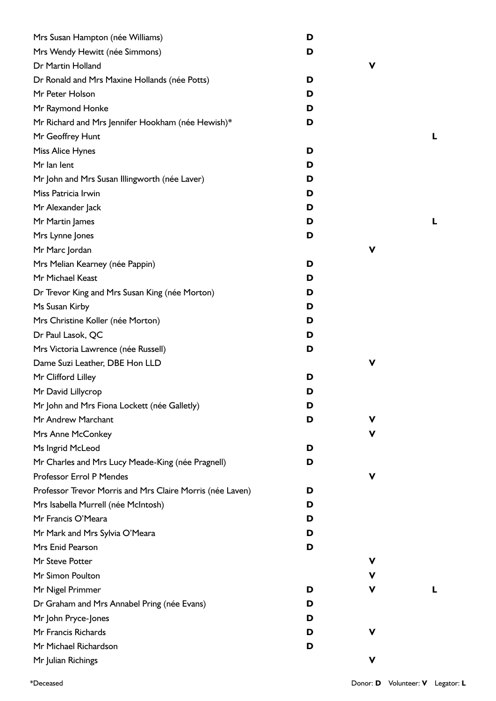| Mrs Susan Hampton (née Williams)                          | D |   |   |
|-----------------------------------------------------------|---|---|---|
| Mrs Wendy Hewitt (née Simmons)                            | D |   |   |
| Dr Martin Holland                                         |   | V |   |
| Dr Ronald and Mrs Maxine Hollands (née Potts)             | D |   |   |
| Mr Peter Holson                                           | D |   |   |
| Mr Raymond Honke                                          | D |   |   |
| Mr Richard and Mrs Jennifer Hookham (née Hewish)*         | D |   |   |
| Mr Geoffrey Hunt                                          |   |   | L |
| Miss Alice Hynes                                          | D |   |   |
| Mr lan lent                                               | D |   |   |
| Mr John and Mrs Susan Illingworth (née Laver)             | D |   |   |
| Miss Patricia Irwin                                       | D |   |   |
| Mr Alexander Jack                                         | D |   |   |
| Mr Martin James                                           | D |   | L |
| Mrs Lynne Jones                                           | D |   |   |
| Mr Marc Jordan                                            |   | V |   |
| Mrs Melian Kearney (née Pappin)                           | D |   |   |
| Mr Michael Keast                                          | D |   |   |
| Dr Trevor King and Mrs Susan King (née Morton)            | D |   |   |
| Ms Susan Kirby                                            | D |   |   |
| Mrs Christine Koller (née Morton)                         | D |   |   |
| Dr Paul Lasok, QC                                         | D |   |   |
| Mrs Victoria Lawrence (née Russell)                       | D |   |   |
| Dame Suzi Leather, DBE Hon LLD                            |   | V |   |
| Mr Clifford Lilley                                        | D |   |   |
| Mr David Lillycrop                                        | D |   |   |
| Mr John and Mrs Fiona Lockett (née Galletly)              | D |   |   |
| Mr Andrew Marchant                                        | D | v |   |
| Mrs Anne McConkey                                         |   | v |   |
| Ms Ingrid McLeod                                          | D |   |   |
| Mr Charles and Mrs Lucy Meade-King (née Pragnell)         | D |   |   |
| Professor Errol P Mendes                                  |   | V |   |
| Professor Trevor Morris and Mrs Claire Morris (née Laven) | D |   |   |
| Mrs Isabella Murrell (née McIntosh)                       | D |   |   |
| Mr Francis O'Meara                                        | D |   |   |
| Mr Mark and Mrs Sylvia O'Meara                            | D |   |   |
| Mrs Enid Pearson                                          | D |   |   |
| Mr Steve Potter                                           |   | V |   |
| Mr Simon Poulton                                          |   | V |   |
| Mr Nigel Primmer                                          | D | v | L |
| Dr Graham and Mrs Annabel Pring (née Evans)               | D |   |   |
| Mr John Pryce-Jones                                       | D |   |   |
| Mr Francis Richards                                       | D | v |   |
| Mr Michael Richardson                                     | D |   |   |
| Mr Julian Richings                                        |   | V |   |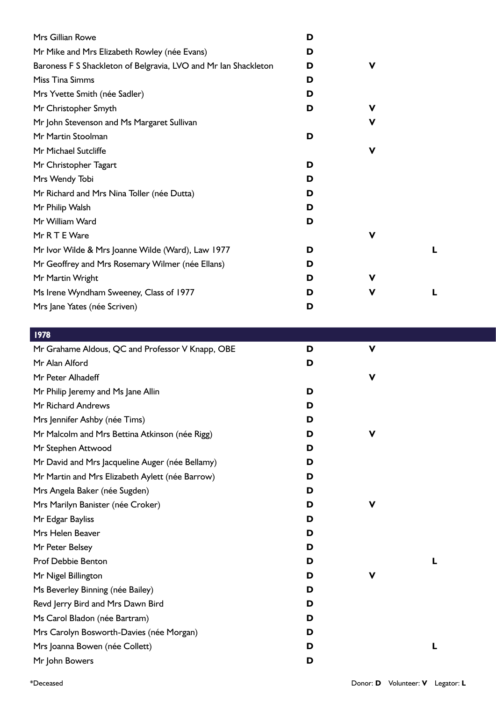| Mrs Gillian Rowe                                                | D |   |  |
|-----------------------------------------------------------------|---|---|--|
| Mr Mike and Mrs Elizabeth Rowley (née Evans)                    | D |   |  |
| Baroness F S Shackleton of Belgravia, LVO and Mr Ian Shackleton | D | v |  |
| Miss Tina Simms                                                 | D |   |  |
| Mrs Yvette Smith (née Sadler)                                   | D |   |  |
| Mr Christopher Smyth                                            | D | v |  |
| Mr John Stevenson and Ms Margaret Sullivan                      |   | V |  |
| Mr Martin Stoolman                                              | D |   |  |
| Mr Michael Sutcliffe                                            |   | v |  |
| Mr Christopher Tagart                                           | D |   |  |
| Mrs Wendy Tobi                                                  | D |   |  |
| Mr Richard and Mrs Nina Toller (née Dutta)                      | D |   |  |
| Mr Philip Walsh                                                 | D |   |  |
| Mr William Ward                                                 | D |   |  |
| Mr R T E Ware                                                   |   | V |  |
| Mr Ivor Wilde & Mrs Joanne Wilde (Ward), Law 1977               | D |   |  |
| Mr Geoffrey and Mrs Rosemary Wilmer (née Ellans)                | D |   |  |
| Mr Martin Wright                                                | D | v |  |
| Ms Irene Wyndham Sweeney, Class of 1977                         | D | v |  |
| Mrs Jane Yates (née Scriven)                                    | D |   |  |

| 1978                                             |   |             |   |  |
|--------------------------------------------------|---|-------------|---|--|
| Mr Grahame Aldous, QC and Professor V Knapp, OBE | D | $\mathbf v$ |   |  |
| Mr Alan Alford                                   | D |             |   |  |
| Mr Peter Alhadeff                                |   | $\mathbf v$ |   |  |
| Mr Philip Jeremy and Ms Jane Allin               | D |             |   |  |
| Mr Richard Andrews                               | D |             |   |  |
| Mrs Jennifer Ashby (née Tims)                    | D |             |   |  |
| Mr Malcolm and Mrs Bettina Atkinson (née Rigg)   | D | V           |   |  |
| Mr Stephen Attwood                               | D |             |   |  |
| Mr David and Mrs Jacqueline Auger (née Bellamy)  | D |             |   |  |
| Mr Martin and Mrs Elizabeth Aylett (née Barrow)  | D |             |   |  |
| Mrs Angela Baker (née Sugden)                    | D |             |   |  |
| Mrs Marilyn Banister (née Croker)                | D | V           |   |  |
| Mr Edgar Bayliss                                 | D |             |   |  |
| Mrs Helen Beaver                                 | D |             |   |  |
| Mr Peter Belsey                                  | D |             |   |  |
| <b>Prof Debbie Benton</b>                        | D |             | L |  |
| Mr Nigel Billington                              | D | $\mathbf v$ |   |  |
| Ms Beverley Binning (née Bailey)                 | D |             |   |  |
| Revd Jerry Bird and Mrs Dawn Bird                | D |             |   |  |
| Ms Carol Bladon (née Bartram)                    | D |             |   |  |
| Mrs Carolyn Bosworth-Davies (née Morgan)         | D |             |   |  |
| Mrs Joanna Bowen (née Collett)                   | D |             | L |  |
| Mr John Bowers                                   | D |             |   |  |
|                                                  |   |             |   |  |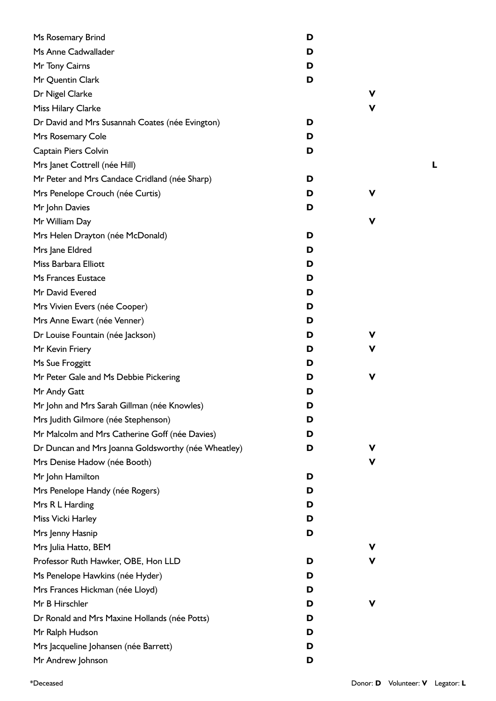| Ms Rosemary Brind                                   | D |    |
|-----------------------------------------------------|---|----|
| Ms Anne Cadwallader                                 | D |    |
| Mr Tony Cairns                                      | D |    |
| Mr Quentin Clark                                    | D |    |
| Dr Nigel Clarke                                     |   | v  |
| Miss Hilary Clarke                                  |   | V  |
| Dr David and Mrs Susannah Coates (née Evington)     | D |    |
| Mrs Rosemary Cole                                   | D |    |
| Captain Piers Colvin                                | D |    |
| Mrs Janet Cottrell (née Hill)                       |   |    |
| Mr Peter and Mrs Candace Cridland (née Sharp)       | D |    |
| Mrs Penelope Crouch (née Curtis)                    | D | v  |
| Mr John Davies                                      | D |    |
| Mr William Day                                      |   | v  |
| Mrs Helen Drayton (née McDonald)                    | D |    |
| Mrs Jane Eldred                                     | D |    |
| Miss Barbara Elliott                                | D |    |
| Ms Frances Eustace                                  | D |    |
| Mr David Evered                                     | D |    |
| Mrs Vivien Evers (née Cooper)                       | D |    |
| Mrs Anne Ewart (née Venner)                         | D |    |
| Dr Louise Fountain (née Jackson)                    | D | v. |
| Mr Kevin Friery                                     | D | v  |
| Ms Sue Froggitt                                     | D |    |
| Mr Peter Gale and Ms Debbie Pickering               | D | v  |
| Mr Andy Gatt                                        | D |    |
| Mr John and Mrs Sarah Gillman (née Knowles)         | D |    |
| Mrs Judith Gilmore (née Stephenson)                 | D |    |
| Mr Malcolm and Mrs Catherine Goff (née Davies)      | D |    |
| Dr Duncan and Mrs Joanna Goldsworthy (née Wheatley) | D | v  |
| Mrs Denise Hadow (née Booth)                        |   | V  |
| Mr John Hamilton                                    | D |    |
| Mrs Penelope Handy (née Rogers)                     | D |    |
| Mrs R L Harding                                     | D |    |
| Miss Vicki Harley                                   | D |    |
| Mrs Jenny Hasnip                                    | D |    |
| Mrs Julia Hatto, BEM                                |   | v  |
| Professor Ruth Hawker, OBE, Hon LLD                 | D | v  |
| Ms Penelope Hawkins (née Hyder)                     | D |    |
| Mrs Frances Hickman (née Lloyd)                     | D |    |
| Mr B Hirschler                                      | D | v  |
| Dr Ronald and Mrs Maxine Hollands (née Potts)       | D |    |
| Mr Ralph Hudson                                     | D |    |
| Mrs Jacqueline Johansen (née Barrett)               | D |    |
| Mr Andrew Johnson                                   | D |    |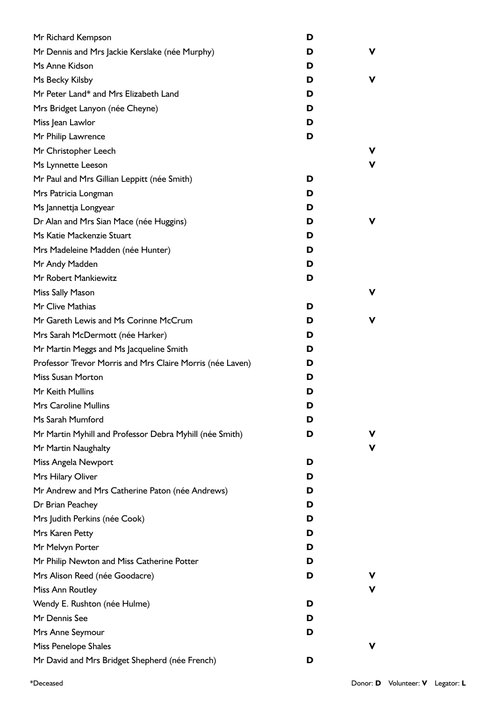| Mr Richard Kempson                                        | D |   |
|-----------------------------------------------------------|---|---|
| Mr Dennis and Mrs Jackie Kerslake (née Murphy)            | D | v |
| Ms Anne Kidson                                            | D |   |
| Ms Becky Kilsby                                           | D | v |
| Mr Peter Land* and Mrs Elizabeth Land                     | D |   |
| Mrs Bridget Lanyon (née Cheyne)                           | D |   |
| Miss Jean Lawlor                                          | D |   |
| Mr Philip Lawrence                                        | D |   |
| Mr Christopher Leech                                      |   | v |
| Ms Lynnette Leeson                                        |   | v |
| Mr Paul and Mrs Gillian Leppitt (née Smith)               | D |   |
| Mrs Patricia Longman                                      | D |   |
| Ms Jannettja Longyear                                     | D |   |
| Dr Alan and Mrs Sian Mace (née Huggins)                   | D | v |
| Ms Katie Mackenzie Stuart                                 | D |   |
| Mrs Madeleine Madden (née Hunter)                         | D |   |
| Mr Andy Madden                                            | D |   |
| Mr Robert Mankiewitz                                      | D |   |
| Miss Sally Mason                                          |   | v |
| Mr Clive Mathias                                          | D |   |
| Mr Gareth Lewis and Ms Corinne McCrum                     | D | v |
| Mrs Sarah McDermott (née Harker)                          | D |   |
| Mr Martin Meggs and Ms Jacqueline Smith                   | D |   |
| Professor Trevor Morris and Mrs Claire Morris (née Laven) | D |   |
| <b>Miss Susan Morton</b>                                  | D |   |
| Mr Keith Mullins                                          | D |   |
| <b>Mrs Caroline Mullins</b>                               | D |   |
| Ms Sarah Mumford                                          | D |   |
| Mr Martin Myhill and Professor Debra Myhill (née Smith)   | D | v |
| Mr Martin Naughalty                                       |   | v |
| Miss Angela Newport                                       | D |   |
| Mrs Hilary Oliver                                         | D |   |
| Mr Andrew and Mrs Catherine Paton (née Andrews)           | D |   |
| Dr Brian Peachey                                          | D |   |
| Mrs Judith Perkins (née Cook)                             | D |   |
| Mrs Karen Petty                                           | D |   |
| Mr Melvyn Porter                                          | D |   |
| Mr Philip Newton and Miss Catherine Potter                | D |   |
| Mrs Alison Reed (née Goodacre)                            | D |   |
| Miss Ann Routley                                          |   | v |
| Wendy E. Rushton (née Hulme)                              | D |   |
| Mr Dennis See                                             | D |   |
| Mrs Anne Seymour                                          | D |   |
| Miss Penelope Shales                                      |   | v |
| Mr David and Mrs Bridget Shepherd (née French)            | D |   |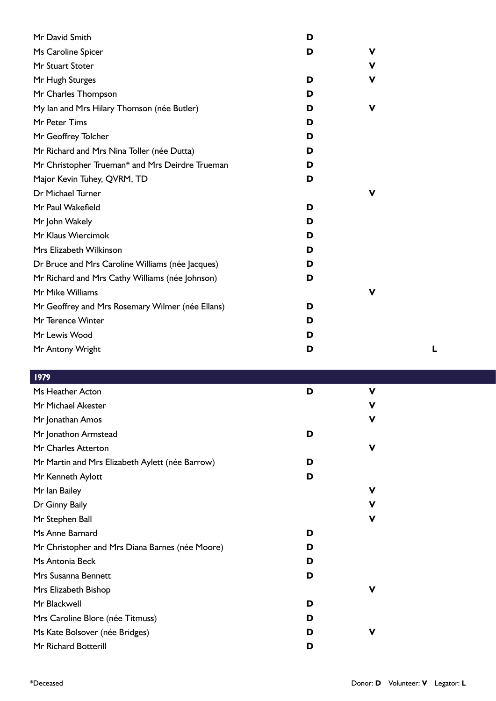| Mr David Smith                                   | D |   |  |
|--------------------------------------------------|---|---|--|
| Ms Caroline Spicer                               | D | ۷ |  |
| Mr Stuart Stoter                                 |   | v |  |
| Mr Hugh Sturges                                  | D | ۷ |  |
| Mr Charles Thompson                              | D |   |  |
| My lan and Mrs Hilary Thomson (née Butler)       | D | ۷ |  |
| Mr Peter Tims                                    | D |   |  |
| Mr Geoffrey Tolcher                              | D |   |  |
| Mr Richard and Mrs Nina Toller (née Dutta)       | D |   |  |
| Mr Christopher Trueman* and Mrs Deirdre Trueman  | D |   |  |
| Major Kevin Tuhey, QVRM, TD                      | D |   |  |
| Dr Michael Turner                                |   | v |  |
| Mr Paul Wakefield                                | D |   |  |
| Mr John Wakely                                   | D |   |  |
| Mr Klaus Wiercimok                               | D |   |  |
| Mrs Elizabeth Wilkinson                          | D |   |  |
| Dr Bruce and Mrs Caroline Williams (née Jacques) | D |   |  |
| Mr Richard and Mrs Cathy Williams (née Johnson)  | D |   |  |
| Mr Mike Williams                                 |   | V |  |
| Mr Geoffrey and Mrs Rosemary Wilmer (née Ellans) | D |   |  |
| Mr Terence Winter                                | D |   |  |
| Mr Lewis Wood                                    | D |   |  |
| Mr Antony Wright                                 | D |   |  |
|                                                  |   |   |  |

| 1979                                            |   |             |  |
|-------------------------------------------------|---|-------------|--|
| Ms Heather Acton                                | D | $\mathbf v$ |  |
| Mr Michael Akester                              |   | V           |  |
| Mr Jonathan Amos                                |   | $\mathbf v$ |  |
| Mr Jonathon Armstead                            | D |             |  |
| Mr Charles Atterton                             |   | $\mathbf v$ |  |
| Mr Martin and Mrs Elizabeth Aylett (née Barrow) | D |             |  |
| Mr Kenneth Aylott                               | D |             |  |
| Mr Ian Bailey                                   |   | V           |  |
| Dr Ginny Baily                                  |   | V           |  |
| Mr Stephen Ball                                 |   | V           |  |
| Ms Anne Barnard                                 | D |             |  |
| Mr Christopher and Mrs Diana Barnes (née Moore) | D |             |  |
| Ms Antonia Beck                                 | D |             |  |
| Mrs Susanna Bennett                             | D |             |  |
| Mrs Elizabeth Bishop                            |   | $\mathbf v$ |  |
| Mr Blackwell                                    | D |             |  |
| Mrs Caroline Blore (née Titmuss)                | D |             |  |
| Ms Kate Bolsover (née Bridges)                  | D | $\mathbf v$ |  |
| Mr Richard Botterill                            | D |             |  |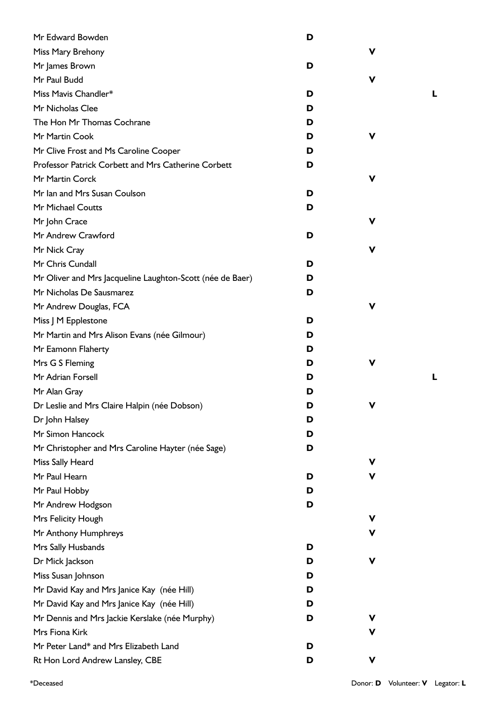| Mr Edward Bowden                                          | D |   |  |
|-----------------------------------------------------------|---|---|--|
| Miss Mary Brehony                                         |   | V |  |
| Mr James Brown                                            | D |   |  |
| Mr Paul Budd                                              |   | V |  |
| Miss Mavis Chandler*                                      | D |   |  |
| Mr Nicholas Clee                                          | D |   |  |
| The Hon Mr Thomas Cochrane                                | D |   |  |
| Mr Martin Cook                                            | D | ۷ |  |
| Mr Clive Frost and Ms Caroline Cooper                     | D |   |  |
| Professor Patrick Corbett and Mrs Catherine Corbett       | D |   |  |
| Mr Martin Corck                                           |   | ۷ |  |
| Mr Ian and Mrs Susan Coulson                              | D |   |  |
| Mr Michael Coutts                                         | D |   |  |
| Mr John Crace                                             |   | ۷ |  |
| Mr Andrew Crawford                                        | D |   |  |
| Mr Nick Cray                                              |   | ۷ |  |
| Mr Chris Cundall                                          | D |   |  |
| Mr Oliver and Mrs Jacqueline Laughton-Scott (née de Baer) | D |   |  |
| Mr Nicholas De Sausmarez                                  | D |   |  |
| Mr Andrew Douglas, FCA                                    |   | ۷ |  |
| Miss J M Epplestone                                       | D |   |  |
| Mr Martin and Mrs Alison Evans (née Gilmour)              | D |   |  |
| Mr Eamonn Flaherty                                        | D |   |  |
| Mrs G S Fleming                                           | D | V |  |
| Mr Adrian Forsell                                         | D |   |  |
| Mr Alan Gray                                              | D |   |  |
| Dr Leslie and Mrs Claire Halpin (née Dobson)              | D | ۷ |  |
| Dr John Halsey                                            | D |   |  |
| Mr Simon Hancock                                          | D |   |  |
| Mr Christopher and Mrs Caroline Hayter (née Sage)         | D |   |  |
| Miss Sally Heard                                          |   | ۷ |  |
| Mr Paul Hearn                                             | D | ۷ |  |
| Mr Paul Hobby                                             | D |   |  |
| Mr Andrew Hodgson                                         | D |   |  |
| Mrs Felicity Hough                                        |   | V |  |
| Mr Anthony Humphreys                                      |   | ۷ |  |
| Mrs Sally Husbands                                        | D |   |  |
| Dr Mick Jackson                                           | D | ۷ |  |
| Miss Susan Johnson                                        | D |   |  |
| Mr David Kay and Mrs Janice Kay (née Hill)                | D |   |  |
| Mr David Kay and Mrs Janice Kay (née Hill)                | D |   |  |
| Mr Dennis and Mrs Jackie Kerslake (née Murphy)            | D | V |  |
| Mrs Fiona Kirk                                            |   | ۷ |  |
| Mr Peter Land* and Mrs Elizabeth Land                     | D |   |  |
| Rt Hon Lord Andrew Lansley, CBE                           | D | V |  |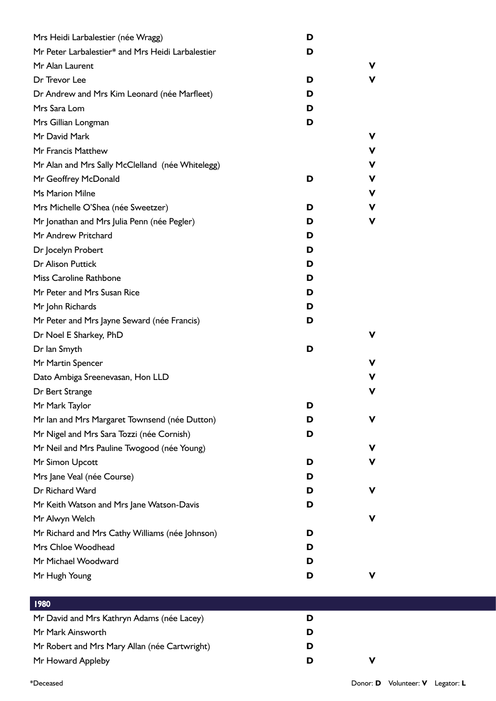| Mrs Heidi Larbalestier (née Wragg)                                                         | D |   |
|--------------------------------------------------------------------------------------------|---|---|
| Mr Peter Larbalestier* and Mrs Heidi Larbalestier                                          | D |   |
| Mr Alan Laurent                                                                            |   | V |
| Dr Trevor Lee                                                                              | D | ۷ |
| Dr Andrew and Mrs Kim Leonard (née Marfleet)                                               | D |   |
| Mrs Sara Lom                                                                               | D |   |
| Mrs Gillian Longman                                                                        | D |   |
| Mr David Mark                                                                              |   | v |
| Mr Francis Matthew                                                                         |   | V |
| Mr Alan and Mrs Sally McClelland (née Whitelegg)                                           |   | ۷ |
| Mr Geoffrey McDonald                                                                       | D | V |
| <b>Ms Marion Milne</b>                                                                     |   | v |
| Mrs Michelle O'Shea (née Sweetzer)                                                         | D | ۷ |
| Mr Jonathan and Mrs Julia Penn (née Pegler)                                                | D | v |
| Mr Andrew Pritchard                                                                        | D |   |
| Dr Jocelyn Probert                                                                         | D |   |
| Dr Alison Puttick                                                                          | D |   |
| Miss Caroline Rathbone                                                                     | D |   |
| Mr Peter and Mrs Susan Rice                                                                | D |   |
| Mr John Richards                                                                           | D |   |
| Mr Peter and Mrs Jayne Seward (née Francis)                                                | D |   |
| Dr Noel E Sharkey, PhD                                                                     |   | v |
| Dr Ian Smyth                                                                               | D |   |
| Mr Martin Spencer                                                                          |   | v |
| Dato Ambiga Sreenevasan, Hon LLD                                                           |   | v |
| Dr Bert Strange                                                                            |   | v |
| Mr Mark Taylor                                                                             | D |   |
|                                                                                            | D | V |
| Mr Ian and Mrs Margaret Townsend (née Dutton)<br>Mr Nigel and Mrs Sara Tozzi (née Cornish) | D |   |
|                                                                                            |   | v |
| Mr Neil and Mrs Pauline Twogood (née Young)                                                |   | v |
| Mr Simon Upcott                                                                            | D |   |
| Mrs Jane Veal (née Course)<br>Dr Richard Ward                                              | D | v |
|                                                                                            | D |   |
| Mr Keith Watson and Mrs Jane Watson-Davis                                                  | D |   |
| Mr Alwyn Welch                                                                             |   | v |
| Mr Richard and Mrs Cathy Williams (née Johnson)                                            | D |   |
| Mrs Chloe Woodhead                                                                         | D |   |
| Mr Michael Woodward                                                                        | D |   |
| Mr Hugh Young                                                                              | D | ۷ |
| 1980                                                                                       |   |   |
| Mr David and Mrs Kathryn Adams (née Lacey)                                                 | D |   |
| Mr Mark Ainsworth                                                                          | D |   |
| Mr Robert and Mrs Mary Allan (née Cartwright)                                              | D |   |
| Mr Howard Appleby                                                                          | D | V |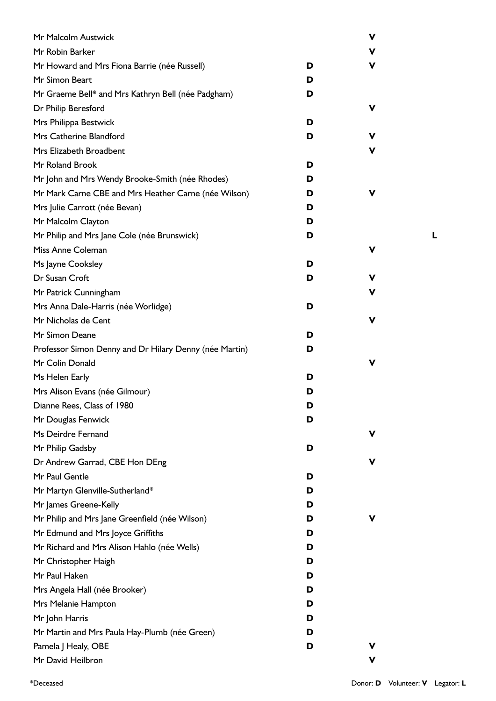| Mr Malcolm Austwick                                    |   | V |  |
|--------------------------------------------------------|---|---|--|
| Mr Robin Barker                                        |   | v |  |
| Mr Howard and Mrs Fiona Barrie (née Russell)           | D | v |  |
| Mr Simon Beart                                         | D |   |  |
| Mr Graeme Bell* and Mrs Kathryn Bell (née Padgham)     | D |   |  |
| Dr Philip Beresford                                    |   | V |  |
| Mrs Philippa Bestwick                                  | D |   |  |
| Mrs Catherine Blandford                                | D | v |  |
| Mrs Elizabeth Broadbent                                |   | v |  |
| Mr Roland Brook                                        | D |   |  |
| Mr John and Mrs Wendy Brooke-Smith (née Rhodes)        | D |   |  |
| Mr Mark Carne CBE and Mrs Heather Carne (née Wilson)   | D | V |  |
| Mrs Julie Carrott (née Bevan)                          | D |   |  |
| Mr Malcolm Clayton                                     | D |   |  |
| Mr Philip and Mrs Jane Cole (née Brunswick)            | D |   |  |
| Miss Anne Coleman                                      |   | V |  |
| Ms Jayne Cooksley                                      | D |   |  |
| Dr Susan Croft                                         | D | v |  |
| Mr Patrick Cunningham                                  |   | v |  |
| Mrs Anna Dale-Harris (née Worlidge)                    | D |   |  |
| Mr Nicholas de Cent                                    |   | V |  |
| Mr Simon Deane                                         | D |   |  |
| Professor Simon Denny and Dr Hilary Denny (née Martin) | D |   |  |
| Mr Colin Donald                                        |   | V |  |
| Ms Helen Early                                         | D |   |  |
| Mrs Alison Evans (née Gilmour)                         | D |   |  |
| Dianne Rees, Class of 1980                             | D |   |  |
| Mr Douglas Fenwick                                     | D |   |  |
| Ms Deirdre Fernand                                     |   | V |  |
| Mr Philip Gadsby                                       | D |   |  |
| Dr Andrew Garrad, CBE Hon DEng                         |   | V |  |
| Mr Paul Gentle                                         | D |   |  |
| Mr Martyn Glenville-Sutherland*                        | D |   |  |
| Mr James Greene-Kelly                                  | D |   |  |
| Mr Philip and Mrs Jane Greenfield (née Wilson)         | D | V |  |
| Mr Edmund and Mrs Joyce Griffiths                      | D |   |  |
| Mr Richard and Mrs Alison Hahlo (née Wells)            | D |   |  |
| Mr Christopher Haigh                                   | D |   |  |
| Mr Paul Haken                                          | D |   |  |
| Mrs Angela Hall (née Brooker)                          | D |   |  |
| Mrs Melanie Hampton                                    | D |   |  |
| Mr John Harris                                         | D |   |  |
| Mr Martin and Mrs Paula Hay-Plumb (née Green)          | D |   |  |
| Pamela J Healy, OBE                                    | D | V |  |
| Mr David Heilbron                                      |   | V |  |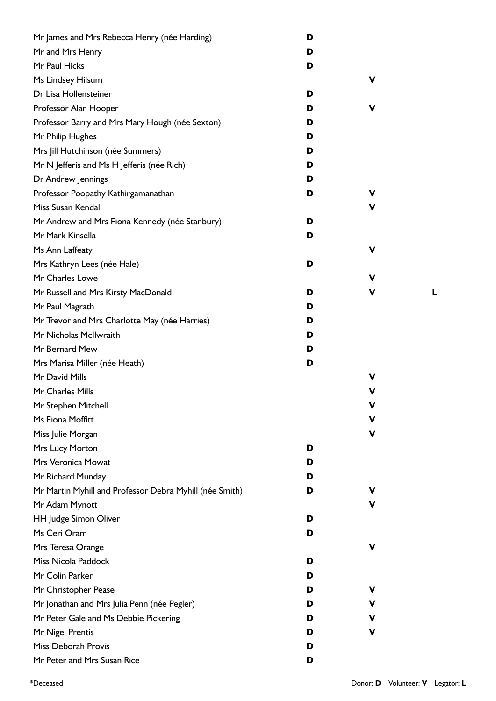| Mr James and Mrs Rebecca Henry (née Harding)            | D |   |  |
|---------------------------------------------------------|---|---|--|
| Mr and Mrs Henry                                        | D |   |  |
| Mr Paul Hicks                                           | D |   |  |
| Ms Lindsey Hilsum                                       |   | V |  |
| Dr Lisa Hollensteiner                                   | D |   |  |
| Professor Alan Hooper                                   | D | V |  |
| Professor Barry and Mrs Mary Hough (née Sexton)         | D |   |  |
| Mr Philip Hughes                                        | D |   |  |
| Mrs Jill Hutchinson (née Summers)                       | D |   |  |
| Mr N Jefferis and Ms H Jefferis (née Rich)              | D |   |  |
| Dr Andrew Jennings                                      | D |   |  |
| Professor Poopathy Kathirgamanathan                     | D | v |  |
| Miss Susan Kendall                                      |   | V |  |
| Mr Andrew and Mrs Fiona Kennedy (née Stanbury)          | D |   |  |
| Mr Mark Kinsella                                        | D |   |  |
| Ms Ann Laffeaty                                         |   | V |  |
| Mrs Kathryn Lees (née Hale)                             | D |   |  |
| Mr Charles Lowe                                         |   | V |  |
| Mr Russell and Mrs Kirsty MacDonald                     | D | V |  |
| Mr Paul Magrath                                         | D |   |  |
| Mr Trevor and Mrs Charlotte May (née Harries)           | D |   |  |
| Mr Nicholas McIlwraith                                  | D |   |  |
| Mr Bernard Mew                                          | D |   |  |
| Mrs Marisa Miller (née Heath)                           | D |   |  |
| Mr David Mills                                          |   | V |  |
| Mr Charles Mills                                        |   | v |  |
| Mr Stephen Mitchell                                     |   | V |  |
| Ms Fiona Moffitt                                        |   | v |  |
| Miss Julie Morgan                                       |   | V |  |
| Mrs Lucy Morton                                         | D |   |  |
| Mrs Veronica Mowat                                      | D |   |  |
| Mr Richard Munday                                       | D |   |  |
| Mr Martin Myhill and Professor Debra Myhill (née Smith) | D | v |  |
| Mr Adam Mynott                                          |   | ۷ |  |
| HH Judge Simon Oliver                                   | D |   |  |
| Ms Ceri Oram                                            | D |   |  |
| Mrs Teresa Orange                                       |   | V |  |
| Miss Nicola Paddock                                     | D |   |  |
| Mr Colin Parker                                         | D |   |  |
| Mr Christopher Pease                                    | D | ۷ |  |
| Mr Jonathan and Mrs Julia Penn (née Pegler)             | D | v |  |
| Mr Peter Gale and Ms Debbie Pickering                   | D | V |  |
| Mr Nigel Prentis                                        | D | ۷ |  |
| Miss Deborah Provis                                     | D |   |  |
| Mr Peter and Mrs Susan Rice                             | D |   |  |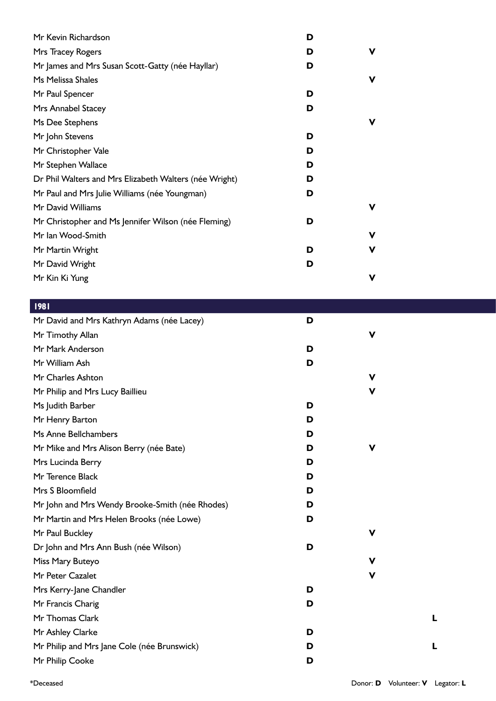| Mr Kevin Richardson                                    | D |             |  |
|--------------------------------------------------------|---|-------------|--|
| Mrs Tracey Rogers                                      | D | $\mathbf v$ |  |
| Mr James and Mrs Susan Scott-Gatty (née Hayllar)       | D |             |  |
| Ms Melissa Shales                                      |   | V           |  |
| Mr Paul Spencer                                        | D |             |  |
| Mrs Annabel Stacey                                     | D |             |  |
| Ms Dee Stephens                                        |   | V           |  |
| Mr John Stevens                                        | D |             |  |
| Mr Christopher Vale                                    | D |             |  |
| Mr Stephen Wallace                                     | D |             |  |
| Dr Phil Walters and Mrs Elizabeth Walters (née Wright) | D |             |  |
| Mr Paul and Mrs Julie Williams (née Youngman)          | D |             |  |
| Mr David Williams                                      |   | V           |  |
| Mr Christopher and Ms Jennifer Wilson (née Fleming)    | D |             |  |
| Mr Ian Wood-Smith                                      |   | V           |  |
| Mr Martin Wright                                       | D | ۷           |  |
| Mr David Wright                                        | D |             |  |
| Mr Kin Ki Yung                                         |   | V           |  |
|                                                        |   |             |  |
| 1981                                                   |   |             |  |
| Mr David and Mrs Kathryn Adams (née Lacey)             | D |             |  |
| Mr Timothy Allan                                       |   | V           |  |
| Mr Mark Anderson                                       | D |             |  |
| Mr William Ash                                         | D |             |  |
| Mr Charles Ashton                                      |   | V           |  |
| Mr Philip and Mrs Lucy Baillieu                        |   | V           |  |
| Ms Judith Barber                                       | D |             |  |
| Mr Henry Barton                                        | D |             |  |
| Ms Anne Bellchambers                                   | D |             |  |
| Mr Mike and Mrs Alison Berry (née Bate)                | D | V           |  |
| Mrs Lucinda Berry                                      | D |             |  |
| Mr Terence Black                                       | D |             |  |
| Mrs S Bloomfield                                       | D |             |  |
| Mr John and Mrs Wendy Brooke-Smith (née Rhodes)        | D |             |  |
| Mr Martin and Mrs Helen Brooks (née Lowe)              | D |             |  |
| Mr Paul Buckley                                        |   | V           |  |
| Dr John and Mrs Ann Bush (née Wilson)                  | D |             |  |
| Miss Mary Buteyo                                       |   | V           |  |
| Mr Peter Cazalet                                       |   | V           |  |
| Mrs Kerry-Jane Chandler                                | D |             |  |
| Mr Francis Charig                                      | D |             |  |
| Mr Thomas Clark                                        |   |             |  |
| Mr Ashley Clarke                                       | D |             |  |
| Mr Philip and Mrs Jane Cole (née Brunswick)            | D |             |  |
| Mr Philip Cooke                                        | D |             |  |
|                                                        |   |             |  |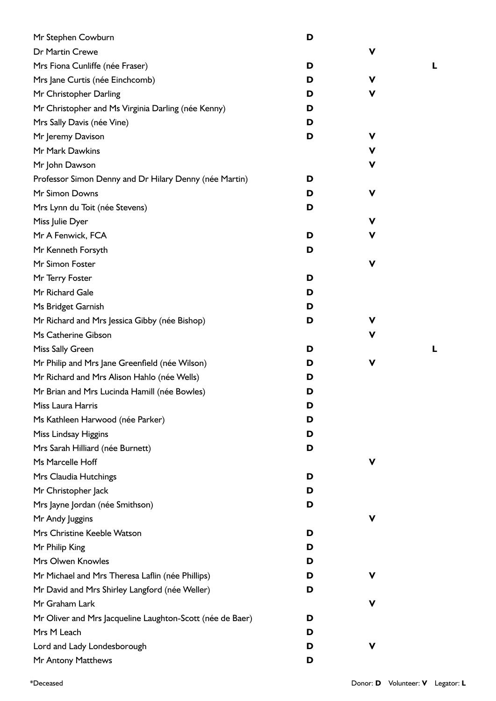| Mr Stephen Cowburn                                        | D |             |   |
|-----------------------------------------------------------|---|-------------|---|
| Dr Martin Crewe                                           |   | V           |   |
| Mrs Fiona Cunliffe (née Fraser)                           | D |             | L |
| Mrs Jane Curtis (née Einchcomb)                           | D | V           |   |
| Mr Christopher Darling                                    | D | V           |   |
| Mr Christopher and Ms Virginia Darling (née Kenny)        | D |             |   |
| Mrs Sally Davis (née Vine)                                | D |             |   |
| Mr Jeremy Davison                                         | D | v           |   |
| Mr Mark Dawkins                                           |   | V           |   |
| Mr John Dawson                                            |   | V           |   |
| Professor Simon Denny and Dr Hilary Denny (née Martin)    | D |             |   |
| Mr Simon Downs                                            | D | V           |   |
| Mrs Lynn du Toit (née Stevens)                            | D |             |   |
| Miss Julie Dyer                                           |   | v           |   |
| Mr A Fenwick, FCA                                         | D | ۷           |   |
| Mr Kenneth Forsyth                                        | D |             |   |
| Mr Simon Foster                                           |   | $\mathbf v$ |   |
| Mr Terry Foster                                           | D |             |   |
| Mr Richard Gale                                           | D |             |   |
| Ms Bridget Garnish                                        | D |             |   |
| Mr Richard and Mrs Jessica Gibby (née Bishop)             | D | V           |   |
| Ms Catherine Gibson                                       |   | V           |   |
| Miss Sally Green                                          | D |             | L |
| Mr Philip and Mrs Jane Greenfield (née Wilson)            | D | V           |   |
| Mr Richard and Mrs Alison Hahlo (née Wells)               | D |             |   |
| Mr Brian and Mrs Lucinda Hamill (née Bowles)              | D |             |   |
| Miss Laura Harris                                         | D |             |   |
| Ms Kathleen Harwood (née Parker)                          | D |             |   |
| Miss Lindsay Higgins                                      | D |             |   |
| Mrs Sarah Hilliard (née Burnett)                          | D |             |   |
| Ms Marcelle Hoff                                          |   | V           |   |
| Mrs Claudia Hutchings                                     | D |             |   |
| Mr Christopher Jack                                       | D |             |   |
| Mrs Jayne Jordan (née Smithson)                           | D |             |   |
| Mr Andy Juggins                                           |   | V           |   |
| Mrs Christine Keeble Watson                               | D |             |   |
| Mr Philip King                                            | D |             |   |
| Mrs Olwen Knowles                                         | D |             |   |
| Mr Michael and Mrs Theresa Laflin (née Phillips)          | D | V           |   |
| Mr David and Mrs Shirley Langford (née Weller)            | D |             |   |
| Mr Graham Lark                                            |   | V           |   |
| Mr Oliver and Mrs Jacqueline Laughton-Scott (née de Baer) | D |             |   |
| Mrs M Leach                                               | D |             |   |
| Lord and Lady Londesborough                               | D | v           |   |
| Mr Antony Matthews                                        | D |             |   |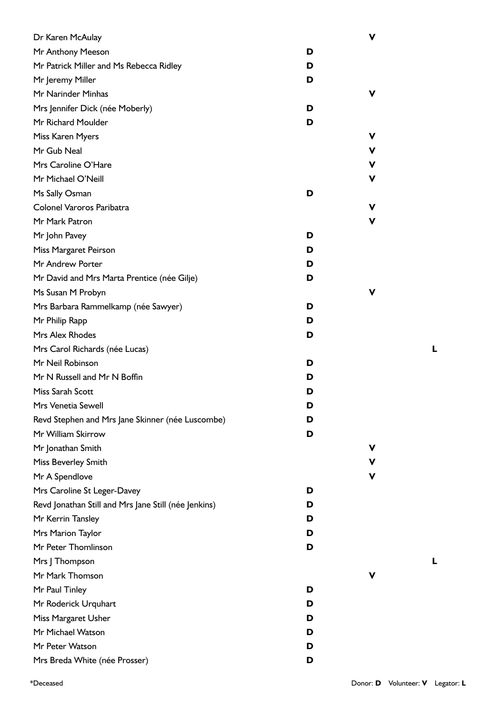| Dr Karen McAulay                                     |   | v |
|------------------------------------------------------|---|---|
| Mr Anthony Meeson                                    | D |   |
| Mr Patrick Miller and Ms Rebecca Ridley              | D |   |
| Mr Jeremy Miller                                     | D |   |
| Mr Narinder Minhas                                   |   | v |
| Mrs Jennifer Dick (née Moberly)                      | D |   |
| Mr Richard Moulder                                   | D |   |
| Miss Karen Myers                                     |   | V |
| Mr Gub Neal                                          |   | V |
| Mrs Caroline O'Hare                                  |   | V |
| Mr Michael O'Neill                                   |   | V |
| Ms Sally Osman                                       | D |   |
| Colonel Varoros Paribatra                            |   | v |
| Mr Mark Patron                                       |   | V |
| Mr John Pavey                                        | D |   |
| Miss Margaret Peirson                                | D |   |
| Mr Andrew Porter                                     | D |   |
| Mr David and Mrs Marta Prentice (née Gilje)          | D |   |
| Ms Susan M Probyn                                    |   | v |
| Mrs Barbara Rammelkamp (née Sawyer)                  | D |   |
| Mr Philip Rapp                                       | D |   |
| Mrs Alex Rhodes                                      | D |   |
| Mrs Carol Richards (née Lucas)                       |   |   |
| Mr Neil Robinson                                     | D |   |
| Mr N Russell and Mr N Boffin                         | D |   |
| Miss Sarah Scott                                     | D |   |
| Mrs Venetia Sewell                                   | ט |   |
| Revd Stephen and Mrs Jane Skinner (née Luscombe)     | D |   |
| Mr William Skirrow                                   | D |   |
| Mr Jonathan Smith                                    |   | v |
| Miss Beverley Smith                                  |   | V |
| Mr A Spendlove                                       |   | v |
| Mrs Caroline St Leger-Davey                          | D |   |
| Revd Jonathan Still and Mrs Jane Still (née Jenkins) | D |   |
| Mr Kerrin Tansley                                    | D |   |
| Mrs Marion Taylor                                    | D |   |
| Mr Peter Thomlinson                                  | D |   |
| Mrs   Thompson                                       |   |   |
| Mr Mark Thomson                                      |   | v |
| Mr Paul Tinley                                       | D |   |
| Mr Roderick Urquhart                                 | D |   |
| Miss Margaret Usher                                  | D |   |
| Mr Michael Watson                                    | D |   |
| Mr Peter Watson                                      | D |   |
| Mrs Breda White (née Prosser)                        | D |   |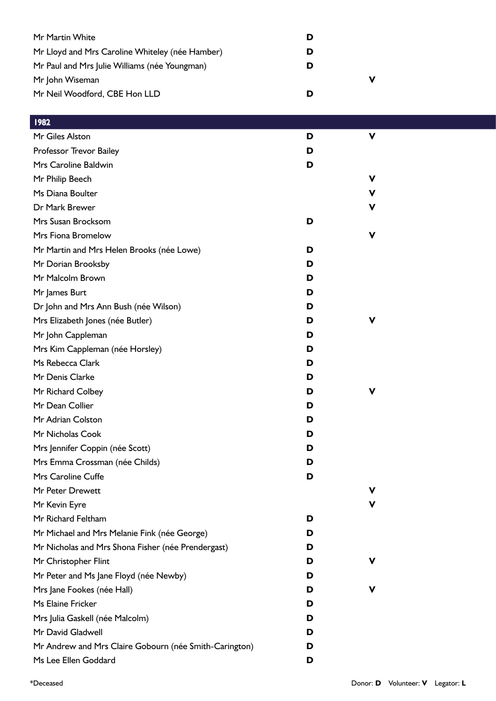| Mr Martin White                                 | D |
|-------------------------------------------------|---|
| Mr Lloyd and Mrs Caroline Whiteley (née Hamber) | D |
| Mr Paul and Mrs Julie Williams (née Youngman)   | D |
| Mr John Wiseman                                 | ν |
| Mr Neil Woodford, CBE Hon LLD                   | D |

## 1982

| Mr Giles Alston                                        | D | v |
|--------------------------------------------------------|---|---|
| Professor Trevor Bailey                                | D |   |
| Mrs Caroline Baldwin                                   | D |   |
| Mr Philip Beech                                        |   | v |
| Ms Diana Boulter                                       |   | ۷ |
| Dr Mark Brewer                                         |   | v |
| Mrs Susan Brocksom                                     | D |   |
| Mrs Fiona Bromelow                                     |   | ν |
| Mr Martin and Mrs Helen Brooks (née Lowe)              | D |   |
| Mr Dorian Brooksby                                     | D |   |
| Mr Malcolm Brown                                       | D |   |
| Mr James Burt                                          | D |   |
| Dr John and Mrs Ann Bush (née Wilson)                  | D |   |
| Mrs Elizabeth Jones (née Butler)                       | D |   |
| Mr John Cappleman                                      | D |   |
| Mrs Kim Cappleman (née Horsley)                        | D |   |
| Ms Rebecca Clark                                       | D |   |
| Mr Denis Clarke                                        | D |   |
| Mr Richard Colbey                                      | D |   |
| Mr Dean Collier                                        | D |   |
| Mr Adrian Colston                                      | D |   |
| Mr Nicholas Cook                                       | D |   |
| Mrs Jennifer Coppin (née Scott)                        | D |   |
| Mrs Emma Crossman (née Childs)                         | D |   |
| Mrs Caroline Cuffe                                     | D |   |
| Mr Peter Drewett                                       |   |   |
| Mr Kevin Eyre                                          |   | v |
| Mr Richard Feltham                                     | D |   |
| Mr Michael and Mrs Melanie Fink (née George)           | D |   |
| Mr Nicholas and Mrs Shona Fisher (née Prendergast)     | D |   |
| Mr Christopher Flint                                   | D |   |
| Mr Peter and Ms Jane Floyd (née Newby)                 | D |   |
| Mrs Jane Fookes (née Hall)                             | D |   |
| Ms Elaine Fricker                                      | D |   |
| Mrs Julia Gaskell (née Malcolm)                        | D |   |
| Mr David Gladwell                                      | D |   |
| Mr Andrew and Mrs Claire Gobourn (née Smith-Carington) | D |   |
| Ms Lee Ellen Goddard                                   | D |   |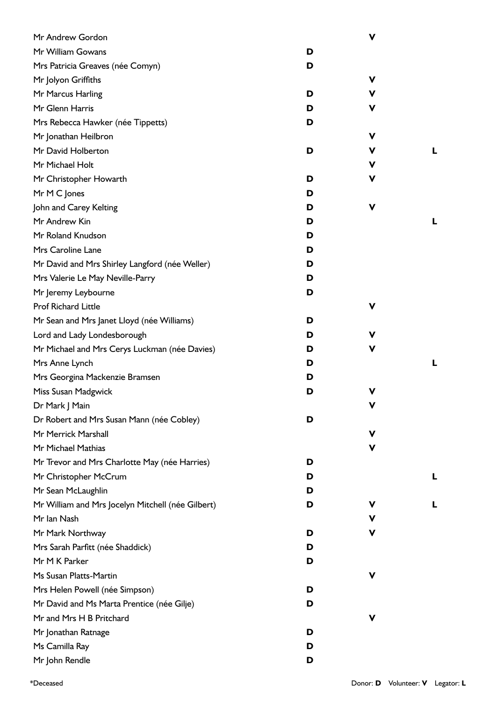| Mr Andrew Gordon                                  |   | $\mathbf v$ |   |
|---------------------------------------------------|---|-------------|---|
| Mr William Gowans                                 | D |             |   |
| Mrs Patricia Greaves (née Comyn)                  | D |             |   |
| Mr Jolyon Griffiths                               |   | ۷           |   |
| Mr Marcus Harling                                 | D | ۷           |   |
| Mr Glenn Harris                                   | D | V           |   |
| Mrs Rebecca Hawker (née Tippetts)                 | D |             |   |
| Mr Jonathan Heilbron                              |   | ۷           |   |
| Mr David Holberton                                | D | v           | L |
| Mr Michael Holt                                   |   | v           |   |
| Mr Christopher Howarth                            | D | V           |   |
| Mr M C Jones                                      | D |             |   |
| John and Carey Kelting                            | D | V           |   |
| Mr Andrew Kin                                     | D |             | L |
| Mr Roland Knudson                                 | D |             |   |
| Mrs Caroline Lane                                 | D |             |   |
| Mr David and Mrs Shirley Langford (née Weller)    | D |             |   |
| Mrs Valerie Le May Neville-Parry                  | D |             |   |
| Mr Jeremy Leybourne                               | D |             |   |
| <b>Prof Richard Little</b>                        |   | V           |   |
| Mr Sean and Mrs Janet Lloyd (née Williams)        | D |             |   |
| Lord and Lady Londesborough                       | D | v           |   |
| Mr Michael and Mrs Cerys Luckman (née Davies)     | D | v           |   |
| Mrs Anne Lynch                                    | D |             | L |
| Mrs Georgina Mackenzie Bramsen                    | D |             |   |
| Miss Susan Madgwick                               | D | V           |   |
| Dr Mark J Main                                    |   | v           |   |
| Dr Robert and Mrs Susan Mann (née Cobley)         | D |             |   |
| Mr Merrick Marshall                               |   | v           |   |
| Mr Michael Mathias                                |   | V           |   |
| Mr Trevor and Mrs Charlotte May (née Harries)     | D |             |   |
| Mr Christopher McCrum                             | D |             | L |
| Mr Sean McLaughlin                                | D |             |   |
| Mr William and Mrs Jocelyn Mitchell (née Gilbert) | D | v           | L |
| Mr Ian Nash                                       |   | v           |   |
| Mr Mark Northway                                  | D | v           |   |
| Mrs Sarah Parfitt (née Shaddick)                  | D |             |   |
| Mr M K Parker                                     | D |             |   |
| Ms Susan Platts-Martin                            |   | v           |   |
| Mrs Helen Powell (née Simpson)                    | D |             |   |
| Mr David and Ms Marta Prentice (née Gilje)        | D |             |   |
| Mr and Mrs H B Pritchard                          |   | V           |   |
| Mr Jonathan Ratnage                               | D |             |   |
| Ms Camilla Ray                                    | D |             |   |
| Mr John Rendle                                    | D |             |   |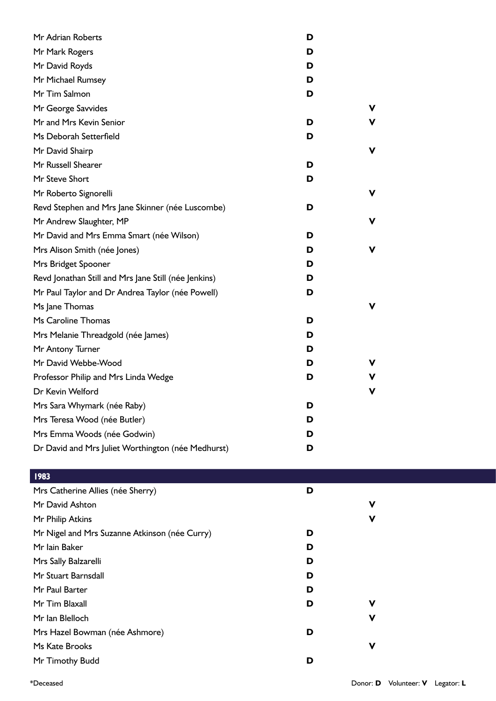| Mr Adrian Roberts                                    | D |   |
|------------------------------------------------------|---|---|
| Mr Mark Rogers                                       | D |   |
| Mr David Royds                                       | D |   |
| Mr Michael Rumsey                                    | D |   |
| Mr Tim Salmon                                        | D |   |
| Mr George Savvides                                   |   | v |
| Mr and Mrs Kevin Senior                              | D | v |
| Ms Deborah Setterfield                               | D |   |
| Mr David Shairp                                      |   | v |
| Mr Russell Shearer                                   | D |   |
| Mr Steve Short                                       | D |   |
| Mr Roberto Signorelli                                |   | v |
| Revd Stephen and Mrs Jane Skinner (née Luscombe)     | D |   |
| Mr Andrew Slaughter, MP                              |   | v |
| Mr David and Mrs Emma Smart (née Wilson)             | D |   |
| Mrs Alison Smith (née Jones)                         | D | v |
| Mrs Bridget Spooner                                  | D |   |
| Revd Jonathan Still and Mrs Jane Still (née Jenkins) | D |   |
| Mr Paul Taylor and Dr Andrea Taylor (née Powell)     | D |   |
| Ms Jane Thomas                                       |   | v |
| Ms Caroline Thomas                                   | D |   |
| Mrs Melanie Threadgold (née James)                   | D |   |
| Mr Antony Turner                                     | D |   |
| Mr David Webbe-Wood                                  | D | v |
| Professor Philip and Mrs Linda Wedge                 | D | v |
| Dr Kevin Welford                                     |   | ۷ |
| Mrs Sara Whymark (née Raby)                          | D |   |
| Mrs Teresa Wood (née Butler)                         | D |   |
| Mrs Emma Woods (née Godwin)                          | D |   |
| Dr David and Mrs Juliet Worthington (née Medhurst)   | D |   |

## 1983

| Mrs Catherine Allies (née Sherry)             | D |   |
|-----------------------------------------------|---|---|
| Mr David Ashton                               |   | V |
| Mr Philip Atkins                              |   | V |
| Mr Nigel and Mrs Suzanne Atkinson (née Curry) | D |   |
| Mr Iain Baker                                 | D |   |
| Mrs Sally Balzarelli                          | D |   |
| Mr Stuart Barnsdall                           | D |   |
| Mr Paul Barter                                | D |   |
| Mr Tim Blaxall                                | D | v |
| Mr Ian Blelloch                               |   | v |
| Mrs Hazel Bowman (née Ashmore)                | D |   |
| Ms Kate Brooks                                |   | V |
| Mr Timothy Budd                               | D |   |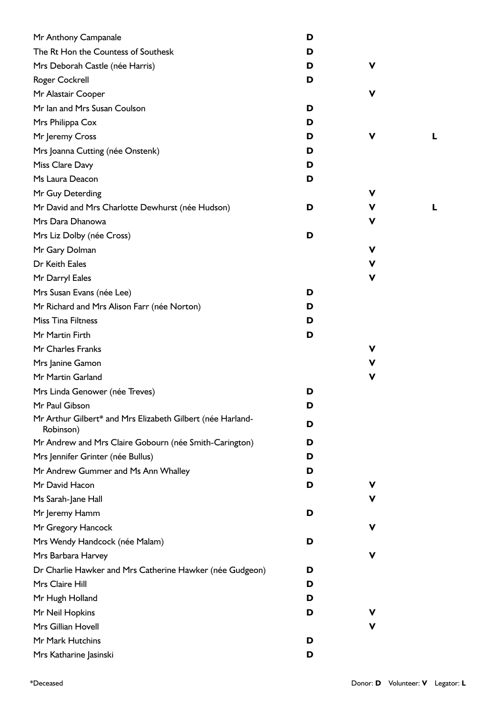| Mr Anthony Campanale                                                    | D |   |  |
|-------------------------------------------------------------------------|---|---|--|
| The Rt Hon the Countess of Southesk                                     | D |   |  |
| Mrs Deborah Castle (née Harris)                                         | D | ۷ |  |
| Roger Cockrell                                                          | D |   |  |
| Mr Alastair Cooper                                                      |   | ۷ |  |
| Mr Ian and Mrs Susan Coulson                                            | D |   |  |
| Mrs Philippa Cox                                                        | D |   |  |
| Mr Jeremy Cross                                                         | D | ۷ |  |
| Mrs Joanna Cutting (née Onstenk)                                        | D |   |  |
| Miss Clare Davy                                                         | D |   |  |
| Ms Laura Deacon                                                         | D |   |  |
| Mr Guy Deterding                                                        |   | ۷ |  |
| Mr David and Mrs Charlotte Dewhurst (née Hudson)                        | D | ۷ |  |
| Mrs Dara Dhanowa                                                        |   | V |  |
| Mrs Liz Dolby (née Cross)                                               | D |   |  |
| Mr Gary Dolman                                                          |   | ۷ |  |
| Dr Keith Eales                                                          |   | V |  |
| Mr Darryl Eales                                                         |   | V |  |
| Mrs Susan Evans (née Lee)                                               | D |   |  |
| Mr Richard and Mrs Alison Farr (née Norton)                             | D |   |  |
| <b>Miss Tina Filtness</b>                                               | D |   |  |
| Mr Martin Firth                                                         | D |   |  |
| Mr Charles Franks                                                       |   | V |  |
| Mrs Janine Gamon                                                        |   | ۷ |  |
| Mr Martin Garland                                                       |   | V |  |
| Mrs Linda Genower (née Treves)                                          | D |   |  |
| Mr Paul Gibson                                                          | D |   |  |
| Mr Arthur Gilbert* and Mrs Elizabeth Gilbert (née Harland-<br>Robinson) | D |   |  |
| Mr Andrew and Mrs Claire Gobourn (née Smith-Carington)                  | D |   |  |
| Mrs Jennifer Grinter (née Bullus)                                       | D |   |  |
| Mr Andrew Gummer and Ms Ann Whalley                                     | D |   |  |
| Mr David Hacon                                                          | D | ۷ |  |
| Ms Sarah-Jane Hall                                                      |   | ۷ |  |
| Mr Jeremy Hamm                                                          | D |   |  |
| Mr Gregory Hancock                                                      |   | V |  |
| Mrs Wendy Handcock (née Malam)                                          | D |   |  |
| Mrs Barbara Harvey                                                      |   | v |  |
| Dr Charlie Hawker and Mrs Catherine Hawker (née Gudgeon)                | D |   |  |
| Mrs Claire Hill                                                         | D |   |  |
| Mr Hugh Holland                                                         | D |   |  |
| Mr Neil Hopkins                                                         | D | ۷ |  |
| Mrs Gillian Hovell                                                      |   | ۷ |  |
| Mr Mark Hutchins                                                        | D |   |  |
| Mrs Katharine Jasinski                                                  | D |   |  |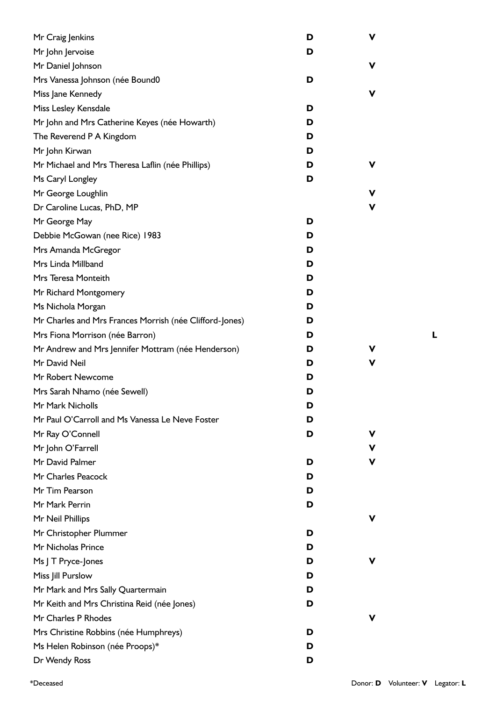| Mr Craig Jenkins                                        | D | V  |
|---------------------------------------------------------|---|----|
| Mr John Jervoise                                        | D |    |
| Mr Daniel Johnson                                       |   | ۷  |
| Mrs Vanessa Johnson (née Bound0                         | D |    |
| Miss Jane Kennedy                                       |   | v  |
| Miss Lesley Kensdale                                    | D |    |
| Mr John and Mrs Catherine Keyes (née Howarth)           | D |    |
| The Reverend P A Kingdom                                | D |    |
| Mr John Kirwan                                          | D |    |
| Mr Michael and Mrs Theresa Laflin (née Phillips)        | D | v  |
| Ms Caryl Longley                                        | D |    |
| Mr George Loughlin                                      |   | v  |
| Dr Caroline Lucas, PhD, MP                              |   | V  |
| Mr George May                                           | D |    |
| Debbie McGowan (nee Rice) 1983                          | D |    |
| Mrs Amanda McGregor                                     | D |    |
| Mrs Linda Millband                                      | D |    |
| Mrs Teresa Monteith                                     | D |    |
| Mr Richard Montgomery                                   | D |    |
| Ms Nichola Morgan                                       | D |    |
| Mr Charles and Mrs Frances Morrish (née Clifford-Jones) | D |    |
| Mrs Fiona Morrison (née Barron)                         | D |    |
| Mr Andrew and Mrs Jennifer Mottram (née Henderson)      | D | v  |
| Mr David Neil                                           | D | V  |
| Mr Robert Newcome                                       | D |    |
| Mrs Sarah Nhamo (née Sewell)                            | D |    |
| Mr Mark Nicholls                                        | D |    |
| Mr Paul O'Carroll and Ms Vanessa Le Neve Foster         | D |    |
| Mr Ray O'Connell                                        | D | v  |
| Mr John O'Farrell                                       |   | v. |
| Mr David Palmer                                         | D | v  |
| Mr Charles Peacock                                      | D |    |
| Mr Tim Pearson                                          | D |    |
| Mr Mark Perrin                                          | D |    |
| Mr Neil Phillips                                        |   | v. |
| Mr Christopher Plummer                                  | D |    |
| Mr Nicholas Prince                                      | D |    |
| Ms J T Pryce-Jones                                      | D | v  |
| Miss Jill Purslow                                       | D |    |
| Mr Mark and Mrs Sally Quartermain                       | D |    |
| Mr Keith and Mrs Christina Reid (née Jones)             | D |    |
| Mr Charles P Rhodes                                     |   | v  |
| Mrs Christine Robbins (née Humphreys)                   | D |    |
| Ms Helen Robinson (née Proops)*                         | D |    |
| Dr Wendy Ross                                           | D |    |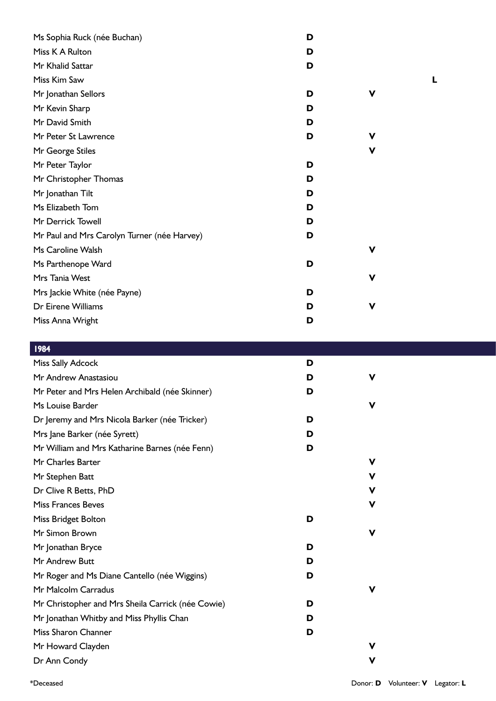| Ms Sophia Ruck (née Buchan)                 | D |             |  |
|---------------------------------------------|---|-------------|--|
| Miss K A Rulton                             | D |             |  |
| Mr Khalid Sattar                            | D |             |  |
| Miss Kim Saw                                |   |             |  |
| Mr Jonathan Sellors                         | D | V           |  |
| Mr Kevin Sharp                              | D |             |  |
| Mr David Smith                              | D |             |  |
| Mr Peter St Lawrence                        | D | V           |  |
| Mr George Stiles                            |   | V           |  |
| Mr Peter Taylor                             | D |             |  |
| Mr Christopher Thomas                       | D |             |  |
| Mr Jonathan Tilt                            | D |             |  |
| Ms Elizabeth Tom                            | D |             |  |
| Mr Derrick Towell                           | D |             |  |
| Mr Paul and Mrs Carolyn Turner (née Harvey) | D |             |  |
| Ms Caroline Walsh                           |   | V           |  |
| Ms Parthenope Ward                          | D |             |  |
| Mrs Tania West                              |   | V           |  |
| Mrs Jackie White (née Payne)                | D |             |  |
| Dr Eirene Williams                          | D | $\mathbf v$ |  |
| Miss Anna Wright                            | D |             |  |
|                                             |   |             |  |

| 1984 |    |
|------|----|
|      | тł |
|      |    |

| <b>Miss Sally Adcock</b>                          | D |             |  |
|---------------------------------------------------|---|-------------|--|
| Mr Andrew Anastasiou                              | D | $\mathbf v$ |  |
| Mr Peter and Mrs Helen Archibald (née Skinner)    | D |             |  |
| Ms Louise Barder                                  |   | V           |  |
| Dr Jeremy and Mrs Nicola Barker (née Tricker)     | D |             |  |
| Mrs Jane Barker (née Syrett)                      | D |             |  |
| Mr William and Mrs Katharine Barnes (née Fenn)    | D |             |  |
| Mr Charles Barter                                 |   | v           |  |
| Mr Stephen Batt                                   |   | V           |  |
| Dr Clive R Betts, PhD                             |   | v           |  |
| <b>Miss Frances Beves</b>                         |   | V           |  |
| Miss Bridget Bolton                               | D |             |  |
| Mr Simon Brown                                    |   | $\mathbf v$ |  |
| Mr Jonathan Bryce                                 | D |             |  |
| Mr Andrew Butt                                    | D |             |  |
| Mr Roger and Ms Diane Cantello (née Wiggins)      | D |             |  |
| Mr Malcolm Carradus                               |   | V           |  |
| Mr Christopher and Mrs Sheila Carrick (née Cowie) | D |             |  |
| Mr Jonathan Whitby and Miss Phyllis Chan          | D |             |  |
| Miss Sharon Channer                               | D |             |  |
| Mr Howard Clayden                                 |   | $\mathbf v$ |  |
| Dr Ann Condy                                      |   | V           |  |
|                                                   |   |             |  |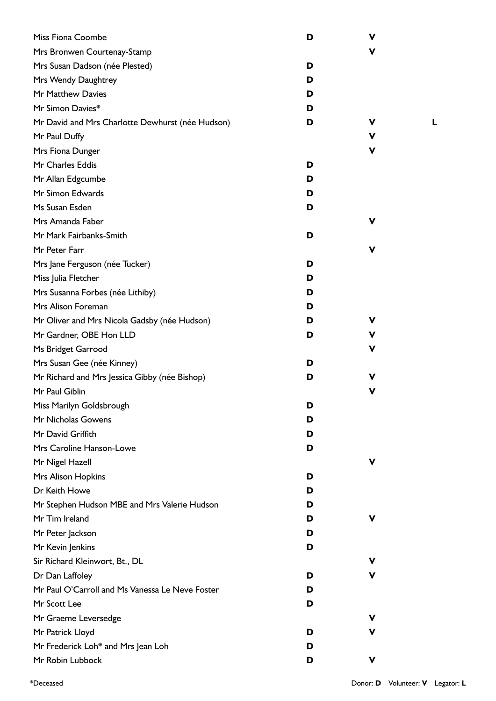| Miss Fiona Coombe                                | D | V |
|--------------------------------------------------|---|---|
| Mrs Bronwen Courtenay-Stamp                      |   | V |
| Mrs Susan Dadson (née Plested)                   | D |   |
| Mrs Wendy Daughtrey                              | D |   |
| Mr Matthew Davies                                | D |   |
| Mr Simon Davies*                                 | D |   |
| Mr David and Mrs Charlotte Dewhurst (née Hudson) | D | v |
| Mr Paul Duffy                                    |   | V |
| Mrs Fiona Dunger                                 |   | V |
| Mr Charles Eddis                                 | D |   |
| Mr Allan Edgcumbe                                | D |   |
| Mr Simon Edwards                                 | D |   |
| Ms Susan Esden                                   | D |   |
| Mrs Amanda Faber                                 |   | v |
| Mr Mark Fairbanks-Smith                          | D |   |
| Mr Peter Farr                                    |   | v |
| Mrs Jane Ferguson (née Tucker)                   | D |   |
| Miss Julia Fletcher                              | D |   |
| Mrs Susanna Forbes (née Lithiby)                 | D |   |
| Mrs Alison Foreman                               | D |   |
| Mr Oliver and Mrs Nicola Gadsby (née Hudson)     | D | v |
| Mr Gardner, OBE Hon LLD                          | D | ۷ |
| Ms Bridget Garrood                               |   | V |
| Mrs Susan Gee (née Kinney)                       | D |   |
| Mr Richard and Mrs Jessica Gibby (née Bishop)    | D |   |
| Mr Paul Giblin                                   |   | v |
| Miss Marilyn Goldsbrough                         | D |   |
| Mr Nicholas Gowens                               | D |   |
| Mr David Griffith                                | D |   |
| Mrs Caroline Hanson-Lowe                         | D |   |
| Mr Nigel Hazell                                  |   | ۷ |
| Mrs Alison Hopkins                               | D |   |
| Dr Keith Howe                                    | D |   |
| Mr Stephen Hudson MBE and Mrs Valerie Hudson     | D |   |
| Mr Tim Ireland                                   | D | v |
| Mr Peter Jackson                                 | D |   |
| Mr Kevin Jenkins                                 | D |   |
| Sir Richard Kleinwort, Bt., DL                   |   | ۷ |
| Dr Dan Laffoley                                  | D | v |
| Mr Paul O'Carroll and Ms Vanessa Le Neve Foster  | D |   |
| Mr Scott Lee                                     | D |   |
| Mr Graeme Leversedge                             |   | v |
| Mr Patrick Lloyd                                 | D | v |
| Mr Frederick Loh* and Mrs Jean Loh               | D |   |
| Mr Robin Lubbock                                 | D | v |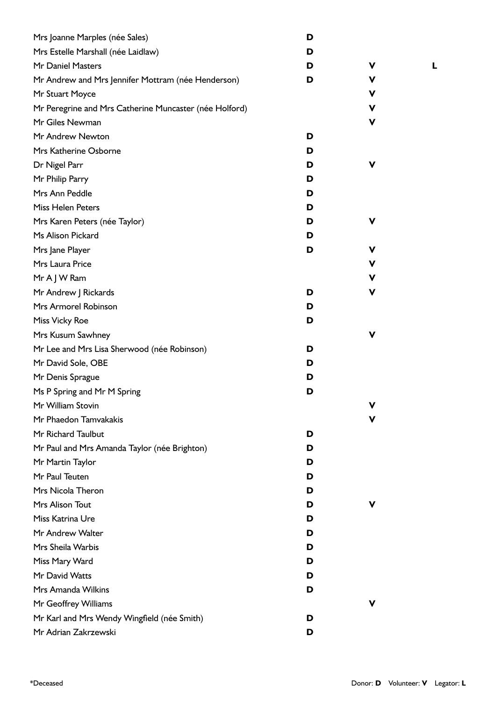| Mrs Joanne Marples (née Sales)                         | D |             |  |
|--------------------------------------------------------|---|-------------|--|
| Mrs Estelle Marshall (née Laidlaw)                     | D |             |  |
| Mr Daniel Masters                                      | D | v           |  |
| Mr Andrew and Mrs Jennifer Mottram (née Henderson)     | D | v           |  |
| Mr Stuart Moyce                                        |   | V           |  |
| Mr Peregrine and Mrs Catherine Muncaster (née Holford) |   | V           |  |
| Mr Giles Newman                                        |   | $\mathbf v$ |  |
| Mr Andrew Newton                                       | D |             |  |
| Mrs Katherine Osborne                                  | D |             |  |
| Dr Nigel Parr                                          | D | V           |  |
| Mr Philip Parry                                        | D |             |  |
| Mrs Ann Peddle                                         | D |             |  |
| Miss Helen Peters                                      | D |             |  |
| Mrs Karen Peters (née Taylor)                          | D | V           |  |
| Ms Alison Pickard                                      | D |             |  |
| Mrs Jane Player                                        | D | v           |  |
| Mrs Laura Price                                        |   | V           |  |
| Mr A J W Ram                                           |   | V           |  |
| Mr Andrew J Rickards                                   | D | V           |  |
| Mrs Armorel Robinson                                   | D |             |  |
| Miss Vicky Roe                                         | D |             |  |
| Mrs Kusum Sawhney                                      |   | V           |  |
| Mr Lee and Mrs Lisa Sherwood (née Robinson)            | D |             |  |
| Mr David Sole, OBE                                     | D |             |  |
| Mr Denis Sprague                                       | D |             |  |
| Ms P Spring and Mr M Spring                            | D |             |  |
| Mr William Stovin                                      |   | v           |  |
| Mr Phaedon Tamvakakis                                  |   | v           |  |
| Mr Richard Taulbut                                     | D |             |  |
| Mr Paul and Mrs Amanda Taylor (née Brighton)           | D |             |  |
| Mr Martin Taylor                                       | D |             |  |
| Mr Paul Teuten                                         | D |             |  |
| Mrs Nicola Theron                                      | D |             |  |
| Mrs Alison Tout                                        | D | V           |  |
| Miss Katrina Ure                                       | D |             |  |
| Mr Andrew Walter                                       | D |             |  |
| Mrs Sheila Warbis                                      | D |             |  |
| Miss Mary Ward                                         | D |             |  |
| Mr David Watts                                         | D |             |  |
| Mrs Amanda Wilkins                                     | D |             |  |
| Mr Geoffrey Williams                                   |   | V           |  |
| Mr Karl and Mrs Wendy Wingfield (née Smith)            | D |             |  |
| Mr Adrian Zakrzewski                                   | D |             |  |

\*Deceased Donor: **D** Volunteer: **V** Legator: **L**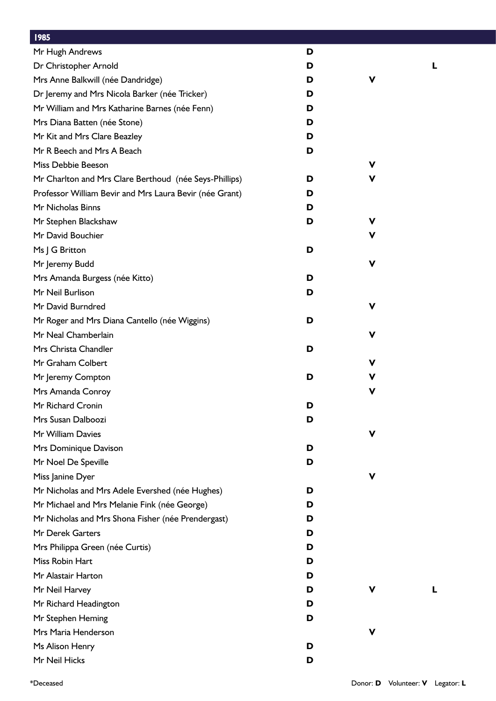| 1985                                                    |   |             |   |
|---------------------------------------------------------|---|-------------|---|
| Mr Hugh Andrews                                         | D |             |   |
| Dr Christopher Arnold                                   | D |             | L |
| Mrs Anne Balkwill (née Dandridge)                       | D | ۷           |   |
| Dr Jeremy and Mrs Nicola Barker (née Tricker)           | D |             |   |
| Mr William and Mrs Katharine Barnes (née Fenn)          | D |             |   |
| Mrs Diana Batten (née Stone)                            | D |             |   |
| Mr Kit and Mrs Clare Beazley                            | D |             |   |
| Mr R Beech and Mrs A Beach                              | D |             |   |
| Miss Debbie Beeson                                      |   | ۷           |   |
| Mr Charlton and Mrs Clare Berthoud (née Seys-Phillips)  | D | ۷           |   |
| Professor William Bevir and Mrs Laura Bevir (née Grant) | D |             |   |
| Mr Nicholas Binns                                       | D |             |   |
| Mr Stephen Blackshaw                                    | D | ۷           |   |
| Mr David Bouchier                                       |   | ۷           |   |
| Ms J G Britton                                          | D |             |   |
| Mr Jeremy Budd                                          |   | V           |   |
| Mrs Amanda Burgess (née Kitto)                          | D |             |   |
| Mr Neil Burlison                                        | D |             |   |
| Mr David Burndred                                       |   | V           |   |
| Mr Roger and Mrs Diana Cantello (née Wiggins)           | D |             |   |
| Mr Neal Chamberlain                                     |   | v           |   |
| Mrs Christa Chandler                                    | D |             |   |
| Mr Graham Colbert                                       |   | V           |   |
| Mr Jeremy Compton                                       | D | V           |   |
| Mrs Amanda Conroy                                       |   | V           |   |
| Mr Richard Cronin                                       | D |             |   |
| Mrs Susan Dalboozi                                      | D |             |   |
| Mr William Davies                                       |   | $\mathbf v$ |   |
| Mrs Dominique Davison                                   | D |             |   |
| Mr Noel De Speville                                     | D |             |   |
| Miss Janine Dyer                                        |   | ۷           |   |
| Mr Nicholas and Mrs Adele Evershed (née Hughes)         | D |             |   |
| Mr Michael and Mrs Melanie Fink (née George)            | D |             |   |
| Mr Nicholas and Mrs Shona Fisher (née Prendergast)      | D |             |   |
| Mr Derek Garters                                        | D |             |   |
| Mrs Philippa Green (née Curtis)                         | D |             |   |
| Miss Robin Hart                                         | D |             |   |
| Mr Alastair Harton                                      | D |             |   |
| Mr Neil Harvey                                          | D | v           | L |
| Mr Richard Headington                                   | D |             |   |
| Mr Stephen Heming                                       | D |             |   |
| Mrs Maria Henderson                                     |   | v           |   |
| Ms Alison Henry                                         | D |             |   |
| Mr Neil Hicks                                           | D |             |   |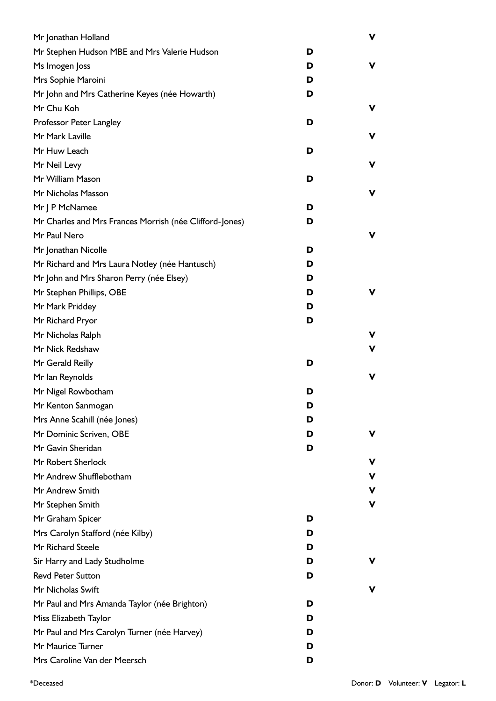| Mr Jonathan Holland                                     |   | $\mathbf v$ |
|---------------------------------------------------------|---|-------------|
| Mr Stephen Hudson MBE and Mrs Valerie Hudson            | D |             |
| Ms Imogen Joss                                          | D | ۷           |
| Mrs Sophie Maroini                                      | D |             |
| Mr John and Mrs Catherine Keyes (née Howarth)           | D |             |
| Mr Chu Koh                                              |   | V           |
| Professor Peter Langley                                 | D |             |
| Mr Mark Laville                                         |   | V           |
| Mr Huw Leach                                            | D |             |
| Mr Neil Levy                                            |   | V           |
| Mr William Mason                                        | D |             |
| Mr Nicholas Masson                                      |   | V           |
| Mr J P McNamee                                          | D |             |
| Mr Charles and Mrs Frances Morrish (née Clifford-Jones) | D |             |
| Mr Paul Nero                                            |   | ۷           |
| Mr Jonathan Nicolle                                     | D |             |
| Mr Richard and Mrs Laura Notley (née Hantusch)          | D |             |
| Mr John and Mrs Sharon Perry (née Elsey)                | D |             |
| Mr Stephen Phillips, OBE                                | D | ۷           |
| Mr Mark Priddey                                         | D |             |
| Mr Richard Pryor                                        | D |             |
| Mr Nicholas Ralph                                       |   | ۷           |
| Mr Nick Redshaw                                         |   | $\mathbf v$ |
| Mr Gerald Reilly                                        | D |             |
| Mr Ian Reynolds                                         |   | V           |
| Mr Nigel Rowbotham                                      | D |             |
| Mr Kenton Sanmogan                                      | D |             |
| Mrs Anne Scahill (née Jones)                            | D |             |
| Mr Dominic Scriven, OBE                                 | D | v           |
| Mr Gavin Sheridan                                       | D |             |
| Mr Robert Sherlock                                      |   | v           |
| Mr Andrew Shufflebotham                                 |   | ۷           |
| Mr Andrew Smith                                         |   | V           |
| Mr Stephen Smith                                        |   | V           |
| Mr Graham Spicer                                        | D |             |
| Mrs Carolyn Stafford (née Kilby)                        | D |             |
| Mr Richard Steele                                       | D |             |
| Sir Harry and Lady Studholme                            | D | v           |
| <b>Revd Peter Sutton</b>                                | D |             |
| Mr Nicholas Swift                                       |   | v           |
| Mr Paul and Mrs Amanda Taylor (née Brighton)            | D |             |
| Miss Elizabeth Taylor                                   | D |             |
| Mr Paul and Mrs Carolyn Turner (née Harvey)             | D |             |
| Mr Maurice Turner                                       | D |             |
| Mrs Caroline Van der Meersch                            | D |             |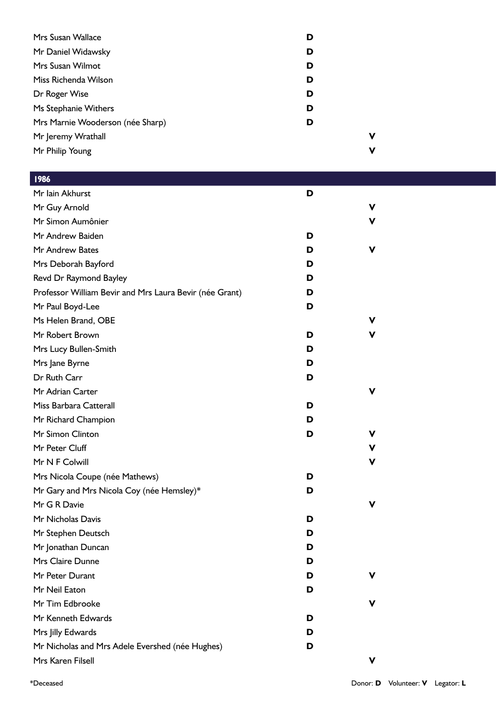| Mrs Susan Wallace                | D |   |
|----------------------------------|---|---|
| Mr Daniel Widawsky               | D |   |
| Mrs Susan Wilmot                 | D |   |
| Miss Richenda Wilson             | D |   |
| Dr Roger Wise                    | D |   |
| Ms Stephanie Withers             | D |   |
| Mrs Marnie Wooderson (née Sharp) | D |   |
| Mr Jeremy Wrathall               |   | ٧ |
| Mr Philip Young                  |   | ν |
|                                  |   |   |

| <b>1986</b>                                             |   |             |
|---------------------------------------------------------|---|-------------|
| Mr Iain Akhurst                                         | D |             |
| Mr Guy Arnold                                           |   | $\mathbf v$ |
| Mr Simon Aumônier                                       |   | $\mathbf v$ |
| Mr Andrew Baiden                                        | D |             |
| Mr Andrew Bates                                         | D | V           |
| Mrs Deborah Bayford                                     | D |             |
| Revd Dr Raymond Bayley                                  | D |             |
| Professor William Bevir and Mrs Laura Bevir (née Grant) | D |             |
| Mr Paul Boyd-Lee                                        | D |             |
| Ms Helen Brand, OBE                                     |   | V           |
| Mr Robert Brown                                         | D | V           |
| Mrs Lucy Bullen-Smith                                   | D |             |
| Mrs Jane Byrne                                          | D |             |
| Dr Ruth Carr                                            | D |             |
| Mr Adrian Carter                                        |   | $\mathbf v$ |
| Miss Barbara Catterall                                  | D |             |
| Mr Richard Champion                                     | D |             |
| Mr Simon Clinton                                        | D | V           |
| Mr Peter Cluff                                          |   | V           |
| Mr N F Colwill                                          |   | $\mathbf v$ |
| Mrs Nicola Coupe (née Mathews)                          | D |             |
| Mr Gary and Mrs Nicola Coy (née Hemsley)*               | D |             |
| Mr G R Davie                                            |   | V           |
| Mr Nicholas Davis                                       | D |             |
| Mr Stephen Deutsch                                      | D |             |
| Mr Jonathan Duncan                                      | D |             |
| Mrs Claire Dunne                                        | D |             |
| Mr Peter Durant                                         | D | V           |
| Mr Neil Eaton                                           | D |             |
| Mr Tim Edbrooke                                         |   | V           |
| Mr Kenneth Edwards                                      | D |             |
| Mrs Jilly Edwards                                       | D |             |
| Mr Nicholas and Mrs Adele Evershed (née Hughes)         | D |             |
| Mrs Karen Filsell                                       |   | V           |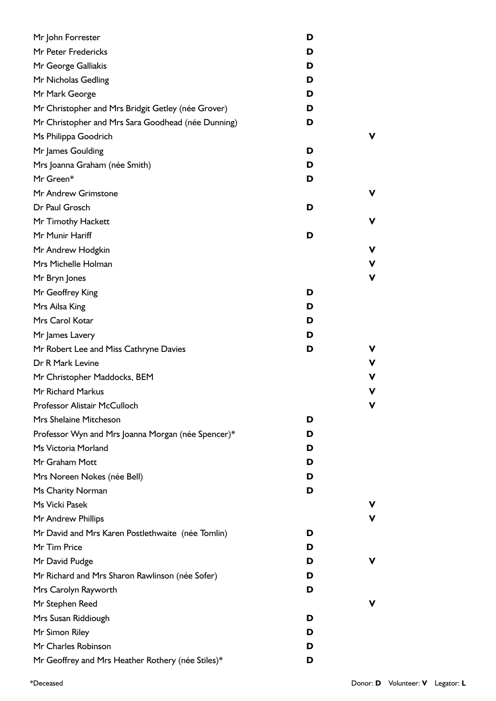| Mr John Forrester                                  | D      |
|----------------------------------------------------|--------|
| Mr Peter Fredericks                                | D      |
| Mr George Galliakis                                | D      |
| Mr Nicholas Gedling                                | D      |
| Mr Mark George                                     | D      |
| Mr Christopher and Mrs Bridgit Getley (née Grover) | D      |
| Mr Christopher and Mrs Sara Goodhead (née Dunning) | D      |
| Ms Philippa Goodrich                               |        |
| Mr James Goulding                                  | D      |
| Mrs Joanna Graham (née Smith)                      | D      |
| Mr Green*                                          | D      |
| Mr Andrew Grimstone                                | ν      |
| Dr Paul Grosch                                     | D      |
| Mr Timothy Hackett                                 | ν      |
| Mr Munir Hariff                                    | D      |
| Mr Andrew Hodgkin                                  | ν      |
| Mrs Michelle Holman                                | ν      |
| Mr Bryn Jones                                      | ٧      |
| Mr Geoffrey King                                   | D      |
| Mrs Ailsa King                                     | D      |
| Mrs Carol Kotar                                    | D      |
| Mr James Lavery                                    | D      |
| Mr Robert Lee and Miss Cathryne Davies             | D      |
| Dr R Mark Levine                                   | ٧      |
| Mr Christopher Maddocks, BEM                       |        |
| Mr Richard Markus                                  | ν      |
| <b>Professor Alistair McCulloch</b>                |        |
| Mrs Shelaine Mitcheson                             | D      |
| Professor Wyn and Mrs Joanna Morgan (née Spencer)* | D      |
| Ms Victoria Morland                                | D      |
| Mr Graham Mott                                     | D      |
| Mrs Noreen Nokes (née Bell)                        | D      |
| Ms Charity Norman                                  | D      |
| Ms Vicki Pasek                                     |        |
| Mr Andrew Phillips                                 |        |
| Mr David and Mrs Karen Postlethwaite (née Tomlin)  | D      |
| Mr Tim Price                                       | D      |
| Mr David Pudge                                     | D<br>ν |
| Mr Richard and Mrs Sharon Rawlinson (née Sofer)    | D      |
| Mrs Carolyn Rayworth                               | D      |
| Mr Stephen Reed                                    |        |
| Mrs Susan Riddiough                                | D      |
| Mr Simon Riley                                     | D      |
| Mr Charles Robinson                                | D      |
| Mr Geoffrey and Mrs Heather Rothery (née Stiles)*  | D      |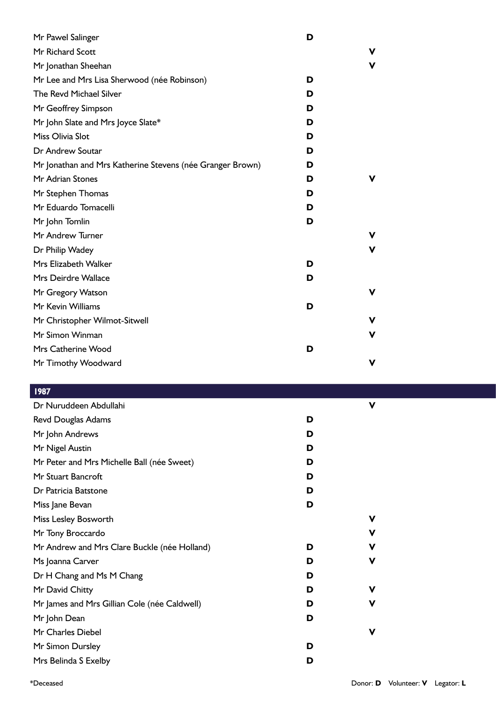| Mr Pawel Salinger                                         | D |   |
|-----------------------------------------------------------|---|---|
| Mr Richard Scott                                          |   | v |
| Mr Jonathan Sheehan                                       |   | V |
| Mr Lee and Mrs Lisa Sherwood (née Robinson)               | D |   |
| The Revd Michael Silver                                   | D |   |
| Mr Geoffrey Simpson                                       | D |   |
| Mr John Slate and Mrs Joyce Slate*                        | D |   |
| Miss Olivia Slot                                          | D |   |
| Dr Andrew Soutar                                          | D |   |
| Mr Jonathan and Mrs Katherine Stevens (née Granger Brown) | D |   |
| Mr Adrian Stones                                          | D | v |
| Mr Stephen Thomas                                         | D |   |
| Mr Eduardo Tomacelli                                      | D |   |
| Mr John Tomlin                                            | D |   |
| Mr Andrew Turner                                          |   |   |
| Dr Philip Wadey                                           |   | v |
| Mrs Elizabeth Walker                                      | D |   |
| Mrs Deirdre Wallace                                       | D |   |
| Mr Gregory Watson                                         |   | v |
| Mr Kevin Williams                                         | D |   |
| Mr Christopher Wilmot-Sitwell                             |   | v |
| Mr Simon Winman                                           |   | v |
| Mrs Catherine Wood                                        | D |   |
| Mr Timothy Woodward                                       |   | v |

|   | V |  |
|---|---|--|
| D |   |  |
| D |   |  |
| D |   |  |
| D |   |  |
| D |   |  |
| D |   |  |
| D |   |  |
|   | V |  |
|   | v |  |
| D | ν |  |
| D | V |  |
| D |   |  |
| D | V |  |
| D | V |  |
| D |   |  |
|   | V |  |
| D |   |  |
| D |   |  |
|   |   |  |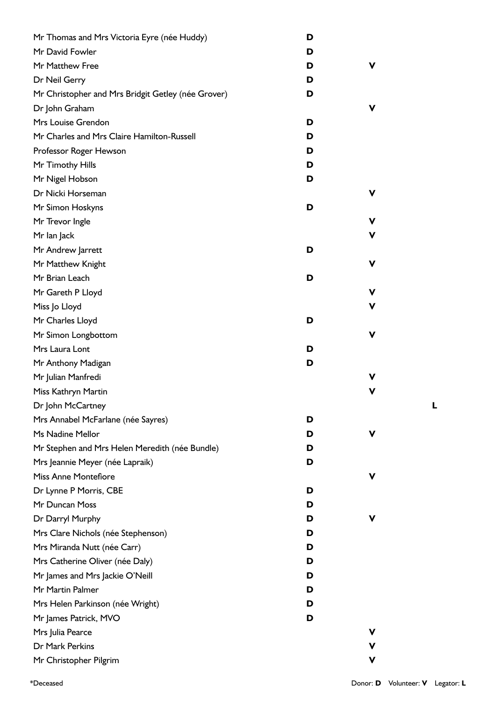| Mr Thomas and Mrs Victoria Eyre (née Huddy)        | D |   |
|----------------------------------------------------|---|---|
| Mr David Fowler                                    | D |   |
| Mr Matthew Free                                    | D | ۷ |
| Dr Neil Gerry                                      | D |   |
| Mr Christopher and Mrs Bridgit Getley (née Grover) | D |   |
| Dr John Graham                                     |   | ۷ |
| Mrs Louise Grendon                                 | D |   |
| Mr Charles and Mrs Claire Hamilton-Russell         | D |   |
| Professor Roger Hewson                             | D |   |
| Mr Timothy Hills                                   | D |   |
| Mr Nigel Hobson                                    | D |   |
| Dr Nicki Horseman                                  |   | V |
| Mr Simon Hoskyns                                   | D |   |
| Mr Trevor Ingle                                    |   | V |
| Mr lan Jack                                        |   | ۷ |
| Mr Andrew Jarrett                                  | D |   |
| Mr Matthew Knight                                  |   | V |
| Mr Brian Leach                                     | D |   |
| Mr Gareth P Lloyd                                  |   | V |
| Miss Jo Lloyd                                      |   | v |
| Mr Charles Lloyd                                   | D |   |
| Mr Simon Longbottom                                |   | V |
| Mrs Laura Lont                                     | D |   |
| Mr Anthony Madigan                                 | D |   |
| Mr Julian Manfredi                                 |   | ۷ |
| Miss Kathryn Martin                                |   | v |
| Dr John McCartney                                  |   |   |
| Mrs Annabel McFarlane (née Sayres)                 | D |   |
| Ms Nadine Mellor                                   | D | v |
| Mr Stephen and Mrs Helen Meredith (née Bundle)     | D |   |
| Mrs Jeannie Meyer (née Lapraik)                    | D |   |
| <b>Miss Anne Montefiore</b>                        |   | v |
| Dr Lynne P Morris, CBE                             | D |   |
| Mr Duncan Moss                                     | D |   |
| Dr Darryl Murphy                                   | D | v |
| Mrs Clare Nichols (née Stephenson)                 | D |   |
| Mrs Miranda Nutt (née Carr)                        | D |   |
| Mrs Catherine Oliver (née Daly)                    | D |   |
| Mr James and Mrs Jackie O'Neill                    | D |   |
| Mr Martin Palmer                                   | D |   |
| Mrs Helen Parkinson (née Wright)                   | D |   |
| Mr James Patrick, MVO                              | D |   |
| Mrs Julia Pearce                                   |   | v |
| Dr Mark Perkins                                    |   | ۷ |
| Mr Christopher Pilgrim                             |   | V |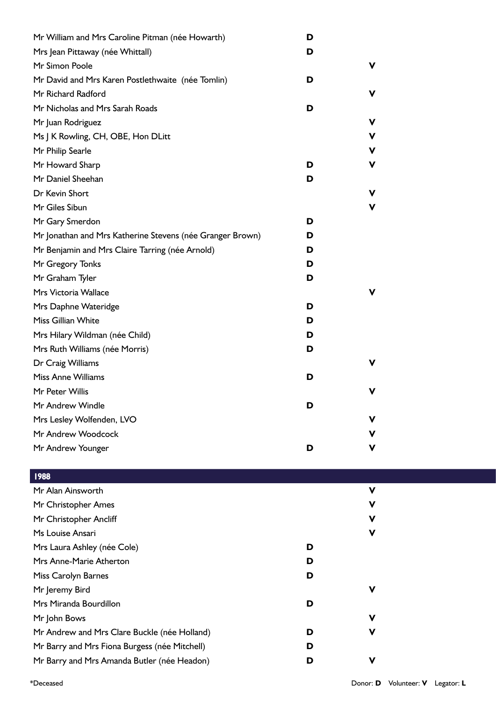| Mr William and Mrs Caroline Pitman (née Howarth)          | D |   |
|-----------------------------------------------------------|---|---|
| Mrs Jean Pittaway (née Whittall)                          | D |   |
| Mr Simon Poole                                            |   | v |
| Mr David and Mrs Karen Postlethwaite (née Tomlin)         | D |   |
| Mr Richard Radford                                        |   | v |
| Mr Nicholas and Mrs Sarah Roads                           | D |   |
| Mr Juan Rodriguez                                         |   | v |
| Ms J K Rowling, CH, OBE, Hon DLitt                        |   | v |
| Mr Philip Searle                                          |   | v |
| Mr Howard Sharp                                           | D | v |
| Mr Daniel Sheehan                                         | D |   |
| Dr Kevin Short                                            |   | v |
| Mr Giles Sibun                                            |   | v |
| Mr Gary Smerdon                                           | D |   |
| Mr Jonathan and Mrs Katherine Stevens (née Granger Brown) | D |   |
| Mr Benjamin and Mrs Claire Tarring (née Arnold)           | D |   |
| Mr Gregory Tonks                                          | D |   |
| Mr Graham Tyler                                           | D |   |
| Mrs Victoria Wallace                                      |   | v |
| Mrs Daphne Wateridge                                      | D |   |
| Miss Gillian White                                        | D |   |
| Mrs Hilary Wildman (née Child)                            | D |   |
| Mrs Ruth Williams (née Morris)                            | D |   |
| Dr Craig Williams                                         |   |   |
| <b>Miss Anne Williams</b>                                 | D |   |
| Mr Peter Willis                                           |   | v |
| Mr Andrew Windle                                          | D |   |
| Mrs Lesley Wolfenden, LVO                                 |   | v |
| Mr Andrew Woodcock                                        |   | v |
| Mr Andrew Younger                                         | D | v |

| 1988                                          |   |             |
|-----------------------------------------------|---|-------------|
| Mr Alan Ainsworth                             |   | $\mathbf v$ |
| Mr Christopher Ames                           |   | V           |
| Mr Christopher Ancliff                        |   | V           |
| Ms Louise Ansari                              |   | V           |
| Mrs Laura Ashley (née Cole)                   | D |             |
| Mrs Anne-Marie Atherton                       | D |             |
| Miss Carolyn Barnes                           | D |             |
| Mr Jeremy Bird                                |   | V           |
| Mrs Miranda Bourdillon                        | D |             |
| Mr John Bows                                  |   | V           |
| Mr Andrew and Mrs Clare Buckle (née Holland)  | D | V           |
| Mr Barry and Mrs Fiona Burgess (née Mitchell) | D |             |
| Mr Barry and Mrs Amanda Butler (née Headon)   | D | V           |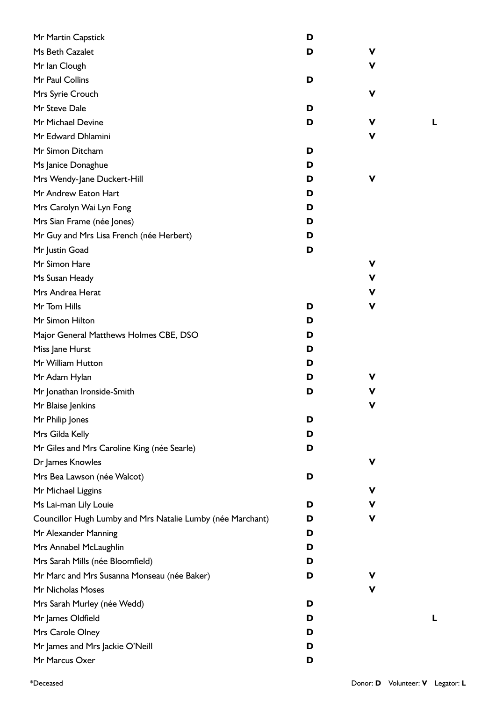| Mr Martin Capstick                                         | D |   |  |
|------------------------------------------------------------|---|---|--|
| Ms Beth Cazalet                                            | D | ۷ |  |
| Mr Ian Clough                                              |   | ۷ |  |
| Mr Paul Collins                                            | D |   |  |
| Mrs Syrie Crouch                                           |   | V |  |
| Mr Steve Dale                                              | D |   |  |
| Mr Michael Devine                                          | D | V |  |
| Mr Edward Dhlamini                                         |   | V |  |
| Mr Simon Ditcham                                           | D |   |  |
| Ms Janice Donaghue                                         | D |   |  |
| Mrs Wendy-Jane Duckert-Hill                                | D | V |  |
| Mr Andrew Eaton Hart                                       | D |   |  |
| Mrs Carolyn Wai Lyn Fong                                   | D |   |  |
| Mrs Sian Frame (née Jones)                                 | D |   |  |
| Mr Guy and Mrs Lisa French (née Herbert)                   | D |   |  |
| Mr Justin Goad                                             | D |   |  |
| Mr Simon Hare                                              |   | ۷ |  |
| Ms Susan Heady                                             |   | ۷ |  |
| Mrs Andrea Herat                                           |   | ۷ |  |
| Mr Tom Hills                                               | D | V |  |
| Mr Simon Hilton                                            | D |   |  |
| Major General Matthews Holmes CBE, DSO                     | D |   |  |
| Miss Jane Hurst                                            | D |   |  |
| Mr William Hutton                                          | D |   |  |
| Mr Adam Hylan                                              | D | v |  |
| Mr Jonathan Ironside-Smith                                 | D | V |  |
| Mr Blaise Jenkins                                          |   | V |  |
| Mr Philip Jones                                            | D |   |  |
| Mrs Gilda Kelly                                            | D |   |  |
| Mr Giles and Mrs Caroline King (née Searle)                | D |   |  |
| Dr James Knowles                                           |   | V |  |
| Mrs Bea Lawson (née Walcot)                                | D |   |  |
| Mr Michael Liggins                                         |   | ۷ |  |
| Ms Lai-man Lily Louie                                      | D | ۷ |  |
| Councillor Hugh Lumby and Mrs Natalie Lumby (née Marchant) | D | ۷ |  |
| Mr Alexander Manning                                       | D |   |  |
| Mrs Annabel McLaughlin                                     | D |   |  |
| Mrs Sarah Mills (née Bloomfield)                           | D |   |  |
| Mr Marc and Mrs Susanna Monseau (née Baker)                | D | ۷ |  |
| Mr Nicholas Moses                                          |   | ۷ |  |
| Mrs Sarah Murley (née Wedd)                                | D |   |  |
| Mr James Oldfield                                          | D |   |  |
| Mrs Carole Olney                                           | D |   |  |
| Mr James and Mrs Jackie O'Neill                            | D |   |  |
| Mr Marcus Oxer                                             | D |   |  |
|                                                            |   |   |  |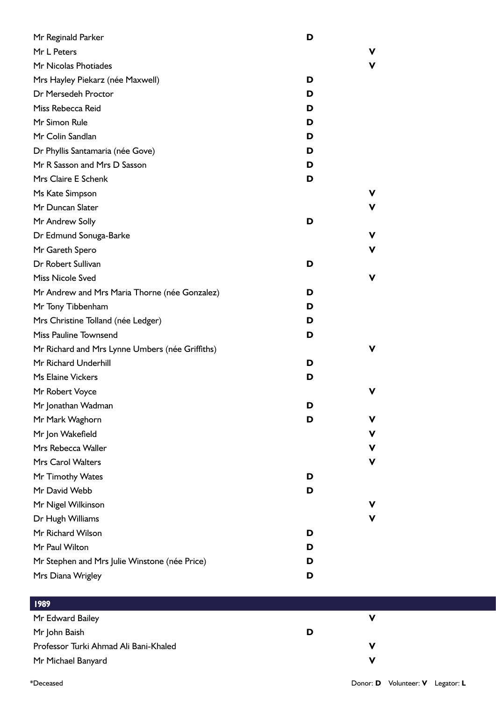| Mr Reginald Parker                              | D |   |
|-------------------------------------------------|---|---|
| Mr L Peters                                     |   |   |
| Mr Nicolas Photiades                            |   | v |
| Mrs Hayley Piekarz (née Maxwell)                | D |   |
| Dr Mersedeh Proctor                             | D |   |
| Miss Rebecca Reid                               | D |   |
| Mr Simon Rule                                   | D |   |
| Mr Colin Sandlan                                | D |   |
| Dr Phyllis Santamaria (née Gove)                | D |   |
| Mr R Sasson and Mrs D Sasson                    | D |   |
| Mrs Claire E Schenk                             | D |   |
| Ms Kate Simpson                                 |   | v |
| Mr Duncan Slater                                |   | v |
| Mr Andrew Solly                                 | D |   |
| Dr Edmund Sonuga-Barke                          |   | ۷ |
| Mr Gareth Spero                                 |   | v |
| Dr Robert Sullivan                              | D |   |
| <b>Miss Nicole Sved</b>                         |   | v |
| Mr Andrew and Mrs Maria Thorne (née Gonzalez)   | D |   |
| Mr Tony Tibbenham                               | D |   |
| Mrs Christine Tolland (née Ledger)              | D |   |
| <b>Miss Pauline Townsend</b>                    | D |   |
| Mr Richard and Mrs Lynne Umbers (née Griffiths) |   | v |
| Mr Richard Underhill                            | D |   |
| <b>Ms Elaine Vickers</b>                        | D |   |
| Mr Robert Voyce                                 |   |   |
| Mr Jonathan Wadman                              | D |   |
| Mr Mark Waghorn                                 | D | v |
| Mr Jon Wakefield                                |   | ۷ |
| Mrs Rebecca Waller                              |   | ۷ |
| <b>Mrs Carol Walters</b>                        |   | ۷ |
| Mr Timothy Wates                                | D |   |
| Mr David Webb                                   | D |   |
| Mr Nigel Wilkinson                              |   |   |
| Dr Hugh Williams                                |   |   |
| Mr Richard Wilson                               | D |   |
| Mr Paul Wilton                                  | D |   |
| Mr Stephen and Mrs Julie Winstone (née Price)   | D |   |
| Mrs Diana Wrigley                               | D |   |
|                                                 |   |   |

| 1989                                  |   |  |
|---------------------------------------|---|--|
| Mr Edward Bailey                      |   |  |
| Mr John Baish                         | D |  |
| Professor Turki Ahmad Ali Bani-Khaled |   |  |
| Mr Michael Banyard                    |   |  |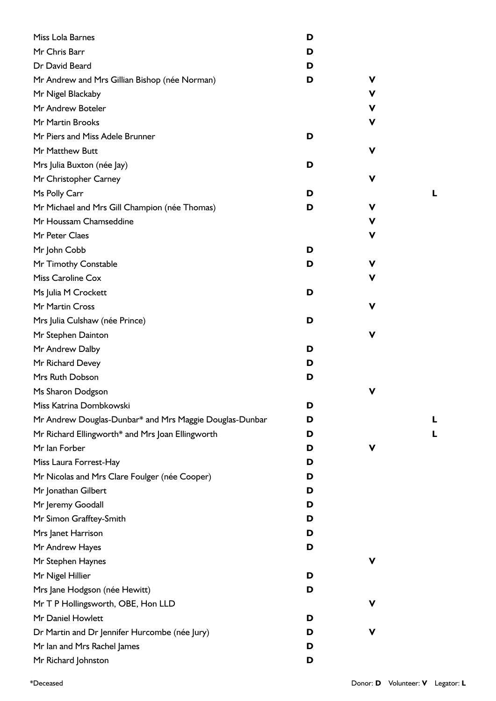| Miss Lola Barnes                                        | D |             |  |
|---------------------------------------------------------|---|-------------|--|
| Mr Chris Barr                                           | D |             |  |
| Dr David Beard                                          | D |             |  |
| Mr Andrew and Mrs Gillian Bishop (née Norman)           | D | V           |  |
| Mr Nigel Blackaby                                       |   | V           |  |
| Mr Andrew Boteler                                       |   | v           |  |
| Mr Martin Brooks                                        |   | V           |  |
| Mr Piers and Miss Adele Brunner                         | D |             |  |
| Mr Matthew Butt                                         |   | V           |  |
| Mrs Julia Buxton (née Jay)                              | D |             |  |
| Mr Christopher Carney                                   |   | V           |  |
| Ms Polly Carr                                           | D |             |  |
| Mr Michael and Mrs Gill Champion (née Thomas)           | D | V           |  |
| Mr Houssam Chamseddine                                  |   | $\mathbf v$ |  |
| Mr Peter Claes                                          |   | V           |  |
| Mr John Cobb                                            | D |             |  |
| Mr Timothy Constable                                    | D | V           |  |
| Miss Caroline Cox                                       |   | V           |  |
| Ms Julia M Crockett                                     | D |             |  |
| Mr Martin Cross                                         |   | V           |  |
| Mrs Julia Culshaw (née Prince)                          | D |             |  |
| Mr Stephen Dainton                                      |   | V           |  |
| Mr Andrew Dalby                                         | D |             |  |
| Mr Richard Devey                                        | D |             |  |
| Mrs Ruth Dobson                                         | D |             |  |
| Ms Sharon Dodgson                                       |   | V           |  |
| Miss Katrina Dombkowski                                 | D |             |  |
| Mr Andrew Douglas-Dunbar* and Mrs Maggie Douglas-Dunbar | D |             |  |
| Mr Richard Ellingworth* and Mrs Joan Ellingworth        | D |             |  |
| Mr Ian Forber                                           | D | V           |  |
| Miss Laura Forrest-Hay                                  | D |             |  |
| Mr Nicolas and Mrs Clare Foulger (née Cooper)           | D |             |  |
| Mr Jonathan Gilbert                                     | D |             |  |
| Mr Jeremy Goodall                                       | D |             |  |
| Mr Simon Grafftey-Smith                                 | D |             |  |
| Mrs Janet Harrison                                      | D |             |  |
| Mr Andrew Hayes                                         | D |             |  |
| Mr Stephen Haynes                                       |   | V           |  |
| Mr Nigel Hillier                                        | D |             |  |
| Mrs Jane Hodgson (née Hewitt)                           | D |             |  |
| Mr T P Hollingsworth, OBE, Hon LLD                      |   | V           |  |
| Mr Daniel Howlett                                       | D |             |  |
| Dr Martin and Dr Jennifer Hurcombe (née Jury)           | D | V           |  |
| Mr Ian and Mrs Rachel James                             | D |             |  |
| Mr Richard Johnston                                     | D |             |  |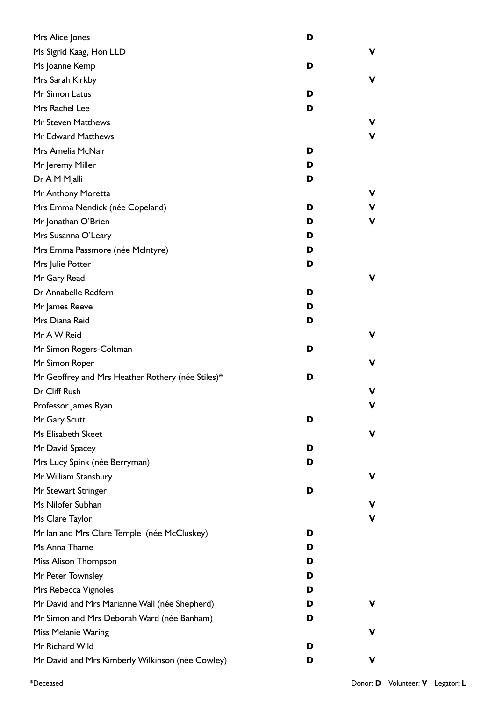| Mrs Alice Jones                                   | D |   |
|---------------------------------------------------|---|---|
| Ms Sigrid Kaag, Hon LLD                           |   | v |
| Ms Joanne Kemp                                    | D |   |
| Mrs Sarah Kirkby                                  |   | v |
| Mr Simon Latus                                    | D |   |
| Mrs Rachel Lee                                    | D |   |
| Mr Steven Matthews                                |   | v |
| Mr Edward Matthews                                |   | v |
| Mrs Amelia McNair                                 | D |   |
| Mr Jeremy Miller                                  | D |   |
| Dr A M Mjalli                                     | D |   |
| Mr Anthony Moretta                                |   | v |
| Mrs Emma Nendick (née Copeland)                   | D | ۷ |
| Mr Jonathan O'Brien                               | D | v |
| Mrs Susanna O'Leary                               | D |   |
| Mrs Emma Passmore (née McIntyre)                  | D |   |
| Mrs Julie Potter                                  | D |   |
| Mr Gary Read                                      |   | v |
| Dr Annabelle Redfern                              | D |   |
| Mr James Reeve                                    | D |   |
| Mrs Diana Reid                                    | D |   |
| Mr A W Reid                                       |   | v |
| Mr Simon Rogers-Coltman                           | D |   |
| Mr Simon Roper                                    |   | v |
| Mr Geoffrey and Mrs Heather Rothery (née Stiles)* | D |   |
| Dr Cliff Rush                                     |   | v |
| Professor James Ryan                              |   |   |
| Mr Gary Scutt                                     | D |   |
| Ms Elisabeth Skeet                                |   |   |
| Mr David Spacey                                   | D |   |
| Mrs Lucy Spink (née Berryman)                     | D |   |
| Mr William Stansbury                              |   | v |
| Mr Stewart Stringer                               | D |   |
| Ms Nilofer Subhan                                 |   | v |
| Ms Clare Taylor                                   |   | v |
| Mr Ian and Mrs Clare Temple (née McCluskey)       | D |   |
| Ms Anna Thame                                     | D |   |
| Miss Alison Thompson                              | D |   |
| Mr Peter Townsley                                 | D |   |
| Mrs Rebecca Vignoles                              | D |   |
| Mr David and Mrs Marianne Wall (née Shepherd)     | D |   |
| Mr Simon and Mrs Deborah Ward (née Banham)        | D |   |
| <b>Miss Melanie Waring</b>                        |   | v |
| Mr Richard Wild                                   | D |   |
| Mr David and Mrs Kimberly Wilkinson (née Cowley)  | D | ۷ |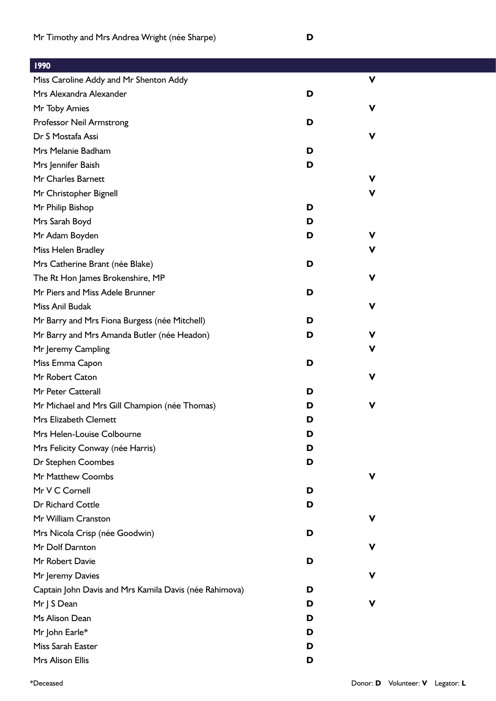| 1990                                                   |   |             |  |
|--------------------------------------------------------|---|-------------|--|
| Miss Caroline Addy and Mr Shenton Addy                 |   | $\mathbf v$ |  |
| Mrs Alexandra Alexander                                | D |             |  |
| Mr Toby Amies                                          |   | V           |  |
| Professor Neil Armstrong                               | D |             |  |
| Dr S Mostafa Assi                                      |   | $\mathbf v$ |  |
| Mrs Melanie Badham                                     | D |             |  |
| Mrs Jennifer Baish                                     | D |             |  |
| Mr Charles Barnett                                     |   | V           |  |
| Mr Christopher Bignell                                 |   | V           |  |
| Mr Philip Bishop                                       | D |             |  |
| Mrs Sarah Boyd                                         | D |             |  |
| Mr Adam Boyden                                         | D | $\mathbf v$ |  |
| Miss Helen Bradley                                     |   | ۷           |  |
| Mrs Catherine Brant (née Blake)                        | D |             |  |
| The Rt Hon James Brokenshire, MP                       |   | V           |  |
| Mr Piers and Miss Adele Brunner                        | D |             |  |
| Miss Anil Budak                                        |   | $\mathbf v$ |  |
| Mr Barry and Mrs Fiona Burgess (née Mitchell)          | D |             |  |
| Mr Barry and Mrs Amanda Butler (née Headon)            | D | V           |  |
| Mr Jeremy Campling                                     |   | v           |  |
| Miss Emma Capon                                        | D |             |  |
| Mr Robert Caton                                        |   | V           |  |
| Mr Peter Catterall                                     | D |             |  |
| Mr Michael and Mrs Gill Champion (née Thomas)          | D | $\mathbf v$ |  |
| Mrs Elizabeth Clemett                                  | D |             |  |
| Mrs Helen-Louise Colbourne                             | D |             |  |
| Mrs Felicity Conway (née Harris)                       | D |             |  |
| Dr Stephen Coombes                                     | D |             |  |
| Mr Matthew Coombs                                      |   | V           |  |
| Mr V C Cornell                                         | D |             |  |
| Dr Richard Cottle                                      | D |             |  |
| Mr William Cranston                                    |   | V           |  |
| Mrs Nicola Crisp (née Goodwin)                         | D |             |  |
| Mr Dolf Darnton                                        |   | v           |  |
| Mr Robert Davie                                        | D |             |  |
| Mr Jeremy Davies                                       |   | ۷           |  |
| Captain John Davis and Mrs Kamila Davis (née Rahimova) | D |             |  |
| Mr J S Dean                                            | D | V           |  |
| Ms Alison Dean                                         | D |             |  |
| Mr John Earle*                                         | D |             |  |
| Miss Sarah Easter                                      | D |             |  |
| Mrs Alison Ellis                                       | D |             |  |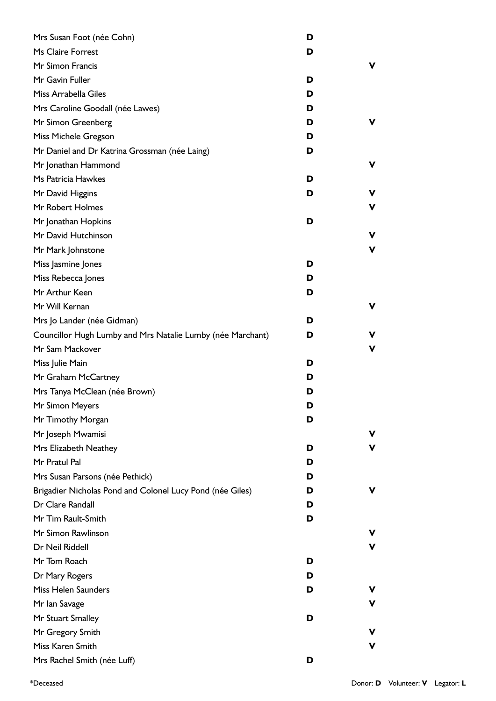| Mrs Susan Foot (née Cohn)                                  | D |    |
|------------------------------------------------------------|---|----|
| Ms Claire Forrest                                          | D |    |
| Mr Simon Francis                                           |   | v  |
| Mr Gavin Fuller                                            | D |    |
| Miss Arrabella Giles                                       | D |    |
| Mrs Caroline Goodall (née Lawes)                           | D |    |
| Mr Simon Greenberg                                         | D | v  |
| Miss Michele Gregson                                       | D |    |
| Mr Daniel and Dr Katrina Grossman (née Laing)              | D |    |
| Mr Jonathan Hammond                                        |   | v  |
| Ms Patricia Hawkes                                         | D |    |
| Mr David Higgins                                           | D | v  |
| Mr Robert Holmes                                           |   | ۷  |
| Mr Jonathan Hopkins                                        | D |    |
| Mr David Hutchinson                                        |   | v  |
| Mr Mark Johnstone                                          |   | v  |
| Miss Jasmine Jones                                         | D |    |
| Miss Rebecca Jones                                         | D |    |
| Mr Arthur Keen                                             | D |    |
| Mr Will Kernan                                             |   | v. |
| Mrs Jo Lander (née Gidman)                                 | D |    |
| Councillor Hugh Lumby and Mrs Natalie Lumby (née Marchant) | D | v  |
| Mr Sam Mackover                                            |   | v  |
| Miss Julie Main                                            | D |    |
| Mr Graham McCartney                                        | D |    |
| Mrs Tanya McClean (née Brown)                              | D |    |
| Mr Simon Meyers                                            | D |    |
| Mr Timothy Morgan                                          | D |    |
| Mr Joseph Mwamisi                                          |   | V  |
| Mrs Elizabeth Neathey                                      | D | v  |
| Mr Pratul Pal                                              | D |    |
| Mrs Susan Parsons (née Pethick)                            | D |    |
| Brigadier Nicholas Pond and Colonel Lucy Pond (née Giles)  | D | v  |
| Dr Clare Randall                                           | D |    |
| Mr Tim Rault-Smith                                         | D |    |
| Mr Simon Rawlinson                                         |   | v  |
| Dr Neil Riddell                                            |   | v  |
| Mr Tom Roach                                               | D |    |
| Dr Mary Rogers                                             | D |    |
| Miss Helen Saunders                                        | D | v  |
| Mr Ian Savage                                              |   | v. |
| Mr Stuart Smalley                                          | D |    |
| Mr Gregory Smith                                           |   | v  |
| Miss Karen Smith                                           |   | ۷  |
| Mrs Rachel Smith (née Luff)                                | D |    |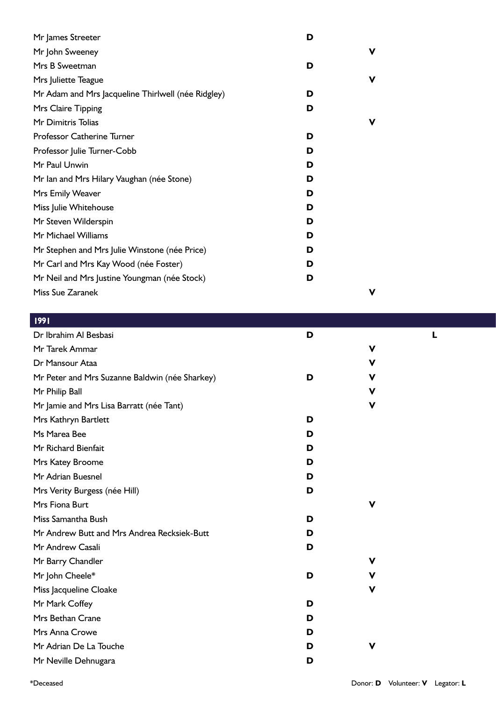| Mr James Streeter                                  | D |   |
|----------------------------------------------------|---|---|
| Mr John Sweeney                                    |   | v |
| Mrs B Sweetman                                     | D |   |
| Mrs Juliette Teague                                |   | v |
| Mr Adam and Mrs Jacqueline Thirlwell (née Ridgley) | D |   |
| Mrs Claire Tipping                                 | D |   |
| Mr Dimitris Tolias                                 |   | v |
| Professor Catherine Turner                         | D |   |
| Professor Julie Turner-Cobb                        | D |   |
| Mr Paul Unwin                                      | D |   |
| Mr Ian and Mrs Hilary Vaughan (née Stone)          | D |   |
| Mrs Emily Weaver                                   | D |   |
| Miss Julie Whitehouse                              | D |   |
| Mr Steven Wilderspin                               | D |   |
| Mr Michael Williams                                | D |   |
| Mr Stephen and Mrs Julie Winstone (née Price)      | D |   |
| Mr Carl and Mrs Kay Wood (née Foster)              | D |   |
| Mr Neil and Mrs Justine Youngman (née Stock)       | D |   |
| Miss Sue Zaranek                                   |   | ν |

| <b>1991</b>                                    |   |   |   |
|------------------------------------------------|---|---|---|
| Dr Ibrahim Al Besbasi                          | D |   | L |
| Mr Tarek Ammar                                 |   | V |   |
| Dr Mansour Ataa                                |   | V |   |
| Mr Peter and Mrs Suzanne Baldwin (née Sharkey) | D | V |   |
| Mr Philip Ball                                 |   | V |   |
| Mr Jamie and Mrs Lisa Barratt (née Tant)       |   | V |   |
| Mrs Kathryn Bartlett                           | D |   |   |
| Ms Marea Bee                                   | D |   |   |
| Mr Richard Bienfait                            | D |   |   |
| Mrs Katey Broome                               | D |   |   |
| Mr Adrian Buesnel                              | D |   |   |
| Mrs Verity Burgess (née Hill)                  | D |   |   |
| Mrs Fiona Burt                                 |   | V |   |
| Miss Samantha Bush                             | D |   |   |
| Mr Andrew Butt and Mrs Andrea Recksiek-Butt    | D |   |   |
| Mr Andrew Casali                               | D |   |   |
| Mr Barry Chandler                              |   | V |   |
| Mr John Cheele*                                | D | V |   |
| Miss Jacqueline Cloake                         |   | V |   |
| Mr Mark Coffey                                 | D |   |   |
| Mrs Bethan Crane                               | D |   |   |
| Mrs Anna Crowe                                 | D |   |   |
| Mr Adrian De La Touche                         | D | V |   |
| Mr Neville Dehnugara                           | D |   |   |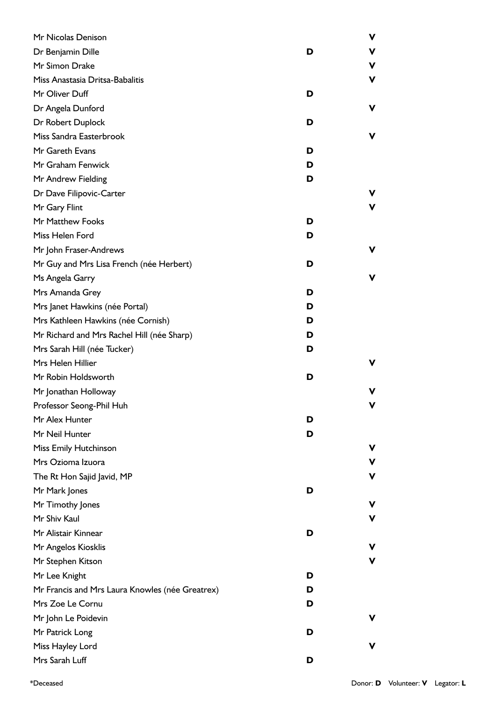| Mr Nicolas Denison                              |   | v |
|-------------------------------------------------|---|---|
| Dr Benjamin Dille                               | D | v |
| Mr Simon Drake                                  |   | V |
| Miss Anastasia Dritsa-Babalitis                 |   | v |
| Mr Oliver Duff                                  | D |   |
| Dr Angela Dunford                               |   | v |
| Dr Robert Duplock                               | D |   |
| Miss Sandra Easterbrook                         |   | v |
| Mr Gareth Evans                                 | D |   |
| Mr Graham Fenwick                               | D |   |
| Mr Andrew Fielding                              | D |   |
| Dr Dave Filipovic-Carter                        |   | v |
| Mr Gary Flint                                   |   | v |
| Mr Matthew Fooks                                | D |   |
| Miss Helen Ford                                 | D |   |
| Mr John Fraser-Andrews                          |   | v |
| Mr Guy and Mrs Lisa French (née Herbert)        | D |   |
| Ms Angela Garry                                 |   | v |
| Mrs Amanda Grey                                 | D |   |
| Mrs Janet Hawkins (née Portal)                  | D |   |
| Mrs Kathleen Hawkins (née Cornish)              | D |   |
| Mr Richard and Mrs Rachel Hill (née Sharp)      | D |   |
| Mrs Sarah Hill (née Tucker)                     | D |   |
| Mrs Helen Hillier                               |   | v |
| Mr Robin Holdsworth                             | D |   |
| Mr Jonathan Holloway                            |   |   |
| Professor Seong-Phil Huh                        |   | v |
| Mr Alex Hunter                                  | D |   |
| Mr Neil Hunter                                  | D |   |
| Miss Emily Hutchinson                           |   | v |
| Mrs Ozioma Izuora                               |   | v |
| The Rt Hon Sajid Javid, MP                      |   | v |
| Mr Mark Jones                                   | D |   |
| Mr Timothy Jones                                |   | v |
| Mr Shiv Kaul                                    |   | v |
| Mr Alistair Kinnear                             | D |   |
| Mr Angelos Kiosklis                             |   |   |
| Mr Stephen Kitson                               |   | v |
| Mr Lee Knight                                   | D |   |
| Mr Francis and Mrs Laura Knowles (née Greatrex) | D |   |
| Mrs Zoe Le Cornu                                | D |   |
| Mr John Le Poidevin                             |   | v |
| Mr Patrick Long                                 | D |   |
| Miss Hayley Lord                                |   |   |
| Mrs Sarah Luff                                  | D |   |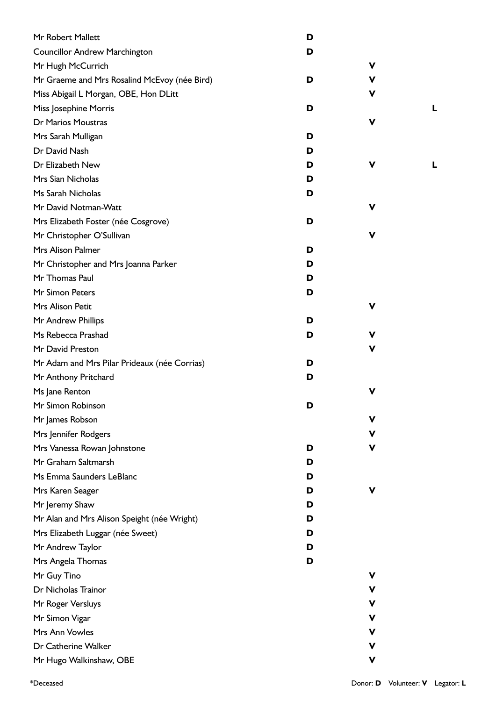| Mr Robert Mallett                            | D |             |   |
|----------------------------------------------|---|-------------|---|
| <b>Councillor Andrew Marchington</b>         | D |             |   |
| Mr Hugh McCurrich                            |   | ۷           |   |
| Mr Graeme and Mrs Rosalind McEvoy (née Bird) | D | ۷           |   |
| Miss Abigail L Morgan, OBE, Hon DLitt        |   | ۷           |   |
| Miss Josephine Morris                        | D |             | L |
| Dr Marios Moustras                           |   | ۷           |   |
| Mrs Sarah Mulligan                           | D |             |   |
| Dr David Nash                                | D |             |   |
| Dr Elizabeth New                             | D | ۷           | L |
| Mrs Sian Nicholas                            | D |             |   |
| Ms Sarah Nicholas                            | D |             |   |
| Mr David Notman-Watt                         |   | ۷           |   |
| Mrs Elizabeth Foster (née Cosgrove)          | D |             |   |
| Mr Christopher O'Sullivan                    |   | ۷           |   |
| Mrs Alison Palmer                            | D |             |   |
| Mr Christopher and Mrs Joanna Parker         | D |             |   |
| Mr Thomas Paul                               | D |             |   |
| Mr Simon Peters                              | D |             |   |
| Mrs Alison Petit                             |   | $\mathbf v$ |   |
| Mr Andrew Phillips                           | D |             |   |
| Ms Rebecca Prashad                           | D | ۷           |   |
| Mr David Preston                             |   | ۷           |   |
| Mr Adam and Mrs Pilar Prideaux (née Corrias) | D |             |   |
| Mr Anthony Pritchard                         | D |             |   |
| Ms Jane Renton                               |   | ۷           |   |
| Mr Simon Robinson                            | D |             |   |
| Mr James Robson                              |   | V           |   |
| Mrs Jennifer Rodgers                         |   | v           |   |
| Mrs Vanessa Rowan Johnstone                  | D | ۷           |   |
| Mr Graham Saltmarsh                          | D |             |   |
| Ms Emma Saunders LeBlanc                     | D |             |   |
| Mrs Karen Seager                             | D | V           |   |
| Mr Jeremy Shaw                               | D |             |   |
| Mr Alan and Mrs Alison Speight (née Wright)  | D |             |   |
| Mrs Elizabeth Luggar (née Sweet)             | D |             |   |
| Mr Andrew Taylor                             | D |             |   |
| Mrs Angela Thomas                            | D |             |   |
| Mr Guy Tino                                  |   | ۷           |   |
| Dr Nicholas Trainor                          |   | v           |   |
| Mr Roger Versluys                            |   | ۷           |   |
| Mr Simon Vigar                               |   | ۷           |   |
| Mrs Ann Vowles                               |   | v           |   |
| Dr Catherine Walker                          |   | ۷           |   |
| Mr Hugo Walkinshaw, OBE                      |   | V           |   |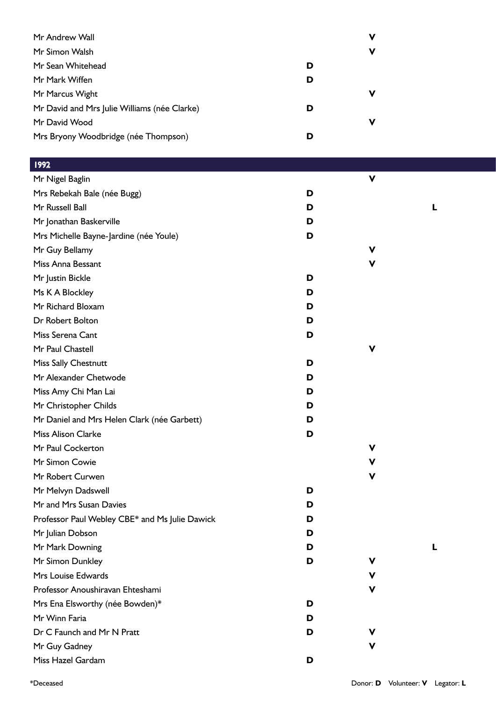| Mr Andrew Wall                               | v |
|----------------------------------------------|---|
| Mr Simon Walsh                               | v |
| Mr Sean Whitehead                            | D |
| Mr Mark Wiffen                               | D |
| Mr Marcus Wight                              | v |
| Mr David and Mrs Julie Williams (née Clarke) | D |
| Mr David Wood                                | v |
| Mrs Bryony Woodbridge (née Thompson)         | D |

| 199 <u>2</u>                                   |   |             |   |  |
|------------------------------------------------|---|-------------|---|--|
| Mr Nigel Baglin                                |   | $\mathbf v$ |   |  |
| Mrs Rebekah Bale (née Bugg)                    | D |             |   |  |
| Mr Russell Ball                                | D |             | L |  |
| Mr Jonathan Baskerville                        | D |             |   |  |
| Mrs Michelle Bayne-Jardine (née Youle)         | D |             |   |  |
| Mr Guy Bellamy                                 |   | V           |   |  |
| Miss Anna Bessant                              |   | $\mathbf v$ |   |  |
| Mr Justin Bickle                               | D |             |   |  |
| Ms K A Blockley                                | D |             |   |  |
| Mr Richard Bloxam                              | D |             |   |  |
| Dr Robert Bolton                               | D |             |   |  |
| Miss Serena Cant                               | D |             |   |  |
| Mr Paul Chastell                               |   | V           |   |  |
| Miss Sally Chestnutt                           | D |             |   |  |
| Mr Alexander Chetwode                          | D |             |   |  |
| Miss Amy Chi Man Lai                           | D |             |   |  |
| Mr Christopher Childs                          | D |             |   |  |
| Mr Daniel and Mrs Helen Clark (née Garbett)    | D |             |   |  |
| <b>Miss Alison Clarke</b>                      | D |             |   |  |
| Mr Paul Cockerton                              |   | V           |   |  |
| Mr Simon Cowie                                 |   | V           |   |  |
| Mr Robert Curwen                               |   | $\mathbf v$ |   |  |
| Mr Melvyn Dadswell                             | D |             |   |  |
| Mr and Mrs Susan Davies                        | D |             |   |  |
| Professor Paul Webley CBE* and Ms Julie Dawick | D |             |   |  |
| Mr Julian Dobson                               | D |             |   |  |
| Mr Mark Downing                                | D |             | L |  |
| Mr Simon Dunkley                               | D | ۷           |   |  |
| Mrs Louise Edwards                             |   | ۷           |   |  |
| Professor Anoushiravan Ehteshami               |   | $\mathbf v$ |   |  |
| Mrs Ena Elsworthy (née Bowden)*                | D |             |   |  |
| Mr Winn Faria                                  | D |             |   |  |
| Dr C Faunch and Mr N Pratt                     | D | v           |   |  |
| Mr Guy Gadney                                  |   | ۷           |   |  |
| Miss Hazel Gardam                              | D |             |   |  |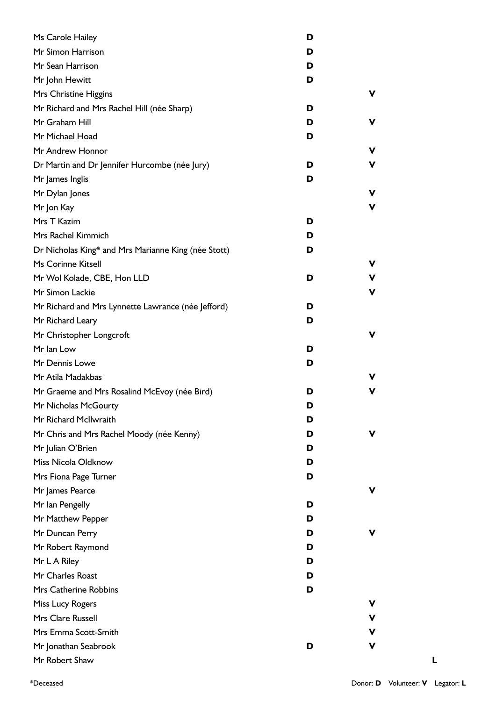| Ms Carole Hailey                                    | D |   |
|-----------------------------------------------------|---|---|
| Mr Simon Harrison                                   | D |   |
| Mr Sean Harrison                                    | D |   |
| Mr John Hewitt                                      | D |   |
| Mrs Christine Higgins                               |   | v |
| Mr Richard and Mrs Rachel Hill (née Sharp)          | D |   |
| Mr Graham Hill                                      | D | v |
| Mr Michael Hoad                                     | D |   |
| Mr Andrew Honnor                                    |   | V |
| Dr Martin and Dr Jennifer Hurcombe (née Jury)       | D | V |
| Mr James Inglis                                     | D |   |
| Mr Dylan Jones                                      |   | ۷ |
| Mr Jon Kay                                          |   | V |
| Mrs T Kazim                                         | D |   |
| Mrs Rachel Kimmich                                  | D |   |
| Dr Nicholas King* and Mrs Marianne King (née Stott) | D |   |
| Ms Corinne Kitsell                                  |   | ۷ |
| Mr Wol Kolade, CBE, Hon LLD                         | D | V |
| Mr Simon Lackie                                     |   | V |
| Mr Richard and Mrs Lynnette Lawrance (née Jefford)  | D |   |
| Mr Richard Leary                                    | D |   |
| Mr Christopher Longcroft                            |   | v |
| Mr Ian Low                                          | D |   |
| Mr Dennis Lowe                                      | D |   |
| Mr Atila Madakbas                                   |   | v |
| Mr Graeme and Mrs Rosalind McEvoy (née Bird)        | D | v |
| Mr Nicholas McGourty                                | D |   |
| Mr Richard McIlwraith                               | D |   |
| Mr Chris and Mrs Rachel Moody (née Kenny)           | D | v |
| Mr Julian O'Brien                                   | D |   |
| Miss Nicola Oldknow                                 | D |   |
| Mrs Fiona Page Turner                               | D |   |
| Mr James Pearce                                     |   | v |
| Mr Ian Pengelly                                     | D |   |
| Mr Matthew Pepper                                   | D |   |
| Mr Duncan Perry                                     | D | v |
| Mr Robert Raymond                                   | D |   |
| Mr L A Riley                                        | D |   |
| Mr Charles Roast                                    | D |   |
| Mrs Catherine Robbins                               | D |   |
| Miss Lucy Rogers                                    |   | v |
| Mrs Clare Russell                                   |   | V |
| Mrs Emma Scott-Smith                                |   | V |
| Mr Jonathan Seabrook                                | D | V |
| Mr Robert Shaw                                      |   |   |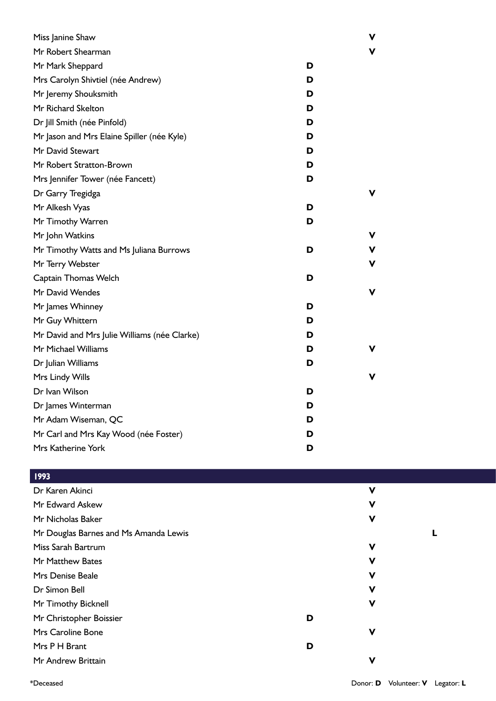| Miss Janine Shaw                             |   | v |
|----------------------------------------------|---|---|
| Mr Robert Shearman                           |   | v |
| Mr Mark Sheppard                             | D |   |
| Mrs Carolyn Shivtiel (née Andrew)            | D |   |
| Mr Jeremy Shouksmith                         | D |   |
| Mr Richard Skelton                           | D |   |
| Dr Jill Smith (née Pinfold)                  | D |   |
| Mr Jason and Mrs Elaine Spiller (née Kyle)   | D |   |
| Mr David Stewart                             | D |   |
| Mr Robert Stratton-Brown                     | D |   |
| Mrs Jennifer Tower (née Fancett)             | D |   |
| Dr Garry Tregidga                            |   | v |
| Mr Alkesh Vyas                               | D |   |
| Mr Timothy Warren                            | D |   |
| Mr John Watkins                              |   | v |
| Mr Timothy Watts and Ms Juliana Burrows      | D | V |
| Mr Terry Webster                             |   | V |
| Captain Thomas Welch                         | D |   |
| Mr David Wendes                              |   | v |
| Mr James Whinney                             | D |   |
| Mr Guy Whittern                              | D |   |
| Mr David and Mrs Julie Williams (née Clarke) | D |   |
| Mr Michael Williams                          | D | v |
| Dr Julian Williams                           | D |   |
| Mrs Lindy Wills                              |   | v |
| Dr Ivan Wilson                               | D |   |
| Dr James Winterman                           | D |   |
| Mr Adam Wiseman, QC                          | D |   |
| Mr Carl and Mrs Kay Wood (née Foster)        | D |   |
| Mrs Katherine York                           | D |   |

|   | $\mathbf v$ |   |
|---|-------------|---|
|   | V           |   |
|   | $\mathbf v$ |   |
|   |             | L |
|   | V           |   |
|   | $\mathbf v$ |   |
|   | $\mathbf v$ |   |
|   | V           |   |
|   | $\mathbf v$ |   |
| D |             |   |
|   | $\mathbf v$ |   |
| D |             |   |
|   | V           |   |
|   |             |   |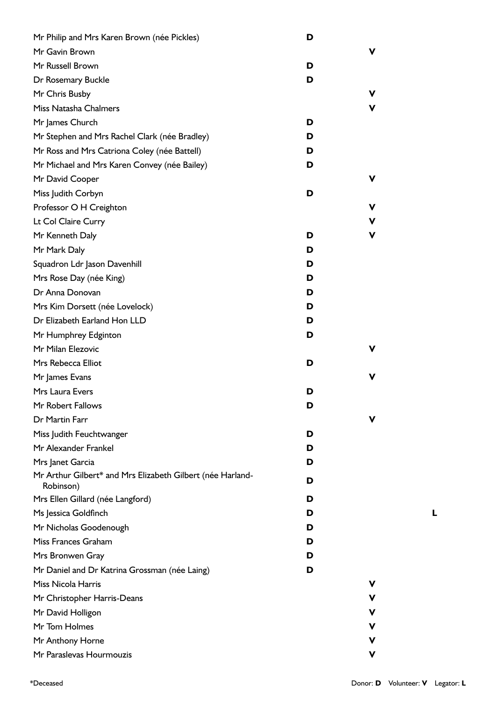| Mr Philip and Mrs Karen Brown (née Pickles)                | D |   |
|------------------------------------------------------------|---|---|
| Mr Gavin Brown                                             |   | V |
| Mr Russell Brown                                           | D |   |
| Dr Rosemary Buckle                                         | D |   |
| Mr Chris Busby                                             |   | V |
| Miss Natasha Chalmers                                      |   | V |
| Mr James Church                                            | D |   |
| Mr Stephen and Mrs Rachel Clark (née Bradley)              | D |   |
| Mr Ross and Mrs Catriona Coley (née Battell)               | D |   |
| Mr Michael and Mrs Karen Convey (née Bailey)               | D |   |
| Mr David Cooper                                            |   | V |
| Miss Judith Corbyn                                         | D |   |
| Professor O H Creighton                                    |   | v |
| Lt Col Claire Curry                                        |   | v |
| Mr Kenneth Daly                                            | D | v |
| Mr Mark Daly                                               | D |   |
| Squadron Ldr Jason Davenhill                               | D |   |
| Mrs Rose Day (née King)                                    | D |   |
| Dr Anna Donovan                                            | D |   |
| Mrs Kim Dorsett (née Lovelock)                             | D |   |
| Dr Elizabeth Earland Hon LLD                               | D |   |
| Mr Humphrey Edginton                                       | D |   |
| Mr Milan Elezovic                                          |   | V |
| Mrs Rebecca Elliot                                         | D |   |
| Mr James Evans                                             |   | V |
| Mrs Laura Evers                                            | D |   |
| Mr Robert Fallows                                          | D |   |
| Dr Martin Farr                                             |   | V |
| Miss Judith Feuchtwanger                                   | D |   |
| Mr Alexander Frankel                                       | D |   |
| Mrs Janet Garcia                                           | D |   |
| Mr Arthur Gilbert* and Mrs Elizabeth Gilbert (née Harland- | D |   |
| Robinson)                                                  |   |   |
| Mrs Ellen Gillard (née Langford)                           | D |   |
| Ms Jessica Goldfinch                                       | D |   |
| Mr Nicholas Goodenough                                     | D |   |
| Miss Frances Graham                                        | D |   |
| Mrs Bronwen Gray                                           | D |   |
| Mr Daniel and Dr Katrina Grossman (née Laing)              | D |   |
| Miss Nicola Harris                                         |   | V |
| Mr Christopher Harris-Deans                                |   | v |
| Mr David Holligon                                          |   | v |
| Mr Tom Holmes                                              |   | v |
| Mr Anthony Horne                                           |   | v |
| Mr Paraslevas Hourmouzis                                   |   | V |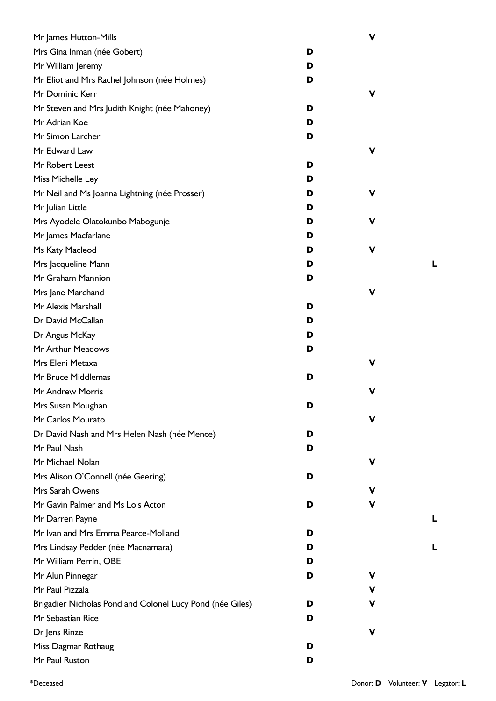| Mr James Hutton-Mills                                     |   | $\mathbf v$ |   |
|-----------------------------------------------------------|---|-------------|---|
| Mrs Gina Inman (née Gobert)                               | D |             |   |
| Mr William Jeremy                                         | D |             |   |
| Mr Eliot and Mrs Rachel Johnson (née Holmes)              | D |             |   |
| Mr Dominic Kerr                                           |   | V           |   |
| Mr Steven and Mrs Judith Knight (née Mahoney)             | D |             |   |
| Mr Adrian Koe                                             | D |             |   |
| Mr Simon Larcher                                          | D |             |   |
| Mr Edward Law                                             |   | V           |   |
| Mr Robert Leest                                           | D |             |   |
| Miss Michelle Ley                                         | D |             |   |
| Mr Neil and Ms Joanna Lightning (née Prosser)             | D | V           |   |
| Mr Julian Little                                          | D |             |   |
| Mrs Ayodele Olatokunbo Mabogunje                          | D | V           |   |
| Mr James Macfarlane                                       | D |             |   |
| Ms Katy Macleod                                           | D | V           |   |
| Mrs Jacqueline Mann                                       | D |             | L |
| Mr Graham Mannion                                         | D |             |   |
| Mrs Jane Marchand                                         |   | V           |   |
| Mr Alexis Marshall                                        | D |             |   |
| Dr David McCallan                                         | D |             |   |
| Dr Angus McKay                                            | D |             |   |
| Mr Arthur Meadows                                         | D |             |   |
| Mrs Eleni Metaxa                                          |   | ۷           |   |
| Mr Bruce Middlemas                                        | D |             |   |
| Mr Andrew Morris                                          |   | V           |   |
| Mrs Susan Moughan                                         | D |             |   |
| Mr Carlos Mourato                                         |   | v           |   |
| Dr David Nash and Mrs Helen Nash (née Mence)              | D |             |   |
| Mr Paul Nash                                              | D |             |   |
| Mr Michael Nolan                                          |   | ۷           |   |
| Mrs Alison O'Connell (née Geering)                        | D |             |   |
| Mrs Sarah Owens                                           |   | v           |   |
| Mr Gavin Palmer and Ms Lois Acton                         | D | ۷           |   |
| Mr Darren Payne                                           |   |             | L |
| Mr Ivan and Mrs Emma Pearce-Molland                       | D |             |   |
| Mrs Lindsay Pedder (née Macnamara)                        | D |             |   |
| Mr William Perrin, OBE                                    | D |             |   |
| Mr Alun Pinnegar                                          | D | ۷           |   |
| Mr Paul Pizzala                                           |   | v           |   |
| Brigadier Nicholas Pond and Colonel Lucy Pond (née Giles) | D | v           |   |
| Mr Sebastian Rice                                         | D |             |   |
| Dr Jens Rinze                                             |   | V           |   |
| Miss Dagmar Rothaug                                       | D |             |   |
| Mr Paul Ruston                                            | D |             |   |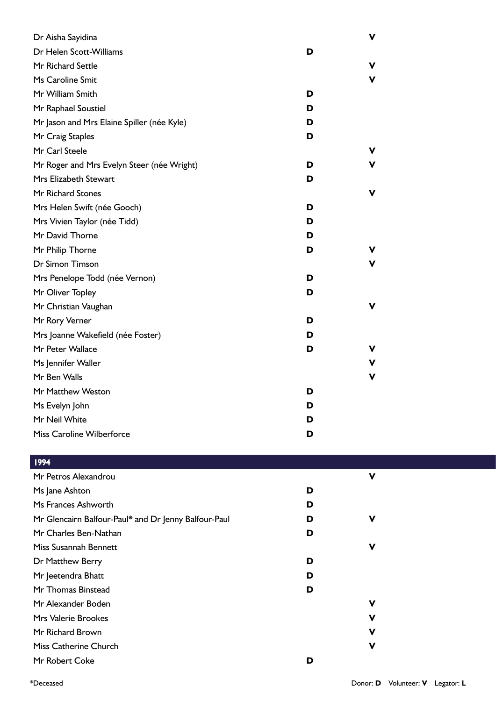| Dr Aisha Sayidina                          |   | v |
|--------------------------------------------|---|---|
| Dr Helen Scott-Williams                    | D |   |
| Mr Richard Settle                          |   | v |
| Ms Caroline Smit                           |   | V |
| Mr William Smith                           | D |   |
| Mr Raphael Soustiel                        | D |   |
| Mr Jason and Mrs Elaine Spiller (née Kyle) | D |   |
| Mr Craig Staples                           | D |   |
| Mr Carl Steele                             |   | v |
| Mr Roger and Mrs Evelyn Steer (née Wright) | D | v |
| Mrs Elizabeth Stewart                      | D |   |
| <b>Mr Richard Stones</b>                   |   | v |
| Mrs Helen Swift (née Gooch)                | D |   |
| Mrs Vivien Taylor (née Tidd)               | D |   |
| Mr David Thorne                            | D |   |
| Mr Philip Thorne                           | D |   |
| Dr Simon Timson                            |   | v |
| Mrs Penelope Todd (née Vernon)             | D |   |
| Mr Oliver Topley                           | D |   |
| Mr Christian Vaughan                       |   | v |
| Mr Rory Verner                             | D |   |
| Mrs Joanne Wakefield (née Foster)          | D |   |
| Mr Peter Wallace                           | D | v |
| Ms Jennifer Waller                         |   | v |
| Mr Ben Walls                               |   | V |
| Mr Matthew Weston                          | D |   |
| Ms Evelyn John                             | D |   |
| Mr Neil White                              | D |   |
| Miss Caroline Wilberforce                  | D |   |

|  | л<br>r |
|--|--------|
|  |        |

| 1777                                                 |   |              |  |
|------------------------------------------------------|---|--------------|--|
| Mr Petros Alexandrou                                 |   | $\mathbf v$  |  |
| Ms Jane Ashton                                       | D |              |  |
| Ms Frances Ashworth                                  | D |              |  |
| Mr Glencairn Balfour-Paul* and Dr Jenny Balfour-Paul | D | V            |  |
| Mr Charles Ben-Nathan                                | D |              |  |
| Miss Susannah Bennett                                |   | $\mathsf{V}$ |  |
| Dr Matthew Berry                                     | D |              |  |
| Mr Jeetendra Bhatt                                   | D |              |  |
| Mr Thomas Binstead                                   | D |              |  |
| Mr Alexander Boden                                   |   | $\mathbf v$  |  |
| Mrs Valerie Brookes                                  |   | $\mathbf v$  |  |
| Mr Richard Brown                                     |   | $\mathbf v$  |  |
| Miss Catherine Church                                |   | $\mathsf{V}$ |  |
| Mr Robert Coke                                       | D |              |  |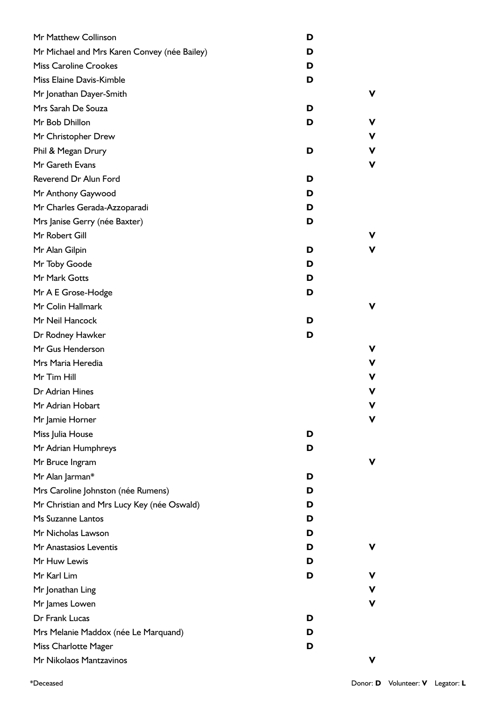| Mr Matthew Collinson                         | D |   |
|----------------------------------------------|---|---|
| Mr Michael and Mrs Karen Convey (née Bailey) | D |   |
| <b>Miss Caroline Crookes</b>                 | D |   |
| Miss Elaine Davis-Kimble                     | D |   |
| Mr Jonathan Dayer-Smith                      |   |   |
| Mrs Sarah De Souza                           | D |   |
| Mr Bob Dhillon                               | D |   |
| Mr Christopher Drew                          |   |   |
| Phil & Megan Drury                           | D |   |
| Mr Gareth Evans                              |   | ν |
| Reverend Dr Alun Ford                        | D |   |
| Mr Anthony Gaywood                           | D |   |
| Mr Charles Gerada-Azzoparadi                 | D |   |
| Mrs Janise Gerry (née Baxter)                | D |   |
| Mr Robert Gill                               |   |   |
| Mr Alan Gilpin                               | D |   |
| Mr Toby Goode                                | D |   |
| Mr Mark Gotts                                | D |   |
| Mr A E Grose-Hodge                           | D |   |
| Mr Colin Hallmark                            |   |   |
| Mr Neil Hancock                              | D |   |
| Dr Rodney Hawker                             | D |   |
| Mr Gus Henderson                             |   |   |
| Mrs Maria Heredia                            |   | ٧ |
| Mr Tim Hill                                  |   |   |
| Dr Adrian Hines                              |   |   |
| Mr Adrian Hobart                             |   |   |
| Mr Jamie Horner                              |   |   |
| Miss Julia House                             | D |   |
| Mr Adrian Humphreys                          | D |   |
| Mr Bruce Ingram                              |   |   |
| Mr Alan Jarman*                              | D |   |
| Mrs Caroline Johnston (née Rumens)           | D |   |
| Mr Christian and Mrs Lucy Key (née Oswald)   | D |   |
| Ms Suzanne Lantos                            | D |   |
| Mr Nicholas Lawson                           | D |   |
| Mr Anastasios Leventis                       | D |   |
| Mr Huw Lewis                                 | D |   |
| Mr Karl Lim                                  | D |   |
| Mr Jonathan Ling                             |   | ν |
| Mr James Lowen                               |   | ν |
| Dr Frank Lucas                               | D |   |
| Mrs Melanie Maddox (née Le Marquand)         | D |   |
| Miss Charlotte Mager                         | D |   |
| Mr Nikolaos Mantzavinos                      |   |   |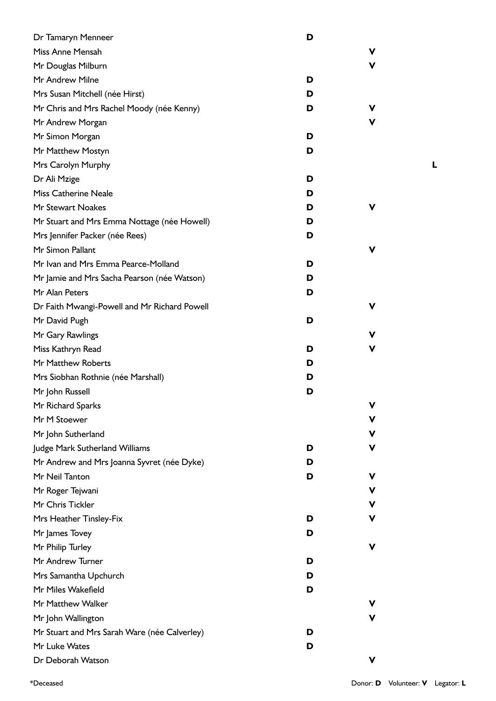| Dr Tamaryn Menneer                           | D |   |
|----------------------------------------------|---|---|
| Miss Anne Mensah                             |   | v |
| Mr Douglas Milburn                           |   | v |
| Mr Andrew Milne                              | D |   |
| Mrs Susan Mitchell (née Hirst)               | D |   |
| Mr Chris and Mrs Rachel Moody (née Kenny)    | D | v |
| Mr Andrew Morgan                             |   | v |
| Mr Simon Morgan                              | D |   |
| Mr Matthew Mostyn                            | D |   |
| Mrs Carolyn Murphy                           |   |   |
| Dr Ali Mzige                                 | D |   |
| <b>Miss Catherine Neale</b>                  | D |   |
| Mr Stewart Noakes                            | D | v |
| Mr Stuart and Mrs Emma Nottage (née Howell)  | D |   |
| Mrs Jennifer Packer (née Rees)               | D |   |
| Mr Simon Pallant                             |   | v |
| Mr Ivan and Mrs Emma Pearce-Molland          | D |   |
| Mr Jamie and Mrs Sacha Pearson (née Watson)  | D |   |
| Mr Alan Peters                               | D |   |
| Dr Faith Mwangi-Powell and Mr Richard Powell |   | v |
| Mr David Pugh                                | D |   |
| Mr Gary Rawlings                             |   | v |
| Miss Kathryn Read                            | D | v |
| Mr Matthew Roberts                           | D |   |
| Mrs Siobhan Rothnie (née Marshall)           | D |   |
| Mr John Russell                              | D |   |
| Mr Richard Sparks                            |   | ۷ |
| Mr M Stoewer                                 |   | V |
| Mr John Sutherland                           |   | V |
| Judge Mark Sutherland Williams               | D | v |
| Mr Andrew and Mrs Joanna Syvret (née Dyke)   | D |   |
| Mr Neil Tanton                               | D | v |
| Mr Roger Tejwani                             |   | V |
| Mr Chris Tickler                             |   | V |
| Mrs Heather Tinsley-Fix                      | D | v |
| Mr James Tovey                               | D |   |
| Mr Philip Turley                             |   | v |
| Mr Andrew Turner                             | D |   |
| Mrs Samantha Upchurch                        | D |   |
| Mr Miles Wakefield                           | D |   |
| Mr Matthew Walker                            |   |   |
| Mr John Wallington                           |   | v |
| Mr Stuart and Mrs Sarah Ware (née Calverley) | D |   |
| Mr Luke Wates                                | D |   |
| Dr Deborah Watson                            |   | v |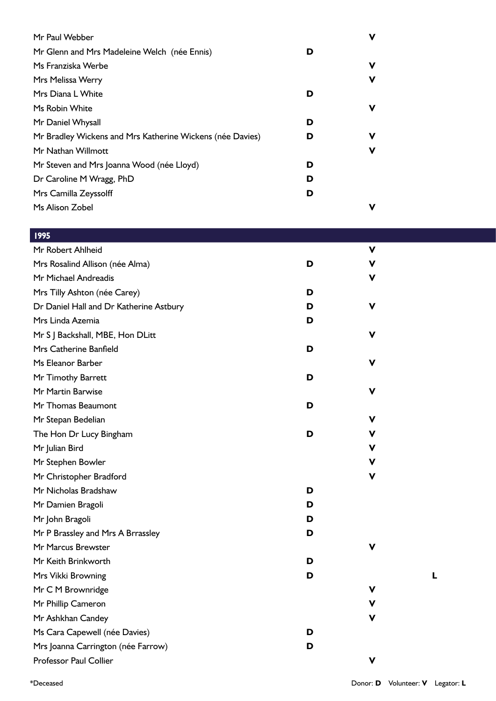| Mr Paul Webber                                            |   | ν |
|-----------------------------------------------------------|---|---|
| Mr Glenn and Mrs Madeleine Welch (née Ennis)              | D |   |
| Ms Franziska Werbe                                        |   | v |
| Mrs Melissa Werry                                         |   | v |
| Mrs Diana L White                                         | D |   |
| Ms Robin White                                            |   | v |
| Mr Daniel Whysall                                         | D |   |
| Mr Bradley Wickens and Mrs Katherine Wickens (née Davies) | D | v |
| Mr Nathan Willmott                                        |   | v |
| Mr Steven and Mrs Joanna Wood (née Lloyd)                 | D |   |
| Dr Caroline M Wragg, PhD                                  | D |   |
| Mrs Camilla Zeyssolff                                     | D |   |
| Ms Alison Zobel                                           |   |   |

## 1995

| Mr Robert Ahlheid                       |   | $\mathbf v$ |   |
|-----------------------------------------|---|-------------|---|
| Mrs Rosalind Allison (née Alma)         | D | $\mathbf v$ |   |
| Mr Michael Andreadis                    |   | v           |   |
| Mrs Tilly Ashton (née Carey)            | D |             |   |
| Dr Daniel Hall and Dr Katherine Astbury | D | v           |   |
| Mrs Linda Azemia                        | D |             |   |
| Mr S J Backshall, MBE, Hon DLitt        |   | $\mathbf v$ |   |
| Mrs Catherine Banfield                  | D |             |   |
| Ms Eleanor Barber                       |   | v           |   |
| Mr Timothy Barrett                      | D |             |   |
| Mr Martin Barwise                       |   | V           |   |
| Mr Thomas Beaumont                      | D |             |   |
| Mr Stepan Bedelian                      |   | v           |   |
| The Hon Dr Lucy Bingham                 | D | V           |   |
| Mr Julian Bird                          |   | V           |   |
| Mr Stephen Bowler                       |   | $\mathbf v$ |   |
| Mr Christopher Bradford                 |   | ۷           |   |
| Mr Nicholas Bradshaw                    | D |             |   |
| Mr Damien Bragoli                       | D |             |   |
| Mr John Bragoli                         | D |             |   |
| Mr P Brassley and Mrs A Brrassley       | D |             |   |
| Mr Marcus Brewster                      |   | $\mathbf v$ |   |
| Mr Keith Brinkworth                     | D |             |   |
| Mrs Vikki Browning                      | D |             | L |
| Mr C M Brownridge                       |   | $\mathbf v$ |   |
| Mr Phillip Cameron                      |   | v           |   |
| Mr Ashkhan Candey                       |   | ۷           |   |
| Ms Cara Capewell (née Davies)           | D |             |   |
| Mrs Joanna Carrington (née Farrow)      | D |             |   |
| Professor Paul Collier                  |   | $\mathbf v$ |   |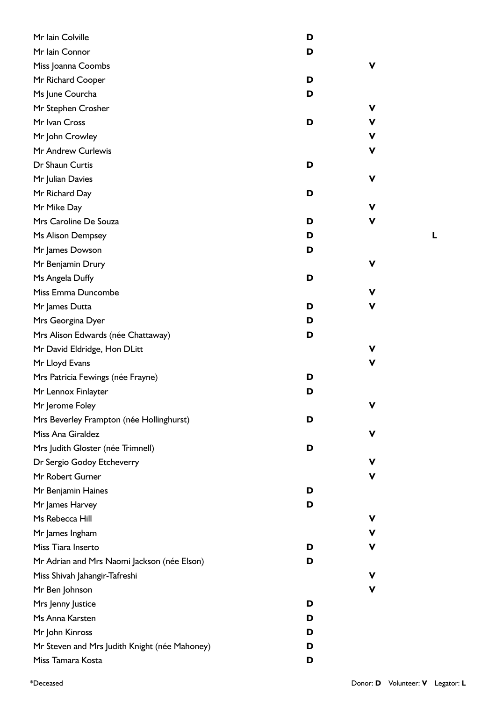| Mr Iain Colville                              | D |             |
|-----------------------------------------------|---|-------------|
| Mr Iain Connor                                | D |             |
| Miss Joanna Coombs                            |   | ۷           |
| Mr Richard Cooper                             | D |             |
| Ms June Courcha                               | D |             |
| Mr Stephen Crosher                            |   | $\mathbf v$ |
| Mr Ivan Cross                                 | D | V           |
| Mr John Crowley                               |   | V           |
| Mr Andrew Curlewis                            |   | V           |
| Dr Shaun Curtis                               | D |             |
| Mr Julian Davies                              |   | ۷           |
| Mr Richard Day                                | D |             |
| Mr Mike Day                                   |   | v           |
| Mrs Caroline De Souza                         | D | v           |
| Ms Alison Dempsey                             | D |             |
| Mr James Dowson                               | D |             |
| Mr Benjamin Drury                             |   | V           |
| Ms Angela Duffy                               | D |             |
| Miss Emma Duncombe                            |   | ۷           |
| Mr James Dutta                                | D | v           |
| Mrs Georgina Dyer                             | D |             |
| Mrs Alison Edwards (née Chattaway)            | D |             |
| Mr David Eldridge, Hon DLitt                  |   | ۷           |
| Mr Lloyd Evans                                |   | ۷           |
| Mrs Patricia Fewings (née Frayne)             | D |             |
| Mr Lennox Finlayter                           | D |             |
| Mr Jerome Foley                               |   | ۷           |
| Mrs Beverley Frampton (née Hollinghurst)      | D |             |
| Miss Ana Giraldez                             |   | V           |
| Mrs Judith Gloster (née Trimnell)             | D |             |
| Dr Sergio Godoy Etcheverry                    |   | v           |
| Mr Robert Gurner                              |   | ۷           |
| Mr Benjamin Haines                            | D |             |
| Mr James Harvey                               | D |             |
| Ms Rebecca Hill                               |   | V           |
| Mr James Ingham                               |   | $\mathbf v$ |
| Miss Tiara Inserto                            | D | V           |
| Mr Adrian and Mrs Naomi Jackson (née Elson)   | D |             |
| Miss Shivah Jahangir-Tafreshi                 |   | v           |
| Mr Ben Johnson                                |   | ۷           |
| Mrs Jenny Justice                             | D |             |
| Ms Anna Karsten                               | D |             |
| Mr John Kinross                               | D |             |
| Mr Steven and Mrs Judith Knight (née Mahoney) | D |             |
| Miss Tamara Kosta                             | D |             |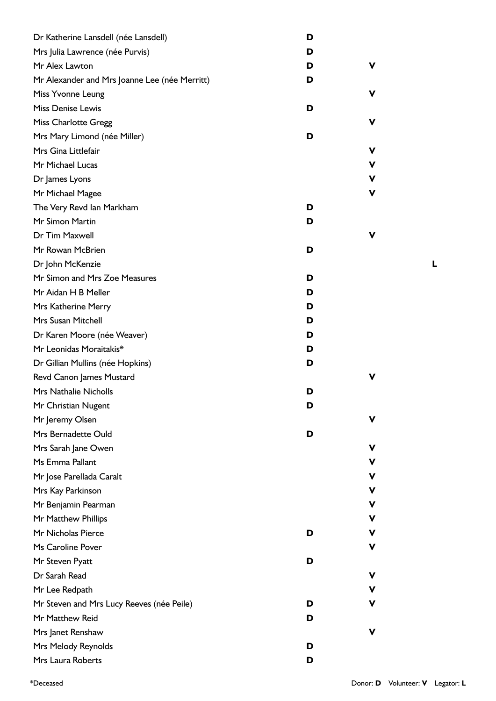| Dr Katherine Lansdell (née Lansdell)          | D |             |
|-----------------------------------------------|---|-------------|
| Mrs Julia Lawrence (née Purvis)               | D |             |
| Mr Alex Lawton                                | D | v           |
| Mr Alexander and Mrs Joanne Lee (née Merritt) | D |             |
| Miss Yvonne Leung                             |   | v           |
| <b>Miss Denise Lewis</b>                      | D |             |
| <b>Miss Charlotte Gregg</b>                   |   | v           |
| Mrs Mary Limond (née Miller)                  | D |             |
| Mrs Gina Littlefair                           |   | v           |
| Mr Michael Lucas                              |   | V           |
| Dr James Lyons                                |   | $\mathbf v$ |
| Mr Michael Magee                              |   | V           |
| The Very Revd Ian Markham                     | D |             |
| Mr Simon Martin                               | D |             |
| Dr Tim Maxwell                                |   |             |
| Mr Rowan McBrien                              | D |             |
| Dr John McKenzie                              |   |             |
| Mr Simon and Mrs Zoe Measures                 | D |             |
| Mr Aidan H B Meller                           | D |             |
| Mrs Katherine Merry                           | D |             |
| Mrs Susan Mitchell                            | D |             |
| Dr Karen Moore (née Weaver)                   | D |             |
| Mr Leonidas Moraitakis*                       | D |             |
| Dr Gillian Mullins (née Hopkins)              | D |             |
| Revd Canon James Mustard                      |   | v           |
| <b>Mrs Nathalie Nicholls</b>                  | D |             |
| Mr Christian Nugent                           | D |             |
| Mr Jeremy Olsen                               |   | v           |
| Mrs Bernadette Ould                           | D |             |
| Mrs Sarah Jane Owen                           |   | ۷           |
| Ms Emma Pallant                               |   | V           |
| Mr Jose Parellada Caralt                      |   | V           |
| Mrs Kay Parkinson                             |   | V           |
| Mr Benjamin Pearman                           |   | $\mathbf v$ |
| Mr Matthew Phillips                           |   | V           |
| Mr Nicholas Pierce                            | D | V           |
| Ms Caroline Pover                             |   | ۷           |
| Mr Steven Pyatt                               | D |             |
| Dr Sarah Read                                 |   | v           |
| Mr Lee Redpath                                |   | V           |
| Mr Steven and Mrs Lucy Reeves (née Peile)     | D | v           |
| Mr Matthew Reid                               | D |             |
| Mrs Janet Renshaw                             |   | v           |
| Mrs Melody Reynolds                           | D |             |
| Mrs Laura Roberts                             | D |             |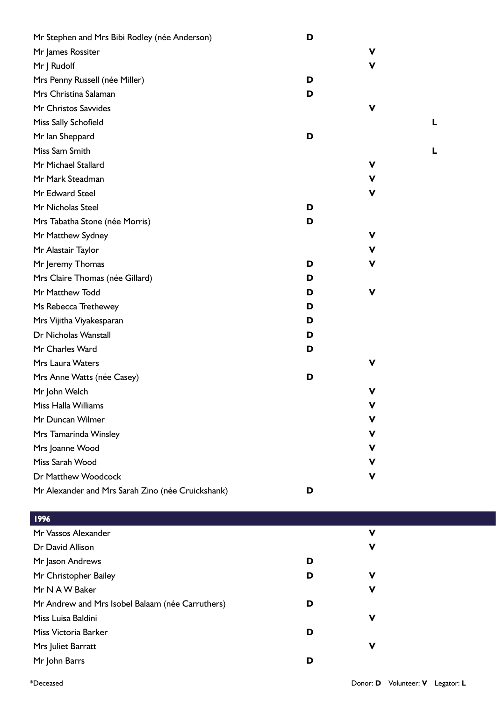| Mr Stephen and Mrs Bibi Rodley (née Anderson)     | D |             |  |
|---------------------------------------------------|---|-------------|--|
| Mr James Rossiter                                 |   | V           |  |
| Mr J Rudolf                                       |   | V           |  |
| Mrs Penny Russell (née Miller)                    | D |             |  |
| Mrs Christina Salaman                             | D |             |  |
| Mr Christos Savvides                              |   | V           |  |
| Miss Sally Schofield                              |   |             |  |
| Mr Ian Sheppard                                   | D |             |  |
| Miss Sam Smith                                    |   |             |  |
| Mr Michael Stallard                               |   | V           |  |
| Mr Mark Steadman                                  |   | V           |  |
| Mr Edward Steel                                   |   | $\mathbf v$ |  |
| Mr Nicholas Steel                                 | D |             |  |
| Mrs Tabatha Stone (née Morris)                    | D |             |  |
| Mr Matthew Sydney                                 |   | V           |  |
| Mr Alastair Taylor                                |   | V           |  |
| Mr Jeremy Thomas                                  | D | V           |  |
| Mrs Claire Thomas (née Gillard)                   | D |             |  |
| Mr Matthew Todd                                   | D | V           |  |
| Ms Rebecca Trethewey                              | D |             |  |
| Mrs Vijitha Viyakesparan                          | D |             |  |
| Dr Nicholas Wanstall                              | D |             |  |
| Mr Charles Ward                                   | D |             |  |
| Mrs Laura Waters                                  |   | V           |  |
| Mrs Anne Watts (née Casey)                        | D |             |  |
| Mr John Welch                                     |   | V           |  |
| Miss Halla Williams                               |   | V           |  |
| Mr Duncan Wilmer                                  |   | v           |  |
| Mrs Tamarinda Winsley                             |   | V           |  |
| Mrs Joanne Wood                                   |   | ۷           |  |
| Miss Sarah Wood                                   |   | v           |  |
| Dr Matthew Woodcock                               |   | v           |  |
| Mr Alexander and Mrs Sarah Zino (née Cruickshank) | D |             |  |
| 1996                                              |   |             |  |
| Mr Vassos Alexander                               |   | V           |  |
| Dr David Allison                                  |   | ۷           |  |
| Mr Jason Andrews                                  | D |             |  |
| Mr Christopher Bailey                             | D | v           |  |
| Mr N A W Baker                                    |   | v           |  |
| Mr Andrew and Mrs Isobel Balaam (née Carruthers)  | D |             |  |
| Miss Luisa Baldini                                |   | v           |  |
| Miss Victoria Barker                              | D |             |  |
| Mrs Juliet Barratt                                |   | V           |  |

Mr John Barrs **D**

\*Deceased Donor: **D** Volunteer: **V** Legator: **L**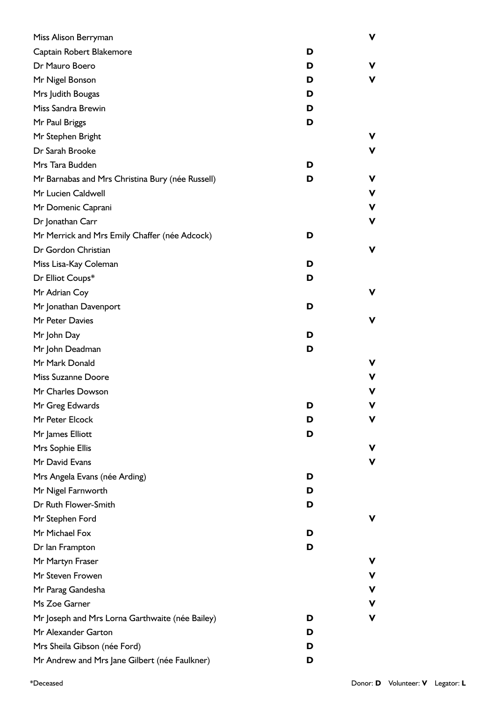| Miss Alison Berryman                             |   | V  |
|--------------------------------------------------|---|----|
| Captain Robert Blakemore                         | D |    |
| Dr Mauro Boero                                   | D | V  |
| Mr Nigel Bonson                                  | D | V  |
| Mrs Judith Bougas                                | D |    |
| Miss Sandra Brewin                               | D |    |
| Mr Paul Briggs                                   | D |    |
| Mr Stephen Bright                                |   | v. |
| Dr Sarah Brooke                                  |   | V  |
| Mrs Tara Budden                                  | D |    |
| Mr Barnabas and Mrs Christina Bury (née Russell) | D | V  |
| Mr Lucien Caldwell                               |   | ۷  |
| Mr Domenic Caprani                               |   | ۷  |
| Dr Jonathan Carr                                 |   | v  |
| Mr Merrick and Mrs Emily Chaffer (née Adcock)    | D |    |
| Dr Gordon Christian                              |   | V  |
| Miss Lisa-Kay Coleman                            | D |    |
| Dr Elliot Coups*                                 | D |    |
| Mr Adrian Coy                                    |   | v  |
| Mr Jonathan Davenport                            | D |    |
| Mr Peter Davies                                  |   | V  |
| Mr John Day                                      | D |    |
| Mr John Deadman                                  | D |    |
| Mr Mark Donald                                   |   | v  |
| Miss Suzanne Doore                               |   | v  |
| Mr Charles Dowson                                |   | v  |
| Mr Greg Edwards                                  | D | v  |
| Mr Peter Elcock                                  | D | ۷  |
| Mr James Elliott                                 | D |    |
| Mrs Sophie Ellis                                 |   | ۷  |
| Mr David Evans                                   |   | V  |
| Mrs Angela Evans (née Arding)                    | D |    |
| Mr Nigel Farnworth                               | D |    |
| Dr Ruth Flower-Smith                             | D |    |
| Mr Stephen Ford                                  |   | ۷  |
| Mr Michael Fox                                   | D |    |
| Dr Ian Frampton                                  | D |    |
| Mr Martyn Fraser                                 |   | v  |
| Mr Steven Frowen                                 |   | v  |
| Mr Parag Gandesha                                |   | V  |
| Ms Zoe Garner                                    |   | v  |
| Mr Joseph and Mrs Lorna Garthwaite (née Bailey)  | D | ۷  |
| Mr Alexander Garton                              | D |    |
| Mrs Sheila Gibson (née Ford)                     | D |    |
| Mr Andrew and Mrs Jane Gilbert (née Faulkner)    | D |    |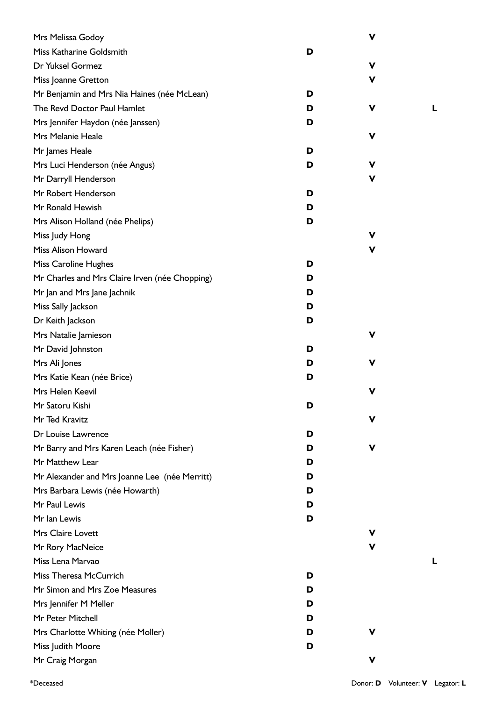| Mrs Melissa Godoy                              |   | $\mathbf v$ |   |
|------------------------------------------------|---|-------------|---|
| Miss Katharine Goldsmith                       | D |             |   |
| Dr Yuksel Gormez                               |   | V           |   |
| Miss Joanne Gretton                            |   | V           |   |
| Mr Benjamin and Mrs Nia Haines (née McLean)    | D |             |   |
| The Revd Doctor Paul Hamlet                    | D | V           | L |
| Mrs Jennifer Haydon (née Janssen)              | D |             |   |
| Mrs Melanie Heale                              |   | V           |   |
| Mr James Heale                                 | D |             |   |
| Mrs Luci Henderson (née Angus)                 | D | V           |   |
| Mr Darryll Henderson                           |   | V           |   |
| Mr Robert Henderson                            | D |             |   |
| Mr Ronald Hewish                               | D |             |   |
| Mrs Alison Holland (née Phelips)               | D |             |   |
| Miss Judy Hong                                 |   | v           |   |
| Miss Alison Howard                             |   | V           |   |
| <b>Miss Caroline Hughes</b>                    | D |             |   |
| Mr Charles and Mrs Claire Irven (née Chopping) | D |             |   |
| Mr Jan and Mrs Jane Jachnik                    | D |             |   |
| Miss Sally Jackson                             | D |             |   |
| Dr Keith Jackson                               | D |             |   |
| Mrs Natalie Jamieson                           |   | v           |   |
| Mr David Johnston                              | D |             |   |
| Mrs Ali Jones                                  | D | V           |   |
| Mrs Katie Kean (née Brice)                     | D |             |   |
| Mrs Helen Keevil                               |   | V           |   |
| Mr Satoru Kishi                                | D |             |   |
| Mr Ted Kravitz                                 |   | v           |   |
| Dr Louise Lawrence                             | D |             |   |
| Mr Barry and Mrs Karen Leach (née Fisher)      | D | V           |   |
| Mr Matthew Lear                                | D |             |   |
| Mr Alexander and Mrs Joanne Lee (née Merritt)  | D |             |   |
| Mrs Barbara Lewis (née Howarth)                | D |             |   |
| Mr Paul Lewis                                  | D |             |   |
| Mr Ian Lewis                                   | D |             |   |
| Mrs Claire Lovett                              |   | v           |   |
| Mr Rory MacNeice                               |   | V           |   |
| Miss Lena Marvao                               |   |             | L |
| Miss Theresa McCurrich                         | D |             |   |
| Mr Simon and Mrs Zoe Measures                  | D |             |   |
| Mrs Jennifer M Meller                          | D |             |   |
| Mr Peter Mitchell                              | D |             |   |
| Mrs Charlotte Whiting (née Moller)             | D | v           |   |
| Miss Judith Moore                              | D |             |   |
| Mr Craig Morgan                                |   | V           |   |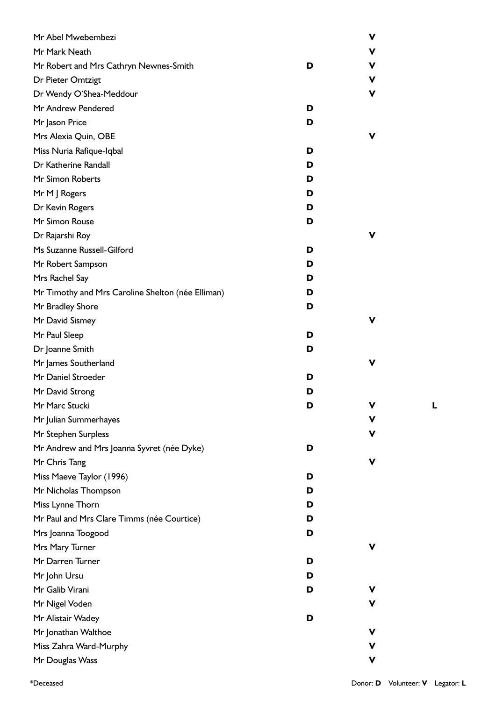| Mr Abel Mwebembezi                                |   | ۷ |
|---------------------------------------------------|---|---|
| Mr Mark Neath                                     |   | ۷ |
| Mr Robert and Mrs Cathryn Newnes-Smith            | D | ۷ |
| Dr Pieter Omtzigt                                 |   | v |
| Dr Wendy O'Shea-Meddour                           |   | V |
| Mr Andrew Pendered                                | D |   |
| Mr Jason Price                                    | D |   |
| Mrs Alexia Quin, OBE                              |   | ۷ |
| Miss Nuria Rafique-Iqbal                          | D |   |
| Dr Katherine Randall                              | D |   |
| Mr Simon Roberts                                  | D |   |
| Mr M J Rogers                                     | D |   |
| Dr Kevin Rogers                                   | D |   |
| Mr Simon Rouse                                    | D |   |
| Dr Rajarshi Roy                                   |   | v |
| Ms Suzanne Russell-Gilford                        | D |   |
| Mr Robert Sampson                                 | D |   |
| Mrs Rachel Say                                    | D |   |
| Mr Timothy and Mrs Caroline Shelton (née Elliman) | D |   |
| Mr Bradley Shore                                  | D |   |
| Mr David Sismey                                   |   | V |
| Mr Paul Sleep                                     | D |   |
| Dr Joanne Smith                                   | D |   |
| Mr James Southerland                              |   | V |
| Mr Daniel Stroeder                                | D |   |
| Mr David Strong                                   | D |   |
| Mr Marc Stucki                                    | D | ۷ |
| Mr Julian Summerhayes                             |   | V |
| Mr Stephen Surpless                               |   | ۷ |
| Mr Andrew and Mrs Joanna Syvret (née Dyke)        | D |   |
| Mr Chris Tang                                     |   | ۷ |
| Miss Maeve Taylor (1996)                          | D |   |
| Mr Nicholas Thompson                              | D |   |
| Miss Lynne Thorn                                  | D |   |
| Mr Paul and Mrs Clare Timms (née Courtice)        | D |   |
| Mrs Joanna Toogood                                | D |   |
| Mrs Mary Turner                                   |   | V |
| Mr Darren Turner                                  | D |   |
| Mr John Ursu                                      | D |   |
| Mr Galib Virani                                   | D | v |
| Mr Nigel Voden                                    |   | ۷ |
| Mr Alistair Wadey                                 | D |   |
| Mr Jonathan Walthoe                               |   | ۷ |
| Miss Zahra Ward-Murphy                            |   | ۷ |
| Mr Douglas Wass                                   |   | V |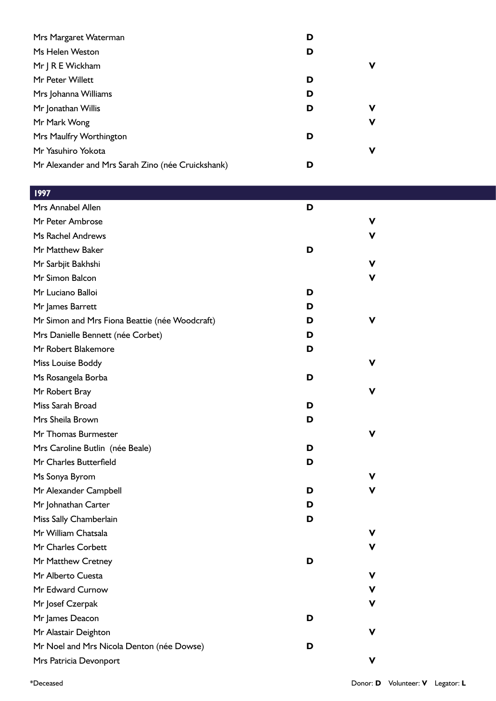| Mrs Margaret Waterman                             | D |             |
|---------------------------------------------------|---|-------------|
| Ms Helen Weston                                   | D |             |
| Mr J R E Wickham                                  |   | v           |
| Mr Peter Willett                                  | D |             |
| Mrs Johanna Williams                              | D |             |
| Mr Jonathan Willis                                | D | v           |
| Mr Mark Wong                                      |   | $\mathbf v$ |
| Mrs Maulfry Worthington                           | D |             |
| Mr Yasuhiro Yokota                                |   | V           |
| Mr Alexander and Mrs Sarah Zino (née Cruickshank) | D |             |
|                                                   |   |             |

| 1997                                           |   |   |
|------------------------------------------------|---|---|
| Mrs Annabel Allen                              | D |   |
| Mr Peter Ambrose                               |   | ۷ |
| Ms Rachel Andrews                              |   | ۷ |
| Mr Matthew Baker                               | D |   |
| Mr Sarbjit Bakhshi                             |   | ۷ |
| Mr Simon Balcon                                |   | ۷ |
| Mr Luciano Balloi                              | D |   |
| Mr James Barrett                               | D |   |
| Mr Simon and Mrs Fiona Beattie (née Woodcraft) | D | ۷ |
| Mrs Danielle Bennett (née Corbet)              | D |   |
| Mr Robert Blakemore                            | D |   |
| Miss Louise Boddy                              |   | ۷ |
| Ms Rosangela Borba                             | D |   |
| Mr Robert Bray                                 |   | v |
| Miss Sarah Broad                               | D |   |
| Mrs Sheila Brown                               | D |   |
| Mr Thomas Burmester                            |   | v |
| Mrs Caroline Butlin (née Beale)                | D |   |
| Mr Charles Butterfield                         | D |   |
| Ms Sonya Byrom                                 |   | v |
| Mr Alexander Campbell                          | D | v |
| Mr Johnathan Carter                            | D |   |
| Miss Sally Chamberlain                         | D |   |
| Mr William Chatsala                            |   |   |
| Mr Charles Corbett                             |   | v |
| Mr Matthew Cretney                             | D |   |
| Mr Alberto Cuesta                              |   | v |
| Mr Edward Curnow                               |   | ۷ |
| Mr Josef Czerpak                               |   | ۷ |
| Mr James Deacon                                | D |   |
| Mr Alastair Deighton                           |   | v |
| Mr Noel and Mrs Nicola Denton (née Dowse)      | D |   |
| Mrs Patricia Devonport                         |   | v |
|                                                |   |   |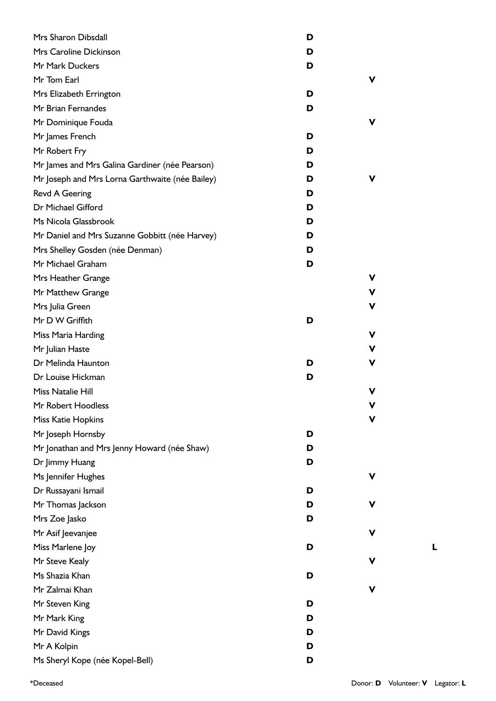| Mrs Sharon Dibsdall                             | D      |
|-------------------------------------------------|--------|
| Mrs Caroline Dickinson                          | D      |
| Mr Mark Duckers                                 | D      |
| Mr Tom Earl                                     | ۷      |
| Mrs Elizabeth Errington                         | D      |
| Mr Brian Fernandes                              | D      |
| Mr Dominique Fouda                              | v      |
| Mr James French                                 | D      |
| Mr Robert Fry                                   | D      |
| Mr James and Mrs Galina Gardiner (née Pearson)  | D      |
| Mr Joseph and Mrs Lorna Garthwaite (née Bailey) | ۷<br>D |
| <b>Revd A Geering</b>                           | D      |
| Dr Michael Gifford                              | D      |
| Ms Nicola Glassbrook                            | D      |
| Mr Daniel and Mrs Suzanne Gobbitt (née Harvey)  | D      |
| Mrs Shelley Gosden (née Denman)                 | D      |
| Mr Michael Graham                               | D      |
| Mrs Heather Grange                              | v      |
| Mr Matthew Grange                               | V      |
| Mrs Julia Green                                 | V      |
| Mr D W Griffith                                 | D      |
| Miss Maria Harding                              | v      |
| Mr Julian Haste                                 | V      |
| Dr Melinda Haunton                              | ۷<br>D |
| Dr Louise Hickman                               | D      |
| Miss Natalie Hill                               | v      |
| Mr Robert Hoodless                              | V      |
| <b>Miss Katie Hopkins</b>                       | ۷      |
| Mr Joseph Hornsby                               | D      |
| Mr Jonathan and Mrs Jenny Howard (née Shaw)     | D      |
| Dr Jimmy Huang                                  | D      |
| Ms Jennifer Hughes                              | ۷      |
| Dr Russayani Ismail                             | D      |
| Mr Thomas Jackson                               | V<br>D |
| Mrs Zoe Jasko                                   | D      |
| Mr Asif Jeevanjee                               | V      |
| Miss Marlene Joy                                | D      |
| Mr Steve Kealy                                  | ۷      |
| Ms Shazia Khan                                  | D      |
| Mr Zalmai Khan                                  | ۷      |
| Mr Steven King                                  | D      |
| Mr Mark King                                    | D      |
| Mr David Kings                                  | D      |
| Mr A Kolpin                                     | D      |
| Ms Sheryl Kope (née Kopel-Bell)                 | D      |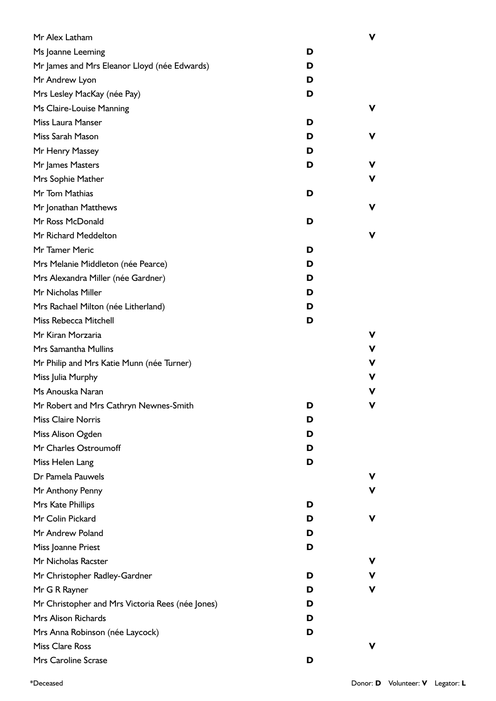| Mr Alex Latham                                   |   | V  |
|--------------------------------------------------|---|----|
| Ms Joanne Leeming                                | D |    |
| Mr James and Mrs Eleanor Lloyd (née Edwards)     | D |    |
| Mr Andrew Lyon                                   | D |    |
| Mrs Lesley MacKay (née Pay)                      | D |    |
| Ms Claire-Louise Manning                         |   | v  |
| Miss Laura Manser                                | D |    |
| Miss Sarah Mason                                 | D | V  |
| Mr Henry Massey                                  | D |    |
| Mr James Masters                                 | D | v  |
| Mrs Sophie Mather                                |   | v  |
| Mr Tom Mathias                                   | D |    |
| Mr Jonathan Matthews                             |   | ۷  |
| Mr Ross McDonald                                 | D |    |
| Mr Richard Meddelton                             |   | v  |
| Mr Tamer Meric                                   | D |    |
| Mrs Melanie Middleton (née Pearce)               | D |    |
| Mrs Alexandra Miller (née Gardner)               | D |    |
| Mr Nicholas Miller                               | D |    |
| Mrs Rachael Milton (née Litherland)              | D |    |
| Miss Rebecca Mitchell                            | D |    |
| Mr Kiran Morzaria                                |   | v  |
| Mrs Samantha Mullins                             |   | v  |
| Mr Philip and Mrs Katie Munn (née Turner)        |   | v  |
| Miss Julia Murphy                                |   | v  |
| Ms Anouska Naran                                 |   | v  |
| Mr Robert and Mrs Cathryn Newnes-Smith           | D | v  |
| <b>Miss Claire Norris</b>                        | D |    |
| Miss Alison Ogden                                | D |    |
| Mr Charles Ostroumoff                            | D |    |
| Miss Helen Lang                                  | D |    |
| Dr Pamela Pauwels                                |   | v  |
| Mr Anthony Penny                                 |   | V  |
| Mrs Kate Phillips                                | D |    |
| Mr Colin Pickard                                 | D | v. |
| Mr Andrew Poland                                 | D |    |
| Miss Joanne Priest                               | D |    |
| Mr Nicholas Racster                              |   | v  |
| Mr Christopher Radley-Gardner                    | D | ۷  |
| Mr G R Rayner                                    | D | v  |
| Mr Christopher and Mrs Victoria Rees (née Jones) | D |    |
| Mrs Alison Richards                              | D |    |
| Mrs Anna Robinson (née Laycock)                  | D |    |
| <b>Miss Clare Ross</b>                           |   | v  |
| Mrs Caroline Scrase                              | D |    |
|                                                  |   |    |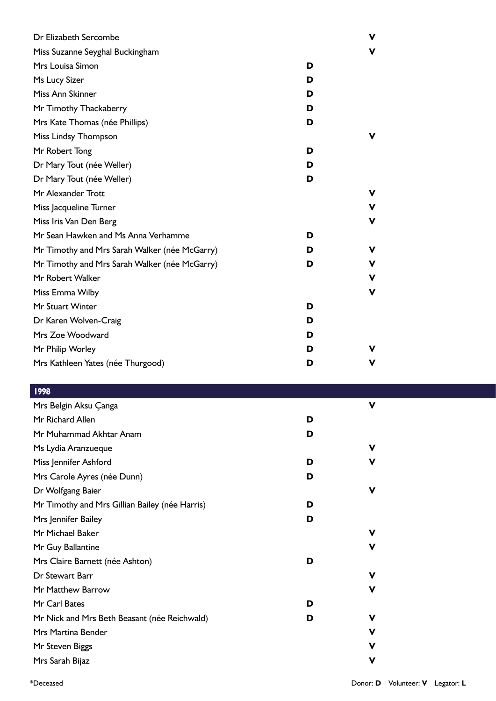| Dr Elizabeth Sercombe                         |   | v |
|-----------------------------------------------|---|---|
| Miss Suzanne Seyghal Buckingham               |   | v |
| Mrs Louisa Simon                              | D |   |
| Ms Lucy Sizer                                 | D |   |
| Miss Ann Skinner                              | D |   |
| Mr Timothy Thackaberry                        | D |   |
| Mrs Kate Thomas (née Phillips)                | D |   |
| Miss Lindsy Thompson                          |   | v |
| Mr Robert Tong                                | D |   |
| Dr Mary Tout (née Weller)                     | D |   |
| Dr Mary Tout (née Weller)                     | D |   |
| Mr Alexander Trott                            |   | v |
| Miss Jacqueline Turner                        |   | v |
| Miss Iris Van Den Berg                        |   | v |
| Mr Sean Hawken and Ms Anna Verhamme           | D |   |
| Mr Timothy and Mrs Sarah Walker (née McGarry) | D | v |
| Mr Timothy and Mrs Sarah Walker (née McGarry) | D | v |
| Mr Robert Walker                              |   | v |
| Miss Emma Wilby                               |   | V |
| Mr Stuart Winter                              | D |   |
| Dr Karen Wolven-Craig                         | D |   |
| Mrs Zoe Woodward                              | D |   |
| Mr Philip Worley                              | D |   |
| Mrs Kathleen Yates (née Thurgood)             | D | v |

| <u> </u> 199 <u>8</u>                          |   |             |  |
|------------------------------------------------|---|-------------|--|
| Mrs Belgin Aksu Çanga                          |   | $\mathbf v$ |  |
| Mr Richard Allen                               | D |             |  |
| Mr Muhammad Akhtar Anam                        | D |             |  |
| Ms Lydia Aranzueque                            |   | V           |  |
| Miss Jennifer Ashford                          | D | v           |  |
| Mrs Carole Ayres (née Dunn)                    | D |             |  |
| Dr Wolfgang Baier                              |   | $\mathbf v$ |  |
| Mr Timothy and Mrs Gillian Bailey (née Harris) | D |             |  |
| Mrs Jennifer Bailey                            | D |             |  |
| Mr Michael Baker                               |   | V           |  |
| Mr Guy Ballantine                              |   | ۷           |  |
| Mrs Claire Barnett (née Ashton)                | D |             |  |
| Dr Stewart Barr                                |   | ۷           |  |
| Mr Matthew Barrow                              |   | V           |  |
| Mr Carl Bates                                  | D |             |  |
| Mr Nick and Mrs Beth Beasant (née Reichwald)   | D | ۷           |  |
| <b>Mrs Martina Bender</b>                      |   | v           |  |
| Mr Steven Biggs                                |   | ۷           |  |
| Mrs Sarah Bijaz                                |   | V           |  |
|                                                |   |             |  |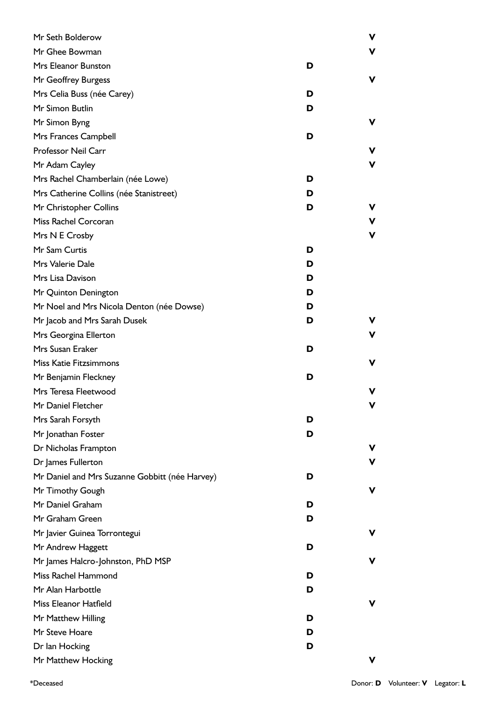| Mr Seth Bolderow                               |   | ۷ |
|------------------------------------------------|---|---|
| Mr Ghee Bowman                                 |   | v |
| Mrs Eleanor Bunston                            | D |   |
| Mr Geoffrey Burgess                            |   | ۷ |
| Mrs Celia Buss (née Carey)                     | D |   |
| Mr Simon Butlin                                | D |   |
| Mr Simon Byng                                  |   | v |
| Mrs Frances Campbell                           | D |   |
| <b>Professor Neil Carr</b>                     |   | v |
| Mr Adam Cayley                                 |   | ۷ |
| Mrs Rachel Chamberlain (née Lowe)              | D |   |
| Mrs Catherine Collins (née Stanistreet)        | D |   |
| Mr Christopher Collins                         | D | v |
| Miss Rachel Corcoran                           |   | ۷ |
| Mrs N E Crosby                                 |   | ۷ |
| Mr Sam Curtis                                  | D |   |
| Mrs Valerie Dale                               | D |   |
| Mrs Lisa Davison                               | D |   |
| Mr Quinton Denington                           | D |   |
| Mr Noel and Mrs Nicola Denton (née Dowse)      | D |   |
| Mr Jacob and Mrs Sarah Dusek                   | D | v |
| Mrs Georgina Ellerton                          |   | v |
| Mrs Susan Eraker                               | D |   |
| <b>Miss Katie Fitzsimmons</b>                  |   | v |
| Mr Benjamin Fleckney                           | D |   |
| Mrs Teresa Fleetwood                           |   | v |
| Mr Daniel Fletcher                             |   | v |
| Mrs Sarah Forsyth                              | D |   |
| Mr Jonathan Foster                             | D |   |
| Dr Nicholas Frampton                           |   | v |
| Dr James Fullerton                             |   | v |
| Mr Daniel and Mrs Suzanne Gobbitt (née Harvey) | D |   |
| Mr Timothy Gough                               |   | v |
| Mr Daniel Graham                               | D |   |
| Mr Graham Green                                | D |   |
| Mr Javier Guinea Torrontegui                   |   | v |
| Mr Andrew Haggett                              | D |   |
| Mr James Halcro-Johnston, PhD MSP              |   | v |
| Miss Rachel Hammond                            | D |   |
| Mr Alan Harbottle                              | D |   |
| Miss Eleanor Hatfield                          |   | v |
| Mr Matthew Hilling                             | D |   |
| Mr Steve Hoare                                 | D |   |
| Dr Ian Hocking                                 | D |   |
| Mr Matthew Hocking                             |   | v |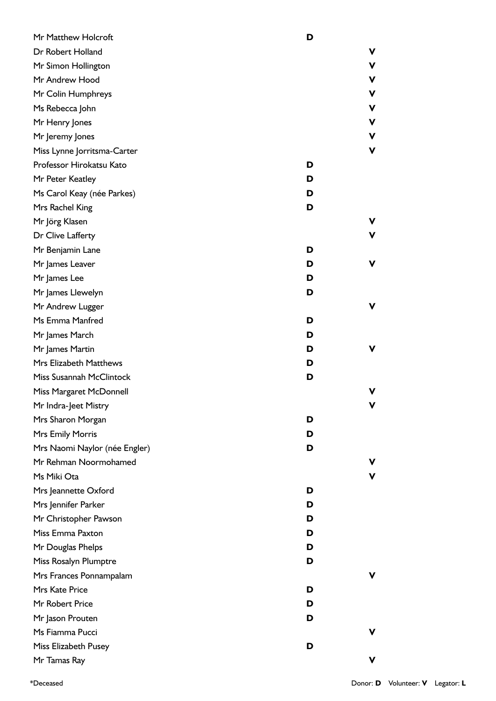| Mr Matthew Holcroft           | D |   |
|-------------------------------|---|---|
| Dr Robert Holland             |   | ۷ |
| Mr Simon Hollington           |   | V |
| Mr Andrew Hood                |   | ۷ |
| Mr Colin Humphreys            |   | V |
| Ms Rebecca John               |   | V |
| Mr Henry Jones                |   | V |
| Mr Jeremy Jones               |   | ۷ |
| Miss Lynne Jorritsma-Carter   |   | V |
| Professor Hirokatsu Kato      | D |   |
| Mr Peter Keatley              | D |   |
| Ms Carol Keay (née Parkes)    | D |   |
| Mrs Rachel King               | D |   |
| Mr Jörg Klasen                |   | ۷ |
| Dr Clive Lafferty             |   | V |
| Mr Benjamin Lane              | D |   |
| Mr James Leaver               | D | ۷ |
| Mr James Lee                  | D |   |
| Mr James Llewelyn             | D |   |
| Mr Andrew Lugger              |   | ۷ |
| Ms Emma Manfred               | D |   |
| Mr James March                | D |   |
| Mr James Martin               | D | ۷ |
| Mrs Elizabeth Matthews        | D |   |
| Miss Susannah McClintock      | D |   |
| Miss Margaret McDonnell       |   | v |
| Mr Indra-Jeet Mistry          |   | v |
| Mrs Sharon Morgan             | D |   |
| Mrs Emily Morris              | D |   |
| Mrs Naomi Naylor (née Engler) | D |   |
| Mr Rehman Noormohamed         |   | v |
| Ms Miki Ota                   |   | v |
| Mrs Jeannette Oxford          | D |   |
| Mrs Jennifer Parker           | D |   |
| Mr Christopher Pawson         | D |   |
| Miss Emma Paxton              | D |   |
| Mr Douglas Phelps             | D |   |
| Miss Rosalyn Plumptre         | D |   |
| Mrs Frances Ponnampalam       |   | v |
| Mrs Kate Price                | D |   |
| Mr Robert Price               | D |   |
| Mr Jason Prouten              | D |   |
| Ms Fiamma Pucci               |   | v |
| Miss Elizabeth Pusey          | D |   |
| Mr Tamas Ray                  |   | v |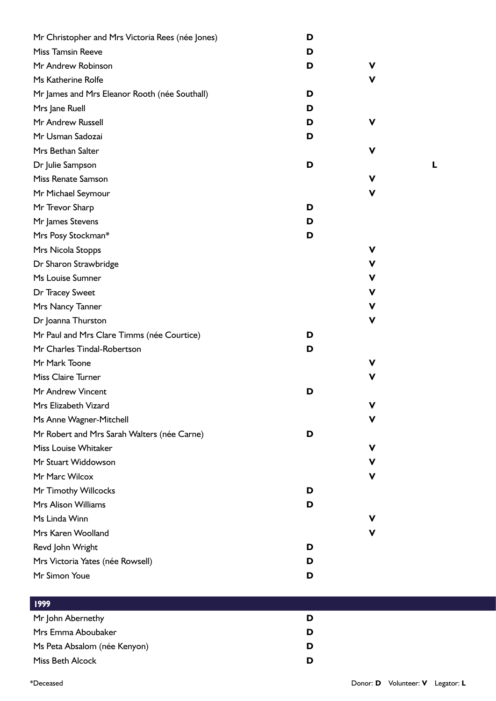| Mr Christopher and Mrs Victoria Rees (née Jones) | D |   |
|--------------------------------------------------|---|---|
| <b>Miss Tamsin Reeve</b>                         | D |   |
| Mr Andrew Robinson                               | D | v |
| Ms Katherine Rolfe                               |   | v |
| Mr James and Mrs Eleanor Rooth (née Southall)    | D |   |
| Mrs Jane Ruell                                   | D |   |
| Mr Andrew Russell                                | D | v |
| Mr Usman Sadozai                                 | D |   |
| Mrs Bethan Salter                                |   | v |
| Dr Julie Sampson                                 | D |   |
| Miss Renate Samson                               |   | V |
| Mr Michael Seymour                               |   | v |
| Mr Trevor Sharp                                  | D |   |
| Mr James Stevens                                 | D |   |
| Mrs Posy Stockman*                               | D |   |
| Mrs Nicola Stopps                                |   | v |
| Dr Sharon Strawbridge                            |   | ۷ |
| Ms Louise Sumner                                 |   | ۷ |
| Dr Tracey Sweet                                  |   | ۷ |
| Mrs Nancy Tanner                                 |   | ۷ |
| Dr Joanna Thurston                               |   | ۷ |
| Mr Paul and Mrs Clare Timms (née Courtice)       | D |   |
| Mr Charles Tindal-Robertson                      | D |   |
| Mr Mark Toone                                    |   |   |
| <b>Miss Claire Turner</b>                        |   | v |
| Mr Andrew Vincent                                | D |   |
| Mrs Elizabeth Vizard                             |   | v |
| Ms Anne Wagner-Mitchell                          |   | v |
| Mr Robert and Mrs Sarah Walters (née Carne)      | D |   |
| <b>Miss Louise Whitaker</b>                      |   | v |
| Mr Stuart Widdowson                              |   | v |
| Mr Marc Wilcox                                   |   | v |
| Mr Timothy Willcocks                             | D |   |
| Mrs Alison Williams                              | D |   |
| Ms Linda Winn                                    |   | v |
| Mrs Karen Woolland                               |   | v |
| Revd John Wright                                 | D |   |
| Mrs Victoria Yates (née Rowsell)                 | D |   |
| Mr Simon Youe                                    | D |   |
|                                                  |   |   |

| 1999                         |   |  |
|------------------------------|---|--|
| Mr John Abernethy            | D |  |
| Mrs Emma Aboubaker           | D |  |
| Ms Peta Absalom (née Kenyon) | D |  |
| Miss Beth Alcock             | D |  |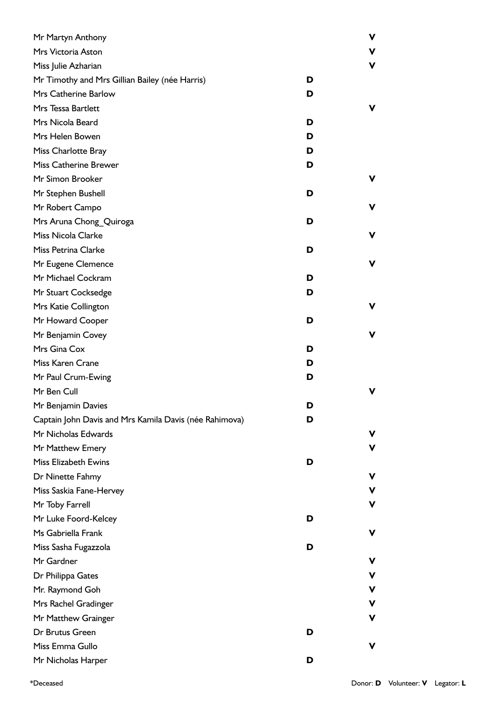| Mr Martyn Anthony                                      |   | v           |
|--------------------------------------------------------|---|-------------|
| Mrs Victoria Aston                                     |   | ۷           |
| Miss Julie Azharian                                    |   | V           |
| Mr Timothy and Mrs Gillian Bailey (née Harris)         | D |             |
| Mrs Catherine Barlow                                   | D |             |
| Mrs Tessa Bartlett                                     |   | v           |
| Mrs Nicola Beard                                       | D |             |
| Mrs Helen Bowen                                        | D |             |
| Miss Charlotte Bray                                    | D |             |
| <b>Miss Catherine Brewer</b>                           | D |             |
| Mr Simon Brooker                                       |   | v           |
| Mr Stephen Bushell                                     | D |             |
| Mr Robert Campo                                        |   | v           |
| Mrs Aruna Chong_Quiroga                                | D |             |
| <b>Miss Nicola Clarke</b>                              |   | v           |
| Miss Petrina Clarke                                    | D |             |
| Mr Eugene Clemence                                     |   | v           |
| Mr Michael Cockram                                     | D |             |
| Mr Stuart Cocksedge                                    | D |             |
| Mrs Katie Collington                                   |   | v           |
| Mr Howard Cooper                                       | D |             |
| Mr Benjamin Covey                                      |   | v           |
| Mrs Gina Cox                                           | D |             |
| Miss Karen Crane                                       | D |             |
| Mr Paul Crum-Ewing                                     | D |             |
| Mr Ben Cull                                            |   |             |
| Mr Benjamin Davies                                     | D |             |
| Captain John Davis and Mrs Kamila Davis (née Rahimova) | D |             |
| Mr Nicholas Edwards                                    |   | v           |
| Mr Matthew Emery                                       |   | v           |
| <b>Miss Elizabeth Ewins</b>                            | D |             |
| Dr Ninette Fahmy                                       |   | v           |
| Miss Saskia Fane-Hervey                                |   | $\mathbf v$ |
| Mr Toby Farrell                                        |   | v           |
| Mr Luke Foord-Kelcey                                   | D |             |
| Ms Gabriella Frank                                     |   | v           |
| Miss Sasha Fugazzola                                   | D |             |
| Mr Gardner                                             |   | v           |
| Dr Philippa Gates                                      |   | V           |
| Mr. Raymond Goh                                        |   | $\mathbf v$ |
| Mrs Rachel Gradinger                                   |   | ۷           |
| Mr Matthew Grainger                                    |   | v           |
| Dr Brutus Green                                        | D |             |
| Miss Emma Gullo                                        |   | v           |
| Mr Nicholas Harper                                     | D |             |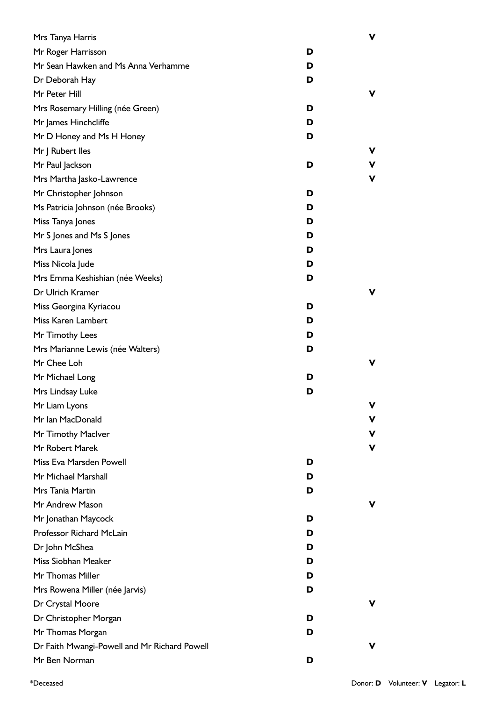| Mrs Tanya Harris                             |   | v |
|----------------------------------------------|---|---|
| Mr Roger Harrisson                           | D |   |
| Mr Sean Hawken and Ms Anna Verhamme          | D |   |
| Dr Deborah Hay                               | D |   |
| Mr Peter Hill                                |   | v |
| Mrs Rosemary Hilling (née Green)             | D |   |
| Mr James Hinchcliffe                         | D |   |
| Mr D Honey and Ms H Honey                    | D |   |
| Mr J Rubert Iles                             |   | v |
| Mr Paul Jackson                              | D | V |
| Mrs Martha Jasko-Lawrence                    |   | ۷ |
| Mr Christopher Johnson                       | D |   |
| Ms Patricia Johnson (née Brooks)             | D |   |
| Miss Tanya Jones                             | D |   |
| Mr S Jones and Ms S Jones                    | D |   |
| Mrs Laura Jones                              | D |   |
| Miss Nicola Jude                             | D |   |
| Mrs Emma Keshishian (née Weeks)              | D |   |
| Dr Ulrich Kramer                             |   | v |
| Miss Georgina Kyriacou                       | D |   |
| Miss Karen Lambert                           | D |   |
| Mr Timothy Lees                              | D |   |
| Mrs Marianne Lewis (née Walters)             | D |   |
| Mr Chee Loh                                  |   | v |
| Mr Michael Long                              | D |   |
| Mrs Lindsay Luke                             | D |   |
| Mr Liam Lyons                                |   | v |
| Mr Ian MacDonald                             |   | v |
| Mr Timothy Maclver                           |   | v |
| Mr Robert Marek                              |   | v |
| Miss Eva Marsden Powell                      | D |   |
| Mr Michael Marshall                          | D |   |
| Mrs Tania Martin                             | D |   |
| Mr Andrew Mason                              |   | v |
| Mr Jonathan Maycock                          | D |   |
| Professor Richard McLain                     | D |   |
| Dr John McShea                               | D |   |
| Miss Siobhan Meaker                          | D |   |
| Mr Thomas Miller                             | D |   |
| Mrs Rowena Miller (née Jarvis)               | D |   |
| Dr Crystal Moore                             |   | v |
| Dr Christopher Morgan                        | D |   |
| Mr Thomas Morgan                             | D |   |
| Dr Faith Mwangi-Powell and Mr Richard Powell |   | v |
| Mr Ben Norman                                | D |   |
|                                              |   |   |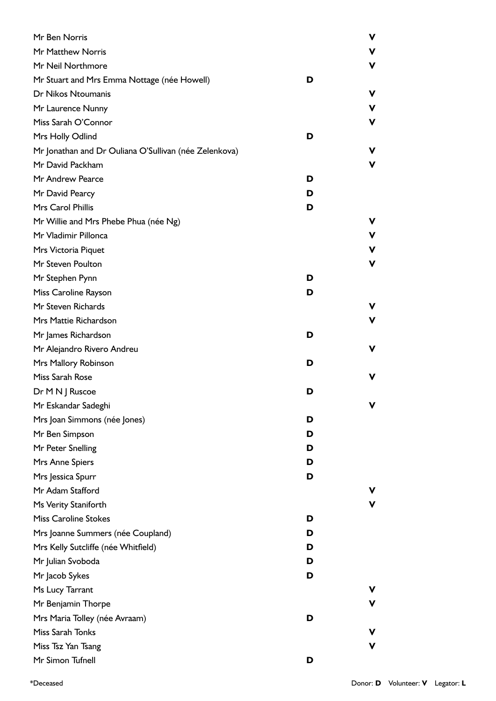| Mr Ben Norris                                         |   | V |
|-------------------------------------------------------|---|---|
| Mr Matthew Norris                                     |   |   |
| Mr Neil Northmore                                     |   | ν |
| Mr Stuart and Mrs Emma Nottage (née Howell)           | D |   |
| Dr Nikos Ntoumanis                                    |   | ν |
| Mr Laurence Nunny                                     |   | ν |
| Miss Sarah O'Connor                                   |   | ν |
| Mrs Holly Odlind                                      | D |   |
| Mr Jonathan and Dr Ouliana O'Sullivan (née Zelenkova) |   | ν |
| Mr David Packham                                      |   | ν |
| Mr Andrew Pearce                                      | D |   |
| Mr David Pearcy                                       | D |   |
| Mrs Carol Phillis                                     | D |   |
| Mr Willie and Mrs Phebe Phua (née Ng)                 |   |   |
| Mr Vladimir Pillonca                                  |   | ۷ |
| Mrs Victoria Piquet                                   |   | V |
| Mr Steven Poulton                                     |   | ν |
| Mr Stephen Pynn                                       | D |   |
| Miss Caroline Rayson                                  | D |   |
| Mr Steven Richards                                    |   |   |
| Mrs Mattie Richardson                                 |   | ν |
| Mr James Richardson                                   | D |   |
| Mr Alejandro Rivero Andreu                            |   | ν |
| Mrs Mallory Robinson                                  | D |   |
| Miss Sarah Rose                                       |   | ν |
| Dr M N J Ruscoe                                       | D |   |
| Mr Eskandar Sadeghi                                   |   | v |
| Mrs Joan Simmons (née Jones)                          | D |   |
| Mr Ben Simpson                                        | D |   |
| Mr Peter Snelling                                     | D |   |
| Mrs Anne Spiers                                       | D |   |
| Mrs Jessica Spurr                                     | D |   |
| Mr Adam Stafford                                      |   |   |
| Ms Verity Staniforth                                  |   |   |
| <b>Miss Caroline Stokes</b>                           | D |   |
| Mrs Joanne Summers (née Coupland)                     | D |   |
| Mrs Kelly Sutcliffe (née Whitfield)                   | D |   |
| Mr Julian Svoboda                                     | D |   |
| Mr Jacob Sykes                                        | D |   |
| Ms Lucy Tarrant                                       |   |   |
| Mr Benjamin Thorpe                                    |   |   |
| Mrs Maria Tolley (née Avraam)                         | D |   |
| Miss Sarah Tonks                                      |   |   |
| Miss Tsz Yan Tsang                                    |   |   |
| Mr Simon Tufnell                                      | D |   |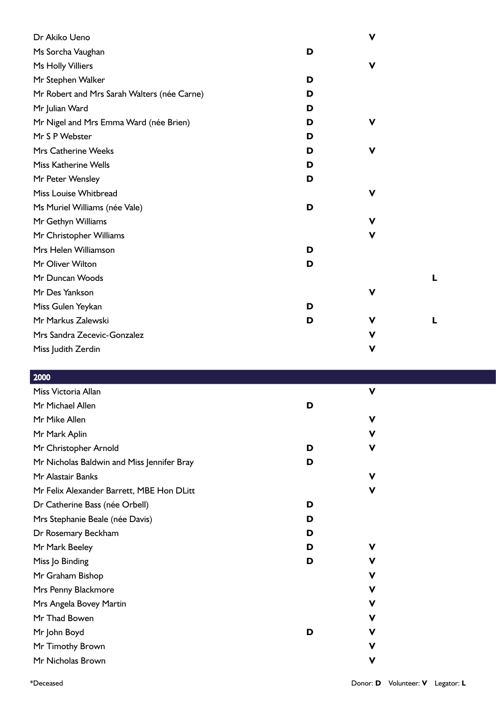| Dr Akiko Ueno                               |   | $\mathbf v$ |   |
|---------------------------------------------|---|-------------|---|
| Ms Sorcha Vaughan                           | D |             |   |
| Ms Holly Villiers                           |   | $\mathbf v$ |   |
| Mr Stephen Walker                           | D |             |   |
| Mr Robert and Mrs Sarah Walters (née Carne) | D |             |   |
| Mr Julian Ward                              | D |             |   |
| Mr Nigel and Mrs Emma Ward (née Brien)      | D | $\mathbf v$ |   |
| Mr S P Webster                              | D |             |   |
| <b>Mrs Catherine Weeks</b>                  | D | $\mathbf v$ |   |
| <b>Miss Katherine Wells</b>                 | D |             |   |
| Mr Peter Wensley                            | D |             |   |
| Miss Louise Whitbread                       |   | $\mathbf v$ |   |
| Ms Muriel Williams (née Vale)               | D |             |   |
| Mr Gethyn Williams                          |   | V           |   |
| Mr Christopher Williams                     |   | $\mathbf v$ |   |
| Mrs Helen Williamson                        | D |             |   |
| Mr Oliver Wilton                            | D |             |   |
| Mr Duncan Woods                             |   |             | L |
| Mr Des Yankson                              |   | V           |   |
| Miss Gulen Yeykan                           | D |             |   |
| Mr Markus Zalewski                          | D | V           | L |
| Mrs Sandra Zecevic-Gonzalez                 |   | $\mathbf v$ |   |
| Miss Judith Zerdin                          |   | $\mathbf v$ |   |
|                                             |   |             |   |

| 2000                                       |   |   |  |
|--------------------------------------------|---|---|--|
| Miss Victoria Allan                        |   | V |  |
| Mr Michael Allen                           | D |   |  |
| Mr Mike Allen                              |   | v |  |
| Mr Mark Aplin                              |   | v |  |
| Mr Christopher Arnold                      | D | ۷ |  |
| Mr Nicholas Baldwin and Miss Jennifer Bray | D |   |  |
| Mr Alastair Banks                          |   | v |  |
| Mr Felix Alexander Barrett, MBE Hon DLitt  |   | v |  |
| Dr Catherine Bass (née Orbell)             | D |   |  |
| Mrs Stephanie Beale (née Davis)            | D |   |  |
| Dr Rosemary Beckham                        | D |   |  |
| Mr Mark Beeley                             | D | v |  |
| Miss Jo Binding                            | D | v |  |
| Mr Graham Bishop                           |   | v |  |
| Mrs Penny Blackmore                        |   | ۷ |  |
| Mrs Angela Bovey Martin                    |   | v |  |
| Mr Thad Bowen                              |   | v |  |
| Mr John Boyd                               | D | v |  |
| Mr Timothy Brown                           |   | v |  |
| Mr Nicholas Brown                          |   | V |  |
|                                            |   |   |  |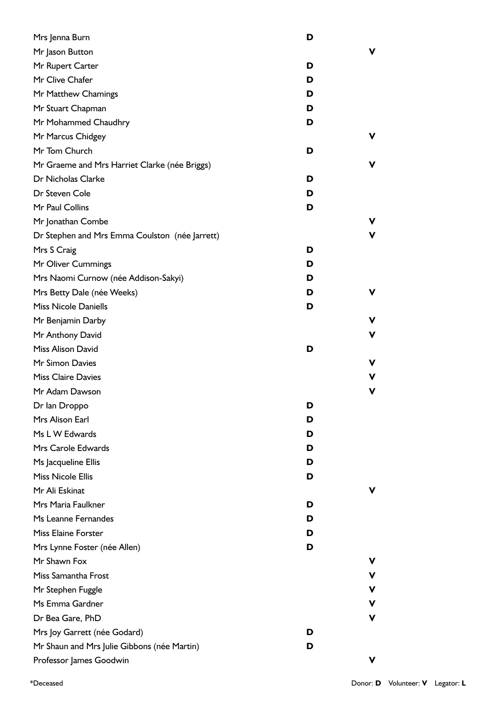| Mrs Jenna Burn                                 | D |    |
|------------------------------------------------|---|----|
| Mr Jason Button                                |   | v  |
| Mr Rupert Carter                               | D |    |
| Mr Clive Chafer                                | D |    |
| Mr Matthew Chamings                            | D |    |
| Mr Stuart Chapman                              | D |    |
| Mr Mohammed Chaudhry                           | D |    |
| Mr Marcus Chidgey                              |   | v. |
| Mr Tom Church                                  | D |    |
| Mr Graeme and Mrs Harriet Clarke (née Briggs)  |   | V  |
| Dr Nicholas Clarke                             | D |    |
| Dr Steven Cole                                 | D |    |
| Mr Paul Collins                                | D |    |
| Mr Jonathan Combe                              |   | v  |
| Dr Stephen and Mrs Emma Coulston (née Jarrett) |   | ۷  |
| Mrs S Craig                                    | D |    |
| Mr Oliver Cummings                             | D |    |
| Mrs Naomi Curnow (née Addison-Sakyi)           | D |    |
| Mrs Betty Dale (née Weeks)                     | D | v  |
| <b>Miss Nicole Daniells</b>                    | D |    |
| Mr Benjamin Darby                              |   | ۷  |
| Mr Anthony David                               |   | V  |
| Miss Alison David                              | D |    |
| Mr Simon Davies                                |   | V  |
| <b>Miss Claire Davies</b>                      |   | ۷  |
| Mr Adam Dawson                                 |   | ۷  |
| Dr Ian Droppo                                  | D |    |
| Mrs Alison Earl                                | D |    |
| Ms L W Edwards                                 | D |    |
| Mrs Carole Edwards                             | D |    |
| Ms Jacqueline Ellis                            | D |    |
| <b>Miss Nicole Ellis</b>                       | D |    |
| Mr Ali Eskinat                                 |   | v  |
| Mrs Maria Faulkner                             | D |    |
| Ms Leanne Fernandes                            | D |    |
| <b>Miss Elaine Forster</b>                     | D |    |
| Mrs Lynne Foster (née Allen)                   | D |    |
| Mr Shawn Fox                                   |   | v  |
| Miss Samantha Frost                            |   | v  |
| Mr Stephen Fuggle                              |   | v  |
| Ms Emma Gardner                                |   | v  |
| Dr Bea Gare, PhD                               |   | ۷  |
| Mrs Joy Garrett (née Godard)                   | D |    |
| Mr Shaun and Mrs Julie Gibbons (née Martin)    | D |    |
| Professor James Goodwin                        |   | v  |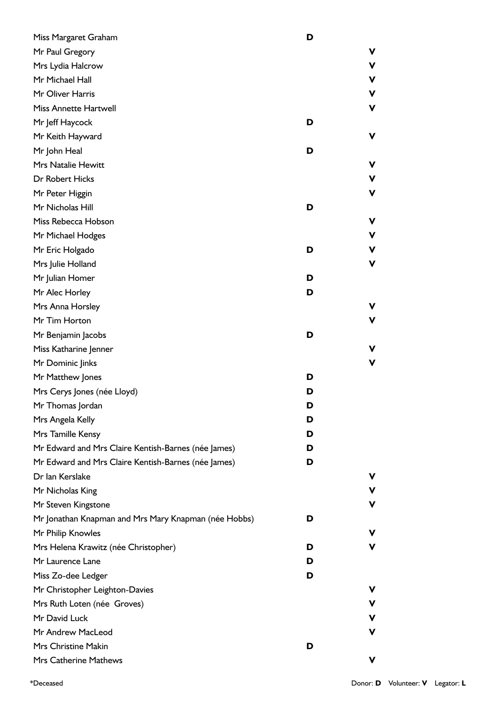| Miss Margaret Graham                                 | D |    |
|------------------------------------------------------|---|----|
| Mr Paul Gregory                                      |   | ۷  |
| Mrs Lydia Halcrow                                    |   | ۷  |
| Mr Michael Hall                                      |   | ۷  |
| Mr Oliver Harris                                     |   | ۷  |
| <b>Miss Annette Hartwell</b>                         |   | V  |
| Mr Jeff Haycock                                      | D |    |
| Mr Keith Hayward                                     |   | ۷  |
| Mr John Heal                                         | D |    |
| Mrs Natalie Hewitt                                   |   | ۷  |
| Dr Robert Hicks                                      |   | ۷  |
| Mr Peter Higgin                                      |   | v  |
| Mr Nicholas Hill                                     | D |    |
| Miss Rebecca Hobson                                  |   | ۷  |
| Mr Michael Hodges                                    |   | v  |
| Mr Eric Holgado                                      | D | ۷  |
| Mrs Julie Holland                                    |   | ۷  |
| Mr Julian Homer                                      | D |    |
| Mr Alec Horley                                       | D |    |
| Mrs Anna Horsley                                     |   | v  |
| Mr Tim Horton                                        |   | ۷  |
| Mr Benjamin Jacobs                                   | D |    |
| Miss Katharine Jenner                                |   | V  |
| Mr Dominic Jinks                                     |   | V  |
| Mr Matthew Jones                                     | D |    |
| Mrs Cerys Jones (née Lloyd)                          | D |    |
| Mr Thomas Jordan                                     | D |    |
| Mrs Angela Kelly                                     | D |    |
| Mrs Tamille Kensy                                    | D |    |
| Mr Edward and Mrs Claire Kentish-Barnes (née James)  | D |    |
| Mr Edward and Mrs Claire Kentish-Barnes (née James)  | D |    |
| Dr Ian Kerslake                                      |   | ۷  |
| Mr Nicholas King                                     |   | v  |
| Mr Steven Kingstone                                  |   | ۷  |
| Mr Jonathan Knapman and Mrs Mary Knapman (née Hobbs) | D |    |
| Mr Philip Knowles                                    |   | v. |
| Mrs Helena Krawitz (née Christopher)                 | D | V  |
| Mr Laurence Lane                                     | D |    |
| Miss Zo-dee Ledger                                   | D |    |
| Mr Christopher Leighton-Davies                       |   | v  |
| Mrs Ruth Loten (née Groves)                          |   | v  |
| Mr David Luck                                        |   | v  |
| Mr Andrew MacLeod                                    |   | V  |
| Mrs Christine Makin                                  | D |    |
| Mrs Catherine Mathews                                |   | ۷  |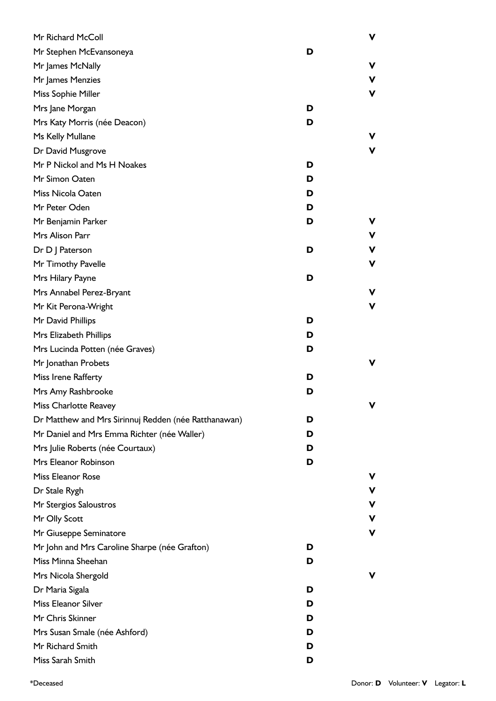| Mr Richard McColl                                    |   | ٧ |
|------------------------------------------------------|---|---|
| Mr Stephen McEvansoneya                              | D |   |
| Mr James McNally                                     |   | ٧ |
| Mr James Menzies                                     |   | ٧ |
| Miss Sophie Miller                                   |   | ٧ |
| Mrs Jane Morgan                                      | D |   |
| Mrs Katy Morris (née Deacon)                         | D |   |
| Ms Kelly Mullane                                     |   |   |
| Dr David Musgrove                                    |   |   |
| Mr P Nickol and Ms H Noakes                          | D |   |
| Mr Simon Oaten                                       | D |   |
| Miss Nicola Oaten                                    | D |   |
| Mr Peter Oden                                        | D |   |
| Mr Benjamin Parker                                   | D |   |
| Mrs Alison Parr                                      |   | ٧ |
| Dr D J Paterson                                      | D |   |
| Mr Timothy Pavelle                                   |   | ν |
| Mrs Hilary Payne                                     | D |   |
| Mrs Annabel Perez-Bryant                             |   |   |
| Mr Kit Perona-Wright                                 |   | ٧ |
| Mr David Phillips                                    | D |   |
| Mrs Elizabeth Phillips                               | D |   |
| Mrs Lucinda Potten (née Graves)                      | D |   |
| Mr Jonathan Probets                                  |   |   |
| Miss Irene Rafferty                                  | D |   |
| Mrs Amy Rashbrooke                                   | D |   |
| Miss Charlotte Reavey                                |   |   |
| Dr Matthew and Mrs Sirinnuj Redden (née Ratthanawan) | D |   |
| Mr Daniel and Mrs Emma Richter (née Waller)          | D |   |
| Mrs Julie Roberts (née Courtaux)                     | D |   |
| Mrs Eleanor Robinson                                 | D |   |
| Miss Eleanor Rose                                    |   |   |
| Dr Stale Rygh                                        |   | ν |
| Mr Stergios Saloustros                               |   | ٧ |
| Mr Olly Scott                                        |   | ٧ |
| Mr Giuseppe Seminatore                               |   | ν |
| Mr John and Mrs Caroline Sharpe (née Grafton)        | D |   |
| Miss Minna Sheehan                                   | D |   |
| Mrs Nicola Shergold                                  |   |   |
| Dr Maria Sigala                                      | D |   |
| Miss Eleanor Silver                                  | D |   |
| Mr Chris Skinner                                     | D |   |
| Mrs Susan Smale (née Ashford)                        | D |   |
| Mr Richard Smith                                     | D |   |
| Miss Sarah Smith                                     | D |   |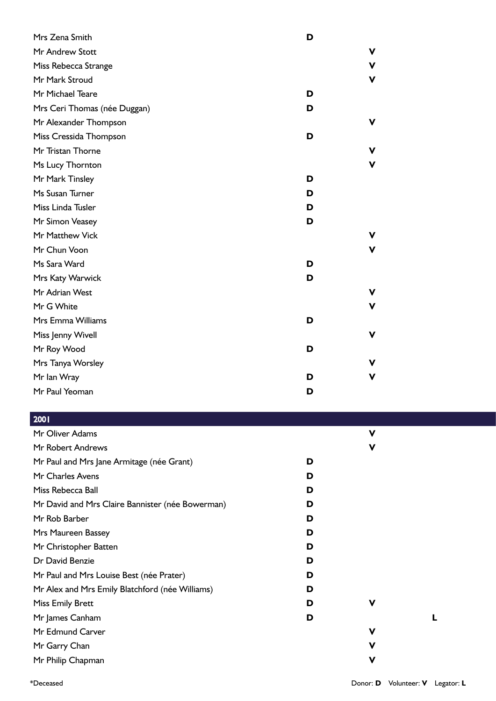| Mrs Zena Smith               | D           |
|------------------------------|-------------|
| Mr Andrew Stott              | v           |
| Miss Rebecca Strange         | V           |
| Mr Mark Stroud               | V           |
| Mr Michael Teare             | D           |
| Mrs Ceri Thomas (née Duggan) | D           |
| Mr Alexander Thompson        | V           |
| Miss Cressida Thompson       | D           |
| Mr Tristan Thorne            | v           |
| Ms Lucy Thornton             | V           |
| Mr Mark Tinsley              | D           |
| Ms Susan Turner              | D           |
| Miss Linda Tusler            | D           |
| Mr Simon Veasey              | D           |
| Mr Matthew Vick              | V           |
| Mr Chun Voon                 | v           |
| Ms Sara Ward                 | D           |
| Mrs Katy Warwick             | D           |
| Mr Adrian West               | V           |
| Mr G White                   | V           |
| Mrs Emma Williams            | D           |
| Miss Jenny Wivell            | $\mathbf v$ |
| Mr Roy Wood                  | D           |
| Mrs Tanya Worsley            | v           |
| Mr Ian Wray                  | v<br>D      |
| Mr Paul Yeoman               | D           |

| Mr Oliver Adams                                  |   | v |  |
|--------------------------------------------------|---|---|--|
| Mr Robert Andrews                                |   | v |  |
| Mr Paul and Mrs Jane Armitage (née Grant)        | D |   |  |
| Mr Charles Avens                                 | D |   |  |
| Miss Rebecca Ball                                | D |   |  |
| Mr David and Mrs Claire Bannister (née Bowerman) | D |   |  |
| Mr Rob Barber                                    | D |   |  |
| Mrs Maureen Bassey                               | D |   |  |
| Mr Christopher Batten                            | D |   |  |
| Dr David Benzie                                  | D |   |  |
| Mr Paul and Mrs Louise Best (née Prater)         | D |   |  |
| Mr Alex and Mrs Emily Blatchford (née Williams)  | D |   |  |
| <b>Miss Emily Brett</b>                          | D | v |  |
| Mr James Canham                                  | D |   |  |
| Mr Edmund Carver                                 |   | V |  |
| Mr Garry Chan                                    |   | V |  |
| Mr Philip Chapman                                |   | v |  |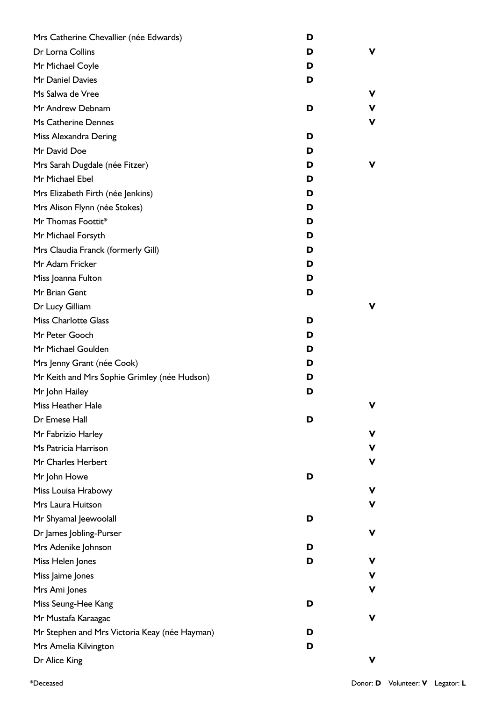| Mrs Catherine Chevallier (née Edwards)        | D |   |
|-----------------------------------------------|---|---|
| Dr Lorna Collins                              | D | v |
| Mr Michael Coyle                              | D |   |
| Mr Daniel Davies                              | D |   |
| Ms Salwa de Vree                              |   | v |
| Mr Andrew Debnam                              | D | v |
| Ms Catherine Dennes                           |   | ۷ |
| Miss Alexandra Dering                         | D |   |
| Mr David Doe                                  | D |   |
| Mrs Sarah Dugdale (née Fitzer)                | D | v |
| Mr Michael Ebel                               | D |   |
| Mrs Elizabeth Firth (née Jenkins)             | D |   |
| Mrs Alison Flynn (née Stokes)                 | D |   |
| Mr Thomas Foottit*                            | D |   |
| Mr Michael Forsyth                            | D |   |
| Mrs Claudia Franck (formerly Gill)            | D |   |
| Mr Adam Fricker                               | D |   |
| Miss Joanna Fulton                            | D |   |
| Mr Brian Gent                                 | D |   |
| Dr Lucy Gilliam                               |   | v |
| <b>Miss Charlotte Glass</b>                   | D |   |
| Mr Peter Gooch                                | D |   |
| Mr Michael Goulden                            | D |   |
| Mrs Jenny Grant (née Cook)                    | D |   |
| Mr Keith and Mrs Sophie Grimley (née Hudson)  | D |   |
| Mr John Hailey                                | D |   |
| <b>Miss Heather Hale</b>                      |   | ۷ |
| Dr Emese Hall                                 | D |   |
| Mr Fabrizio Harley                            |   | ۷ |
| Ms Patricia Harrison                          |   | ۷ |
| Mr Charles Herbert                            |   | v |
| Mr John Howe                                  | D |   |
| Miss Louisa Hrabowy                           |   | v |
| Mrs Laura Huitson                             |   | v |
| Mr Shyamal Jeewoolall                         | D |   |
| Dr James Jobling-Purser                       |   | ۷ |
| Mrs Adenike Johnson                           | D |   |
| Miss Helen Jones                              | D | ۷ |
| Miss Jaime Jones                              |   | v |
| Mrs Ami Jones                                 |   | v |
| Miss Seung-Hee Kang                           | D |   |
| Mr Mustafa Karaagac                           |   | ۷ |
| Mr Stephen and Mrs Victoria Keay (née Hayman) | D |   |
| Mrs Amelia Kilvington                         | D |   |
| Dr Alice King                                 |   | v |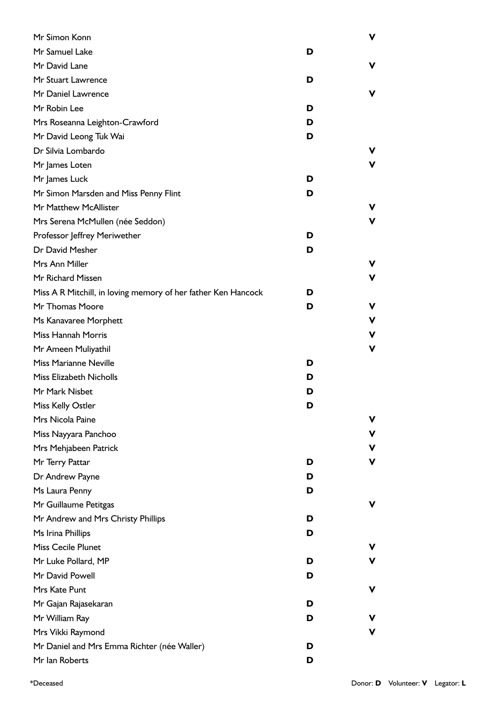| Mr Simon Konn                                                 |   | ۷ |
|---------------------------------------------------------------|---|---|
| Mr Samuel Lake                                                | D |   |
| Mr David Lane                                                 |   | v |
| Mr Stuart Lawrence                                            | D |   |
| Mr Daniel Lawrence                                            |   | v |
| Mr Robin Lee                                                  | D |   |
| Mrs Roseanna Leighton-Crawford                                | D |   |
| Mr David Leong Tuk Wai                                        | D |   |
| Dr Silvia Lombardo                                            |   | v |
| Mr James Loten                                                |   | v |
| Mr James Luck                                                 | D |   |
| Mr Simon Marsden and Miss Penny Flint                         | D |   |
| Mr Matthew McAllister                                         |   | v |
| Mrs Serena McMullen (née Seddon)                              |   | v |
| Professor Jeffrey Meriwether                                  | D |   |
| Dr David Mesher                                               | D |   |
| Mrs Ann Miller                                                |   | v |
| Mr Richard Missen                                             |   | v |
| Miss A R Mitchill, in loving memory of her father Ken Hancock | D |   |
| Mr Thomas Moore                                               | D | v |
| Ms Kanavaree Morphett                                         |   | v |
| Miss Hannah Morris                                            |   | v |
| Mr Ameen Muliyathil                                           |   | v |
| Miss Marianne Neville                                         | D |   |
| <b>Miss Elizabeth Nicholls</b>                                | D |   |
| Mr Mark Nisbet                                                | D |   |
| Miss Kelly Ostler                                             | D |   |
| Mrs Nicola Paine                                              |   | v |
| Miss Nayyara Panchoo                                          |   | v |
| Mrs Mehjabeen Patrick                                         |   | v |
| Mr Terry Pattar                                               | D | v |
| Dr Andrew Payne                                               | D |   |
| Ms Laura Penny                                                | D |   |
| Mr Guillaume Petitgas                                         |   | v |
| Mr Andrew and Mrs Christy Phillips                            | D |   |
| Ms Irina Phillips                                             | D |   |
| <b>Miss Cecile Plunet</b>                                     |   | v |
| Mr Luke Pollard, MP                                           | D | v |
| Mr David Powell                                               | D |   |
| Mrs Kate Punt                                                 |   | v |
| Mr Gajan Rajasekaran                                          | D |   |
| Mr William Ray                                                | D | v |
| Mrs Vikki Raymond                                             |   | v |
| Mr Daniel and Mrs Emma Richter (née Waller)                   | D |   |
| Mr Ian Roberts                                                | D |   |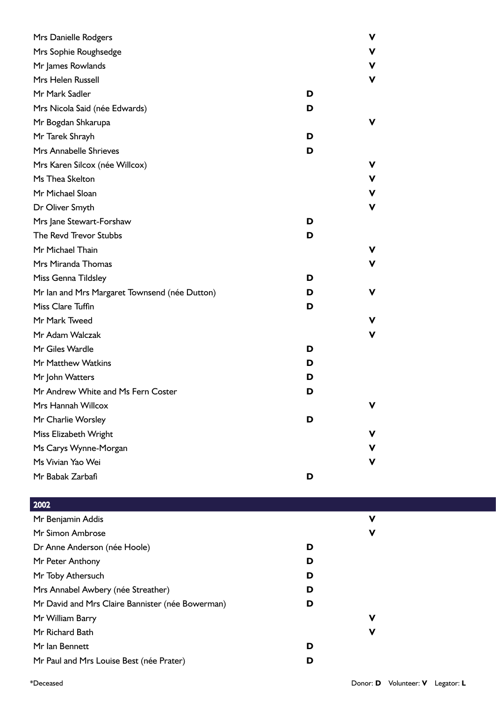| Mrs Danielle Rodgers                          |   | v |
|-----------------------------------------------|---|---|
| Mrs Sophie Roughsedge                         |   | V |
| Mr James Rowlands                             |   | V |
| Mrs Helen Russell                             |   | ۷ |
| Mr Mark Sadler                                | D |   |
| Mrs Nicola Said (née Edwards)                 | D |   |
| Mr Bogdan Shkarupa                            |   | v |
| Mr Tarek Shrayh                               | D |   |
| Mrs Annabelle Shrieves                        | D |   |
| Mrs Karen Silcox (née Willcox)                |   | v |
| Ms Thea Skelton                               |   | v |
| Mr Michael Sloan                              |   | V |
| Dr Oliver Smyth                               |   | V |
| Mrs Jane Stewart-Forshaw                      | D |   |
| The Revd Trevor Stubbs                        | D |   |
| Mr Michael Thain                              |   | v |
| Mrs Miranda Thomas                            |   | V |
| Miss Genna Tildsley                           | D |   |
| Mr Ian and Mrs Margaret Townsend (née Dutton) | D | v |
| Miss Clare Tuffin                             | D |   |
| Mr Mark Tweed                                 |   | v |
| Mr Adam Walczak                               |   | ۷ |
| Mr Giles Wardle                               | D |   |
| Mr Matthew Watkins                            | D |   |
| Mr John Watters                               | D |   |
| Mr Andrew White and Ms Fern Coster            | D |   |
| Mrs Hannah Willcox                            |   | v |
| Mr Charlie Worsley                            | D |   |
| Miss Elizabeth Wright                         |   | v |
| Ms Carys Wynne-Morgan                         |   | v |
| Ms Vivian Yao Wei                             |   | v |
| Mr Babak Zarbafi                              | D |   |
|                                               |   |   |

| 2002                                             |   |   |  |
|--------------------------------------------------|---|---|--|
| Mr Benjamin Addis                                |   | ν |  |
| Mr Simon Ambrose                                 |   | ν |  |
| Dr Anne Anderson (née Hoole)                     | D |   |  |
| Mr Peter Anthony                                 | D |   |  |
| Mr Toby Athersuch                                | D |   |  |
| Mrs Annabel Awbery (née Streather)               | D |   |  |
| Mr David and Mrs Claire Bannister (née Bowerman) | D |   |  |
| Mr William Barry                                 |   | ν |  |
| Mr Richard Bath                                  |   | ν |  |
| Mr Ian Bennett                                   | D |   |  |
| Mr Paul and Mrs Louise Best (née Prater)         | D |   |  |
|                                                  |   |   |  |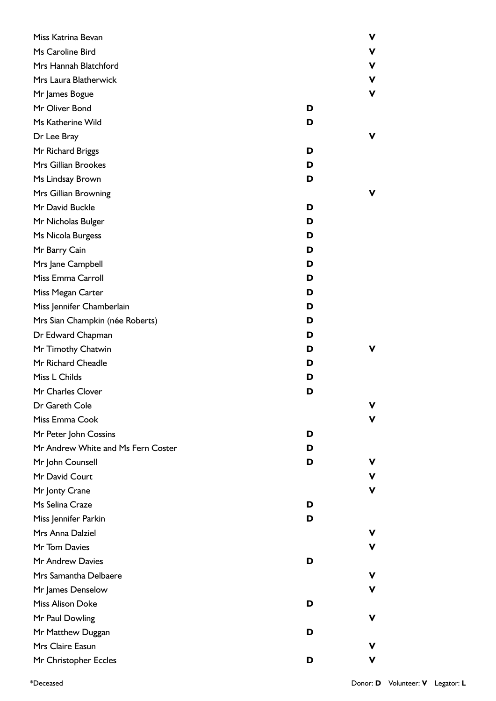| Miss Katrina Bevan                 |   | V |
|------------------------------------|---|---|
| Ms Caroline Bird                   |   | v |
| Mrs Hannah Blatchford              |   | v |
| Mrs Laura Blatherwick              |   | ۷ |
| Mr James Bogue                     |   | V |
| Mr Oliver Bond                     | D |   |
| Ms Katherine Wild                  | D |   |
| Dr Lee Bray                        |   | v |
| Mr Richard Briggs                  | D |   |
| Mrs Gillian Brookes                | D |   |
| Ms Lindsay Brown                   | D |   |
| Mrs Gillian Browning               |   | v |
| Mr David Buckle                    | D |   |
| Mr Nicholas Bulger                 | D |   |
| Ms Nicola Burgess                  | D |   |
| Mr Barry Cain                      | D |   |
| Mrs Jane Campbell                  | D |   |
| Miss Emma Carroll                  | D |   |
| Miss Megan Carter                  | D |   |
| Miss Jennifer Chamberlain          | D |   |
| Mrs Sian Champkin (née Roberts)    | D |   |
| Dr Edward Chapman                  | D |   |
| Mr Timothy Chatwin                 | D | v |
| Mr Richard Cheadle                 | D |   |
| Miss L Childs                      | D |   |
| Mr Charles Clover                  | D |   |
| Dr Gareth Cole                     |   | V |
| Miss Emma Cook                     |   | v |
| Mr Peter John Cossins              | D |   |
| Mr Andrew White and Ms Fern Coster | D |   |
| Mr John Counsell                   | D | ۷ |
| Mr David Court                     |   | ۷ |
| Mr Jonty Crane                     |   | V |
| Ms Selina Craze                    | D |   |
| Miss Jennifer Parkin               | D |   |
| Mrs Anna Dalziel                   |   | v |
| Mr Tom Davies                      |   | ۷ |
| Mr Andrew Davies                   | D |   |
| Mrs Samantha Delbaere              |   | ۷ |
| Mr James Denselow                  |   | V |
| Miss Alison Doke                   | D |   |
| Mr Paul Dowling                    |   | ۷ |
| Mr Matthew Duggan                  | D |   |
| Mrs Claire Easun                   |   | v |
| Mr Christopher Eccles              | D | V |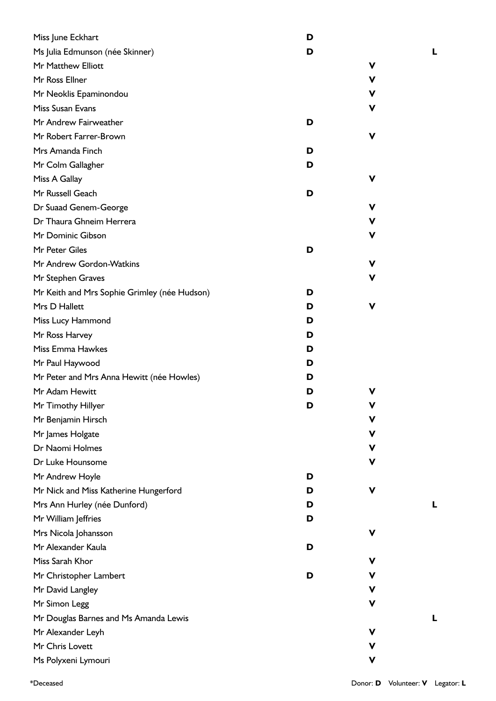| Miss June Eckhart                            | D |             |  |
|----------------------------------------------|---|-------------|--|
| Ms Julia Edmunson (née Skinner)              | D |             |  |
| Mr Matthew Elliott                           |   | V           |  |
| Mr Ross Ellner                               |   | v           |  |
| Mr Neoklis Epaminondou                       |   | V           |  |
| Miss Susan Evans                             |   | V           |  |
| Mr Andrew Fairweather                        | D |             |  |
| Mr Robert Farrer-Brown                       |   | $\mathbf v$ |  |
| Mrs Amanda Finch                             | D |             |  |
| Mr Colm Gallagher                            | D |             |  |
| Miss A Gallay                                |   | V           |  |
| Mr Russell Geach                             | D |             |  |
| Dr Suaad Genem-George                        |   | V           |  |
| Dr Thaura Ghneim Herrera                     |   | V           |  |
| Mr Dominic Gibson                            |   | V           |  |
| Mr Peter Giles                               | D |             |  |
| Mr Andrew Gordon-Watkins                     |   | v           |  |
| Mr Stephen Graves                            |   | V           |  |
| Mr Keith and Mrs Sophie Grimley (née Hudson) | D |             |  |
| Mrs D Hallett                                | D | $\mathbf v$ |  |
| Miss Lucy Hammond                            | D |             |  |
| Mr Ross Harvey                               | D |             |  |
| Miss Emma Hawkes                             | D |             |  |
| Mr Paul Haywood                              | D |             |  |
| Mr Peter and Mrs Anna Hewitt (née Howles)    | D |             |  |
| Mr Adam Hewitt                               | D | V           |  |
| Mr Timothy Hillyer                           | D | V           |  |
| Mr Benjamin Hirsch                           |   | V           |  |
| Mr James Holgate                             |   | V           |  |
| Dr Naomi Holmes                              |   | V           |  |
| Dr Luke Hounsome                             |   | V           |  |
| Mr Andrew Hoyle                              | D |             |  |
| Mr Nick and Miss Katherine Hungerford        | D | $\mathbf v$ |  |
| Mrs Ann Hurley (née Dunford)                 | D |             |  |
| Mr William Jeffries                          | D |             |  |
| Mrs Nicola Johansson                         |   | V           |  |
| Mr Alexander Kaula                           | D |             |  |
| Miss Sarah Khor                              |   | V           |  |
| Mr Christopher Lambert                       | D | ۷           |  |
| Mr David Langley                             |   | V           |  |
| Mr Simon Legg                                |   | V           |  |
| Mr Douglas Barnes and Ms Amanda Lewis        |   |             |  |
| Mr Alexander Leyh                            |   | V           |  |
| Mr Chris Lovett                              |   | V           |  |
| Ms Polyxeni Lymouri                          |   | V           |  |
|                                              |   |             |  |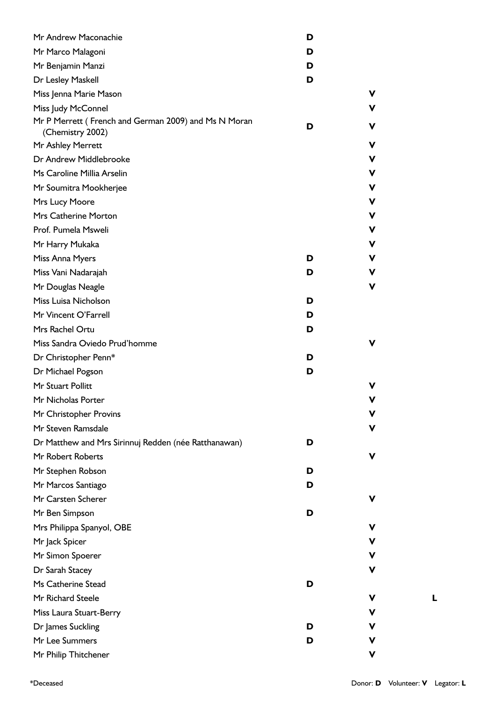| Mr Andrew Maconachie                                                     | D |   |
|--------------------------------------------------------------------------|---|---|
| Mr Marco Malagoni                                                        | D |   |
| Mr Benjamin Manzi                                                        | D |   |
| Dr Lesley Maskell                                                        | D |   |
| Miss Jenna Marie Mason                                                   |   | V |
| Miss Judy McConnel                                                       |   | v |
| Mr P Merrett (French and German 2009) and Ms N Moran<br>(Chemistry 2002) | D | ۷ |
| Mr Ashley Merrett                                                        |   | V |
| Dr Andrew Middlebrooke                                                   |   | ۷ |
| Ms Caroline Millia Arselin                                               |   | ۷ |
| Mr Soumitra Mookherjee                                                   |   | ۷ |
| Mrs Lucy Moore                                                           |   | ۷ |
| Mrs Catherine Morton                                                     |   | V |
| Prof. Pumela Msweli                                                      |   | ۷ |
| Mr Harry Mukaka                                                          |   | ۷ |
| Miss Anna Myers                                                          | D | ۷ |
| Miss Vani Nadarajah                                                      | D | v |
| Mr Douglas Neagle                                                        |   | V |
| Miss Luisa Nicholson                                                     | D |   |
| Mr Vincent O'Farrell                                                     | D |   |
| Mrs Rachel Ortu                                                          | D |   |
| Miss Sandra Oviedo Prud'homme                                            |   | V |
| Dr Christopher Penn*                                                     | D |   |
| Dr Michael Pogson                                                        | D |   |
| Mr Stuart Pollitt                                                        |   | V |
| Mr Nicholas Porter                                                       |   | ۷ |
| Mr Christopher Provins                                                   |   | V |
| Mr Steven Ramsdale                                                       |   | ۷ |
| Dr Matthew and Mrs Sirinnuj Redden (née Ratthanawan)                     | D |   |
| Mr Robert Roberts                                                        |   | V |
| Mr Stephen Robson                                                        | D |   |
| Mr Marcos Santiago                                                       | D |   |
| Mr Carsten Scherer                                                       |   | V |
| Mr Ben Simpson                                                           | D |   |
| Mrs Philippa Spanyol, OBE                                                |   | v |
| Mr Jack Spicer                                                           |   | v |
| Mr Simon Spoerer                                                         |   | ۷ |
| Dr Sarah Stacey                                                          |   | ۷ |
| Ms Catherine Stead                                                       | D |   |
| Mr Richard Steele                                                        |   | v |
| Miss Laura Stuart-Berry                                                  |   | v |
| Dr James Suckling                                                        | D | v |
| Mr Lee Summers                                                           | D | ۷ |
| Mr Philip Thitchener                                                     |   | ۷ |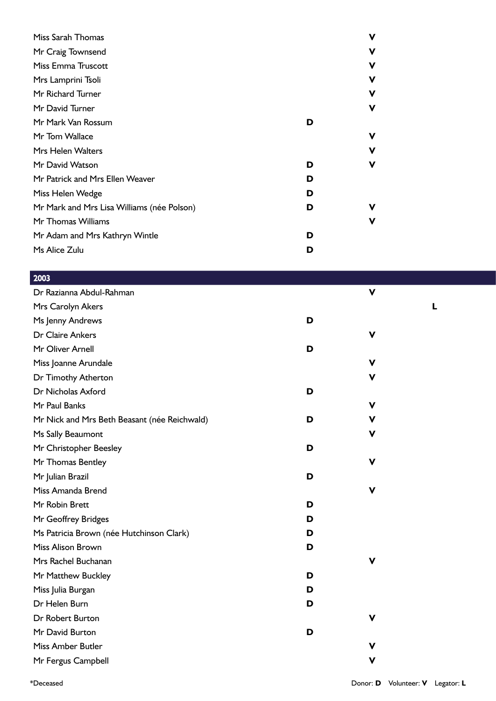| Miss Sarah Thomas                          | V      |
|--------------------------------------------|--------|
| Mr Craig Townsend                          | v      |
| Miss Emma Truscott                         | v      |
| Mrs Lamprini Tsoli                         | v      |
| Mr Richard Turner                          | v      |
| Mr David Turner                            | ۷      |
| Mr Mark Van Rossum                         | D      |
| Mr Tom Wallace                             | ۷      |
| Mrs Helen Walters                          | ۷      |
| Mr David Watson                            | V<br>D |
| Mr Patrick and Mrs Ellen Weaver            | D      |
| Miss Helen Wedge                           | D      |
| Mr Mark and Mrs Lisa Williams (née Polson) | ۷<br>D |
| Mr Thomas Williams                         | V      |
| Mr Adam and Mrs Kathryn Wintle             | D      |
| Ms Alice Zulu                              | D      |

| 2003                                         |   |             |   |
|----------------------------------------------|---|-------------|---|
| Dr Razianna Abdul-Rahman                     |   | $\mathbf v$ |   |
| Mrs Carolyn Akers                            |   |             | ш |
| Ms Jenny Andrews                             | D |             |   |
| Dr Claire Ankers                             |   | $\mathbf v$ |   |
| Mr Oliver Arnell                             | D |             |   |
| Miss Joanne Arundale                         |   | $\mathbf v$ |   |
| Dr Timothy Atherton                          |   | ۷           |   |
| Dr Nicholas Axford                           | D |             |   |
| Mr Paul Banks                                |   | $\mathbf v$ |   |
| Mr Nick and Mrs Beth Beasant (née Reichwald) | D | V           |   |
| Ms Sally Beaumont                            |   | v           |   |
| Mr Christopher Beesley                       | D |             |   |
| Mr Thomas Bentley                            |   | V           |   |
| Mr Julian Brazil                             | D |             |   |
| Miss Amanda Brend                            |   | $\mathbf v$ |   |
| Mr Robin Brett                               | D |             |   |
| Mr Geoffrey Bridges                          | D |             |   |
| Ms Patricia Brown (née Hutchinson Clark)     | D |             |   |
| Miss Alison Brown                            | D |             |   |
| Mrs Rachel Buchanan                          |   | $\mathbf v$ |   |
| Mr Matthew Buckley                           | D |             |   |
| Miss Julia Burgan                            | D |             |   |
| Dr Helen Burn                                | D |             |   |
| <b>Dr Robert Burton</b>                      |   | V           |   |
| Mr David Burton                              | D |             |   |
| Miss Amber Butler                            |   | $\mathbf v$ |   |
| Mr Fergus Campbell                           |   | $\mathbf v$ |   |
|                                              |   |             |   |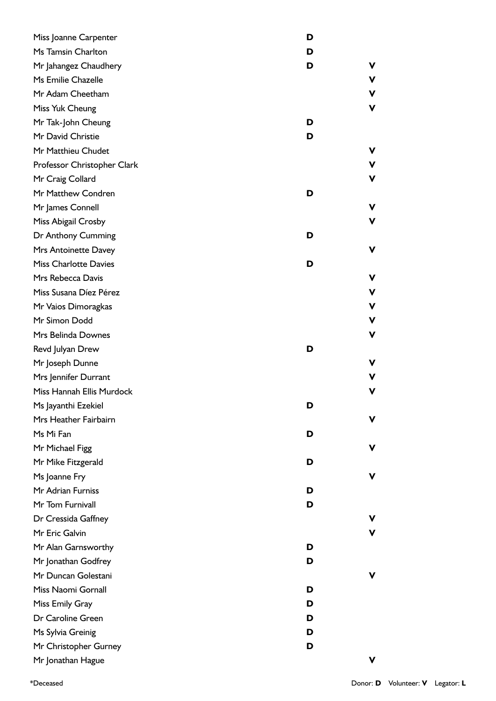| Miss Joanne Carpenter        | D      |
|------------------------------|--------|
| Ms Tamsin Charlton           | D      |
| Mr Jahangez Chaudhery        | D<br>v |
| Ms Emilie Chazelle           | V      |
| Mr Adam Cheetham             | ۷      |
| Miss Yuk Cheung              | ۷      |
| Mr Tak-John Cheung           | D      |
| Mr David Christie            | D      |
| Mr Matthieu Chudet           | v      |
| Professor Christopher Clark  | v      |
| Mr Craig Collard             | ۷      |
| Mr Matthew Condren           | D      |
| Mr James Connell             | ۷      |
| Miss Abigail Crosby          | V      |
| Dr Anthony Cumming           | D      |
| Mrs Antoinette Davey         | ۷      |
| <b>Miss Charlotte Davies</b> | D      |
| Mrs Rebecca Davis            | v      |
| Miss Susana Díez Pérez       | ۷      |
| Mr Vaios Dimoragkas          | V      |
| Mr Simon Dodd                | V      |
| Mrs Belinda Downes           | V      |
| Revd Julyan Drew             | D      |
| Mr Joseph Dunne              | v      |
| Mrs Jennifer Durrant         | v      |
| Miss Hannah Ellis Murdock    | v      |
| Ms Jayanthi Ezekiel          | D      |
| Mrs Heather Fairbairn        | ۷      |
| Ms Mi Fan                    | D      |
| Mr Michael Figg              | v      |
| Mr Mike Fitzgerald           | D      |
| Ms Joanne Fry                | ۷      |
| Mr Adrian Furniss            | D      |
| Mr Tom Furnivall             | D      |
| Dr Cressida Gaffney          | v      |
| Mr Eric Galvin               | ۷      |
| Mr Alan Garnsworthy          | D      |
| Mr Jonathan Godfrey          | D      |
| Mr Duncan Golestani          | ۷      |
| Miss Naomi Gornall           | D      |
| Miss Emily Gray              | D      |
| Dr Caroline Green            | D      |
| Ms Sylvia Greinig            | D      |
| Mr Christopher Gurney        | D      |
| Mr Jonathan Hague            | v      |

\*Deceased Donor: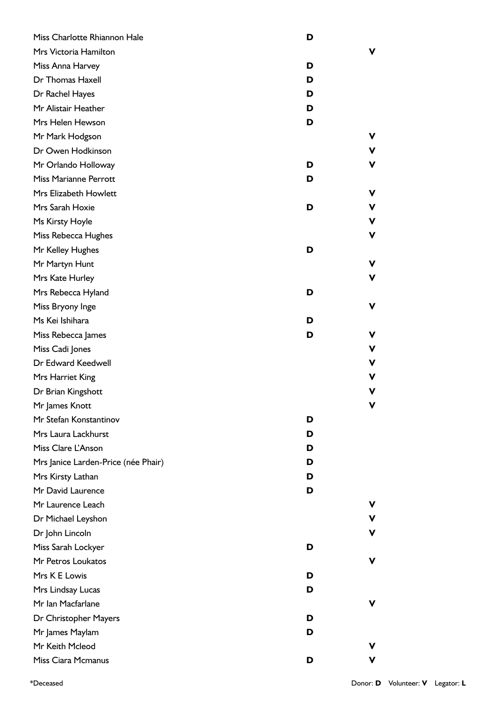| Miss Charlotte Rhiannon Hale        | D |    |
|-------------------------------------|---|----|
| Mrs Victoria Hamilton               |   | v  |
| Miss Anna Harvey                    | D |    |
| Dr Thomas Haxell                    | D |    |
| Dr Rachel Hayes                     | D |    |
| Mr Alistair Heather                 | D |    |
| Mrs Helen Hewson                    | D |    |
| Mr Mark Hodgson                     |   | v  |
| Dr Owen Hodkinson                   |   | v  |
| Mr Orlando Holloway                 | D | v  |
| Miss Marianne Perrott               | D |    |
| Mrs Elizabeth Howlett               |   | v  |
| Mrs Sarah Hoxie                     | D | v  |
| Ms Kirsty Hoyle                     |   | v  |
| Miss Rebecca Hughes                 |   | V  |
| Mr Kelley Hughes                    | D |    |
| Mr Martyn Hunt                      |   | v  |
| Mrs Kate Hurley                     |   | ۷  |
| Mrs Rebecca Hyland                  | D |    |
| Miss Bryony Inge                    |   | v  |
| Ms Kei Ishihara                     | D |    |
| Miss Rebecca James                  | D | v  |
| Miss Cadi Jones                     |   | v  |
| Dr Edward Keedwell                  |   | v  |
| Mrs Harriet King                    |   | v  |
| Dr Brian Kingshott                  |   | v  |
| Mr James Knott                      |   |    |
| Mr Stefan Konstantinov              | D |    |
| Mrs Laura Lackhurst                 | D |    |
| Miss Clare L'Anson                  | D |    |
| Mrs Janice Larden-Price (née Phair) | D |    |
| Mrs Kirsty Lathan                   | D |    |
| Mr David Laurence                   | D |    |
| Mr Laurence Leach                   |   | v  |
| Dr Michael Leyshon                  |   | v  |
| Dr John Lincoln                     |   | v  |
| Miss Sarah Lockyer                  | D |    |
| Mr Petros Loukatos                  |   | v  |
| Mrs K E Lowis                       | D |    |
| Mrs Lindsay Lucas                   | D |    |
| Mr Ian Macfarlane                   |   | v  |
| Dr Christopher Mayers               | D |    |
| Mr James Maylam                     | D |    |
| Mr Keith Mcleod                     |   | v  |
| Miss Ciara Mcmanus                  | D | v. |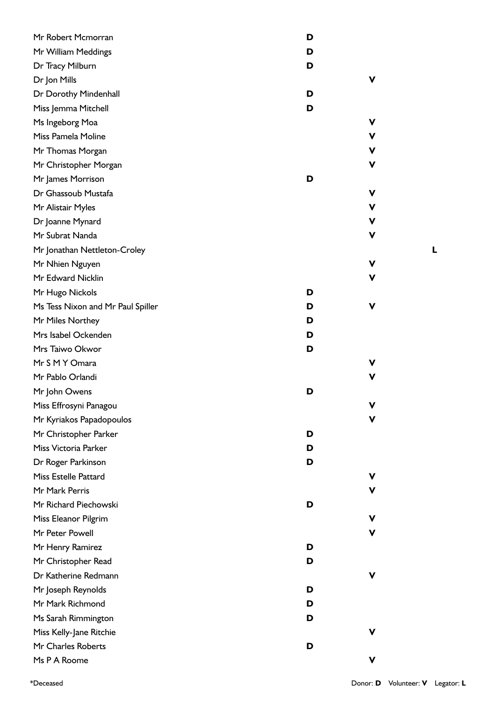| Mr Robert Mcmorran                | D |   |
|-----------------------------------|---|---|
| Mr William Meddings               | D |   |
| Dr Tracy Milburn                  | D |   |
| Dr Jon Mills                      |   | ۷ |
| Dr Dorothy Mindenhall             | D |   |
| Miss Jemma Mitchell               | D |   |
| Ms Ingeborg Moa                   |   | V |
| Miss Pamela Moline                |   | V |
| Mr Thomas Morgan                  |   | v |
| Mr Christopher Morgan             |   | ۷ |
| Mr James Morrison                 | D |   |
| Dr Ghassoub Mustafa               |   | ۷ |
| Mr Alistair Myles                 |   | V |
| Dr Joanne Mynard                  |   | V |
| Mr Subrat Nanda                   |   | V |
| Mr Jonathan Nettleton-Croley      |   |   |
| Mr Nhien Nguyen                   |   | ۷ |
| Mr Edward Nicklin                 |   | V |
| Mr Hugo Nickols                   | D |   |
| Ms Tess Nixon and Mr Paul Spiller | D | V |
| Mr Miles Northey                  | D |   |
| Mrs Isabel Ockenden               | D |   |
| Mrs Taiwo Okwor                   | D |   |
| Mr S M Y Omara                    |   | v |
| Mr Pablo Orlandi                  |   | V |
| Mr John Owens                     | D |   |
| Miss Effrosyni Panagou            |   |   |
| Mr Kyriakos Papadopoulos          |   | ۷ |
| Mr Christopher Parker             | D |   |
| Miss Victoria Parker              | D |   |
| Dr Roger Parkinson                | D |   |
| <b>Miss Estelle Pattard</b>       |   | v |
| Mr Mark Perris                    |   | V |
| Mr Richard Piechowski             | D |   |
| Miss Eleanor Pilgrim              |   | V |
| Mr Peter Powell                   |   | V |
| Mr Henry Ramirez                  | D |   |
| Mr Christopher Read               | D |   |
| Dr Katherine Redmann              |   | V |
| Mr Joseph Reynolds                | D |   |
| Mr Mark Richmond                  | D |   |
| Ms Sarah Rimmington               | D |   |
| Miss Kelly-Jane Ritchie           |   | v |
| Mr Charles Roberts                | D |   |
| Ms P A Roome                      |   | ۷ |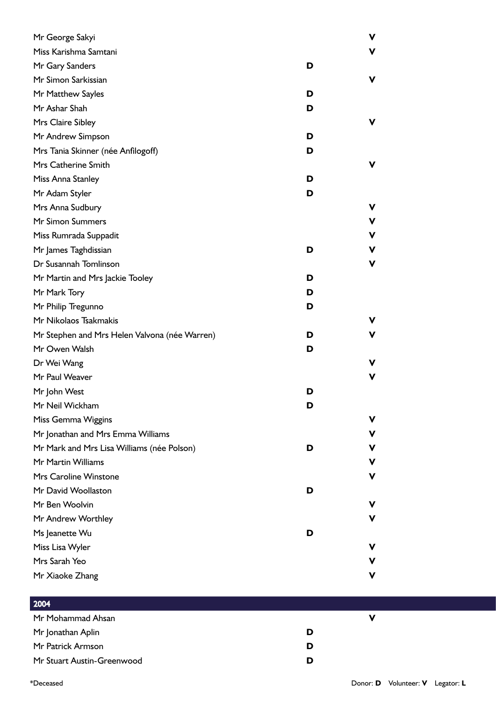| Mr George Sakyi                               |   | V |
|-----------------------------------------------|---|---|
| Miss Karishma Samtani                         |   | v |
| Mr Gary Sanders                               | D |   |
| Mr Simon Sarkissian                           |   | ۷ |
| Mr Matthew Sayles                             | D |   |
| Mr Ashar Shah                                 | D |   |
| Mrs Claire Sibley                             |   | v |
| Mr Andrew Simpson                             | D |   |
| Mrs Tania Skinner (née Anfilogoff)            | D |   |
| Mrs Catherine Smith                           |   | ۷ |
| Miss Anna Stanley                             | D |   |
| Mr Adam Styler                                | D |   |
| Mrs Anna Sudbury                              |   | v |
| <b>Mr Simon Summers</b>                       |   | ۷ |
| Miss Rumrada Suppadit                         |   | ۷ |
| Mr James Taghdissian                          | D | ۷ |
| Dr Susannah Tomlinson                         |   | V |
| Mr Martin and Mrs Jackie Tooley               | D |   |
| Mr Mark Tory                                  | D |   |
| Mr Philip Tregunno                            | D |   |
| Mr Nikolaos Tsakmakis                         |   | v |
| Mr Stephen and Mrs Helen Valvona (née Warren) | D | v |
| Mr Owen Walsh                                 | D |   |
| Dr Wei Wang                                   |   | v |
| Mr Paul Weaver                                |   | v |
| Mr John West                                  | D |   |
| Mr Neil Wickham                               | D |   |
| Miss Gemma Wiggins                            |   | v |
| Mr Jonathan and Mrs Emma Williams             |   | V |
| Mr Mark and Mrs Lisa Williams (née Polson)    | D | ۷ |
| Mr Martin Williams                            |   | ۷ |
| Mrs Caroline Winstone                         |   | ۷ |
| Mr David Woollaston                           | D |   |
| Mr Ben Woolvin                                |   | v |
| Mr Andrew Worthley                            |   | v |
| Ms Jeanette Wu                                | D |   |
| Miss Lisa Wyler                               |   | ۷ |
| Mrs Sarah Yeo                                 |   | ۷ |
| Mr Xiaoke Zhang                               |   | v |

| 2004                       |   |  |
|----------------------------|---|--|
| Mr Mohammad Ahsan          |   |  |
| Mr Jonathan Aplin          |   |  |
| Mr Patrick Armson          | D |  |
| Mr Stuart Austin-Greenwood |   |  |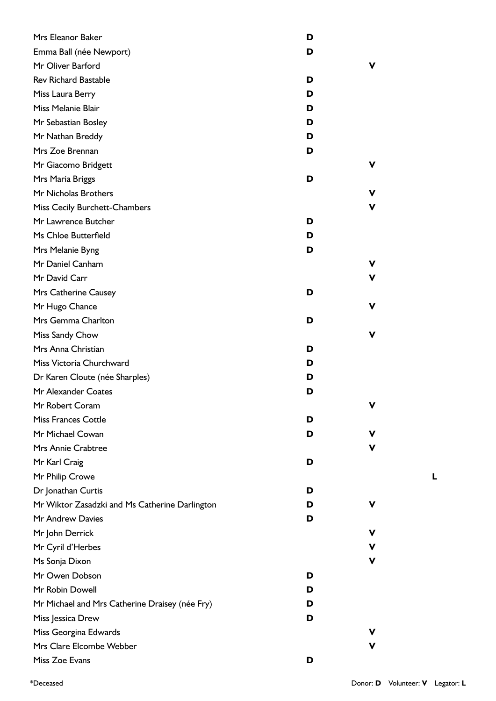| Mrs Eleanor Baker                              | D |   |
|------------------------------------------------|---|---|
| Emma Ball (née Newport)                        | D |   |
| Mr Oliver Barford                              |   | v |
| <b>Rev Richard Bastable</b>                    | D |   |
| Miss Laura Berry                               | D |   |
| Miss Melanie Blair                             | D |   |
| Mr Sebastian Bosley                            | D |   |
| Mr Nathan Breddy                               | D |   |
| Mrs Zoe Brennan                                | D |   |
| Mr Giacomo Bridgett                            |   | v |
| Mrs Maria Briggs                               | D |   |
| Mr Nicholas Brothers                           |   | v |
| Miss Cecily Burchett-Chambers                  |   | v |
| Mr Lawrence Butcher                            | D |   |
| Ms Chloe Butterfield                           | D |   |
| Mrs Melanie Byng                               | D |   |
| Mr Daniel Canham                               |   | v |
| Mr David Carr                                  |   | v |
| Mrs Catherine Causey                           | D |   |
| Mr Hugo Chance                                 |   | ۷ |
| Mrs Gemma Charlton                             | D |   |
| Miss Sandy Chow                                |   | ۷ |
| Mrs Anna Christian                             | D |   |
| Miss Victoria Churchward                       | D |   |
| Dr Karen Cloute (née Sharples)                 | D |   |
| Mr Alexander Coates                            | D |   |
| Mr Robert Coram                                |   | V |
| <b>Miss Frances Cottle</b>                     | D |   |
| Mr Michael Cowan                               | D | v |
| Mrs Annie Crabtree                             |   | ۷ |
| Mr Karl Craig                                  | D |   |
| Mr Philip Crowe                                |   |   |
| Dr Jonathan Curtis                             | D |   |
| Mr Wiktor Zasadzki and Ms Catherine Darlington | D | v |
| Mr Andrew Davies                               | D |   |
| Mr John Derrick                                |   | ۷ |
| Mr Cyril d'Herbes                              |   | ۷ |
| Ms Sonja Dixon                                 |   | v |
| Mr Owen Dobson                                 | D |   |
| Mr Robin Dowell                                | D |   |
| Mr Michael and Mrs Catherine Draisey (née Fry) | D |   |
| Miss Jessica Drew                              | D |   |
| Miss Georgina Edwards                          |   | v |
| Mrs Clare Elcombe Webber                       |   | v |
| Miss Zoe Evans                                 | D |   |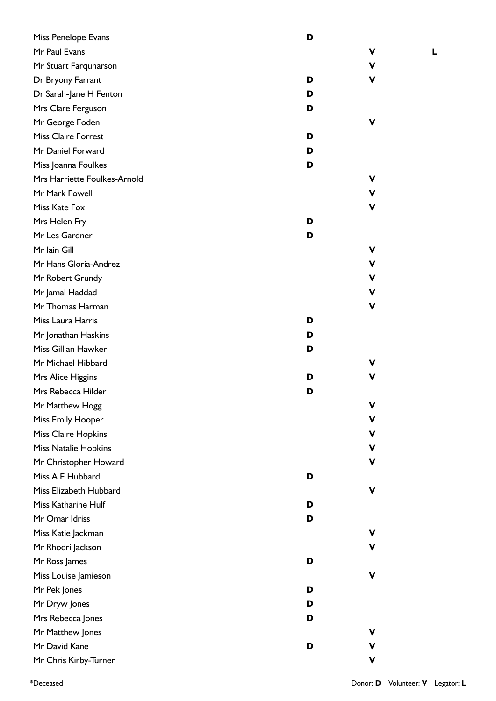| Miss Penelope Evans          | D      |  |
|------------------------------|--------|--|
| Mr Paul Evans                | v      |  |
| Mr Stuart Farquharson        | v      |  |
| Dr Bryony Farrant            | D<br>v |  |
| Dr Sarah-Jane H Fenton       | D      |  |
| Mrs Clare Ferguson           | D      |  |
| Mr George Foden              | v      |  |
| <b>Miss Claire Forrest</b>   | D      |  |
| Mr Daniel Forward            | D      |  |
| Miss Joanna Foulkes          | D      |  |
| Mrs Harriette Foulkes-Arnold | v      |  |
| Mr Mark Fowell               | v      |  |
| Miss Kate Fox                | v      |  |
| Mrs Helen Fry                | D      |  |
| Mr Les Gardner               | D      |  |
| Mr Iain Gill                 | v      |  |
| Mr Hans Gloria-Andrez        | v      |  |
| Mr Robert Grundy             | v      |  |
| Mr Jamal Haddad              | v      |  |
| Mr Thomas Harman             | v      |  |
| Miss Laura Harris            | D      |  |
| Mr Jonathan Haskins          | D      |  |
| Miss Gillian Hawker          | D      |  |
| Mr Michael Hibbard           | v      |  |
| Mrs Alice Higgins            | ۷<br>D |  |
| Mrs Rebecca Hilder           | D      |  |
| Mr Matthew Hogg              | V      |  |
| <b>Miss Emily Hooper</b>     | ۷      |  |
| <b>Miss Claire Hopkins</b>   | v      |  |
| <b>Miss Natalie Hopkins</b>  | v      |  |
| Mr Christopher Howard        | v      |  |
| Miss A E Hubbard             | D      |  |
| Miss Elizabeth Hubbard       | ۷      |  |
| Miss Katharine Hulf          | D      |  |
| Mr Omar Idriss               | D      |  |
| Miss Katie Jackman           | v      |  |
| Mr Rhodri Jackson            | V      |  |
| Mr Ross James                | D      |  |
| Miss Louise Jamieson         | v      |  |
| Mr Pek Jones                 | D      |  |
| Mr Dryw Jones                | D      |  |
| Mrs Rebecca Jones            | D      |  |
| Mr Matthew Jones             | v      |  |
| Mr David Kane                | D      |  |
| Mr Chris Kirby-Turner        | v      |  |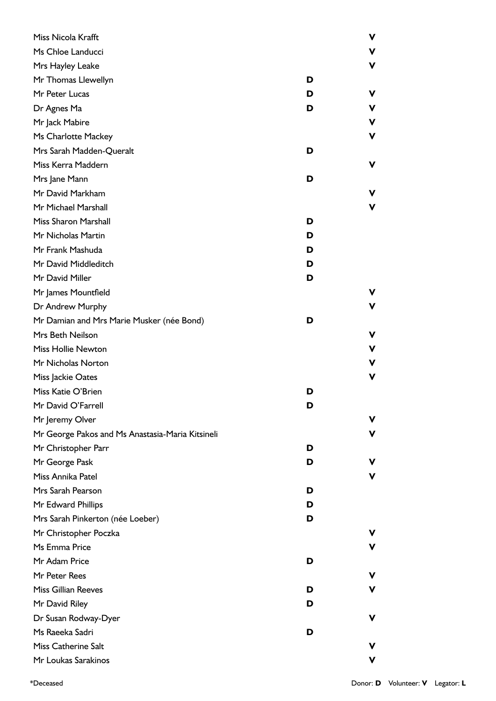| Miss Nicola Krafft                               |   |   |
|--------------------------------------------------|---|---|
| Ms Chloe Landucci                                |   |   |
| Mrs Hayley Leake                                 |   |   |
| Mr Thomas Llewellyn                              | D |   |
| Mr Peter Lucas                                   | D | ν |
| Dr Agnes Ma                                      | D |   |
| Mr Jack Mabire                                   |   |   |
| Ms Charlotte Mackey                              |   |   |
| Mrs Sarah Madden-Queralt                         | D |   |
| Miss Kerra Maddern                               |   | ν |
| Mrs Jane Mann                                    | D |   |
| Mr David Markham                                 |   |   |
| Mr Michael Marshall                              |   |   |
| <b>Miss Sharon Marshall</b>                      | D |   |
| Mr Nicholas Martin                               | D |   |
| Mr Frank Mashuda                                 | D |   |
| Mr David Middleditch                             | D |   |
| Mr David Miller                                  | D |   |
| Mr James Mountfield                              |   |   |
| Dr Andrew Murphy                                 |   |   |
| Mr Damian and Mrs Marie Musker (née Bond)        | D |   |
| Mrs Beth Neilson                                 |   |   |
| Miss Hollie Newton                               |   |   |
| Mr Nicholas Norton                               |   |   |
| Miss Jackie Oates                                |   |   |
| Miss Katie O'Brien                               | D |   |
| Mr David O'Farrell                               | D |   |
| Mr Jeremy Olver                                  |   |   |
| Mr George Pakos and Ms Anastasia-Maria Kitsineli |   |   |
| Mr Christopher Parr                              | D |   |
| Mr George Pask                                   | D |   |
| Miss Annika Patel                                |   |   |
| Mrs Sarah Pearson                                | D |   |
| Mr Edward Phillips                               | D |   |
| Mrs Sarah Pinkerton (née Loeber)                 | D |   |
| Mr Christopher Poczka                            |   |   |
| Ms Emma Price                                    |   |   |
| Mr Adam Price                                    | D |   |
| Mr Peter Rees                                    |   |   |
| <b>Miss Gillian Reeves</b>                       | D |   |
| Mr David Riley                                   | D |   |
| Dr Susan Rodway-Dyer                             |   | ν |
| Ms Raeeka Sadri                                  | D |   |
| <b>Miss Catherine Salt</b>                       |   |   |
| Mr Loukas Sarakinos                              |   |   |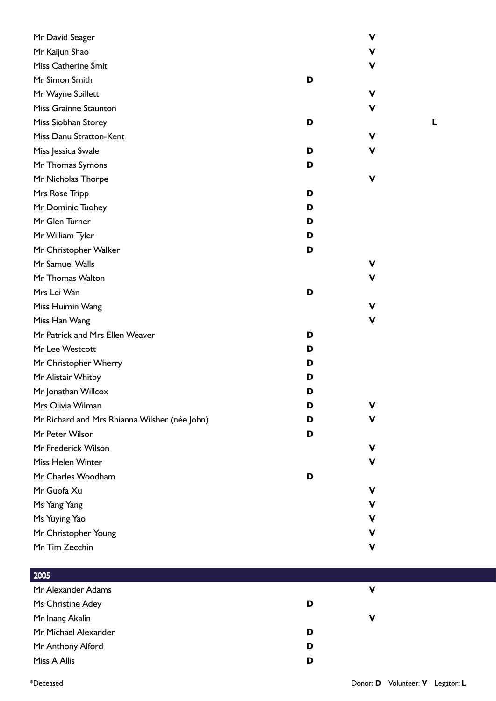| Mr David Seager                               |   | ۷ |
|-----------------------------------------------|---|---|
| Mr Kaijun Shao                                |   | ۷ |
| Miss Catherine Smit                           |   | ۷ |
| Mr Simon Smith                                | D |   |
| Mr Wayne Spillett                             | ۷ |   |
| <b>Miss Grainne Staunton</b>                  |   | V |
| Miss Siobhan Storey                           | D |   |
| Miss Danu Stratton-Kent                       | ۷ |   |
| Miss Jessica Swale                            | D | v |
| Mr Thomas Symons                              | D |   |
| Mr Nicholas Thorpe                            | V |   |
| Mrs Rose Tripp                                | D |   |
| Mr Dominic Tuohey                             | D |   |
| Mr Glen Turner                                | D |   |
| Mr William Tyler                              | D |   |
| Mr Christopher Walker                         | D |   |
| Mr Samuel Walls                               |   | v |
| Mr Thomas Walton                              |   | V |
| Mrs Lei Wan                                   | D |   |
| Miss Huimin Wang                              |   | ۷ |
| Miss Han Wang                                 |   | v |
| Mr Patrick and Mrs Ellen Weaver               | D |   |
| Mr Lee Westcott                               | D |   |
| Mr Christopher Wherry                         | D |   |
| Mr Alistair Whitby                            | D |   |
| Mr Jonathan Willcox                           | D |   |
| Mrs Olivia Wilman                             | D |   |
| Mr Richard and Mrs Rhianna Wilsher (née John) | D | v |
| Mr Peter Wilson                               | D |   |
| Mr Frederick Wilson                           | v |   |
| Miss Helen Winter                             |   | ۷ |
| Mr Charles Woodham                            | D |   |
| Mr Guofa Xu                                   | v |   |
| Ms Yang Yang                                  |   | v |
| Ms Yuying Yao                                 |   | v |
| Mr Christopher Young                          |   | v |
| Mr Tim Zecchin                                | ۷ |   |

## 2005

| <b>LUVJ</b>          |   |   |
|----------------------|---|---|
| Mr Alexander Adams   |   | v |
| Ms Christine Adey    | D |   |
| Mr Inanç Akalin      |   | v |
| Mr Michael Alexander | D |   |
| Mr Anthony Alford    | D |   |
| Miss A Allis         | D |   |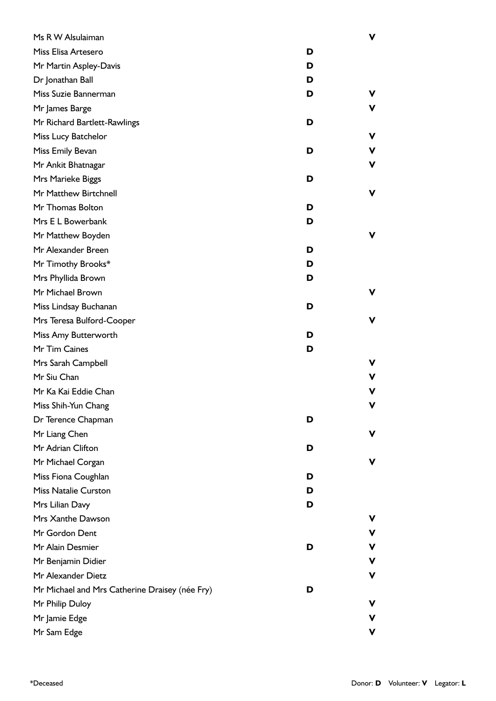| Ms R W Alsulaiman                              |   | ν |
|------------------------------------------------|---|---|
| Miss Elisa Artesero                            | D |   |
| Mr Martin Aspley-Davis                         | D |   |
| Dr Jonathan Ball                               | D |   |
| Miss Suzie Bannerman                           | D | v |
| Mr James Barge                                 |   |   |
| Mr Richard Bartlett-Rawlings                   | D |   |
| Miss Lucy Batchelor                            |   | ν |
| Miss Emily Bevan                               | D | ν |
| Mr Ankit Bhatnagar                             |   | ν |
| Mrs Marieke Biggs                              | D |   |
| Mr Matthew Birtchnell                          |   | ν |
| Mr Thomas Bolton                               | D |   |
| Mrs E L Bowerbank                              | D |   |
| Mr Matthew Boyden                              |   | ν |
| Mr Alexander Breen                             | D |   |
| Mr Timothy Brooks*                             | D |   |
| Mrs Phyllida Brown                             | D |   |
| Mr Michael Brown                               |   | v |
| Miss Lindsay Buchanan                          | D |   |
| Mrs Teresa Bulford-Cooper                      |   | ν |
| Miss Amy Butterworth                           | D |   |
| Mr Tim Caines                                  | D |   |
| Mrs Sarah Campbell                             |   |   |
| Mr Siu Chan                                    |   | ۷ |
| Mr Ka Kai Eddie Chan                           |   | ν |
| Miss Shih-Yun Chang                            |   |   |
| Dr Terence Chapman                             | D |   |
| Mr Liang Chen                                  |   | v |
| Mr Adrian Clifton                              | D |   |
| Mr Michael Corgan                              |   |   |
| Miss Fiona Coughlan                            | D |   |
| <b>Miss Natalie Curston</b>                    | D |   |
| Mrs Lilian Davy                                | D |   |
| Mrs Xanthe Dawson                              |   |   |
| Mr Gordon Dent                                 |   | ۷ |
| Mr Alain Desmier                               | D | V |
| Mr Benjamin Didier                             |   | ۷ |
| Mr Alexander Dietz                             |   | ν |
| Mr Michael and Mrs Catherine Draisey (née Fry) | D |   |
| Mr Philip Duloy                                |   |   |
| Mr Jamie Edge                                  |   |   |
| Mr Sam Edge                                    |   | ν |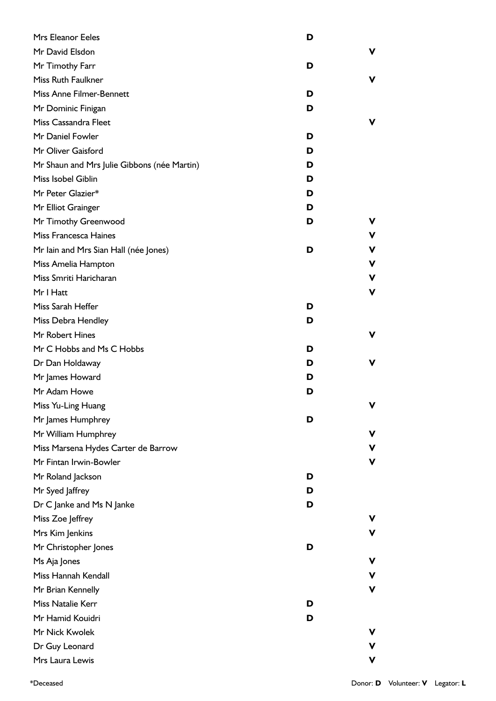| <b>Mrs Eleanor Eeles</b>                    | D      |
|---------------------------------------------|--------|
| Mr David Elsdon                             | v      |
| Mr Timothy Farr                             | D      |
| Miss Ruth Faulkner                          | v      |
| Miss Anne Filmer-Bennett                    | D      |
| Mr Dominic Finigan                          | D      |
| <b>Miss Cassandra Fleet</b>                 | v      |
| Mr Daniel Fowler                            | D      |
| Mr Oliver Gaisford                          | D      |
| Mr Shaun and Mrs Julie Gibbons (née Martin) | D      |
| Miss Isobel Giblin                          | D      |
| Mr Peter Glazier*                           | D      |
| Mr Elliot Grainger                          | D      |
| Mr Timothy Greenwood                        | D<br>v |
| Miss Francesca Haines                       | v      |
| Mr Iain and Mrs Sian Hall (née Jones)       | v<br>D |
| Miss Amelia Hampton                         | v      |
| Miss Smriti Haricharan                      | V      |
| Mr I Hatt                                   | ۷      |
| Miss Sarah Heffer                           | D      |
| Miss Debra Hendley                          | D      |
| Mr Robert Hines                             | v      |
| Mr C Hobbs and Ms C Hobbs                   | D      |
| Dr Dan Holdaway                             | v<br>D |
| Mr James Howard                             | D      |
| Mr Adam Howe                                | D      |
| Miss Yu-Ling Huang                          | v      |
| Mr James Humphrey                           | D      |
| Mr William Humphrey                         | ۷      |
| Miss Marsena Hydes Carter de Barrow         | v      |
| Mr Fintan Irwin-Bowler                      | V      |
| Mr Roland Jackson                           | D      |
| Mr Syed Jaffrey                             | D      |
| Dr C Janke and Ms N Janke                   | D      |
| Miss Zoe Jeffrey                            | v      |
| Mrs Kim Jenkins                             | ۷      |
| Mr Christopher Jones                        | D      |
| Ms Aja Jones                                | v      |
| Miss Hannah Kendall                         | ۷      |
| Mr Brian Kennelly                           | V      |
| Miss Natalie Kerr                           | D      |
| Mr Hamid Kouidri                            | D      |
| Mr Nick Kwolek                              | v      |
| Dr Guy Leonard                              | v      |
| Mrs Laura Lewis                             | V      |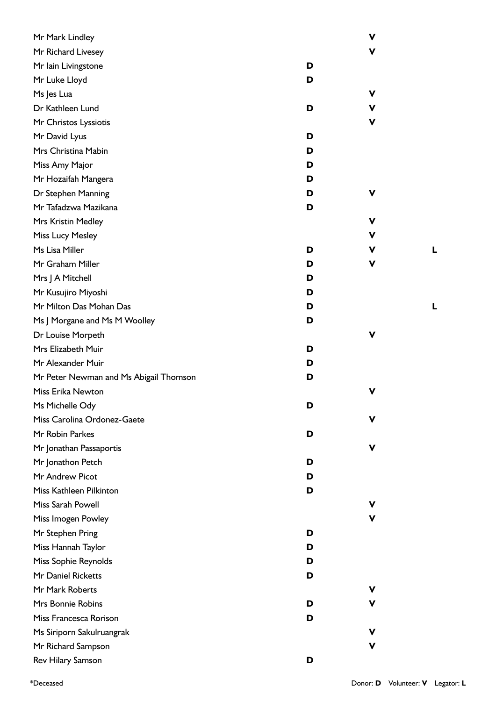| Mr Mark Lindley                        |   | $\mathbf v$ |   |
|----------------------------------------|---|-------------|---|
| Mr Richard Livesey                     |   | $\mathbf v$ |   |
| Mr lain Livingstone                    | D |             |   |
| Mr Luke Lloyd                          | D |             |   |
| Ms Jes Lua                             |   | V           |   |
| Dr Kathleen Lund                       | D | ۷           |   |
| Mr Christos Lyssiotis                  |   | V           |   |
| Mr David Lyus                          | D |             |   |
| Mrs Christina Mabin                    | D |             |   |
| Miss Amy Major                         | D |             |   |
| Mr Hozaifah Mangera                    | D |             |   |
| Dr Stephen Manning                     | D | $\mathbf v$ |   |
| Mr Tafadzwa Mazikana                   | D |             |   |
| Mrs Kristin Medley                     |   | V           |   |
| Miss Lucy Mesley                       |   | v           |   |
| Ms Lisa Miller                         | D | V           | L |
| Mr Graham Miller                       | D | V           |   |
| Mrs J A Mitchell                       | D |             |   |
| Mr Kusujiro Miyoshi                    | D |             |   |
| Mr Milton Das Mohan Das                | D |             | L |
| Ms J Morgane and Ms M Woolley          | D |             |   |
| Dr Louise Morpeth                      |   | V           |   |
| Mrs Elizabeth Muir                     | D |             |   |
| Mr Alexander Muir                      | D |             |   |
| Mr Peter Newman and Ms Abigail Thomson | D |             |   |
| Miss Erika Newton                      |   | $\mathbf v$ |   |
| Ms Michelle Ody                        | D |             |   |
| Miss Carolina Ordonez-Gaete            |   | V           |   |
| Mr Robin Parkes                        | D |             |   |
| Mr Jonathan Passaportis                |   | v           |   |
| Mr Jonathon Petch                      | D |             |   |
| Mr Andrew Picot                        | D |             |   |
| Miss Kathleen Pilkinton                | D |             |   |
| Miss Sarah Powell                      |   | v           |   |
| Miss Imogen Powley                     |   | v           |   |
| Mr Stephen Pring                       | D |             |   |
| Miss Hannah Taylor                     | D |             |   |
| Miss Sophie Reynolds                   | D |             |   |
| Mr Daniel Ricketts                     | D |             |   |
| Mr Mark Roberts                        |   | v           |   |
| Mrs Bonnie Robins                      | D | v           |   |
| Miss Francesca Rorison                 | D |             |   |
| Ms Siriporn Sakulruangrak              |   | V           |   |
| Mr Richard Sampson                     |   | V           |   |
| Rev Hilary Samson                      | D |             |   |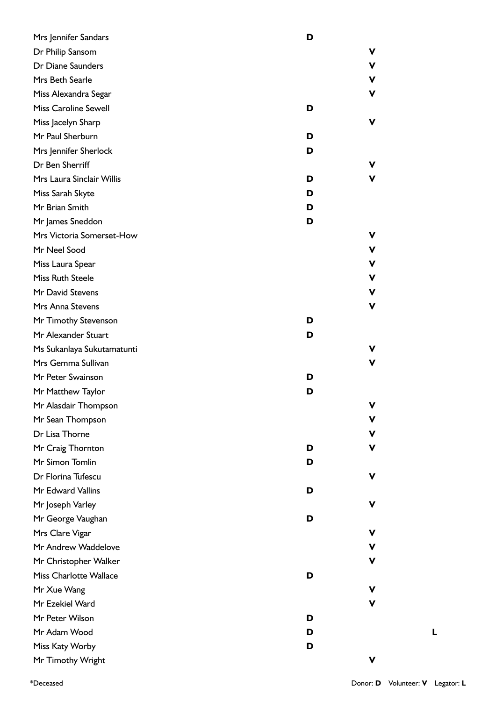| Mrs Jennifer Sandars          | D |   |
|-------------------------------|---|---|
| Dr Philip Sansom              |   | V |
| Dr Diane Saunders             |   | V |
| Mrs Beth Searle               |   | V |
| Miss Alexandra Segar          |   | v |
| <b>Miss Caroline Sewell</b>   | D |   |
| Miss Jacelyn Sharp            |   | ۷ |
| Mr Paul Sherburn              | D |   |
| Mrs Jennifer Sherlock         | D |   |
| Dr Ben Sherriff               |   | v |
| Mrs Laura Sinclair Willis     | D | v |
| Miss Sarah Skyte              | D |   |
| Mr Brian Smith                | D |   |
| Mr James Sneddon              | D |   |
| Mrs Victoria Somerset-How     |   | V |
| Mr Neel Sood                  |   | V |
| Miss Laura Spear              |   | V |
| <b>Miss Ruth Steele</b>       |   | V |
| Mr David Stevens              |   | V |
| Mrs Anna Stevens              |   | ۷ |
| Mr Timothy Stevenson          | D |   |
| Mr Alexander Stuart           | D |   |
| Ms Sukanlaya Sukutamatunti    |   | v |
| Mrs Gemma Sullivan            |   | ۷ |
| Mr Peter Swainson             | D |   |
| Mr Matthew Taylor             | D |   |
| Mr Alasdair Thompson          |   | V |
| Mr Sean Thompson              |   | V |
| Dr Lisa Thorne                |   | v |
| Mr Craig Thornton             | D | v |
| Mr Simon Tomlin               | D |   |
| Dr Florina Tufescu            |   | v |
| Mr Edward Vallins             | D |   |
| Mr Joseph Varley              |   | v |
| Mr George Vaughan             | D |   |
| Mrs Clare Vigar               |   | V |
| Mr Andrew Waddelove           |   | ۷ |
| Mr Christopher Walker         |   | ۷ |
| <b>Miss Charlotte Wallace</b> | D |   |
| Mr Xue Wang                   |   | v |
| Mr Ezekiel Ward               |   | v |
| Mr Peter Wilson               | D |   |
| Mr Adam Wood                  | D |   |
| Miss Katy Worby               | D |   |
| Mr Timothy Wright             |   | ۷ |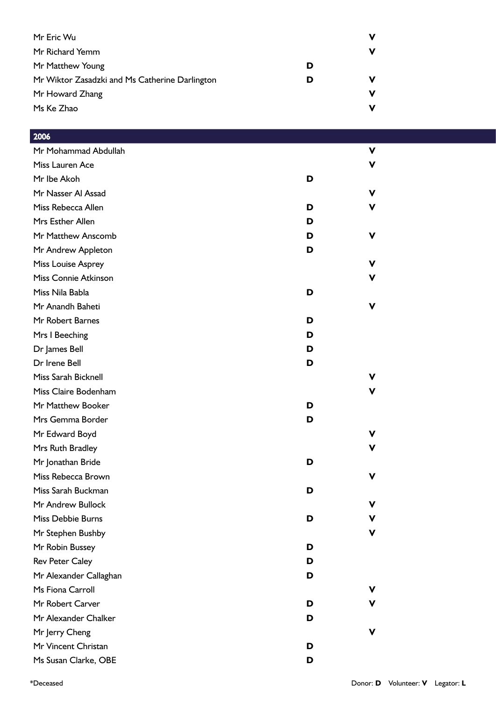| Mr Eric Wu                                     |   | ν |
|------------------------------------------------|---|---|
| Mr Richard Yemm                                |   | ν |
| Mr Matthew Young                               | D |   |
| Mr Wiktor Zasadzki and Ms Catherine Darlington | D | ν |
| Mr Howard Zhang                                |   | ν |
| Ms Ke Zhao                                     |   | ν |

| ZUUO                        |   |   |
|-----------------------------|---|---|
| Mr Mohammad Abdullah        |   | v |
| Miss Lauren Ace             |   | v |
| Mr Ibe Akoh                 | D |   |
| Mr Nasser Al Assad          |   | v |
| Miss Rebecca Allen          | D | v |
| Mrs Esther Allen            | D |   |
| Mr Matthew Anscomb          | D | v |
| Mr Andrew Appleton          | D |   |
| Miss Louise Asprey          |   | v |
| <b>Miss Connie Atkinson</b> |   | v |
| Miss Nila Babla             | D |   |
| Mr Anandh Baheti            |   | v |
| Mr Robert Barnes            | D |   |
| Mrs I Beeching              | D |   |
| Dr James Bell               | D |   |
| Dr Irene Bell               | D |   |
| Miss Sarah Bicknell         |   | v |
| Miss Claire Bodenham        |   | v |
| Mr Matthew Booker           | D |   |
| Mrs Gemma Border            | D |   |
| Mr Edward Boyd              |   | v |
| Mrs Ruth Bradley            |   | v |
| Mr Jonathan Bride           | D |   |
| Miss Rebecca Brown          |   | v |
| Miss Sarah Buckman          | D |   |
| Mr Andrew Bullock           |   | v |
| Miss Debbie Burns           | D | v |
| Mr Stephen Bushby           |   |   |
| Mr Robin Bussey             | D |   |
| <b>Rev Peter Caley</b>      | D |   |
| Mr Alexander Callaghan      | D |   |
| Ms Fiona Carroll            |   | v |
| Mr Robert Carver            | D |   |
| Mr Alexander Chalker        | D |   |
| Mr Jerry Cheng              |   |   |
| Mr Vincent Christan         | D |   |
| Ms Susan Clarke, OBE        | D |   |

 $2006$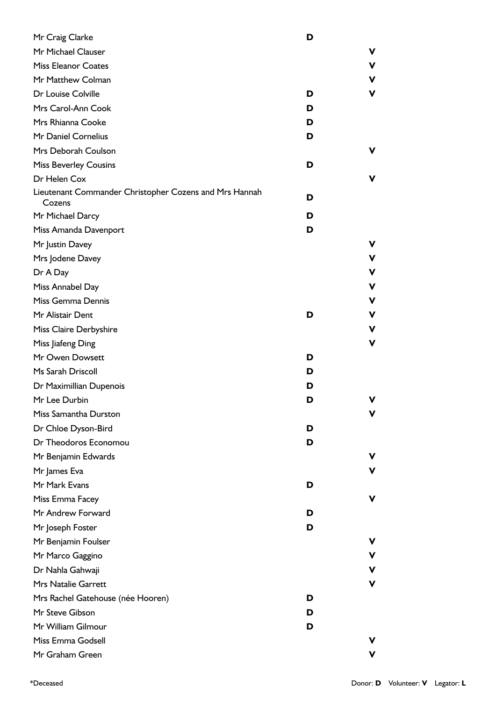| Mr Craig Clarke                                                  | D |   |
|------------------------------------------------------------------|---|---|
| Mr Michael Clauser                                               |   | ۷ |
| <b>Miss Eleanor Coates</b>                                       |   | V |
| Mr Matthew Colman                                                |   | ۷ |
| Dr Louise Colville                                               | D | V |
| Mrs Carol-Ann Cook                                               | D |   |
| Mrs Rhianna Cooke                                                | D |   |
| Mr Daniel Cornelius                                              | D |   |
| Mrs Deborah Coulson                                              |   | ۷ |
| <b>Miss Beverley Cousins</b>                                     | D |   |
| Dr Helen Cox                                                     |   | v |
| Lieutenant Commander Christopher Cozens and Mrs Hannah<br>Cozens | D |   |
| Mr Michael Darcy                                                 | D |   |
| Miss Amanda Davenport                                            | D |   |
| Mr Justin Davey                                                  |   | v |
| Mrs Jodene Davey                                                 |   | ۷ |
| Dr A Day                                                         |   | ۷ |
| Miss Annabel Day                                                 |   | V |
| Miss Gemma Dennis                                                |   | ۷ |
| Mr Alistair Dent                                                 | D | ۷ |
| Miss Claire Derbyshire                                           |   | ۷ |
| Miss Jiafeng Ding                                                |   | V |
| Mr Owen Dowsett                                                  | D |   |
| Ms Sarah Driscoll                                                | D |   |
| Dr Maximillian Dupenois                                          | D |   |
| Mr Lee Durbin                                                    | D | ν |
| Miss Samantha Durston                                            |   | ۷ |
| Dr Chloe Dyson-Bird                                              | D |   |
| Dr Theodoros Economou                                            | D |   |
| Mr Benjamin Edwards                                              |   | v |
| Mr James Eva                                                     |   | ۷ |
| Mr Mark Evans                                                    | D |   |
| Miss Emma Facey                                                  |   | ۷ |
| Mr Andrew Forward                                                | D |   |
| Mr Joseph Foster                                                 | D |   |
| Mr Benjamin Foulser                                              |   | v |
| Mr Marco Gaggino                                                 |   | ۷ |
| Dr Nahla Gahwaji                                                 |   | V |
| <b>Mrs Natalie Garrett</b>                                       |   | V |
| Mrs Rachel Gatehouse (née Hooren)                                | D |   |
| Mr Steve Gibson                                                  | D |   |
| Mr William Gilmour                                               | D |   |
| Miss Emma Godsell                                                |   | v |
| Mr Graham Green                                                  |   | v |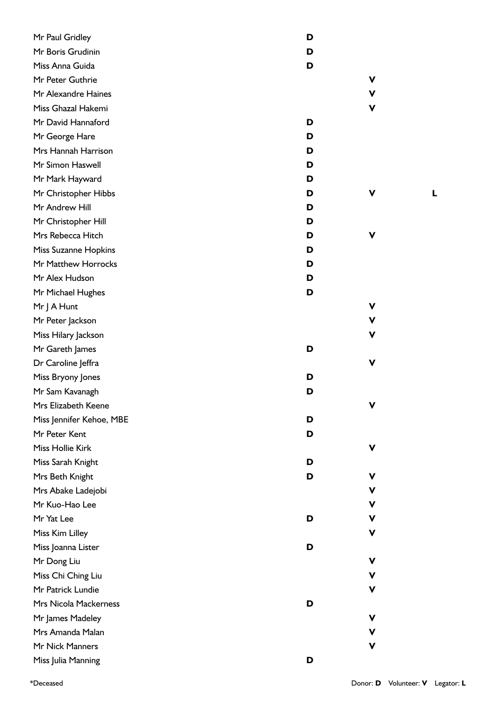| Mr Paul Gridley              | D |
|------------------------------|---|
| Mr Boris Grudinin            | D |
| Miss Anna Guida              | D |
| Mr Peter Guthrie             |   |
| Mr Alexandre Haines          |   |
| Miss Ghazal Hakemi           |   |
| Mr David Hannaford           | D |
| Mr George Hare               | D |
| Mrs Hannah Harrison          | D |
| Mr Simon Haswell             | D |
| Mr Mark Hayward              | D |
| Mr Christopher Hibbs         | D |
| Mr Andrew Hill               | D |
| Mr Christopher Hill          | D |
| Mrs Rebecca Hitch            | D |
| Miss Suzanne Hopkins         | D |
| Mr Matthew Horrocks          | D |
| Mr Alex Hudson               | D |
| Mr Michael Hughes            | D |
| Mr J A Hunt                  |   |
| Mr Peter Jackson             |   |
| Miss Hilary Jackson          |   |
| Mr Gareth James              | D |
| Dr Caroline Jeffra           |   |
| Miss Bryony Jones            | D |
| Mr Sam Kavanagh              | D |
| Mrs Elizabeth Keene          |   |
| Miss Jennifer Kehoe, MBE     | D |
| Mr Peter Kent                | D |
| Miss Hollie Kirk             |   |
| Miss Sarah Knight            | D |
| Mrs Beth Knight              | D |
| Mrs Abake Ladejobi           |   |
| Mr Kuo-Hao Lee               |   |
| Mr Yat Lee                   | D |
| Miss Kim Lilley              |   |
| Miss Joanna Lister           | D |
| Mr Dong Liu                  |   |
| Miss Chi Ching Liu           |   |
| Mr Patrick Lundie            |   |
| <b>Mrs Nicola Mackerness</b> | D |
| Mr James Madeley             |   |
| Mrs Amanda Malan             |   |
| Mr Nick Manners              |   |
| Miss Julia Manning           | D |

**V**

**V**

**V**

**V**

**V**

**V**

**V**

**V**

**V**

**V**

**V**

**V**

**V**

**V**

**V**

**V**

**V**

**V**

**V**

**V**

**V**

**V**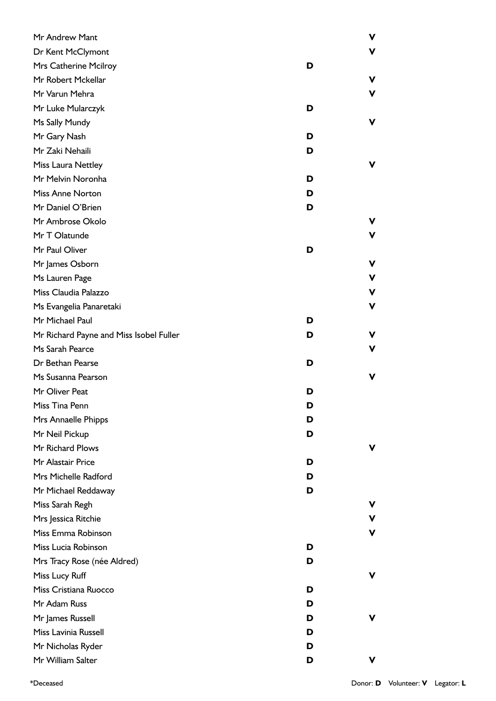| Mr Andrew Mant                          |   | ν |
|-----------------------------------------|---|---|
| Dr Kent McClymont                       |   | v |
| Mrs Catherine Mcilroy                   | D |   |
| Mr Robert Mckellar                      |   | v |
| Mr Varun Mehra                          |   | ν |
| Mr Luke Mularczyk                       | D |   |
| Ms Sally Mundy                          |   | ν |
| Mr Gary Nash                            | D |   |
| Mr Zaki Nehaili                         | D |   |
| Miss Laura Nettley                      |   | v |
| Mr Melvin Noronha                       | D |   |
| <b>Miss Anne Norton</b>                 | D |   |
| Mr Daniel O'Brien                       | D |   |
| Mr Ambrose Okolo                        |   |   |
| Mr T Olatunde                           |   | v |
| Mr Paul Oliver                          | D |   |
| Mr James Osborn                         |   | ν |
| Ms Lauren Page                          |   | V |
| Miss Claudia Palazzo                    |   | ۷ |
| Ms Evangelia Panaretaki                 |   | ν |
| Mr Michael Paul                         | D |   |
| Mr Richard Payne and Miss Isobel Fuller | D | v |
| Ms Sarah Pearce                         |   | v |
| Dr Bethan Pearse                        | D |   |
| Ms Susanna Pearson                      |   | ν |
| Mr Oliver Peat                          | D |   |
| Miss Tina Penn                          | D |   |
| Mrs Annaelle Phipps                     | D |   |
| Mr Neil Pickup                          | D |   |
| Mr Richard Plows                        |   | v |
| Mr Alastair Price                       | D |   |
| Mrs Michelle Radford                    | D |   |
| Mr Michael Reddaway                     | D |   |
| Miss Sarah Regh                         |   |   |
| Mrs Jessica Ritchie                     |   | v |
| Miss Emma Robinson                      |   |   |
| Miss Lucia Robinson                     | D |   |
| Mrs Tracy Rose (née Aldred)             | D |   |
| Miss Lucy Ruff                          |   | v |
| Miss Cristiana Ruocco                   | D |   |
| Mr Adam Russ                            | D |   |
| Mr James Russell                        | D | v |
| Miss Lavinia Russell                    | D |   |
| Mr Nicholas Ryder                       | D |   |
| Mr William Salter                       | D | v |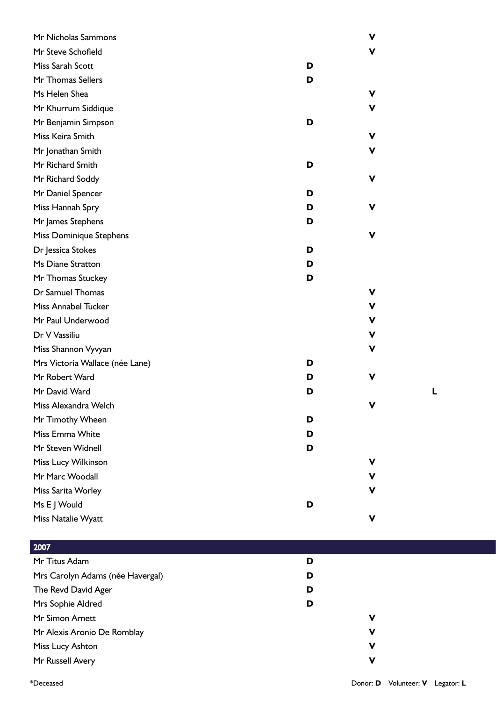| Mr Nicholas Sammons             |   | v |
|---------------------------------|---|---|
| Mr Steve Schofield              |   | v |
| Miss Sarah Scott                | D |   |
| Mr Thomas Sellers               | D |   |
| Ms Helen Shea                   |   | v |
| Mr Khurrum Siddique             |   | v |
| Mr Benjamin Simpson             | D |   |
| Miss Keira Smith                |   | V |
| Mr Jonathan Smith               |   | v |
| Mr Richard Smith                | D |   |
| Mr Richard Soddy                |   | V |
| Mr Daniel Spencer               | D |   |
| Miss Hannah Spry                | D | V |
| Mr James Stephens               | D |   |
| Miss Dominique Stephens         |   | v |
| Dr Jessica Stokes               | D |   |
| Ms Diane Stratton               | D |   |
| Mr Thomas Stuckey               | D |   |
| Dr Samuel Thomas                |   | V |
| <b>Miss Annabel Tucker</b>      |   | v |
| Mr Paul Underwood               |   | V |
| Dr V Vassiliu                   |   | v |
| Miss Shannon Vyvyan             |   | v |
| Mrs Victoria Wallace (née Lane) | D |   |
| Mr Robert Ward                  | D | V |
| Mr David Ward                   | D |   |
| Miss Alexandra Welch            |   |   |
| Mr Timothy Wheen                | D |   |
| Miss Emma White                 | D |   |
| Mr Steven Widnell               | D |   |
| Miss Lucy Wilkinson             |   | v |
| Mr Marc Woodall                 |   | v |
| Miss Sarita Worley              |   | V |
| Ms E J Would                    | D |   |
| Miss Natalie Wyatt              |   | V |

| 2007                             |   |
|----------------------------------|---|
| Mr Titus Adam                    | D |
| Mrs Carolyn Adams (née Havergal) | D |
| The Revd David Ager              | D |
| Mrs Sophie Aldred                | D |
| Mr Simon Arnett                  | ν |
| Mr Alexis Aronio De Romblay      | ν |
| Miss Lucy Ashton                 | V |
| Mr Russell Avery                 | V |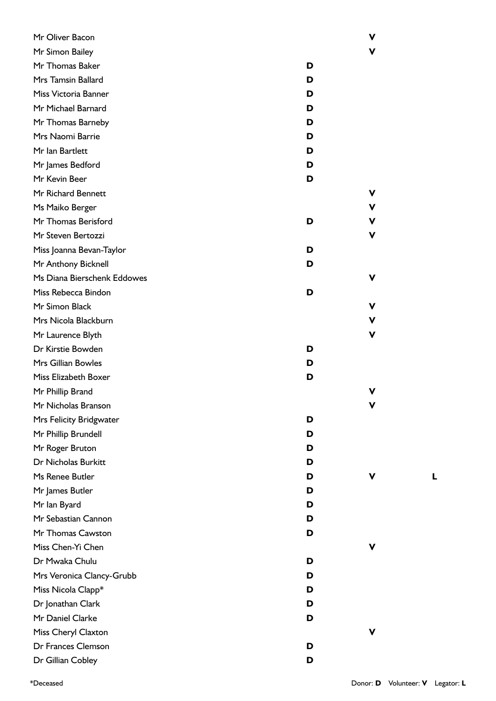| Mr Oliver Bacon             |   | ۷ |
|-----------------------------|---|---|
| Mr Simon Bailey             |   | v |
| Mr Thomas Baker             | D |   |
| Mrs Tamsin Ballard          | D |   |
| Miss Victoria Banner        | D |   |
| Mr Michael Barnard          | D |   |
| Mr Thomas Barneby           | D |   |
| Mrs Naomi Barrie            | D |   |
| Mr Ian Bartlett             | D |   |
| Mr James Bedford            | D |   |
| Mr Kevin Beer               | D |   |
| Mr Richard Bennett          |   | ۷ |
| Ms Maiko Berger             |   | v |
| Mr Thomas Berisford         | D | ۷ |
| Mr Steven Bertozzi          |   | ۷ |
| Miss Joanna Bevan-Taylor    | D |   |
| Mr Anthony Bicknell         | D |   |
| Ms Diana Bierschenk Eddowes |   | v |
| Miss Rebecca Bindon         | D |   |
| Mr Simon Black              |   | v |
| Mrs Nicola Blackburn        |   | V |
| Mr Laurence Blyth           |   | v |
| Dr Kirstie Bowden           | D |   |
| <b>Mrs Gillian Bowles</b>   | D |   |
| Miss Elizabeth Boxer        | D |   |
| Mr Phillip Brand            |   | v |
| Mr Nicholas Branson         |   |   |
| Mrs Felicity Bridgwater     | D |   |
| Mr Phillip Brundell         | D |   |
| Mr Roger Bruton             | D |   |
| Dr Nicholas Burkitt         | D |   |
| Ms Renee Butler             | D |   |
| Mr James Butler             | D |   |
| Mr Ian Byard                | D |   |
| Mr Sebastian Cannon         | D |   |
| Mr Thomas Cawston           | D |   |
| Miss Chen-Yi Chen           |   | v |
| Dr Mwaka Chulu              | D |   |
| Mrs Veronica Clancy-Grubb   | D |   |
| Miss Nicola Clapp*          | D |   |
| Dr Jonathan Clark           | D |   |
| Mr Daniel Clarke            | D |   |
| Miss Cheryl Claxton         |   | v |
| Dr Frances Clemson          | D |   |
| Dr Gillian Cobley           | D |   |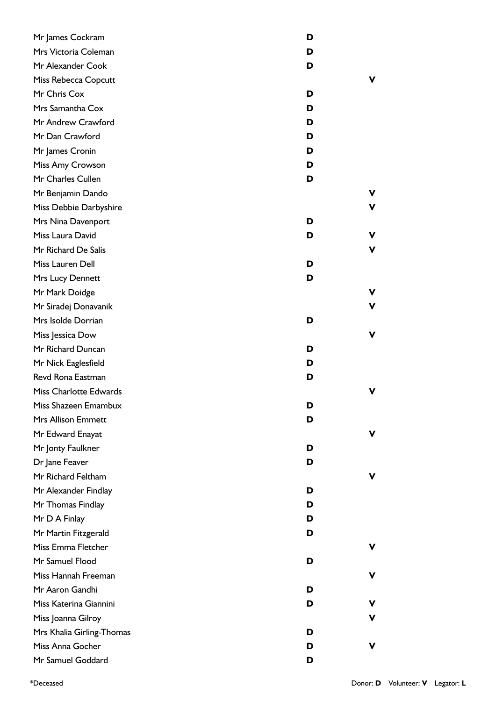| Mr James Cockram          | D |   |
|---------------------------|---|---|
| Mrs Victoria Coleman      | D |   |
| Mr Alexander Cook         | D |   |
| Miss Rebecca Copcutt      |   | v |
| Mr Chris Cox              | D |   |
| Mrs Samantha Cox          | D |   |
| Mr Andrew Crawford        | D |   |
| Mr Dan Crawford           | D |   |
| Mr James Cronin           | D |   |
| Miss Amy Crowson          | D |   |
| Mr Charles Cullen         | D |   |
| Mr Benjamin Dando         |   | v |
| Miss Debbie Darbyshire    |   | v |
| Mrs Nina Davenport        | D |   |
| Miss Laura David          | D | ۷ |
| Mr Richard De Salis       |   | V |
| Miss Lauren Dell          | D |   |
| Mrs Lucy Dennett          | D |   |
| Mr Mark Doidge            |   | v |
| Mr Siradej Donavanik      |   | ۷ |
| Mrs Isolde Dorrian        | D |   |
| Miss Jessica Dow          |   | ۷ |
| Mr Richard Duncan         | D |   |
| Mr Nick Eaglesfield       | D |   |
| Revd Rona Eastman         | D |   |
| Miss Charlotte Edwards    |   | ν |
| Miss Shazeen Emambux      | D |   |
| <b>Mrs Allison Emmett</b> | D |   |
| Mr Edward Enayat          |   | ۷ |
| Mr Jonty Faulkner         | D |   |
| Dr Jane Feaver            | D |   |
| Mr Richard Feltham        |   | v |
| Mr Alexander Findlay      | D |   |
| Mr Thomas Findlay         | D |   |
| Mr D A Finlay             | D |   |
| Mr Martin Fitzgerald      | D |   |
| Miss Emma Fletcher        |   | v |
| Mr Samuel Flood           | D |   |
| Miss Hannah Freeman       |   | v |
| Mr Aaron Gandhi           | D |   |
| Miss Katerina Giannini    | D | v |
| Miss Joanna Gilroy        |   | v |
| Mrs Khalia Girling-Thomas | D |   |
| Miss Anna Gocher          | D | v |
| Mr Samuel Goddard         | D |   |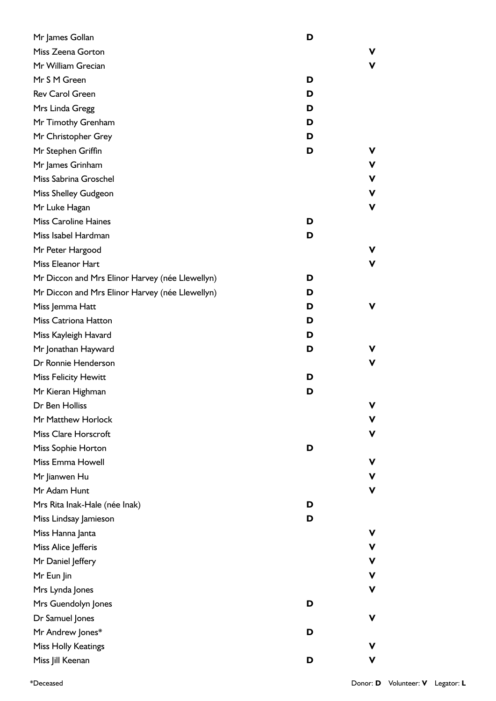| Mr James Gollan                                 | D |   |
|-------------------------------------------------|---|---|
| Miss Zeena Gorton                               |   | v |
| Mr William Grecian                              |   | v |
| Mr S M Green                                    | D |   |
| <b>Rev Carol Green</b>                          | D |   |
| Mrs Linda Gregg                                 | D |   |
| Mr Timothy Grenham                              | D |   |
| Mr Christopher Grey                             | D |   |
| Mr Stephen Griffin                              | D | v |
| Mr James Grinham                                |   | v |
| Miss Sabrina Groschel                           |   | v |
| Miss Shelley Gudgeon                            |   | v |
| Mr Luke Hagan                                   |   | v |
| <b>Miss Caroline Haines</b>                     | D |   |
| Miss Isabel Hardman                             | D |   |
| Mr Peter Hargood                                |   | v |
| Miss Eleanor Hart                               |   | v |
| Mr Diccon and Mrs Elinor Harvey (née Llewellyn) | D |   |
| Mr Diccon and Mrs Elinor Harvey (née Llewellyn) | D |   |
| Miss Jemma Hatt                                 | D | v |
| <b>Miss Catriona Hatton</b>                     | D |   |
| Miss Kayleigh Havard                            | D |   |
| Mr Jonathan Hayward                             | D | v |
| Dr Ronnie Henderson                             |   | v |
| <b>Miss Felicity Hewitt</b>                     | D |   |
| Mr Kieran Highman                               | D |   |
| Dr Ben Holliss                                  |   | v |
| Mr Matthew Horlock                              |   | v |
| <b>Miss Clare Horscroft</b>                     |   | v |
| Miss Sophie Horton                              | D |   |
| Miss Emma Howell                                |   | v |
| Mr Jianwen Hu                                   |   | v |
| Mr Adam Hunt                                    |   | v |
| Mrs Rita Inak-Hale (née Inak)                   | D |   |
| Miss Lindsay Jamieson                           | D |   |
| Miss Hanna Janta                                |   | v |
| Miss Alice Jefferis                             |   | v |
| Mr Daniel Jeffery                               |   | v |
| Mr Eun Jin                                      |   | v |
| Mrs Lynda Jones                                 |   | v |
| Mrs Guendolyn Jones                             | D |   |
| Dr Samuel Jones                                 |   | ۷ |
| Mr Andrew Jones*                                | D |   |
| Miss Holly Keatings                             |   | v |
| Miss Jill Keenan                                | D | v |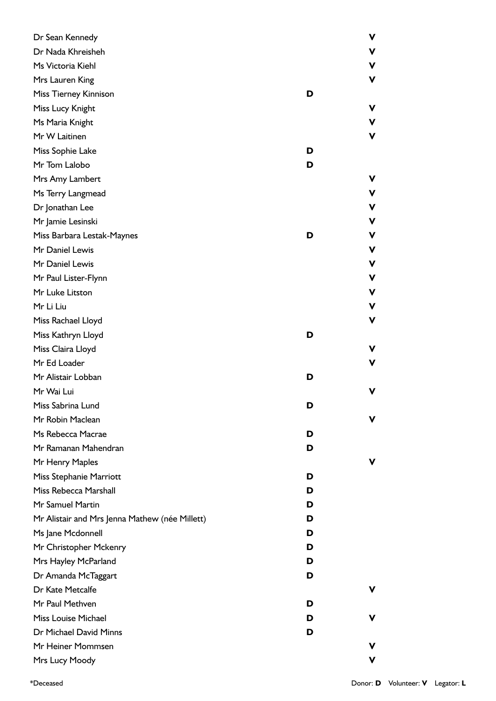| Dr Sean Kennedy                                |   | ۷ |
|------------------------------------------------|---|---|
| Dr Nada Khreisheh                              |   | ۷ |
| Ms Victoria Kiehl                              |   | ۷ |
| Mrs Lauren King                                |   | ν |
| Miss Tierney Kinnison                          | D |   |
| Miss Lucy Knight                               |   | ν |
| Ms Maria Knight                                |   | ν |
| Mr W Laitinen                                  |   | ν |
| Miss Sophie Lake                               | D |   |
| Mr Tom Lalobo                                  | D |   |
| Mrs Amy Lambert                                |   |   |
| Ms Terry Langmead                              |   | ۷ |
| Dr Jonathan Lee                                |   | V |
| Mr Jamie Lesinski                              |   | ۷ |
| Miss Barbara Lestak-Maynes                     | D | V |
| Mr Daniel Lewis                                |   | ۷ |
| Mr Daniel Lewis                                |   | ۷ |
| Mr Paul Lister-Flynn                           |   | V |
| Mr Luke Litston                                |   | ۷ |
| Mr Li Liu                                      |   | ν |
| Miss Rachael Lloyd                             |   | ν |
| Miss Kathryn Lloyd                             | D |   |
| Miss Claira Lloyd                              |   |   |
| Mr Ed Loader                                   |   | v |
| Mr Alistair Lobban                             | D |   |
| Mr Wai Lui                                     |   |   |
| Miss Sabrina Lund                              | D |   |
| Mr Robin Maclean                               |   | v |
| Ms Rebecca Macrae                              | D |   |
| Mr Ramanan Mahendran                           | D |   |
| Mr Henry Maples                                |   | v |
| Miss Stephanie Marriott                        | D |   |
| Miss Rebecca Marshall                          | D |   |
| Mr Samuel Martin                               | D |   |
| Mr Alistair and Mrs Jenna Mathew (née Millett) | D |   |
| Ms Jane Mcdonnell                              | D |   |
| Mr Christopher Mckenry                         | D |   |
| Mrs Hayley McParland                           | D |   |
| Dr Amanda McTaggart                            | D |   |
| Dr Kate Metcalfe                               |   | v |
| Mr Paul Methven                                | D |   |
| Miss Louise Michael                            | D | v |
| Dr Michael David Minns                         | D |   |
| Mr Heiner Mommsen                              |   |   |
| Mrs Lucy Moody                                 |   | v |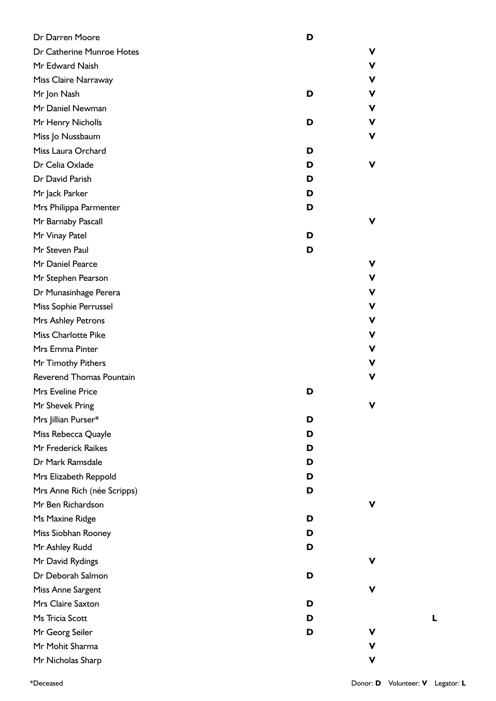| Dr Darren Moore             | D |   |
|-----------------------------|---|---|
| Dr Catherine Munroe Hotes   |   | V |
| Mr Edward Naish             |   | ۷ |
| Miss Claire Narraway        |   | ۷ |
| Mr Jon Nash                 | D | V |
| Mr Daniel Newman            |   | ۷ |
| Mr Henry Nicholls           | D | ۷ |
| Miss Jo Nussbaum            |   | V |
| Miss Laura Orchard          | D |   |
| Dr Celia Oxlade             | D | V |
| Dr David Parish             | D |   |
| Mr Jack Parker              | D |   |
| Mrs Philippa Parmenter      | D |   |
| Mr Barnaby Pascall          |   | V |
| Mr Vinay Patel              | D |   |
| Mr Steven Paul              | D |   |
| Mr Daniel Pearce            |   | ۷ |
| Mr Stephen Pearson          |   | v |
| Dr Munasinhage Perera       |   | ۷ |
| Miss Sophie Perrussel       |   | ۷ |
| Mrs Ashley Petrons          |   | ۷ |
| <b>Miss Charlotte Pike</b>  |   | ۷ |
| Mrs Emma Pinter             |   | ۷ |
| Mr Timothy Pithers          |   | ۷ |
| Reverend Thomas Pountain    |   | V |
| Mrs Eveline Price           | D |   |
| Mr Shevek Pring             |   | v |
| Mrs Jillian Purser*         | D |   |
| Miss Rebecca Quayle         | D |   |
| Mr Frederick Raikes         | D |   |
| Dr Mark Ramsdale            | D |   |
| Mrs Elizabeth Reppold       | D |   |
| Mrs Anne Rich (née Scripps) | D |   |
| Mr Ben Richardson           |   | ۷ |
| Ms Maxine Ridge             | D |   |
| Miss Siobhan Rooney         | D |   |
| Mr Ashley Rudd              | D |   |
| Mr David Rydings            |   | ۷ |
| Dr Deborah Salmon           | D |   |
| Miss Anne Sargent           |   | V |
| Mrs Claire Saxton           | D |   |
| Ms Tricia Scott             | D |   |
| Mr Georg Seiler             | D | ۷ |
| Mr Mohit Sharma             |   | ۷ |
| Mr Nicholas Sharp           |   | v |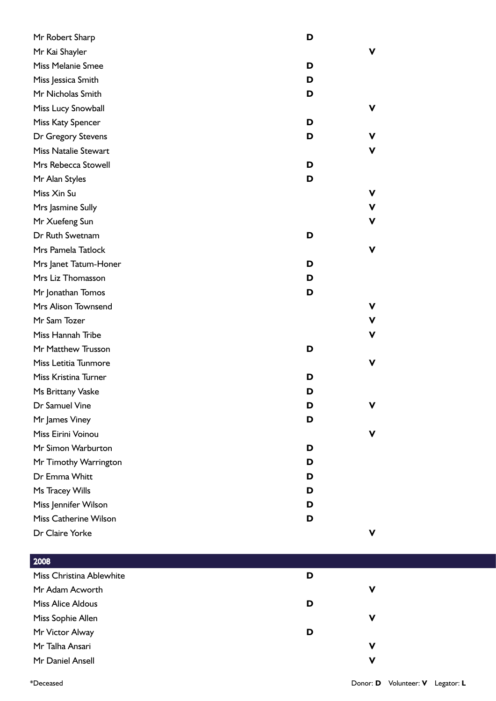| Mr Robert Sharp              | D |   |
|------------------------------|---|---|
| Mr Kai Shayler               |   | v |
| Miss Melanie Smee            | D |   |
| Miss Jessica Smith           | D |   |
| Mr Nicholas Smith            | D |   |
| Miss Lucy Snowball           |   | v |
| Miss Katy Spencer            | D |   |
| Dr Gregory Stevens           | D | v |
| <b>Miss Natalie Stewart</b>  |   | v |
| Mrs Rebecca Stowell          | D |   |
| Mr Alan Styles               | D |   |
| Miss Xin Su                  |   | V |
| Mrs Jasmine Sully            |   | V |
| Mr Xuefeng Sun               |   | v |
| Dr Ruth Swetnam              | D |   |
| Mrs Pamela Tatlock           |   | v |
| Mrs Janet Tatum-Honer        | D |   |
| Mrs Liz Thomasson            | D |   |
| Mr Jonathan Tomos            | D |   |
| Mrs Alison Townsend          |   | ۷ |
| Mr Sam Tozer                 |   | ۷ |
| Miss Hannah Tribe            |   | v |
| Mr Matthew Trusson           | D |   |
| Miss Letitia Tunmore         |   | v |
| Miss Kristina Turner         | D |   |
| Ms Brittany Vaske            | D |   |
| Dr Samuel Vine               | D |   |
| Mr James Viney               | D |   |
| Miss Eirini Voinou           |   |   |
| Mr Simon Warburton           | D |   |
| Mr Timothy Warrington        | D |   |
| Dr Emma Whitt                | D |   |
| Ms Tracey Wills              | D |   |
| Miss Jennifer Wilson         | D |   |
| <b>Miss Catherine Wilson</b> | D |   |
| Dr Claire Yorke              |   | v |

| 2008                     |   |   |
|--------------------------|---|---|
| Miss Christina Ablewhite | D |   |
| Mr Adam Acworth          |   | V |
| <b>Miss Alice Aldous</b> | D |   |
| Miss Sophie Allen        |   | ν |
| Mr Victor Alway          | D |   |
| Mr Talha Ansari          |   | v |
| Mr Daniel Ansell         |   | v |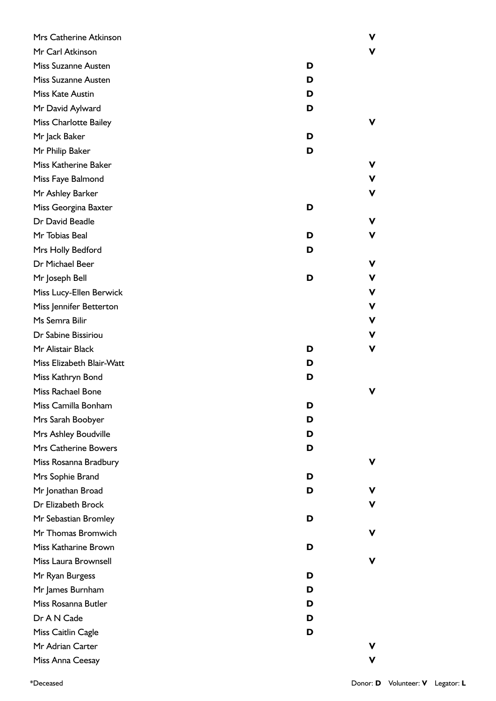| Mrs Catherine Atkinson       |   | v |
|------------------------------|---|---|
| Mr Carl Atkinson             |   |   |
| <b>Miss Suzanne Austen</b>   | D |   |
| Miss Suzanne Austen          | D |   |
| Miss Kate Austin             | D |   |
| Mr David Aylward             | D |   |
| <b>Miss Charlotte Bailey</b> |   | v |
| Mr Jack Baker                | D |   |
| Mr Philip Baker              | D |   |
| Miss Katherine Baker         |   | ν |
| Miss Faye Balmond            |   | ν |
| Mr Ashley Barker             |   | ν |
| Miss Georgina Baxter         | D |   |
| Dr David Beadle              |   | ν |
| Mr Tobias Beal               | D | v |
| Mrs Holly Bedford            | D |   |
| Dr Michael Beer              |   | ν |
| Mr Joseph Bell               | D | ν |
| Miss Lucy-Ellen Berwick      |   | V |
| Miss Jennifer Betterton      |   | V |
| Ms Semra Bilir               |   | V |
| Dr Sabine Bissiriou          |   | ν |
| Mr Alistair Black            | D | ν |
| Miss Elizabeth Blair-Watt    | D |   |
| Miss Kathryn Bond            | D |   |
| Miss Rachael Bone            |   |   |
| Miss Camilla Bonham          | D |   |
| Mrs Sarah Boobyer            | D |   |
| Mrs Ashley Boudville         | D |   |
| Mrs Catherine Bowers         | D |   |
| Miss Rosanna Bradbury        |   |   |
| Mrs Sophie Brand             | D |   |
| Mr Jonathan Broad            | D |   |
| Dr Elizabeth Brock           |   | v |
| Mr Sebastian Bromley         | D |   |
| Mr Thomas Bromwich           |   | v |
| Miss Katharine Brown         | D |   |
| Miss Laura Brownsell         |   |   |
| Mr Ryan Burgess              | D |   |
| Mr James Burnham             | D |   |
| Miss Rosanna Butler          | D |   |
| Dr A N Cade                  | D |   |
| Miss Caitlin Cagle           | D |   |
| Mr Adrian Carter             |   |   |
| Miss Anna Ceesay             |   |   |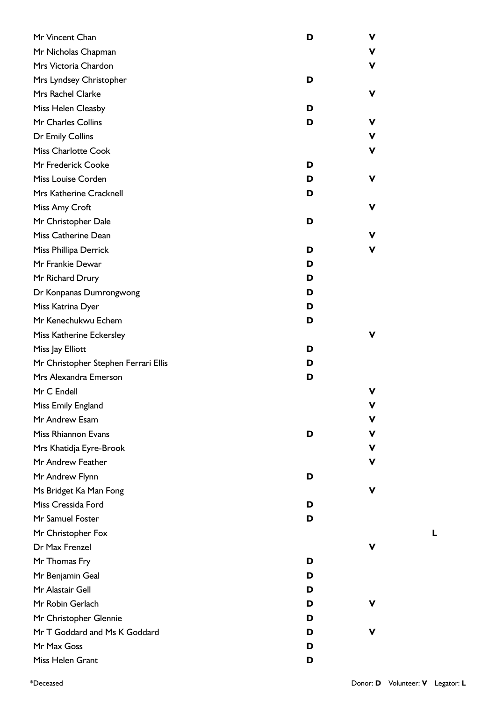| Mr Vincent Chan                      | D | V |
|--------------------------------------|---|---|
| Mr Nicholas Chapman                  |   | V |
| Mrs Victoria Chardon                 |   | V |
| Mrs Lyndsey Christopher              | D |   |
| Mrs Rachel Clarke                    |   | v |
| Miss Helen Cleasby                   | D |   |
| Mr Charles Collins                   | D | v |
| Dr Emily Collins                     |   | V |
| <b>Miss Charlotte Cook</b>           |   | V |
| Mr Frederick Cooke                   | D |   |
| Miss Louise Corden                   | D | v |
| Mrs Katherine Cracknell              | D |   |
| Miss Amy Croft                       |   | ۷ |
| Mr Christopher Dale                  | D |   |
| Miss Catherine Dean                  |   | ۷ |
| Miss Phillipa Derrick                | D |   |
| Mr Frankie Dewar                     | D |   |
| Mr Richard Drury                     | D |   |
| Dr Konpanas Dumrongwong              | D |   |
| Miss Katrina Dyer                    | D |   |
| Mr Kenechukwu Echem                  | D |   |
| Miss Katherine Eckersley             |   |   |
| Miss Jay Elliott                     | D |   |
| Mr Christopher Stephen Ferrari Ellis | D |   |
| Mrs Alexandra Emerson                | D |   |
| Mr C Endell                          |   |   |
| Miss Emily England                   |   |   |
| Mr Andrew Esam                       |   | v |
| Miss Rhiannon Evans                  | D | v |
| Mrs Khatidja Eyre-Brook              |   | V |
| Mr Andrew Feather                    |   | v |
| Mr Andrew Flynn                      | D |   |
| Ms Bridget Ka Man Fong               |   | v |
| Miss Cressida Ford                   | D |   |
| Mr Samuel Foster                     | D |   |
| Mr Christopher Fox                   |   |   |
| Dr Max Frenzel                       |   |   |
| Mr Thomas Fry                        | D |   |
| Mr Benjamin Geal                     | D |   |
| Mr Alastair Gell                     | D |   |
| Mr Robin Gerlach                     | D |   |
| Mr Christopher Glennie               | D |   |
| Mr T Goddard and Ms K Goddard        | D |   |
| Mr Max Goss                          | D |   |
| Miss Helen Grant                     | D |   |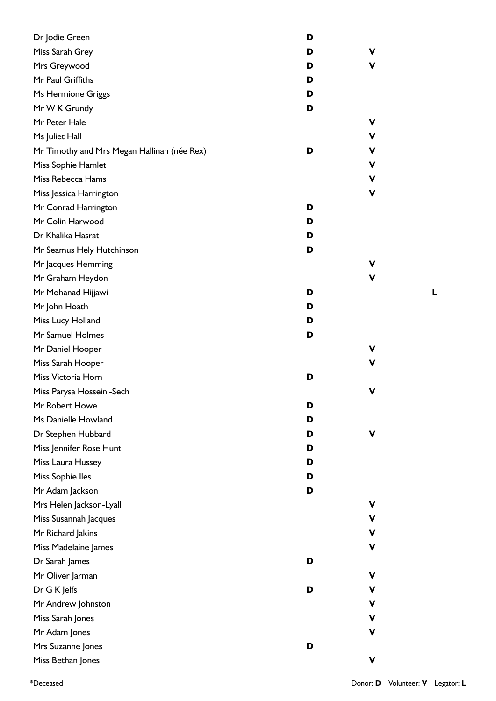| Dr Jodie Green                              | D |                    |
|---------------------------------------------|---|--------------------|
| Miss Sarah Grey                             | D | ۷                  |
| Mrs Greywood                                | D | v                  |
| Mr Paul Griffiths                           | D |                    |
| Ms Hermione Griggs                          | D |                    |
| Mr W K Grundy                               | D |                    |
| Mr Peter Hale                               |   | ۷                  |
| Ms Juliet Hall                              |   | V                  |
| Mr Timothy and Mrs Megan Hallinan (née Rex) | D | $\pmb{\mathsf{V}}$ |
| Miss Sophie Hamlet                          |   | V                  |
| Miss Rebecca Hams                           |   | V                  |
| Miss Jessica Harrington                     |   | V                  |
| Mr Conrad Harrington                        | D |                    |
| Mr Colin Harwood                            | D |                    |
| Dr Khalika Hasrat                           | D |                    |
| Mr Seamus Hely Hutchinson                   | D |                    |
| Mr Jacques Hemming                          |   | v                  |
| Mr Graham Heydon                            |   | v                  |
| Mr Mohanad Hijjawi                          | D |                    |
| Mr John Hoath                               | D |                    |
| Miss Lucy Holland                           | D |                    |
| Mr Samuel Holmes                            | D |                    |
| Mr Daniel Hooper                            |   | v                  |
| Miss Sarah Hooper                           |   | v                  |
| Miss Victoria Horn                          | D |                    |
| Miss Parysa Hosseini-Sech                   |   | v                  |
| Mr Robert Howe                              | ט |                    |
| Ms Danielle Howland                         | D |                    |
| Dr Stephen Hubbard                          | D |                    |
| Miss Jennifer Rose Hunt                     | D |                    |
| Miss Laura Hussey                           | D |                    |
| Miss Sophie Iles                            | D |                    |
| Mr Adam Jackson                             | D |                    |
| Mrs Helen Jackson-Lyall                     |   | v                  |
| Miss Susannah Jacques                       |   | ۷                  |
| Mr Richard Jakins                           |   | V                  |
| Miss Madelaine James                        |   | ۷                  |
| Dr Sarah James                              | D |                    |
| Mr Oliver Jarman                            |   | V                  |
| Dr G K Jelfs                                | D | V                  |
| Mr Andrew Johnston                          |   | V                  |
| Miss Sarah Jones                            |   | V                  |
| Mr Adam Jones                               |   | ۷                  |
| Mrs Suzanne Jones                           | D |                    |
| Miss Bethan Jones                           |   | V                  |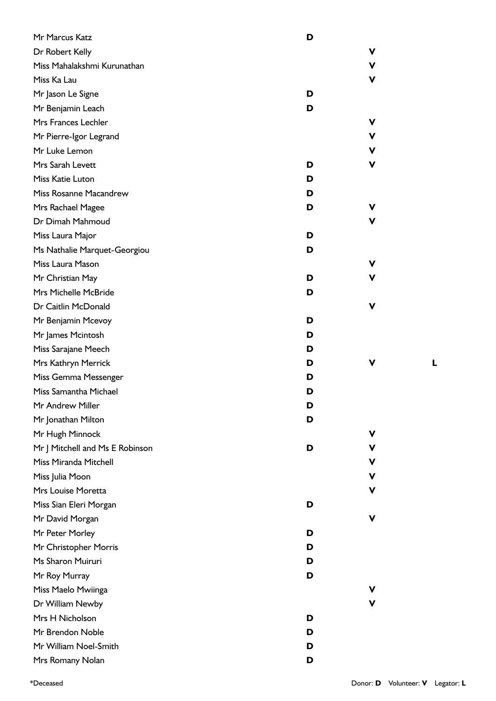| Mr Marcus Katz                  | D |    |
|---------------------------------|---|----|
| Dr Robert Kelly                 |   | v  |
| Miss Mahalakshmi Kurunathan     |   | v  |
| Miss Ka Lau                     |   | V  |
| Mr Jason Le Signe               | D |    |
| Mr Benjamin Leach               | D |    |
| Mrs Frances Lechler             |   | V  |
| Mr Pierre-Igor Legrand          |   | V  |
| Mr Luke Lemon                   |   | v  |
| Mrs Sarah Levett                | D | ۷  |
| Miss Katie Luton                | D |    |
| Miss Rosanne Macandrew          | D |    |
| Mrs Rachael Magee               | D | v. |
| Dr Dimah Mahmoud                |   | V  |
| Miss Laura Major                | D |    |
| Ms Nathalie Marquet-Georgiou    | D |    |
| Miss Laura Mason                |   | v  |
| Mr Christian May                | D | V  |
| Mrs Michelle McBride            | D |    |
| Dr Caitlin McDonald             |   | ۷  |
| Mr Benjamin Mcevoy              | D |    |
| Mr James Mcintosh               | D |    |
| Miss Sarajane Meech             | D |    |
| Mrs Kathryn Merrick             | D | v  |
| Miss Gemma Messenger            | D |    |
| Miss Samantha Michael           | D |    |
| Mr Andrew Miller                | D |    |
| Mr Jonathan Milton              | D |    |
| Mr Hugh Minnock                 |   | v  |
| Mr J Mitchell and Ms E Robinson | D | v  |
| Miss Miranda Mitchell           |   | v. |
| Miss Julia Moon                 |   | V  |
| Mrs Louise Moretta              |   | ۷  |
| Miss Sian Eleri Morgan          | D |    |
| Mr David Morgan                 |   | ۷  |
| Mr Peter Morley                 | D |    |
| Mr Christopher Morris           | D |    |
| Ms Sharon Muiruri               | D |    |
| Mr Roy Murray                   | D |    |
| Miss Maelo Mwiinga              |   | v  |
| Dr William Newby                |   | V  |
| Mrs H Nicholson                 | D |    |
| Mr Brendon Noble                | D |    |
| Mr William Noel-Smith           | D |    |
| Mrs Romany Nolan                | D |    |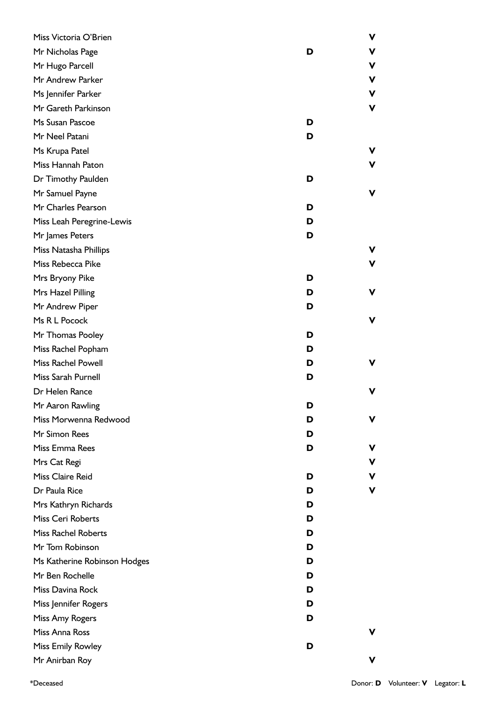| Miss Victoria O'Brien        |   | V |
|------------------------------|---|---|
| Mr Nicholas Page             | D | V |
| Mr Hugo Parcell              |   | V |
| Mr Andrew Parker             |   | V |
| Ms Jennifer Parker           |   | V |
| Mr Gareth Parkinson          |   | ۷ |
| Ms Susan Pascoe              | D |   |
| Mr Neel Patani               | D |   |
| Ms Krupa Patel               |   | v |
| Miss Hannah Paton            |   | v |
| Dr Timothy Paulden           | D |   |
| Mr Samuel Payne              |   | v |
| Mr Charles Pearson           | D |   |
| Miss Leah Peregrine-Lewis    | D |   |
| Mr James Peters              | D |   |
| Miss Natasha Phillips        |   | ۷ |
| Miss Rebecca Pike            |   | v |
| Mrs Bryony Pike              | D |   |
| Mrs Hazel Pilling            | D | v |
| Mr Andrew Piper              | D |   |
| Ms R L Pocock                |   | v |
| Mr Thomas Pooley             | D |   |
| Miss Rachel Popham           | D |   |
| Miss Rachel Powell           | D | v |
| Miss Sarah Purnell           | D |   |
| Dr Helen Rance               |   | v |
| Mr Aaron Rawling             | D |   |
| Miss Morwenna Redwood        | D | v |
| Mr Simon Rees                | D |   |
| Miss Emma Rees               | D | v |
| Mrs Cat Regi                 |   | v |
| Miss Claire Reid             | D | ۷ |
| Dr Paula Rice                | D | v |
| Mrs Kathryn Richards         | D |   |
| Miss Ceri Roberts            | D |   |
| <b>Miss Rachel Roberts</b>   | D |   |
| Mr Tom Robinson              | D |   |
| Ms Katherine Robinson Hodges | D |   |
| Mr Ben Rochelle              | D |   |
| Miss Davina Rock             | D |   |
| Miss Jennifer Rogers         | D |   |
| Miss Amy Rogers              | D |   |
| Miss Anna Ross               |   |   |
| Miss Emily Rowley            | D |   |
| Mr Anirban Roy               |   | v |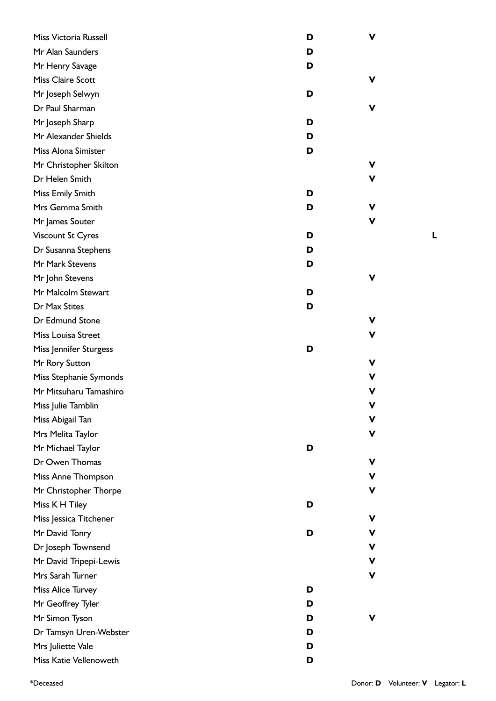| Miss Victoria Russell     | D | V |
|---------------------------|---|---|
| Mr Alan Saunders          | D |   |
| Mr Henry Savage           | D |   |
| Miss Claire Scott         |   | v |
| Mr Joseph Selwyn          | D |   |
| Dr Paul Sharman           |   | v |
| Mr Joseph Sharp           | D |   |
| Mr Alexander Shields      | D |   |
| Miss Alona Simister       | D |   |
| Mr Christopher Skilton    |   | V |
| Dr Helen Smith            |   | V |
| Miss Emily Smith          | D |   |
| Mrs Gemma Smith           | D | v |
| Mr James Souter           |   | V |
| <b>Viscount St Cyres</b>  | D |   |
| Dr Susanna Stephens       | D |   |
| Mr Mark Stevens           | D |   |
| Mr John Stevens           |   | V |
| Mr Malcolm Stewart        | D |   |
| Dr Max Stites             | D |   |
| Dr Edmund Stone           |   | v |
| <b>Miss Louisa Street</b> |   | ۷ |
| Miss Jennifer Sturgess    | D |   |
| Mr Rory Sutton            |   | V |
| Miss Stephanie Symonds    |   | v |
| Mr Mitsuharu Tamashiro    |   | v |
| Miss Julie Tamblin        |   | V |
| Miss Abigail Tan          |   | ۷ |
| Mrs Melita Taylor         |   | V |
| Mr Michael Taylor         | D |   |
| Dr Owen Thomas            |   | ۷ |
| Miss Anne Thompson        |   | ۷ |
| Mr Christopher Thorpe     |   | V |
| Miss K H Tiley            | D |   |
| Miss Jessica Titchener    |   | V |
| Mr David Tonry            | D | ۷ |
| Dr Joseph Townsend        |   | ۷ |
| Mr David Tripepi-Lewis    |   | ۷ |
| Mrs Sarah Turner          |   | ۷ |
| <b>Miss Alice Turvey</b>  | D |   |
| Mr Geoffrey Tyler         | D |   |
| Mr Simon Tyson            | D | ۷ |
| Dr Tamsyn Uren-Webster    | D |   |
| Mrs Juliette Vale         | D |   |
| Miss Katie Vellenoweth    | D |   |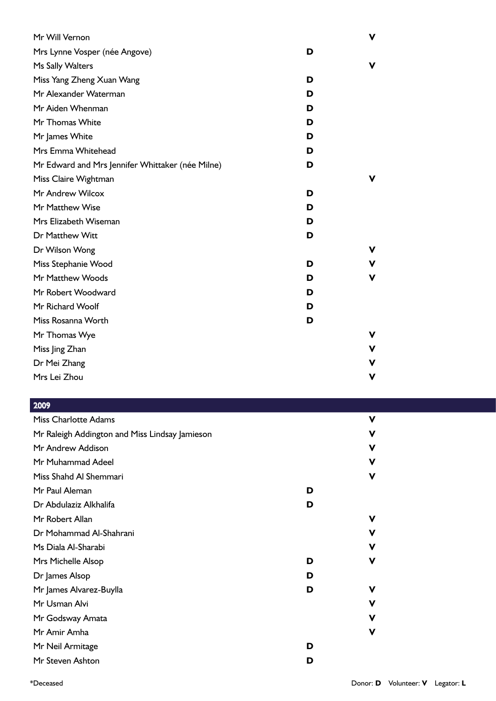| Mr Will Vernon                                   | ۷      |  |
|--------------------------------------------------|--------|--|
| Mrs Lynne Vosper (née Angove)                    | D      |  |
| Ms Sally Walters                                 | v      |  |
| Miss Yang Zheng Xuan Wang                        | D      |  |
| Mr Alexander Waterman                            | D      |  |
| Mr Aiden Whenman                                 | D      |  |
| Mr Thomas White                                  | D      |  |
| Mr James White                                   | D      |  |
| Mrs Emma Whitehead                               | D      |  |
| Mr Edward and Mrs Jennifer Whittaker (née Milne) | D      |  |
| Miss Claire Wightman                             | v      |  |
| Mr Andrew Wilcox                                 | D      |  |
| Mr Matthew Wise                                  | D      |  |
| Mrs Elizabeth Wiseman                            | D      |  |
| Dr Matthew Witt                                  | D      |  |
| Dr Wilson Wong                                   | v      |  |
| Miss Stephanie Wood                              | D<br>v |  |
| Mr Matthew Woods                                 | D<br>v |  |
| Mr Robert Woodward                               | D      |  |
| Mr Richard Woolf                                 | D      |  |
| Miss Rosanna Worth                               | D      |  |
| Mr Thomas Wye                                    | v      |  |
| Miss Jing Zhan                                   | v      |  |
| Dr Mei Zhang                                     | v      |  |
| Mrs Lei Zhou                                     | ۷      |  |

| 2009                                           |   |   |
|------------------------------------------------|---|---|
| <b>Miss Charlotte Adams</b>                    |   | v |
| Mr Raleigh Addington and Miss Lindsay Jamieson |   | v |
| Mr Andrew Addison                              |   | v |
| Mr Muhammad Adeel                              |   | v |
| Miss Shahd Al Shemmari                         |   | v |
| Mr Paul Aleman                                 | D |   |
| Dr Abdulaziz Alkhalifa                         | D |   |
| Mr Robert Allan                                |   | v |
| Dr Mohammad Al-Shahrani                        |   | v |
| Ms Diala Al-Sharabi                            |   | v |
| Mrs Michelle Alsop                             | D | v |
| Dr James Alsop                                 | D |   |
| Mr James Alvarez-Buylla                        | D | v |
| Mr Usman Alvi                                  |   | v |
| Mr Godsway Amata                               |   | v |
| Mr Amir Amha                                   |   | v |
| Mr Neil Armitage                               | D |   |
| Mr Steven Ashton                               | D |   |
|                                                |   |   |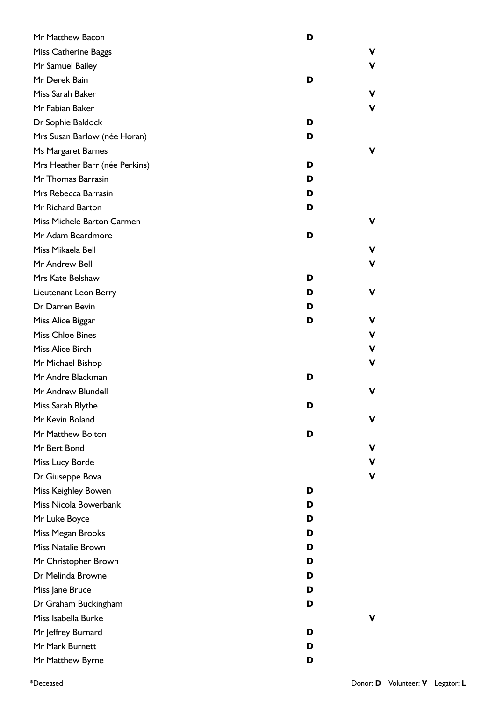| Mr Matthew Bacon               | D |   |
|--------------------------------|---|---|
| <b>Miss Catherine Baggs</b>    |   | v |
| Mr Samuel Bailey               |   | v |
| Mr Derek Bain                  | D |   |
| Miss Sarah Baker               |   | v |
| Mr Fabian Baker                |   | v |
| Dr Sophie Baldock              | D |   |
| Mrs Susan Barlow (née Horan)   | D |   |
| Ms Margaret Barnes             |   | v |
| Mrs Heather Barr (née Perkins) | D |   |
| Mr Thomas Barrasin             | D |   |
| Mrs Rebecca Barrasin           | D |   |
| Mr Richard Barton              | D |   |
| Miss Michele Barton Carmen     |   | v |
| Mr Adam Beardmore              | D |   |
| Miss Mikaela Bell              |   | v |
| Mr Andrew Bell                 |   | v |
| Mrs Kate Belshaw               | D |   |
| Lieutenant Leon Berry          | D | v |
| Dr Darren Bevin                | D |   |
| Miss Alice Biggar              | D | v |
| <b>Miss Chloe Bines</b>        |   | ۷ |
| Miss Alice Birch               |   | v |
| Mr Michael Bishop              |   | v |
| Mr Andre Blackman              | D |   |
| Mr Andrew Blundell             |   | v |
| Miss Sarah Blythe              | ט |   |
| Mr Kevin Boland                |   | v |
| Mr Matthew Bolton              | D |   |
| Mr Bert Bond                   |   | v |
| Miss Lucy Borde                |   | ۷ |
| Dr Giuseppe Bova               |   | v |
| Miss Keighley Bowen            | D |   |
| Miss Nicola Bowerbank          | D |   |
| Mr Luke Boyce                  | D |   |
| Miss Megan Brooks              | D |   |
| Miss Natalie Brown             | D |   |
| Mr Christopher Brown           | D |   |
| Dr Melinda Browne              | D |   |
| Miss Jane Bruce                | D |   |
| Dr Graham Buckingham           | D |   |
| Miss Isabella Burke            |   | v |
| Mr Jeffrey Burnard             | D |   |
| Mr Mark Burnett                | D |   |
| Mr Matthew Byrne               | D |   |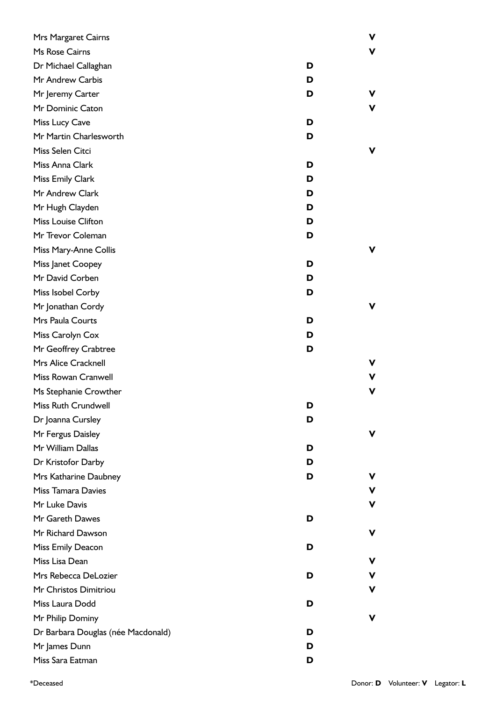| Mrs Margaret Cairns                |   | ۷ |
|------------------------------------|---|---|
| Ms Rose Cairns                     |   | ۷ |
| Dr Michael Callaghan               | D |   |
| Mr Andrew Carbis                   | D |   |
| Mr Jeremy Carter                   | D | ۷ |
| Mr Dominic Caton                   |   | V |
| Miss Lucy Cave                     | D |   |
| Mr Martin Charlesworth             | D |   |
| Miss Selen Citci                   |   | V |
| Miss Anna Clark                    | D |   |
| Miss Emily Clark                   | D |   |
| Mr Andrew Clark                    | D |   |
| Mr Hugh Clayden                    | D |   |
| <b>Miss Louise Clifton</b>         | D |   |
| Mr Trevor Coleman                  | D |   |
| Miss Mary-Anne Collis              |   | V |
| Miss Janet Coopey                  | D |   |
| Mr David Corben                    | D |   |
| Miss Isobel Corby                  | D |   |
| Mr Jonathan Cordy                  |   | v |
| Mrs Paula Courts                   | D |   |
| Miss Carolyn Cox                   | D |   |
| Mr Geoffrey Crabtree               | D |   |
| Mrs Alice Cracknell                |   | ۷ |
| Miss Rowan Cranwell                |   | V |
| Ms Stephanie Crowther              |   | V |
| Miss Ruth Crundwell                | D |   |
| Dr Joanna Cursley                  | D |   |
| Mr Fergus Daisley                  |   | ۷ |
| Mr William Dallas                  | D |   |
| Dr Kristofor Darby                 | D |   |
| Mrs Katharine Daubney              | D | ۷ |
| <b>Miss Tamara Davies</b>          |   | V |
| Mr Luke Davis                      |   | V |
| Mr Gareth Dawes                    | D |   |
| Mr Richard Dawson                  |   | V |
| Miss Emily Deacon                  | D |   |
| Miss Lisa Dean                     |   | ۷ |
| Mrs Rebecca DeLozier               | D | ۷ |
| Mr Christos Dimitriou              |   | V |
| Miss Laura Dodd                    | D |   |
| Mr Philip Dominy                   |   | ۷ |
| Dr Barbara Douglas (née Macdonald) | D |   |
| Mr James Dunn                      | D |   |
| Miss Sara Eatman                   | D |   |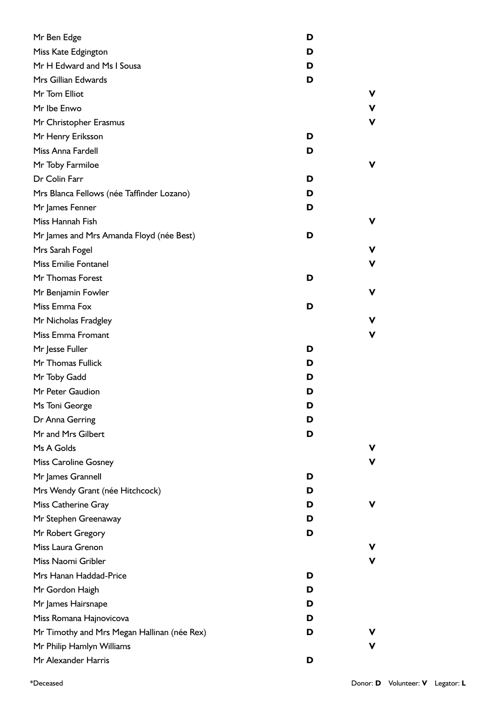| Mr Ben Edge                                 | D |   |
|---------------------------------------------|---|---|
| Miss Kate Edgington                         | D |   |
| Mr H Edward and Ms I Sousa                  | D |   |
| Mrs Gillian Edwards                         | D |   |
| Mr Tom Elliot                               |   |   |
| Mr Ibe Enwo                                 |   | ۷ |
| Mr Christopher Erasmus                      |   | ۷ |
| Mr Henry Eriksson                           | D |   |
| Miss Anna Fardell                           | D |   |
| Mr Toby Farmiloe                            |   | ν |
| Dr Colin Farr                               | D |   |
| Mrs Blanca Fellows (née Taffinder Lozano)   | D |   |
| Mr James Fenner                             | D |   |
| Miss Hannah Fish                            |   | ν |
| Mr James and Mrs Amanda Floyd (née Best)    | D |   |
| Mrs Sarah Fogel                             |   | ν |
| <b>Miss Emilie Fontanel</b>                 |   | ν |
| Mr Thomas Forest                            | D |   |
| Mr Benjamin Fowler                          |   | ٧ |
| Miss Emma Fox                               | D |   |
| Mr Nicholas Fradgley                        |   | v |
| Miss Emma Fromant                           |   | ν |
| Mr Jesse Fuller                             | D |   |
| Mr Thomas Fullick                           | D |   |
| Mr Toby Gadd                                | D |   |
| Mr Peter Gaudion                            | D |   |
| Ms Toni George                              | D |   |
| Dr Anna Gerring                             | D |   |
| Mr and Mrs Gilbert                          | D |   |
| Ms A Golds                                  |   |   |
| <b>Miss Caroline Gosney</b>                 |   |   |
| Mr James Grannell                           | D |   |
| Mrs Wendy Grant (née Hitchcock)             | D |   |
| Miss Catherine Gray                         | D |   |
| Mr Stephen Greenaway                        | D |   |
| Mr Robert Gregory                           | D |   |
| Miss Laura Grenon                           |   |   |
| Miss Naomi Gribler                          |   | ν |
| Mrs Hanan Haddad-Price                      | D |   |
| Mr Gordon Haigh                             | D |   |
| Mr James Hairsnape                          | D |   |
| Miss Romana Hajnovicova                     | D |   |
| Mr Timothy and Mrs Megan Hallinan (née Rex) | D |   |
| Mr Philip Hamlyn Williams                   |   |   |
| Mr Alexander Harris                         | D |   |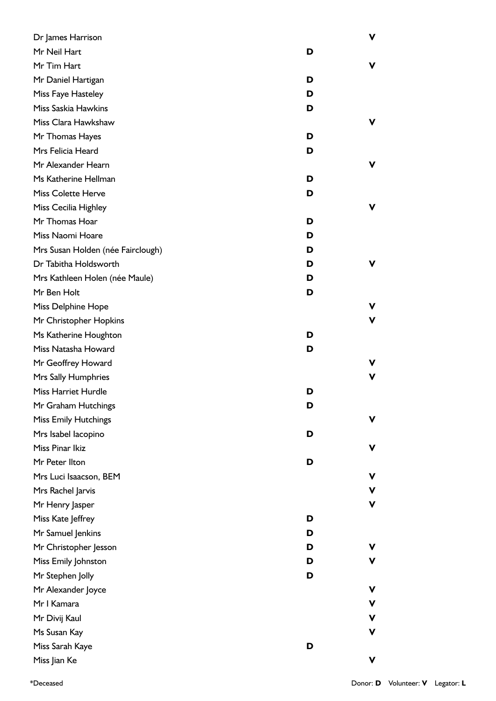| Dr James Harrison                 |   | ۷  |
|-----------------------------------|---|----|
| Mr Neil Hart                      | D |    |
| Mr Tim Hart                       |   | ۷  |
| Mr Daniel Hartigan                | D |    |
| Miss Faye Hasteley                | D |    |
| Miss Saskia Hawkins               | D |    |
| Miss Clara Hawkshaw               |   | V  |
| Mr Thomas Hayes                   | D |    |
| Mrs Felicia Heard                 | D |    |
| Mr Alexander Hearn                |   | ۷  |
| Ms Katherine Hellman              | D |    |
| <b>Miss Colette Herve</b>         | D |    |
| Miss Cecilia Highley              |   | ۷  |
| Mr Thomas Hoar                    | D |    |
| Miss Naomi Hoare                  | D |    |
| Mrs Susan Holden (née Fairclough) | D |    |
| Dr Tabitha Holdsworth             | D | v  |
| Mrs Kathleen Holen (née Maule)    | D |    |
| Mr Ben Holt                       | D |    |
| Miss Delphine Hope                |   | v  |
| Mr Christopher Hopkins            |   | V  |
| Ms Katherine Houghton             | D |    |
| Miss Natasha Howard               | D |    |
| Mr Geoffrey Howard                |   | v. |
| Mrs Sally Humphries               |   | ۷  |
| <b>Miss Harriet Hurdle</b>        | D |    |
| Mr Graham Hutchings               | D |    |
| <b>Miss Emily Hutchings</b>       |   | V  |
| Mrs Isabel Iacopino               | D |    |
| Miss Pinar Ikiz                   |   | ۷  |
| Mr Peter Ilton                    | D |    |
| Mrs Luci Isaacson, BEM            |   | ۷  |
| Mrs Rachel Jarvis                 |   | ۷  |
| Mr Henry Jasper                   |   | V  |
| Miss Kate Jeffrey                 | D |    |
| Mr Samuel Jenkins                 | D |    |
| Mr Christopher Jesson             | D | ۷  |
| Miss Emily Johnston               | D | V  |
| Mr Stephen Jolly                  | D |    |
| Mr Alexander Joyce                |   | v  |
| Mr I Kamara                       |   | ۷  |
| Mr Divij Kaul                     |   | v  |
| Ms Susan Kay                      |   | V  |
| Miss Sarah Kaye                   | D |    |
| Miss Jian Ke                      |   | V  |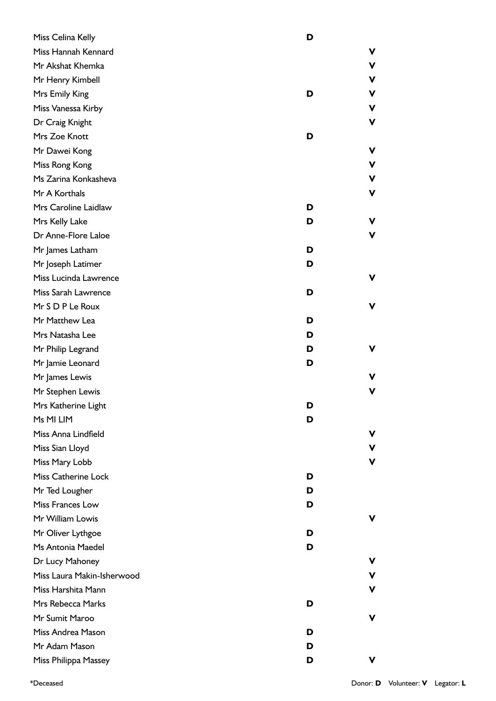| Miss Celina Kelly          | D      |
|----------------------------|--------|
| Miss Hannah Kennard        | ۷      |
| Mr Akshat Khemka           | ۷      |
| Mr Henry Kimbell           | ۷      |
| Mrs Emily King             | v<br>D |
| Miss Vanessa Kirby         | ۷      |
| Dr Craig Knight            | V      |
| Mrs Zoe Knott              | D      |
| Mr Dawei Kong              | ۷      |
| Miss Rong Kong             | ۷      |
| Ms Zarina Konkasheva       | V      |
| Mr A Korthals              | V      |
| Mrs Caroline Laidlaw       | D      |
| Mrs Kelly Lake             | ۷<br>D |
| Dr Anne-Flore Laloe        | ۷      |
| Mr James Latham            | D      |
| Mr Joseph Latimer          | D      |
| Miss Lucinda Lawrence      | v      |
| Miss Sarah Lawrence        | D      |
| Mr S D P Le Roux           | ۷      |
| Mr Matthew Lea             | D      |
| Mrs Natasha Lee            | D      |
| Mr Philip Legrand          | D<br>V |
| Mr Jamie Leonard           | D      |
| Mr James Lewis             | v      |
| Mr Stephen Lewis           | V      |
| Mrs Katherine Light        | D      |
| Ms MI LIM                  | D      |
| Miss Anna Lindfield        | ۷      |
| Miss Sian Lloyd            | V      |
| Miss Mary Lobb             | ۷      |
| Miss Catherine Lock        | D      |
| Mr Ted Lougher             | D      |
| Miss Frances Low           | D      |
| Mr William Lowis           | v      |
| Mr Oliver Lythgoe          | D      |
| Ms Antonia Maedel          | D      |
| Dr Lucy Mahoney            | v      |
| Miss Laura Makin-Isherwood | V      |
| Miss Harshita Mann         | V      |
| Mrs Rebecca Marks          | D      |
| Mr Sumit Maroo             | v      |
| Miss Andrea Mason          | D      |
| Mr Adam Mason              | D      |
| Miss Philippa Massey       | D<br>v |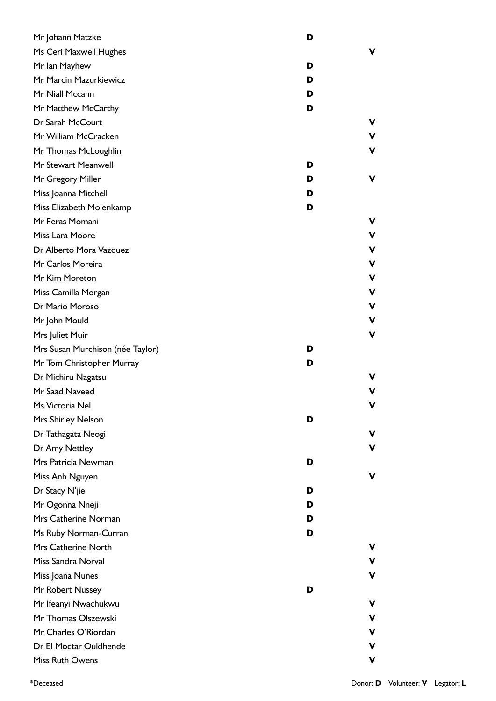| Mr Johann Matzke                 | D      |   |
|----------------------------------|--------|---|
| Ms Ceri Maxwell Hughes           |        | v |
| Mr Ian Mayhew                    | D      |   |
| Mr Marcin Mazurkiewicz           | D      |   |
| Mr Niall Mccann                  | D      |   |
| Mr Matthew McCarthy              | D      |   |
| Dr Sarah McCourt                 |        | v |
| Mr William McCracken             |        | ۷ |
| Mr Thomas McLoughlin             | V      |   |
| Mr Stewart Meanwell              | D      |   |
| Mr Gregory Miller                | ۷<br>D |   |
| Miss Joanna Mitchell             | D      |   |
| Miss Elizabeth Molenkamp         | D      |   |
| Mr Feras Momani                  |        | v |
| Miss Lara Moore                  |        | ۷ |
| Dr Alberto Mora Vazquez          | V      |   |
| Mr Carlos Moreira                | V      |   |
| Mr Kim Moreton                   |        | V |
| Miss Camilla Morgan              | ۷      |   |
| Dr Mario Moroso                  | V      |   |
| Mr John Mould                    | ۷      |   |
| Mrs Juliet Muir                  | V      |   |
| Mrs Susan Murchison (née Taylor) | D      |   |
| Mr Tom Christopher Murray        | D      |   |
| Dr Michiru Nagatsu               |        |   |
| Mr Saad Naveed                   | v      |   |
| Ms Victoria Nel                  | V      |   |
| Mrs Shirley Nelson               | D      |   |
| Dr Tathagata Neogi               | v      |   |
| Dr Amy Nettley                   |        | ۷ |
| Mrs Patricia Newman              | D      |   |
| Miss Anh Nguyen                  | v      |   |
| Dr Stacy N'jie                   | D      |   |
| Mr Ogonna Nneji                  | D      |   |
| Mrs Catherine Norman             | D      |   |
| Ms Ruby Norman-Curran            | D      |   |
| Mrs Catherine North              |        | v |
| Miss Sandra Norval               |        | ۷ |
| Miss Joana Nunes                 |        | v |
| Mr Robert Nussey                 | D      |   |
| Mr Ifeanyi Nwachukwu             | ۷      |   |
| Mr Thomas Olszewski              |        | v |
| Mr Charles O'Riordan             |        | v |
| Dr El Moctar Ouldhende           |        |   |
| Miss Ruth Owens                  | v      |   |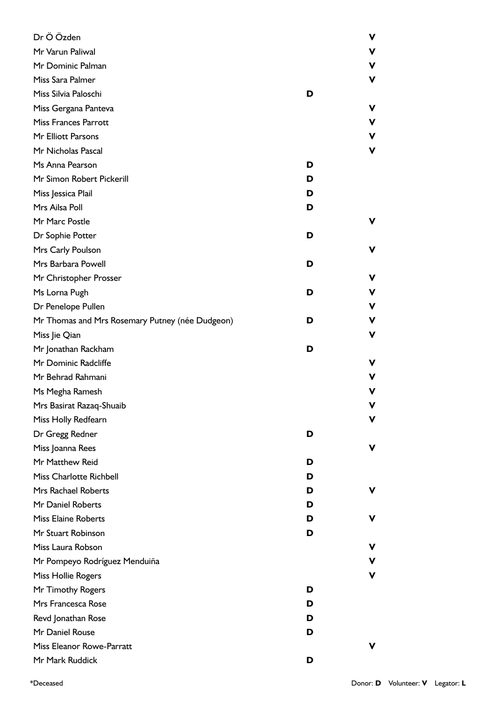| Dr Ö Özden                                      |   | v |
|-------------------------------------------------|---|---|
| Mr Varun Paliwal                                |   | v |
| Mr Dominic Palman                               |   | ۷ |
| Miss Sara Palmer                                |   | v |
| Miss Silvia Paloschi                            | D |   |
| Miss Gergana Panteva                            |   | v |
| <b>Miss Frances Parrott</b>                     |   | v |
| Mr Elliott Parsons                              |   | ۷ |
| Mr Nicholas Pascal                              |   | v |
| Ms Anna Pearson                                 | D |   |
| Mr Simon Robert Pickerill                       | D |   |
| Miss Jessica Plail                              | D |   |
| Mrs Ailsa Poll                                  | D |   |
| Mr Marc Postle                                  |   | v |
| Dr Sophie Potter                                | D |   |
| Mrs Carly Poulson                               |   | v |
| Mrs Barbara Powell                              | D |   |
| Mr Christopher Prosser                          |   | ν |
| Ms Lorna Pugh                                   | D | v |
| Dr Penelope Pullen                              |   | ۷ |
| Mr Thomas and Mrs Rosemary Putney (née Dudgeon) | D | ν |
| Miss Jie Qian                                   |   | v |
| Mr Jonathan Rackham                             | D |   |
| Mr Dominic Radcliffe                            |   | ν |
| Mr Behrad Rahmani                               |   |   |
| Ms Megha Ramesh                                 |   | v |
| Mrs Basirat Razaq-Shuaib                        |   |   |
| Miss Holly Redfearn                             |   |   |
| Dr Gregg Redner                                 | D |   |
| Miss Joanna Rees                                |   | v |
| Mr Matthew Reid                                 | D |   |
| <b>Miss Charlotte Richbell</b>                  | D |   |
| Mrs Rachael Roberts                             | D | v |
| Mr Daniel Roberts                               | D |   |
| <b>Miss Elaine Roberts</b>                      | D | v |
| Mr Stuart Robinson                              | D |   |
| Miss Laura Robson                               |   | v |
| Mr Pompeyo Rodríguez Menduiña                   |   | v |
| Miss Hollie Rogers                              |   | v |
| Mr Timothy Rogers                               | D |   |
| Mrs Francesca Rose                              | D |   |
| Revd Jonathan Rose                              | D |   |
| Mr Daniel Rouse                                 | D |   |
| Miss Eleanor Rowe-Parratt                       |   | v |
| Mr Mark Ruddick                                 | D |   |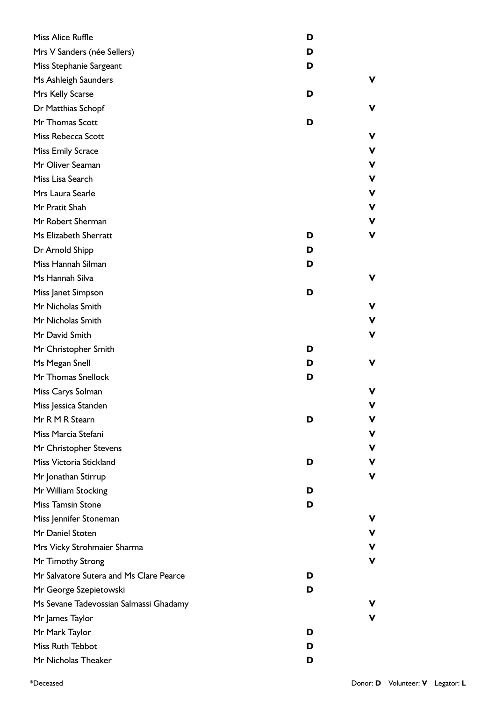| Miss Alice Ruffle                       | D |   |
|-----------------------------------------|---|---|
| Mrs V Sanders (née Sellers)             | D |   |
| Miss Stephanie Sargeant                 | D |   |
| Ms Ashleigh Saunders                    |   | v |
| Mrs Kelly Scarse                        | D |   |
| Dr Matthias Schopf                      |   | v |
| Mr Thomas Scott                         | D |   |
| Miss Rebecca Scott                      |   | v |
| <b>Miss Emily Scrace</b>                |   | v |
| Mr Oliver Seaman                        |   | ۷ |
| Miss Lisa Search                        |   | ۷ |
| Mrs Laura Searle                        |   | ۷ |
| Mr Pratit Shah                          |   | v |
| Mr Robert Sherman                       |   | v |
| Ms Elizabeth Sherratt                   | D | ۷ |
| Dr Arnold Shipp                         | D |   |
| Miss Hannah Silman                      | D |   |
| Ms Hannah Silva                         |   | ۷ |
| Miss Janet Simpson                      | D |   |
| Mr Nicholas Smith                       |   | v |
| Mr Nicholas Smith                       |   | v |
| Mr David Smith                          |   | ۷ |
| Mr Christopher Smith                    | D |   |
| Ms Megan Snell                          | D | v |
| Mr Thomas Snellock                      | D |   |
| Miss Carys Solman                       |   | v |
| Miss Jessica Standen                    |   | v |
| Mr R M R Stearn                         | D | v |
| Miss Marcia Stefani                     |   | V |
| Mr Christopher Stevens                  |   | v |
| Miss Victoria Stickland                 | D | v |
| Mr Jonathan Stirrup                     |   | ۷ |
| Mr William Stocking                     | D |   |
| <b>Miss Tamsin Stone</b>                | D |   |
| Miss Jennifer Stoneman                  |   | v |
| Mr Daniel Stoten                        |   | v |
| Mrs Vicky Strohmaier Sharma             |   | v |
| Mr Timothy Strong                       |   | ۷ |
| Mr Salvatore Sutera and Ms Clare Pearce | D |   |
| Mr George Szepietowski                  | D |   |
| Ms Sevane Tadevossian Salmassi Ghadamy  |   | ۷ |
| Mr James Taylor                         |   | ۷ |
| Mr Mark Taylor                          | D |   |
| Miss Ruth Tebbot                        | D |   |
| Mr Nicholas Theaker                     | D |   |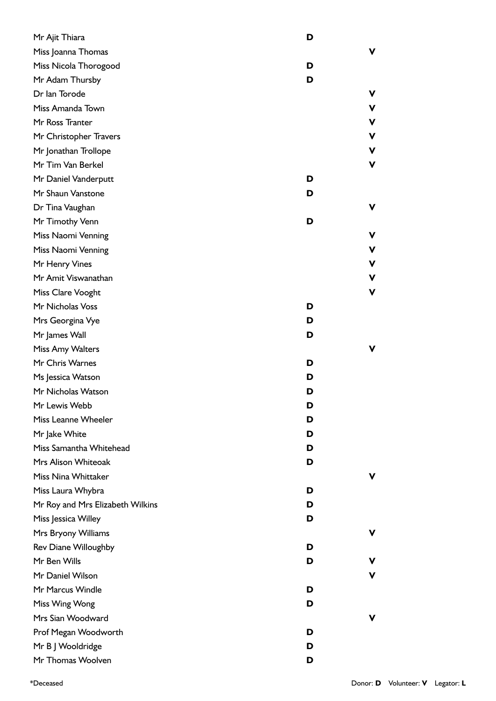| Mr Ajit Thiara                   | D |             |
|----------------------------------|---|-------------|
| Miss Joanna Thomas               |   | v           |
| Miss Nicola Thorogood            | D |             |
| Mr Adam Thursby                  | D |             |
| Dr Ian Torode                    |   | ۷           |
| Miss Amanda Town                 |   | V           |
| Mr Ross Tranter                  |   | V           |
| Mr Christopher Travers           |   | ۷           |
| Mr Jonathan Trollope             |   | $\mathbf v$ |
| Mr Tim Van Berkel                |   | V           |
| Mr Daniel Vanderputt             | D |             |
| Mr Shaun Vanstone                | D |             |
| Dr Tina Vaughan                  |   | v           |
| Mr Timothy Venn                  | D |             |
| Miss Naomi Venning               |   | ۷           |
| Miss Naomi Venning               |   | V           |
| Mr Henry Vines                   |   | V           |
| Mr Amit Viswanathan              |   | V           |
| Miss Clare Vooght                |   | V           |
| Mr Nicholas Voss                 | D |             |
| Mrs Georgina Vye                 | D |             |
| Mr James Wall                    | D |             |
| Miss Amy Walters                 |   | ۷           |
| Mr Chris Warnes                  | D |             |
| Ms Jessica Watson                | D |             |
| Mr Nicholas Watson               | D |             |
| Mr Lewis Webb                    | D |             |
| Miss Leanne Wheeler              | D |             |
| Mr Jake White                    | D |             |
| Miss Samantha Whitehead          | D |             |
| Mrs Alison Whiteoak              | D |             |
| Miss Nina Whittaker              |   | v           |
| Miss Laura Whybra                | D |             |
| Mr Roy and Mrs Elizabeth Wilkins | D |             |
| Miss Jessica Willey              | D |             |
| Mrs Bryony Williams              |   | V           |
| <b>Rev Diane Willoughby</b>      | D |             |
| Mr Ben Wills                     | D | v           |
| Mr Daniel Wilson                 |   | V           |
| Mr Marcus Windle                 | D |             |
| Miss Wing Wong                   | D |             |
| Mrs Sian Woodward                |   | v           |
| Prof Megan Woodworth             | D |             |
| Mr B J Wooldridge                | D |             |
| Mr Thomas Woolven                | D |             |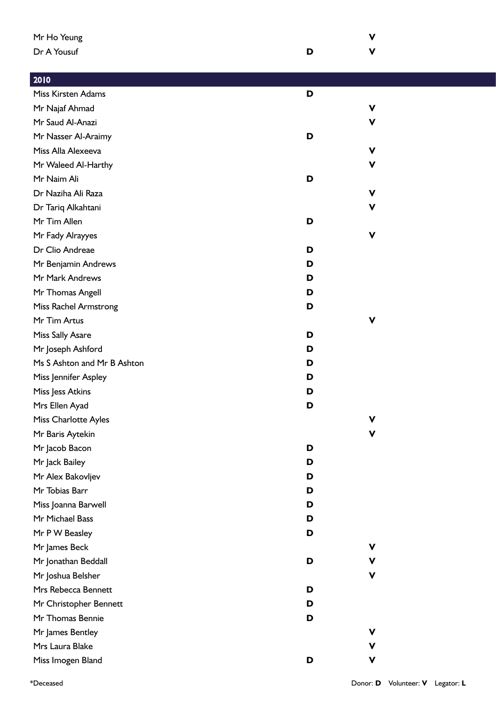| Mr Ho Yeung                 |   | v           |
|-----------------------------|---|-------------|
| Dr A Yousuf                 | D | $\mathbf v$ |
|                             |   |             |
| 2010                        |   |             |
| Miss Kirsten Adams          | D |             |
| Mr Najaf Ahmad              |   | V           |
| Mr Saud Al-Anazi            |   | V           |
| Mr Nasser Al-Araimy         | D |             |
| Miss Alla Alexeeva          |   | $\mathbf v$ |
| Mr Waleed Al-Harthy         |   | $\mathbf v$ |
| Mr Naim Ali                 | D |             |
| Dr Naziha Ali Raza          |   | $\mathbf v$ |
| Dr Tariq Alkahtani          |   | V           |
| Mr Tim Allen                | D |             |
| Mr Fady Alrayyes            |   | $\mathbf v$ |
| Dr Clio Andreae             | D |             |
| Mr Benjamin Andrews         | D |             |
| Mr Mark Andrews             | D |             |
| Mr Thomas Angell            | D |             |
| Miss Rachel Armstrong       | D |             |
| Mr Tim Artus                |   | $\mathbf v$ |
| Miss Sally Asare            | D |             |
| Mr Joseph Ashford           | D |             |
| Ms S Ashton and Mr B Ashton | D |             |
| Miss Jennifer Aspley        | D |             |
| Miss Jess Atkins            | D |             |
| Mrs Ellen Ayad              | D |             |
| Miss Charlotte Ayles        |   | $\mathbf v$ |
| Mr Baris Aytekin            |   | $\mathbf v$ |
| Mr Jacob Bacon              | D |             |
| Mr Jack Bailey              | D |             |
| Mr Alex Bakovljev           | D |             |
| Mr Tobias Barr              | D |             |
| Miss Joanna Barwell         | D |             |
| Mr Michael Bass             | D |             |
| Mr P W Beasley              | D |             |
| Mr James Beck               |   | V           |
| Mr Jonathan Beddall         | D | v           |
| Mr Joshua Belsher           |   | $\mathbf v$ |
| Mrs Rebecca Bennett         | D |             |
| Mr Christopher Bennett      | D |             |
| Mr Thomas Bennie            | D |             |
| Mr James Bentley            |   | V           |
| Mrs Laura Blake             |   | V           |
| Miss Imogen Bland           | D | V           |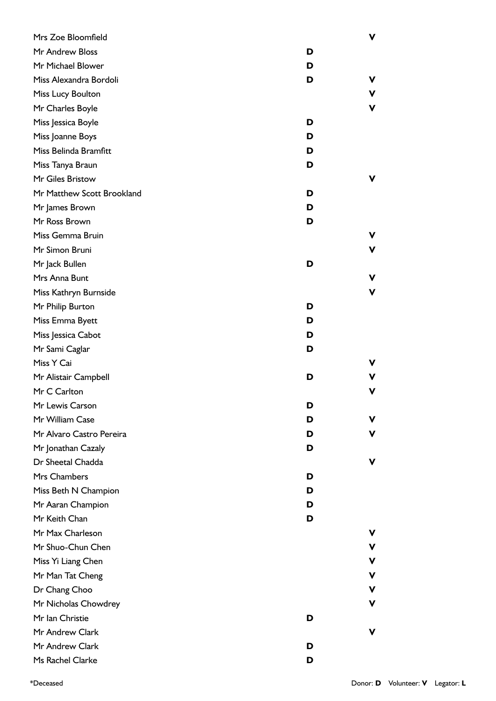| Mrs Zoe Bloomfield         |   | ۷ |
|----------------------------|---|---|
| Mr Andrew Bloss            | D |   |
| Mr Michael Blower          | D |   |
| Miss Alexandra Bordoli     | D | v |
| Miss Lucy Boulton          |   | ۷ |
| Mr Charles Boyle           |   | V |
| Miss Jessica Boyle         | D |   |
| Miss Joanne Boys           | D |   |
| Miss Belinda Bramfitt      | D |   |
| Miss Tanya Braun           | D |   |
| Mr Giles Bristow           |   | ۷ |
| Mr Matthew Scott Brookland | D |   |
| Mr James Brown             | D |   |
| Mr Ross Brown              | D |   |
| Miss Gemma Bruin           |   | v |
| Mr Simon Bruni             |   | ۷ |
| Mr Jack Bullen             | D |   |
| Mrs Anna Bunt              |   | ۷ |
| Miss Kathryn Burnside      |   | V |
| Mr Philip Burton           | D |   |
| Miss Emma Byett            | D |   |
| Miss Jessica Cabot         | D |   |
| Mr Sami Caglar             | D |   |
| Miss Y Cai                 |   | v |
| Mr Alistair Campbell       | D |   |
| Mr C Carlton               |   | v |
| Mr Lewis Carson            | D |   |
| Mr William Case            | D | v |
| Mr Alvaro Castro Pereira   | D | v |
| Mr Jonathan Cazaly         | D |   |
| Dr Sheetal Chadda          |   | v |
| Mrs Chambers               | D |   |
| Miss Beth N Champion       | D |   |
| Mr Aaran Champion          | D |   |
| Mr Keith Chan              | D |   |
| Mr Max Charleson           |   |   |
| Mr Shuo-Chun Chen          |   | ۷ |
| Miss Yi Liang Chen         |   | V |
| Mr Man Tat Cheng           |   | ۷ |
| Dr Chang Choo              |   | v |
| Mr Nicholas Chowdrey       |   | ۷ |
| Mr Ian Christie            | D |   |
| Mr Andrew Clark            |   | v |
| Mr Andrew Clark            | D |   |
| Ms Rachel Clarke           | D |   |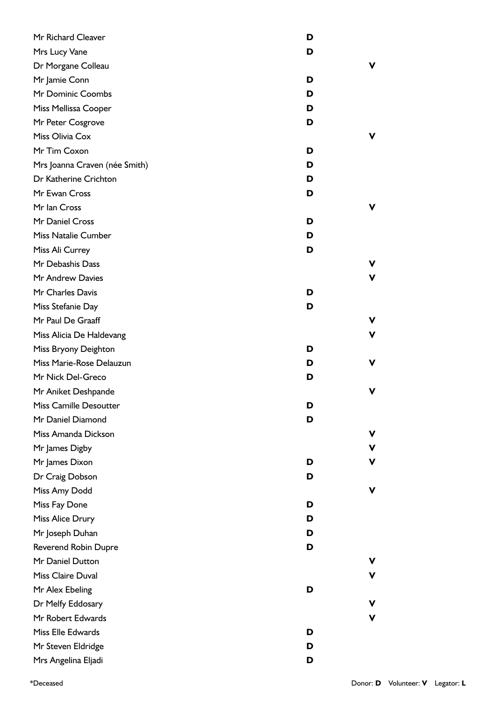| Mr Richard Cleaver            | D |   |
|-------------------------------|---|---|
| Mrs Lucy Vane                 | D |   |
| Dr Morgane Colleau            |   | v |
| Mr Jamie Conn                 | D |   |
| Mr Dominic Coombs             | D |   |
| Miss Mellissa Cooper          | D |   |
| Mr Peter Cosgrove             | D |   |
| Miss Olivia Cox               |   | v |
| Mr Tim Coxon                  | D |   |
| Mrs Joanna Craven (née Smith) | D |   |
| Dr Katherine Crichton         | D |   |
| Mr Ewan Cross                 | D |   |
| Mr Ian Cross                  |   | v |
| Mr Daniel Cross               | D |   |
| <b>Miss Natalie Cumber</b>    | D |   |
| Miss Ali Currey               | D |   |
| Mr Debashis Dass              |   | v |
| Mr Andrew Davies              |   | V |
| Mr Charles Davis              | D |   |
| Miss Stefanie Day             | D |   |
| Mr Paul De Graaff             |   | v |
| Miss Alicia De Haldevang      |   | v |
| Miss Bryony Deighton          | D |   |
| Miss Marie-Rose Delauzun      | D | v |
| Mr Nick Del-Greco             | D |   |
| Mr Aniket Deshpande           |   | v |
| Miss Camille Desoutter        | D |   |
| Mr Daniel Diamond             | D |   |
| Miss Amanda Dickson           |   | v |
| Mr James Digby                |   | ۷ |
| Mr James Dixon                | D | ۷ |
| Dr Craig Dobson               | D |   |
| Miss Amy Dodd                 |   | v |
| Miss Fay Done                 | D |   |
| Miss Alice Drury              | D |   |
| Mr Joseph Duhan               | D |   |
| <b>Reverend Robin Dupre</b>   | D |   |
| Mr Daniel Dutton              |   |   |
| Miss Claire Duval             |   | v |
| Mr Alex Ebeling               | D |   |
| Dr Melfy Eddosary             |   | v |
| Mr Robert Edwards             |   | V |
| Miss Elle Edwards             | D |   |
| Mr Steven Eldridge            | D |   |
| Mrs Angelina Eljadi           | D |   |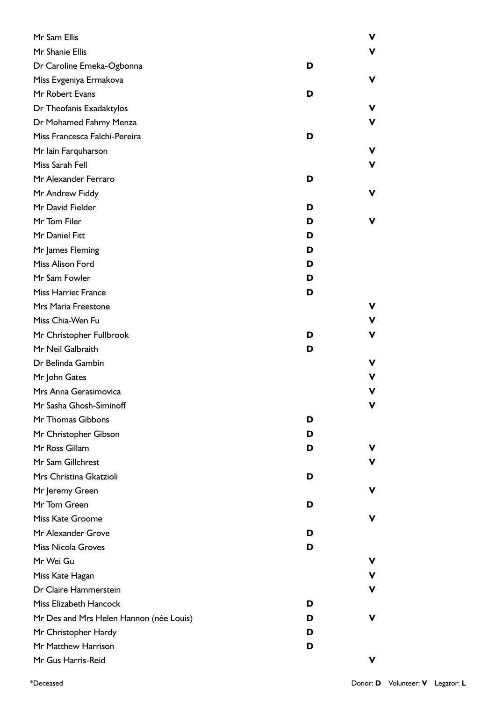| Mr Sam Ellis                            |   | ۷ |
|-----------------------------------------|---|---|
| Mr Shanie Ellis                         |   | v |
| Dr Caroline Emeka-Ogbonna               | D |   |
| Miss Evgeniya Ermakova                  |   | v |
| Mr Robert Evans                         | D |   |
| Dr Theofanis Exadaktylos                |   | v |
| Dr Mohamed Fahmy Menza                  |   | v |
| Miss Francesca Falchi-Pereira           | D |   |
| Mr Iain Farquharson                     |   | v |
| Miss Sarah Fell                         |   | v |
| Mr Alexander Ferraro                    | D |   |
| Mr Andrew Fiddy                         |   | v |
| Mr David Fielder                        | D |   |
| Mr Tom Filer                            | D | v |
| Mr Daniel Fitt                          | D |   |
| Mr James Fleming                        | D |   |
| Miss Alison Ford                        | D |   |
| Mr Sam Fowler                           | D |   |
| <b>Miss Harriet France</b>              | D |   |
| Mrs Maria Freestone                     |   | v |
| Miss Chia-Wen Fu                        |   | ۷ |
| Mr Christopher Fullbrook                | D | v |
| Mr Neil Galbraith                       | D |   |
| Dr Belinda Gambin                       |   | v |
| Mr John Gates                           |   | v |
| Mrs Anna Gerasimovica                   |   | v |
| Mr Sasha Ghosh-Siminoff                 |   |   |
| Mr Thomas Gibbons                       | D |   |
| Mr Christopher Gibson                   | D |   |
| Mr Ross Gillam                          | D | v |
| Mr Sam Gillchrest                       |   | v |
| Mrs Christina Gkatzioli                 | D |   |
| Mr Jeremy Green                         |   | v |
| Mr Tom Green                            | D |   |
| Miss Kate Groome                        |   | v |
| Mr Alexander Grove                      | D |   |
| <b>Miss Nicola Groves</b>               | D |   |
| Mr Wei Gu                               |   | ۷ |
| Miss Kate Hagan                         |   | v |
| Dr Claire Hammerstein                   |   | v |
| Miss Elizabeth Hancock                  | D |   |
| Mr Des and Mrs Helen Hannon (née Louis) | D | v |
| Mr Christopher Hardy                    | D |   |
| Mr Matthew Harrison                     | D |   |
| Mr Gus Harris-Reid                      |   | v |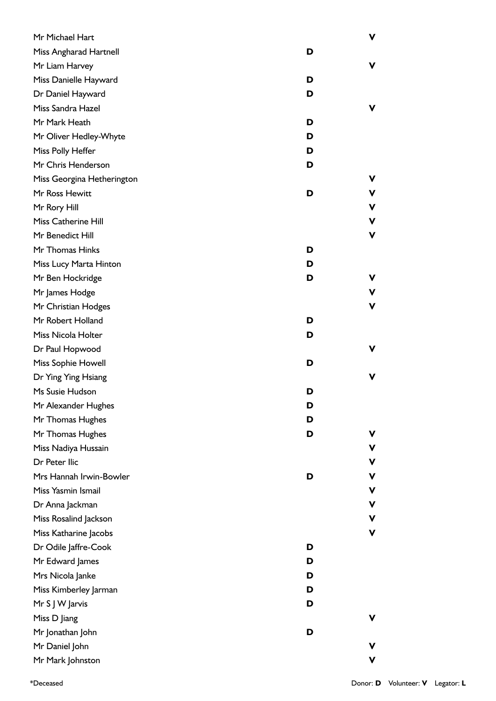| Mr Michael Hart            |   | ۷  |
|----------------------------|---|----|
| Miss Angharad Hartnell     | D |    |
| Mr Liam Harvey             |   | ۷  |
| Miss Danielle Hayward      | D |    |
| Dr Daniel Hayward          | D |    |
| Miss Sandra Hazel          |   | v  |
| Mr Mark Heath              | D |    |
| Mr Oliver Hedley-Whyte     | D |    |
| Miss Polly Heffer          | D |    |
| Mr Chris Henderson         | D |    |
| Miss Georgina Hetherington |   | v  |
| Mr Ross Hewitt             | D | v  |
| Mr Rory Hill               |   | v  |
| Miss Catherine Hill        |   | v  |
| Mr Benedict Hill           |   | ۷  |
| Mr Thomas Hinks            | D |    |
| Miss Lucy Marta Hinton     | D |    |
| Mr Ben Hockridge           | D | v  |
| Mr James Hodge             |   | v  |
| Mr Christian Hodges        |   | v  |
| Mr Robert Holland          | D |    |
| Miss Nicola Holter         | D |    |
| Dr Paul Hopwood            |   | v. |
| Miss Sophie Howell         | D |    |
| Dr Ying Ying Hsiang        |   | ۷  |
| Ms Susie Hudson            | D |    |
| Mr Alexander Hughes        | D |    |
| Mr Thomas Hughes           | D |    |
| Mr Thomas Hughes           | D | v  |
| Miss Nadiya Hussain        |   | v  |
| Dr Peter Ilic              |   | v  |
| Mrs Hannah Irwin-Bowler    | D | ۷  |
| Miss Yasmin Ismail         |   | v  |
| Dr Anna Jackman            |   | ۷  |
| Miss Rosalind Jackson      |   | v  |
| Miss Katharine Jacobs      |   | v  |
| Dr Odile Jaffre-Cook       | D |    |
| Mr Edward James            | D |    |
| Mrs Nicola Janke           | D |    |
| Miss Kimberley Jarman      | D |    |
| Mr S J W Jarvis            | D |    |
| Miss D Jiang               |   | v  |
| Mr Jonathan John           | D |    |
| Mr Daniel John             |   | v  |
| Mr Mark Johnston           |   | v  |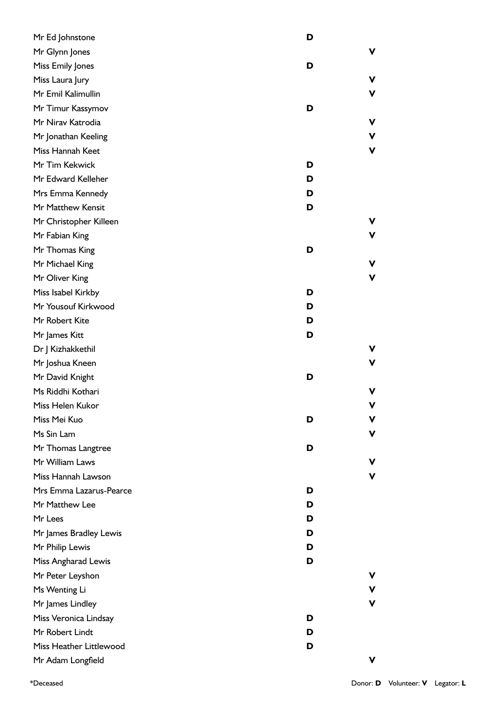| Mr Ed Johnstone         | D |   |
|-------------------------|---|---|
| Mr Glynn Jones          |   | ۷ |
| Miss Emily Jones        | D |   |
| Miss Laura Jury         |   | ۷ |
| Mr Emil Kalimullin      |   | V |
| Mr Timur Kassymov       | D |   |
| Mr Nirav Katrodia       |   | ۷ |
| Mr Jonathan Keeling     |   | V |
| Miss Hannah Keet        |   | V |
| Mr Tim Kekwick          | D |   |
| Mr Edward Kelleher      | D |   |
| Mrs Emma Kennedy        | D |   |
| Mr Matthew Kensit       | D |   |
| Mr Christopher Killeen  |   | ۷ |
| Mr Fabian King          |   | V |
| Mr Thomas King          | D |   |
| Mr Michael King         |   | ۷ |
| Mr Oliver King          |   | V |
| Miss Isabel Kirkby      | D |   |
| Mr Yousouf Kirkwood     | D |   |
| Mr Robert Kite          | D |   |
| Mr James Kitt           | D |   |
| Dr J Kizhakkethil       |   | ۷ |
| Mr Joshua Kneen         |   | ۷ |
| Mr David Knight         | D |   |
| Ms Riddhi Kothari       |   | v |
| Miss Helen Kukor        |   | V |
| Miss Mei Kuo            | D | v |
| Ms Sin Lam              |   | V |
| Mr Thomas Langtree      | D |   |
| Mr William Laws         |   | v |
| Miss Hannah Lawson      |   | V |
| Mrs Emma Lazarus-Pearce | D |   |
| Mr Matthew Lee          | D |   |
| Mr Lees                 | D |   |
| Mr James Bradley Lewis  | D |   |
| Mr Philip Lewis         | D |   |
| Miss Angharad Lewis     | D |   |
| Mr Peter Leyshon        |   | ۷ |
| Ms Wenting Li           |   | V |
| Mr James Lindley        |   | V |
| Miss Veronica Lindsay   | D |   |
| Mr Robert Lindt         | D |   |
| Miss Heather Littlewood | D |   |
| Mr Adam Longfield       |   | v |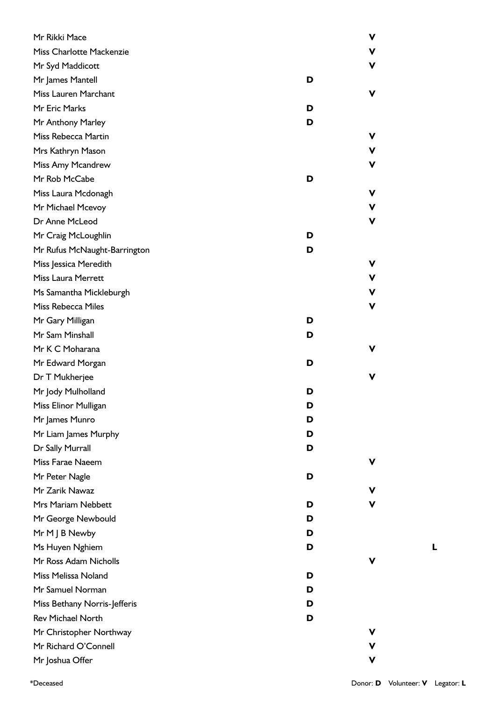| Mr Rikki Mace                |   | ۷ |
|------------------------------|---|---|
| Miss Charlotte Mackenzie     |   | V |
| Mr Syd Maddicott             |   | ۷ |
| Mr James Mantell             | D |   |
| <b>Miss Lauren Marchant</b>  |   | v |
| Mr Eric Marks                | D |   |
| Mr Anthony Marley            | D |   |
| Miss Rebecca Martin          |   | v |
| Mrs Kathryn Mason            |   | V |
| Miss Amy Mcandrew            |   | ۷ |
| Mr Rob McCabe                | D |   |
| Miss Laura Mcdonagh          |   | V |
| Mr Michael Mcevoy            |   | V |
| Dr Anne McLeod               |   | V |
| Mr Craig McLoughlin          | D |   |
| Mr Rufus McNaught-Barrington | D |   |
| Miss Jessica Meredith        |   | v |
| <b>Miss Laura Merrett</b>    |   | V |
| Ms Samantha Mickleburgh      |   | V |
| <b>Miss Rebecca Miles</b>    |   | ۷ |
| Mr Gary Milligan             | D |   |
| Mr Sam Minshall              | D |   |
| Mr K C Moharana              |   | v |
| Mr Edward Morgan             | D |   |
| Dr T Mukherjee               |   | v |
| Mr Jody Mulholland           | D |   |
| Miss Elinor Mulligan         | D |   |
| Mr James Munro               | D |   |
| Mr Liam James Murphy         | D |   |
| Dr Sally Murrall             | D |   |
| Miss Farae Naeem             |   | v |
| Mr Peter Nagle               | D |   |
| Mr Zarik Nawaz               |   | v |
| Mrs Mariam Nebbett           | D | v |
| Mr George Newbould           | D |   |
| Mr M J B Newby               | D |   |
| Ms Huyen Nghiem              | D |   |
| Mr Ross Adam Nicholls        |   | v |
| Miss Melissa Noland          | D |   |
| Mr Samuel Norman             | D |   |
| Miss Bethany Norris-Jefferis | D |   |
| <b>Rev Michael North</b>     | D |   |
| Mr Christopher Northway      |   | v |
| Mr Richard O'Connell         |   | ۷ |
| Mr Joshua Offer              |   | V |

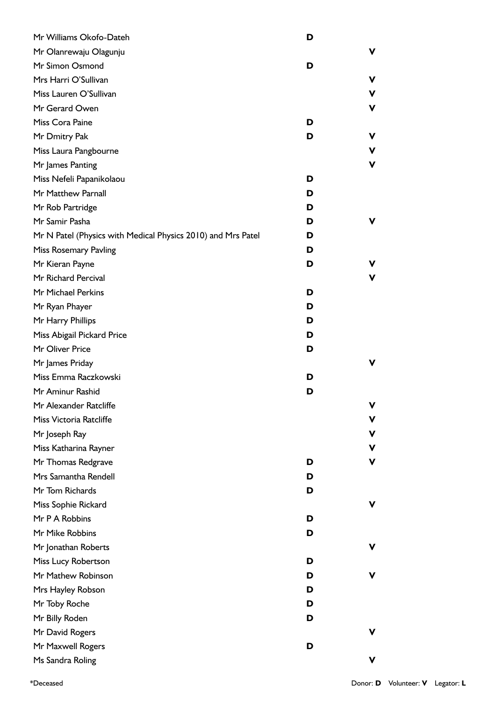| Mr Williams Okofo-Dateh                                      | D |   |
|--------------------------------------------------------------|---|---|
| Mr Olanrewaju Olagunju                                       |   | v |
| Mr Simon Osmond                                              | D |   |
| Mrs Harri O'Sullivan                                         |   | v |
| Miss Lauren O'Sullivan                                       |   | v |
| Mr Gerard Owen                                               |   | v |
| Miss Cora Paine                                              | D |   |
| Mr Dmitry Pak                                                | D | v |
| Miss Laura Pangbourne                                        |   | v |
| Mr James Panting                                             |   | v |
| Miss Nefeli Papanikolaou                                     | D |   |
| Mr Matthew Parnall                                           | D |   |
| Mr Rob Partridge                                             | D |   |
| Mr Samir Pasha                                               | D | v |
| Mr N Patel (Physics with Medical Physics 2010) and Mrs Patel | D |   |
| Miss Rosemary Pavling                                        | D |   |
| Mr Kieran Payne                                              | D | v |
| Mr Richard Percival                                          |   | v |
| Mr Michael Perkins                                           | D |   |
| Mr Ryan Phayer                                               | D |   |
| Mr Harry Phillips                                            | D |   |
| Miss Abigail Pickard Price                                   | D |   |
| Mr Oliver Price                                              | D |   |
| Mr James Priday                                              |   | v |
| Miss Emma Raczkowski                                         | D |   |
| Mr Aminur Rashid                                             | D |   |
| Mr Alexander Ratcliffe                                       |   | v |
| Miss Victoria Ratcliffe                                      |   | v |
| Mr Joseph Ray                                                |   | v |
| Miss Katharina Rayner                                        |   | v |
| Mr Thomas Redgrave                                           | D | ۷ |
| Mrs Samantha Rendell                                         | D |   |
| Mr Tom Richards                                              | D |   |
| Miss Sophie Rickard                                          |   | v |
| Mr P A Robbins                                               | D |   |
| Mr Mike Robbins                                              | D |   |
| Mr Jonathan Roberts                                          |   | v |
| Miss Lucy Robertson                                          | D |   |
| Mr Mathew Robinson                                           | D | v |
| Mrs Hayley Robson                                            | D |   |
| Mr Toby Roche                                                | D |   |
| Mr Billy Roden                                               | D |   |
| Mr David Rogers                                              |   | v |
| Mr Maxwell Rogers                                            | D |   |
| Ms Sandra Roling                                             |   | v |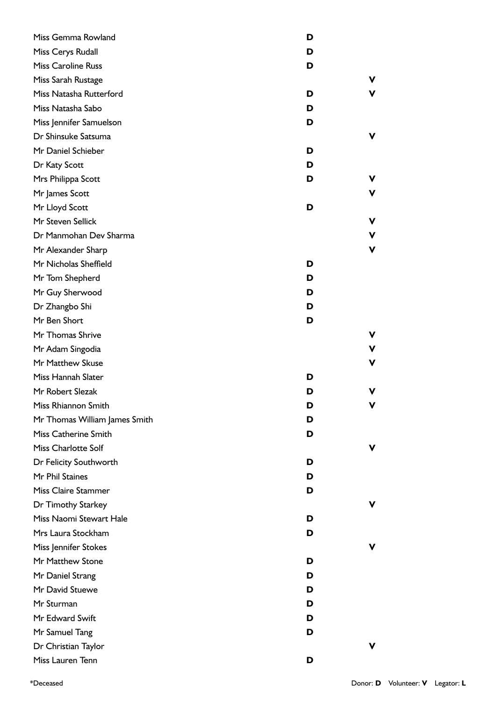| Miss Gemma Rowland            | D |   |
|-------------------------------|---|---|
| Miss Cerys Rudall             | D |   |
| Miss Caroline Russ            | D |   |
| Miss Sarah Rustage            |   | v |
| Miss Natasha Rutterford       | D | v |
| Miss Natasha Sabo             | D |   |
| Miss Jennifer Samuelson       | D |   |
| Dr Shinsuke Satsuma           |   | v |
| Mr Daniel Schieber            | D |   |
| Dr Katy Scott                 | D |   |
| Mrs Philippa Scott            | D | v |
| Mr James Scott                |   | v |
| Mr Lloyd Scott                | D |   |
| Mr Steven Sellick             |   | v |
| Dr Manmohan Dev Sharma        |   | v |
| Mr Alexander Sharp            |   | v |
| Mr Nicholas Sheffield         | D |   |
| Mr Tom Shepherd               | D |   |
| Mr Guy Sherwood               | D |   |
| Dr Zhangbo Shi                | D |   |
| Mr Ben Short                  | D |   |
| Mr Thomas Shrive              |   | v |
| Mr Adam Singodia              |   | v |
| Mr Matthew Skuse              |   | v |
| Miss Hannah Slater            | D |   |
| Mr Robert Slezak              | D | v |
| Miss Rhiannon Smith           | D |   |
| Mr Thomas William James Smith | D |   |
| Miss Catherine Smith          | D |   |
| <b>Miss Charlotte Solf</b>    |   | v |
| Dr Felicity Southworth        | D |   |
| Mr Phil Staines               | D |   |
| <b>Miss Claire Stammer</b>    | D |   |
| Dr Timothy Starkey            |   | v |
| Miss Naomi Stewart Hale       | D |   |
| Mrs Laura Stockham            | D |   |
| Miss Jennifer Stokes          |   | v |
| Mr Matthew Stone              | D |   |
| Mr Daniel Strang              | D |   |
| Mr David Stuewe               | D |   |
| Mr Sturman                    | D |   |
| Mr Edward Swift               | D |   |
| Mr Samuel Tang                | D |   |
| Dr Christian Taylor           |   | v |
| Miss Lauren Tenn              | D |   |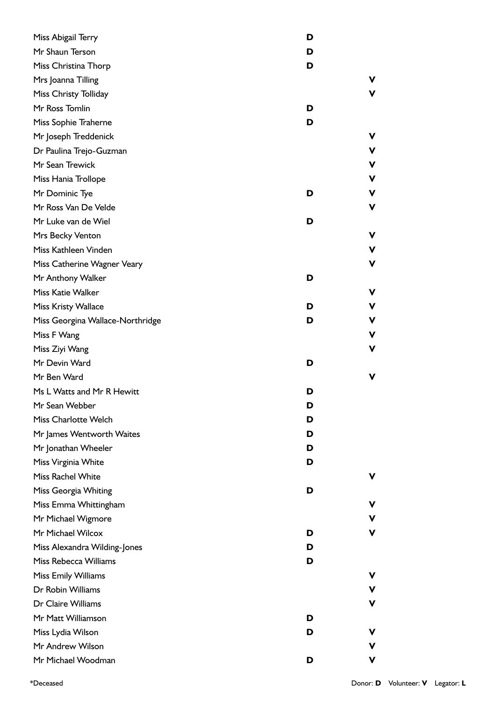| Miss Abigail Terry               | D |   |
|----------------------------------|---|---|
| Mr Shaun Terson                  | D |   |
| Miss Christina Thorp             | D |   |
| Mrs Joanna Tilling               |   | v |
| Miss Christy Tolliday            |   | v |
| Mr Ross Tomlin                   | D |   |
| Miss Sophie Traherne             | D |   |
| Mr Joseph Treddenick             |   | v |
| Dr Paulina Trejo-Guzman          |   | ۷ |
| Mr Sean Trewick                  |   | ۷ |
| Miss Hania Trollope              |   | ۷ |
| Mr Dominic Tye                   | D | v |
| Mr Ross Van De Velde             |   | ۷ |
| Mr Luke van de Wiel              | D |   |
| Mrs Becky Venton                 |   | ۷ |
| Miss Kathleen Vinden             |   | ۷ |
| Miss Catherine Wagner Veary      |   | ۷ |
| Mr Anthony Walker                | D |   |
| <b>Miss Katie Walker</b>         |   | ۷ |
| <b>Miss Kristy Wallace</b>       | D | v |
| Miss Georgina Wallace-Northridge | D | v |
| Miss F Wang                      |   | ۷ |
| Miss Ziyi Wang                   |   | ۷ |
| Mr Devin Ward                    | D |   |
| Mr Ben Ward                      |   | ۷ |
| Ms L Watts and Mr R Hewitt       | D |   |
| Mr Sean Webber                   | D |   |
| Miss Charlotte Welch             | D |   |
| Mr James Wentworth Waites        | D |   |
| Mr Jonathan Wheeler              | D |   |
| Miss Virginia White              | D |   |
| <b>Miss Rachel White</b>         |   | v |
| Miss Georgia Whiting             | D |   |
| Miss Emma Whittingham            |   | v |
| Mr Michael Wigmore               |   | v |
| Mr Michael Wilcox                | D | ۷ |
| Miss Alexandra Wilding-Jones     | D |   |
| Miss Rebecca Williams            | D |   |
| Miss Emily Williams              |   | v |
| Dr Robin Williams                |   | V |
| Dr Claire Williams               |   | ۷ |
| Mr Matt Williamson               | D |   |
| Miss Lydia Wilson                | D | v |
| Mr Andrew Wilson                 |   | v |
|                                  |   |   |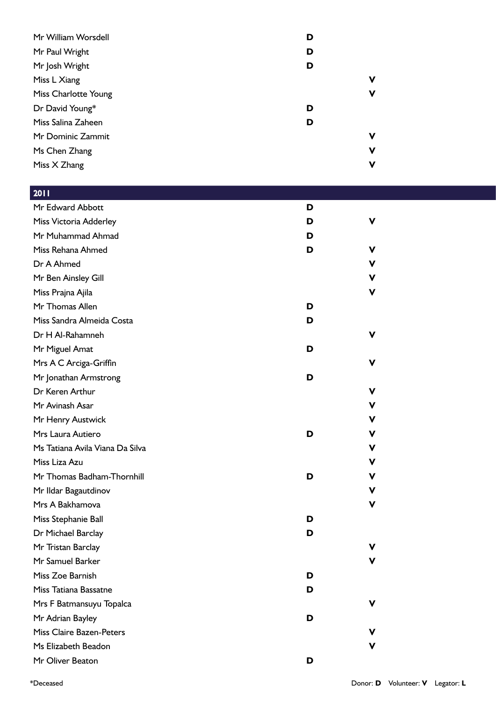| Mr William Worsdell  | D |   |
|----------------------|---|---|
| Mr Paul Wright       | D |   |
| Mr Josh Wright       | D |   |
| Miss L Xiang         |   | ν |
| Miss Charlotte Young |   | ۷ |
| Dr David Young*      | D |   |
| Miss Salina Zaheen   | D |   |
| Mr Dominic Zammit    |   | ν |
| Ms Chen Zhang        |   | ۷ |
| Miss X Zhang         |   | ν |

| 2011                            |   |   |
|---------------------------------|---|---|
| Mr Edward Abbott                | D |   |
| Miss Victoria Adderley          | D | v |
| Mr Muhammad Ahmad               | D |   |
| Miss Rehana Ahmed               | D | V |
| Dr A Ahmed                      |   | V |
| Mr Ben Ainsley Gill             |   | v |
| Miss Prajna Ajila               |   | ۷ |
| Mr Thomas Allen                 | D |   |
| Miss Sandra Almeida Costa       | D |   |
| Dr H Al-Rahamneh                |   | V |
| Mr Miguel Amat                  | D |   |
| Mrs A C Arciga-Griffin          |   | v |
| Mr Jonathan Armstrong           | D |   |
| Dr Keren Arthur                 |   | v |
| Mr Avinash Asar                 |   | V |
| Mr Henry Austwick               |   | v |
| Mrs Laura Autiero               | D | v |
| Ms Tatiana Avila Viana Da Silva |   | v |
| Miss Liza Azu                   |   | v |
| Mr Thomas Badham-Thornhill      | D | v |
| Mr Ildar Bagautdinov            |   | ۷ |
| Mrs A Bakhamova                 |   | ۷ |
| Miss Stephanie Ball             | D |   |
| Dr Michael Barclay              | D |   |
| Mr Tristan Barclay              |   | v |
| Mr Samuel Barker                |   |   |
| Miss Zoe Barnish                | D |   |
| Miss Tatiana Bassatne           | D |   |
| Mrs F Batmansuyu Topalca        |   | ۷ |
| Mr Adrian Bayley                | D |   |
| <b>Miss Claire Bazen-Peters</b> |   | v |
| Ms Elizabeth Beadon             |   | v |
| Mr Oliver Beaton                | D |   |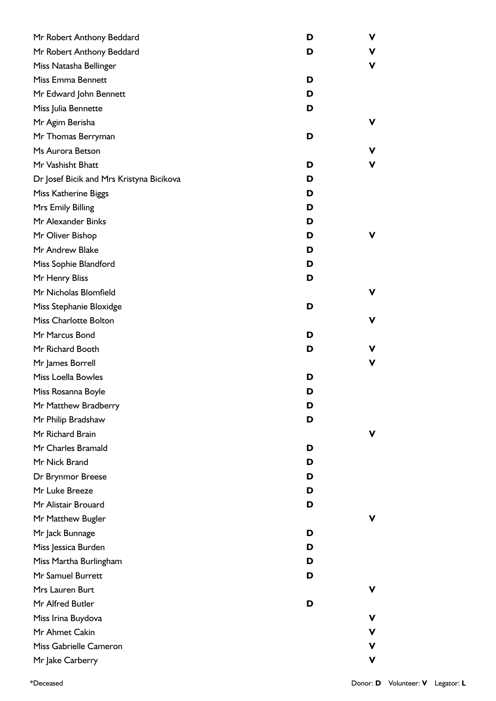| Mr Robert Anthony Beddard                | D | ۷ |
|------------------------------------------|---|---|
| Mr Robert Anthony Beddard                | D | V |
| Miss Natasha Bellinger                   |   | V |
| Miss Emma Bennett                        | D |   |
| Mr Edward John Bennett                   | D |   |
| Miss Julia Bennette                      | D |   |
| Mr Agim Berisha                          |   | v |
| Mr Thomas Berryman                       | D |   |
| Ms Aurora Betson                         |   | v |
| Mr Vashisht Bhatt                        | D | ۷ |
| Dr Josef Bicik and Mrs Kristyna Bicikova | D |   |
| <b>Miss Katherine Biggs</b>              | D |   |
| Mrs Emily Billing                        | D |   |
| Mr Alexander Binks                       | D |   |
| Mr Oliver Bishop                         | D | v |
| Mr Andrew Blake                          | D |   |
| Miss Sophie Blandford                    | D |   |
| Mr Henry Bliss                           | D |   |
| Mr Nicholas Blomfield                    |   | v |
| Miss Stephanie Bloxidge                  | D |   |
| <b>Miss Charlotte Bolton</b>             |   | ۷ |
| Mr Marcus Bond                           | D |   |
| Mr Richard Booth                         | D | v |
| Mr James Borrell                         |   | v |
| Miss Loella Bowles                       | D |   |
| Miss Rosanna Boyle                       | D |   |
| Mr Matthew Bradberry                     | D |   |
| Mr Philip Bradshaw                       | D |   |
| Mr Richard Brain                         |   | v |
| Mr Charles Bramald                       | D |   |
| Mr Nick Brand                            | D |   |
| Dr Brynmor Breese                        | D |   |
| Mr Luke Breeze                           | D |   |
| Mr Alistair Brouard                      | D |   |
| Mr Matthew Bugler                        |   | v |
| Mr Jack Bunnage                          | D |   |
| Miss Jessica Burden                      | D |   |
| Miss Martha Burlingham                   | D |   |
| Mr Samuel Burrett                        | D |   |
| Mrs Lauren Burt                          |   | ۷ |
| Mr Alfred Butler                         | D |   |
| Miss Irina Buydova                       |   | v |
| Mr Ahmet Cakin                           |   | v |
| Miss Gabrielle Cameron                   |   | v |
| Mr Jake Carberry                         |   | ۷ |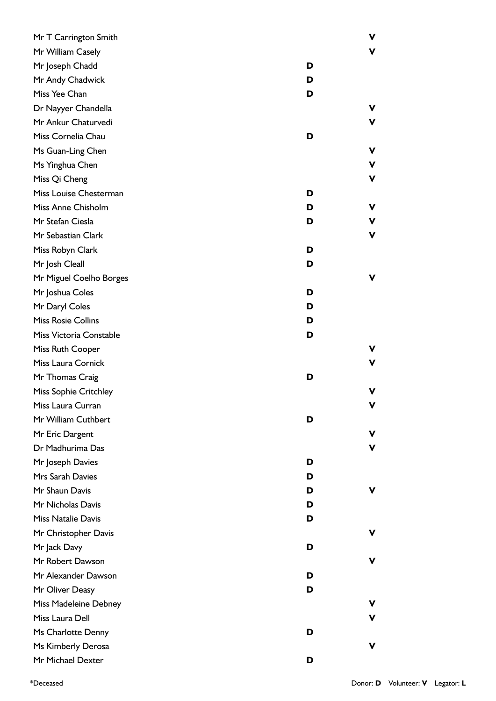| Mr T Carrington Smith        |   | ۷  |
|------------------------------|---|----|
| Mr William Casely            |   | v  |
| Mr Joseph Chadd              | D |    |
| Mr Andy Chadwick             | D |    |
| Miss Yee Chan                | D |    |
| Dr Nayyer Chandella          |   | v  |
| Mr Ankur Chaturvedi          |   | v  |
| Miss Cornelia Chau           | D |    |
| Ms Guan-Ling Chen            |   | v  |
| Ms Yinghua Chen              |   | v  |
| Miss Qi Cheng                |   | v  |
| Miss Louise Chesterman       | D |    |
| Miss Anne Chisholm           | D | v  |
| Mr Stefan Ciesla             | D | v  |
| Mr Sebastian Clark           |   | v. |
| Miss Robyn Clark             | D |    |
| Mr Josh Cleall               | D |    |
| Mr Miguel Coelho Borges      |   | v  |
| Mr Joshua Coles              | D |    |
| Mr Daryl Coles               | D |    |
| <b>Miss Rosie Collins</b>    | D |    |
| Miss Victoria Constable      | D |    |
| Miss Ruth Cooper             |   | v  |
| Miss Laura Cornick           |   | v  |
| Mr Thomas Craig              | D |    |
| <b>Miss Sophie Critchley</b> |   | v  |
| Miss Laura Curran            |   |    |
| Mr William Cuthbert          | D |    |
| Mr Eric Dargent              |   | v  |
| Dr Madhurima Das             |   | v  |
| Mr Joseph Davies             | D |    |
| Mrs Sarah Davies             | D |    |
| Mr Shaun Davis               | D | v  |
| Mr Nicholas Davis            | D |    |
| <b>Miss Natalie Davis</b>    | D |    |
| Mr Christopher Davis         |   | v  |
| Mr Jack Davy                 | D |    |
| Mr Robert Dawson             |   | v  |
| Mr Alexander Dawson          | D |    |
| Mr Oliver Deasy              | D |    |
| Miss Madeleine Debney        |   | v  |
| Miss Laura Dell              |   | v  |
| Ms Charlotte Denny           | D |    |
| Ms Kimberly Derosa           |   | v  |
| Mr Michael Dexter            | D |    |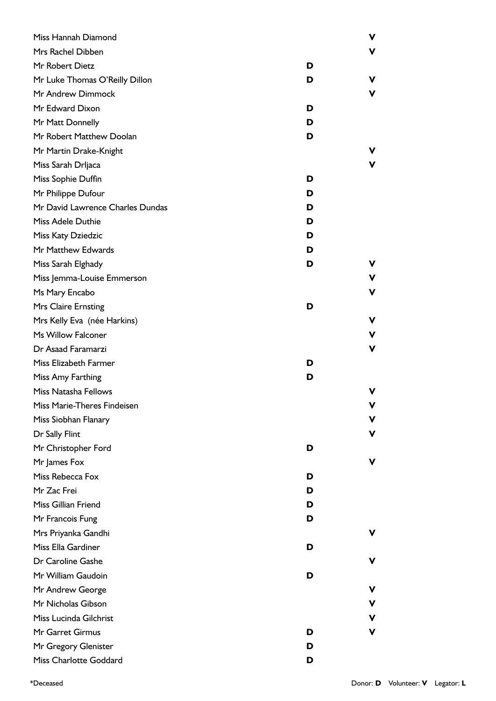| Miss Hannah Diamond              |   | ۷           |
|----------------------------------|---|-------------|
| Mrs Rachel Dibben                |   | V           |
| Mr Robert Dietz                  | D |             |
| Mr Luke Thomas O'Reilly Dillon   | D | v           |
| Mr Andrew Dimmock                |   | ۷           |
| Mr Edward Dixon                  | D |             |
| Mr Matt Donnelly                 | D |             |
| Mr Robert Matthew Doolan         | D |             |
| Mr Martin Drake-Knight           |   | v           |
| Miss Sarah Drljaca               |   | ۷           |
| Miss Sophie Duffin               | D |             |
| Mr Philippe Dufour               | D |             |
| Mr David Lawrence Charles Dundas | D |             |
| Miss Adele Duthie                | D |             |
| Miss Katy Dziedzic               | D |             |
| Mr Matthew Edwards               | D |             |
| Miss Sarah Elghady               | D | v           |
| Miss Jemma-Louise Emmerson       |   | V           |
| Ms Mary Encabo                   |   | V           |
| Mrs Claire Ernsting              | D |             |
| Mrs Kelly Eva (née Harkins)      |   | ۷           |
| Ms Willow Falconer               |   | V           |
| Dr Asaad Faramarzi               |   | $\mathbf v$ |
| Miss Elizabeth Farmer            | D |             |
| Miss Amy Farthing                | D |             |
| <b>Miss Natasha Fellows</b>      |   | v           |
| Miss Marie-Theres Findeisen      |   | v           |
| Miss Siobhan Flanary             |   | v           |
| Dr Sally Flint                   |   | ۷           |
| Mr Christopher Ford              | D |             |
| Mr James Fox                     |   | v           |
| Miss Rebecca Fox                 | D |             |
| Mr Zac Frei                      | D |             |
| Miss Gillian Friend              | D |             |
| Mr Francois Fung                 | D |             |
| Mrs Priyanka Gandhi              |   | v           |
| Miss Ella Gardiner               | D |             |
| Dr Caroline Gashe                |   | v           |
| Mr William Gaudoin               | D |             |
| Mr Andrew George                 |   | v           |
| Mr Nicholas Gibson               |   | ۷           |
| Miss Lucinda Gilchrist           |   | v           |
| Mr Garret Girmus                 | D | v           |
| Mr Gregory Glenister             | D |             |
| Miss Charlotte Goddard           | D |             |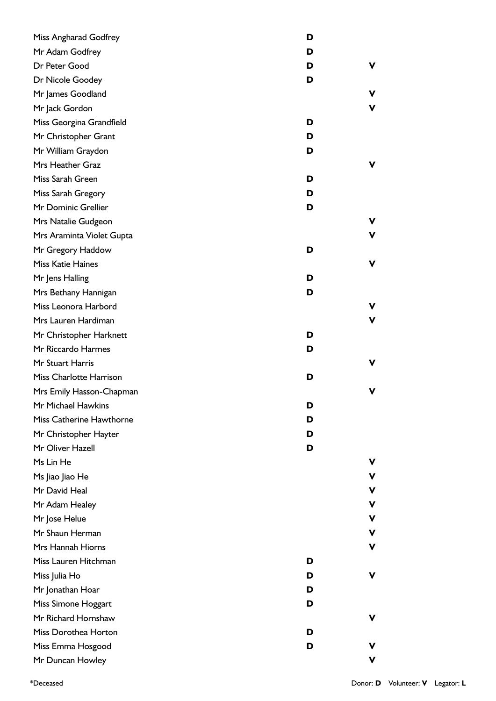| Miss Angharad Godfrey     | D |   |
|---------------------------|---|---|
| Mr Adam Godfrey           | D |   |
| Dr Peter Good             | D | ۷ |
| Dr Nicole Goodey          | D |   |
| Mr James Goodland         |   | v |
| Mr Jack Gordon            |   | V |
| Miss Georgina Grandfield  | D |   |
| Mr Christopher Grant      | D |   |
| Mr William Graydon        | D |   |
| Mrs Heather Graz          |   | v |
| Miss Sarah Green          | D |   |
| Miss Sarah Gregory        | D |   |
| Mr Dominic Grellier       | D |   |
| Mrs Natalie Gudgeon       |   | ۷ |
| Mrs Araminta Violet Gupta |   | V |
| Mr Gregory Haddow         | D |   |
| Miss Katie Haines         |   | ۷ |
| Mr Jens Halling           | D |   |
| Mrs Bethany Hannigan      | D |   |
| Miss Leonora Harbord      |   | V |
| Mrs Lauren Hardiman       |   | V |
| Mr Christopher Harknett   | D |   |
| Mr Riccardo Harmes        | D |   |
| Mr Stuart Harris          |   | v |
| Miss Charlotte Harrison   | D |   |
| Mrs Emily Hasson-Chapman  |   | V |
| Mr Michael Hawkins        | ט |   |
| Miss Catherine Hawthorne  | D |   |
| Mr Christopher Hayter     | D |   |
| Mr Oliver Hazell          | D |   |
| Ms Lin He                 |   | v |
| Ms Jiao Jiao He           |   | ۷ |
| Mr David Heal             |   | ۷ |
| Mr Adam Healey            |   | v |
| Mr Jose Helue             |   | v |
| Mr Shaun Herman           |   | v |
| Mrs Hannah Hiorns         |   | v |
| Miss Lauren Hitchman      | D |   |
| Miss Julia Ho             | D | ۷ |
| Mr Jonathan Hoar          | D |   |
| Miss Simone Hoggart       | D |   |
| Mr Richard Hornshaw       |   | v |
| Miss Dorothea Horton      | D |   |
| Miss Emma Hosgood         | D |   |
| Mr Duncan Howley          |   | v |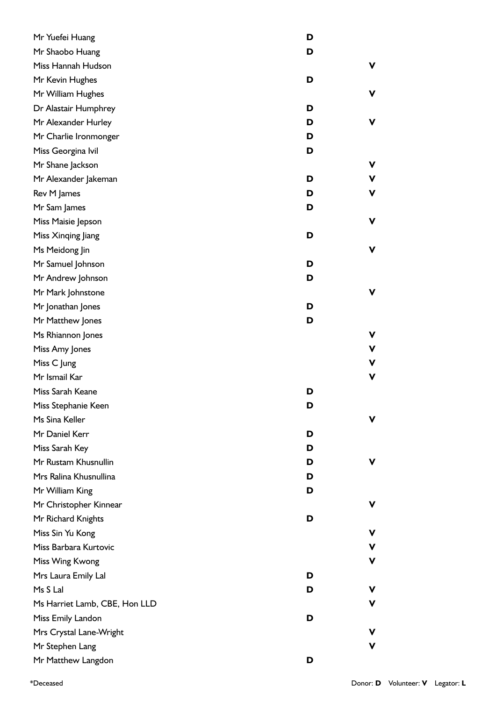| Mr Yuefei Huang               | D |   |
|-------------------------------|---|---|
| Mr Shaobo Huang               | D |   |
| Miss Hannah Hudson            |   | V |
| Mr Kevin Hughes               | D |   |
| Mr William Hughes             |   | ۷ |
| Dr Alastair Humphrey          | D |   |
| Mr Alexander Hurley           | D | ۷ |
| Mr Charlie Ironmonger         | D |   |
| Miss Georgina Ivil            | D |   |
| Mr Shane Jackson              |   | ۷ |
| Mr Alexander Jakeman          | D | ۷ |
| Rev M James                   | D | ۷ |
| Mr Sam James                  | D |   |
| Miss Maisie Jepson            |   | ۷ |
| Miss Xinqing Jiang            | D |   |
| Ms Meidong Jin                |   | V |
| Mr Samuel Johnson             | D |   |
| Mr Andrew Johnson             | D |   |
| Mr Mark Johnstone             |   | ۷ |
| Mr Jonathan Jones             | D |   |
| Mr Matthew Jones              | D |   |
| Ms Rhiannon Jones             |   | ۷ |
| Miss Amy Jones                |   | ۷ |
| Miss C Jung                   |   | ۷ |
| Mr Ismail Kar                 |   | V |
| Miss Sarah Keane              | D |   |
| Miss Stephanie Keen           | D |   |
| Ms Sina Keller                |   | ۷ |
| Mr Daniel Kerr                | D |   |
| Miss Sarah Key                | D |   |
| Mr Rustam Khusnullin          | D | v |
| Mrs Ralina Khusnullina        | D |   |
| Mr William King               | D |   |
| Mr Christopher Kinnear        |   | ۷ |
| Mr Richard Knights            | D |   |
| Miss Sin Yu Kong              |   | v |
| Miss Barbara Kurtovic         |   | v |
| Miss Wing Kwong               |   | ۷ |
| Mrs Laura Emily Lal           | D |   |
| Ms S Lal                      | D | ۷ |
| Ms Harriet Lamb, CBE, Hon LLD |   | ۷ |
| Miss Emily Landon             | D |   |
| Mrs Crystal Lane-Wright       |   | v |
| Mr Stephen Lang               |   | v |
| Mr Matthew Langdon            | D |   |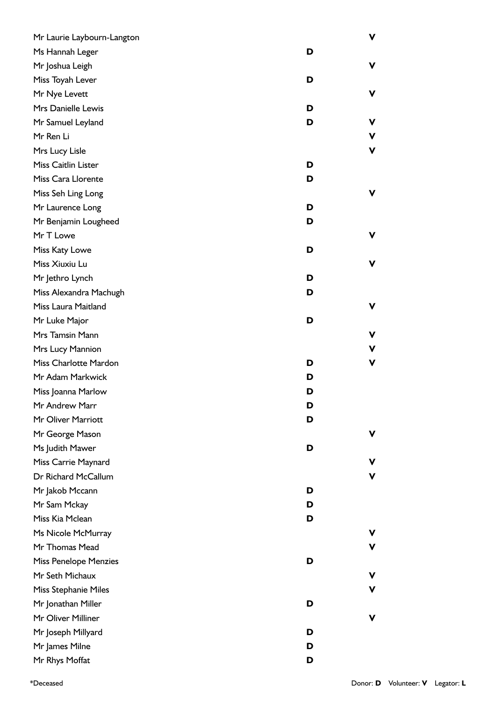| Mr Laurie Laybourn-Langton   |   | V           |
|------------------------------|---|-------------|
| Ms Hannah Leger              | D |             |
| Mr Joshua Leigh              |   | ۷           |
| Miss Toyah Lever             | D |             |
| Mr Nye Levett                |   | ۷           |
| Mrs Danielle Lewis           | D |             |
| Mr Samuel Leyland            | D | ۷           |
| Mr Ren Li                    |   | V           |
| Mrs Lucy Lisle               |   | $\mathbf v$ |
| Miss Caitlin Lister          | D |             |
| Miss Cara Llorente           | D |             |
| Miss Seh Ling Long           |   | ۷           |
| Mr Laurence Long             | D |             |
| Mr Benjamin Lougheed         | D |             |
| Mr T Lowe                    |   | ۷           |
| Miss Katy Lowe               | D |             |
| Miss Xiuxiu Lu               |   | ۷           |
| Mr Jethro Lynch              | D |             |
| Miss Alexandra Machugh       | D |             |
| Miss Laura Maitland          |   | V           |
| Mr Luke Major                | D |             |
| Mrs Tamsin Mann              |   | V           |
| Mrs Lucy Mannion             |   | V           |
| Miss Charlotte Mardon        | D | V           |
| Mr Adam Markwick             | D |             |
| Miss Joanna Marlow           | D |             |
| Mr Andrew Marr               | D |             |
| Mr Oliver Marriott           | D |             |
| Mr George Mason              |   | ۷           |
| Ms Judith Mawer              | D |             |
| Miss Carrie Maynard          |   | v.          |
| Dr Richard McCallum          |   | $\mathbf v$ |
| Mr Jakob Mccann              | D |             |
| Mr Sam Mckay                 | D |             |
| Miss Kia Mclean              | D |             |
| Ms Nicole McMurray           |   | v.          |
| Mr Thomas Mead               |   | ۷           |
| <b>Miss Penelope Menzies</b> | D |             |
| Mr Seth Michaux              |   | ۷           |
| Miss Stephanie Miles         |   | ۷           |
| Mr Jonathan Miller           | D |             |
| Mr Oliver Milliner           |   | ۷           |
| Mr Joseph Millyard           | D |             |
| Mr James Milne               | D |             |
| Mr Rhys Moffat               | D |             |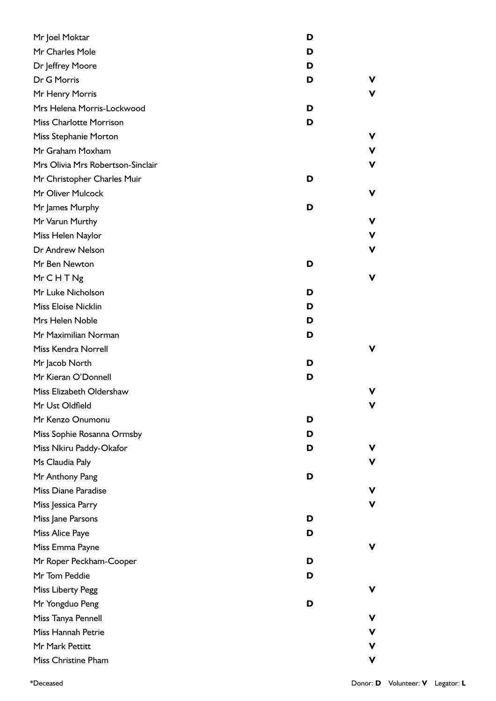| Mr Joel Moktar                    | D      |
|-----------------------------------|--------|
| Mr Charles Mole                   | D      |
| Dr Jeffrey Moore                  | D      |
| Dr G Morris                       | V<br>D |
| Mr Henry Morris                   | v      |
| Mrs Helena Morris-Lockwood        | D      |
| <b>Miss Charlotte Morrison</b>    | D      |
| Miss Stephanie Morton             | v      |
| Mr Graham Moxham                  | v      |
| Mrs Olivia Mrs Robertson-Sinclair | V      |
| Mr Christopher Charles Muir       | D      |
| Mr Oliver Mulcock                 | v      |
| Mr James Murphy                   | D      |
| Mr Varun Murthy                   | V      |
| Miss Helen Naylor                 | v      |
| Dr Andrew Nelson                  | V      |
| Mr Ben Newton                     | D      |
| MrCHTNg                           | V      |
| Mr Luke Nicholson                 | D      |
| Miss Eloise Nicklin               | D      |
| Mrs Helen Noble                   | D      |
| Mr Maximilian Norman              | D      |
| Miss Kendra Norrell               | v      |
| Mr Jacob North                    | D      |
| Mr Kieran O'Donnell               | D      |
| Miss Elizabeth Oldershaw          | v      |
| Mr Ust Oldfield                   | ۷      |
| Mr Kenzo Onumonu                  | D      |
| Miss Sophie Rosanna Ormsby        | D      |
| Miss Nkiru Paddy-Okafor           | D<br>v |
| Ms Claudia Paly                   | V      |
| Mr Anthony Pang                   | D      |
| Miss Diane Paradise               | v      |
| Miss Jessica Parry                | V      |
| Miss Jane Parsons                 | D      |
| Miss Alice Paye                   | D      |
| Miss Emma Payne                   | v      |
| Mr Roper Peckham-Cooper           | D      |
| Mr Tom Peddie                     | D      |
| <b>Miss Liberty Pegg</b>          | ۷      |
| Mr Yongduo Peng                   | D      |
| Miss Tanya Pennell                | v      |
| Miss Hannah Petrie                | v.     |
| Mr Mark Pettitt                   | v      |
| Miss Christine Pham               | ۷      |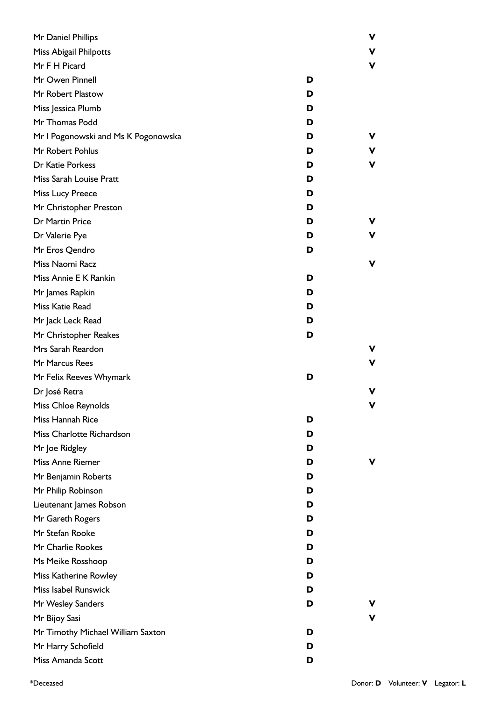| Mr Daniel Phillips                  |   | ۷ |
|-------------------------------------|---|---|
| Miss Abigail Philpotts              |   | v |
| Mr F H Picard                       |   | ۷ |
| Mr Owen Pinnell                     | D |   |
| Mr Robert Plastow                   | D |   |
| Miss Jessica Plumb                  | D |   |
| Mr Thomas Podd                      | D |   |
| Mr I Pogonowski and Ms K Pogonowska | D | v |
| Mr Robert Pohlus                    | D | v |
| Dr Katie Porkess                    | D | ۷ |
| Miss Sarah Louise Pratt             | D |   |
| Miss Lucy Preece                    | D |   |
| Mr Christopher Preston              | D |   |
| Dr Martin Price                     | D |   |
| Dr Valerie Pye                      | D | v |
| Mr Eros Qendro                      | D |   |
| Miss Naomi Racz                     |   | ۷ |
| Miss Annie E K Rankin               | D |   |
| Mr James Rapkin                     | D |   |
| Miss Katie Read                     | D |   |
| Mr Jack Leck Read                   | D |   |
| Mr Christopher Reakes               | D |   |
| Mrs Sarah Reardon                   |   | v |
| Mr Marcus Rees                      |   | ۷ |
| Mr Felix Reeves Whymark             | D |   |
| Dr José Retra                       |   | v |
| Miss Chloe Reynolds                 |   | v |
| Miss Hannah Rice                    | D |   |
| Miss Charlotte Richardson           | D |   |
| Mr Joe Ridgley                      | D |   |
| Miss Anne Riemer                    | D | v |
| Mr Benjamin Roberts                 | D |   |
| Mr Philip Robinson                  | D |   |
| Lieutenant James Robson             | D |   |
| Mr Gareth Rogers                    | D |   |
| Mr Stefan Rooke                     | D |   |
| Mr Charlie Rookes                   | D |   |
| Ms Meike Rosshoop                   | D |   |
| Miss Katherine Rowley               | D |   |
| Miss Isabel Runswick                | D |   |
| Mr Wesley Sanders                   | D |   |
| Mr Bijoy Sasi                       |   | ۷ |
| Mr Timothy Michael William Saxton   | D |   |
| Mr Harry Schofield                  | D |   |
| Miss Amanda Scott                   | D |   |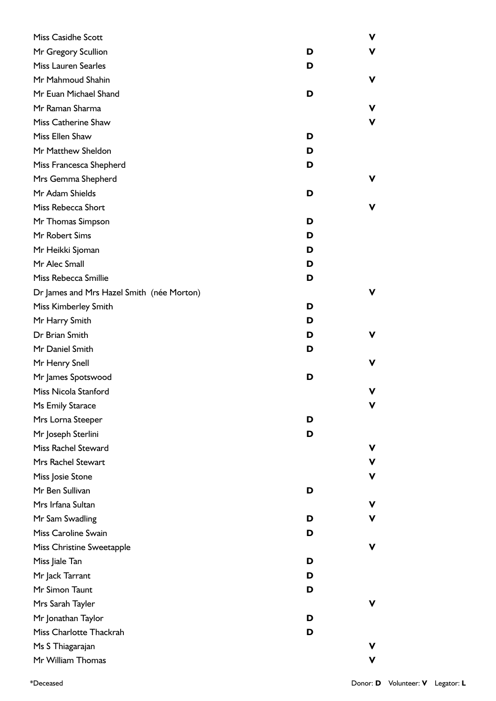| <b>Miss Casidhe Scott</b>                 |   | ۷ |
|-------------------------------------------|---|---|
| Mr Gregory Scullion                       | D | V |
| <b>Miss Lauren Searles</b>                | D |   |
| Mr Mahmoud Shahin                         |   | ۷ |
| Mr Euan Michael Shand                     | D |   |
| Mr Raman Sharma                           |   | v |
| Miss Catherine Shaw                       |   | v |
| Miss Ellen Shaw                           | D |   |
| Mr Matthew Sheldon                        | D |   |
| Miss Francesca Shepherd                   | D |   |
| Mrs Gemma Shepherd                        |   | V |
| Mr Adam Shields                           | D |   |
| Miss Rebecca Short                        |   | v |
| Mr Thomas Simpson                         | D |   |
| Mr Robert Sims                            | D |   |
| Mr Heikki Sjoman                          | D |   |
| Mr Alec Small                             | D |   |
| Miss Rebecca Smillie                      | D |   |
| Dr James and Mrs Hazel Smith (née Morton) |   | v |
| Miss Kimberley Smith                      | D |   |
| Mr Harry Smith                            | D |   |
| Dr Brian Smith                            | D | ۷ |
| Mr Daniel Smith                           | D |   |
| Mr Henry Snell                            |   | v |
| Mr James Spotswood                        | D |   |
| Miss Nicola Stanford                      |   | v |
| Ms Emily Starace                          |   | V |
| Mrs Lorna Steeper                         | D |   |
| Mr Joseph Sterlini                        | D |   |
| Miss Rachel Steward                       |   | v |
| Mrs Rachel Stewart                        |   | V |
| Miss Josie Stone                          |   | V |
| Mr Ben Sullivan                           | D |   |
| Mrs Irfana Sultan                         |   | V |
| Mr Sam Swadling                           | D | ۷ |
| Miss Caroline Swain                       | D |   |
| Miss Christine Sweetapple                 |   | ۷ |
| Miss Jiale Tan                            | D |   |
| Mr Jack Tarrant                           | D |   |
| Mr Simon Taunt                            | D |   |
| Mrs Sarah Tayler                          |   | ۷ |
| Mr Jonathan Taylor                        | D |   |
| Miss Charlotte Thackrah                   | D |   |
| Ms S Thiagarajan                          |   | v |
| Mr William Thomas                         |   | v |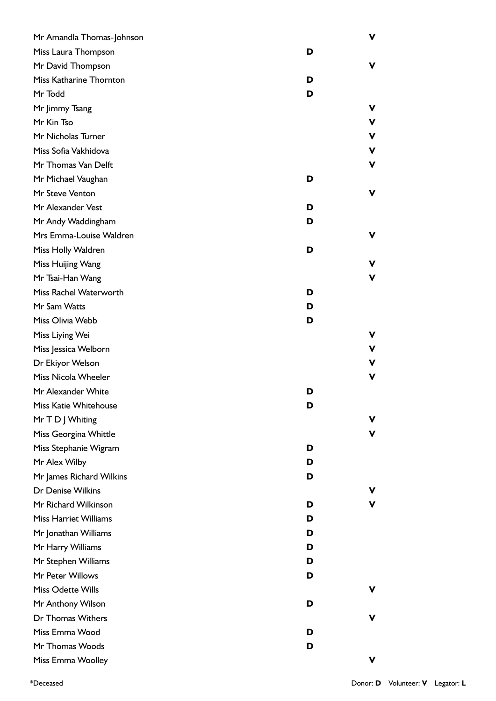| Mr Amandla Thomas-Johnson    |   | V |
|------------------------------|---|---|
| Miss Laura Thompson          | D |   |
| Mr David Thompson            |   | v |
| Miss Katharine Thornton      | D |   |
| Mr Todd                      | D |   |
| Mr Jimmy Tsang               |   | v |
| Mr Kin Tso                   |   | v |
| Mr Nicholas Turner           |   | v |
| Miss Sofia Vakhidova         |   | v |
| Mr Thomas Van Delft          |   | ۷ |
| Mr Michael Vaughan           | D |   |
| Mr Steve Venton              |   | V |
| Mr Alexander Vest            | D |   |
| Mr Andy Waddingham           | D |   |
| Mrs Emma-Louise Waldren      |   | v |
| Miss Holly Waldren           | D |   |
| Miss Huijing Wang            |   | v |
| Mr Tsai-Han Wang             |   | v |
| Miss Rachel Waterworth       | D |   |
| Mr Sam Watts                 | D |   |
| Miss Olivia Webb             | D |   |
| Miss Liying Wei              |   | v |
| Miss Jessica Welborn         |   | v |
| Dr Ekiyor Welson             |   | v |
| Miss Nicola Wheeler          |   | ۷ |
| Mr Alexander White           | D |   |
| Miss Katie Whitehouse        | D |   |
| Mr T D J Whiting             |   | v |
| Miss Georgina Whittle        |   | v |
| Miss Stephanie Wigram        | D |   |
| Mr Alex Wilby                | D |   |
| Mr James Richard Wilkins     | D |   |
| Dr Denise Wilkins            |   |   |
| Mr Richard Wilkinson         | D | V |
| <b>Miss Harriet Williams</b> | D |   |
| Mr Jonathan Williams         | D |   |
| Mr Harry Williams            | D |   |
| Mr Stephen Williams          | D |   |
| Mr Peter Willows             | D |   |
| Miss Odette Wills            |   | v |
| Mr Anthony Wilson            | D |   |
| Dr Thomas Withers            |   | v |
| Miss Emma Wood               | D |   |
| Mr Thomas Woods              | D |   |
| Miss Emma Woolley            |   | v |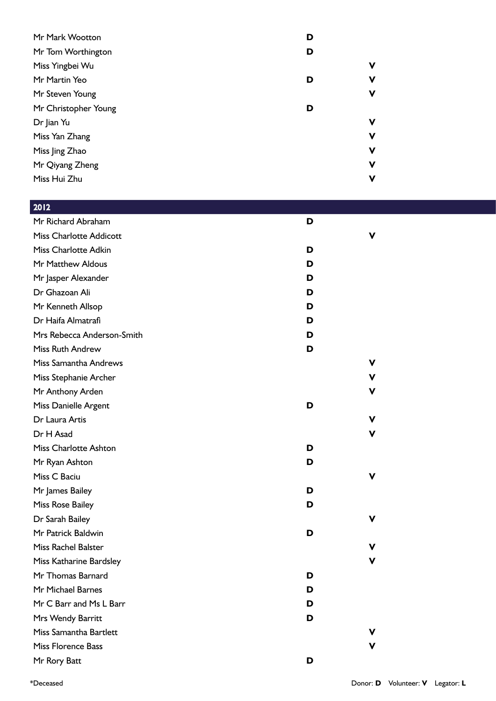| Mr Mark Wootton      | D |             |
|----------------------|---|-------------|
| Mr Tom Worthington   | D |             |
| Miss Yingbei Wu      |   | ۷           |
| Mr Martin Yeo        | D | V           |
| Mr Steven Young      |   | $\mathbf v$ |
| Mr Christopher Young | D |             |
| Dr Jian Yu           |   | V           |
| Miss Yan Zhang       |   | $\mathbf v$ |
| Miss Jing Zhao       |   | $\mathbf v$ |
| Mr Qiyang Zheng      |   | v           |
| Miss Hui Zhu         |   | V           |
|                      |   |             |

| 2012                           |   |   |
|--------------------------------|---|---|
| Mr Richard Abraham             | D |   |
| <b>Miss Charlotte Addicott</b> |   | v |
| <b>Miss Charlotte Adkin</b>    | D |   |
| Mr Matthew Aldous              | D |   |
| Mr Jasper Alexander            | D |   |
| Dr Ghazoan Ali                 | D |   |
| Mr Kenneth Allsop              | D |   |
| Dr Haifa Almatrafi             | D |   |
| Mrs Rebecca Anderson-Smith     | D |   |
| <b>Miss Ruth Andrew</b>        | D |   |
| Miss Samantha Andrews          |   | ۷ |
| Miss Stephanie Archer          |   | ۷ |
| Mr Anthony Arden               |   | v |
| Miss Danielle Argent           | D |   |
| Dr Laura Artis                 |   | ۷ |
| Dr H Asad                      |   | ۷ |
| <b>Miss Charlotte Ashton</b>   | D |   |
| Mr Ryan Ashton                 | D |   |
| Miss C Baciu                   |   | v |
| Mr James Bailey                | D |   |
| Miss Rose Bailey               | D |   |
| Dr Sarah Bailey                |   | ۷ |
| Mr Patrick Baldwin             | D |   |
| <b>Miss Rachel Balster</b>     |   | v |
| Miss Katharine Bardsley        |   | v |
| Mr Thomas Barnard              | D |   |
| Mr Michael Barnes              | D |   |
| Mr C Barr and Ms L Barr        | D |   |
| Mrs Wendy Barritt              | D |   |
| Miss Samantha Bartlett         |   | v |
| <b>Miss Florence Bass</b>      |   | v |
| Mr Rory Batt                   | D |   |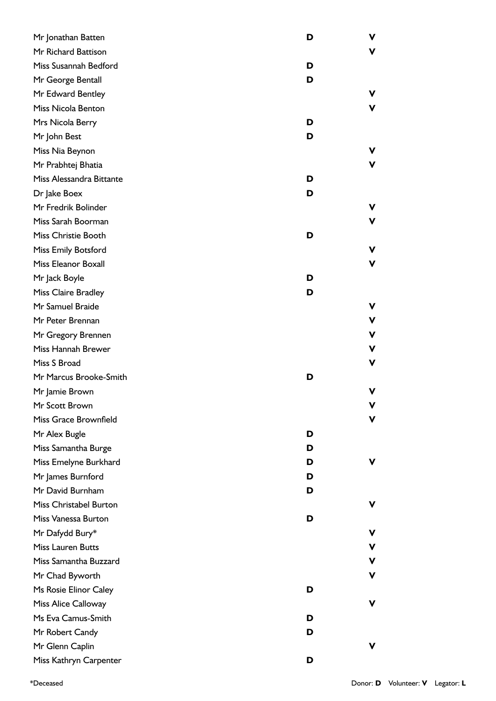| Mr Jonathan Batten         | D | ۷  |
|----------------------------|---|----|
| Mr Richard Battison        |   | V  |
| Miss Susannah Bedford      | D |    |
| Mr George Bentall          | D |    |
| Mr Edward Bentley          |   | v  |
| Miss Nicola Benton         |   | V  |
| Mrs Nicola Berry           | D |    |
| Mr John Best               | D |    |
| Miss Nia Beynon            |   | v  |
| Mr Prabhtej Bhatia         |   | ۷  |
| Miss Alessandra Bittante   | D |    |
| Dr Jake Boex               | D |    |
| Mr Fredrik Bolinder        |   | v. |
| Miss Sarah Boorman         |   | v  |
| Miss Christie Booth        | D |    |
| Miss Emily Botsford        |   | ۷  |
| Miss Eleanor Boxall        |   | ۷  |
| Mr Jack Boyle              | D |    |
| <b>Miss Claire Bradley</b> | D |    |
| Mr Samuel Braide           |   | v. |
| Mr Peter Brennan           |   | ۷  |
| Mr Gregory Brennen         |   | v  |
| Miss Hannah Brewer         |   | v  |
| Miss S Broad               |   | ۷  |
| Mr Marcus Brooke-Smith     | D |    |
| Mr Jamie Brown             |   | v  |
| Mr Scott Brown             |   | v  |
| Miss Grace Brownfield      |   | ۷  |
| Mr Alex Bugle              | D |    |
| Miss Samantha Burge        | D |    |
| Miss Emelyne Burkhard      | D | v  |
| Mr James Burnford          | D |    |
| Mr David Burnham           | D |    |
| Miss Christabel Burton     |   | ۷  |
| Miss Vanessa Burton        | D |    |
| Mr Dafydd Bury*            |   | v  |
| <b>Miss Lauren Butts</b>   |   | v  |
| Miss Samantha Buzzard      |   | v  |
| Mr Chad Byworth            |   | v  |
| Ms Rosie Elinor Caley      | D |    |
| Miss Alice Calloway        |   | ۷  |
| Ms Eva Camus-Smith         | D |    |
| Mr Robert Candy            | D |    |
| Mr Glenn Caplin            |   | v  |
| Miss Kathryn Carpenter     | D |    |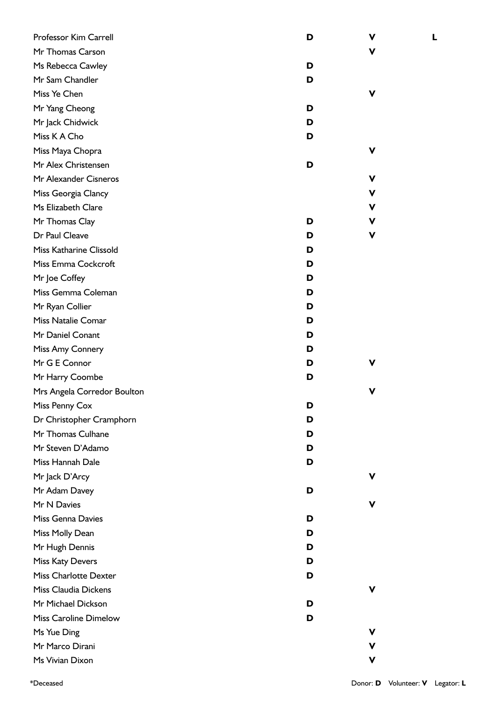| Professor Kim Carrell        | D | ۷           |
|------------------------------|---|-------------|
| Mr Thomas Carson             |   | v           |
| Ms Rebecca Cawley            | D |             |
| Mr Sam Chandler              | D |             |
| Miss Ye Chen                 |   | v           |
| Mr Yang Cheong               | D |             |
| Mr Jack Chidwick             | D |             |
| Miss K A Cho                 | D |             |
| Miss Maya Chopra             |   | v           |
| Mr Alex Christensen          | D |             |
| Mr Alexander Cisneros        |   | V           |
| Miss Georgia Clancy          |   | $\mathbf v$ |
| Ms Elizabeth Clare           |   | V           |
| Mr Thomas Clay               | D | V           |
| Dr Paul Cleave               | D | ۷           |
| Miss Katharine Clissold      | D |             |
| Miss Emma Cockcroft          | D |             |
| Mr Joe Coffey                | D |             |
| Miss Gemma Coleman           | D |             |
| Mr Ryan Collier              | D |             |
| Miss Natalie Comar           | D |             |
| Mr Daniel Conant             | D |             |
| Miss Amy Connery             | D |             |
| Mr G E Connor                | D |             |
| Mr Harry Coombe              | D |             |
| Mrs Angela Corredor Boulton  |   |             |
| Miss Penny Cox               | ט |             |
| Dr Christopher Cramphorn     | D |             |
| Mr Thomas Culhane            | D |             |
| Mr Steven D'Adamo            | D |             |
| Miss Hannah Dale             | D |             |
| Mr Jack D'Arcy               |   | v           |
| Mr Adam Davey                | D |             |
| Mr N Davies                  |   | v           |
| <b>Miss Genna Davies</b>     | D |             |
| Miss Molly Dean              | D |             |
| Mr Hugh Dennis               | D |             |
| Miss Katy Devers             | D |             |
| <b>Miss Charlotte Dexter</b> | D |             |
| <b>Miss Claudia Dickens</b>  |   | v           |
| Mr Michael Dickson           | D |             |
| <b>Miss Caroline Dimelow</b> | D |             |
| Ms Yue Ding                  |   | v           |
| Mr Marco Dirani              |   | V           |
| Ms Vivian Dixon              |   | V           |

**L**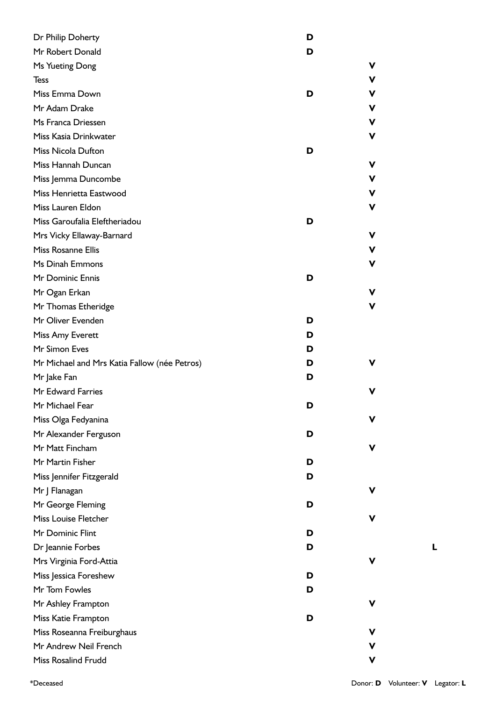| Dr Philip Doherty                            | D |   |
|----------------------------------------------|---|---|
| Mr Robert Donald                             | D |   |
| Ms Yueting Dong                              |   | ۷ |
| <b>Tess</b>                                  |   | V |
| Miss Emma Down                               | D | V |
| Mr Adam Drake                                |   | V |
| Ms Franca Driessen                           |   | V |
| Miss Kasia Drinkwater                        |   | ۷ |
| Miss Nicola Dufton                           | D |   |
| Miss Hannah Duncan                           |   | V |
| Miss Jemma Duncombe                          |   | V |
| Miss Henrietta Eastwood                      |   | V |
| Miss Lauren Eldon                            |   | ۷ |
| Miss Garoufalia Eleftheriadou                | D |   |
| Mrs Vicky Ellaway-Barnard                    |   | V |
| Miss Rosanne Ellis                           |   | V |
| Ms Dinah Emmons                              |   | V |
| Mr Dominic Ennis                             | D |   |
| Mr Ogan Erkan                                |   | v |
| Mr Thomas Etheridge                          |   | ۷ |
| Mr Oliver Evenden                            | D |   |
| Miss Amy Everett                             | D |   |
| Mr Simon Eves                                | D |   |
| Mr Michael and Mrs Katia Fallow (née Petros) | D | v |
| Mr Jake Fan                                  | D |   |
| Mr Edward Farries                            |   | v |
| Mr Michael Fear                              | D |   |
| Miss Olga Fedyanina                          |   | v |
| Mr Alexander Ferguson                        | D |   |
| Mr Matt Fincham                              |   | v |
| Mr Martin Fisher                             | D |   |
| Miss Jennifer Fitzgerald                     | D |   |
| Mr J Flanagan                                |   | V |
| Mr George Fleming                            | D |   |
| Miss Louise Fletcher                         |   | V |
| Mr Dominic Flint                             | D |   |
| Dr Jeannie Forbes                            | D |   |
| Mrs Virginia Ford-Attia                      |   | v |
| Miss Jessica Foreshew                        | D |   |
| Mr Tom Fowles                                | D |   |
| Mr Ashley Frampton                           |   | ۷ |
| Miss Katie Frampton                          | D |   |
| Miss Roseanna Freiburghaus                   |   | ۷ |
| Mr Andrew Neil French                        |   | V |
| Miss Rosalind Frudd                          |   | V |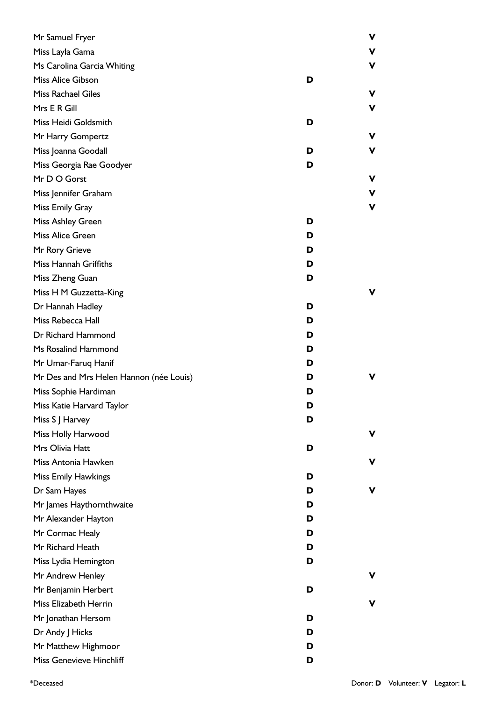| Mr Samuel Fryer                         |   | ۷ |
|-----------------------------------------|---|---|
| Miss Layla Gama                         |   |   |
| Ms Carolina Garcia Whiting              |   | v |
| Miss Alice Gibson                       | D |   |
| Miss Rachael Giles                      |   | v |
| Mrs E R Gill                            |   | v |
| Miss Heidi Goldsmith                    | D |   |
| Mr Harry Gompertz                       |   | ν |
| Miss Joanna Goodall                     | D | v |
| Miss Georgia Rae Goodyer                | D |   |
| Mr D O Gorst                            |   | ۷ |
| Miss Jennifer Graham                    |   | ۷ |
| Miss Emily Gray                         |   | ۷ |
| Miss Ashley Green                       | D |   |
| Miss Alice Green                        | D |   |
| Mr Rory Grieve                          | D |   |
| Miss Hannah Griffiths                   | D |   |
| Miss Zheng Guan                         | D |   |
| Miss H M Guzzetta-King                  |   |   |
| Dr Hannah Hadley                        | D |   |
| Miss Rebecca Hall                       | D |   |
| Dr Richard Hammond                      | D |   |
| Ms Rosalind Hammond                     | D |   |
| Mr Umar-Faruq Hanif                     | D |   |
| Mr Des and Mrs Helen Hannon (née Louis) | D |   |
| Miss Sophie Hardiman                    | D |   |
| Miss Katie Harvard Taylor               | ט |   |
| Miss S J Harvey                         | D |   |
| Miss Holly Harwood                      |   | v |
| Mrs Olivia Hatt                         | D |   |
| Miss Antonia Hawken                     |   | v |
| Miss Emily Hawkings                     | D |   |
| Dr Sam Hayes                            | D | v |
| Mr James Haythornthwaite                | D |   |
| Mr Alexander Hayton                     | D |   |
| Mr Cormac Healy                         | D |   |
| Mr Richard Heath                        | D |   |
| Miss Lydia Hemington                    | D |   |
| Mr Andrew Henley                        |   |   |
| Mr Benjamin Herbert                     | D |   |
| Miss Elizabeth Herrin                   |   | v |
| Mr Jonathan Hersom                      | D |   |
| Dr Andy J Hicks                         | D |   |
| Mr Matthew Highmoor                     | D |   |
| Miss Genevieve Hinchliff                | D |   |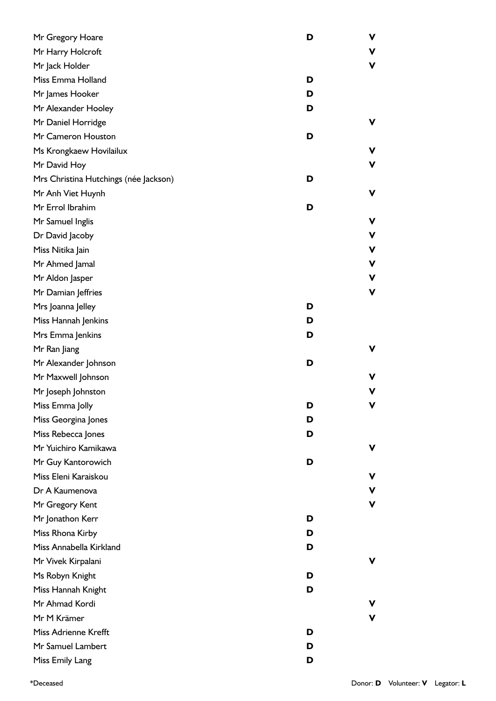| Mr Gregory Hoare                      | D | V |
|---------------------------------------|---|---|
| Mr Harry Holcroft                     |   | V |
| Mr Jack Holder                        |   | V |
| Miss Emma Holland                     | D |   |
| Mr James Hooker                       | D |   |
| Mr Alexander Hooley                   | D |   |
| Mr Daniel Horridge                    |   | v |
| Mr Cameron Houston                    | D |   |
| Ms Krongkaew Hovilailux               |   | ۷ |
| Mr David Hoy                          |   | ۷ |
| Mrs Christina Hutchings (née Jackson) | D |   |
| Mr Anh Viet Huynh                     |   | V |
| Mr Errol Ibrahim                      | D |   |
| Mr Samuel Inglis                      |   | V |
| Dr David Jacoby                       |   | V |
| Miss Nitika Jain                      |   | ۷ |
| Mr Ahmed Jamal                        |   | ۷ |
| Mr Aldon Jasper                       |   | V |
| Mr Damian Jeffries                    |   | V |
| Mrs Joanna Jelley                     | D |   |
| Miss Hannah Jenkins                   | D |   |
| Mrs Emma Jenkins                      | D |   |
| Mr Ran Jiang                          |   | V |
| Mr Alexander Johnson                  | D |   |
| Mr Maxwell Johnson                    |   | v |
| Mr Joseph Johnston                    |   | v |
| Miss Emma Jolly                       | D | v |
| Miss Georgina Jones                   | D |   |
| Miss Rebecca Jones                    | D |   |
| Mr Yuichiro Kamikawa                  |   | ۷ |
| Mr Guy Kantorowich                    | D |   |
| Miss Eleni Karaiskou                  |   | v |
| Dr A Kaumenova                        |   | V |
| Mr Gregory Kent                       |   | V |
| Mr Jonathon Kerr                      | D |   |
| Miss Rhona Kirby                      | D |   |
| Miss Annabella Kirkland               | D |   |
| Mr Vivek Kirpalani                    |   | v |
| Ms Robyn Knight                       | D |   |
| Miss Hannah Knight                    | D |   |
| Mr Ahmad Kordi                        |   | v |
| Mr M Krämer                           |   | v |
| Miss Adrienne Krefft                  | D |   |
| Mr Samuel Lambert                     | D |   |
| Miss Emily Lang                       | D |   |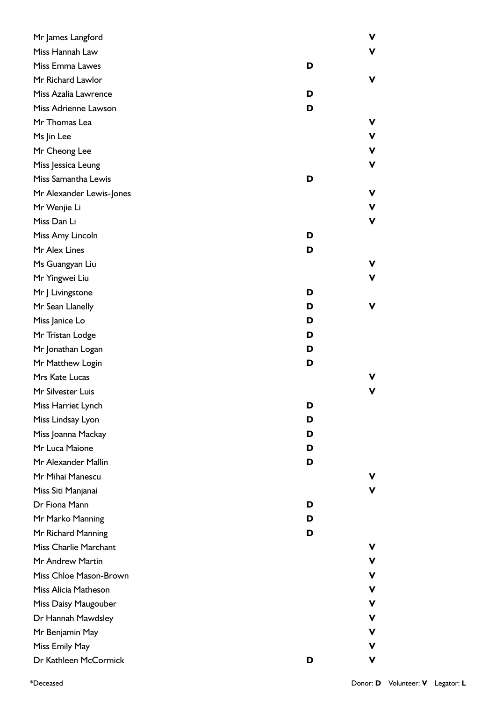| Mr James Langford            |   | ۷ |
|------------------------------|---|---|
| Miss Hannah Law              |   | V |
| Miss Emma Lawes              | D |   |
| Mr Richard Lawlor            |   | V |
| Miss Azalia Lawrence         | D |   |
| Miss Adrienne Lawson         | D |   |
| Mr Thomas Lea                |   | ۷ |
| Ms Jin Lee                   |   | ۷ |
| Mr Cheong Lee                |   | V |
| Miss Jessica Leung           |   | V |
| Miss Samantha Lewis          | D |   |
| Mr Alexander Lewis-Jones     |   | ۷ |
| Mr Wenjie Li                 |   | ۷ |
| Miss Dan Li                  |   | V |
| Miss Amy Lincoln             | D |   |
| Mr Alex Lines                | D |   |
| Ms Guangyan Liu              |   | ۷ |
| Mr Yingwei Liu               |   | V |
| Mr J Livingstone             | D |   |
| Mr Sean Llanelly             | D | ۷ |
| Miss Janice Lo               | D |   |
| Mr Tristan Lodge             | D |   |
| Mr Jonathan Logan            | D |   |
| Mr Matthew Login             | D |   |
| Mrs Kate Lucas               |   |   |
| Mr Silvester Luis            |   |   |
| Miss Harriet Lynch           | ט |   |
| Miss Lindsay Lyon            | D |   |
| Miss Joanna Mackay           | D |   |
| Mr Luca Maione               | D |   |
| Mr Alexander Mallin          | D |   |
| Mr Mihai Manescu             |   |   |
| Miss Siti Manjanai           |   | ۷ |
| Dr Fiona Mann                | D |   |
| Mr Marko Manning             | D |   |
| Mr Richard Manning           | D |   |
| <b>Miss Charlie Marchant</b> |   |   |
| Mr Andrew Martin             |   | v |
| Miss Chloe Mason-Brown       |   | ۷ |
| Miss Alicia Matheson         |   | v |
| Miss Daisy Maugouber         |   | v |
| Dr Hannah Mawdsley           |   | v |
| Mr Benjamin May              |   | v |
| Miss Emily May               |   |   |
| Dr Kathleen McCormick        | D | ۷ |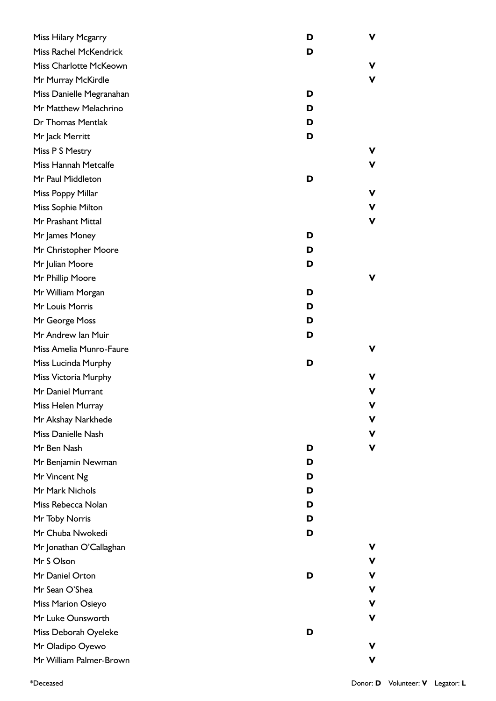| Miss Hilary Mcgarry           | D | V |
|-------------------------------|---|---|
| <b>Miss Rachel McKendrick</b> | D |   |
| Miss Charlotte McKeown        |   | ۷ |
| Mr Murray McKirdle            |   | V |
| Miss Danielle Megranahan      | D |   |
| Mr Matthew Melachrino         | D |   |
| Dr Thomas Mentlak             | D |   |
| Mr Jack Merritt               | D |   |
| Miss P S Mestry               |   | v |
| Miss Hannah Metcalfe          |   | ۷ |
| Mr Paul Middleton             | D |   |
| Miss Poppy Millar             |   | v |
| Miss Sophie Milton            |   | v |
| Mr Prashant Mittal            |   | V |
| Mr James Money                | D |   |
| Mr Christopher Moore          | D |   |
| Mr Julian Moore               | D |   |
| Mr Phillip Moore              |   | v |
| Mr William Morgan             | D |   |
| Mr Louis Morris               | D |   |
| Mr George Moss                | D |   |
| Mr Andrew Ian Muir            | D |   |
| Miss Amelia Munro-Faure       |   | ۷ |
| Miss Lucinda Murphy           | D |   |
| Miss Victoria Murphy          |   | v |
| Mr Daniel Murrant             |   | v |
| Miss Helen Murray             |   | v |
| Mr Akshay Narkhede            |   | v |
| Miss Danielle Nash            |   | ۷ |
| Mr Ben Nash                   | D | V |
| Mr Benjamin Newman            | D |   |
| Mr Vincent Ng                 | D |   |
| Mr Mark Nichols               | D |   |
| Miss Rebecca Nolan            | D |   |
| Mr Toby Norris                | D |   |
| Mr Chuba Nwokedi              | D |   |
| Mr Jonathan O'Callaghan       |   | v |
| Mr S Olson                    |   | v |
| Mr Daniel Orton               | D | v |
| Mr Sean O'Shea                |   | v |
| Miss Marion Osieyo            |   | v |
| Mr Luke Ounsworth             |   | v |
| Miss Deborah Oyeleke          | D |   |
| Mr Oladipo Oyewo              |   | v |
| Mr William Palmer-Brown       |   | v |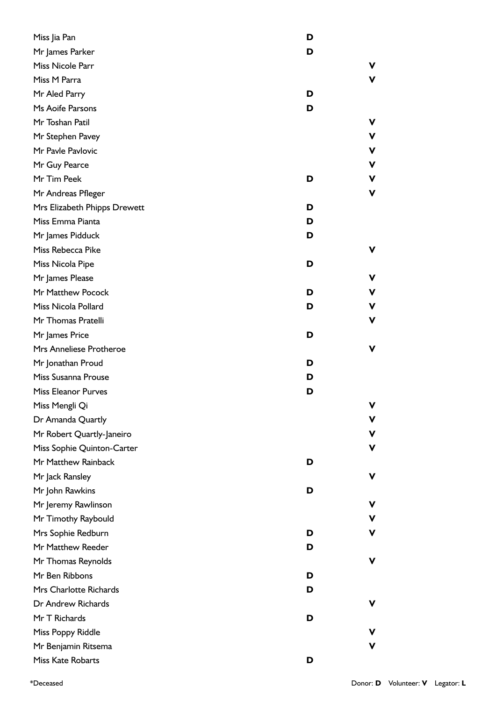| Miss Jia Pan                 | D      |
|------------------------------|--------|
| Mr James Parker              | D      |
| Miss Nicole Parr             | v.     |
| Miss M Parra                 | V      |
| Mr Aled Parry                | D      |
| Ms Aoife Parsons             | D      |
| Mr Toshan Patil              | v      |
| Mr Stephen Pavey             | v      |
| Mr Pavle Pavlovic            | ۷      |
| Mr Guy Pearce                | v      |
| Mr Tim Peek                  | ۷<br>D |
| Mr Andreas Pfleger           | ۷      |
| Mrs Elizabeth Phipps Drewett | D      |
| Miss Emma Pianta             | D      |
| Mr James Pidduck             | D      |
| Miss Rebecca Pike            | ۷      |
| Miss Nicola Pipe             | D      |
| Mr James Please              | V      |
| Mr Matthew Pocock            | D<br>v |
| Miss Nicola Pollard          | D<br>v |
| Mr Thomas Pratelli           | v      |
| Mr James Price               | D      |
| Mrs Anneliese Protheroe      | V      |
| Mr Jonathan Proud            | D      |
| Miss Susanna Prouse          | D      |
| <b>Miss Eleanor Purves</b>   | D      |
| Miss Mengli Qi               | v      |
| Dr Amanda Quartly            | ۷      |
| Mr Robert Quartly-Janeiro    | ۷      |
| Miss Sophie Quinton-Carter   | ۷      |
| Mr Matthew Rainback          | D      |
| Mr Jack Ransley              | ۷      |
| Mr John Rawkins              | D      |
| Mr Jeremy Rawlinson          | V      |
| Mr Timothy Raybould          | v      |
| Mrs Sophie Redburn           | ۷<br>D |
| Mr Matthew Reeder            | D      |
| Mr Thomas Reynolds           | ۷      |
| Mr Ben Ribbons               | D      |
| Mrs Charlotte Richards       | D      |
| Dr Andrew Richards           | ۷      |
| Mr T Richards                | D      |
| Miss Poppy Riddle            | v      |
| Mr Benjamin Ritsema          | v      |
| Miss Kate Robarts            | D      |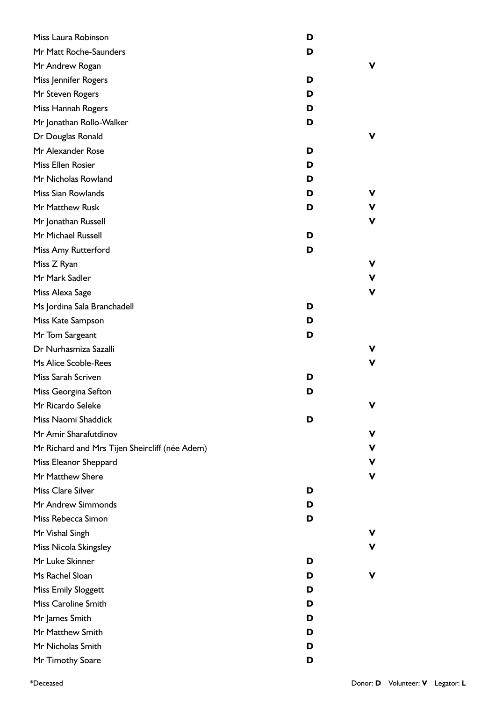| Miss Laura Robinson                            | D |   |
|------------------------------------------------|---|---|
| Mr Matt Roche-Saunders                         | D |   |
| Mr Andrew Rogan                                |   | v |
| Miss Jennifer Rogers                           | D |   |
| Mr Steven Rogers                               | D |   |
| Miss Hannah Rogers                             | D |   |
| Mr Jonathan Rollo-Walker                       | D |   |
| Dr Douglas Ronald                              |   | v |
| Mr Alexander Rose                              | D |   |
| Miss Ellen Rosier                              | D |   |
| Mr Nicholas Rowland                            | D |   |
| Miss Sian Rowlands                             | D | v |
| Mr Matthew Rusk                                | D | ۷ |
| Mr Jonathan Russell                            |   | V |
| Mr Michael Russell                             | D |   |
| Miss Amy Rutterford                            | D |   |
| Miss Z Ryan                                    |   | ۷ |
| Mr Mark Sadler                                 |   | V |
| Miss Alexa Sage                                |   | V |
| Ms Jordina Sala Branchadell                    | D |   |
| Miss Kate Sampson                              | D |   |
| Mr Tom Sargeant                                | D |   |
| Dr Nurhasmiza Sazalli                          |   | v |
| Ms Alice Scoble-Rees                           |   | V |
| Miss Sarah Scriven                             | D |   |
| Miss Georgina Sefton                           | D |   |
| Mr Ricardo Seleke                              |   | v |
| Miss Naomi Shaddick                            | D |   |
| Mr Amir Sharafutdinov                          |   | v |
| Mr Richard and Mrs Tijen Sheircliff (née Adem) |   | v |
| Miss Eleanor Sheppard                          |   | ۷ |
| Mr Matthew Shere                               |   | V |
| <b>Miss Clare Silver</b>                       | D |   |
| Mr Andrew Simmonds                             | D |   |
| Miss Rebecca Simon                             | D |   |
| Mr Vishal Singh                                |   | v |
| Miss Nicola Skingsley                          |   | v |
| Mr Luke Skinner                                | D |   |
| Ms Rachel Sloan                                | D | v |
| <b>Miss Emily Sloggett</b>                     | D |   |
| Miss Caroline Smith                            | D |   |
| Mr James Smith                                 | D |   |
| Mr Matthew Smith                               | D |   |
| Mr Nicholas Smith                              | D |   |
| Mr Timothy Soare                               | D |   |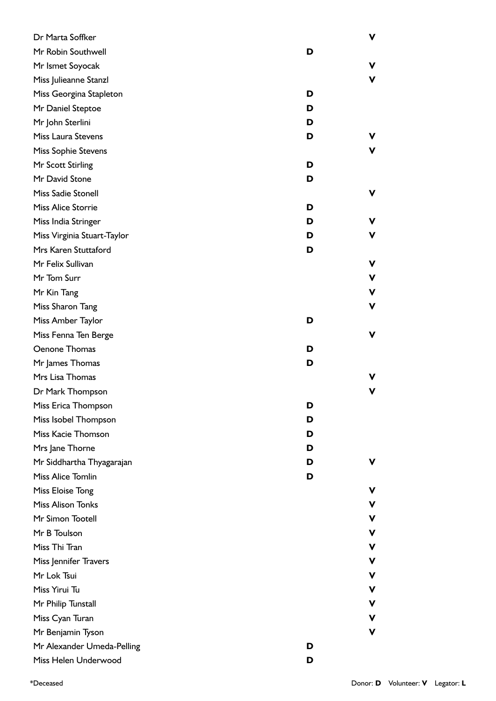| Dr Marta Soffker            |   | V  |
|-----------------------------|---|----|
| Mr Robin Southwell          | D |    |
| Mr Ismet Soyocak            |   | ۷  |
| Miss Julieanne Stanzl       |   | V  |
| Miss Georgina Stapleton     | D |    |
| Mr Daniel Steptoe           | D |    |
| Mr John Sterlini            | D |    |
| Miss Laura Stevens          | D | v. |
| Miss Sophie Stevens         |   | V  |
| Mr Scott Stirling           | D |    |
| Mr David Stone              | D |    |
| Miss Sadie Stonell          |   | ۷  |
| Miss Alice Storrie          | D |    |
| Miss India Stringer         | D | ۷  |
| Miss Virginia Stuart-Taylor | D | v  |
| Mrs Karen Stuttaford        | D |    |
| Mr Felix Sullivan           |   | V  |
| Mr Tom Surr                 |   | v  |
| Mr Kin Tang                 |   | V  |
| Miss Sharon Tang            |   | V  |
| Miss Amber Taylor           | D |    |
| Miss Fenna Ten Berge        |   | V  |
| Oenone Thomas               | D |    |
| Mr James Thomas             | D |    |
| Mrs Lisa Thomas             |   | v. |
| Dr Mark Thompson            |   | v  |
| Miss Erica Thompson         | ט |    |
| Miss Isobel Thompson        | D |    |
| Miss Kacie Thomson          | D |    |
| Mrs Jane Thorne             | D |    |
| Mr Siddhartha Thyagarajan   | D | v  |
| Miss Alice Tomlin           | D |    |
| Miss Eloise Tong            |   | v  |
| <b>Miss Alison Tonks</b>    |   | v  |
| Mr Simon Tootell            |   | v  |
| Mr B Toulson                |   | v  |
| Miss Thi Tran               |   | v  |
| Miss Jennifer Travers       |   | v. |
| Mr Lok Tsui                 |   | v  |
| Miss Yirui Tu               |   | v  |
| Mr Philip Tunstall          |   | v  |
| Miss Cyan Turan             |   | v  |
| Mr Benjamin Tyson           |   | V  |
| Mr Alexander Umeda-Pelling  | D |    |
| Miss Helen Underwood        | D |    |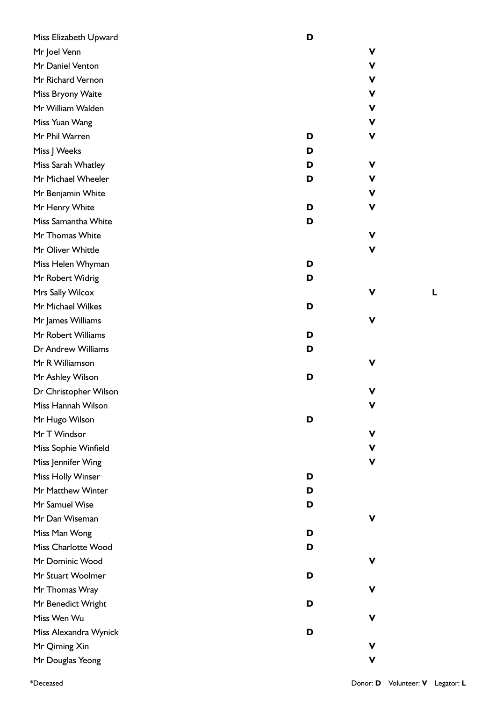| Miss Elizabeth Upward | D |   |
|-----------------------|---|---|
| Mr Joel Venn          |   | V |
| Mr Daniel Venton      |   | ۷ |
| Mr Richard Vernon     |   | v |
| Miss Bryony Waite     |   | V |
| Mr William Walden     |   | ۷ |
| Miss Yuan Wang        |   | ۷ |
| Mr Phil Warren        | D | ۷ |
| Miss J Weeks          | D |   |
| Miss Sarah Whatley    | D | V |
| Mr Michael Wheeler    | D | v |
| Mr Benjamin White     |   | ۷ |
| Mr Henry White        | D | ۷ |
| Miss Samantha White   | D |   |
| Mr Thomas White       |   | V |
| Mr Oliver Whittle     |   | ۷ |
| Miss Helen Whyman     | D |   |
| Mr Robert Widrig      | D |   |
| Mrs Sally Wilcox      |   | v |
| Mr Michael Wilkes     | D |   |
| Mr James Williams     |   | v |
| Mr Robert Williams    | D |   |
| Dr Andrew Williams    | D |   |
| Mr R Williamson       |   | v |
| Mr Ashley Wilson      | D |   |
| Dr Christopher Wilson |   | V |
| Miss Hannah Wilson    |   | v |
| Mr Hugo Wilson        | D |   |
| Mr T Windsor          |   | v |
| Miss Sophie Winfield  |   | v |
| Miss Jennifer Wing    |   | v |
| Miss Holly Winser     | D |   |
| Mr Matthew Winter     | D |   |
| Mr Samuel Wise        | D |   |
| Mr Dan Wiseman        |   | v |
| Miss Man Wong         | D |   |
| Miss Charlotte Wood   | D |   |
| Mr Dominic Wood       |   | v |
| Mr Stuart Woolmer     | D |   |
| Mr Thomas Wray        |   | v |
| Mr Benedict Wright    | D |   |
| Miss Wen Wu           |   | v |
| Miss Alexandra Wynick | D |   |
| Mr Qiming Xin         |   | v |
| Mr Douglas Yeong      |   | V |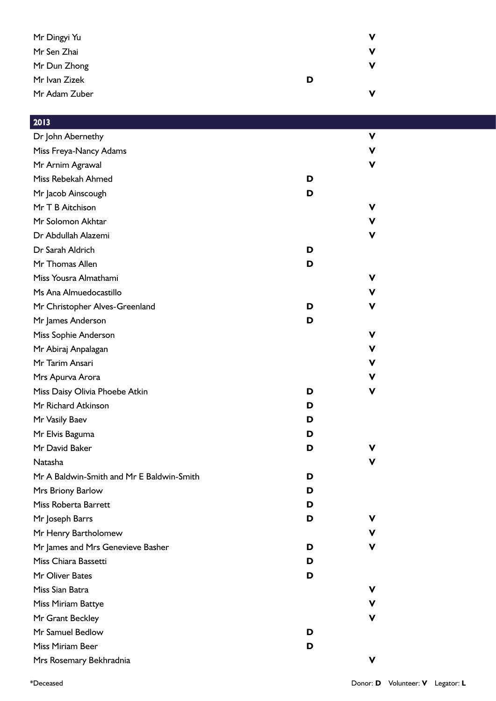| Mr Dingyi Yu  |   | v |
|---------------|---|---|
| Mr Sen Zhai   |   | v |
| Mr Dun Zhong  |   | v |
| Mr Ivan Zizek | D |   |
| Mr Adam Zuber |   | ν |

## 2013

| Dr John Abernethy                         |   | V  |
|-------------------------------------------|---|----|
| Miss Freya-Nancy Adams                    |   | ۷  |
| Mr Arnim Agrawal                          |   | v  |
| Miss Rebekah Ahmed                        | D |    |
| Mr Jacob Ainscough                        | D |    |
| Mr T B Aitchison                          |   | v  |
| Mr Solomon Akhtar                         |   | v  |
| Dr Abdullah Alazemi                       |   | ۷  |
| Dr Sarah Aldrich                          | D |    |
| Mr Thomas Allen                           | D |    |
| Miss Yousra Almathami                     |   | v  |
| Ms Ana Almuedocastillo                    |   | v  |
| Mr Christopher Alves-Greenland            | D | v  |
| Mr James Anderson                         | D |    |
| Miss Sophie Anderson                      |   | v  |
| Mr Abiraj Anpalagan                       |   | v  |
| Mr Tarim Ansari                           |   | v  |
| Mrs Apurva Arora                          |   | v  |
| Miss Daisy Olivia Phoebe Atkin            | D | ۷  |
| Mr Richard Atkinson                       | D |    |
| Mr Vasily Baev                            | D |    |
| Mr Elvis Baguma                           | D |    |
| Mr David Baker                            | D | v  |
| <b>Natasha</b>                            |   | v  |
| Mr A Baldwin-Smith and Mr E Baldwin-Smith | D |    |
| Mrs Briony Barlow                         | D |    |
| Miss Roberta Barrett                      | D |    |
| Mr Joseph Barrs                           | D | v  |
| Mr Henry Bartholomew                      |   | v  |
| Mr James and Mrs Genevieve Basher         | D | v. |
| Miss Chiara Bassetti                      | D |    |
| Mr Oliver Bates                           | D |    |
| Miss Sian Batra                           |   | v  |
| Miss Miriam Battye                        |   | v  |
| Mr Grant Beckley                          |   | v  |
| Mr Samuel Bedlow                          | D |    |
| Miss Miriam Beer                          | D |    |
| Mrs Rosemary Bekhradnia                   |   | ۷  |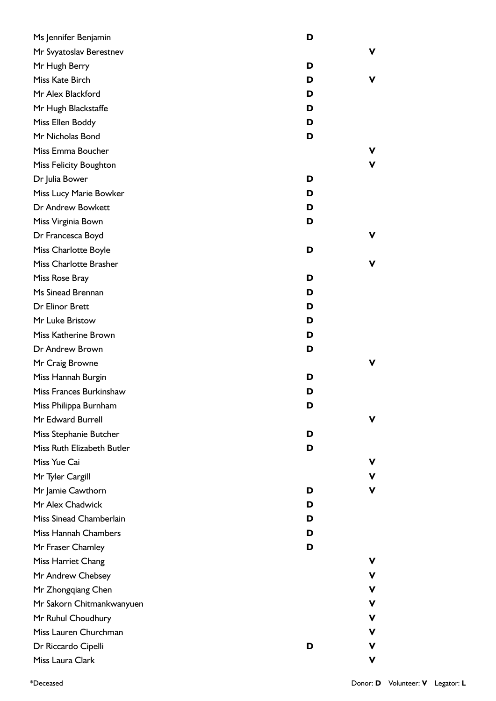| Ms Jennifer Benjamin          | D |    |
|-------------------------------|---|----|
| Mr Svyatoslav Berestnev       |   | v  |
| Mr Hugh Berry                 | D |    |
| Miss Kate Birch               | D | V  |
| Mr Alex Blackford             | D |    |
| Mr Hugh Blackstaffe           | D |    |
| Miss Ellen Boddy              | D |    |
| Mr Nicholas Bond              | D |    |
| Miss Emma Boucher             |   | V  |
| <b>Miss Felicity Boughton</b> |   | v  |
| Dr Julia Bower                | D |    |
| Miss Lucy Marie Bowker        | D |    |
| Dr Andrew Bowkett             | D |    |
| Miss Virginia Bown            | D |    |
| Dr Francesca Boyd             |   | v. |
| Miss Charlotte Boyle          | D |    |
| Miss Charlotte Brasher        |   | V  |
| Miss Rose Bray                | D |    |
| Ms Sinead Brennan             | D |    |
| Dr Elinor Brett               | D |    |
| Mr Luke Bristow               | D |    |
| Miss Katherine Brown          | D |    |
| Dr Andrew Brown               | D |    |
| Mr Craig Browne               |   | V  |
| Miss Hannah Burgin            | D |    |
| Miss Frances Burkinshaw       | D |    |
| Miss Philippa Burnham         | D |    |
| Mr Edward Burrell             |   | v  |
| Miss Stephanie Butcher        | D |    |
| Miss Ruth Elizabeth Butler    | D |    |
| Miss Yue Cai                  |   | v  |
| Mr Tyler Cargill              |   | v  |
| Mr Jamie Cawthorn             | D | V  |
| Mr Alex Chadwick              | D |    |
| Miss Sinead Chamberlain       | D |    |
| Miss Hannah Chambers          | D |    |
| Mr Fraser Chamley             | D |    |
| Miss Harriet Chang            |   | v  |
| Mr Andrew Chebsey             |   | v  |
| Mr Zhongqiang Chen            |   | V  |
| Mr Sakorn Chitmankwanyuen     |   | v  |
| Mr Ruhul Choudhury            |   | v  |
| Miss Lauren Churchman         |   | v  |
| Dr Riccardo Cipelli           | D | v  |
| Miss Laura Clark              |   | V  |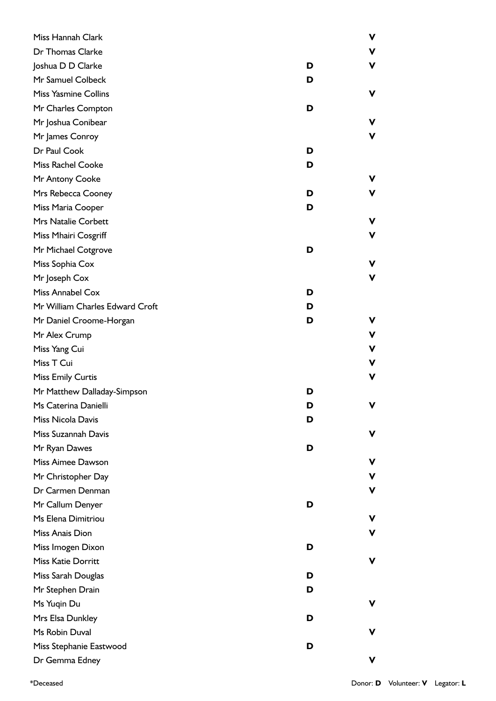| Miss Hannah Clark               | v           |
|---------------------------------|-------------|
| Dr Thomas Clarke                | V           |
| Joshua D D Clarke               | v<br>D      |
| Mr Samuel Colbeck               | D           |
| <b>Miss Yasmine Collins</b>     | v           |
| Mr Charles Compton              | D           |
| Mr Joshua Conibear              | v           |
| Mr James Conroy                 | v           |
| Dr Paul Cook                    | D           |
| Miss Rachel Cooke               | D           |
| Mr Antony Cooke                 | v           |
| Mrs Rebecca Cooney              | D<br>v      |
| Miss Maria Cooper               | D           |
| <b>Mrs Natalie Corbett</b>      | v           |
| Miss Mhairi Cosgriff            | v           |
| Mr Michael Cotgrove             | D           |
| Miss Sophia Cox                 | v           |
| Mr Joseph Cox                   | v           |
| Miss Annabel Cox                | D           |
| Mr William Charles Edward Croft | D           |
| Mr Daniel Croome-Horgan         | D<br>v      |
| Mr Alex Crump                   | V           |
| Miss Yang Cui                   | $\mathbf v$ |
| Miss T Cui                      | V           |
| <b>Miss Emily Curtis</b>        | V           |
| Mr Matthew Dalladay-Simpson     | D           |
| Ms Caterina Danielli            | D<br>v      |
| Miss Nicola Davis               | D           |
| Miss Suzannah Davis             | v           |
| Mr Ryan Dawes                   | D           |
| Miss Aimee Dawson               | v           |
| Mr Christopher Day              | v           |
| Dr Carmen Denman                | v           |
| Mr Callum Denyer                | D           |
| Ms Elena Dimitriou              | v           |
| Miss Anais Dion                 | v           |
| Miss Imogen Dixon               | D           |
| Miss Katie Dorritt              | v           |
| Miss Sarah Douglas              | D           |
| Mr Stephen Drain                | D           |
| Ms Yuqin Du                     | v           |
| Mrs Elsa Dunkley                | D           |
| Ms Robin Duval                  | v           |
| Miss Stephanie Eastwood         | D           |
| Dr Gemma Edney                  | v           |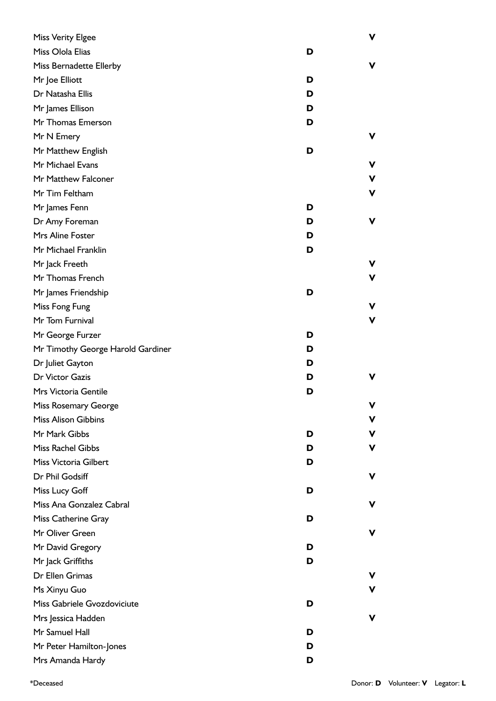| <b>Miss Verity Elgee</b>          |   | v           |
|-----------------------------------|---|-------------|
| Miss Olola Elias                  | D |             |
| Miss Bernadette Ellerby           |   | v           |
| Mr Joe Elliott                    | D |             |
| Dr Natasha Ellis                  | D |             |
| Mr James Ellison                  | D |             |
| Mr Thomas Emerson                 | D |             |
| Mr N Emery                        |   | v           |
| Mr Matthew English                | D |             |
| Mr Michael Evans                  |   | v           |
| Mr Matthew Falconer               |   | ۷           |
| Mr Tim Feltham                    |   | V           |
| Mr James Fenn                     | D |             |
| Dr Amy Foreman                    | D | ۷           |
| Mrs Aline Foster                  | D |             |
| Mr Michael Franklin               | D |             |
| Mr Jack Freeth                    |   | v           |
| Mr Thomas French                  |   | v           |
| Mr James Friendship               | D |             |
| Miss Fong Fung                    |   | ۷           |
| Mr Tom Furnival                   |   | $\mathbf v$ |
| Mr George Furzer                  | D |             |
| Mr Timothy George Harold Gardiner | D |             |
| Dr Juliet Gayton                  | D |             |
| Dr Victor Gazis                   | D | v           |
| Mrs Victoria Gentile              | D |             |
| Miss Rosemary George              |   | v           |
| <b>Miss Alison Gibbins</b>        |   | v           |
| Mr Mark Gibbs                     | D | v           |
| Miss Rachel Gibbs                 | D | v           |
| Miss Victoria Gilbert             | D |             |
| Dr Phil Godsiff                   |   | v           |
| Miss Lucy Goff                    | D |             |
| Miss Ana Gonzalez Cabral          |   | v           |
| Miss Catherine Gray               | D |             |
| Mr Oliver Green                   |   | v           |
| Mr David Gregory                  | D |             |
| Mr Jack Griffiths                 | D |             |
| Dr Ellen Grimas                   |   |             |
| Ms Xinyu Guo                      |   | v           |
| Miss Gabriele Gvozdoviciute       | D |             |
| Mrs Jessica Hadden                |   | v           |
| Mr Samuel Hall                    | D |             |
| Mr Peter Hamilton-Jones           | D |             |
| Mrs Amanda Hardy                  | D |             |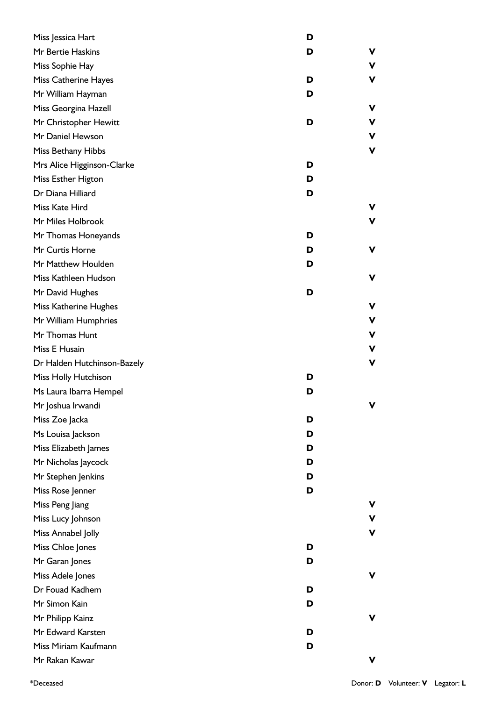| Miss Jessica Hart           | D |   |
|-----------------------------|---|---|
| Mr Bertie Haskins           | D | ۷ |
| Miss Sophie Hay             |   | v |
| Miss Catherine Hayes        | D | ۷ |
| Mr William Hayman           | D |   |
| Miss Georgina Hazell        |   | v |
| Mr Christopher Hewitt       | D | v |
| Mr Daniel Hewson            |   | ۷ |
| Miss Bethany Hibbs          |   | V |
| Mrs Alice Higginson-Clarke  | D |   |
| Miss Esther Higton          | D |   |
| Dr Diana Hilliard           | D |   |
| Miss Kate Hird              |   | v |
| Mr Miles Holbrook           |   | V |
| Mr Thomas Honeyands         | D |   |
| Mr Curtis Horne             | D | ۷ |
| Mr Matthew Houlden          | D |   |
| Miss Kathleen Hudson        |   | v |
| Mr David Hughes             | D |   |
| Miss Katherine Hughes       |   | ۷ |
| Mr William Humphries        |   | ۷ |
| Mr Thomas Hunt              |   | ۷ |
| Miss E Husain               |   | v |
| Dr Halden Hutchinson-Bazely |   | ۷ |
| Miss Holly Hutchison        | D |   |
| Ms Laura Ibarra Hempel      | D |   |
| Mr Joshua Irwandi           |   | v |
| Miss Zoe Jacka              | D |   |
| Ms Louisa Jackson           | D |   |
| Miss Elizabeth James        | D |   |
| Mr Nicholas Jaycock         | D |   |
| Mr Stephen Jenkins          | D |   |
| Miss Rose Jenner            | D |   |
| Miss Peng Jiang             |   | ۷ |
| Miss Lucy Johnson           |   | v |
| Miss Annabel Jolly          |   | V |
| Miss Chloe Jones            | D |   |
| Mr Garan Jones              | D |   |
| Miss Adele Jones            |   | ۷ |
| Dr Fouad Kadhem             | D |   |
| Mr Simon Kain               | D |   |
| Mr Philipp Kainz            |   | ۷ |
| Mr Edward Karsten           | D |   |
| Miss Miriam Kaufmann        | D |   |
| Mr Rakan Kawar              |   | ۷ |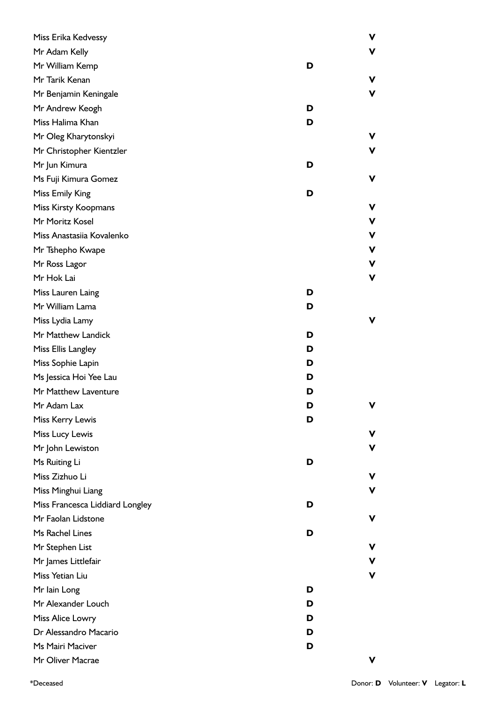| Miss Erika Kedvessy             |   | V |
|---------------------------------|---|---|
| Mr Adam Kelly                   |   | v |
| Mr William Kemp                 | D |   |
| Mr Tarik Kenan                  |   | v |
| Mr Benjamin Keningale           |   | v |
| Mr Andrew Keogh                 | D |   |
| Miss Halima Khan                | D |   |
| Mr Oleg Kharytonskyi            |   | v |
| Mr Christopher Kientzler        |   | v |
| Mr Jun Kimura                   | D |   |
| Ms Fuji Kimura Gomez            |   | v |
| Miss Emily King                 | D |   |
| Miss Kirsty Koopmans            |   | ۷ |
| Mr Moritz Kosel                 |   | V |
| Miss Anastasiia Kovalenko       |   | V |
| Mr Tshepho Kwape                |   | V |
| Mr Ross Lagor                   |   | V |
| Mr Hok Lai                      |   | ۷ |
| Miss Lauren Laing               | D |   |
| Mr William Lama                 | D |   |
| Miss Lydia Lamy                 |   | v |
| Mr Matthew Landick              | D |   |
| Miss Ellis Langley              | D |   |
| Miss Sophie Lapin               | D |   |
| Ms Jessica Hoi Yee Lau          | D |   |
| Mr Matthew Laventure            | D |   |
| Mr Adam Lax                     | D | v |
| Miss Kerry Lewis                | D |   |
| Miss Lucy Lewis                 |   | v |
| Mr John Lewiston                |   | v |
| Ms Ruiting Li                   | D |   |
| Miss Zizhuo Li                  |   |   |
| Miss Minghui Liang              |   | v |
| Miss Francesca Liddiard Longley | D |   |
| Mr Faolan Lidstone              |   | v |
| Ms Rachel Lines                 | D |   |
| Mr Stephen List                 |   | v |
| Mr James Littlefair             |   | V |
| Miss Yetian Liu                 |   | v |
| Mr lain Long                    | D |   |
| Mr Alexander Louch              | D |   |
| Miss Alice Lowry                | D |   |
| Dr Alessandro Macario           | D |   |
| Ms Mairi Maciver                | D |   |
| Mr Oliver Macrae                |   | v |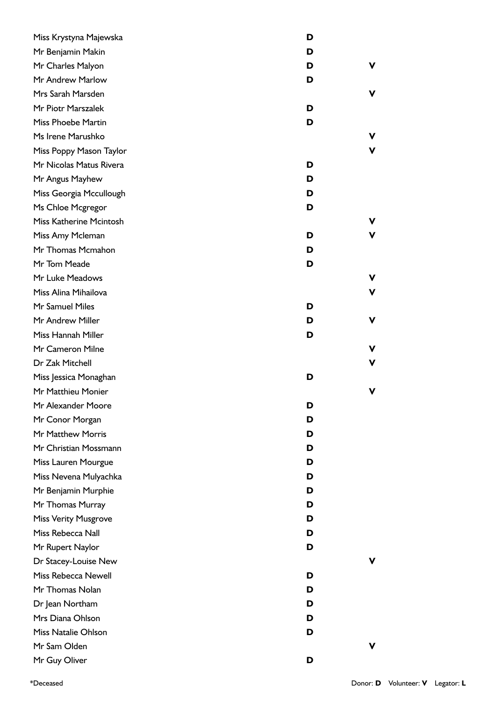| Miss Krystyna Majewska      | D |   |
|-----------------------------|---|---|
| Mr Benjamin Makin           | D |   |
| Mr Charles Malyon           | D | v |
| Mr Andrew Marlow            | D |   |
| Mrs Sarah Marsden           |   | v |
| Mr Piotr Marszalek          | D |   |
| Miss Phoebe Martin          | D |   |
| Ms Irene Marushko           |   | v |
| Miss Poppy Mason Taylor     |   | v |
| Mr Nicolas Matus Rivera     | D |   |
| Mr Angus Mayhew             | D |   |
| Miss Georgia Mccullough     | D |   |
| Ms Chloe Mcgregor           | D |   |
| Miss Katherine Mcintosh     |   | V |
| Miss Amy Mcleman            | D | v |
| Mr Thomas Mcmahon           | D |   |
| Mr Tom Meade                | D |   |
| Mr Luke Meadows             |   | ۷ |
| Miss Alina Mihailova        |   | v |
| Mr Samuel Miles             | D |   |
| Mr Andrew Miller            | D | v |
| Miss Hannah Miller          | D |   |
| Mr Cameron Milne            |   | ۷ |
| Dr Zak Mitchell             |   | v |
| Miss Jessica Monaghan       | D |   |
| Mr Matthieu Monier          |   | v |
| Mr Alexander Moore          | D |   |
| Mr Conor Morgan             | D |   |
| Mr Matthew Morris           | D |   |
| Mr Christian Mossmann       | D |   |
| Miss Lauren Mourgue         | D |   |
| Miss Nevena Mulyachka       | D |   |
| Mr Benjamin Murphie         | D |   |
| Mr Thomas Murray            | D |   |
| <b>Miss Verity Musgrove</b> | D |   |
| Miss Rebecca Nall           | D |   |
| Mr Rupert Naylor            | D |   |
| Dr Stacey-Louise New        |   |   |
| Miss Rebecca Newell         | D |   |
| Mr Thomas Nolan             | D |   |
| Dr Jean Northam             | D |   |
| Mrs Diana Ohlson            | D |   |
| Miss Natalie Ohlson         | D |   |
| Mr Sam Olden                |   | v |
| Mr Guy Oliver               | D |   |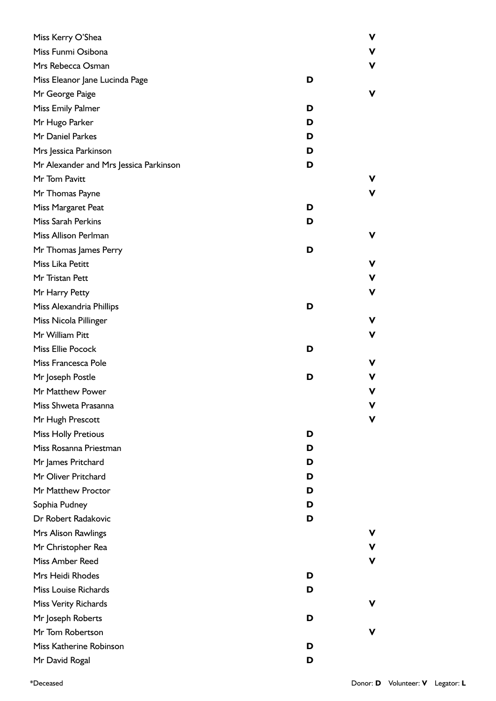| Miss Kerry O'Shea                      |   | ۷ |
|----------------------------------------|---|---|
| Miss Funmi Osibona                     |   | V |
| Mrs Rebecca Osman                      |   | V |
| Miss Eleanor Jane Lucinda Page         | D |   |
| Mr George Paige                        |   | v |
| Miss Emily Palmer                      | D |   |
| Mr Hugo Parker                         | D |   |
| Mr Daniel Parkes                       | D |   |
| Mrs Jessica Parkinson                  | D |   |
| Mr Alexander and Mrs Jessica Parkinson | D |   |
| Mr Tom Pavitt                          |   | V |
| Mr Thomas Payne                        |   | V |
| Miss Margaret Peat                     | D |   |
| Miss Sarah Perkins                     | D |   |
| Miss Allison Perlman                   |   | v |
| Mr Thomas James Perry                  | D |   |
| Miss Lika Petitt                       |   | ۷ |
| Mr Tristan Pett                        |   | V |
| Mr Harry Petty                         |   | V |
| Miss Alexandria Phillips               | D |   |
| Miss Nicola Pillinger                  |   | v |
| Mr William Pitt                        |   | ۷ |
| Miss Ellie Pocock                      | D |   |
| Miss Francesca Pole                    |   | v |
| Mr Joseph Postle                       | D |   |
| Mr Matthew Power                       |   | v |
| Miss Shweta Prasanna                   |   |   |
| Mr Hugh Prescott                       |   | v |
| <b>Miss Holly Pretious</b>             | D |   |
| Miss Rosanna Priestman                 | D |   |
| Mr James Pritchard                     | D |   |
| Mr Oliver Pritchard                    | D |   |
| Mr Matthew Proctor                     | D |   |
| Sophia Pudney                          | D |   |
| Dr Robert Radakovic                    | D |   |
| Mrs Alison Rawlings                    |   |   |
| Mr Christopher Rea                     |   | v |
| Miss Amber Reed                        |   | ۷ |
| Mrs Heidi Rhodes                       | D |   |
| Miss Louise Richards                   | D |   |
| Miss Verity Richards                   |   | v |
| Mr Joseph Roberts                      | D |   |
| Mr Tom Robertson                       |   | v |
| Miss Katherine Robinson                | D |   |
| Mr David Rogal                         | D |   |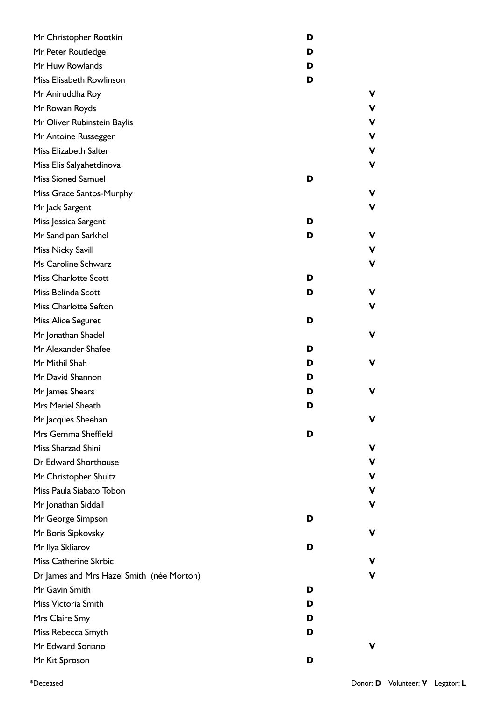| Mr Christopher Rootkin                    | D |    |
|-------------------------------------------|---|----|
| Mr Peter Routledge                        | D |    |
| Mr Huw Rowlands                           | D |    |
| Miss Elisabeth Rowlinson                  | D |    |
| Mr Aniruddha Roy                          |   | V  |
| Mr Rowan Royds                            |   | v  |
| Mr Oliver Rubinstein Baylis               |   | v  |
| Mr Antoine Russegger                      |   | V  |
| Miss Elizabeth Salter                     |   | v  |
| Miss Elis Salyahetdinova                  |   | ۷  |
| <b>Miss Sioned Samuel</b>                 | D |    |
| Miss Grace Santos-Murphy                  |   | ۷  |
| Mr Jack Sargent                           |   | v  |
| Miss Jessica Sargent                      | D |    |
| Mr Sandipan Sarkhel                       | D | ۷  |
| Miss Nicky Savill                         |   | ۷  |
| Ms Caroline Schwarz                       |   | ۷  |
| <b>Miss Charlotte Scott</b>               | D |    |
| Miss Belinda Scott                        | D | V  |
| Miss Charlotte Sefton                     |   | v  |
| Miss Alice Seguret                        | D |    |
| Mr Jonathan Shadel                        |   | ۷  |
| Mr Alexander Shafee                       | D |    |
| Mr Mithil Shah                            | D | ۷  |
| Mr David Shannon                          | D |    |
| Mr James Shears                           | D | ۷  |
| Mrs Meriel Sheath                         | ט |    |
| Mr Jacques Sheehan                        |   | ۷  |
| Mrs Gemma Sheffield                       | D |    |
| Miss Sharzad Shini                        |   | v  |
| Dr Edward Shorthouse                      |   | v  |
| Mr Christopher Shultz                     |   | v. |
| Miss Paula Siabato Tobon                  |   | ۷  |
| Mr Jonathan Siddall                       |   | ۷  |
| Mr George Simpson                         | D |    |
| Mr Boris Sipkovsky                        |   | ۷  |
| Mr Ilya Skliarov                          | D |    |
| Miss Catherine Skrbic                     |   | v  |
| Dr James and Mrs Hazel Smith (née Morton) |   | ۷  |
| Mr Gavin Smith                            | D |    |
| Miss Victoria Smith                       | D |    |
| Mrs Claire Smy                            | D |    |
| Miss Rebecca Smyth                        | D |    |
| Mr Edward Soriano                         |   | ۷  |
| Mr Kit Sproson                            | D |    |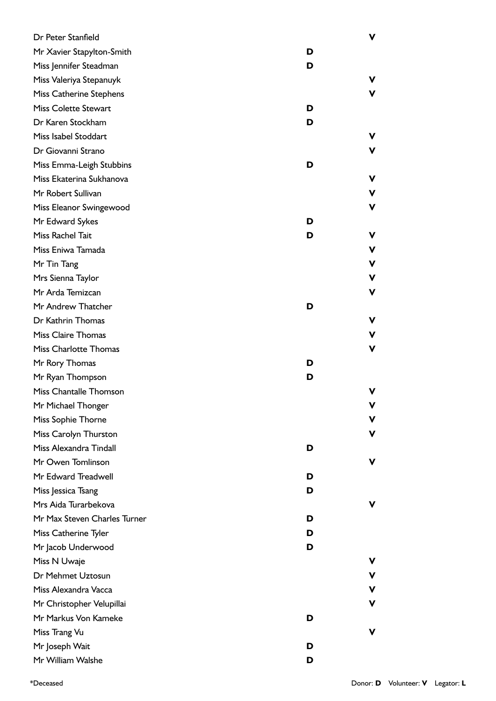| Dr Peter Stanfield           |   | ۷ |
|------------------------------|---|---|
| Mr Xavier Stapylton-Smith    | D |   |
| Miss Jennifer Steadman       | D |   |
| Miss Valeriya Stepanuyk      |   | v |
| Miss Catherine Stephens      |   | V |
| <b>Miss Colette Stewart</b>  | D |   |
| Dr Karen Stockham            | D |   |
| Miss Isabel Stoddart         |   | v |
| Dr Giovanni Strano           |   | V |
| Miss Emma-Leigh Stubbins     | D |   |
| Miss Ekaterina Sukhanova     |   | v |
| Mr Robert Sullivan           |   | v |
| Miss Eleanor Swingewood      |   | ۷ |
| Mr Edward Sykes              | D |   |
| Miss Rachel Tait             | D | v |
| Miss Eniwa Tamada            |   | v |
| Mr Tin Tang                  |   | ۷ |
| Mrs Sienna Taylor            |   | v |
| Mr Arda Temizcan             |   | v |
| Mr Andrew Thatcher           | D |   |
| Dr Kathrin Thomas            |   | v |
| <b>Miss Claire Thomas</b>    |   | v |
| <b>Miss Charlotte Thomas</b> |   | V |
| Mr Rory Thomas               | D |   |
| Mr Ryan Thompson             | D |   |
| Miss Chantalle Thomson       |   | v |
| Mr Michael Thonger           |   |   |
| Miss Sophie Thorne           |   | v |
| Miss Carolyn Thurston        |   | ۷ |
| Miss Alexandra Tindall       | D |   |
| Mr Owen Tomlinson            |   | v |
| Mr Edward Treadwell          | D |   |
| Miss Jessica Tsang           | D |   |
| Mrs Aida Turarbekova         |   | v |
| Mr Max Steven Charles Turner | D |   |
| Miss Catherine Tyler         | D |   |
| Mr Jacob Underwood           | D |   |
| Miss N Uwaje                 |   | v |
| Dr Mehmet Uztosun            |   | V |
| Miss Alexandra Vacca         |   | v |
| Mr Christopher Velupillai    |   | ۷ |
| Mr Markus Von Kameke         | D |   |
| Miss Trang Vu                |   | v |
| Mr Joseph Wait               | D |   |
| Mr William Walshe            | D |   |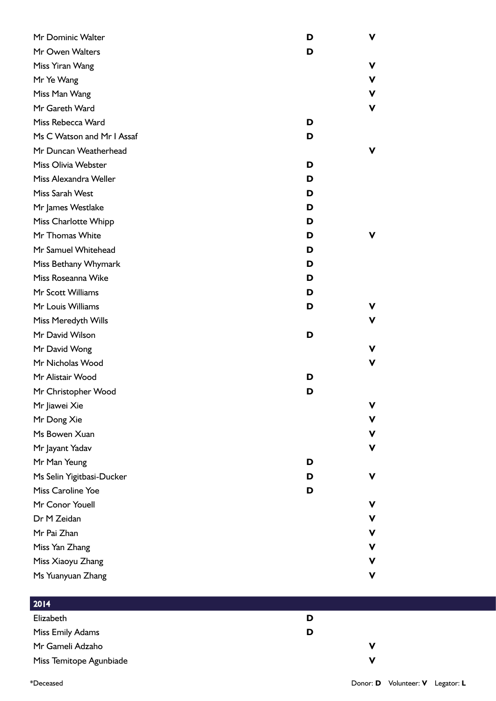| Mr Dominic Walter          | D | v           |
|----------------------------|---|-------------|
| Mr Owen Walters            | D |             |
| Miss Yiran Wang            |   | v           |
| Mr Ye Wang                 |   | v           |
| Miss Man Wang              |   | v           |
| Mr Gareth Ward             |   | ۷           |
| Miss Rebecca Ward          | D |             |
| Ms C Watson and Mr I Assaf | D |             |
| Mr Duncan Weatherhead      |   | ۷           |
| Miss Olivia Webster        | D |             |
| Miss Alexandra Weller      | D |             |
| Miss Sarah West            | D |             |
| Mr James Westlake          | D |             |
| Miss Charlotte Whipp       | D |             |
| Mr Thomas White            | D | v           |
| Mr Samuel Whitehead        | D |             |
| Miss Bethany Whymark       | D |             |
| Miss Roseanna Wike         | D |             |
| Mr Scott Williams          | D |             |
| Mr Louis Williams          | D | v.          |
| Miss Meredyth Wills        |   | v           |
| Mr David Wilson            | D |             |
| Mr David Wong              |   | v           |
| Mr Nicholas Wood           |   | ۷           |
| Mr Alistair Wood           | D |             |
| Mr Christopher Wood        | D |             |
| Mr Jiawei Xie              |   | $\mathbf v$ |
| Mr Dong Xie                |   | v           |
| Ms Bowen Xuan              |   | v           |
| Mr Jayant Yadav            |   | ۷           |
| Mr Man Yeung               | D |             |
| Ms Selin Yigitbasi-Ducker  | D | ۷           |
| Miss Caroline Yoe          | D |             |
| Mr Conor Youell            |   | v           |
| Dr M Zeidan                |   | v           |
| Mr Pai Zhan                |   | ۷           |
| Miss Yan Zhang             |   | v           |
| Miss Xiaoyu Zhang          |   | v           |
| Ms Yuanyuan Zhang          |   | ۷           |

| 2014                    |   |   |
|-------------------------|---|---|
| Elizabeth               | D |   |
| Miss Emily Adams        | D |   |
| Mr Gameli Adzaho        |   |   |
| Miss Temitope Agunbiade |   | v |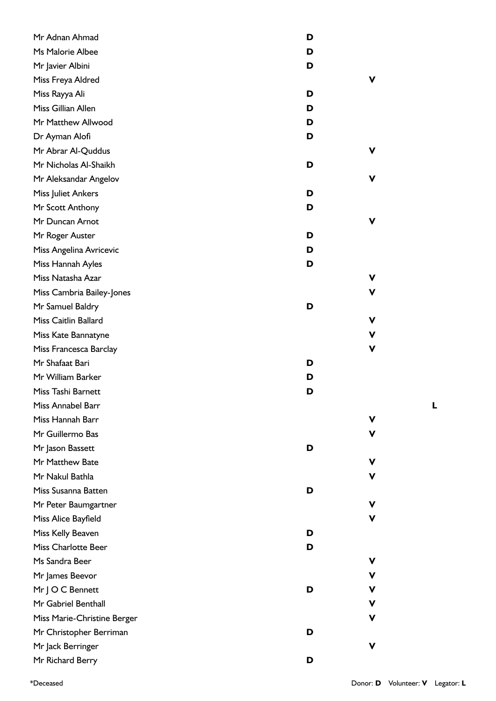| Mr Adnan Ahmad              | D      |
|-----------------------------|--------|
| Ms Malorie Albee            | D      |
| Mr Javier Albini            | D      |
| Miss Freya Aldred           | v      |
| Miss Rayya Ali              | D      |
| Miss Gillian Allen          | D      |
| Mr Matthew Allwood          | D      |
| Dr Ayman Alofi              | D      |
| Mr Abrar Al-Quddus          | v      |
| Mr Nicholas Al-Shaikh       | D      |
| Mr Aleksandar Angelov       | v      |
| Miss Juliet Ankers          | D      |
| Mr Scott Anthony            | D      |
| Mr Duncan Arnot             | v      |
| Mr Roger Auster             | D      |
| Miss Angelina Avricevic     | D      |
| Miss Hannah Ayles           | D      |
| Miss Natasha Azar           | v      |
| Miss Cambria Bailey-Jones   | v      |
| Mr Samuel Baldry            | D      |
| Miss Caitlin Ballard        | ۷      |
| Miss Kate Bannatyne         | ۷      |
| Miss Francesca Barclay      | V      |
| Mr Shafaat Bari             | D      |
| Mr William Barker           | D      |
| Miss Tashi Barnett          | D      |
| Miss Annabel Barr           |        |
| Miss Hannah Barr            | v      |
| Mr Guillermo Bas            | v      |
| Mr Jason Bassett            | D      |
| Mr Matthew Bate             | v      |
| Mr Nakul Bathla             | v      |
| Miss Susanna Batten         | D      |
| Mr Peter Baumgartner        | v      |
| Miss Alice Bayfield         | v      |
| Miss Kelly Beaven           | D      |
| <b>Miss Charlotte Beer</b>  | D      |
| Ms Sandra Beer              | v      |
| Mr James Beevor             | ۷      |
| Mr J O C Bennett            | ۷<br>D |
| Mr Gabriel Benthall         | V      |
| Miss Marie-Christine Berger | v      |
| Mr Christopher Berriman     | D      |
| Mr Jack Berringer           | v      |
| Mr Richard Berry            | D      |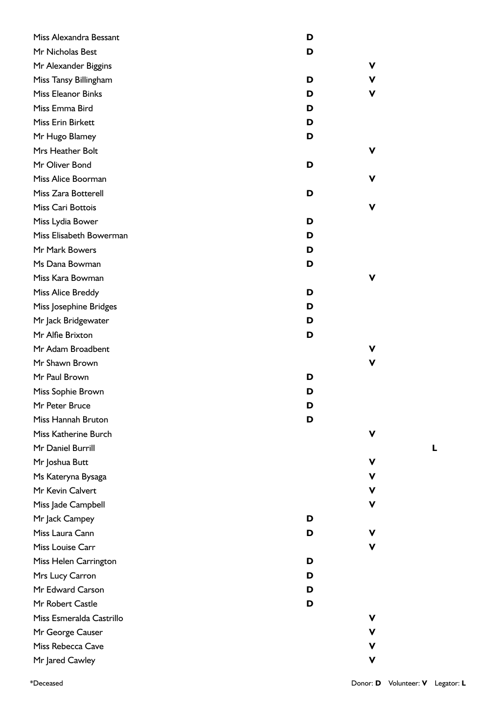| Miss Alexandra Bessant    | D      |
|---------------------------|--------|
| Mr Nicholas Best          | D      |
| Mr Alexander Biggins      | v      |
| Miss Tansy Billingham     | D<br>v |
| <b>Miss Eleanor Binks</b> | D<br>۷ |
| Miss Emma Bird            | D      |
| Miss Erin Birkett         | D      |
| Mr Hugo Blamey            | D      |
| Mrs Heather Bolt          | v      |
| Mr Oliver Bond            | D      |
| Miss Alice Boorman        | v      |
| Miss Zara Botterell       | D      |
| Miss Cari Bottois         | v      |
| Miss Lydia Bower          | D      |
| Miss Elisabeth Bowerman   | D      |
| Mr Mark Bowers            | D      |
| Ms Dana Bowman            | D      |
| Miss Kara Bowman          | v      |
| Miss Alice Breddy         | D      |
| Miss Josephine Bridges    | D      |
| Mr Jack Bridgewater       | D      |
| Mr Alfie Brixton          | D      |
| Mr Adam Broadbent         | V      |
| Mr Shawn Brown            | v      |
| Mr Paul Brown             | D      |
| Miss Sophie Brown         | D      |
| Mr Peter Bruce            | D      |
| Miss Hannah Bruton        | D      |
| Miss Katherine Burch      | v      |
| Mr Daniel Burrill         |        |
| Mr Joshua Butt            | v      |
| Ms Kateryna Bysaga        | v      |
| Mr Kevin Calvert          | V      |
| Miss Jade Campbell        | v      |
| Mr Jack Campey            | D      |
| Miss Laura Cann           | V<br>D |
| Miss Louise Carr          | v      |
| Miss Helen Carrington     | D      |
| Mrs Lucy Carron           | D      |
| Mr Edward Carson          | D      |
| Mr Robert Castle          | D      |
| Miss Esmeralda Castrillo  | v      |
| Mr George Causer          | v      |
| Miss Rebecca Cave         | v      |
| Mr Jared Cawley           | v      |
|                           |        |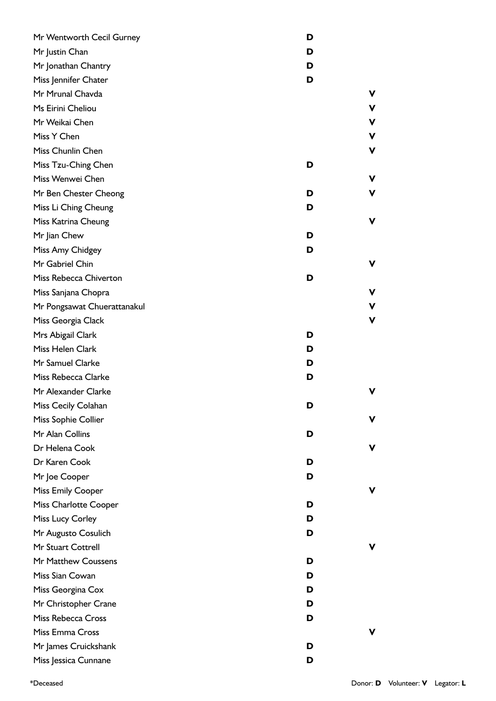| Mr Wentworth Cecil Gurney   | D |   |
|-----------------------------|---|---|
| Mr Justin Chan              | D |   |
| Mr Jonathan Chantry         | D |   |
| Miss Jennifer Chater        | D |   |
| Mr Mrunal Chavda            |   | V |
| Ms Eirini Cheliou           |   | ۷ |
| Mr Weikai Chen              |   | v |
| Miss Y Chen                 |   | v |
| Miss Chunlin Chen           |   | v |
| Miss Tzu-Ching Chen         | D |   |
| Miss Wenwei Chen            |   | v |
| Mr Ben Chester Cheong       | D | ۷ |
| Miss Li Ching Cheung        | D |   |
| Miss Katrina Cheung         |   | V |
| Mr Jian Chew                | D |   |
| Miss Amy Chidgey            | D |   |
| Mr Gabriel Chin             |   | ۷ |
| Miss Rebecca Chiverton      | D |   |
| Miss Sanjana Chopra         |   | v |
| Mr Pongsawat Chuerattanakul |   | v |
| Miss Georgia Clack          |   | v |
| Mrs Abigail Clark           | D |   |
| Miss Helen Clark            | D |   |
| Mr Samuel Clarke            | D |   |
| Miss Rebecca Clarke         | D |   |
| Mr Alexander Clarke         |   | v |
| Miss Cecily Colahan         | D |   |
| Miss Sophie Collier         |   | ۷ |
| Mr Alan Collins             | D |   |
| Dr Helena Cook              |   | ۷ |
| Dr Karen Cook               | D |   |
| Mr Joe Cooper               | D |   |
| <b>Miss Emily Cooper</b>    |   | ۷ |
| Miss Charlotte Cooper       | D |   |
| Miss Lucy Corley            | D |   |
| Mr Augusto Cosulich         | D |   |
| Mr Stuart Cottrell          |   | V |
| Mr Matthew Coussens         | D |   |
| Miss Sian Cowan             | D |   |
| Miss Georgina Cox           | D |   |
| Mr Christopher Crane        | D |   |
| Miss Rebecca Cross          | D |   |
| Miss Emma Cross             |   | v |
| Mr James Cruickshank        | D |   |
| Miss Jessica Cunnane        | D |   |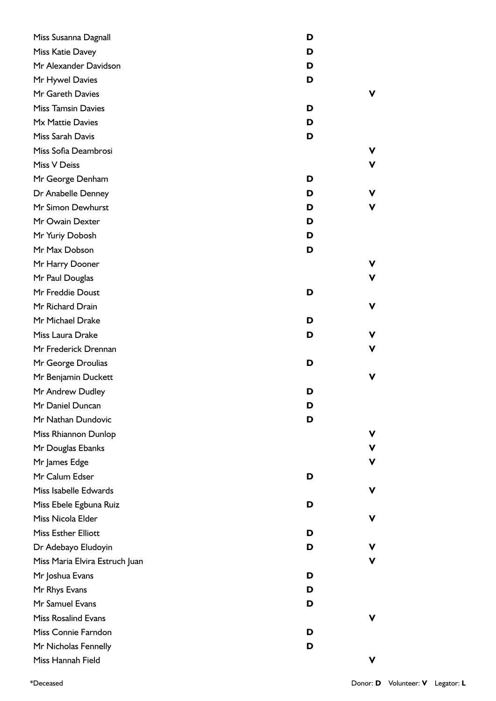| Miss Susanna Dagnall           | D |   |
|--------------------------------|---|---|
| Miss Katie Davey               | D |   |
| Mr Alexander Davidson          | D |   |
| Mr Hywel Davies                | D |   |
| Mr Gareth Davies               |   | v |
| <b>Miss Tamsin Davies</b>      | D |   |
| Mx Mattie Davies               | D |   |
| Miss Sarah Davis               | D |   |
| Miss Sofia Deambrosi           |   | v |
| Miss V Deiss                   |   | v |
| Mr George Denham               | D |   |
| Dr Anabelle Denney             | D | v |
| Mr Simon Dewhurst              | D | v |
| Mr Owain Dexter                | D |   |
| Mr Yuriy Dobosh                | D |   |
| Mr Max Dobson                  | D |   |
| Mr Harry Dooner                |   | v |
| Mr Paul Douglas                |   | v |
| Mr Freddie Doust               | D |   |
| Mr Richard Drain               |   | v |
| Mr Michael Drake               | D |   |
| Miss Laura Drake               | D | v |
| Mr Frederick Drennan           |   | v |
| Mr George Droulias             | D |   |
| Mr Benjamin Duckett            |   | v |
| Mr Andrew Dudley               | D |   |
| Mr Daniel Duncan               | ט |   |
| Mr Nathan Dundovic             | D |   |
| Miss Rhiannon Dunlop           |   | v |
| Mr Douglas Ebanks              |   | ۷ |
| Mr James Edge                  |   | v |
| Mr Calum Edser                 | D |   |
| Miss Isabelle Edwards          |   | v |
| Miss Ebele Egbuna Ruiz         | D |   |
| Miss Nicola Elder              |   | v |
| <b>Miss Esther Elliott</b>     | D |   |
| Dr Adebayo Eludoyin            | D |   |
| Miss Maria Elvira Estruch Juan |   | v |
| Mr Joshua Evans                | D |   |
| Mr Rhys Evans                  | D |   |
| Mr Samuel Evans                | D |   |
| <b>Miss Rosalind Evans</b>     |   | v |
| Miss Connie Farndon            | D |   |
| Mr Nicholas Fennelly           | D |   |
| Miss Hannah Field              |   | v |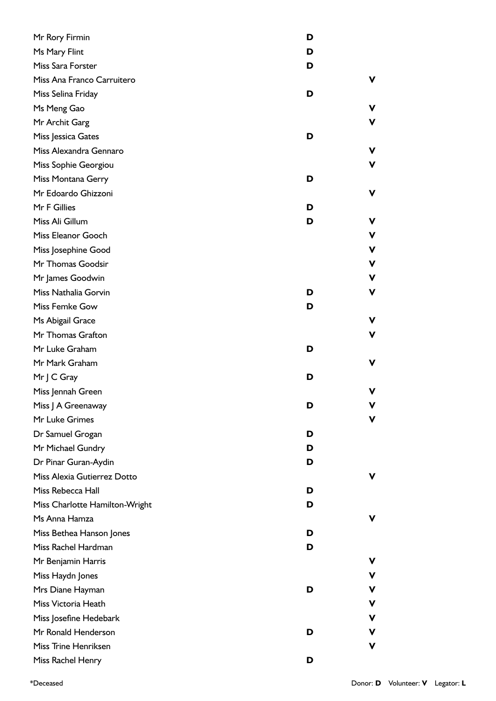| Mr Rory Firmin                 | D |   |
|--------------------------------|---|---|
| Ms Mary Flint                  | D |   |
| Miss Sara Forster              | D |   |
| Miss Ana Franco Carruitero     |   | ۷ |
| Miss Selina Friday             | D |   |
| Ms Meng Gao                    |   | v |
| Mr Archit Garg                 |   | V |
| Miss Jessica Gates             | D |   |
| Miss Alexandra Gennaro         |   | ۷ |
| Miss Sophie Georgiou           |   | ۷ |
| Miss Montana Gerry             | D |   |
| Mr Edoardo Ghizzoni            |   | v |
| Mr F Gillies                   | D |   |
| Miss Ali Gillum                | D | v |
| Miss Eleanor Gooch             |   | V |
| Miss Josephine Good            |   | V |
| Mr Thomas Goodsir              |   | V |
| Mr James Goodwin               |   | ۷ |
| Miss Nathalia Gorvin           | D | v |
| Miss Femke Gow                 | D |   |
| Ms Abigail Grace               |   | ۷ |
| Mr Thomas Grafton              |   | ۷ |
| Mr Luke Graham                 | D |   |
| Mr Mark Graham                 |   | v |
| Mr   C Gray                    | D |   |
| Miss Jennah Green              |   | v |
| Miss J A Greenaway             | ט |   |
| Mr Luke Grimes                 |   | v |
| Dr Samuel Grogan               | D |   |
| Mr Michael Gundry              | D |   |
| Dr Pinar Guran-Aydin           | D |   |
| Miss Alexia Gutierrez Dotto    |   | v |
| Miss Rebecca Hall              | D |   |
| Miss Charlotte Hamilton-Wright | D |   |
| Ms Anna Hamza                  |   | v |
| Miss Bethea Hanson Jones       | D |   |
| Miss Rachel Hardman            | D |   |
| Mr Benjamin Harris             |   | v |
| Miss Haydn Jones               |   | ۷ |
| Mrs Diane Hayman               | D | v |
| Miss Victoria Heath            |   | V |
| Miss Josefine Hedebark         |   | ۷ |
| Mr Ronald Henderson            | D | v |
| Miss Trine Henriksen           |   | v |
| Miss Rachel Henry              | D |   |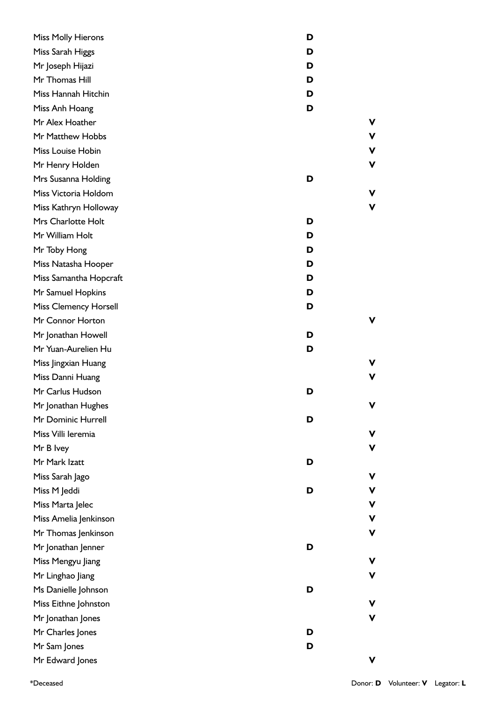| <b>Miss Molly Hierons</b>    | D |   |
|------------------------------|---|---|
| Miss Sarah Higgs             | D |   |
| Mr Joseph Hijazi             | D |   |
| Mr Thomas Hill               | D |   |
| Miss Hannah Hitchin          | D |   |
| Miss Anh Hoang               | D |   |
| Mr Alex Hoather              |   | V |
| Mr Matthew Hobbs             |   | V |
| Miss Louise Hobin            |   | V |
| Mr Henry Holden              |   | V |
| Mrs Susanna Holding          | D |   |
| Miss Victoria Holdom         |   | v |
| Miss Kathryn Holloway        |   | V |
| Mrs Charlotte Holt           | D |   |
| Mr William Holt              | D |   |
| Mr Toby Hong                 | D |   |
| Miss Natasha Hooper          | D |   |
| Miss Samantha Hopcraft       | D |   |
| Mr Samuel Hopkins            | D |   |
| <b>Miss Clemency Horsell</b> | D |   |
| Mr Connor Horton             |   | V |
| Mr Jonathan Howell           | D |   |
| Mr Yuan-Aurelien Hu          | D |   |
| Miss Jingxian Huang          |   | v |
| Miss Danni Huang             |   | V |
| Mr Carlus Hudson             | D |   |
| Mr Jonathan Hughes           |   | V |
| Mr Dominic Hurrell           | D |   |
| Miss Villi leremia           |   | V |
| Mr B Ivey                    |   | v |
| Mr Mark Izatt                | D |   |
| Miss Sarah Jago              |   | V |
| Miss M Jeddi                 | D | v |
| Miss Marta Jelec             |   | V |
| Miss Amelia Jenkinson        |   | V |
| Mr Thomas Jenkinson          |   | ۷ |
| Mr Jonathan Jenner           | D |   |
| Miss Mengyu Jiang            |   | V |
| Mr Linghao Jiang             |   | ۷ |
| Ms Danielle Johnson          | D |   |
| Miss Eithne Johnston         |   | V |
| Mr Jonathan Jones            |   | v |
| Mr Charles Jones             | D |   |
| Mr Sam Jones                 | D |   |
| Mr Edward Jones              |   | V |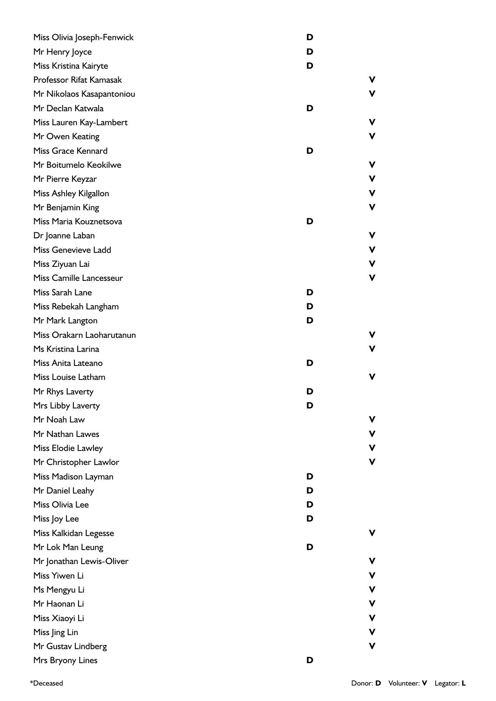| Miss Olivia Joseph-Fenwick | D           |
|----------------------------|-------------|
| Mr Henry Joyce             | D           |
| Miss Kristina Kairyte      | D           |
| Professor Rifat Kamasak    | v           |
| Mr Nikolaos Kasapantoniou  | v           |
| Mr Declan Katwala          | D           |
| Miss Lauren Kay-Lambert    | v           |
| Mr Owen Keating            | v           |
| Miss Grace Kennard         | D           |
| Mr Boitumelo Keokilwe      | v           |
| Mr Pierre Keyzar           | $\mathbf v$ |
| Miss Ashley Kilgallon      | v           |
| Mr Benjamin King           | ۷           |
| Miss Maria Kouznetsova     | D           |
| Dr Joanne Laban            | V           |
| Miss Genevieve Ladd        | $\mathbf v$ |
| Miss Ziyuan Lai            | v           |
| Miss Camille Lancesseur    | V           |
| Miss Sarah Lane            | D           |
| Miss Rebekah Langham       | D           |
| Mr Mark Langton            | D           |
| Miss Orakarn Laoharutanun  | v           |
| Ms Kristina Larina         | v           |
| Miss Anita Lateano         | D           |
| Miss Louise Latham         | v           |
| Mr Rhys Laverty            | D           |
| Mrs Libby Laverty          | D           |
| Mr Noah Law                | v           |
| Mr Nathan Lawes            | ۷           |
| Miss Elodie Lawley         | ۷           |
| Mr Christopher Lawlor      | v           |
| Miss Madison Layman        | D           |
| Mr Daniel Leahy            | D           |
| Miss Olivia Lee            | D           |
| Miss Joy Lee               | D           |
| Miss Kalkidan Legesse      | v           |
| Mr Lok Man Leung           | D           |
| Mr Jonathan Lewis-Oliver   | v           |
| Miss Yiwen Li              | ۷           |
| Ms Mengyu Li               | V           |
| Mr Haonan Li               | $\mathbf V$ |
| Miss Xiaoyi Li             | ۷           |
| Miss Jing Lin              | ۷           |
| Mr Gustav Lindberg         | V           |
| Mrs Bryony Lines           | D           |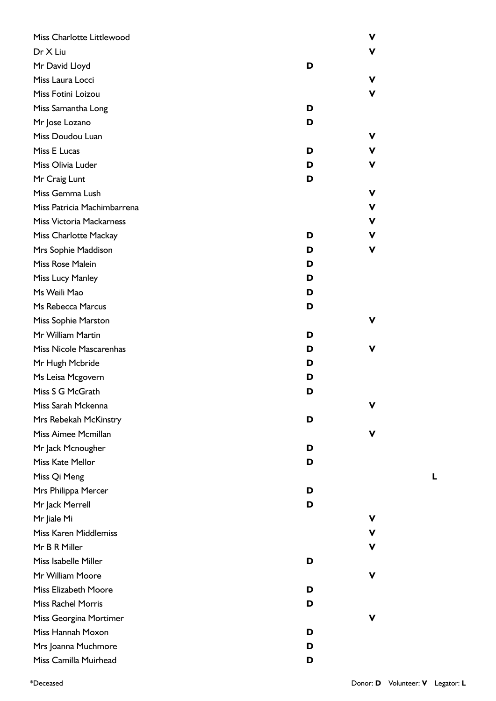| Miss Charlotte Littlewood       |   | v |
|---------------------------------|---|---|
| Dr X Liu                        |   | v |
| Mr David Lloyd                  | D |   |
| Miss Laura Locci                |   | v |
| Miss Fotini Loizou              |   | v |
| Miss Samantha Long              | D |   |
| Mr Jose Lozano                  | D |   |
| Miss Doudou Luan                |   | v |
| Miss E Lucas                    | D | v |
| Miss Olivia Luder               | D | v |
| Mr Craig Lunt                   | D |   |
| Miss Gemma Lush                 |   | v |
| Miss Patricia Machimbarrena     |   | v |
| <b>Miss Victoria Mackarness</b> |   | v |
| Miss Charlotte Mackay           | D | v |
| Mrs Sophie Maddison             | D | v |
| Miss Rose Malein                | D |   |
| Miss Lucy Manley                | D |   |
| Ms Weili Mao                    | D |   |
| Ms Rebecca Marcus               | D |   |
| <b>Miss Sophie Marston</b>      |   | v |
| Mr William Martin               | D |   |
| Miss Nicole Mascarenhas         | D | v |
| Mr Hugh Mcbride                 | D |   |
| Ms Leisa Mcgovern               | D |   |
| Miss S G McGrath                | D |   |
| Miss Sarah Mckenna              |   |   |
| Mrs Rebekah McKinstry           | D |   |
| Miss Aimee Mcmillan             |   | v |
| Mr Jack Mcnougher               | D |   |
| Miss Kate Mellor                | D |   |
| Miss Qi Meng                    |   |   |
| Mrs Philippa Mercer             | D |   |
| Mr Jack Merrell                 | D |   |
| Mr Jiale Mi                     |   | v |
| Miss Karen Middlemiss           |   |   |
| Mr B R Miller                   |   | v |
| Miss Isabelle Miller            | D |   |
| Mr William Moore                |   | v |
| <b>Miss Elizabeth Moore</b>     | D |   |
| <b>Miss Rachel Morris</b>       | D |   |
| Miss Georgina Mortimer          |   | v |
| Miss Hannah Moxon               | D |   |
| Mrs Joanna Muchmore             | D |   |
| Miss Camilla Muirhead           | D |   |

\*Deceased Donor: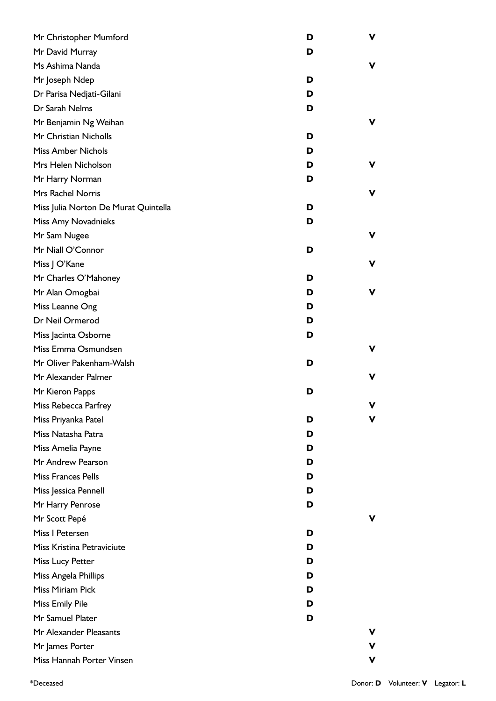| Mr Christopher Mumford               | D | ۷ |
|--------------------------------------|---|---|
| Mr David Murray                      | D |   |
| Ms Ashima Nanda                      |   | v |
| Mr Joseph Ndep                       | D |   |
| Dr Parisa Nedjati-Gilani             | D |   |
| Dr Sarah Nelms                       | D |   |
| Mr Benjamin Ng Weihan                |   | v |
| Mr Christian Nicholls                | D |   |
| <b>Miss Amber Nichols</b>            | D |   |
| Mrs Helen Nicholson                  | D | v |
| Mr Harry Norman                      | D |   |
| Mrs Rachel Norris                    |   | v |
| Miss Julia Norton De Murat Quintella | D |   |
| Miss Amy Novadnieks                  | D |   |
| Mr Sam Nugee                         |   | v |
| Mr Niall O'Connor                    | D |   |
| Miss J O'Kane                        |   | v |
| Mr Charles O'Mahoney                 | D |   |
| Mr Alan Omogbai                      | D | v |
| Miss Leanne Ong                      | D |   |
| Dr Neil Ormerod                      | D |   |
| Miss Jacinta Osborne                 | D |   |
| Miss Emma Osmundsen                  |   | v |
| Mr Oliver Pakenham-Walsh             | D |   |
| Mr Alexander Palmer                  |   | v |
| Mr Kieron Papps                      | D |   |
| Miss Rebecca Parfrey                 |   |   |
| Miss Priyanka Patel                  | D | v |
| Miss Natasha Patra                   | D |   |
| Miss Amelia Payne                    | D |   |
| Mr Andrew Pearson                    | D |   |
| <b>Miss Frances Pells</b>            | D |   |
| Miss Jessica Pennell                 | D |   |
| Mr Harry Penrose                     | D |   |
| Mr Scott Pepé                        |   | v |
| Miss I Petersen                      | D |   |
| Miss Kristina Petraviciute           | D |   |
| Miss Lucy Petter                     | D |   |
| Miss Angela Phillips                 | D |   |
| Miss Miriam Pick                     | D |   |
| Miss Emily Pile                      | D |   |
| Mr Samuel Plater                     | D |   |
| Mr Alexander Pleasants               |   | v |
| Mr James Porter                      |   | v |
| Miss Hannah Porter Vinsen            |   | V |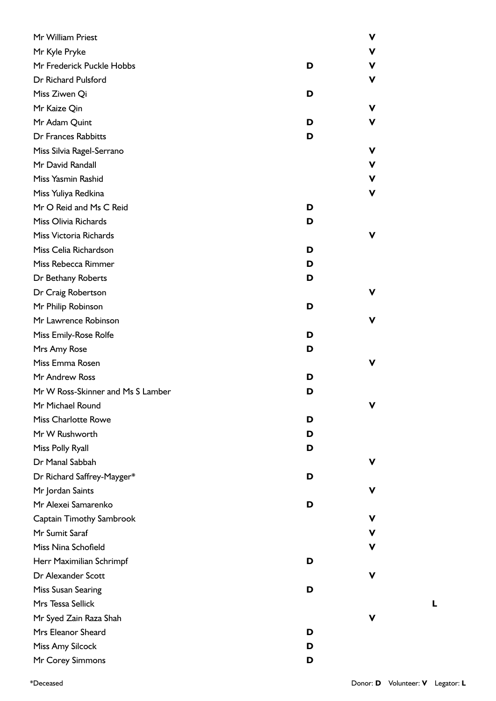| Mr William Priest                 |   | V |
|-----------------------------------|---|---|
| Mr Kyle Pryke                     |   | V |
| Mr Frederick Puckle Hobbs         | D | V |
| Dr Richard Pulsford               |   | ۷ |
| Miss Ziwen Qi                     | D |   |
| Mr Kaize Qin                      |   | v |
| Mr Adam Quint                     | D | v |
| Dr Frances Rabbitts               | D |   |
| Miss Silvia Ragel-Serrano         |   | V |
| Mr David Randall                  |   | V |
| Miss Yasmin Rashid                |   | V |
| Miss Yuliya Redkina               |   | V |
| Mr O Reid and Ms C Reid           | D |   |
| Miss Olivia Richards              | D |   |
| Miss Victoria Richards            |   | v |
| Miss Celia Richardson             | D |   |
| Miss Rebecca Rimmer               | D |   |
| Dr Bethany Roberts                | D |   |
| Dr Craig Robertson                |   | v |
| Mr Philip Robinson                | D |   |
| Mr Lawrence Robinson              |   | v |
| Miss Emily-Rose Rolfe             | D |   |
| Mrs Amy Rose                      | D |   |
| Miss Emma Rosen                   |   | v |
| Mr Andrew Ross                    | D |   |
| Mr W Ross-Skinner and Ms S Lamber | D |   |
| Mr Michael Round                  |   | v |
| <b>Miss Charlotte Rowe</b>        | D |   |
| Mr W Rushworth                    | D |   |
| Miss Polly Ryall                  | D |   |
| Dr Manal Sabbah                   |   | v |
| Dr Richard Saffrey-Mayger*        | D |   |
| Mr Jordan Saints                  |   | v |
| Mr Alexei Samarenko               | D |   |
| Captain Timothy Sambrook          |   | V |
| Mr Sumit Saraf                    |   | V |
| Miss Nina Schofield               |   | V |
| Herr Maximilian Schrimpf          | D |   |
| Dr Alexander Scott                |   | v |
| Miss Susan Searing                | D |   |
| Mrs Tessa Sellick                 |   |   |
| Mr Syed Zain Raza Shah            |   | v |
| Mrs Eleanor Sheard                | D |   |
| Miss Amy Silcock                  | D |   |
| Mr Corey Simmons                  | D |   |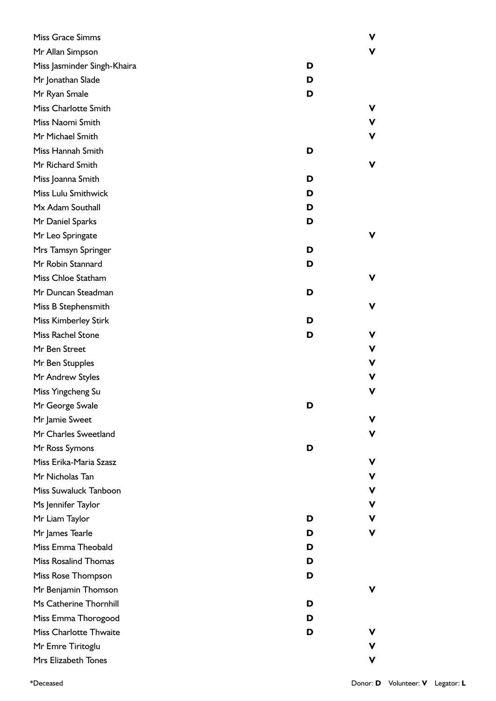| Miss Grace Simms              |   | V |
|-------------------------------|---|---|
| Mr Allan Simpson              |   | v |
| Miss Jasminder Singh-Khaira   | D |   |
| Mr Jonathan Slade             | D |   |
| Mr Ryan Smale                 | D |   |
| Miss Charlotte Smith          |   | v |
| Miss Naomi Smith              |   | V |
| Mr Michael Smith              |   | V |
| Miss Hannah Smith             | D |   |
| Mr Richard Smith              |   | ۷ |
| Miss Joanna Smith             | D |   |
| Miss Lulu Smithwick           | D |   |
| Mx Adam Southall              | D |   |
| Mr Daniel Sparks              | D |   |
| Mr Leo Springate              |   | ۷ |
| Mrs Tamsyn Springer           | D |   |
| Mr Robin Stannard             | D |   |
| Miss Chloe Statham            |   | v |
| Mr Duncan Steadman            | D |   |
| Miss B Stephensmith           |   | V |
| <b>Miss Kimberley Stirk</b>   | D |   |
| Miss Rachel Stone             | D | ۷ |
| Mr Ben Street                 |   | V |
| Mr Ben Stupples               |   | V |
| Mr Andrew Styles              |   | V |
| Miss Yingcheng Su             |   | V |
| Mr George Swale               | ט |   |
| Mr Jamie Sweet                |   | ۷ |
| Mr Charles Sweetland          |   | v |
| Mr Ross Symons                | D |   |
| Miss Erika-Maria Szasz        |   | v |
| Mr Nicholas Tan               |   | V |
| Miss Suwaluck Tanboon         |   | V |
| Ms Jennifer Taylor            |   | v |
| Mr Liam Taylor                | D | v |
| Mr James Tearle               | D | V |
| Miss Emma Theobald            | D |   |
| <b>Miss Rosalind Thomas</b>   | D |   |
| Miss Rose Thompson            | D |   |
| Mr Benjamin Thomson           |   | ۷ |
| Ms Catherine Thornhill        | D |   |
| Miss Emma Thorogood           | D |   |
| <b>Miss Charlotte Thwaite</b> | D | ۷ |
| Mr Emre Tiritoglu             |   | v |
| Mrs Elizabeth Tones           |   | V |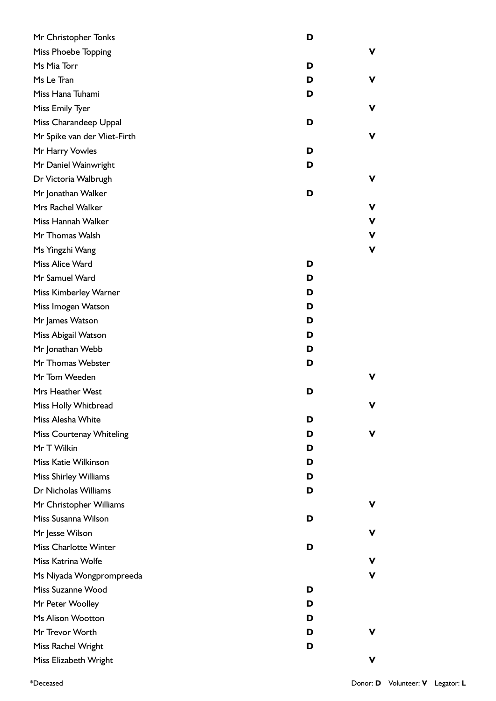| Mr Christopher Tonks         | D |   |
|------------------------------|---|---|
| Miss Phoebe Topping          |   | v |
| Ms Mia Torr                  | D |   |
| Ms Le Tran                   | D | ۷ |
| Miss Hana Tuhami             | D |   |
| Miss Emily Tyer              |   | ۷ |
| Miss Charandeep Uppal        | D |   |
| Mr Spike van der Vliet-Firth |   | v |
| Mr Harry Vowles              | D |   |
| Mr Daniel Wainwright         | D |   |
| Dr Victoria Walbrugh         |   | ۷ |
| Mr Jonathan Walker           | D |   |
| Mrs Rachel Walker            |   | ۷ |
| Miss Hannah Walker           |   | V |
| Mr Thomas Walsh              |   | ۷ |
| Ms Yingzhi Wang              |   | V |
| Miss Alice Ward              | D |   |
| Mr Samuel Ward               | D |   |
| Miss Kimberley Warner        | D |   |
| Miss Imogen Watson           | D |   |
| Mr James Watson              | D |   |
| Miss Abigail Watson          | D |   |
| Mr Jonathan Webb             | D |   |
| Mr Thomas Webster            | D |   |
| Mr Tom Weeden                |   | v |
| Mrs Heather West             | D |   |
| Miss Holly Whitbread         |   | v |
| Miss Alesha White            | D |   |
| Miss Courtenay Whiteling     | D | ۷ |
| Mr T Wilkin                  | D |   |
| Miss Katie Wilkinson         | D |   |
| Miss Shirley Williams        | D |   |
| Dr Nicholas Williams         | D |   |
| Mr Christopher Williams      |   | v |
| Miss Susanna Wilson          | D |   |
| Mr Jesse Wilson              |   | v |
| <b>Miss Charlotte Winter</b> | D |   |
| Miss Katrina Wolfe           |   | v |
| Ms Niyada Wongprompreeda     |   | V |
| Miss Suzanne Wood            | D |   |
| Mr Peter Woolley             | D |   |
| Ms Alison Wootton            | D |   |
| Mr Trevor Worth              | D | v |
| Miss Rachel Wright           | D |   |
| Miss Elizabeth Wright        |   | v |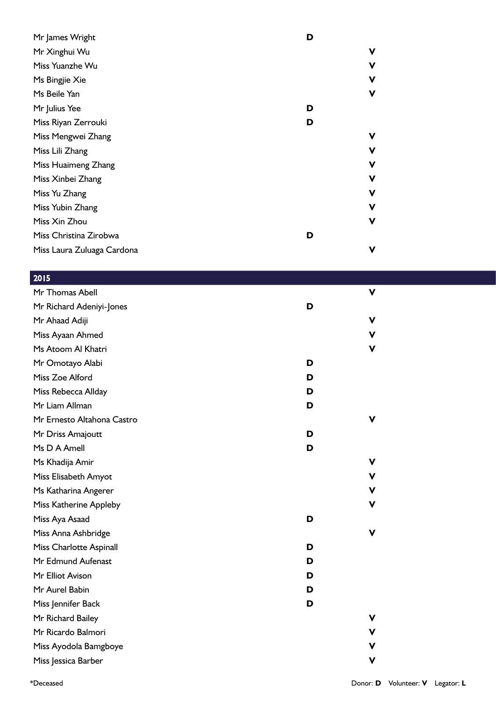| Mr James Wright            | D |             |
|----------------------------|---|-------------|
| Mr Xinghui Wu              |   | ۷           |
| Miss Yuanzhe Wu            |   | v           |
| Ms Bingjie Xie             |   | V           |
| Ms Beile Yan               |   | $\mathbf v$ |
| Mr Julius Yee              | D |             |
| Miss Riyan Zerrouki        | D |             |
| Miss Mengwei Zhang         |   | ۷           |
| Miss Lili Zhang            |   | ۷           |
| Miss Huaimeng Zhang        |   | ۷           |
| Miss Xinbei Zhang          |   | V           |
| Miss Yu Zhang              |   | V           |
| Miss Yubin Zhang           |   | ۷           |
| Miss Xin Zhou              |   | V           |
| Miss Christina Zirobwa     | D |             |
| Miss Laura Zuluaga Cardona |   | V           |
|                            |   |             |

| 2015                       |   |             |
|----------------------------|---|-------------|
| Mr Thomas Abell            |   | $\mathbf v$ |
| Mr Richard Adeniyi-Jones   | D |             |
| Mr Ahaad Adiji             |   | V           |
| Miss Ayaan Ahmed           |   | V           |
| Ms Atoom Al Khatri         |   | V           |
| Mr Omotayo Alabi           | D |             |
| Miss Zoe Alford            | D |             |
| Miss Rebecca Allday        | D |             |
| Mr Liam Allman             | D |             |
| Mr Ernesto Altahona Castro |   | $\mathbf v$ |
| Mr Driss Amajoutt          | D |             |
| Ms D A Amell               | D |             |
| Ms Khadija Amir            |   | V           |
| Miss Elisabeth Amyot       |   | V           |
| Ms Katharina Angerer       |   | ۷           |
| Miss Katherine Appleby     |   | v           |
| Miss Aya Asaad             | D |             |
| Miss Anna Ashbridge        |   | V           |
| Miss Charlotte Aspinall    | D |             |
| Mr Edmund Aufenast         | D |             |
| Mr Elliot Avison           | D |             |
| Mr Aurel Babin             | D |             |
| Miss Jennifer Back         | D |             |
| Mr Richard Bailey          |   | v           |
| Mr Ricardo Balmori         |   | V           |
| Miss Ayodola Bamgboye      |   | V           |
| Miss Jessica Barber        |   | v           |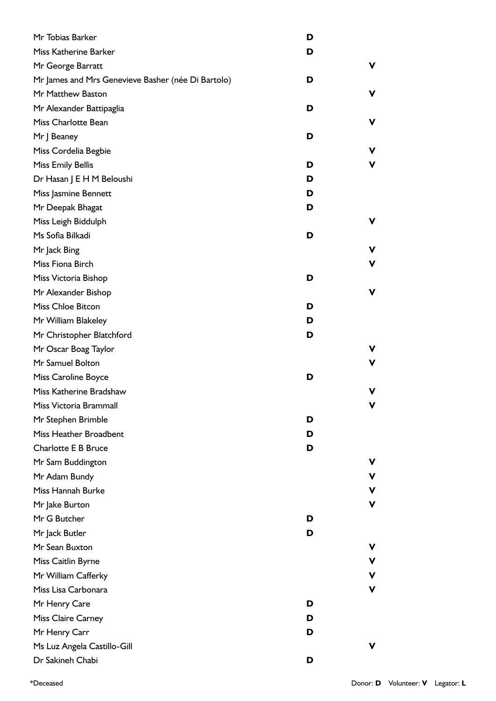| Mr Tobias Barker                                   | D |    |
|----------------------------------------------------|---|----|
| Miss Katherine Barker                              | D |    |
| Mr George Barratt                                  |   | v. |
| Mr James and Mrs Genevieve Basher (née Di Bartolo) | D |    |
| Mr Matthew Baston                                  |   | ۷  |
| Mr Alexander Battipaglia                           | D |    |
| Miss Charlotte Bean                                |   | ۷  |
| Mr   Beaney                                        | D |    |
| Miss Cordelia Begbie                               |   | ۷  |
| <b>Miss Emily Bellis</b>                           | D | v  |
| Dr Hasan J E H M Beloushi                          | D |    |
| Miss Jasmine Bennett                               | D |    |
| Mr Deepak Bhagat                                   | D |    |
| Miss Leigh Biddulph                                |   | v  |
| Ms Sofia Bilkadi                                   | D |    |
| Mr Jack Bing                                       |   | v  |
| Miss Fiona Birch                                   |   | v  |
| Miss Victoria Bishop                               | D |    |
| Mr Alexander Bishop                                |   | ۷  |
| <b>Miss Chloe Bitcon</b>                           | D |    |
| Mr William Blakeley                                | D |    |
| Mr Christopher Blatchford                          | D |    |
| Mr Oscar Boag Taylor                               |   | V  |
| Mr Samuel Bolton                                   |   | v  |
| Miss Caroline Boyce                                | D |    |
| Miss Katherine Bradshaw                            |   | v  |
| Miss Victoria Brammall                             |   | v  |
| Mr Stephen Brimble                                 | D |    |
| Miss Heather Broadbent                             | D |    |
| <b>Charlotte E B Bruce</b>                         | D |    |
| Mr Sam Buddington                                  |   | v  |
| Mr Adam Bundy                                      |   | V  |
| Miss Hannah Burke                                  |   | V  |
| Mr Jake Burton                                     |   | V  |
| Mr G Butcher                                       | D |    |
| Mr Jack Butler                                     | D |    |
| Mr Sean Buxton                                     |   | v  |
| Miss Caitlin Byrne                                 |   | v  |
| Mr William Cafferky                                |   | V  |
| Miss Lisa Carbonara                                |   | ۷  |
| Mr Henry Care                                      | D |    |
| <b>Miss Claire Carney</b>                          | D |    |
| Mr Henry Carr                                      | D |    |
| Ms Luz Angela Castillo-Gill                        |   | v  |
| Dr Sakineh Chabi                                   | D |    |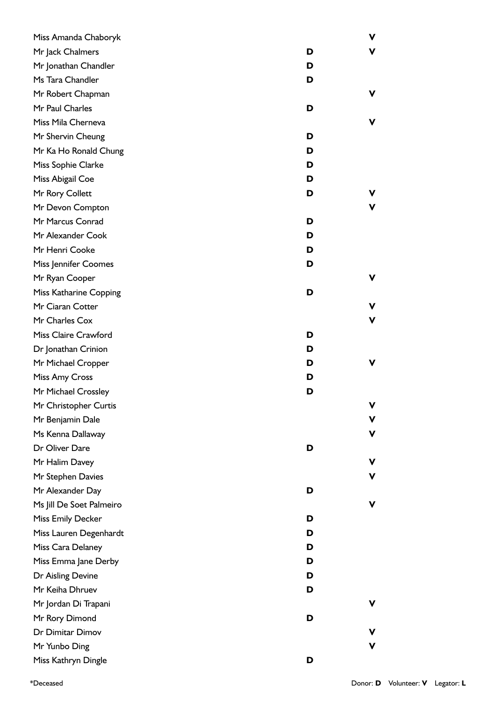| Miss Amanda Chaboryk     |   | ۷           |
|--------------------------|---|-------------|
| Mr Jack Chalmers         | D | V           |
| Mr Jonathan Chandler     | D |             |
| Ms Tara Chandler         | D |             |
| Mr Robert Chapman        |   | v           |
| Mr Paul Charles          | D |             |
| Miss Mila Cherneva       |   | V           |
| Mr Shervin Cheung        | D |             |
| Mr Ka Ho Ronald Chung    | D |             |
| Miss Sophie Clarke       | D |             |
| Miss Abigail Coe         | D |             |
| Mr Rory Collett          | D |             |
| Mr Devon Compton         |   | ۷           |
| Mr Marcus Conrad         | D |             |
| Mr Alexander Cook        | D |             |
| Mr Henri Cooke           | D |             |
| Miss Jennifer Coomes     | D |             |
| Mr Ryan Cooper           |   | v           |
| Miss Katharine Copping   | D |             |
| Mr Ciaran Cotter         |   | ۷           |
| Mr Charles Cox           |   | $\mathbf v$ |
| Miss Claire Crawford     | D |             |
| Dr Jonathan Crinion      | D |             |
| Mr Michael Cropper       | D | v           |
| Miss Amy Cross           | D |             |
| Mr Michael Crossley      | D |             |
| Mr Christopher Curtis    |   | V           |
| Mr Benjamin Dale         |   | v           |
| Ms Kenna Dallaway        |   | ۷           |
| Dr Oliver Dare           | D |             |
| Mr Halim Davey           |   | v           |
| Mr Stephen Davies        |   | V           |
| Mr Alexander Day         | D |             |
| Ms Jill De Soet Palmeiro |   | V           |
| <b>Miss Emily Decker</b> | D |             |
| Miss Lauren Degenhardt   | D |             |
| Miss Cara Delaney        | D |             |
| Miss Emma Jane Derby     | D |             |
| Dr Aisling Devine        | D |             |
| Mr Keiha Dhruev          | D |             |
| Mr Jordan Di Trapani     |   | v           |
| Mr Rory Dimond           | D |             |
| Dr Dimitar Dimov         |   | v           |
| Mr Yunbo Ding            |   | $\mathbf v$ |
| Miss Kathryn Dingle      | D |             |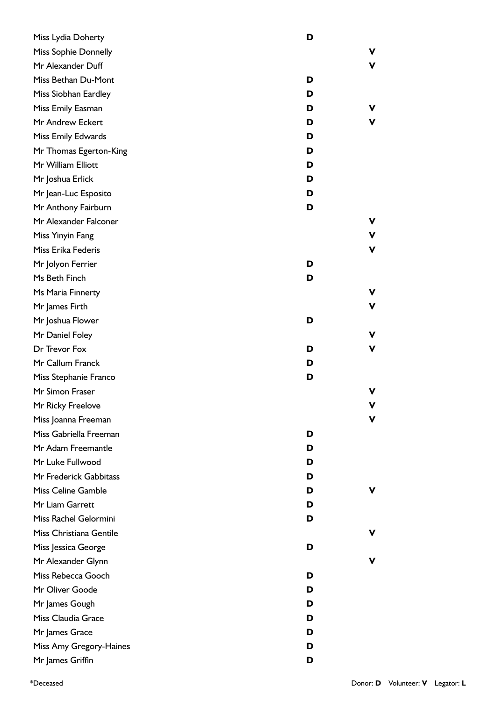| Miss Lydia Doherty      | D |   |
|-------------------------|---|---|
| Miss Sophie Donnelly    |   | V |
| Mr Alexander Duff       |   | V |
| Miss Bethan Du-Mont     | D |   |
| Miss Siobhan Eardley    | D |   |
| Miss Emily Easman       | D | v |
| Mr Andrew Eckert        | D | v |
| Miss Emily Edwards      | D |   |
| Mr Thomas Egerton-King  | D |   |
| Mr William Elliott      | D |   |
| Mr Joshua Erlick        | D |   |
| Mr Jean-Luc Esposito    | D |   |
| Mr Anthony Fairburn     | D |   |
| Mr Alexander Falconer   |   | V |
| Miss Yinyin Fang        |   | V |
| Miss Erika Federis      |   | ۷ |
| Mr Jolyon Ferrier       | D |   |
| Ms Beth Finch           | D |   |
| Ms Maria Finnerty       |   | V |
| Mr James Firth          |   | ۷ |
| Mr Joshua Flower        | D |   |
| Mr Daniel Foley         |   | V |
| Dr Trevor Fox           | D | ۷ |
| Mr Callum Franck        | D |   |
| Miss Stephanie Franco   | D |   |
| Mr Simon Fraser         |   | V |
| Mr Ricky Freelove       |   | v |
| Miss Joanna Freeman     |   | v |
| Miss Gabriella Freeman  | D |   |
| Mr Adam Freemantle      | D |   |
| Mr Luke Fullwood        | D |   |
| Mr Frederick Gabbitass  | D |   |
| Miss Celine Gamble      | D | ۷ |
| Mr Liam Garrett         | D |   |
| Miss Rachel Gelormini   | D |   |
| Miss Christiana Gentile |   | ۷ |
| Miss Jessica George     | D |   |
| Mr Alexander Glynn      |   | v |
| Miss Rebecca Gooch      | D |   |
| Mr Oliver Goode         | D |   |
| Mr James Gough          | D |   |
| Miss Claudia Grace      | D |   |
| Mr James Grace          | D |   |
| Miss Amy Gregory-Haines | D |   |
| Mr James Griffin        | D |   |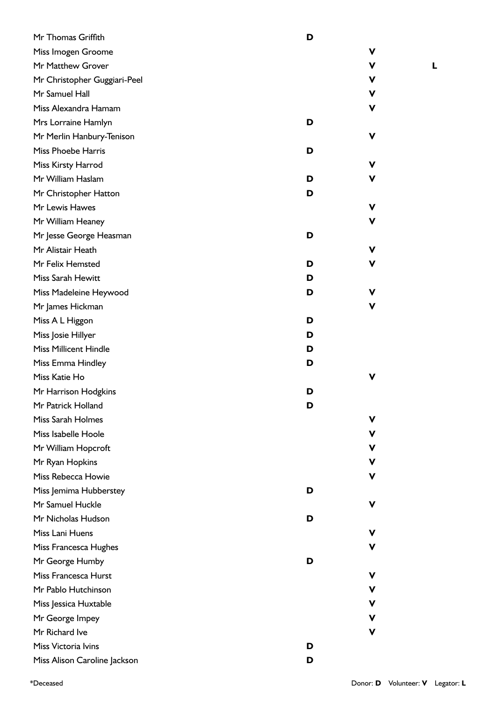| Mr Thomas Griffith           | D |             |
|------------------------------|---|-------------|
| Miss Imogen Groome           |   | V           |
| Mr Matthew Grover            |   | V           |
| Mr Christopher Guggiari-Peel |   | V           |
| Mr Samuel Hall               |   | V           |
| Miss Alexandra Hamam         |   | V           |
| Mrs Lorraine Hamlyn          | D |             |
| Mr Merlin Hanbury-Tenison    |   | V           |
| <b>Miss Phoebe Harris</b>    | D |             |
| Miss Kirsty Harrod           |   | $\mathbf v$ |
| Mr William Haslam            | D | V           |
| Mr Christopher Hatton        | D |             |
| Mr Lewis Hawes               |   | V           |
| Mr William Heaney            |   | V           |
| Mr Jesse George Heasman      | D |             |
| Mr Alistair Heath            |   | $\mathbf v$ |
| Mr Felix Hemsted             | D | V           |
| Miss Sarah Hewitt            | D |             |
| Miss Madeleine Heywood       | D | V           |
| Mr James Hickman             |   | $\mathbf v$ |
| Miss A L Higgon              | D |             |
| Miss Josie Hillyer           | D |             |
| <b>Miss Millicent Hindle</b> | D |             |
| Miss Emma Hindley            | D |             |
| Miss Katie Ho                |   | V           |
| Mr Harrison Hodgkins         | D |             |
| Mr Patrick Holland           | ט |             |
| Miss Sarah Holmes            |   | ۷           |
| Miss Isabelle Hoole          |   | V           |
| Mr William Hopcroft          |   | ۷           |
| Mr Ryan Hopkins              |   | V           |
| Miss Rebecca Howie           |   | V           |
| Miss Jemima Hubberstey       | D |             |
| Mr Samuel Huckle             |   | V           |
| Mr Nicholas Hudson           | D |             |
| Miss Lani Huens              |   | V           |
| Miss Francesca Hughes        |   | ۷           |
| Mr George Humby              | D |             |
| Miss Francesca Hurst         |   | V           |
| Mr Pablo Hutchinson          |   | ۷           |
| Miss Jessica Huxtable        |   | ۷           |
| Mr George Impey              |   | ۷           |
| Mr Richard Ive               |   | v           |
| Miss Victoria Ivins          | D |             |
| Miss Alison Caroline Jackson | D |             |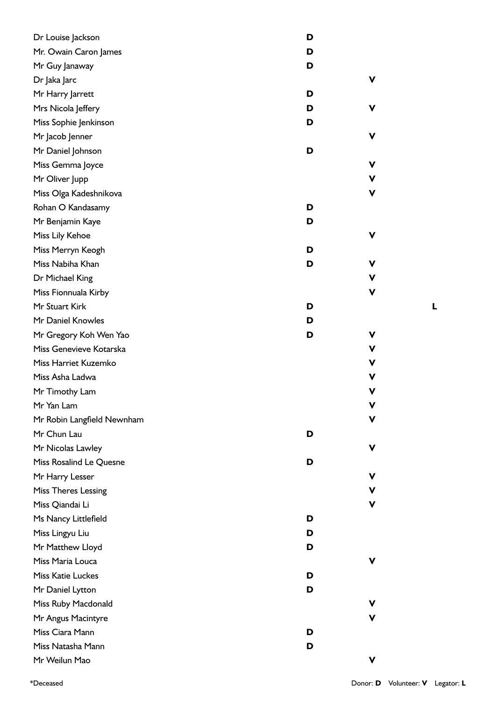| Dr Louise Jackson          | D |             |
|----------------------------|---|-------------|
| Mr. Owain Caron James      | D |             |
| Mr Guy Janaway             | D |             |
| Dr Jaka Jarc               |   | V           |
| Mr Harry Jarrett           | D |             |
| Mrs Nicola Jeffery         | D | v           |
| Miss Sophie Jenkinson      | D |             |
| Mr Jacob Jenner            |   | V           |
| Mr Daniel Johnson          | D |             |
| Miss Gemma Joyce           |   | V           |
| Mr Oliver Jupp             |   | V           |
| Miss Olga Kadeshnikova     |   | V           |
| Rohan O Kandasamy          | D |             |
| Mr Benjamin Kaye           | D |             |
| Miss Lily Kehoe            |   | V           |
| Miss Merryn Keogh          | D |             |
| Miss Nabiha Khan           | D | V           |
| Dr Michael King            |   | V           |
| Miss Fionnuala Kirby       |   | v           |
| Mr Stuart Kirk             | D |             |
| Mr Daniel Knowles          | D |             |
| Mr Gregory Koh Wen Yao     | D | v           |
| Miss Genevieve Kotarska    |   | V           |
| Miss Harriet Kuzemko       |   | V           |
| Miss Asha Ladwa            |   | v           |
| Mr Timothy Lam             |   | v           |
| Mr Yan Lam                 |   | $\mathbf v$ |
| Mr Robin Langfield Newnham |   | v           |
| Mr Chun Lau                | D |             |
| Mr Nicolas Lawley          |   | V           |
| Miss Rosalind Le Quesne    | D |             |
| Mr Harry Lesser            |   | v           |
| <b>Miss Theres Lessing</b> |   | v           |
| Miss Qiandai Li            |   | v           |
| Ms Nancy Littlefield       | D |             |
| Miss Lingyu Liu            | D |             |
| Mr Matthew Lloyd           | D |             |
| Miss Maria Louca           |   | ۷           |
| <b>Miss Katie Luckes</b>   | D |             |
| Mr Daniel Lytton           | D |             |
| Miss Ruby Macdonald        |   | v           |
| Mr Angus Macintyre         |   | ۷           |
| Miss Ciara Mann            | D |             |
| Miss Natasha Mann          | D |             |
| Mr Weilun Mao              |   | V           |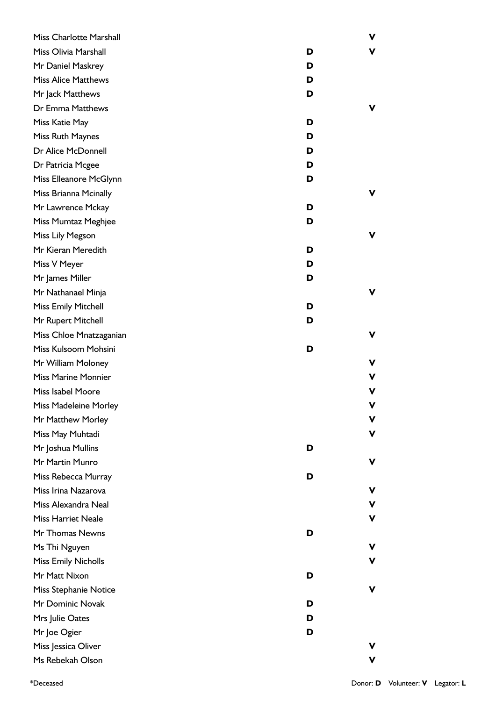| Miss Charlotte Marshall    |   | ۷ |
|----------------------------|---|---|
| Miss Olivia Marshall       | D | V |
| Mr Daniel Maskrey          | D |   |
| <b>Miss Alice Matthews</b> | D |   |
| Mr Jack Matthews           | D |   |
| Dr Emma Matthews           |   | v |
| Miss Katie May             | D |   |
| Miss Ruth Maynes           | D |   |
| Dr Alice McDonnell         | D |   |
| Dr Patricia Mcgee          | D |   |
| Miss Elleanore McGlynn     | D |   |
| Miss Brianna Mcinally      |   | v |
| Mr Lawrence Mckay          | D |   |
| Miss Mumtaz Meghjee        | D |   |
| Miss Lily Megson           |   | v |
| Mr Kieran Meredith         | D |   |
| Miss V Meyer               | D |   |
| Mr James Miller            | D |   |
| Mr Nathanael Minja         |   | V |
| <b>Miss Emily Mitchell</b> | D |   |
| Mr Rupert Mitchell         | D |   |
| Miss Chloe Mnatzaganian    |   | ۷ |
| Miss Kulsoom Mohsini       | D |   |
| Mr William Moloney         |   | ۷ |
| <b>Miss Marine Monnier</b> |   | ۷ |
| Miss Isabel Moore          |   | ۷ |
| Miss Madeleine Morley      |   |   |
| Mr Matthew Morley          |   | v |
| Miss May Muhtadi           |   | v |
| Mr Joshua Mullins          | D |   |
| Mr Martin Munro            |   | v |
| Miss Rebecca Murray        | D |   |
| Miss Irina Nazarova        |   | ۷ |
| Miss Alexandra Neal        |   | ۷ |
| <b>Miss Harriet Neale</b>  |   | V |
| Mr Thomas Newns            | D |   |
| Ms Thi Nguyen              |   | v |
| <b>Miss Emily Nicholls</b> |   | ۷ |
| Mr Matt Nixon              | D |   |
| Miss Stephanie Notice      |   | v |
| Mr Dominic Novak           | D |   |
| Mrs Julie Oates            | D |   |
| Mr Joe Ogier               | D |   |
| Miss Jessica Oliver        |   |   |
| Ms Rebekah Olson           |   | ۷ |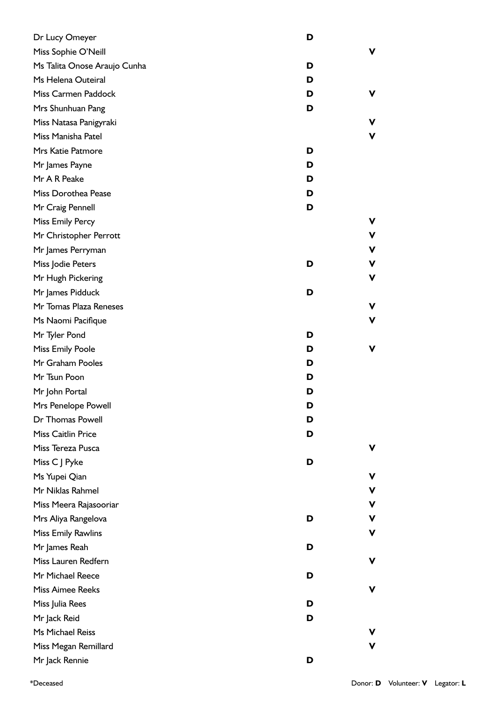| Dr Lucy Omeyer               | D |   |
|------------------------------|---|---|
| Miss Sophie O'Neill          |   | ۷ |
| Ms Talita Onose Araujo Cunha | D |   |
| Ms Helena Outeiral           | D |   |
| Miss Carmen Paddock          | D | ۷ |
| Mrs Shunhuan Pang            | D |   |
| Miss Natasa Panigyraki       |   | V |
| Miss Manisha Patel           |   | V |
| Mrs Katie Patmore            | D |   |
| Mr James Payne               | D |   |
| Mr A R Peake                 | D |   |
| Miss Dorothea Pease          | D |   |
| Mr Craig Pennell             | D |   |
| Miss Emily Percy             |   | v |
| Mr Christopher Perrott       |   | V |
| Mr James Perryman            |   | ۷ |
| Miss Jodie Peters            | D | v |
| Mr Hugh Pickering            |   | V |
| Mr James Pidduck             | D |   |
| Mr Tomas Plaza Reneses       |   | V |
| Ms Naomi Pacifique           |   | V |
| Mr Tyler Pond                | D |   |
| <b>Miss Emily Poole</b>      | D | V |
| Mr Graham Pooles             | D |   |
| Mr Tsun Poon                 | D |   |
| Mr John Portal               | D |   |
| Mrs Penelope Powell          | D |   |
| Dr Thomas Powell             | D |   |
| Miss Caitlin Price           | D |   |
| Miss Tereza Pusca            |   | ۷ |
| Miss C J Pyke                | D |   |
| Ms Yupei Qian                |   | v |
| Mr Niklas Rahmel             |   | v |
| Miss Meera Rajasooriar       |   | ۷ |
| Mrs Aliya Rangelova          | D | ۷ |
| <b>Miss Emily Rawlins</b>    |   | V |
| Mr James Reah                | D |   |
| Miss Lauren Redfern          |   | ۷ |
| Mr Michael Reece             | D |   |
| <b>Miss Aimee Reeks</b>      |   | V |
| Miss Julia Rees              | D |   |
| Mr Jack Reid                 | D |   |
| Ms Michael Reiss             |   | V |
| Miss Megan Remillard         |   | v |
| Mr Jack Rennie               | D |   |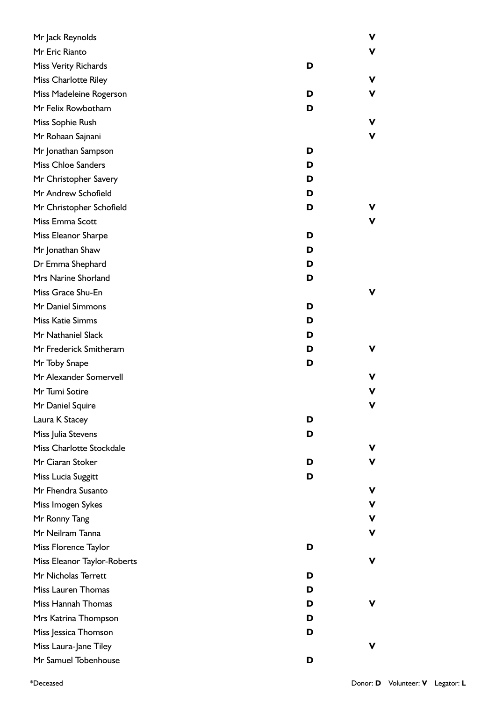| Mr Jack Reynolds            |   | v |
|-----------------------------|---|---|
| Mr Eric Rianto              |   | v |
| Miss Verity Richards        | D |   |
| <b>Miss Charlotte Riley</b> |   | ۷ |
| Miss Madeleine Rogerson     | D | ۷ |
| Mr Felix Rowbotham          | D |   |
| Miss Sophie Rush            |   | V |
| Mr Rohaan Sajnani           |   | V |
| Mr Jonathan Sampson         | D |   |
| <b>Miss Chloe Sanders</b>   | D |   |
| Mr Christopher Savery       | D |   |
| Mr Andrew Schofield         | D |   |
| Mr Christopher Schofield    | D |   |
| Miss Emma Scott             |   | V |
| Miss Eleanor Sharpe         | D |   |
| Mr Jonathan Shaw            | D |   |
| Dr Emma Shephard            | D |   |
| Mrs Narine Shorland         | D |   |
| Miss Grace Shu-En           |   | v |
| Mr Daniel Simmons           | D |   |
| <b>Miss Katie Simms</b>     | D |   |
| Mr Nathaniel Slack          | D |   |
| Mr Frederick Smitheram      | D | ۷ |
| Mr Toby Snape               | D |   |
| Mr Alexander Somervell      |   | v |
| Mr Tumi Sotire              |   | v |
| Mr Daniel Squire            |   | v |
| Laura K Stacey              | D |   |
| Miss Julia Stevens          | D |   |
| Miss Charlotte Stockdale    |   | ۷ |
| Mr Ciaran Stoker            | D | v |
| Miss Lucia Suggitt          | D |   |
| Mr Fhendra Susanto          |   | ۷ |
| Miss Imogen Sykes           |   | ۷ |
| Mr Ronny Tang               |   | ۷ |
| Mr Neilram Tanna            |   | ۷ |
| Miss Florence Taylor        | D |   |
| Miss Eleanor Taylor-Roberts |   | ۷ |
| Mr Nicholas Terrett         | D |   |
| Miss Lauren Thomas          | D |   |
| Miss Hannah Thomas          | D | ۷ |
| Mrs Katrina Thompson        | D |   |
| Miss Jessica Thomson        | D |   |
| Miss Laura-Jane Tiley       |   | v |
| Mr Samuel Tobenhouse        | D |   |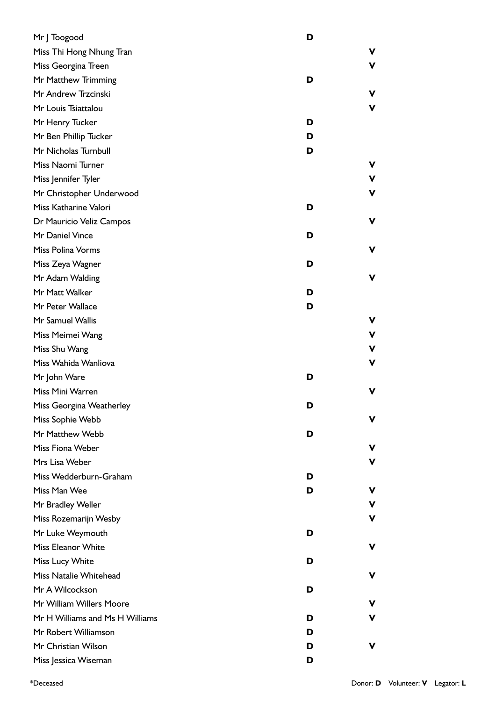| Mr J Toogood                    | D      |   |
|---------------------------------|--------|---|
| Miss Thi Hong Nhung Tran        | v      |   |
| Miss Georgina Treen             | V      |   |
| Mr Matthew Trimming             | D      |   |
| Mr Andrew Trzcinski             | V      |   |
| Mr Louis Tsiattalou             |        | V |
| Mr Henry Tucker                 | D      |   |
| Mr Ben Phillip Tucker           | D      |   |
| Mr Nicholas Turnbull            | D      |   |
| Miss Naomi Turner               | v      |   |
| Miss Jennifer Tyler             | v      |   |
| Mr Christopher Underwood        | ۷      |   |
| Miss Katharine Valori           | D      |   |
| Dr Mauricio Veliz Campos        | ۷      |   |
| Mr Daniel Vince                 | D      |   |
| Miss Polina Vorms               | v      |   |
| Miss Zeya Wagner                | D      |   |
| Mr Adam Walding                 | V      |   |
| Mr Matt Walker                  | D      |   |
| Mr Peter Wallace                | D      |   |
| Mr Samuel Wallis                | v      |   |
| Miss Meimei Wang                |        | V |
| Miss Shu Wang                   | v      |   |
| Miss Wahida Wanliova            | ۷      |   |
| Mr John Ware                    | D      |   |
| Miss Mini Warren                | v      |   |
| Miss Georgina Weatherley        | D      |   |
| Miss Sophie Webb                | v      |   |
| Mr Matthew Webb                 | D      |   |
| Miss Fiona Weber                | V      |   |
| Mrs Lisa Weber                  |        | V |
| Miss Wedderburn-Graham          | D      |   |
| Miss Man Wee                    | D<br>v |   |
| Mr Bradley Weller               |        | V |
| Miss Rozemarijn Wesby           | ۷      |   |
| Mr Luke Weymouth                | D      |   |
| Miss Eleanor White              | ۷      |   |
| Miss Lucy White                 | D      |   |
| Miss Natalie Whitehead          | v      |   |
| Mr A Wilcockson                 | D      |   |
| Mr William Willers Moore        | ۷      |   |
| Mr H Williams and Ms H Williams | ۷<br>D |   |
| Mr Robert Williamson            | D      |   |
| Mr Christian Wilson             | v<br>D |   |
| Miss Jessica Wiseman            | D      |   |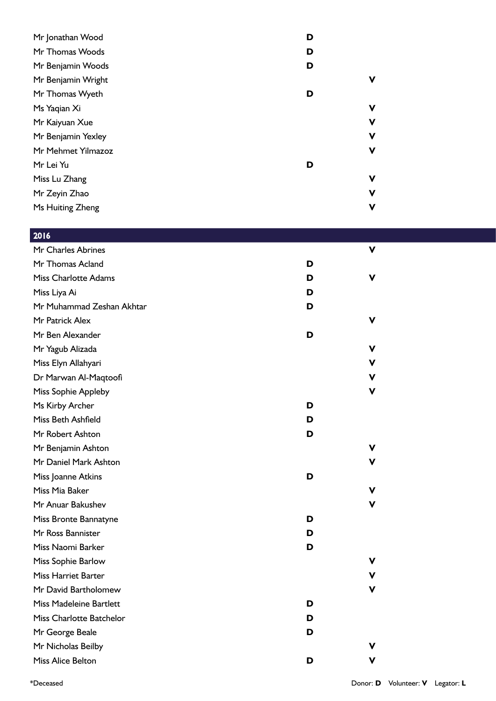| Mr Jonathan Wood   | D           |
|--------------------|-------------|
| Mr Thomas Woods    | D           |
| Mr Benjamin Woods  | D           |
| Mr Benjamin Wright | ۷           |
| Mr Thomas Wyeth    | D           |
| Ms Yaqian Xi       | V           |
| Mr Kaiyuan Xue     | ۷           |
| Mr Benjamin Yexley | ۷           |
| Mr Mehmet Yilmazoz | V           |
| Mr Lei Yu          | D           |
| Miss Lu Zhang      | ۷           |
| Mr Zeyin Zhao      | V           |
| Ms Huiting Zheng   | $\mathbf v$ |

## 2016

| Mr Charles Abrines             |   | v |
|--------------------------------|---|---|
| Mr Thomas Acland               | D |   |
| <b>Miss Charlotte Adams</b>    | D | v |
| Miss Liya Ai                   | D |   |
| Mr Muhammad Zeshan Akhtar      | D |   |
| Mr Patrick Alex                |   | v |
| Mr Ben Alexander               | D |   |
| Mr Yagub Alizada               |   | v |
| Miss Elyn Allahyari            |   | v |
| Dr Marwan Al-Maqtoofi          |   | v |
| Miss Sophie Appleby            |   | v |
| Ms Kirby Archer                | D |   |
| Miss Beth Ashfield             | D |   |
| Mr Robert Ashton               | D |   |
| Mr Benjamin Ashton             |   | v |
| Mr Daniel Mark Ashton          |   | v |
| Miss Joanne Atkins             | D |   |
| Miss Mia Baker                 |   | v |
| Mr Anuar Bakushev              |   | v |
| Miss Bronte Bannatyne          | D |   |
| Mr Ross Bannister              | D |   |
| Miss Naomi Barker              | D |   |
| Miss Sophie Barlow             |   | V |
| <b>Miss Harriet Barter</b>     |   | v |
| Mr David Bartholomew           |   | v |
| <b>Miss Madeleine Bartlett</b> | D |   |
| Miss Charlotte Batchelor       | D |   |
| Mr George Beale                | D |   |
| Mr Nicholas Beilby             |   |   |
| <b>Miss Alice Belton</b>       | D | v |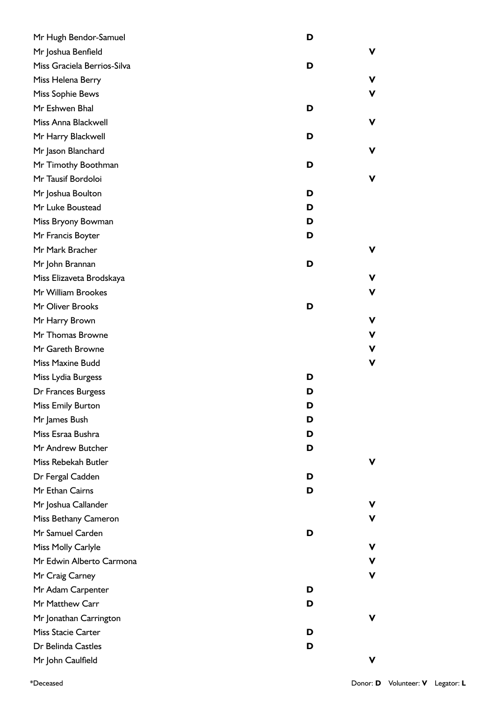| Mr Hugh Bendor-Samuel       | D |   |
|-----------------------------|---|---|
| Mr Joshua Benfield          |   | ۷ |
| Miss Graciela Berrios-Silva | D |   |
| Miss Helena Berry           |   | ۷ |
| Miss Sophie Bews            |   | v |
| Mr Eshwen Bhal              | D |   |
| Miss Anna Blackwell         |   | ۷ |
| Mr Harry Blackwell          | D |   |
| Mr Jason Blanchard          |   | ۷ |
| Mr Timothy Boothman         | D |   |
| Mr Tausif Bordoloi          |   | ۷ |
| Mr Joshua Boulton           | D |   |
| Mr Luke Boustead            | D |   |
| Miss Bryony Bowman          | D |   |
| Mr Francis Boyter           | D |   |
| Mr Mark Bracher             |   | V |
| Mr John Brannan             | D |   |
| Miss Elizaveta Brodskaya    |   | v |
| Mr William Brookes          |   | v |
| Mr Oliver Brooks            | D |   |
| Mr Harry Brown              |   | ۷ |
| Mr Thomas Browne            |   | ۷ |
| Mr Gareth Browne            |   | ۷ |
| Miss Maxine Budd            |   | V |
| Miss Lydia Burgess          | D |   |
| Dr Frances Burgess          | D |   |
| Miss Emily Burton           | D |   |
| Mr James Bush               | D |   |
| Miss Esraa Bushra           | D |   |
| Mr Andrew Butcher           | D |   |
| Miss Rebekah Butler         |   | v |
| Dr Fergal Cadden            | D |   |
| Mr Ethan Cairns             | D |   |
| Mr Joshua Callander         |   | v |
| Miss Bethany Cameron        |   | v |
| Mr Samuel Carden            | D |   |
| Miss Molly Carlyle          |   | ۷ |
| Mr Edwin Alberto Carmona    |   | V |
| Mr Craig Carney             |   | V |
| Mr Adam Carpenter           | D |   |
| Mr Matthew Carr             | D |   |
| Mr Jonathan Carrington      |   | v |
| Miss Stacie Carter          | D |   |
| Dr Belinda Castles          | D |   |
| Mr John Caulfield           |   | ۷ |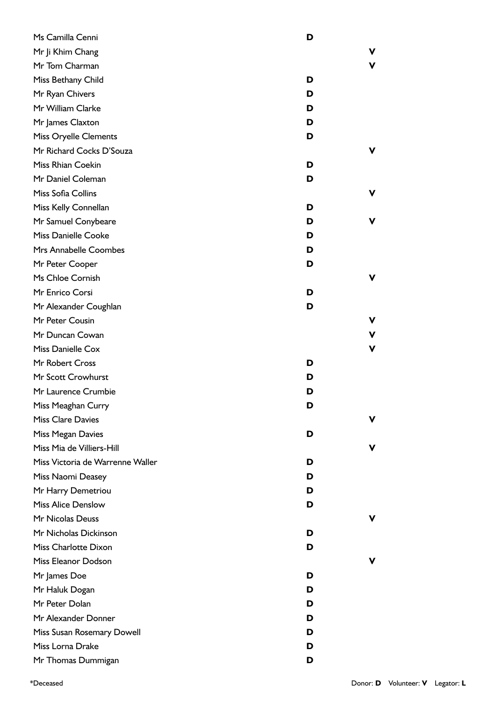| Ms Camilla Cenni                 | D |   |
|----------------------------------|---|---|
| Mr Ji Khim Chang                 |   | v |
| Mr Tom Charman                   |   | v |
| Miss Bethany Child               | D |   |
| Mr Ryan Chivers                  | D |   |
| Mr William Clarke                | D |   |
| Mr James Claxton                 | D |   |
| <b>Miss Oryelle Clements</b>     | D |   |
| Mr Richard Cocks D'Souza         |   | v |
| Miss Rhian Coekin                | D |   |
| Mr Daniel Coleman                | D |   |
| Miss Sofia Collins               |   | v |
| Miss Kelly Connellan             | D |   |
| Mr Samuel Conybeare              | D | v |
| <b>Miss Danielle Cooke</b>       | D |   |
| Mrs Annabelle Coombes            | D |   |
| Mr Peter Cooper                  | D |   |
| Ms Chloe Cornish                 |   | v |
| Mr Enrico Corsi                  | D |   |
| Mr Alexander Coughlan            | D |   |
| Mr Peter Cousin                  |   | v |
| Mr Duncan Cowan                  |   | v |
| Miss Danielle Cox                |   | V |
| Mr Robert Cross                  | D |   |
| Mr Scott Crowhurst               | D |   |
| Mr Laurence Crumbie              | D |   |
| Miss Meaghan Curry               | ט |   |
| <b>Miss Clare Davies</b>         |   | v |
| Miss Megan Davies                | D |   |
| Miss Mia de Villiers-Hill        |   | v |
| Miss Victoria de Warrenne Waller | D |   |
| Miss Naomi Deasey                | D |   |
| Mr Harry Demetriou               | D |   |
| <b>Miss Alice Denslow</b>        | D |   |
| Mr Nicolas Deuss                 |   | v |
| Mr Nicholas Dickinson            | D |   |
| <b>Miss Charlotte Dixon</b>      | D |   |
| Miss Eleanor Dodson              |   | v |
| Mr James Doe                     | D |   |
| Mr Haluk Dogan                   | D |   |
| Mr Peter Dolan                   | D |   |
| Mr Alexander Donner              | D |   |
| Miss Susan Rosemary Dowell       | D |   |
| Miss Lorna Drake                 | D |   |
| Mr Thomas Dummigan               | D |   |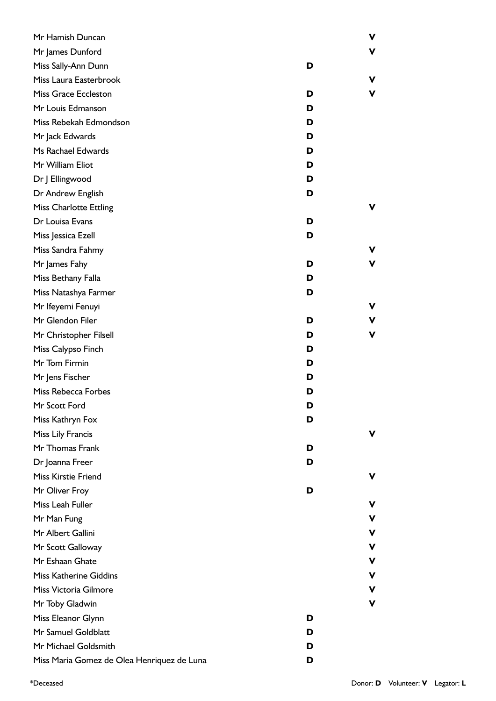| Mr Hamish Duncan                           |   | ۷ |
|--------------------------------------------|---|---|
| Mr James Dunford                           |   | V |
| Miss Sally-Ann Dunn                        | D |   |
| Miss Laura Easterbrook                     |   | ۷ |
| <b>Miss Grace Eccleston</b>                | D | V |
| Mr Louis Edmanson                          | D |   |
| Miss Rebekah Edmondson                     | D |   |
| Mr Jack Edwards                            | D |   |
| Ms Rachael Edwards                         | D |   |
| Mr William Eliot                           | D |   |
| Dr J Ellingwood                            | D |   |
| Dr Andrew English                          | D |   |
| <b>Miss Charlotte Ettling</b>              |   | v |
| Dr Louisa Evans                            | D |   |
| Miss Jessica Ezell                         | D |   |
| Miss Sandra Fahmy                          |   | ۷ |
| Mr James Fahy                              | D | V |
| Miss Bethany Falla                         | D |   |
| Miss Natashya Farmer                       | D |   |
| Mr Ifeyemi Fenuyi                          |   | v |
| Mr Glendon Filer                           | D | V |
| Mr Christopher Filsell                     | D | V |
| Miss Calypso Finch                         | D |   |
| Mr Tom Firmin                              | D |   |
| Mr Jens Fischer                            | D |   |
| Miss Rebecca Forbes                        | D |   |
| Mr Scott Ford                              | D |   |
| Miss Kathryn Fox                           | D |   |
| Miss Lily Francis                          |   | v |
| Mr Thomas Frank                            | D |   |
| Dr Joanna Freer                            | D |   |
| <b>Miss Kirstie Friend</b>                 |   | v |
| Mr Oliver Froy                             | D |   |
| Miss Leah Fuller                           |   | v |
| Mr Man Fung                                |   | v |
| Mr Albert Gallini                          |   | v |
| Mr Scott Galloway                          |   | ۷ |
| Mr Eshaan Ghate                            |   | v |
| <b>Miss Katherine Giddins</b>              |   | ۷ |
| Miss Victoria Gilmore                      |   | ۷ |
| Mr Toby Gladwin                            |   | ۷ |
| Miss Eleanor Glynn                         | D |   |
| Mr Samuel Goldblatt                        | D |   |
| Mr Michael Goldsmith                       | D |   |
| Miss Maria Gomez de Olea Henriquez de Luna | D |   |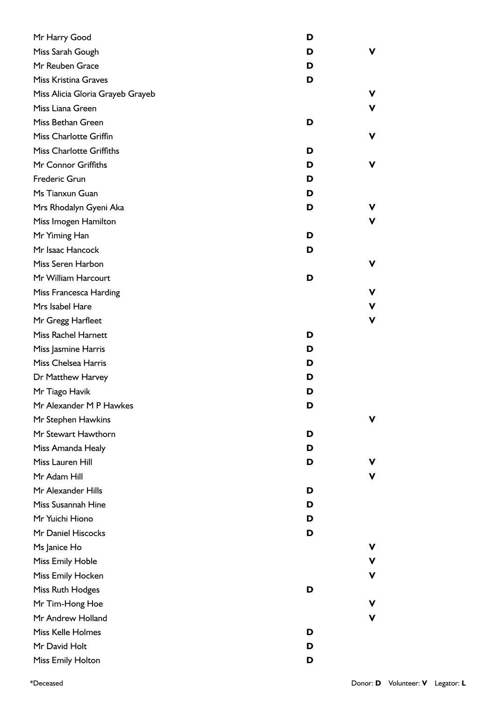| Mr Harry Good                    | D |    |
|----------------------------------|---|----|
| Miss Sarah Gough                 | D | v  |
| Mr Reuben Grace                  | D |    |
| <b>Miss Kristina Graves</b>      | D |    |
| Miss Alicia Gloria Grayeb Grayeb |   | v  |
| Miss Liana Green                 |   | V  |
| Miss Bethan Green                | D |    |
| Miss Charlotte Griffin           |   | v  |
| <b>Miss Charlotte Griffiths</b>  | D |    |
| Mr Connor Griffiths              | D | ۷  |
| Frederic Grun                    | D |    |
| Ms Tianxun Guan                  | D |    |
| Mrs Rhodalyn Gyeni Aka           | D | v. |
| Miss Imogen Hamilton             |   | V  |
| Mr Yiming Han                    | D |    |
| Mr Isaac Hancock                 | D |    |
| Miss Seren Harbon                |   | v  |
| Mr William Harcourt              | D |    |
| Miss Francesca Harding           |   | v  |
| Mrs Isabel Hare                  |   | V  |
| Mr Gregg Harfleet                |   | V  |
| <b>Miss Rachel Harnett</b>       | D |    |
| Miss Jasmine Harris              | D |    |
| Miss Chelsea Harris              | D |    |
| Dr Matthew Harvey                | D |    |
| Mr Tiago Havik                   | D |    |
| Mr Alexander M P Hawkes          | D |    |
| Mr Stephen Hawkins               |   | ۷  |
| Mr Stewart Hawthorn              | D |    |
| Miss Amanda Healy                | D |    |
| Miss Lauren Hill                 | D | v. |
| Mr Adam Hill                     |   | V  |
| Mr Alexander Hills               | D |    |
| Miss Susannah Hine               | D |    |
| Mr Yuichi Hiono                  | D |    |
| Mr Daniel Hiscocks               | D |    |
| Ms Janice Ho                     |   | v  |
| Miss Emily Hoble                 |   | V  |
| Miss Emily Hocken                |   | ۷  |
| Miss Ruth Hodges                 | D |    |
| Mr Tim-Hong Hoe                  |   | ۷  |
| Mr Andrew Holland                |   | ۷  |
| Miss Kelle Holmes                | D |    |
| Mr David Holt                    | D |    |
| Miss Emily Holton                | D |    |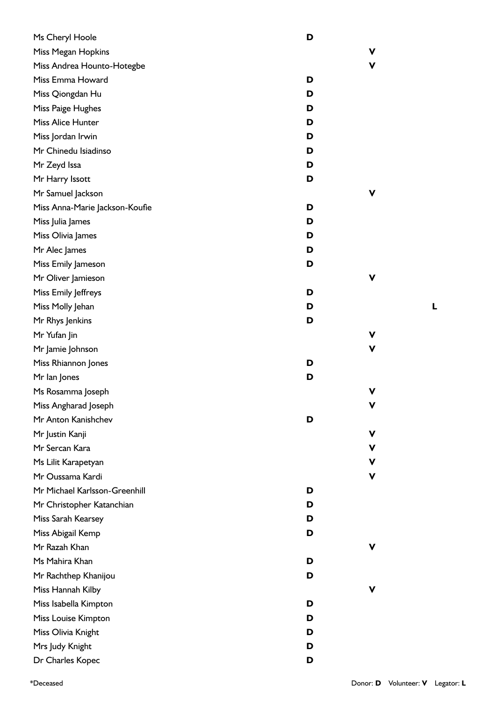| Ms Cheryl Hoole                | D |   |
|--------------------------------|---|---|
| Miss Megan Hopkins             |   | ۷ |
| Miss Andrea Hounto-Hotegbe     |   | v |
| Miss Emma Howard               | D |   |
| Miss Qiongdan Hu               | D |   |
| Miss Paige Hughes              | D |   |
| Miss Alice Hunter              | D |   |
| Miss Jordan Irwin              | D |   |
| Mr Chinedu Isiadinso           | D |   |
| Mr Zeyd Issa                   | D |   |
| Mr Harry Issott                | D |   |
| Mr Samuel Jackson              |   | v |
| Miss Anna-Marie Jackson-Koufie | D |   |
| Miss Julia James               | D |   |
| Miss Olivia James              | D |   |
| Mr Alec James                  | D |   |
| Miss Emily Jameson             | D |   |
| Mr Oliver Jamieson             |   | ۷ |
| Miss Emily Jeffreys            | D |   |
| Miss Molly Jehan               | D |   |
| Mr Rhys Jenkins                | D |   |
| Mr Yufan Jin                   |   | v |
| Mr Jamie Johnson               |   | v |
| Miss Rhiannon Jones            | D |   |
| Mr lan Jones                   | D |   |
| Ms Rosamma Joseph              |   | v |
| Miss Angharad Joseph           |   |   |
| Mr Anton Kanishchev            | D |   |
| Mr Justin Kanji                |   | ۷ |
| Mr Sercan Kara                 |   | v |
| Ms Lilit Karapetyan            |   | v |
| Mr Oussama Kardi               |   | v |
| Mr Michael Karlsson-Greenhill  | D |   |
| Mr Christopher Katanchian      | D |   |
| Miss Sarah Kearsey             | D |   |
| Miss Abigail Kemp              | D |   |
| Mr Razah Khan                  |   | v |
| Ms Mahira Khan                 | D |   |
| Mr Rachthep Khanijou           | D |   |
| Miss Hannah Kilby              |   | v |
| Miss Isabella Kimpton          | D |   |
| Miss Louise Kimpton            | D |   |
| Miss Olivia Knight             | D |   |
| Mrs Judy Knight                | D |   |
| Dr Charles Kopec               | D |   |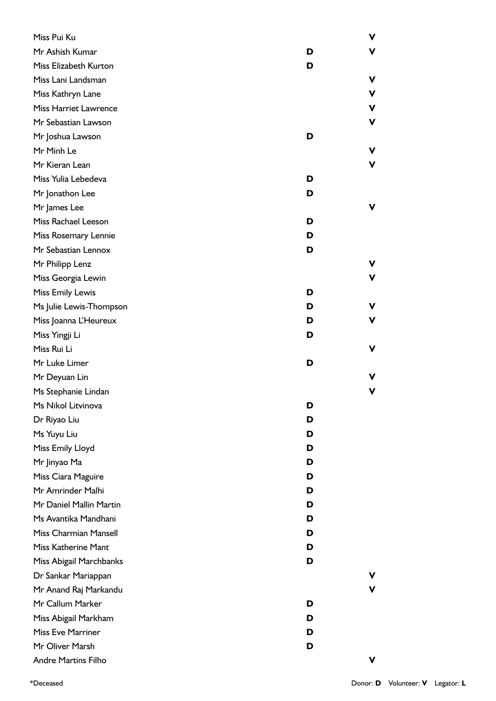| Miss Pui Ku                  |   | V |
|------------------------------|---|---|
| Mr Ashish Kumar              | D | V |
| Miss Elizabeth Kurton        | D |   |
| Miss Lani Landsman           |   | V |
| Miss Kathryn Lane            |   | ۷ |
| <b>Miss Harriet Lawrence</b> |   | V |
| Mr Sebastian Lawson          |   | V |
| Mr Joshua Lawson             | D |   |
| Mr Minh Le                   |   | ۷ |
| Mr Kieran Lean               |   | V |
| Miss Yulia Lebedeva          | D |   |
| Mr Jonathon Lee              | D |   |
| Mr James Lee                 |   | V |
| Miss Rachael Leeson          | D |   |
| Miss Rosemary Lennie         | D |   |
| Mr Sebastian Lennox          | D |   |
| Mr Philipp Lenz              |   | V |
| Miss Georgia Lewin           |   | V |
| <b>Miss Emily Lewis</b>      | D |   |
| Ms Julie Lewis-Thompson      | D | V |
| Miss Joanna L'Heureux        | D | V |
| Miss Yingji Li               | D |   |
| Miss Rui Li                  |   | V |
| Mr Luke Limer                | D |   |
| Mr Deyuan Lin                |   | V |
| Ms Stephanie Lindan          |   | v |
| Ms Nikol Litvinova           | D |   |
| Dr Riyao Liu                 | D |   |
| Ms Yuyu Liu                  | D |   |
| Miss Emily Lloyd             | D |   |
| Mr Jinyao Ma                 | D |   |
| Miss Ciara Maguire           | D |   |
| Mr Amrinder Malhi            | D |   |
| Mr Daniel Mallin Martin      | D |   |
| Ms Avantika Mandhani         | D |   |
| Miss Charmian Mansell        | D |   |
| Miss Katherine Mant          | D |   |
| Miss Abigail Marchbanks      | D |   |
| Dr Sankar Mariappan          |   | v |
| Mr Anand Raj Markandu        |   | v |
| Mr Callum Marker             | D |   |
| Miss Abigail Markham         | D |   |
| <b>Miss Eve Marriner</b>     | D |   |
| Mr Oliver Marsh              | D |   |
| <b>Andre Martins Filho</b>   |   | v |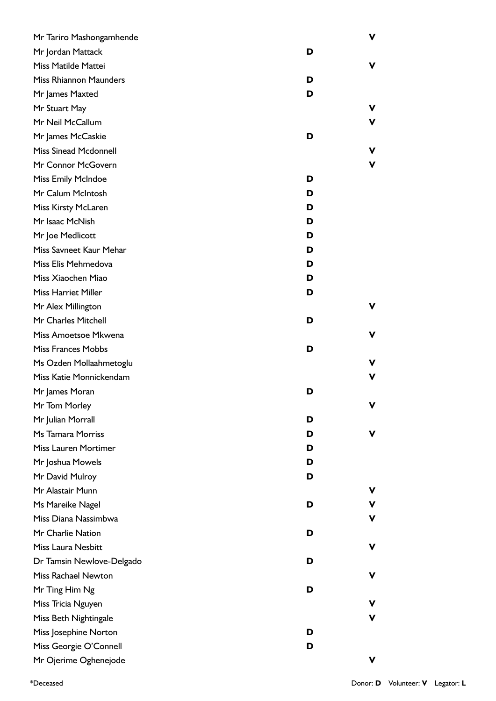| Mr Tariro Mashongamhende      |   | ۷ |
|-------------------------------|---|---|
| Mr Jordan Mattack             | D |   |
| Miss Matilde Mattei           |   | ۷ |
| <b>Miss Rhiannon Maunders</b> | D |   |
| Mr James Maxted               | D |   |
| Mr Stuart May                 |   | v |
| Mr Neil McCallum              |   | v |
| Mr James McCaskie             | D |   |
| <b>Miss Sinead Mcdonnell</b>  |   | v |
| Mr Connor McGovern            |   | V |
| <b>Miss Emily McIndoe</b>     | D |   |
| Mr Calum McIntosh             | D |   |
| Miss Kirsty McLaren           | D |   |
| Mr Isaac McNish               | D |   |
| Mr Joe Medlicott              | D |   |
| Miss Savneet Kaur Mehar       | D |   |
| Miss Elis Mehmedova           | D |   |
| Miss Xiaochen Miao            | D |   |
| Miss Harriet Miller           | D |   |
| Mr Alex Millington            |   | ۷ |
| Mr Charles Mitchell           | D |   |
| Miss Amoetsoe Mkwena          |   | ۷ |
| <b>Miss Frances Mobbs</b>     | D |   |
| Ms Ozden Mollaahmetoglu       |   | v |
| Miss Katie Monnickendam       |   | ۷ |
| Mr James Moran                | D |   |
| Mr Tom Morley                 |   | V |
| Mr Julian Morrall             | D |   |
| Ms Tamara Morriss             | D | v |
| <b>Miss Lauren Mortimer</b>   | D |   |
| Mr Joshua Mowels              | D |   |
| Mr David Mulroy               | D |   |
| Mr Alastair Munn              |   | v |
| Ms Mareike Nagel              | D | v |
| Miss Diana Nassimbwa          |   | v |
| Mr Charlie Nation             | D |   |
| Miss Laura Nesbitt            |   | v |
| Dr Tamsin Newlove-Delgado     | D |   |
| <b>Miss Rachael Newton</b>    |   | v |
| Mr Ting Him Ng                | D |   |
| Miss Tricia Nguyen            |   | v |
| Miss Beth Nightingale         |   | v |
| Miss Josephine Norton         | D |   |
| Miss Georgie O'Connell        | D |   |
| Mr Ojerime Oghenejode         |   | v |

\*Deceased Donor: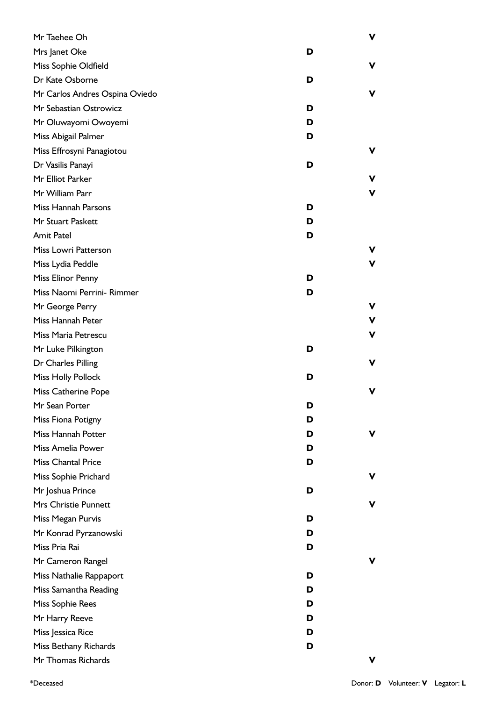| Mr Taehee Oh                   |   | V |
|--------------------------------|---|---|
| Mrs Janet Oke                  | D |   |
| Miss Sophie Oldfield           |   | v |
| Dr Kate Osborne                | D |   |
| Mr Carlos Andres Ospina Oviedo |   | v |
| Mr Sebastian Ostrowicz         | D |   |
| Mr Oluwayomi Owoyemi           | D |   |
| Miss Abigail Palmer            | D |   |
| Miss Effrosyni Panagiotou      |   | v |
| Dr Vasilis Panayi              | D |   |
| Mr Elliot Parker               |   | v |
| Mr William Parr                |   | v |
| Miss Hannah Parsons            | D |   |
| Mr Stuart Paskett              | D |   |
| <b>Amit Patel</b>              | D |   |
| Miss Lowri Patterson           |   | v |
| Miss Lydia Peddle              |   | v |
| Miss Elinor Penny              | D |   |
| Miss Naomi Perrini- Rimmer     | D |   |
| Mr George Perry                |   | ۷ |
| Miss Hannah Peter              |   | V |
| Miss Maria Petrescu            |   | v |
| Mr Luke Pilkington             | D |   |
| Dr Charles Pilling             |   | v |
| <b>Miss Holly Pollock</b>      | D |   |
| Miss Catherine Pope            |   | v |
| Mr Sean Porter                 | D |   |
| Miss Fiona Potigny             | D |   |
| Miss Hannah Potter             | D | v |
| Miss Amelia Power              | D |   |
| <b>Miss Chantal Price</b>      | D |   |
| Miss Sophie Prichard           |   | v |
| Mr Joshua Prince               | D |   |
| Mrs Christie Punnett           |   |   |
| Miss Megan Purvis              | D |   |
| Mr Konrad Pyrzanowski          | D |   |
| Miss Pria Rai                  | D |   |
| Mr Cameron Rangel              |   |   |
| Miss Nathalie Rappaport        | D |   |
| Miss Samantha Reading          | D |   |
| Miss Sophie Rees               | D |   |
| Mr Harry Reeve                 | D |   |
| Miss Jessica Rice              | D |   |
| Miss Bethany Richards          | D |   |
| Mr Thomas Richards             |   | v |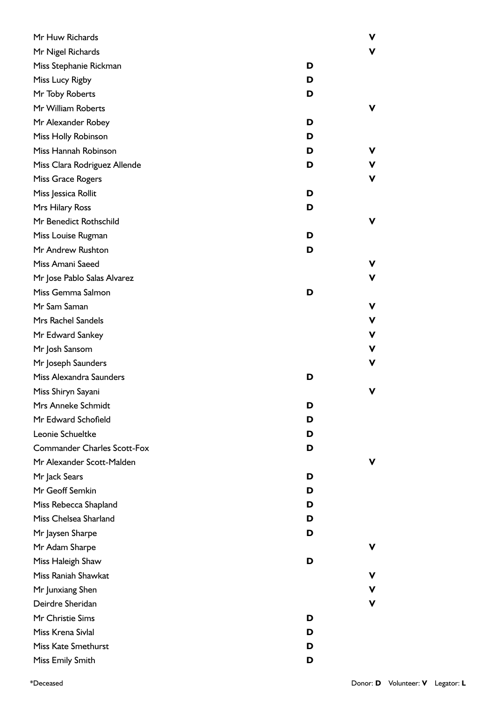| Mr Huw Richards                    |   | v           |
|------------------------------------|---|-------------|
| Mr Nigel Richards                  |   | v           |
| Miss Stephanie Rickman             | D |             |
| Miss Lucy Rigby                    | D |             |
| Mr Toby Roberts                    | D |             |
| Mr William Roberts                 |   | v           |
| Mr Alexander Robey                 | D |             |
| Miss Holly Robinson                | D |             |
| Miss Hannah Robinson               | D | v           |
| Miss Clara Rodriguez Allende       | D | v           |
| Miss Grace Rogers                  |   | v           |
| Miss Jessica Rollit                | D |             |
| Mrs Hilary Ross                    | D |             |
| Mr Benedict Rothschild             |   | v           |
| Miss Louise Rugman                 | D |             |
| Mr Andrew Rushton                  | D |             |
| Miss Amani Saeed                   |   | v           |
| Mr Jose Pablo Salas Alvarez        |   | v           |
| Miss Gemma Salmon                  | D |             |
| Mr Sam Saman                       |   | V           |
| Mrs Rachel Sandels                 |   | $\mathbf v$ |
| Mr Edward Sankey                   |   | ۷           |
| Mr Josh Sansom                     |   | ۷           |
| Mr Joseph Saunders                 |   | v           |
| Miss Alexandra Saunders            | D |             |
| Miss Shiryn Sayani                 |   | v           |
| Mrs Anneke Schmidt                 | D |             |
| Mr Edward Schofield                | D |             |
| Leonie Schueltke                   | D |             |
| <b>Commander Charles Scott-Fox</b> | D |             |
| Mr Alexander Scott-Malden          |   |             |
| Mr Jack Sears                      | D |             |
| Mr Geoff Semkin                    | D |             |
| Miss Rebecca Shapland              | D |             |
| Miss Chelsea Sharland              | D |             |
| Mr Jaysen Sharpe                   | D |             |
| Mr Adam Sharpe                     |   | v           |
| Miss Haleigh Shaw                  | D |             |
| Miss Raniah Shawkat                |   | v           |
| Mr Junxiang Shen                   |   | v           |
| Deirdre Sheridan                   |   | v           |
| Mr Christie Sims                   | D |             |
| Miss Krena Sivlal                  | D |             |
| Miss Kate Smethurst                | D |             |
| Miss Emily Smith                   | D |             |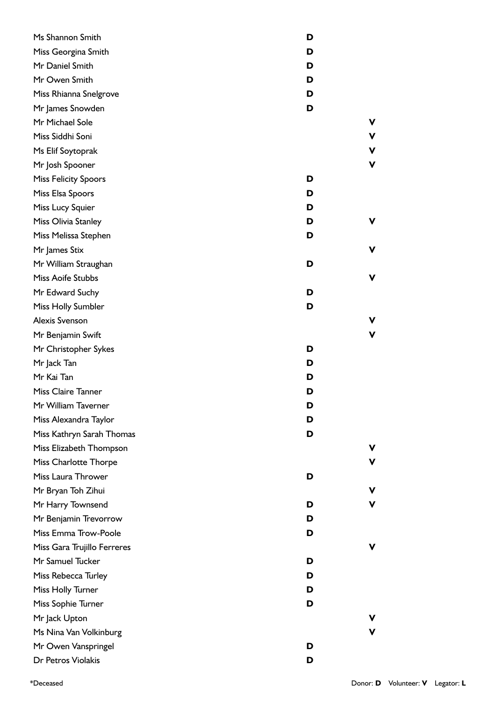| Ms Shannon Smith            | D |   |
|-----------------------------|---|---|
| Miss Georgina Smith         | D |   |
| Mr Daniel Smith             | D |   |
| Mr Owen Smith               | D |   |
| Miss Rhianna Snelgrove      | D |   |
| Mr James Snowden            | D |   |
| Mr Michael Sole             |   | ۷ |
| Miss Siddhi Soni            |   | V |
| Ms Elif Soytoprak           |   | V |
| Mr Josh Spooner             |   | V |
| <b>Miss Felicity Spoors</b> | D |   |
| Miss Elsa Spoors            | D |   |
| Miss Lucy Squier            | D |   |
| Miss Olivia Stanley         | D | v |
| Miss Melissa Stephen        | D |   |
| Mr James Stix               |   | ν |
| Mr William Straughan        | D |   |
| Miss Aoife Stubbs           |   | ν |
| Mr Edward Suchy             | D |   |
| Miss Holly Sumbler          | D |   |
| <b>Alexis Svenson</b>       |   |   |
| Mr Benjamin Swift           |   | ν |
| Mr Christopher Sykes        | D |   |
| Mr Jack Tan                 | D |   |
| Mr Kai Tan                  | D |   |
| <b>Miss Claire Tanner</b>   | D |   |
| Mr William Taverner         | D |   |
| Miss Alexandra Taylor       | D |   |
| Miss Kathryn Sarah Thomas   | D |   |
| Miss Elizabeth Thompson     |   |   |
| Miss Charlotte Thorpe       |   |   |
| Miss Laura Thrower          | D |   |
| Mr Bryan Toh Zihui          |   | ν |
| Mr Harry Townsend           | D |   |
| Mr Benjamin Trevorrow       | D |   |
| Miss Emma Trow-Poole        | D |   |
| Miss Gara Trujillo Ferreres |   |   |
| Mr Samuel Tucker            | D |   |
| Miss Rebecca Turley         | D |   |
| Miss Holly Turner           | D |   |
| Miss Sophie Turner          | D |   |
| Mr Jack Upton               |   |   |
| Ms Nina Van Volkinburg      |   |   |
| Mr Owen Vanspringel         | D |   |
| Dr Petros Violakis          | D |   |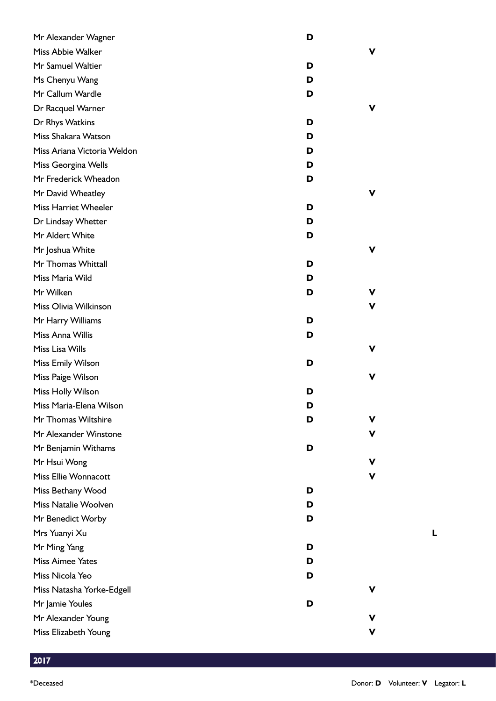| Mr Alexander Wagner         | D |   |
|-----------------------------|---|---|
| Miss Abbie Walker           |   | v |
| Mr Samuel Waltier           | D |   |
| Ms Chenyu Wang              | D |   |
| Mr Callum Wardle            | D |   |
| Dr Racquel Warner           |   | v |
| Dr Rhys Watkins             | D |   |
| Miss Shakara Watson         | D |   |
| Miss Ariana Victoria Weldon | D |   |
| Miss Georgina Wells         | D |   |
| Mr Frederick Wheadon        | D |   |
| Mr David Wheatley           |   | v |
| Miss Harriet Wheeler        | D |   |
| Dr Lindsay Whetter          | D |   |
| Mr Aldert White             | D |   |
| Mr Joshua White             |   | v |
| Mr Thomas Whittall          | D |   |
| Miss Maria Wild             | D |   |
| Mr Wilken                   | D | v |
| Miss Olivia Wilkinson       |   | v |
| Mr Harry Williams           | D |   |
| Miss Anna Willis            | D |   |
| Miss Lisa Wills             |   | v |
| Miss Emily Wilson           | D |   |
| Miss Paige Wilson           |   | ۷ |
| Miss Holly Wilson           | D |   |
| Miss Maria-Elena Wilson     | D |   |
| Mr Thomas Wiltshire         | D | v |
| Mr Alexander Winstone       |   | v |
| Mr Benjamin Withams         | D |   |
| Mr Hsui Wong                |   | v |
| Miss Ellie Wonnacott        |   | v |
| Miss Bethany Wood           | D |   |
| Miss Natalie Woolven        | D |   |
| Mr Benedict Worby           | D |   |
| Mrs Yuanyi Xu               |   |   |
| Mr Ming Yang                | D |   |
| <b>Miss Aimee Yates</b>     | D |   |
| Miss Nicola Yeo             | D |   |
| Miss Natasha Yorke-Edgell   |   | v |
| Mr Jamie Youles             | D |   |
| Mr Alexander Young          |   | v |
| Miss Elizabeth Young        |   | V |

2017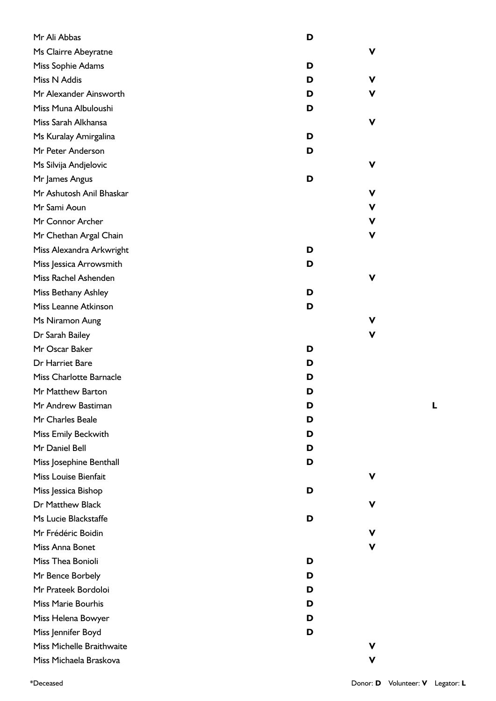| Mr Ali Abbas              | D |   |
|---------------------------|---|---|
| Ms Clairre Abeyratne      |   | v |
| Miss Sophie Adams         | D |   |
| Miss N Addis              | D | v |
| Mr Alexander Ainsworth    | D | v |
| Miss Muna Albuloushi      | D |   |
| Miss Sarah Alkhansa       |   | v |
| Ms Kuralay Amirgalina     | D |   |
| Mr Peter Anderson         | D |   |
| Ms Silvija Andjelovic     |   | v |
| Mr James Angus            | D |   |
| Mr Ashutosh Anil Bhaskar  |   | v |
| Mr Sami Aoun              |   | ۷ |
| Mr Connor Archer          |   | ۷ |
| Mr Chethan Argal Chain    |   | v |
| Miss Alexandra Arkwright  | D |   |
| Miss Jessica Arrowsmith   | D |   |
| Miss Rachel Ashenden      |   | v |
| Miss Bethany Ashley       | D |   |
| Miss Leanne Atkinson      | D |   |
| Ms Niramon Aung           |   | v |
| Dr Sarah Bailey           |   | v |
| Mr Oscar Baker            | D |   |
| Dr Harriet Bare           | D |   |
| Miss Charlotte Barnacle   | D |   |
| Mr Matthew Barton         | D |   |
| Mr Andrew Bastiman        | D |   |
| Mr Charles Beale          | D |   |
| Miss Emily Beckwith       | D |   |
| Mr Daniel Bell            | D |   |
| Miss Josephine Benthall   | D |   |
| Miss Louise Bienfait      |   | v |
| Miss Jessica Bishop       | D |   |
| Dr Matthew Black          |   | v |
| Ms Lucie Blackstaffe      | D |   |
| Mr Frédéric Boidin        |   |   |
| Miss Anna Bonet           |   | v |
| Miss Thea Bonioli         | D |   |
| Mr Bence Borbely          | D |   |
| Mr Prateek Bordoloi       | D |   |
| <b>Miss Marie Bourhis</b> | D |   |
| Miss Helena Bowyer        | D |   |
| Miss Jennifer Boyd        | D |   |
| Miss Michelle Braithwaite |   | v |
| Miss Michaela Braskova    |   | v |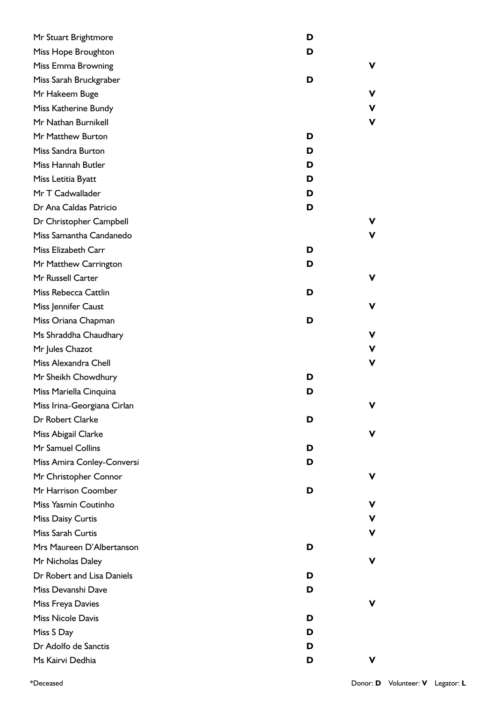| Mr Stuart Brightmore        | D |    |
|-----------------------------|---|----|
| Miss Hope Broughton         | D |    |
| Miss Emma Browning          |   | v  |
| Miss Sarah Bruckgraber      | D |    |
| Mr Hakeem Buge              |   | v  |
| Miss Katherine Bundy        |   | v  |
| Mr Nathan Burnikell         |   | v  |
| Mr Matthew Burton           | D |    |
| Miss Sandra Burton          | D |    |
| Miss Hannah Butler          | D |    |
| Miss Letitia Byatt          | D |    |
| Mr T Cadwallader            | D |    |
| Dr Ana Caldas Patricio      | D |    |
| Dr Christopher Campbell     |   | v  |
| Miss Samantha Candanedo     |   | v. |
| Miss Elizabeth Carr         | D |    |
| Mr Matthew Carrington       | D |    |
| Mr Russell Carter           |   | v  |
| Miss Rebecca Cattlin        | D |    |
| Miss Jennifer Caust         |   | v  |
| Miss Oriana Chapman         | D |    |
| Ms Shraddha Chaudhary       |   | v  |
| Mr Jules Chazot             |   | v  |
| Miss Alexandra Chell        |   | ۷  |
| Mr Sheikh Chowdhury         | D |    |
| Miss Mariella Cinquina      | D |    |
| Miss Irina-Georgiana Cirlan |   |    |
| Dr Robert Clarke            | D |    |
| Miss Abigail Clarke         |   | v  |
| Mr Samuel Collins           | D |    |
| Miss Amira Conley-Conversi  | D |    |
| Mr Christopher Connor       |   | v  |
| Mr Harrison Coomber         | D |    |
| Miss Yasmin Coutinho        |   | v  |
| Miss Daisy Curtis           |   | v  |
| Miss Sarah Curtis           |   | v  |
| Mrs Maureen D'Albertanson   | D |    |
| Mr Nicholas Daley           |   | v  |
| Dr Robert and Lisa Daniels  | D |    |
| Miss Devanshi Dave          | D |    |
| Miss Freya Davies           |   | v  |
| <b>Miss Nicole Davis</b>    | D |    |
| Miss S Day                  | D |    |
| Dr Adolfo de Sanctis        | D |    |
| Ms Kairvi Dedhia            | D | v  |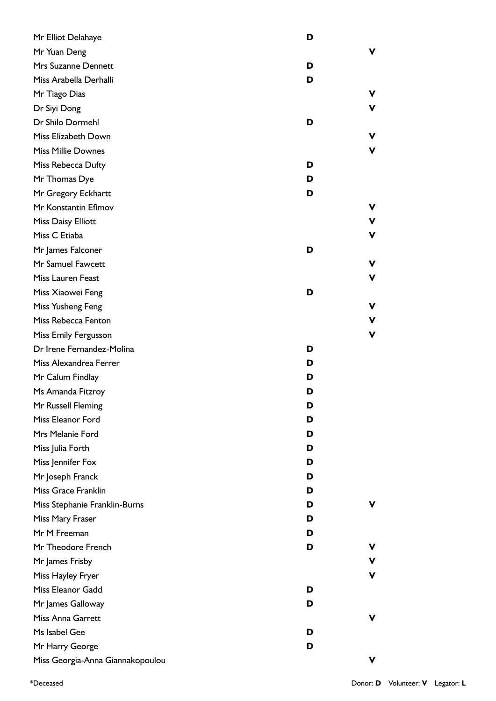| Mr Elliot Delahaye               | D |   |
|----------------------------------|---|---|
| Mr Yuan Deng                     |   | ۷ |
| Mrs Suzanne Dennett              | D |   |
| Miss Arabella Derhalli           | D |   |
| Mr Tiago Dias                    |   | v |
| Dr Siyi Dong                     |   | v |
| Dr Shilo Dormehl                 | D |   |
| Miss Elizabeth Down              |   | v |
| <b>Miss Millie Downes</b>        |   | V |
| Miss Rebecca Dufty               | D |   |
| Mr Thomas Dye                    | D |   |
| Mr Gregory Eckhartt              | D |   |
| Mr Konstantin Efimov             |   | v |
| <b>Miss Daisy Elliott</b>        |   | v |
| Miss C Etiaba                    |   | ۷ |
| Mr James Falconer                | D |   |
| Mr Samuel Fawcett                |   | ۷ |
| Miss Lauren Feast                |   | v |
| Miss Xiaowei Feng                | D |   |
| Miss Yusheng Feng                |   | v |
| Miss Rebecca Fenton              |   | v |
| Miss Emily Fergusson             |   | V |
| Dr Irene Fernandez-Molina        | D |   |
| Miss Alexandrea Ferrer           | D |   |
| Mr Calum Findlay                 | D |   |
| Ms Amanda Fitzroy                | D |   |
| Mr Russell Fleming               | D |   |
| Miss Eleanor Ford                | D |   |
| Mrs Melanie Ford                 | D |   |
| Miss Julia Forth                 | D |   |
| Miss Jennifer Fox                | D |   |
| Mr Joseph Franck                 | D |   |
| Miss Grace Franklin              | D |   |
| Miss Stephanie Franklin-Burns    | D | v |
| Miss Mary Fraser                 | D |   |
| Mr M Freeman                     | D |   |
| Mr Theodore French               | D | v |
| Mr James Frisby                  |   | V |
| Miss Hayley Fryer                |   | v |
| Miss Eleanor Gadd                | D |   |
| Mr James Galloway                | D |   |
| Miss Anna Garrett                |   | v |
| Ms Isabel Gee                    | D |   |
| Mr Harry George                  | D |   |
| Miss Georgia-Anna Giannakopoulou |   | ۷ |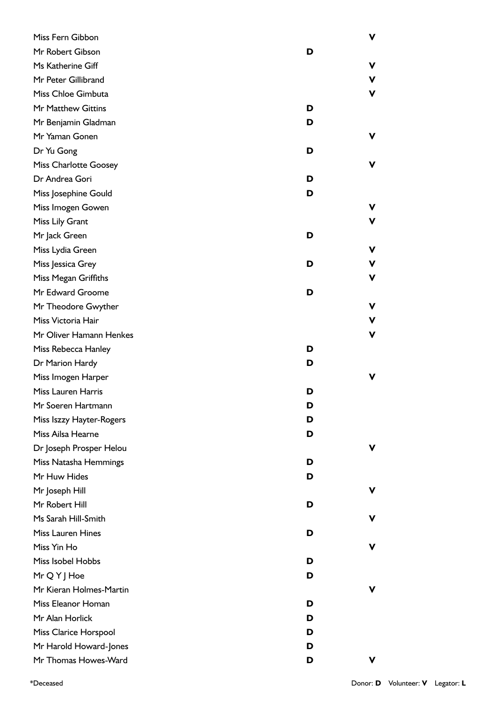| Miss Fern Gibbon             |   | ۷           |
|------------------------------|---|-------------|
| Mr Robert Gibson             | D |             |
| Ms Katherine Giff            |   | ۷           |
| Mr Peter Gillibrand          |   | V           |
| Miss Chloe Gimbuta           |   | $\mathbf v$ |
| Mr Matthew Gittins           | D |             |
| Mr Benjamin Gladman          | D |             |
| Mr Yaman Gonen               |   | ۷           |
| Dr Yu Gong                   | D |             |
| <b>Miss Charlotte Goosey</b> |   | v           |
| Dr Andrea Gori               | D |             |
| Miss Josephine Gould         | D |             |
| Miss Imogen Gowen            |   | ۷           |
| Miss Lily Grant              |   | V           |
| Mr Jack Green                | D |             |
| Miss Lydia Green             |   | ۷           |
| Miss Jessica Grey            | D | v           |
| Miss Megan Griffiths         |   | ۷           |
| Mr Edward Groome             | D |             |
| Mr Theodore Gwyther          |   | ۷           |
| Miss Victoria Hair           |   | V           |
| Mr Oliver Hamann Henkes      |   | V           |
| Miss Rebecca Hanley          | D |             |
| Dr Marion Hardy              | D |             |
| Miss Imogen Harper           |   | ۷           |
| Miss Lauren Harris           | D |             |
| Mr Soeren Hartmann           | D |             |
| Miss Iszzy Hayter-Rogers     | D |             |
| Miss Ailsa Hearne            | D |             |
| Dr Joseph Prosper Helou      |   | v           |
| Miss Natasha Hemmings        | D |             |
| Mr Huw Hides                 | D |             |
| Mr Joseph Hill               |   | v           |
| Mr Robert Hill               | D |             |
| Ms Sarah Hill-Smith          |   | v           |
| <b>Miss Lauren Hines</b>     | D |             |
| Miss Yin Ho                  |   | V           |
| Miss Isobel Hobbs            | D |             |
| Mr Q Y J Hoe                 | D |             |
| Mr Kieran Holmes-Martin      |   | ۷           |
| Miss Eleanor Homan           | D |             |
| Mr Alan Horlick              | D |             |
| Miss Clarice Horspool        | D |             |
| Mr Harold Howard-Jones       | D |             |
| Mr Thomas Howes-Ward         | D | v           |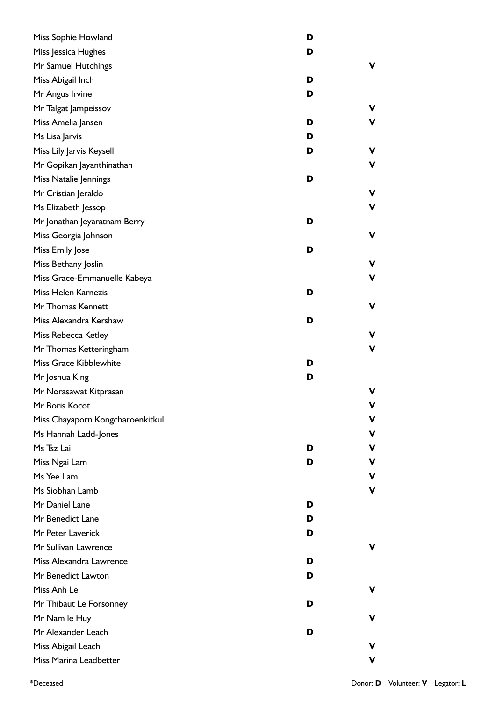| Miss Sophie Howland              | D |    |
|----------------------------------|---|----|
| Miss Jessica Hughes              | D |    |
| Mr Samuel Hutchings              |   | v  |
| Miss Abigail Inch                | D |    |
| Mr Angus Irvine                  | D |    |
| Mr Talgat Jampeissov             |   | v  |
| Miss Amelia Jansen               | D | ۷  |
| Ms Lisa Jarvis                   | D |    |
| Miss Lily Jarvis Keysell         | D | v  |
| Mr Gopikan Jayanthinathan        |   | ۷  |
| Miss Natalie Jennings            | D |    |
| Mr Cristian Jeraldo              |   | V  |
| Ms Elizabeth Jessop              |   | ۷  |
| Mr Jonathan Jeyaratnam Berry     | D |    |
| Miss Georgia Johnson             |   | v  |
| Miss Emily Jose                  | D |    |
| Miss Bethany Joslin              |   | ۷  |
| Miss Grace-Emmanuelle Kabeya     |   | ۷  |
| Miss Helen Karnezis              | D |    |
| Mr Thomas Kennett                |   | V  |
| Miss Alexandra Kershaw           | D |    |
| Miss Rebecca Ketley              |   | v  |
| Mr Thomas Ketteringham           |   | ۷  |
| Miss Grace Kibblewhite           | D |    |
| Mr Joshua King                   | D |    |
| Mr Norasawat Kitprasan           |   | ۷  |
| Mr Boris Kocot                   |   | V  |
| Miss Chayaporn Kongcharoenkitkul |   | v  |
| Ms Hannah Ladd-Jones             |   | v  |
| Ms Tsz Lai                       | D | v  |
| Miss Ngai Lam                    | D | v  |
| Ms Yee Lam                       |   | v  |
| Ms Siobhan Lamb                  |   | V  |
| Mr Daniel Lane                   | D |    |
| Mr Benedict Lane                 | D |    |
| Mr Peter Laverick                | D |    |
| Mr Sullivan Lawrence             |   | v  |
| Miss Alexandra Lawrence          | D |    |
| Mr Benedict Lawton               | D |    |
| Miss Anh Le                      |   | v  |
| Mr Thibaut Le Forsonney          | D |    |
| Mr Nam le Huy                    |   | ۷  |
| Mr Alexander Leach               | D |    |
| Miss Abigail Leach               |   | v  |
| Miss Marina Leadbetter           |   | v. |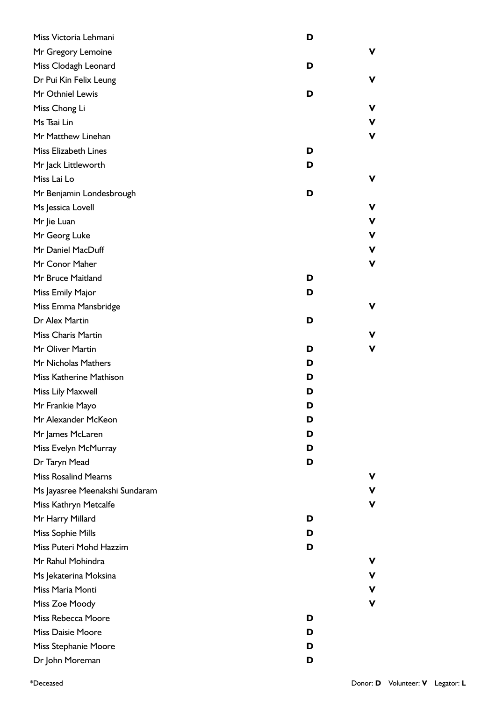| Miss Victoria Lehmani          | D |   |
|--------------------------------|---|---|
| Mr Gregory Lemoine             |   | ۷ |
| Miss Clodagh Leonard           | D |   |
| Dr Pui Kin Felix Leung         |   | ۷ |
| Mr Othniel Lewis               | D |   |
| Miss Chong Li                  |   | ۷ |
| Ms Tsai Lin                    |   | V |
| Mr Matthew Linehan             |   | ۷ |
| <b>Miss Elizabeth Lines</b>    | D |   |
| Mr Jack Littleworth            | D |   |
| Miss Lai Lo                    |   | ۷ |
| Mr Benjamin Londesbrough       | D |   |
| Ms Jessica Lovell              |   | v |
| Mr Jie Luan                    |   | v |
| Mr Georg Luke                  |   | ۷ |
| Mr Daniel MacDuff              |   | V |
| Mr Conor Maher                 |   | V |
| Mr Bruce Maitland              | D |   |
| Miss Emily Major               | D |   |
| Miss Emma Mansbridge           |   | v |
| Dr Alex Martin                 | D |   |
| Miss Charis Martin             |   | ۷ |
| Mr Oliver Martin               | D | V |
| Mr Nicholas Mathers            | D |   |
| Miss Katherine Mathison        | D |   |
| Miss Lily Maxwell              | D |   |
| Mr Frankie Mayo                | D |   |
| Mr Alexander McKeon            | D |   |
| Mr James McLaren               | D |   |
| Miss Evelyn McMurray           | D |   |
| Dr Taryn Mead                  | D |   |
| <b>Miss Rosalind Mearns</b>    |   | v |
| Ms Jayasree Meenakshi Sundaram |   | ۷ |
| Miss Kathryn Metcalfe          |   | V |
| Mr Harry Millard               | D |   |
| Miss Sophie Mills              | D |   |
| Miss Puteri Mohd Hazzim        | D |   |
| Mr Rahul Mohindra              |   | v |
| Ms Jekaterina Moksina          |   | ۷ |
| Miss Maria Monti               |   | V |
| Miss Zoe Moody                 |   | V |
| Miss Rebecca Moore             | D |   |
| <b>Miss Daisie Moore</b>       | D |   |
| Miss Stephanie Moore           | D |   |
| Dr John Moreman                | D |   |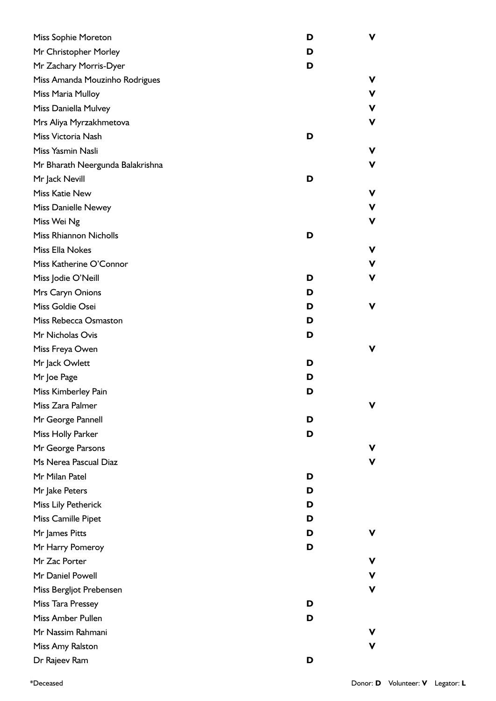| Miss Sophie Moreton              | D | v.          |
|----------------------------------|---|-------------|
| Mr Christopher Morley            | D |             |
| Mr Zachary Morris-Dyer           | D |             |
| Miss Amanda Mouzinho Rodrigues   |   | v           |
| Miss Maria Mulloy                |   | v           |
| Miss Daniella Mulvey             |   | v           |
| Mrs Aliya Myrzakhmetova          |   | v           |
| Miss Victoria Nash               | D |             |
| Miss Yasmin Nasli                |   | ۷           |
| Mr Bharath Neergunda Balakrishna |   | v           |
| Mr Jack Nevill                   | D |             |
| Miss Katie New                   |   | ۷           |
| <b>Miss Danielle Newey</b>       |   | v.          |
| Miss Wei Ng                      |   | ۷           |
| Miss Rhiannon Nicholls           | D |             |
| Miss Ella Nokes                  |   | ۷           |
| Miss Katherine O'Connor          |   | ۷           |
| Miss Jodie O'Neill               | D | ۷           |
| Mrs Caryn Onions                 | D |             |
| Miss Goldie Osei                 | D | ۷           |
| Miss Rebecca Osmaston            | D |             |
| Mr Nicholas Ovis                 | D |             |
| Miss Freya Owen                  |   | ۷           |
| Mr Jack Owlett                   | D |             |
| Mr Joe Page                      | D |             |
| Miss Kimberley Pain              | D |             |
| Miss Zara Palmer                 |   | $\mathbf v$ |
| Mr George Pannell                | D |             |
| Miss Holly Parker                | D |             |
| Mr George Parsons                |   | v           |
| Ms Nerea Pascual Diaz            |   | V           |
| Mr Milan Patel                   | D |             |
| Mr Jake Peters                   | D |             |
| Miss Lily Petherick              | D |             |
| Miss Camille Pipet               | D |             |
| Mr James Pitts                   | D | v           |
| Mr Harry Pomeroy                 | D |             |
| Mr Zac Porter                    |   | v           |
| Mr Daniel Powell                 |   | ۷           |
| Miss Bergljot Prebensen          |   | ۷           |
| Miss Tara Pressey                | D |             |
| Miss Amber Pullen                | D |             |
| Mr Nassim Rahmani                |   | v.          |
| Miss Amy Ralston                 |   | v           |
| Dr Rajeev Ram                    | D |             |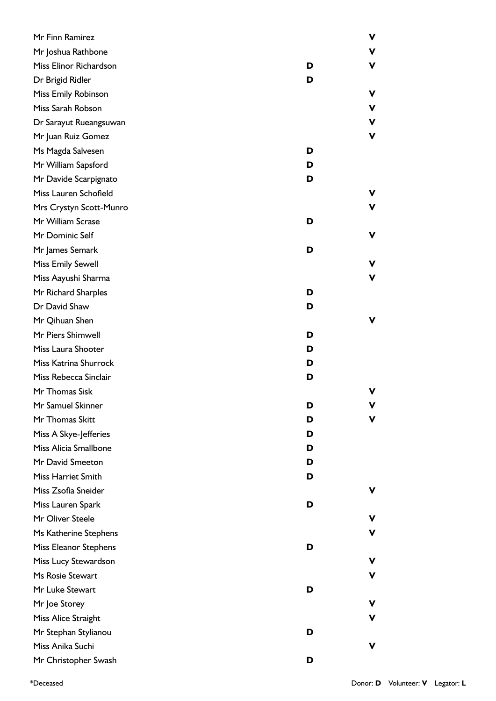| Mr Finn Ramirez           |   | ۷ |
|---------------------------|---|---|
| Mr Joshua Rathbone        |   | ν |
| Miss Elinor Richardson    | D | v |
| Dr Brigid Ridler          | D |   |
| Miss Emily Robinson       |   | ν |
| Miss Sarah Robson         |   | V |
| Dr Sarayut Rueangsuwan    |   | ۷ |
| Mr Juan Ruiz Gomez        |   | ۷ |
| Ms Magda Salvesen         | D |   |
| Mr William Sapsford       | D |   |
| Mr Davide Scarpignato     | D |   |
| Miss Lauren Schofield     |   |   |
| Mrs Crystyn Scott-Munro   |   | v |
| Mr William Scrase         | D |   |
| Mr Dominic Self           |   | ν |
| Mr James Semark           | D |   |
| <b>Miss Emily Sewell</b>  |   | v |
| Miss Aayushi Sharma       |   | v |
| Mr Richard Sharples       | D |   |
| Dr David Shaw             | D |   |
| Mr Qihuan Shen            |   | ν |
| Mr Piers Shimwell         | D |   |
| Miss Laura Shooter        | D |   |
| Miss Katrina Shurrock     | D |   |
| Miss Rebecca Sinclair     | D |   |
| Mr Thomas Sisk            |   |   |
| Mr Samuel Skinner         | ט |   |
| Mr Thomas Skitt           | D |   |
| Miss A Skye-Jefferies     | D |   |
| Miss Alicia Smallbone     | D |   |
| Mr David Smeeton          | D |   |
| <b>Miss Harriet Smith</b> | D |   |
| Miss Zsofia Sneider       |   |   |
| Miss Lauren Spark         | D |   |
| Mr Oliver Steele          |   |   |
| Ms Katherine Stephens     |   |   |
| Miss Eleanor Stephens     | D |   |
| Miss Lucy Stewardson      |   |   |
| Ms Rosie Stewart          |   | v |
| Mr Luke Stewart           | D |   |
| Mr Joe Storey             |   |   |
| Miss Alice Straight       |   | v |
| Mr Stephan Stylianou      | D |   |
| Miss Anika Suchi          |   | v |
| Mr Christopher Swash      | D |   |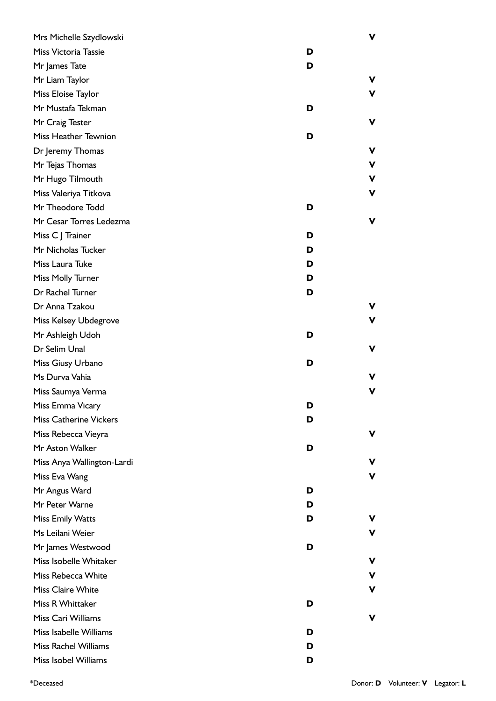| Mrs Michelle Szydlowski       |   | v |
|-------------------------------|---|---|
| Miss Victoria Tassie          | D |   |
| Mr James Tate                 | D |   |
| Mr Liam Taylor                |   | ۷ |
| Miss Eloise Taylor            |   | V |
| Mr Mustafa Tekman             | D |   |
| Mr Craig Tester               |   | ۷ |
| Miss Heather Tewnion          | D |   |
| Dr Jeremy Thomas              |   | ۷ |
| Mr Tejas Thomas               |   | ۷ |
| Mr Hugo Tilmouth              |   | V |
| Miss Valeriya Titkova         |   | V |
| Mr Theodore Todd              | D |   |
| Mr Cesar Torres Ledezma       |   | V |
| Miss C J Trainer              | D |   |
| Mr Nicholas Tucker            | D |   |
| Miss Laura Tuke               | D |   |
| Miss Molly Turner             | D |   |
| Dr Rachel Turner              | D |   |
| Dr Anna Tzakou                |   | V |
| Miss Kelsey Ubdegrove         |   | V |
| Mr Ashleigh Udoh              | D |   |
| Dr Selim Unal                 |   | ۷ |
| Miss Giusy Urbano             | D |   |
| Ms Durva Vahia                |   | v |
| Miss Saumya Verma             |   | V |
| Miss Emma Vicary              | D |   |
| <b>Miss Catherine Vickers</b> | D |   |
| Miss Rebecca Vieyra           |   | v |
| Mr Aston Walker               | D |   |
| Miss Anya Wallington-Lardi    |   | v |
| Miss Eva Wang                 |   | V |
| Mr Angus Ward                 | D |   |
| Mr Peter Warne                | D |   |
| <b>Miss Emily Watts</b>       | D | v |
| Ms Leilani Weier              |   | v |
| Mr James Westwood             | D |   |
| Miss Isobelle Whitaker        |   | v |
| Miss Rebecca White            |   | V |
| <b>Miss Claire White</b>      |   | ۷ |
| Miss R Whittaker              | D |   |
| Miss Cari Williams            |   | v |
| Miss Isabelle Williams        | D |   |
| <b>Miss Rachel Williams</b>   | D |   |
| Miss Isobel Williams          | D |   |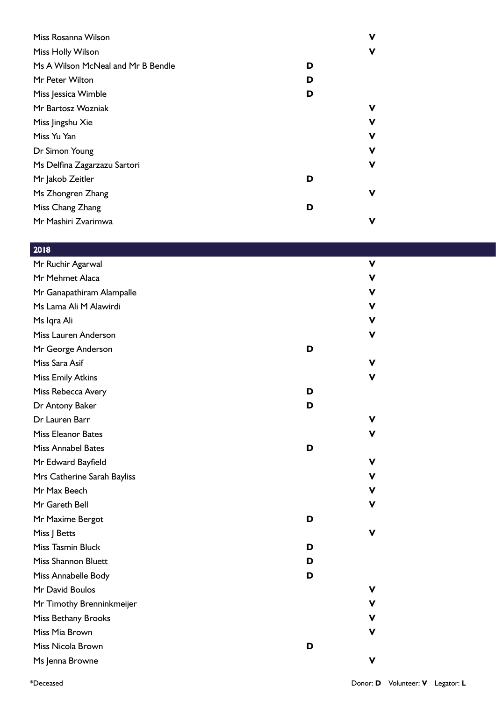| Miss Rosanna Wilson                |   | ν |
|------------------------------------|---|---|
| Miss Holly Wilson                  |   | ν |
| Ms A Wilson McNeal and Mr B Bendle | D |   |
| Mr Peter Wilton                    | D |   |
| Miss Jessica Wimble                | D |   |
| Mr Bartosz Wozniak                 |   | ۷ |
| Miss Jingshu Xie                   |   | v |
| Miss Yu Yan                        |   | ν |
| Dr Simon Young                     |   | ۷ |
| Ms Delfina Zagarzazu Sartori       |   | v |
| Mr Jakob Zeitler                   | D |   |
| Ms Zhongren Zhang                  |   | ۷ |
| Miss Chang Zhang                   | D |   |
| Mr Mashiri Zvarimwa                |   | ۷ |

## 2018

| Mr Ruchir Agarwal           |   | V |
|-----------------------------|---|---|
| Mr Mehmet Alaca             |   | V |
| Mr Ganapathiram Alampalle   |   | V |
| Ms Lama Ali M Alawirdi      |   | V |
| Ms Iqra Ali                 |   | ۷ |
| Miss Lauren Anderson        |   | v |
| Mr George Anderson          | D |   |
| Miss Sara Asif              |   | v |
| <b>Miss Emily Atkins</b>    |   | v |
| Miss Rebecca Avery          | D |   |
| Dr Antony Baker             | D |   |
| Dr Lauren Barr              |   | v |
| <b>Miss Eleanor Bates</b>   |   |   |
| <b>Miss Annabel Bates</b>   | D |   |
| Mr Edward Bayfield          |   | ۷ |
| Mrs Catherine Sarah Bayliss |   | V |
| Mr Max Beech                |   | V |
| Mr Gareth Bell              |   | v |
| Mr Maxime Bergot            | D |   |
| Miss J Betts                |   | v |
| Miss Tasmin Bluck           | D |   |
| <b>Miss Shannon Bluett</b>  | D |   |
| Miss Annabelle Body         | D |   |
| Mr David Boulos             |   | v |
| Mr Timothy Brenninkmeijer   |   | v |
| Miss Bethany Brooks         |   | v |
| Miss Mia Brown              |   |   |
| Miss Nicola Brown           | D |   |
| Ms Jenna Browne             |   | v |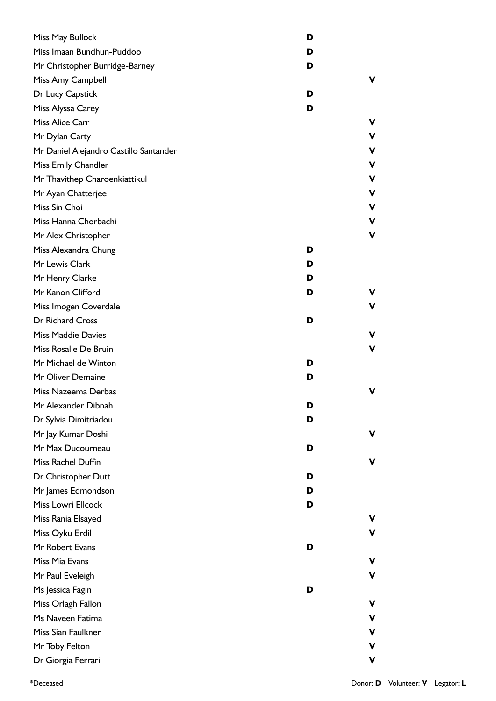| Miss May Bullock                       | D |    |
|----------------------------------------|---|----|
| Miss Imaan Bundhun-Puddoo              | D |    |
| Mr Christopher Burridge-Barney         | D |    |
| Miss Amy Campbell                      |   | v  |
| Dr Lucy Capstick                       | D |    |
| Miss Alyssa Carey                      | D |    |
| Miss Alice Carr                        |   | v  |
| Mr Dylan Carty                         |   | v. |
| Mr Daniel Alejandro Castillo Santander |   | v  |
| Miss Emily Chandler                    |   | v  |
| Mr Thavithep Charoenkiattikul          |   | v  |
| Mr Ayan Chatterjee                     |   | v  |
| Miss Sin Choi                          |   | v  |
| Miss Hanna Chorbachi                   |   | V  |
| Mr Alex Christopher                    |   | v  |
| Miss Alexandra Chung                   | D |    |
| Mr Lewis Clark                         | D |    |
| Mr Henry Clarke                        | D |    |
| Mr Kanon Clifford                      | D | v  |
| Miss Imogen Coverdale                  |   | v. |
| Dr Richard Cross                       | D |    |
| <b>Miss Maddie Davies</b>              |   | v  |
| Miss Rosalie De Bruin                  |   | V  |
| Mr Michael de Winton                   | D |    |
| Mr Oliver Demaine                      | D |    |
| Miss Nazeema Derbas                    |   | v  |
| Mr Alexander Dibnah                    | ט |    |
| Dr Sylvia Dimitriadou                  | D |    |
| Mr Jay Kumar Doshi                     |   | v  |
| Mr Max Ducourneau                      | D |    |
| Miss Rachel Duffin                     |   | ۷  |
| Dr Christopher Dutt                    | D |    |
| Mr James Edmondson                     | D |    |
| Miss Lowri Ellcock                     | D |    |
| Miss Rania Elsayed                     |   | ۷  |
| Miss Oyku Erdil                        |   | ۷  |
| Mr Robert Evans                        | D |    |
| Miss Mia Evans                         |   | v  |
| Mr Paul Eveleigh                       |   | V  |
| Ms Jessica Fagin                       | D |    |
| Miss Orlagh Fallon                     |   | v  |
| Ms Naveen Fatima                       |   | v  |
| Miss Sian Faulkner                     |   | v  |
| Mr Toby Felton                         |   | v  |
| Dr Giorgia Ferrari                     |   | V  |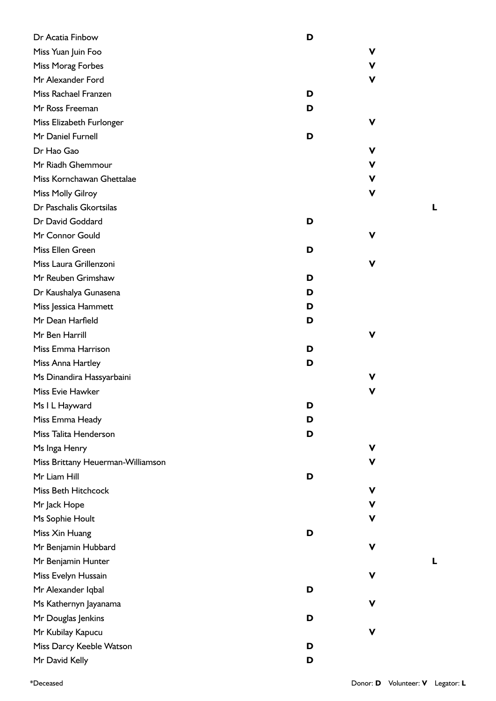| Dr Acatia Finbow                  | D |    |
|-----------------------------------|---|----|
| Miss Yuan Juin Foo                |   | ۷  |
| Miss Morag Forbes                 |   | v  |
| Mr Alexander Ford                 |   | ۷  |
| Miss Rachael Franzen              | D |    |
| Mr Ross Freeman                   | D |    |
| Miss Elizabeth Furlonger          |   | ۷  |
| Mr Daniel Furnell                 | D |    |
| Dr Hao Gao                        |   | v  |
| Mr Riadh Ghemmour                 |   | ۷  |
| Miss Kornchawan Ghettalae         |   | V  |
| Miss Molly Gilroy                 |   | v  |
| Dr Paschalis Gkortsilas           |   |    |
| Dr David Goddard                  | D |    |
| Mr Connor Gould                   |   | ۷  |
| Miss Ellen Green                  | D |    |
| Miss Laura Grillenzoni            |   | V  |
| Mr Reuben Grimshaw                | D |    |
| Dr Kaushalya Gunasena             | D |    |
| Miss Jessica Hammett              | D |    |
| Mr Dean Harfield                  | D |    |
| Mr Ben Harrill                    |   | ۷  |
| Miss Emma Harrison                | D |    |
| Miss Anna Hartley                 | D |    |
| Ms Dinandira Hassyarbaini         |   | v  |
| Miss Evie Hawker                  |   | v  |
| Ms I L Hayward                    | D |    |
| Miss Emma Heady                   | D |    |
| Miss Talita Henderson             | D |    |
| Ms Inga Henry                     |   | v  |
| Miss Brittany Heuerman-Williamson |   | v. |
| Mr Liam Hill                      | D |    |
| Miss Beth Hitchcock               |   | V  |
| Mr Jack Hope                      |   | v  |
| Ms Sophie Hoult                   |   | ۷  |
| Miss Xin Huang                    | D |    |
| Mr Benjamin Hubbard               |   | ۷  |
| Mr Benjamin Hunter                |   |    |
| Miss Evelyn Hussain               |   | V  |
| Mr Alexander Iqbal                | D |    |
| Ms Kathernyn Jayanama             |   | ۷  |
| Mr Douglas Jenkins                | D |    |
| Mr Kubilay Kapucu                 |   | ۷  |
| Miss Darcy Keeble Watson          | D |    |
| Mr David Kelly                    | D |    |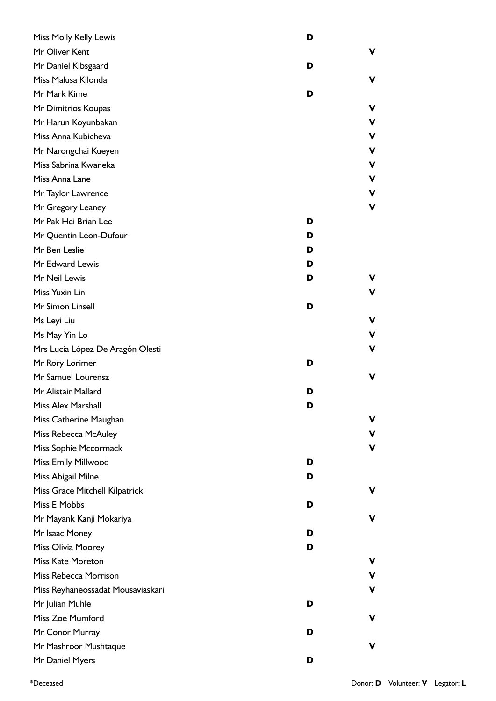| Miss Molly Kelly Lewis            | D |    |
|-----------------------------------|---|----|
| Mr Oliver Kent                    |   | v  |
| Mr Daniel Kibsgaard               | D |    |
| Miss Malusa Kilonda               |   | V  |
| Mr Mark Kime                      | D |    |
| Mr Dimitrios Koupas               |   | v  |
| Mr Harun Koyunbakan               |   | v  |
| Miss Anna Kubicheva               |   | v  |
| Mr Narongchai Kueyen              |   | v  |
| Miss Sabrina Kwaneka              |   | v  |
| Miss Anna Lane                    |   | v  |
| Mr Taylor Lawrence                |   | V  |
| Mr Gregory Leaney                 |   | v  |
| Mr Pak Hei Brian Lee              | D |    |
| Mr Quentin Leon-Dufour            | D |    |
| Mr Ben Leslie                     | D |    |
| Mr Edward Lewis                   | D |    |
| Mr Neil Lewis                     | D | v  |
| Miss Yuxin Lin                    |   | v  |
| Mr Simon Linsell                  | D |    |
| Ms Leyi Liu                       |   | ۷  |
| Ms May Yin Lo                     |   | v  |
| Mrs Lucia López De Aragón Olesti  |   | v  |
| Mr Rory Lorimer                   | D |    |
| Mr Samuel Lourensz                |   | V  |
| Mr Alistair Mallard               | D |    |
| Miss Alex Marshall                | D |    |
| Miss Catherine Maughan            |   | v  |
| Miss Rebecca McAuley              |   | v  |
| Miss Sophie Mccormack             |   | ۷  |
| Miss Emily Millwood               | D |    |
| Miss Abigail Milne                | D |    |
| Miss Grace Mitchell Kilpatrick    |   | v. |
| Miss E Mobbs                      | D |    |
| Mr Mayank Kanji Mokariya          |   | v  |
| Mr Isaac Money                    | D |    |
| Miss Olivia Moorey                | D |    |
| <b>Miss Kate Moreton</b>          |   | v  |
| Miss Rebecca Morrison             |   | v  |
| Miss Reyhaneossadat Mousaviaskari |   | v  |
| Mr Julian Muhle                   | D |    |
| Miss Zoe Mumford                  |   | ۷  |
| Mr Conor Murray                   | D |    |
| Mr Mashroor Mushtaque             |   | v  |
| Mr Daniel Myers                   | D |    |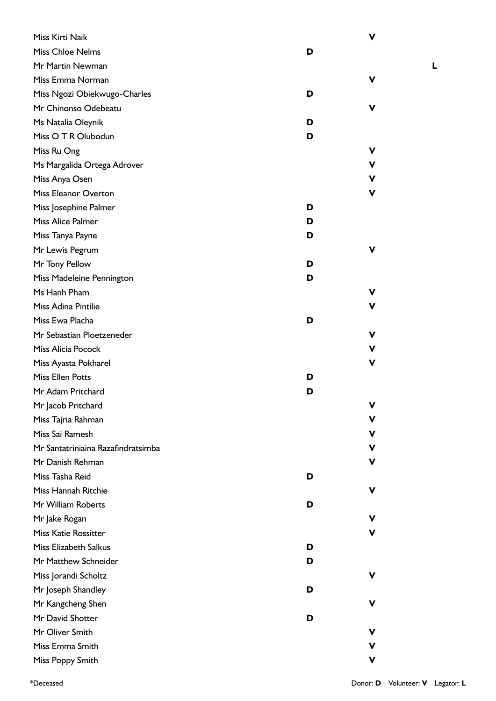| Miss Kirti Naik                    |   | ۷ |
|------------------------------------|---|---|
| Miss Chloe Nelms                   | D |   |
| Mr Martin Newman                   |   |   |
| Miss Emma Norman                   |   | ۷ |
| Miss Ngozi Obiekwugo-Charles       | D |   |
| Mr Chinonso Odebeatu               |   | v |
| Ms Natalia Oleynik                 | D |   |
| Miss O T R Olubodun                | D |   |
| Miss Ru Ong                        |   | v |
| Ms Margalida Ortega Adrover        |   | v |
| Miss Anya Osen                     |   | v |
| <b>Miss Eleanor Overton</b>        |   | ۷ |
| Miss Josephine Palmer              | D |   |
| Miss Alice Palmer                  | D |   |
| Miss Tanya Payne                   | D |   |
| Mr Lewis Pegrum                    |   | ۷ |
| Mr Tony Pellow                     | D |   |
| Miss Madeleine Pennington          | D |   |
| Ms Hanh Pham                       |   | V |
| Miss Adina Pintilie                |   | ۷ |
| Miss Ewa Placha                    | D |   |
| Mr Sebastian Ploetzeneder          |   | v |
| Miss Alicia Pocock                 |   | v |
| Miss Ayasta Pokharel               |   | ۷ |
| <b>Miss Ellen Potts</b>            | D |   |
| Mr Adam Pritchard                  | D |   |
| Mr Jacob Pritchard                 |   | v |
| Miss Tajria Rahman                 |   | v |
| Miss Sai Ramesh                    |   | v |
| Mr Santatriniaina Razafindratsimba |   | v |
| Mr Danish Rehman                   |   | v |
| Miss Tasha Reid                    | D |   |
| Miss Hannah Ritchie                |   | ۷ |
| Mr William Roberts                 | D |   |
| Mr Jake Rogan                      |   | V |
| <b>Miss Katie Rossitter</b>        |   | v |
| Miss Elizabeth Salkus              | D |   |
| Mr Matthew Schneider               | D |   |
| Miss Jorandi Scholtz               |   | ۷ |
| Mr Joseph Shandley                 | D |   |
| Mr Kangcheng Shen                  |   | ۷ |
| Mr David Shotter                   | D |   |
| Mr Oliver Smith                    |   | V |
| Miss Emma Smith                    |   | v |
| Miss Poppy Smith                   |   | V |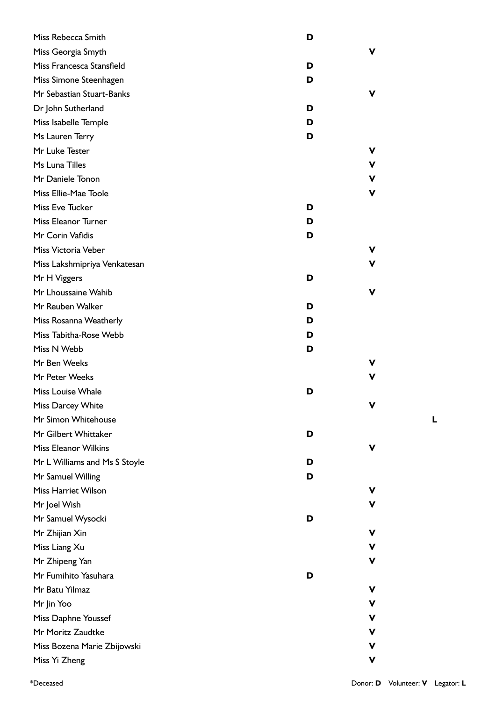| Miss Rebecca Smith            | D |   |
|-------------------------------|---|---|
| Miss Georgia Smyth            |   | v |
| Miss Francesca Stansfield     | D |   |
| Miss Simone Steenhagen        | D |   |
| Mr Sebastian Stuart-Banks     |   | v |
| Dr John Sutherland            | D |   |
| Miss Isabelle Temple          | D |   |
| Ms Lauren Terry               | D |   |
| Mr Luke Tester                |   | v |
| Ms Luna Tilles                |   | ۷ |
| Mr Daniele Tonon              |   | v |
| Miss Ellie-Mae Toole          |   | v |
| Miss Eve Tucker               | D |   |
| Miss Eleanor Turner           | D |   |
| Mr Corin Vafidis              | D |   |
| Miss Victoria Veber           |   | v |
| Miss Lakshmipriya Venkatesan  |   | v |
| Mr H Viggers                  | D |   |
| Mr Lhoussaine Wahib           |   | v |
| Mr Reuben Walker              | D |   |
| Miss Rosanna Weatherly        | D |   |
| Miss Tabitha-Rose Webb        | D |   |
| Miss N Webb                   | D |   |
| Mr Ben Weeks                  |   | v |
| Mr Peter Weeks                |   | v |
| Miss Louise Whale             | D |   |
| Miss Darcey White             |   | v |
| Mr Simon Whitehouse           |   |   |
| Mr Gilbert Whittaker          | D |   |
| <b>Miss Eleanor Wilkins</b>   |   | v |
| Mr L Williams and Ms S Stoyle | D |   |
| Mr Samuel Willing             | D |   |
| <b>Miss Harriet Wilson</b>    |   | v |
| Mr Joel Wish                  |   | v |
| Mr Samuel Wysocki             | D |   |
| Mr Zhijian Xin                |   | ۷ |
| Miss Liang Xu                 |   | ۷ |
| Mr Zhipeng Yan                |   | v |
| Mr Fumihito Yasuhara          | D |   |
| Mr Batu Yilmaz                |   | v |
| Mr Jin Yoo                    |   | ۷ |
| Miss Daphne Youssef           |   | v |
| Mr Moritz Zaudtke             |   | v |
| Miss Bozena Marie Zbijowski   |   | ۷ |
| Miss Yi Zheng                 |   | V |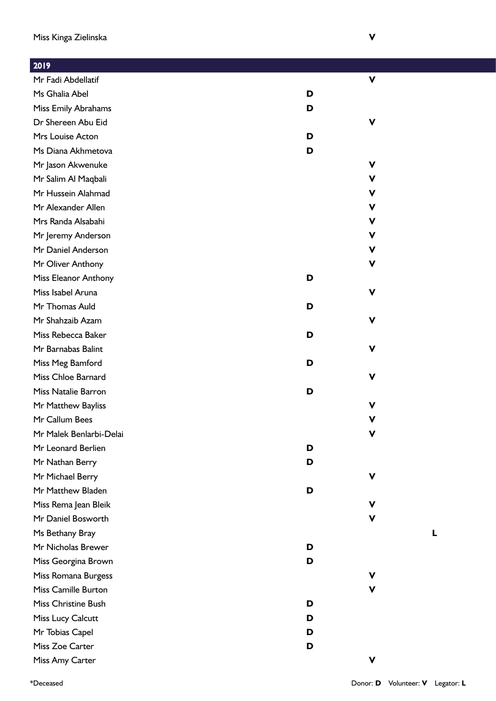Mr Fadi Abdellatif

Miss Emily Abrahams

Dr Shereen Abu Eid

Ms Diana Akhmetova

Mr Jason Akwenuke

Mr Salim Al Maqbali

Mr Hussein Alahmad

Mr Alexander Allen

Mrs Randa Alsabahi

Mr Jeremy Anderson

Mr Daniel Anderson

Mr Oliver Anthony

Miss Isabel Aruna

Mr Thomas Auld

Mr Shahzaib Azam

Miss Rebecca Baker

Mr Barnabas Balint

Miss Meg Bamford

Miss Chloe Barnard

Miss Natalie Barron

Mr Matthew Bayliss

Mr Leonard Berlien

Mr Nathan Berry

Mr Michael Berry

Mr Matthew Bladen

Miss Rema Jean Bleik

Mr Daniel Bosworth

Mr Nicholas Brewer

Miss Georgina Brown

Miss Romana Burgess

Miss Camille Burton

Miss Christine Bush

Miss Lucy Calcutt

Mr Tobias Capel

Miss Zoe Carter

Miss Amy Carter

Ms Bethany Bray

Mr Malek Benlarbi-Delai

Mr Callum Bees

Miss Eleanor Anthony

Mrs Louise Acton

Ms Ghalia Abel

2019

|             | $\boldsymbol{\mathsf{V}}$ |
|-------------|---------------------------|
| $\mathbf D$ |                           |
| D           |                           |
|             | $\mathbf V$               |
| D           |                           |
| D           |                           |
|             | $\mathbf V$               |
|             | $\mathbf v$               |
|             | $\mathbf v$               |
|             | $\mathbf v$               |
|             | $\mathbf v$               |
|             | $\mathbf v$               |
|             | $\mathbf v$               |
|             | $\mathbf V$               |
|             |                           |
| $\mathbf D$ |                           |
|             | $\mathbf V$               |
| D           |                           |
|             | $\mathbf V$               |

**D**

**D**

**D**

**D**

**D**

**D**

**D**

**D**

**D**

**D**

**D**

**D**

**V**

**V**

**V**

**V**

**V**

**V**

**V**

**V**

**V**

**V**

**V**

**L**

**V**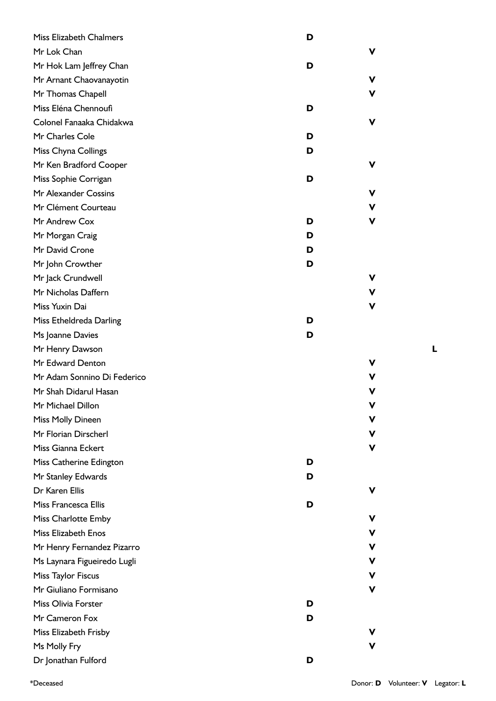| <b>Miss Elizabeth Chalmers</b> | D |   |
|--------------------------------|---|---|
| Mr Lok Chan                    |   | ۷ |
| Mr Hok Lam Jeffrey Chan        | D |   |
| Mr Arnant Chaovanayotin        |   | ۷ |
| Mr Thomas Chapell              |   | V |
| Miss Eléna Chennoufi           | D |   |
| Colonel Fanaaka Chidakwa       |   | ۷ |
| Mr Charles Cole                | D |   |
| Miss Chyna Collings            | D |   |
| Mr Ken Bradford Cooper         |   | ۷ |
| Miss Sophie Corrigan           | D |   |
| Mr Alexander Cossins           |   | v |
| Mr Clément Courteau            |   | V |
| Mr Andrew Cox                  | D | V |
| Mr Morgan Craig                | D |   |
| Mr David Crone                 | D |   |
| Mr John Crowther               | D |   |
| Mr Jack Crundwell              |   | v |
| Mr Nicholas Daffern            |   | V |
| Miss Yuxin Dai                 |   | V |
| Miss Etheldreda Darling        | D |   |
| Ms Joanne Davies               | D |   |
| Mr Henry Dawson                |   |   |
| Mr Edward Denton               |   | v |
| Mr Adam Sonnino Di Federico    |   | v |
| Mr Shah Didarul Hasan          |   | ۷ |
| Mr Michael Dillon              |   |   |
| Miss Molly Dineen              |   | v |
| Mr Florian Dirscherl           |   | ۷ |
| Miss Gianna Eckert             |   | v |
| Miss Catherine Edington        | D |   |
| Mr Stanley Edwards             | D |   |
| Dr Karen Ellis                 |   | v |
| Miss Francesca Ellis           | D |   |
| Miss Charlotte Emby            |   | v |
| Miss Elizabeth Enos            |   | ۷ |
| Mr Henry Fernandez Pizarro     |   | ۷ |
| Ms Laynara Figueiredo Lugli    |   | ۷ |
| Miss Taylor Fiscus             |   | ۷ |
| Mr Giuliano Formisano          |   | ۷ |
| Miss Olivia Forster            | D |   |
| Mr Cameron Fox                 | D |   |
| Miss Elizabeth Frisby          |   |   |
| Ms Molly Fry                   |   | V |
| Dr Jonathan Fulford            | D |   |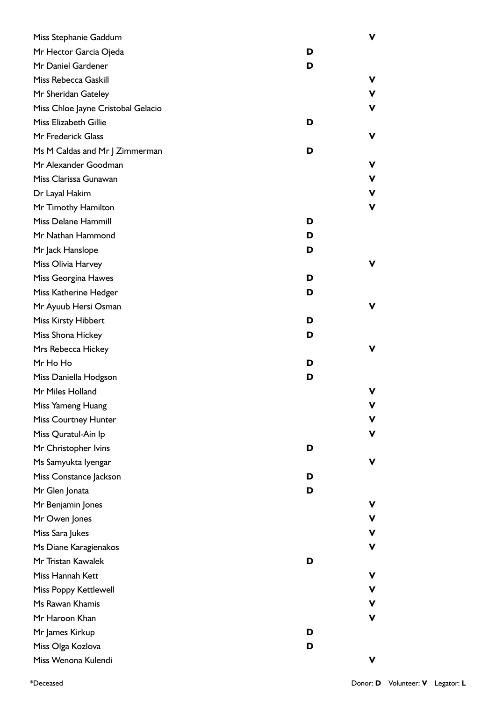| Miss Stephanie Gaddum              |   | v |
|------------------------------------|---|---|
| Mr Hector Garcia Ojeda             | D |   |
| Mr Daniel Gardener                 | D |   |
| Miss Rebecca Gaskill               |   | V |
| Mr Sheridan Gateley                |   | v |
| Miss Chloe Jayne Cristobal Gelacio |   | v |
| Miss Elizabeth Gillie              | D |   |
| Mr Frederick Glass                 |   | ۷ |
| Ms M Caldas and Mr J Zimmerman     | D |   |
| Mr Alexander Goodman               |   | v |
| Miss Clarissa Gunawan              |   | V |
| Dr Layal Hakim                     |   | ۷ |
| Mr Timothy Hamilton                |   | v |
| Miss Delane Hammill                | D |   |
| Mr Nathan Hammond                  | D |   |
| Mr Jack Hanslope                   | D |   |
| Miss Olivia Harvey                 |   | v |
| Miss Georgina Hawes                | D |   |
| Miss Katherine Hedger              | D |   |
| Mr Ayuub Hersi Osman               |   | v |
| <b>Miss Kirsty Hibbert</b>         | D |   |
| Miss Shona Hickey                  | D |   |
| Mrs Rebecca Hickey                 |   | v |
| Mr Ho Ho                           | D |   |
| Miss Daniella Hodgson              | D |   |
| Mr Miles Holland                   |   | v |
| Miss Yameng Huang                  |   | ۷ |
| <b>Miss Courtney Hunter</b>        |   | v |
| Miss Quratul-Ain Ip                |   | v |
| Mr Christopher Ivins               | D |   |
| Ms Samyukta Iyengar                |   | v |
| Miss Constance Jackson             | D |   |
| Mr Glen Jonata                     | D |   |
| Mr Benjamin Jones                  |   | v |
| Mr Owen Jones                      |   | v |
| Miss Sara Jukes                    |   | v |
| Ms Diane Karagienakos              |   | V |
| Mr Tristan Kawalek                 | D |   |
| Miss Hannah Kett                   |   | V |
| Miss Poppy Kettlewell              |   | v |
| Ms Rawan Khamis                    |   | v |
| Mr Haroon Khan                     |   | ۷ |
| Mr James Kirkup                    | D |   |
| Miss Olga Kozlova                  | D |   |
| Miss Wenona Kulendi                |   | ۷ |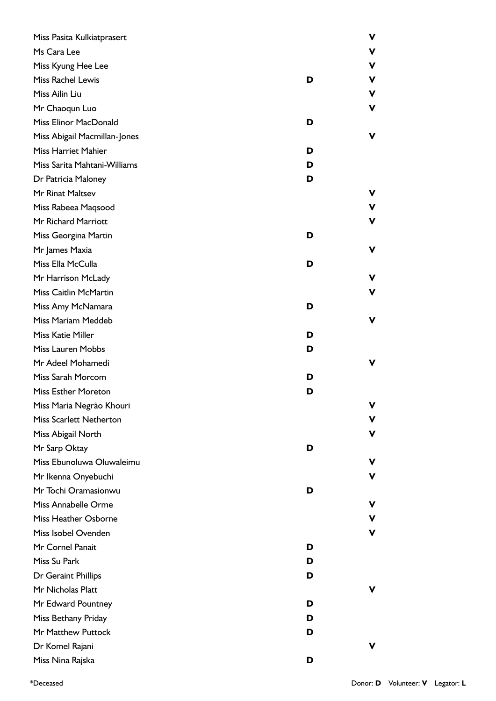| Miss Pasita Kulkiatprasert     |   | ۷ |
|--------------------------------|---|---|
| Ms Cara Lee                    |   | V |
| Miss Kyung Hee Lee             |   | v |
| Miss Rachel Lewis              | D | v |
| Miss Ailin Liu                 |   | V |
| Mr Chaoqun Luo                 |   | ۷ |
| Miss Elinor MacDonald          | D |   |
| Miss Abigail Macmillan-Jones   |   | v |
| <b>Miss Harriet Mahier</b>     | D |   |
| Miss Sarita Mahtani-Williams   | D |   |
| Dr Patricia Maloney            | D |   |
| Mr Rinat Maltsev               |   | ۷ |
| Miss Rabeea Maqsood            |   | v |
| Mr Richard Marriott            |   | v |
| Miss Georgina Martin           | D |   |
| Mr James Maxia                 |   | ۷ |
| Miss Ella McCulla              | D |   |
| Mr Harrison McLady             |   | v |
| Miss Caitlin McMartin          |   | v |
| Miss Amy McNamara              | D |   |
| Miss Mariam Meddeb             |   | ۷ |
| <b>Miss Katie Miller</b>       | D |   |
| Miss Lauren Mobbs              | D |   |
| Mr Adeel Mohamedi              |   | v |
| Miss Sarah Morcom              | D |   |
| Miss Esther Moreton            | D |   |
| Miss Maria Negrão Khouri       |   | v |
| <b>Miss Scarlett Netherton</b> |   | v |
| Miss Abigail North             |   | ۷ |
| Mr Sarp Oktay                  | D |   |
| Miss Ebunoluwa Oluwaleimu      |   | v |
| Mr Ikenna Onyebuchi            |   | V |
| Mr Tochi Oramasionwu           | D |   |
| Miss Annabelle Orme            |   | V |
| Miss Heather Osborne           |   | v |
| Miss Isobel Ovenden            |   | v |
| Mr Cornel Panait               | D |   |
| Miss Su Park                   | D |   |
| Dr Geraint Phillips            | D |   |
| Mr Nicholas Platt              |   | v |
| Mr Edward Pountney             | D |   |
| Miss Bethany Priday            | D |   |
| Mr Matthew Puttock             | D |   |
| Dr Komel Rajani                |   | v |
| Miss Nina Rajska               | D |   |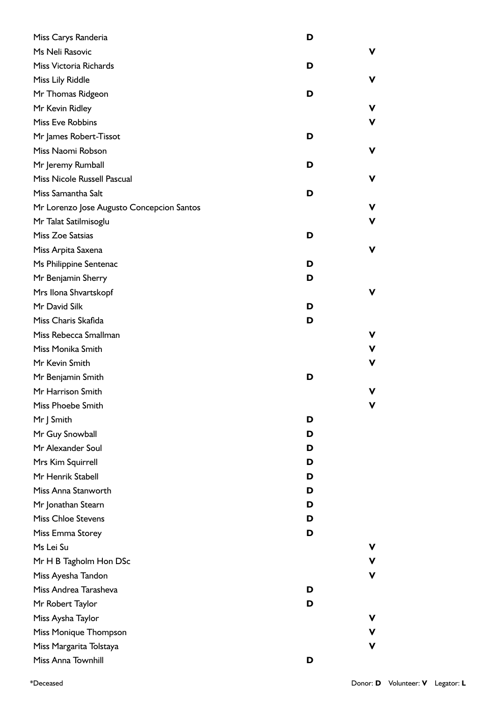| Miss Carys Randeria                       | D |
|-------------------------------------------|---|
| Ms Neli Rasovic                           | v |
| Miss Victoria Richards                    | D |
| Miss Lily Riddle                          | ۷ |
| Mr Thomas Ridgeon                         | D |
| Mr Kevin Ridley                           | v |
| Miss Eve Robbins                          | v |
| Mr James Robert-Tissot                    | D |
| Miss Naomi Robson                         | ۷ |
| Mr Jeremy Rumball                         | D |
| Miss Nicole Russell Pascual               | v |
| Miss Samantha Salt                        | D |
| Mr Lorenzo Jose Augusto Concepcion Santos | V |
| Mr Talat Satilmisoglu                     | ۷ |
| Miss Zoe Satsias                          | D |
| Miss Arpita Saxena                        | V |
| Ms Philippine Sentenac                    | D |
| Mr Benjamin Sherry                        | D |
| Mrs Ilona Shvartskopf                     | v |
| Mr David Silk                             | D |
| Miss Charis Skafida                       | D |
| Miss Rebecca Smallman                     | v |
| Miss Monika Smith                         | ۷ |
| Mr Kevin Smith                            | v |
| Mr Benjamin Smith                         | D |
| Mr Harrison Smith                         | V |
| Miss Phoebe Smith                         | V |
| Mr J Smith                                | D |
| Mr Guy Snowball                           | D |
| Mr Alexander Soul                         | D |
| Mrs Kim Squirrell                         | D |
| Mr Henrik Stabell                         | D |
| Miss Anna Stanworth                       | D |
| Mr Jonathan Stearn                        | D |
| <b>Miss Chloe Stevens</b>                 | D |
| Miss Emma Storey                          | D |
| Ms Lei Su                                 | v |
| Mr H B Tagholm Hon DSc                    | V |
| Miss Ayesha Tandon                        | v |
| Miss Andrea Tarasheva                     | D |
| Mr Robert Taylor                          | D |
| Miss Aysha Taylor                         | v |
| Miss Monique Thompson                     | v |
| Miss Margarita Tolstaya                   | v |
| Miss Anna Townhill                        | D |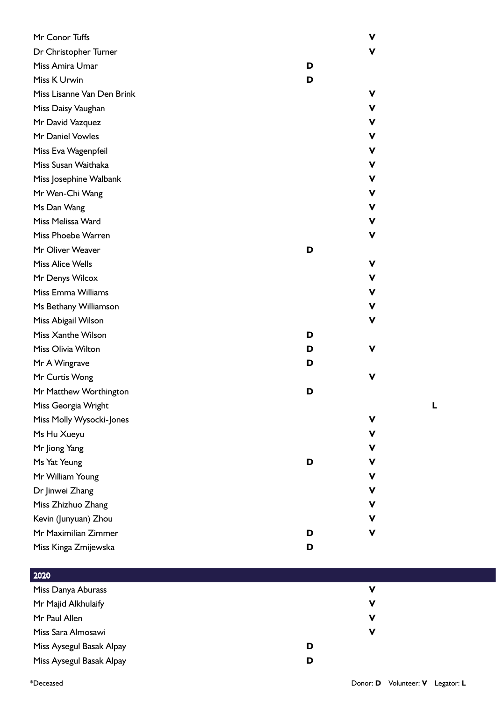| Mr Conor Tuffs             |   | V |
|----------------------------|---|---|
| Dr Christopher Turner      |   | V |
| Miss Amira Umar            | D |   |
| Miss K Urwin               | D |   |
| Miss Lisanne Van Den Brink |   | V |
| Miss Daisy Vaughan         |   | ۷ |
| Mr David Vazquez           |   | ۷ |
| Mr Daniel Vowles           |   | ۷ |
| Miss Eva Wagenpfeil        |   | ۷ |
| Miss Susan Waithaka        |   | ۷ |
| Miss Josephine Walbank     |   | ۷ |
| Mr Wen-Chi Wang            |   | ۷ |
| Ms Dan Wang                |   | ۷ |
| Miss Melissa Ward          |   | ۷ |
| Miss Phoebe Warren         |   | V |
| Mr Oliver Weaver           | D |   |
| <b>Miss Alice Wells</b>    |   | ۷ |
| Mr Denys Wilcox            |   | ۷ |
| Miss Emma Williams         |   | ۷ |
| Ms Bethany Williamson      |   | V |
| Miss Abigail Wilson        |   | ۷ |
| Miss Xanthe Wilson         | D |   |
| Miss Olivia Wilton         | D | v |
| Mr A Wingrave              | D |   |
| Mr Curtis Wong             |   | V |
| Mr Matthew Worthington     | D |   |
| Miss Georgia Wright        |   |   |
| Miss Molly Wysocki-Jones   |   | ۷ |
| Ms Hu Xueyu                |   | ۷ |
| Mr Jiong Yang              |   | V |
| Ms Yat Yeung               | D | ۷ |
| Mr William Young           |   | V |
| Dr Jinwei Zhang            |   | V |
| Miss Zhizhuo Zhang         |   | ۷ |
| Kevin (Junyuan) Zhou       |   | V |
| Mr Maximilian Zimmer       | D | V |
| Miss Kinga Zmijewska       | D |   |

| 2020                     |   |          |
|--------------------------|---|----------|
| Miss Danya Aburass       |   | V        |
| Mr Majid Alkhulaify      |   | <b>V</b> |
| Mr Paul Allen            |   | ν        |
| Miss Sara Almosawi       |   | ν        |
| Miss Aysegul Basak Alpay | D |          |
| Miss Aysegul Basak Alpay | D |          |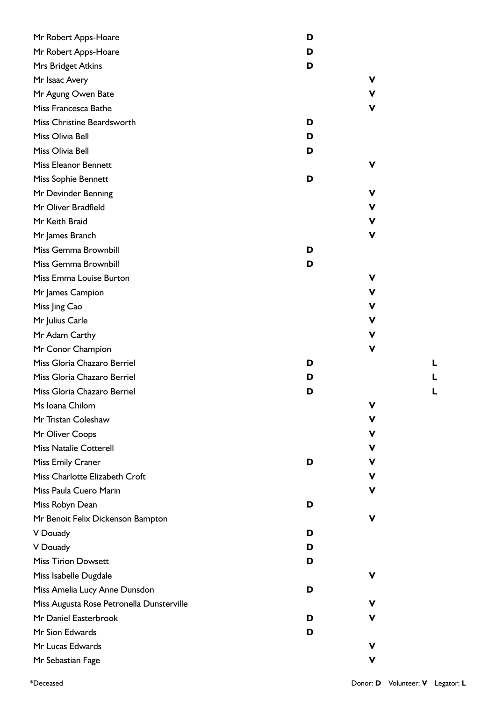| Mr Robert Apps-Hoare                      | D |   |
|-------------------------------------------|---|---|
| Mr Robert Apps-Hoare                      | D |   |
| Mrs Bridget Atkins                        | D |   |
| Mr Isaac Avery                            |   |   |
| Mr Agung Owen Bate                        |   | ۷ |
| Miss Francesca Bathe                      |   | v |
| Miss Christine Beardsworth                | D |   |
| Miss Olivia Bell                          | D |   |
| Miss Olivia Bell                          | D |   |
| <b>Miss Eleanor Bennett</b>               |   |   |
| Miss Sophie Bennett                       | D |   |
| Mr Devinder Benning                       |   | ν |
| Mr Oliver Bradfield                       |   | ۷ |
| Mr Keith Braid                            |   | ν |
| Mr James Branch                           |   | ν |
| Miss Gemma Brownbill                      | D |   |
| Miss Gemma Brownbill                      | D |   |
| Miss Emma Louise Burton                   |   | ν |
| Mr James Campion                          |   | v |
| Miss Jing Cao                             |   | ۷ |
| Mr Julius Carle                           |   | ۷ |
| Mr Adam Carthy                            |   | ν |
| Mr Conor Champion                         |   | v |
| Miss Gloria Chazaro Berriel               | D |   |
| Miss Gloria Chazaro Berriel               | D |   |
| Miss Gloria Chazaro Berriel               | D |   |
| Ms Ioana Chilom                           |   | ۷ |
| Mr Tristan Coleshaw                       |   | v |
| Mr Oliver Coops                           |   | ۷ |
| <b>Miss Natalie Cotterell</b>             |   | ۷ |
| Miss Emily Craner                         | D | v |
| Miss Charlotte Elizabeth Croft            |   | v |
| Miss Paula Cuero Marin                    |   |   |
| Miss Robyn Dean                           | D |   |
| Mr Benoit Felix Dickenson Bampton         |   | v |
| V Douady                                  | D |   |
| V Douady                                  | D |   |
| <b>Miss Tirion Dowsett</b>                | D |   |
| Miss Isabelle Dugdale                     |   |   |
| Miss Amelia Lucy Anne Dunsdon             | D |   |
| Miss Augusta Rose Petronella Dunsterville |   |   |
| Mr Daniel Easterbrook                     | D |   |
| Mr Sion Edwards                           | D |   |
| Mr Lucas Edwards                          |   |   |
| Mr Sebastian Fage                         |   |   |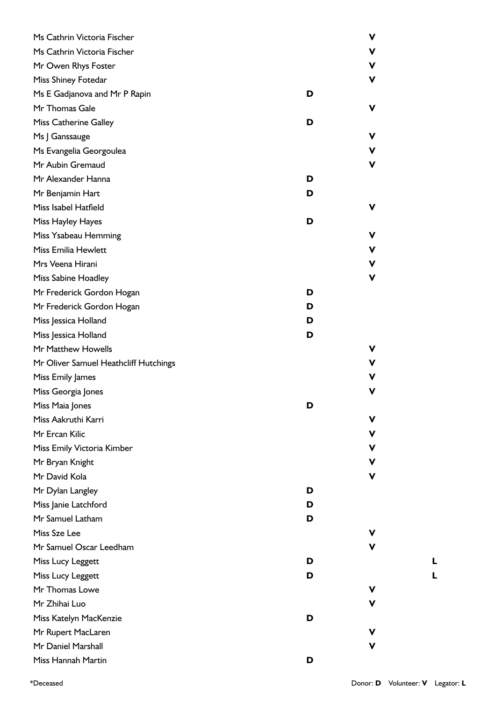| Ms Cathrin Victoria Fischer           |   | V           |
|---------------------------------------|---|-------------|
| Ms Cathrin Victoria Fischer           |   | V           |
| Mr Owen Rhys Foster                   |   | V           |
| Miss Shiney Fotedar                   |   | V           |
| Ms E Gadjanova and Mr P Rapin         | D |             |
| Mr Thomas Gale                        |   | V           |
| Miss Catherine Galley                 | D |             |
| Ms J Ganssauge                        |   | V           |
| Ms Evangelia Georgoulea               |   | V           |
| Mr Aubin Gremaud                      |   | V           |
| Mr Alexander Hanna                    | D |             |
| Mr Benjamin Hart                      | D |             |
| Miss Isabel Hatfield                  |   | V           |
| Miss Hayley Hayes                     | D |             |
| Miss Ysabeau Hemming                  |   | V           |
| Miss Emilia Hewlett                   |   | V           |
| Mrs Veena Hirani                      |   | $\mathbf v$ |
| Miss Sabine Hoadley                   |   | V           |
| Mr Frederick Gordon Hogan             | D |             |
| Mr Frederick Gordon Hogan             | D |             |
| Miss Jessica Holland                  | D |             |
| Miss Jessica Holland                  | D |             |
| Mr Matthew Howells                    |   | ۷           |
| Mr Oliver Samuel Heathcliff Hutchings |   | ۷           |
| Miss Emily James                      |   | V           |
| Miss Georgia Jones                    |   | ۷           |
| Miss Maia Jones                       | D |             |
| Miss Aakruthi Karri                   |   | V           |
| Mr Ercan Kilic                        |   | V           |
| Miss Emily Victoria Kimber            |   | ۷           |
| Mr Bryan Knight                       |   | V           |
| Mr David Kola                         |   | V           |
| Mr Dylan Langley                      | D |             |
| Miss Janie Latchford                  | D |             |
| Mr Samuel Latham                      | D |             |
| Miss Sze Lee                          |   | ۷           |
| Mr Samuel Oscar Leedham               |   | ۷           |
| Miss Lucy Leggett                     | D |             |
| Miss Lucy Leggett                     | D |             |
| Mr Thomas Lowe                        |   | V           |
| Mr Zhihai Luo                         |   | v           |
| Miss Katelyn MacKenzie                | D |             |
| Mr Rupert MacLaren                    |   | ۷           |
| Mr Daniel Marshall                    |   | V           |
| Miss Hannah Martin                    | D |             |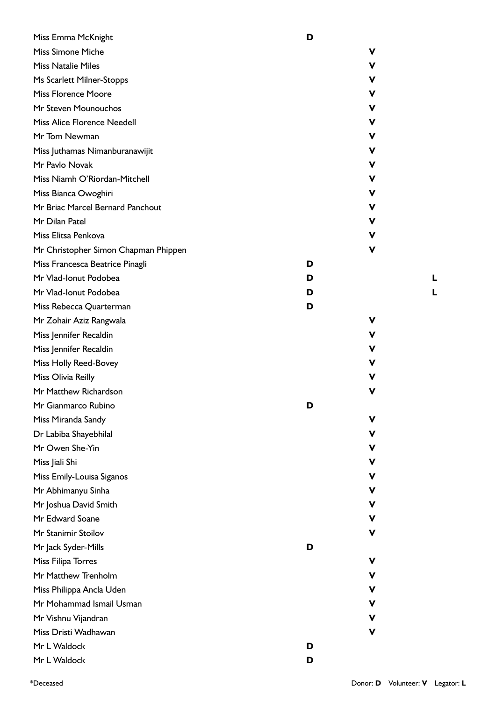| Miss Emma McKnight                   | D |
|--------------------------------------|---|
| <b>Miss Simone Miche</b>             | v |
| <b>Miss Natalie Miles</b>            | V |
| Ms Scarlett Milner-Stopps            | v |
| <b>Miss Florence Moore</b>           | v |
| Mr Steven Mounouchos                 | v |
| <b>Miss Alice Florence Needell</b>   | v |
| Mr Tom Newman                        | v |
| Miss Juthamas Nimanburanawijit       | v |
| Mr Pavlo Novak                       | v |
| Miss Niamh O'Riordan-Mitchell        | v |
| Miss Bianca Owoghiri                 | v |
| Mr Briac Marcel Bernard Panchout     | v |
| Mr Dilan Patel                       | v |
| Miss Elitsa Penkova                  | V |
| Mr Christopher Simon Chapman Phippen | v |
| Miss Francesca Beatrice Pinagli      | D |
| Mr Vlad-Ionut Podobea                | D |
| Mr Vlad-Ionut Podobea                | D |
| Miss Rebecca Quarterman              | D |
| Mr Zohair Aziz Rangwala              | v |
| Miss Jennifer Recaldin               | v |
| Miss Jennifer Recaldin               | v |
| Miss Holly Reed-Bovey                | v |
| Miss Olivia Reilly                   | v |
| Mr Matthew Richardson                | v |
| Mr Gianmarco Rubino                  | D |
| Miss Miranda Sandy                   | v |
| Dr Labiba Shayebhilal                | v |
| Mr Owen She-Yin                      | v |
| Miss Jiali Shi                       | v |
| Miss Emily-Louisa Siganos            | v |
| Mr Abhimanyu Sinha                   | v |
| Mr Joshua David Smith                | v |
| Mr Edward Soane                      | v |
| Mr Stanimir Stoilov                  | ۷ |
| Mr Jack Syder-Mills                  | D |
| Miss Filipa Torres                   | v |
| Mr Matthew Trenholm                  | v |
| Miss Philippa Ancla Uden             | v |
| Mr Mohammad Ismail Usman             | v |
| Mr Vishnu Vijandran                  | v |
| Miss Dristi Wadhawan                 | v |
| Mr L Waldock                         | D |
| Mr L Waldock                         | D |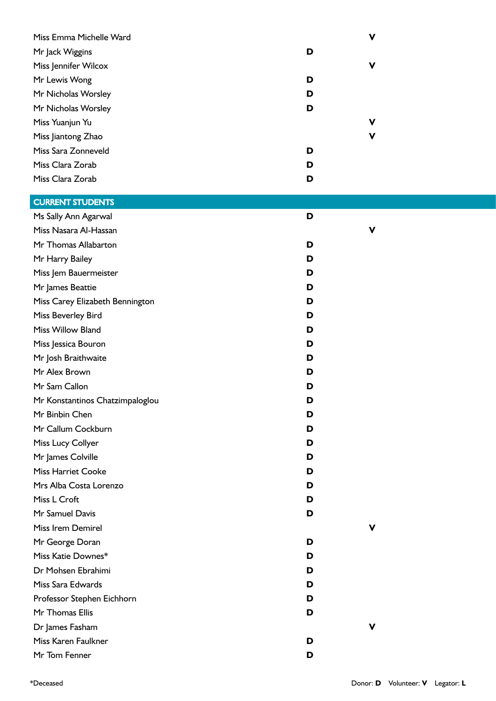| Miss Emma Michelle Ward         |   | V           |
|---------------------------------|---|-------------|
| Mr Jack Wiggins                 | D |             |
| Miss Jennifer Wilcox            |   | $\mathbf v$ |
| Mr Lewis Wong                   | D |             |
| Mr Nicholas Worsley             | D |             |
| Mr Nicholas Worsley             | D |             |
| Miss Yuanjun Yu                 |   | V           |
| Miss Jiantong Zhao              |   | V           |
| Miss Sara Zonneveld             | D |             |
| Miss Clara Zorab                | D |             |
| Miss Clara Zorab                | D |             |
| <b>CURRENT STUDENTS</b>         |   |             |
| Ms Sally Ann Agarwal            | D |             |
| Miss Nasara Al-Hassan           |   | V           |
| Mr Thomas Allabarton            | D |             |
| Mr Harry Bailey                 | D |             |
| Miss Jem Bauermeister           | D |             |
| Mr James Beattie                | D |             |
| Miss Carey Elizabeth Bennington | D |             |
| Miss Beverley Bird              | D |             |
| Miss Willow Bland               | D |             |
| Miss Jessica Bouron             | D |             |
| Mr Josh Braithwaite             | D |             |
| Mr Alex Brown                   | D |             |
| Mr Sam Callon                   | D |             |
| Mr Konstantinos Chatzimpaloglou | ט |             |
| Mr Binbin Chen                  | D |             |
| Mr Callum Cockburn              | D |             |
| Miss Lucy Collyer               | D |             |
| Mr James Colville               | D |             |
| <b>Miss Harriet Cooke</b>       | D |             |
| Mrs Alba Costa Lorenzo          | D |             |
| Miss L Croft                    | D |             |
| Mr Samuel Davis                 | D |             |
| Miss Irem Demirel               |   | V           |
| Mr George Doran                 | D |             |
| Miss Katie Downes*              | D |             |
| Dr Mohsen Ebrahimi              | D |             |
| Miss Sara Edwards               | D |             |
| Professor Stephen Eichhorn      | D |             |
| Mr Thomas Ellis                 | D |             |
| Dr James Fasham                 |   | V           |
| Miss Karen Faulkner             | D |             |
| Mr Tom Fenner                   | D |             |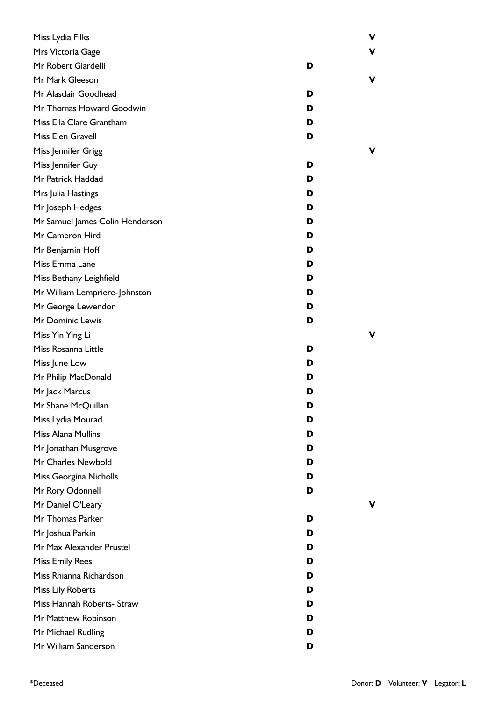| Miss Lydia Filks                |   | V |
|---------------------------------|---|---|
| Mrs Victoria Gage               |   | ۷ |
| Mr Robert Giardelli             | D |   |
| Mr Mark Gleeson                 |   | V |
| Mr Alasdair Goodhead            | D |   |
| Mr Thomas Howard Goodwin        | D |   |
| Miss Ella Clare Grantham        | D |   |
| Miss Elen Gravell               | D |   |
| Miss Jennifer Grigg             |   | v |
| Miss Jennifer Guy               | D |   |
| Mr Patrick Haddad               | D |   |
| Mrs Julia Hastings              | D |   |
| Mr Joseph Hedges                | D |   |
| Mr Samuel James Colin Henderson | D |   |
| Mr Cameron Hird                 | D |   |
| Mr Benjamin Hoff                | D |   |
| Miss Emma Lane                  | D |   |
| Miss Bethany Leighfield         | D |   |
| Mr William Lempriere-Johnston   | D |   |
| Mr George Lewendon              | D |   |
| Mr Dominic Lewis                | D |   |
| Miss Yin Ying Li                |   | V |
| Miss Rosanna Little             | D |   |
| Miss June Low                   | D |   |
| Mr Philip MacDonald             | D |   |
| Mr Jack Marcus                  | D |   |
| Mr Shane McQuillan              | D |   |
| Miss Lydia Mourad               | D |   |
| Miss Alana Mullins              | D |   |
| Mr Jonathan Musgrove            | D |   |
| Mr Charles Newbold              | D |   |
| Miss Georgina Nicholls          | D |   |
| Mr Rory Odonnell                | D |   |
| Mr Daniel O'Leary               |   | ۷ |
| Mr Thomas Parker                | D |   |
| Mr Joshua Parkin                | D |   |
| Mr Max Alexander Prustel        | D |   |
| <b>Miss Emily Rees</b>          | D |   |
| Miss Rhianna Richardson         | D |   |
| Miss Lily Roberts               | D |   |
| Miss Hannah Roberts- Straw      | D |   |
| Mr Matthew Robinson             | D |   |
| Mr Michael Rudling              | D |   |
| Mr William Sanderson            | D |   |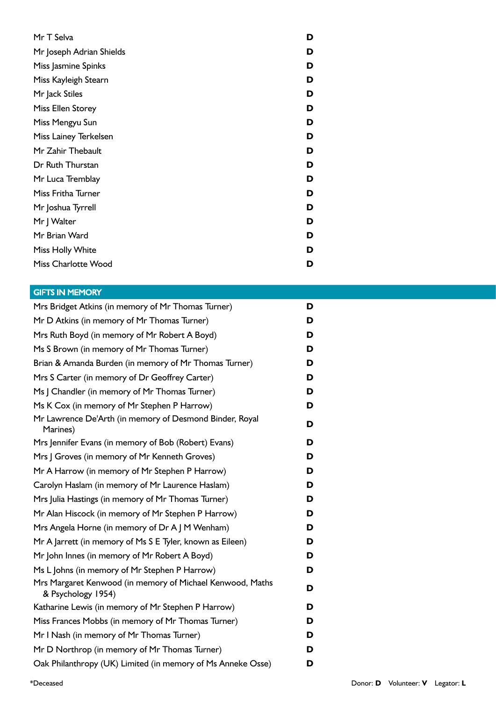| Mr T Selva               | D |
|--------------------------|---|
| Mr Joseph Adrian Shields | D |
| Miss Jasmine Spinks      | D |
| Miss Kayleigh Stearn     | D |
| Mr Jack Stiles           | D |
| Miss Ellen Storey        | D |
| Miss Mengyu Sun          | D |
| Miss Lainey Terkelsen    | D |
| Mr Zahir Thebault        | D |
| Dr Ruth Thurstan         | D |
| Mr Luca Tremblay         | D |
| Miss Fritha Turner       | D |
| Mr Joshua Tyrrell        | D |
| Mr J Walter              | D |
| Mr Brian Ward            | D |
| Miss Holly White         | D |
| Miss Charlotte Wood      | D |

## GIFTS IN MEMORY

| Mrs Bridget Atkins (in memory of Mr Thomas Turner)                              | D |
|---------------------------------------------------------------------------------|---|
| Mr D Atkins (in memory of Mr Thomas Turner)                                     | D |
| Mrs Ruth Boyd (in memory of Mr Robert A Boyd)                                   | D |
| Ms S Brown (in memory of Mr Thomas Turner)                                      | D |
| Brian & Amanda Burden (in memory of Mr Thomas Turner)                           | D |
| Mrs S Carter (in memory of Dr Geoffrey Carter)                                  | D |
| Ms J Chandler (in memory of Mr Thomas Turner)                                   | D |
| Ms K Cox (in memory of Mr Stephen P Harrow)                                     | D |
| Mr Lawrence De'Arth (in memory of Desmond Binder, Royal<br>Marines)             | D |
| Mrs Jennifer Evans (in memory of Bob (Robert) Evans)                            | D |
| Mrs J Groves (in memory of Mr Kenneth Groves)                                   | D |
| Mr A Harrow (in memory of Mr Stephen P Harrow)                                  | D |
| Carolyn Haslam (in memory of Mr Laurence Haslam)                                | D |
| Mrs Julia Hastings (in memory of Mr Thomas Turner)                              | D |
| Mr Alan Hiscock (in memory of Mr Stephen P Harrow)                              | D |
| Mrs Angela Horne (in memory of Dr A J M Wenham)                                 | D |
| Mr A Jarrett (in memory of Ms S E Tyler, known as Eileen)                       | D |
| Mr John Innes (in memory of Mr Robert A Boyd)                                   | D |
| Ms L Johns (in memory of Mr Stephen P Harrow)                                   | D |
| Mrs Margaret Kenwood (in memory of Michael Kenwood, Maths<br>& Psychology 1954) | D |
| Katharine Lewis (in memory of Mr Stephen P Harrow)                              | D |
| Miss Frances Mobbs (in memory of Mr Thomas Turner)                              | D |
| Mr I Nash (in memory of Mr Thomas Turner)                                       | D |
| Mr D Northrop (in memory of Mr Thomas Turner)                                   | D |
| Oak Philanthropy (UK) Limited (in memory of Ms Anneke Osse)                     | D |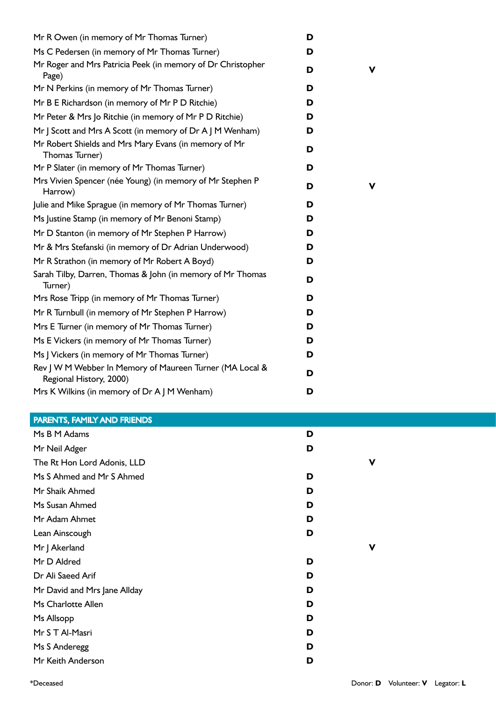| Mr R Owen (in memory of Mr Thomas Turner)                                           | D |   |
|-------------------------------------------------------------------------------------|---|---|
| Ms C Pedersen (in memory of Mr Thomas Turner)                                       | D |   |
| Mr Roger and Mrs Patricia Peek (in memory of Dr Christopher<br>Page)                | D | v |
| Mr N Perkins (in memory of Mr Thomas Turner)                                        | D |   |
| Mr B E Richardson (in memory of Mr P D Ritchie)                                     | D |   |
| Mr Peter & Mrs Jo Ritchie (in memory of Mr P D Ritchie)                             | D |   |
| Mr J Scott and Mrs A Scott (in memory of Dr A J M Wenham)                           | D |   |
| Mr Robert Shields and Mrs Mary Evans (in memory of Mr<br>Thomas Turner)             | D |   |
| Mr P Slater (in memory of Mr Thomas Turner)                                         | D |   |
| Mrs Vivien Spencer (née Young) (in memory of Mr Stephen P<br>Harrow)                | D | v |
| Julie and Mike Sprague (in memory of Mr Thomas Turner)                              | D |   |
| Ms Justine Stamp (in memory of Mr Benoni Stamp)                                     | D |   |
| Mr D Stanton (in memory of Mr Stephen P Harrow)                                     | D |   |
| Mr & Mrs Stefanski (in memory of Dr Adrian Underwood)                               | D |   |
| Mr R Strathon (in memory of Mr Robert A Boyd)                                       | D |   |
| Sarah Tilby, Darren, Thomas & John (in memory of Mr Thomas<br>Turner)               | D |   |
| Mrs Rose Tripp (in memory of Mr Thomas Turner)                                      | D |   |
| Mr R Turnbull (in memory of Mr Stephen P Harrow)                                    | D |   |
| Mrs E Turner (in memory of Mr Thomas Turner)                                        | D |   |
| Ms E Vickers (in memory of Mr Thomas Turner)                                        | D |   |
| Ms J Vickers (in memory of Mr Thomas Turner)                                        | D |   |
| Rev J W M Webber In Memory of Maureen Turner (MA Local &<br>Regional History, 2000) | D |   |
| Mrs K Wilkins (in memory of Dr A J M Wenham)                                        | D |   |

## PARENTS, FAMILY AND FRIENDS

| Ms B M Adams                 | D |   |
|------------------------------|---|---|
| Mr Neil Adger                | D |   |
| The Rt Hon Lord Adonis, LLD  |   | ν |
| Ms S Ahmed and Mr S Ahmed    | D |   |
| Mr Shaik Ahmed               | D |   |
| Ms Susan Ahmed               | D |   |
| Mr Adam Ahmet                | D |   |
| Lean Ainscough               | D |   |
| Mr J Akerland                |   | ν |
| Mr D Aldred                  | D |   |
| Dr Ali Saeed Arif            | D |   |
| Mr David and Mrs Jane Allday | D |   |
| Ms Charlotte Allen           | D |   |
| Ms Allsopp                   | D |   |
| Mr S T Al-Masri              | D |   |
| Ms S Anderegg                | D |   |
| Mr Keith Anderson            | D |   |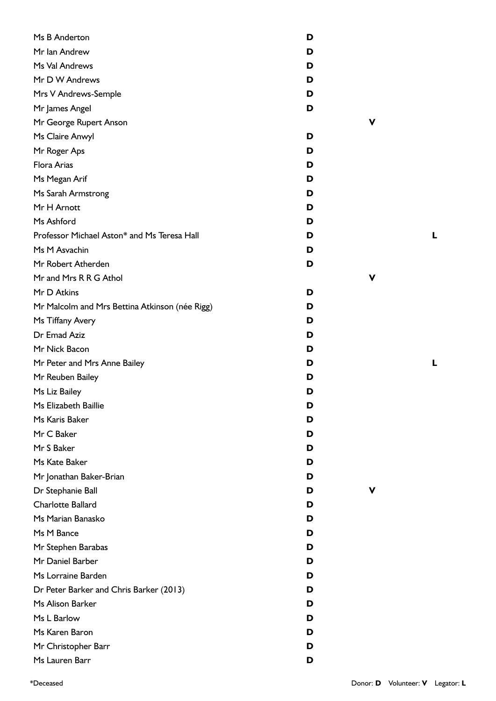| Ms B Anderton                                  | D |
|------------------------------------------------|---|
| Mr Ian Andrew                                  | D |
| Ms Val Andrews                                 | D |
| Mr D W Andrews                                 | D |
| Mrs V Andrews-Semple                           | D |
| Mr James Angel                                 | D |
| Mr George Rupert Anson                         |   |
| Ms Claire Anwyl                                | D |
| Mr Roger Aps                                   | D |
| <b>Flora Arias</b>                             | D |
| Ms Megan Arif                                  | D |
| Ms Sarah Armstrong                             | D |
| Mr H Arnott                                    | D |
| Ms Ashford                                     | D |
| Professor Michael Aston* and Ms Teresa Hall    | D |
| Ms M Asvachin                                  | D |
| Mr Robert Atherden                             | D |
| Mr and Mrs R R G Athol                         |   |
| Mr D Atkins                                    | D |
| Mr Malcolm and Mrs Bettina Atkinson (née Rigg) | D |
| Ms Tiffany Avery                               | D |
| Dr Emad Aziz                                   | D |
| Mr Nick Bacon                                  | D |
| Mr Peter and Mrs Anne Bailey                   | D |
| Mr Reuben Bailey                               | D |
| Ms Liz Bailey                                  | D |
| Ms Elizabeth Baillie                           | D |
| Ms Karis Baker                                 | D |
| Mr C Baker                                     | D |
| Mr S Baker                                     | D |
| Ms Kate Baker                                  | D |
| Mr Jonathan Baker-Brian                        | D |
| Dr Stephanie Ball                              | D |
| <b>Charlotte Ballard</b>                       | D |
| Ms Marian Banasko                              | D |
| Ms M Bance                                     | D |
| Mr Stephen Barabas                             | D |
| Mr Daniel Barber                               | D |
| Ms Lorraine Barden                             | D |
| Dr Peter Barker and Chris Barker (2013)        | D |
| Ms Alison Barker                               | D |
| Ms L Barlow                                    | D |
| Ms Karen Baron                                 | D |
| Mr Christopher Barr                            | D |
| Ms Lauren Barr                                 | D |

**V**

**V**

**V**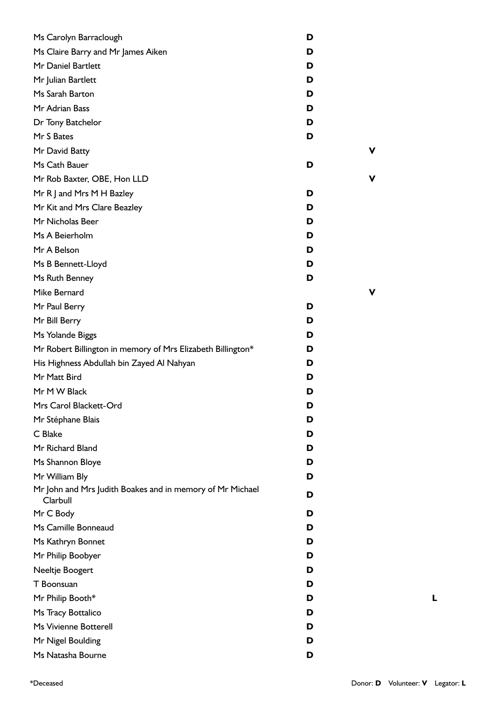| Ms Carolyn Barraclough                                                | D |   |
|-----------------------------------------------------------------------|---|---|
| Ms Claire Barry and Mr James Aiken                                    | D |   |
| Mr Daniel Bartlett                                                    | D |   |
| Mr Julian Bartlett                                                    | D |   |
| Ms Sarah Barton                                                       | D |   |
| Mr Adrian Bass                                                        | D |   |
| Dr Tony Batchelor                                                     | D |   |
| Mr S Bates                                                            | D |   |
| Mr David Batty                                                        |   | V |
| Ms Cath Bauer                                                         | D |   |
| Mr Rob Baxter, OBE, Hon LLD                                           |   | ۷ |
| Mr R J and Mrs M H Bazley                                             | D |   |
| Mr Kit and Mrs Clare Beazley                                          | D |   |
| Mr Nicholas Beer                                                      | D |   |
| Ms A Beierholm                                                        | D |   |
| Mr A Belson                                                           | D |   |
| Ms B Bennett-Lloyd                                                    | D |   |
| Ms Ruth Benney                                                        | D |   |
| Mike Bernard                                                          |   | ۷ |
| Mr Paul Berry                                                         | D |   |
| Mr Bill Berry                                                         | D |   |
| Ms Yolande Biggs                                                      | D |   |
| Mr Robert Billington in memory of Mrs Elizabeth Billington*           | D |   |
| His Highness Abdullah bin Zayed Al Nahyan                             | D |   |
| Mr Matt Bird                                                          | D |   |
| Mr M W Black                                                          | D |   |
| Mrs Carol Blackett-Ord                                                | D |   |
| Mr Stéphane Blais                                                     | D |   |
| C Blake                                                               | D |   |
| Mr Richard Bland                                                      | D |   |
| Ms Shannon Bloye                                                      | D |   |
| Mr William Bly                                                        | D |   |
| Mr John and Mrs Judith Boakes and in memory of Mr Michael<br>Clarbull | D |   |
| Mr C Body                                                             | D |   |
| Ms Camille Bonneaud                                                   | D |   |
| Ms Kathryn Bonnet                                                     | D |   |
| Mr Philip Boobyer                                                     | D |   |
| Neeltje Boogert                                                       | D |   |
| T Boonsuan                                                            | D |   |
| Mr Philip Booth*                                                      | D |   |
| Ms Tracy Bottalico                                                    | D |   |
| Ms Vivienne Botterell                                                 | D |   |
| Mr Nigel Boulding                                                     | D |   |
| Ms Natasha Bourne                                                     | D |   |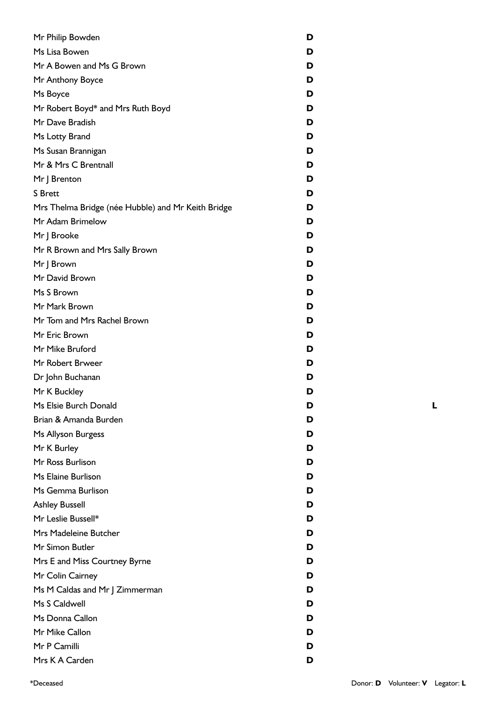| Mr Philip Bowden                                   | D |
|----------------------------------------------------|---|
| Ms Lisa Bowen                                      | D |
| Mr A Bowen and Ms G Brown                          | D |
| Mr Anthony Boyce                                   | D |
| Ms Boyce                                           | D |
| Mr Robert Boyd* and Mrs Ruth Boyd                  | D |
| Mr Dave Bradish                                    | D |
| Ms Lotty Brand                                     | D |
| Ms Susan Brannigan                                 | D |
| Mr & Mrs C Brentnall                               | D |
| Mr J Brenton                                       | D |
| <b>S</b> Brett                                     | D |
| Mrs Thelma Bridge (née Hubble) and Mr Keith Bridge | D |
| Mr Adam Brimelow                                   | D |
| Mr J Brooke                                        | D |
| Mr R Brown and Mrs Sally Brown                     | D |
| Mr J Brown                                         | D |
| Mr David Brown                                     | D |
| Ms S Brown                                         | D |
| Mr Mark Brown                                      | D |
| Mr Tom and Mrs Rachel Brown                        | D |
| Mr Eric Brown                                      | D |
| Mr Mike Bruford                                    | D |
| Mr Robert Brweer                                   | D |
| Dr John Buchanan                                   | D |
| Mr K Buckley                                       | D |
| Ms Elsie Burch Donald                              | D |
| Brian & Amanda Burden                              | D |
| Ms Allyson Burgess                                 | D |
| Mr K Burley                                        | D |
| Mr Ross Burlison                                   | D |
| Ms Elaine Burlison                                 | D |
| Ms Gemma Burlison                                  | D |
| <b>Ashley Bussell</b>                              | D |
| Mr Leslie Bussell*                                 | D |
| Mrs Madeleine Butcher                              | D |
| Mr Simon Butler                                    | D |
| Mrs E and Miss Courtney Byrne                      | D |
| Mr Colin Cairney                                   | D |
| Ms M Caldas and Mr J Zimmerman                     | D |
| Ms S Caldwell                                      | D |
| Ms Donna Callon                                    | D |
| Mr Mike Callon                                     | D |
| Mr P Camilli                                       | D |
| Mrs K A Carden                                     | D |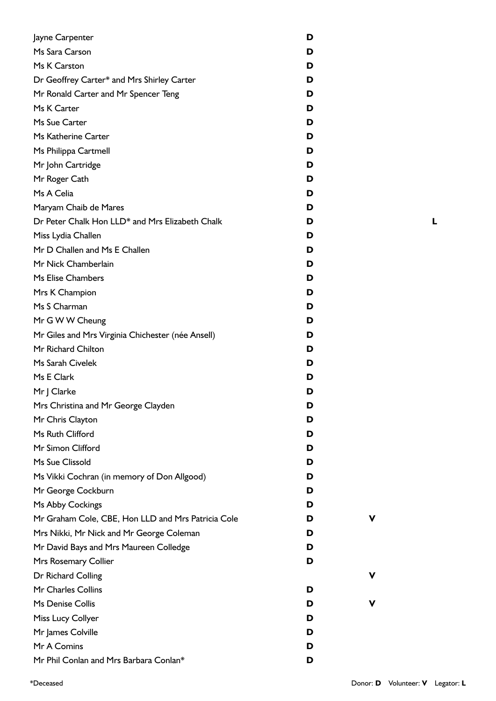| Jayne Carpenter                                    | D |   |  |
|----------------------------------------------------|---|---|--|
| Ms Sara Carson                                     | D |   |  |
| Ms K Carston                                       | D |   |  |
| Dr Geoffrey Carter* and Mrs Shirley Carter         | D |   |  |
| Mr Ronald Carter and Mr Spencer Teng               | D |   |  |
| Ms K Carter                                        | D |   |  |
| Ms Sue Carter                                      | D |   |  |
| Ms Katherine Carter                                | D |   |  |
| Ms Philippa Cartmell                               | D |   |  |
| Mr John Cartridge                                  | D |   |  |
| Mr Roger Cath                                      | D |   |  |
| Ms A Celia                                         | D |   |  |
| Maryam Chaib de Mares                              | D |   |  |
| Dr Peter Chalk Hon LLD* and Mrs Elizabeth Chalk    | D |   |  |
| Miss Lydia Challen                                 | D |   |  |
| Mr D Challen and Ms E Challen                      | D |   |  |
| Mr Nick Chamberlain                                | D |   |  |
| Ms Elise Chambers                                  | D |   |  |
| Mrs K Champion                                     | D |   |  |
| Ms S Charman                                       | D |   |  |
| Mr G W W Cheung                                    | D |   |  |
| Mr Giles and Mrs Virginia Chichester (née Ansell)  | D |   |  |
| Mr Richard Chilton                                 | D |   |  |
| Ms Sarah Civelek                                   | D |   |  |
| Ms E Clark                                         | D |   |  |
| Mr J Clarke                                        | D |   |  |
| Mrs Christina and Mr George Clayden                | D |   |  |
| Mr Chris Clayton                                   | D |   |  |
| Ms Ruth Clifford                                   | D |   |  |
| Mr Simon Clifford                                  | D |   |  |
| Ms Sue Clissold                                    | D |   |  |
| Ms Vikki Cochran (in memory of Don Allgood)        | D |   |  |
| Mr George Cockburn                                 | D |   |  |
| Ms Abby Cockings                                   | D |   |  |
| Mr Graham Cole, CBE, Hon LLD and Mrs Patricia Cole | D | ۷ |  |
| Mrs Nikki, Mr Nick and Mr George Coleman           | D |   |  |
| Mr David Bays and Mrs Maureen Colledge             | D |   |  |
| Mrs Rosemary Collier                               | D |   |  |
| Dr Richard Colling                                 |   | ۷ |  |
| Mr Charles Collins                                 | D |   |  |
| Ms Denise Collis                                   | D | ۷ |  |
| Miss Lucy Collyer                                  | D |   |  |
| Mr James Colville                                  | D |   |  |
| Mr A Comins                                        | D |   |  |
| Mr Phil Conlan and Mrs Barbara Conlan*             | D |   |  |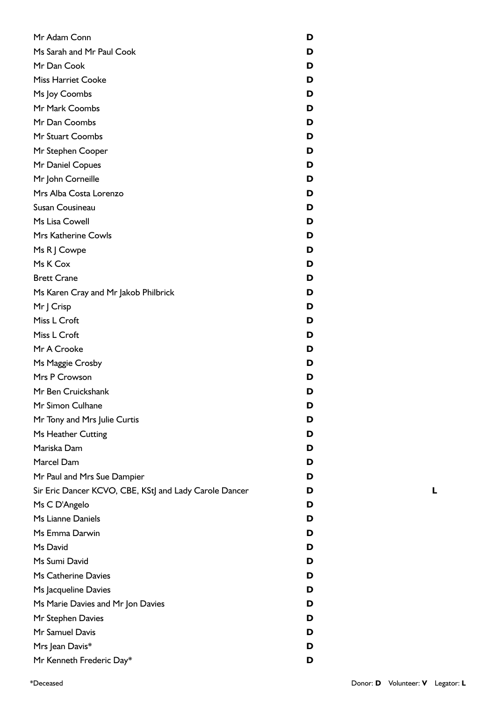| Mr Adam Conn                                           | D |
|--------------------------------------------------------|---|
| Ms Sarah and Mr Paul Cook                              | D |
| Mr Dan Cook                                            | D |
| <b>Miss Harriet Cooke</b>                              | D |
| Ms Joy Coombs                                          | D |
| Mr Mark Coombs                                         | D |
| Mr Dan Coombs                                          | D |
| Mr Stuart Coombs                                       | D |
| Mr Stephen Cooper                                      | D |
| Mr Daniel Copues                                       | D |
| Mr John Corneille                                      | D |
| Mrs Alba Costa Lorenzo                                 | D |
| Susan Cousineau                                        | D |
| Ms Lisa Cowell                                         | D |
| Mrs Katherine Cowls                                    | D |
| Ms R J Cowpe                                           | D |
| Ms K Cox                                               | D |
| <b>Brett Crane</b>                                     | D |
| Ms Karen Cray and Mr Jakob Philbrick                   | D |
| Mr J Crisp                                             | D |
| Miss L Croft                                           | D |
| Miss L Croft                                           | D |
| Mr A Crooke                                            | D |
| Ms Maggie Crosby                                       | D |
| Mrs P Crowson                                          | D |
| Mr Ben Cruickshank                                     | D |
| Mr Simon Culhane                                       | D |
| Mr Tony and Mrs Julie Curtis                           | D |
| Ms Heather Cutting                                     | D |
| Mariska Dam                                            | D |
| Marcel Dam                                             | D |
| Mr Paul and Mrs Sue Dampier                            | D |
| Sir Eric Dancer KCVO, CBE, KStJ and Lady Carole Dancer | D |
| Ms C D'Angelo                                          | D |
| Ms Lianne Daniels                                      | D |
| Ms Emma Darwin                                         | D |
| Ms David                                               | D |
| Ms Sumi David                                          | D |
| Ms Catherine Davies                                    | D |
| Ms Jacqueline Davies                                   | D |
| Ms Marie Davies and Mr Jon Davies                      | D |
| Mr Stephen Davies                                      | D |
| Mr Samuel Davis                                        | D |
| Mrs Jean Davis*                                        | D |
| Mr Kenneth Frederic Day*                               | D |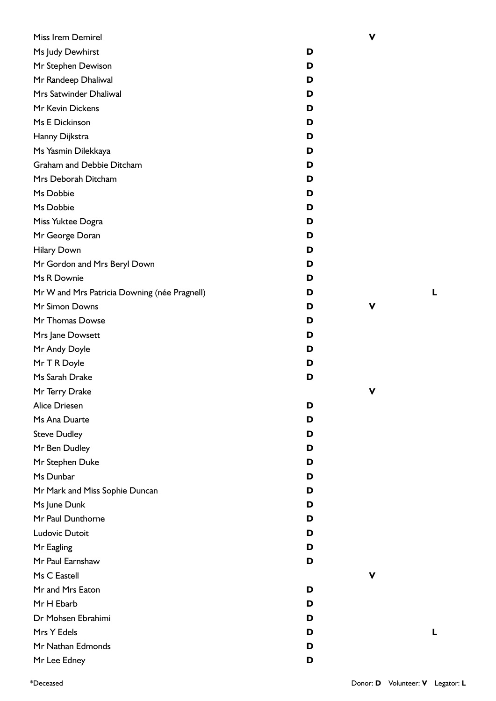| Miss Irem Demirel                            |   | ۷ |
|----------------------------------------------|---|---|
| Ms Judy Dewhirst                             | D |   |
| Mr Stephen Dewison                           | D |   |
| Mr Randeep Dhaliwal                          | D |   |
| Mrs Satwinder Dhaliwal                       | D |   |
| Mr Kevin Dickens                             | D |   |
| Ms E Dickinson                               | D |   |
| Hanny Dijkstra                               | D |   |
| Ms Yasmin Dilekkaya                          | D |   |
| Graham and Debbie Ditcham                    | D |   |
| Mrs Deborah Ditcham                          | D |   |
| Ms Dobbie                                    | D |   |
| Ms Dobbie                                    | D |   |
| Miss Yuktee Dogra                            | D |   |
| Mr George Doran                              | D |   |
| <b>Hilary Down</b>                           | D |   |
| Mr Gordon and Mrs Beryl Down                 | D |   |
| Ms R Downie                                  | D |   |
| Mr W and Mrs Patricia Downing (née Pragnell) | D |   |
| Mr Simon Downs                               | D | ۷ |
| Mr Thomas Dowse                              | D |   |
| Mrs Jane Dowsett                             | D |   |
| Mr Andy Doyle                                | D |   |
| Mr T R Doyle                                 | D |   |
| Ms Sarah Drake                               | D |   |
| Mr Terry Drake                               |   | V |
| Alice Driesen                                | D |   |
| Ms Ana Duarte                                | D |   |
| <b>Steve Dudley</b>                          | D |   |
| Mr Ben Dudley                                | D |   |
| Mr Stephen Duke                              | D |   |
| Ms Dunbar                                    | D |   |
| Mr Mark and Miss Sophie Duncan               | D |   |
| Ms June Dunk                                 | D |   |
| Mr Paul Dunthorne                            | D |   |
| Ludovic Dutoit                               | D |   |
| Mr Eagling                                   | D |   |
| Mr Paul Earnshaw                             | D |   |
| Ms C Eastell                                 |   | v |
| Mr and Mrs Eaton                             | D |   |
| Mr H Ebarb                                   | D |   |
| Dr Mohsen Ebrahimi                           | D |   |
| Mrs Y Edels                                  | D |   |
| Mr Nathan Edmonds                            | D |   |
| Mr Lee Edney                                 | D |   |

\*Deceased Donor: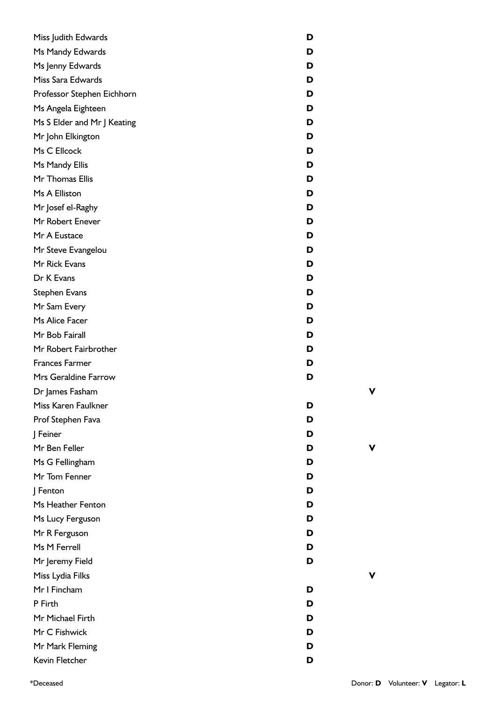| Miss Judith Edwards         | D |
|-----------------------------|---|
| Ms Mandy Edwards            | D |
| Ms Jenny Edwards            | D |
| Miss Sara Edwards           | D |
| Professor Stephen Eichhorn  | D |
| Ms Angela Eighteen          | D |
| Ms S Elder and Mr J Keating | D |
| Mr John Elkington           | D |
| Ms C Ellcock                | D |
| Ms Mandy Ellis              | D |
| Mr Thomas Ellis             | D |
| Ms A Elliston               | D |
| Mr Josef el-Raghy           | D |
| Mr Robert Enever            | D |
| Mr A Eustace                | D |
| Mr Steve Evangelou          | D |
| Mr Rick Evans               | D |
| Dr K Evans                  | D |
| <b>Stephen Evans</b>        | D |
| Mr Sam Every                | D |
| Ms Alice Facer              | D |
| Mr Bob Fairall              | D |
| Mr Robert Fairbrother       | D |
| <b>Frances Farmer</b>       | D |
| Mrs Geraldine Farrow        | D |
| Dr James Fasham             |   |
| Miss Karen Faulkner         | D |
| Prof Stephen Fava           | D |
| J Feiner                    | D |
| Mr Ben Feller               | D |
| Ms G Fellingham             | D |
| Mr Tom Fenner               | D |
| J Fenton                    | D |
| Ms Heather Fenton           | D |
| Ms Lucy Ferguson            | D |
| Mr R Ferguson               | D |
| Ms M Ferrell                | D |
| Mr Jeremy Field             | D |
| Miss Lydia Filks            |   |
| Mr I Fincham                | D |
| P Firth                     | D |
| Mr Michael Firth            | D |
| Mr C Fishwick               | D |
| Mr Mark Fleming             | D |
| Kevin Fletcher              | D |

**V**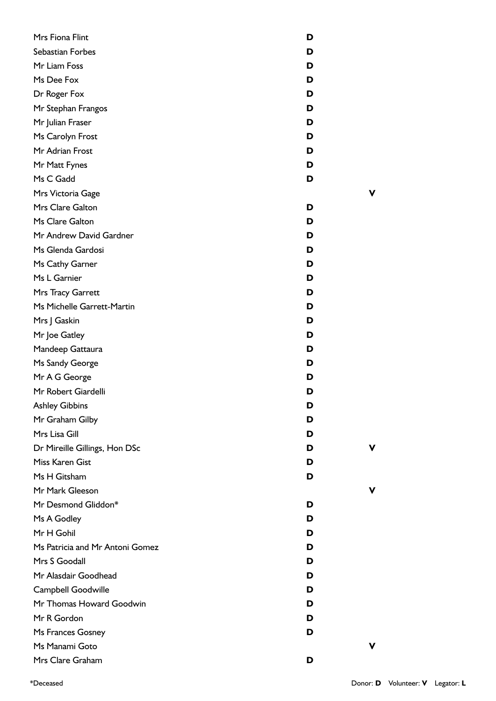| Mrs Fiona Flint                 | D |
|---------------------------------|---|
| Sebastian Forbes                | D |
| Mr Liam Foss                    | D |
| Ms Dee Fox                      | D |
| Dr Roger Fox                    | D |
| Mr Stephan Frangos              | D |
| Mr Julian Fraser                | D |
| Ms Carolyn Frost                | D |
| Mr Adrian Frost                 | D |
| Mr Matt Fynes                   | D |
| Ms C Gadd                       | D |
| Mrs Victoria Gage               |   |
| Mrs Clare Galton                | D |
| Ms Clare Galton                 | D |
| Mr Andrew David Gardner         | D |
| Ms Glenda Gardosi               | D |
| Ms Cathy Garner                 | D |
| Ms L Garnier                    | D |
| Mrs Tracy Garrett               | D |
| Ms Michelle Garrett-Martin      | D |
| Mrs J Gaskin                    | D |
| Mr Joe Gatley                   | D |
| Mandeep Gattaura                | D |
| Ms Sandy George                 | D |
| Mr A G George                   | D |
| Mr Robert Giardelli             | D |
| <b>Ashley Gibbins</b>           | D |
| Mr Graham Gilby                 | D |
| Mrs Lisa Gill                   | D |
| Dr Mireille Gillings, Hon DSc   | D |
| Miss Karen Gist                 | D |
| Ms H Gitsham                    | D |
| Mr Mark Gleeson                 |   |
| Mr Desmond Gliddon*             | D |
| Ms A Godley                     | D |
| Mr H Gohil                      | D |
| Ms Patricia and Mr Antoni Gomez | D |
| Mrs S Goodall                   | D |
| Mr Alasdair Goodhead            | D |
| Campbell Goodwille              | D |
| Mr Thomas Howard Goodwin        | D |
| Mr R Gordon                     | D |
| Ms Frances Gosney               | D |
| Ms Manami Goto                  |   |
| Mrs Clare Graham                | D |

**V**

**V**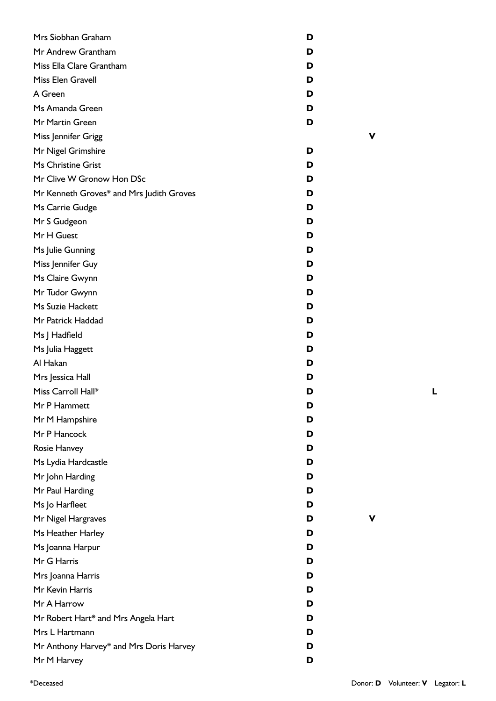| Mrs Siobhan Graham                       | D |
|------------------------------------------|---|
| Mr Andrew Grantham                       | D |
| Miss Ella Clare Grantham                 | D |
| Miss Elen Gravell                        | D |
| A Green                                  | D |
| Ms Amanda Green                          | D |
| Mr Martin Green                          | D |
| Miss Jennifer Grigg                      |   |
| Mr Nigel Grimshire                       | D |
| Ms Christine Grist                       | D |
| Mr Clive W Gronow Hon DSc                | D |
| Mr Kenneth Groves* and Mrs Judith Groves | D |
| Ms Carrie Gudge                          | D |
| Mr S Gudgeon                             | D |
| Mr H Guest                               | D |
| Ms Julie Gunning                         | D |
| Miss Jennifer Guy                        | D |
| Ms Claire Gwynn                          | D |
| Mr Tudor Gwynn                           | D |
| Ms Suzie Hackett                         | D |
| Mr Patrick Haddad                        | D |
| Ms J Hadfield                            | D |
| Ms Julia Haggett                         | D |
| Al Hakan                                 | D |
| Mrs Jessica Hall                         | D |
| Miss Carroll Hall*                       | D |
| Mr P Hammett                             | D |
| Mr M Hampshire                           | D |
| Mr P Hancock                             | D |
| Rosie Hanvey                             | D |
| Ms Lydia Hardcastle                      | D |
| Mr John Harding                          | D |
| Mr Paul Harding                          | D |
| Ms Jo Harfleet                           | D |
| Mr Nigel Hargraves                       | D |
| Ms Heather Harley                        | D |
| Ms Joanna Harpur                         | D |
| Mr G Harris                              | D |
| Mrs Joanna Harris                        | D |
| Mr Kevin Harris                          | D |
| Mr A Harrow                              | D |
| Mr Robert Hart* and Mrs Angela Hart      | D |
| Mrs L Hartmann                           | D |
| Mr Anthony Harvey* and Mrs Doris Harvey  | D |
| Mr M Harvey                              | D |

**L**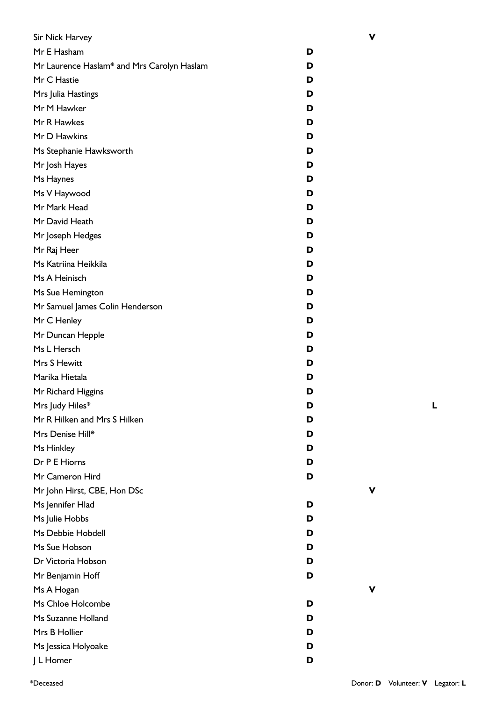| Sir Nick Harvey                            |   |
|--------------------------------------------|---|
| Mr E Hasham                                | D |
| Mr Laurence Haslam* and Mrs Carolyn Haslam | D |
| Mr C Hastie                                | D |
| Mrs Julia Hastings                         | D |
| Mr M Hawker                                | D |
| Mr R Hawkes                                | D |
| Mr D Hawkins                               | D |
| Ms Stephanie Hawksworth                    | D |
| Mr Josh Hayes                              | D |
| Ms Haynes                                  | D |
| Ms V Haywood                               | D |
| Mr Mark Head                               | D |
| Mr David Heath                             | D |
| Mr Joseph Hedges                           | D |
| Mr Raj Heer                                | D |
| Ms Katriina Heikkila                       | D |
| Ms A Heinisch                              | D |
| Ms Sue Hemington                           | D |
| Mr Samuel James Colin Henderson            | D |
| Mr C Henley                                | D |
| Mr Duncan Hepple                           | D |
| Ms L Hersch                                | D |
| Mrs S Hewitt                               | D |
| Marika Hietala                             | D |
| Mr Richard Higgins                         | D |
| Mrs Judy Hiles*                            | D |
| Mr R Hilken and Mrs S Hilken               | D |
| Mrs Denise Hill*                           | D |
| Ms Hinkley                                 | D |
| Dr P E Hiorns                              | D |
| Mr Cameron Hird                            | D |
| Mr John Hirst, CBE, Hon DSc                |   |
| Ms Jennifer Hlad                           | D |
| Ms Julie Hobbs                             | D |
| Ms Debbie Hobdell                          | D |
| Ms Sue Hobson                              | D |
| Dr Victoria Hobson                         | D |
| Mr Benjamin Hoff                           | D |
| Ms A Hogan                                 |   |
| Ms Chloe Holcombe                          | D |
| Ms Suzanne Holland                         | D |
| Mrs B Hollier                              | D |
| Ms Jessica Holyoake                        | D |
| J L Homer                                  | D |

**V**

**V**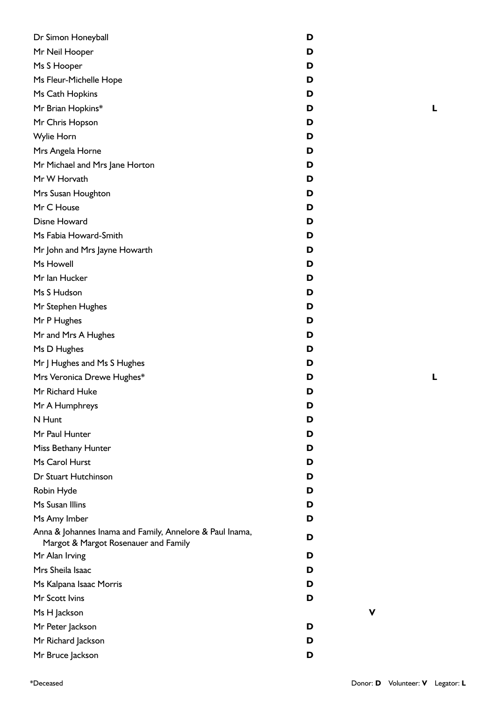| Dr Simon Honeyball                                                                               | D |
|--------------------------------------------------------------------------------------------------|---|
| Mr Neil Hooper                                                                                   | D |
| Ms S Hooper                                                                                      | D |
| Ms Fleur-Michelle Hope                                                                           | D |
| Ms Cath Hopkins                                                                                  | D |
| Mr Brian Hopkins*                                                                                | D |
| Mr Chris Hopson                                                                                  | D |
| Wylie Horn                                                                                       | D |
| Mrs Angela Horne                                                                                 | D |
| Mr Michael and Mrs Jane Horton                                                                   | D |
| Mr W Horvath                                                                                     | D |
| Mrs Susan Houghton                                                                               | D |
| Mr C House                                                                                       | D |
| <b>Disne Howard</b>                                                                              | D |
| Ms Fabia Howard-Smith                                                                            | D |
| Mr John and Mrs Jayne Howarth                                                                    | D |
| Ms Howell                                                                                        | D |
| Mr Ian Hucker                                                                                    | D |
| Ms S Hudson                                                                                      | D |
| Mr Stephen Hughes                                                                                | D |
| Mr P Hughes                                                                                      | D |
| Mr and Mrs A Hughes                                                                              | D |
| Ms D Hughes                                                                                      | D |
| Mr J Hughes and Ms S Hughes                                                                      | D |
| Mrs Veronica Drewe Hughes*                                                                       | D |
| Mr Richard Huke                                                                                  | D |
| Mr A Humphreys                                                                                   | D |
| N Hunt                                                                                           | D |
| Mr Paul Hunter                                                                                   | D |
| Miss Bethany Hunter                                                                              | D |
| Ms Carol Hurst                                                                                   | D |
| Dr Stuart Hutchinson                                                                             | D |
| Robin Hyde                                                                                       | D |
| Ms Susan Illins                                                                                  | D |
| Ms Amy Imber                                                                                     | D |
| Anna & Johannes Inama and Family, Annelore & Paul Inama,<br>Margot & Margot Rosenauer and Family | D |
| Mr Alan Irving                                                                                   | D |
| Mrs Sheila Isaac                                                                                 | D |
| Ms Kalpana Isaac Morris                                                                          | D |
| Mr Scott Ivins                                                                                   | D |
| Ms H Jackson                                                                                     | V |
| Mr Peter Jackson                                                                                 | D |
| Mr Richard Jackson                                                                               | D |
| Mr Bruce Jackson                                                                                 | D |

\*Deceased Donor: **D** Volunteer: **V** Legator: **L**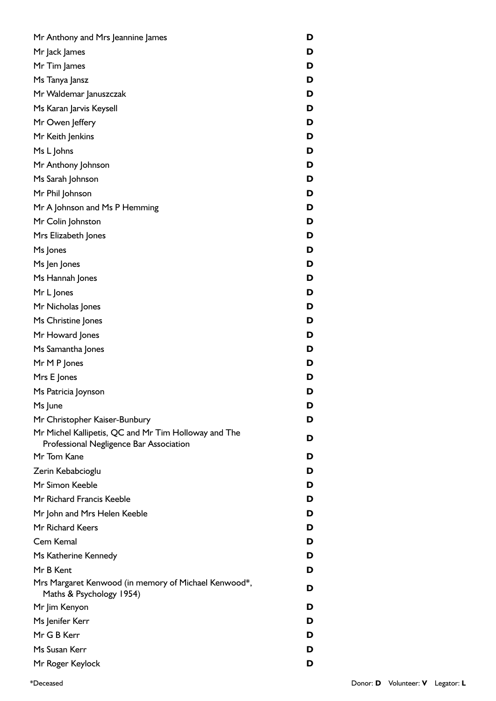| Mr Anthony and Mrs Jeannine James                                                | D |
|----------------------------------------------------------------------------------|---|
| Mr Jack James                                                                    | D |
| Mr Tim James                                                                     | D |
| Ms Tanya Jansz                                                                   | D |
| Mr Waldemar Januszczak                                                           | D |
| Ms Karan Jarvis Keysell                                                          | D |
| Mr Owen Jeffery                                                                  | D |
| Mr Keith Jenkins                                                                 | D |
| Ms L Johns                                                                       | D |
| Mr Anthony Johnson                                                               | D |
| Ms Sarah Johnson                                                                 | D |
| Mr Phil Johnson                                                                  | D |
| Mr A Johnson and Ms P Hemming                                                    | D |
| Mr Colin Johnston                                                                | D |
| Mrs Elizabeth Jones                                                              | D |
| Ms Jones                                                                         | D |
| Ms Jen Jones                                                                     | D |
| Ms Hannah Jones                                                                  | D |
| Mr L Jones                                                                       | D |
| Mr Nicholas Jones                                                                | D |
| Ms Christine Jones                                                               | D |
| Mr Howard Jones                                                                  | D |
| Ms Samantha Jones                                                                | D |
| Mr M P Jones                                                                     | D |
| Mrs E Jones                                                                      | D |
| Ms Patricia Joynson                                                              | D |
| Ms June                                                                          | D |
| Mr Christopher Kaiser-Bunbury                                                    | D |
| Mr Michel Kallipetis, QC and Mr Tim Holloway and The                             | D |
| Professional Negligence Bar Association                                          |   |
| Mr Tom Kane                                                                      | D |
| Zerin Kebabcioglu                                                                | D |
| Mr Simon Keeble                                                                  | D |
| Mr Richard Francis Keeble                                                        | D |
| Mr John and Mrs Helen Keeble                                                     | D |
| Mr Richard Keers                                                                 | D |
| Cem Kemal                                                                        | D |
| Ms Katherine Kennedy                                                             | D |
| Mr B Kent                                                                        | D |
| Mrs Margaret Kenwood (in memory of Michael Kenwood*,<br>Maths & Psychology 1954) | D |
| Mr Jim Kenyon                                                                    | D |
| Ms Jenifer Kerr                                                                  | D |
| Mr G B Kerr                                                                      | D |
| Ms Susan Kerr                                                                    | D |
| Mr Roger Keylock                                                                 | D |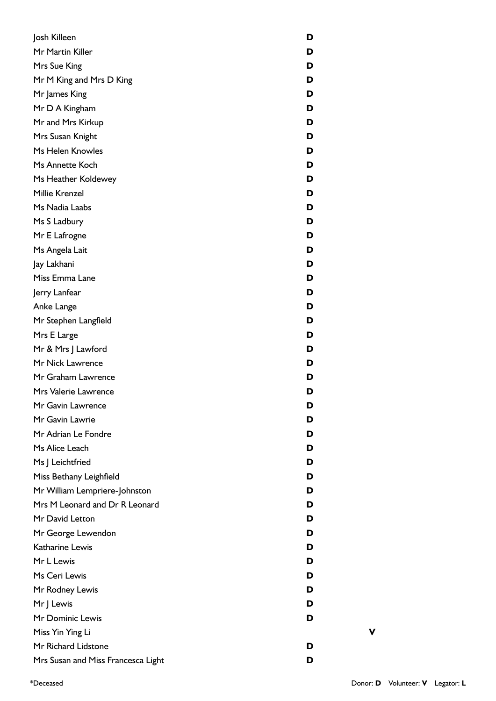| Josh Killeen                       | D |
|------------------------------------|---|
| Mr Martin Killer                   | D |
| Mrs Sue King                       | D |
| Mr M King and Mrs D King           | D |
| Mr James King                      | D |
| Mr D A Kingham                     | D |
| Mr and Mrs Kirkup                  | D |
| Mrs Susan Knight                   | D |
| Ms Helen Knowles                   | D |
| Ms Annette Koch                    | D |
| Ms Heather Koldewey                | D |
| Millie Krenzel                     | D |
| Ms Nadia Laabs                     | D |
| Ms S Ladbury                       | D |
| Mr E Lafrogne                      | D |
| Ms Angela Lait                     | D |
| Jay Lakhani                        | D |
| Miss Emma Lane                     | D |
| Jerry Lanfear                      | D |
| Anke Lange                         | D |
| Mr Stephen Langfield               | D |
| Mrs E Large                        | D |
| Mr & Mrs J Lawford                 | D |
| Mr Nick Lawrence                   | D |
| Mr Graham Lawrence                 | D |
| Mrs Valerie Lawrence               | D |
| Mr Gavin Lawrence                  | D |
| Mr Gavin Lawrie                    | D |
| Mr Adrian Le Fondre                | D |
| Ms Alice Leach                     | D |
| Ms J Leichtfried                   | D |
| Miss Bethany Leighfield            | D |
| Mr William Lempriere-Johnston      | D |
| Mrs M Leonard and Dr R Leonard     | D |
| Mr David Letton                    | D |
| Mr George Lewendon                 | D |
| Katharine Lewis                    | D |
| Mr L Lewis                         | D |
| Ms Ceri Lewis                      | D |
| Mr Rodney Lewis                    | D |
| Mr J Lewis                         | D |
| Mr Dominic Lewis                   | D |
| Miss Yin Ying Li                   |   |
| Mr Richard Lidstone                | D |
| Mrs Susan and Miss Francesca Light | D |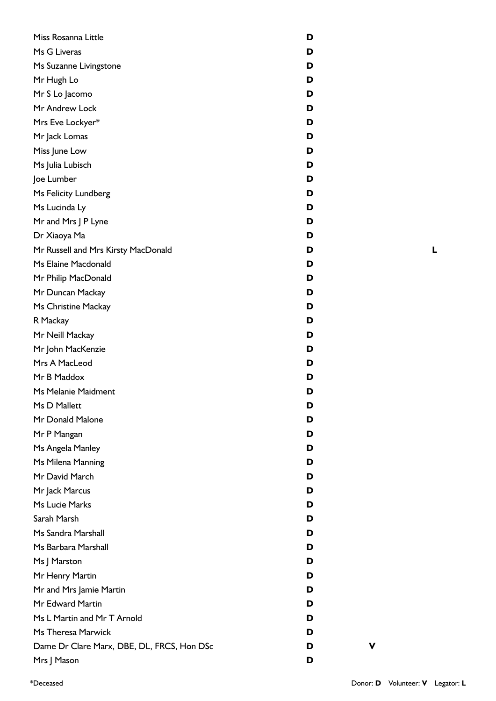| Miss Rosanna Little                        | D |
|--------------------------------------------|---|
| Ms G Liveras                               | D |
| Ms Suzanne Livingstone                     | D |
| Mr Hugh Lo                                 | D |
| Mr S Lo Jacomo                             | D |
| Mr Andrew Lock                             | D |
| Mrs Eve Lockyer*                           | D |
| Mr Jack Lomas                              | D |
| Miss June Low                              | D |
| Ms Julia Lubisch                           | D |
| Joe Lumber                                 | D |
| Ms Felicity Lundberg                       | D |
| Ms Lucinda Ly                              | D |
| Mr and Mrs J P Lyne                        | D |
| Dr Xiaoya Ma                               | D |
| Mr Russell and Mrs Kirsty MacDonald        | D |
| Ms Elaine Macdonald                        | D |
| Mr Philip MacDonald                        | D |
| Mr Duncan Mackay                           | D |
| Ms Christine Mackay                        | D |
| R Mackay                                   | D |
| Mr Neill Mackay                            | D |
| Mr John MacKenzie                          | D |
| Mrs A MacLeod                              | D |
| Mr B Maddox                                | D |
| Ms Melanie Maidment                        | D |
| Ms D Mallett                               | D |
| Mr Donald Malone                           | D |
| Mr P Mangan                                | D |
| Ms Angela Manley                           | D |
| Ms Milena Manning                          | D |
| Mr David March                             | D |
| Mr Jack Marcus                             | D |
| Ms Lucie Marks                             | D |
| Sarah Marsh                                | D |
| Ms Sandra Marshall                         | D |
| Ms Barbara Marshall                        | D |
| Ms J Marston                               | D |
| Mr Henry Martin                            | D |
| Mr and Mrs Jamie Martin                    | D |
| Mr Edward Martin                           | D |
| Ms L Martin and Mr T Arnold                | D |
| Ms Theresa Marwick                         | D |
| Dame Dr Clare Marx, DBE, DL, FRCS, Hon DSc | D |
| Mrs J Mason                                | D |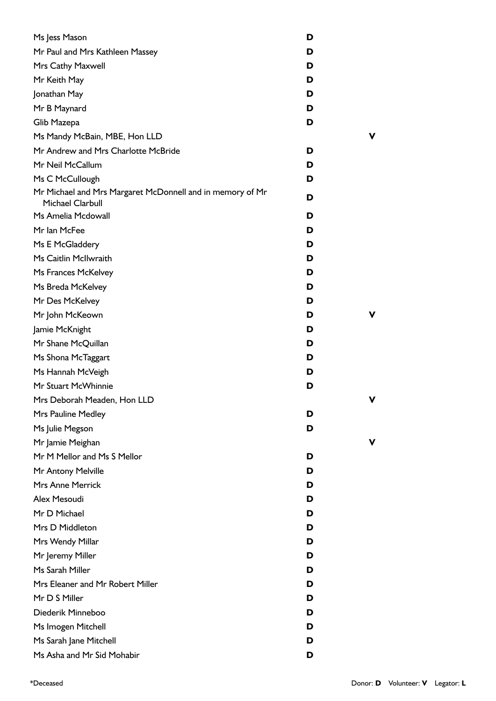| Ms Jess Mason                                                                 | D |   |
|-------------------------------------------------------------------------------|---|---|
| Mr Paul and Mrs Kathleen Massey                                               | D |   |
| Mrs Cathy Maxwell                                                             | D |   |
| Mr Keith May                                                                  | D |   |
| Jonathan May                                                                  | D |   |
| Mr B Maynard                                                                  | D |   |
| Glib Mazepa                                                                   | D |   |
| Ms Mandy McBain, MBE, Hon LLD                                                 |   | ν |
| Mr Andrew and Mrs Charlotte McBride                                           | D |   |
| Mr Neil McCallum                                                              | D |   |
| Ms C McCullough                                                               | D |   |
| Mr Michael and Mrs Margaret McDonnell and in memory of Mr<br>Michael Clarbull | D |   |
| Ms Amelia Mcdowall                                                            | D |   |
| Mr Ian McFee                                                                  | D |   |
| Ms E McGladdery                                                               | D |   |
| Ms Caitlin McIlwraith                                                         | D |   |
| Ms Frances McKelvey                                                           | D |   |
| Ms Breda McKelvey                                                             | D |   |
| Mr Des McKelvey                                                               | D |   |
| Mr John McKeown                                                               | D |   |
| Jamie McKnight                                                                | D |   |
| Mr Shane McQuillan                                                            | D |   |
| Ms Shona McTaggart                                                            | D |   |
| Ms Hannah McVeigh                                                             | D |   |
| Mr Stuart McWhinnie                                                           | D |   |
| Mrs Deborah Meaden, Hon LLD                                                   |   | ν |
| Mrs Pauline Medley                                                            | D |   |
| Ms Julie Megson                                                               | D |   |
| Mr Jamie Meighan                                                              |   |   |
| Mr M Mellor and Ms S Mellor                                                   | D |   |
| Mr Antony Melville                                                            | D |   |
| <b>Mrs Anne Merrick</b>                                                       | D |   |
| Alex Mesoudi                                                                  | D |   |
| Mr D Michael                                                                  | D |   |
| Mrs D Middleton                                                               | D |   |
| Mrs Wendy Millar                                                              | D |   |
| Mr Jeremy Miller                                                              | D |   |
| Ms Sarah Miller                                                               | D |   |
| Mrs Eleaner and Mr Robert Miller                                              | D |   |
| Mr D S Miller                                                                 | D |   |
| Diederik Minneboo                                                             | D |   |
| Ms Imogen Mitchell                                                            | D |   |
| Ms Sarah Jane Mitchell                                                        | D |   |
| Ms Asha and Mr Sid Mohabir                                                    | D |   |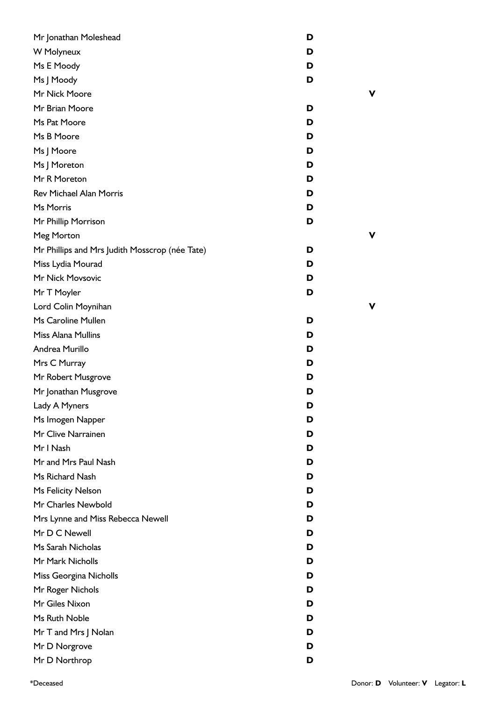| Mr Jonathan Moleshead                          | D |
|------------------------------------------------|---|
| W Molyneux                                     | D |
| Ms E Moody                                     | D |
| Ms J Moody                                     | D |
| Mr Nick Moore                                  | ν |
| Mr Brian Moore                                 | D |
| Ms Pat Moore                                   | D |
| Ms B Moore                                     | D |
| Ms J Moore                                     | D |
| Ms J Moreton                                   | D |
| Mr R Moreton                                   | D |
| <b>Rev Michael Alan Morris</b>                 | D |
| Ms Morris                                      | D |
| Mr Phillip Morrison                            | D |
| Meg Morton                                     | ν |
| Mr Phillips and Mrs Judith Mosscrop (née Tate) | D |
| Miss Lydia Mourad                              | D |
| Mr Nick Movsovic                               | D |
| Mr T Moyler                                    | D |
| Lord Colin Moynihan                            | ν |
| Ms Caroline Mullen                             | D |
| <b>Miss Alana Mullins</b>                      | D |
| Andrea Murillo                                 | D |
| Mrs C Murray                                   | D |
| Mr Robert Musgrove                             | D |
| Mr Jonathan Musgrove                           | D |
| Lady A Myners                                  | ט |
| Ms Imogen Napper                               | D |
| Mr Clive Narrainen                             | D |
| Mr I Nash                                      | D |
| Mr and Mrs Paul Nash                           | D |
| Ms Richard Nash                                | D |
| Ms Felicity Nelson                             | D |
| Mr Charles Newbold                             | D |
| Mrs Lynne and Miss Rebecca Newell              | D |
| Mr D C Newell                                  | D |
| Ms Sarah Nicholas                              | D |
| Mr Mark Nicholls                               | D |
| Miss Georgina Nicholls                         | D |
| Mr Roger Nichols                               | D |
| Mr Giles Nixon                                 | D |
| Ms Ruth Noble                                  | D |
| Mr T and Mrs J Nolan                           | D |
| Mr D Norgrove                                  | D |
| Mr D Northrop                                  | D |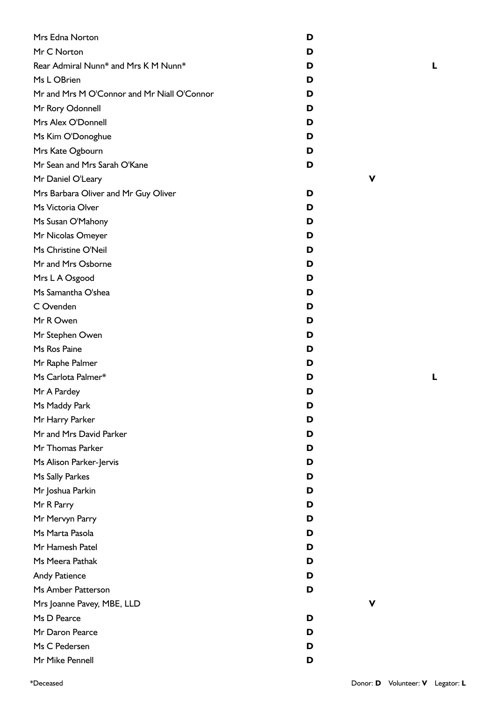| Mrs Edna Norton                             | D |
|---------------------------------------------|---|
| Mr C Norton                                 | D |
| Rear Admiral Nunn* and Mrs K M Nunn*        | D |
| Ms L OBrien                                 | D |
| Mr and Mrs M O'Connor and Mr Niall O'Connor | D |
| Mr Rory Odonnell                            | D |
| Mrs Alex O'Donnell                          | D |
| Ms Kim O'Donoghue                           | D |
| Mrs Kate Ogbourn                            | D |
| Mr Sean and Mrs Sarah O'Kane                | D |
| Mr Daniel O'Leary                           |   |
| Mrs Barbara Oliver and Mr Guy Oliver        | D |
| Ms Victoria Olver                           | D |
| Ms Susan O'Mahony                           | D |
| Mr Nicolas Omeyer                           | D |
| Ms Christine O'Neil                         | D |
| Mr and Mrs Osborne                          | D |
| Mrs L A Osgood                              | D |
| Ms Samantha O'shea                          | D |
| C Ovenden                                   | D |
| Mr R Owen                                   | D |
| Mr Stephen Owen                             | D |
| Ms Ros Paine                                | D |
| Mr Raphe Palmer                             | D |
| Ms Carlota Palmer*                          | D |
| Mr A Pardey                                 | D |
| Ms Maddy Park                               | D |
| Mr Harry Parker                             | D |
| Mr and Mrs David Parker                     | D |
| Mr Thomas Parker                            | D |
| Ms Alison Parker-Jervis                     | D |
| Ms Sally Parkes                             | D |
| Mr Joshua Parkin                            | D |
| Mr R Parry                                  | D |
| Mr Mervyn Parry                             | D |
| Ms Marta Pasola                             | D |
| Mr Hamesh Patel                             | D |
| Ms Meera Pathak                             | D |
| <b>Andy Patience</b>                        | D |
| Ms Amber Patterson                          | D |
| Mrs Joanne Pavey, MBE, LLD                  |   |
| Ms D Pearce                                 | D |
| Mr Daron Pearce                             | D |
| Ms C Pedersen                               | D |
| Mr Mike Pennell                             | D |

**L**

**V**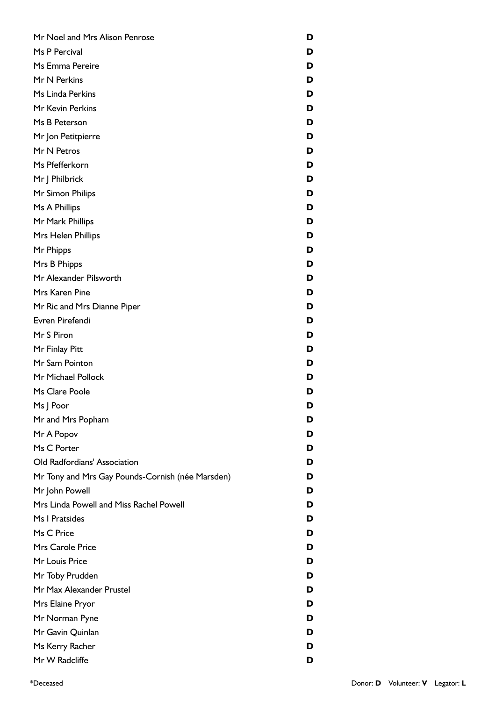| Mr Noel and Mrs Alison Penrose                   | D |
|--------------------------------------------------|---|
| Ms P Percival                                    | D |
| Ms Emma Pereire                                  | D |
| Mr N Perkins                                     | D |
| Ms Linda Perkins                                 | D |
| Mr Kevin Perkins                                 | D |
| Ms B Peterson                                    | D |
| Mr Jon Petitpierre                               | D |
| Mr N Petros                                      | D |
| Ms Pfefferkorn                                   | D |
| Mr J Philbrick                                   | D |
| Mr Simon Philips                                 | D |
| Ms A Phillips                                    | D |
| Mr Mark Phillips                                 | D |
| Mrs Helen Phillips                               | D |
| Mr Phipps                                        | D |
| Mrs B Phipps                                     | D |
| Mr Alexander Pilsworth                           | D |
| Mrs Karen Pine                                   | D |
| Mr Ric and Mrs Dianne Piper                      | D |
| Evren Pirefendi                                  | D |
| Mr S Piron                                       | D |
| Mr Finlay Pitt                                   | D |
| Mr Sam Pointon                                   | D |
| Mr Michael Pollock                               | D |
| Ms Clare Poole                                   | D |
| Ms J Poor                                        | D |
| Mr and Mrs Popham                                | D |
| Mr A Popov                                       | D |
| Ms C Porter                                      | D |
| Old Radfordians' Association                     | D |
| Mr Tony and Mrs Gay Pounds-Cornish (née Marsden) | D |
| Mr John Powell                                   | D |
| Mrs Linda Powell and Miss Rachel Powell          | D |
| Ms I Pratsides                                   | D |
| Ms C Price                                       | D |
| Mrs Carole Price                                 | D |
| Mr Louis Price                                   | D |
| Mr Toby Prudden                                  | D |
| Mr Max Alexander Prustel                         | D |
| Mrs Elaine Pryor                                 | D |
| Mr Norman Pyne                                   | D |
| Mr Gavin Quinlan                                 | D |
| Ms Kerry Racher                                  | D |
| Mr W Radcliffe                                   | D |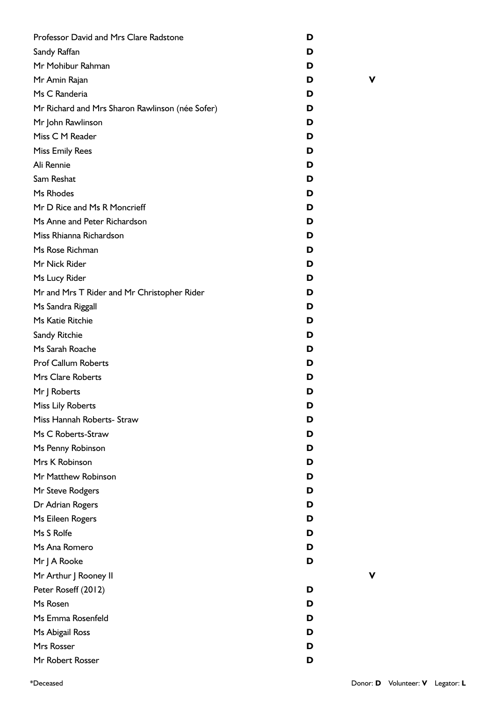| Professor David and Mrs Clare Radstone          | D |   |
|-------------------------------------------------|---|---|
| Sandy Raffan                                    | D |   |
| Mr Mohibur Rahman                               | D |   |
| Mr Amin Rajan                                   | D | ν |
| Ms C Randeria                                   | D |   |
| Mr Richard and Mrs Sharon Rawlinson (née Sofer) | D |   |
| Mr John Rawlinson                               | D |   |
| Miss C M Reader                                 | D |   |
| <b>Miss Emily Rees</b>                          | D |   |
| Ali Rennie                                      | D |   |
| Sam Reshat                                      | D |   |
| Ms Rhodes                                       | D |   |
| Mr D Rice and Ms R Moncrieff                    | D |   |
| Ms Anne and Peter Richardson                    | D |   |
| Miss Rhianna Richardson                         | D |   |
| Ms Rose Richman                                 | D |   |
| Mr Nick Rider                                   | D |   |
| Ms Lucy Rider                                   | D |   |
| Mr and Mrs T Rider and Mr Christopher Rider     | D |   |
| Ms Sandra Riggall                               | D |   |
| Ms Katie Ritchie                                | D |   |
| Sandy Ritchie                                   | D |   |
| Ms Sarah Roache                                 | D |   |
| <b>Prof Callum Roberts</b>                      | D |   |
| <b>Mrs Clare Roberts</b>                        | D |   |
| Mr J Roberts                                    | D |   |
| Miss Lily Roberts                               | D |   |
| Miss Hannah Roberts- Straw                      | D |   |
| Ms C Roberts-Straw                              | D |   |
| Ms Penny Robinson                               | D |   |
| Mrs K Robinson                                  | D |   |
| Mr Matthew Robinson                             | D |   |
| Mr Steve Rodgers                                | D |   |
| Dr Adrian Rogers                                | D |   |
| Ms Eileen Rogers                                | D |   |
| Ms S Rolfe                                      | D |   |
| Ms Ana Romero                                   | D |   |
| Mr J A Rooke                                    | D |   |
| Mr Arthur J Rooney II                           |   |   |
| Peter Roseff (2012)                             | D |   |
| Ms Rosen                                        | D |   |
| Ms Emma Rosenfeld                               | D |   |
| Ms Abigail Ross                                 | D |   |
| Mrs Rosser                                      | D |   |
| Mr Robert Rosser                                | D |   |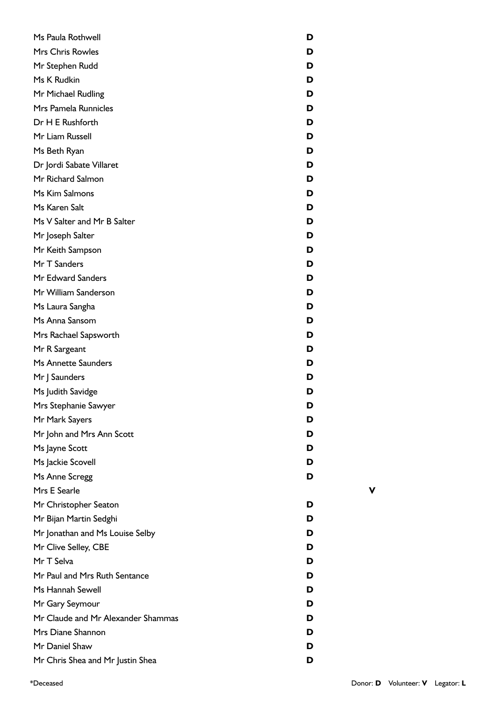| Ms Paula Rothwell                  | D |
|------------------------------------|---|
| <b>Mrs Chris Rowles</b>            | D |
| Mr Stephen Rudd                    | D |
| Ms K Rudkin                        | D |
| Mr Michael Rudling                 | D |
| Mrs Pamela Runnicles               | D |
| Dr H E Rushforth                   | D |
| Mr Liam Russell                    | D |
| Ms Beth Ryan                       | D |
| Dr Jordi Sabate Villaret           | D |
| Mr Richard Salmon                  | D |
| Ms Kim Salmons                     | D |
| Ms Karen Salt                      | D |
| Ms V Salter and Mr B Salter        | D |
| Mr Joseph Salter                   | D |
| Mr Keith Sampson                   | D |
| Mr T Sanders                       | D |
| Mr Edward Sanders                  | D |
| Mr William Sanderson               | D |
| Ms Laura Sangha                    | D |
| Ms Anna Sansom                     | D |
| Mrs Rachael Sapsworth              | D |
| Mr R Sargeant                      | D |
| <b>Ms Annette Saunders</b>         | D |
| Mr J Saunders                      | D |
| Ms Judith Savidge                  | D |
| Mrs Stephanie Sawyer               | D |
| Mr Mark Sayers                     | D |
| Mr John and Mrs Ann Scott          | D |
| Ms Jayne Scott                     | D |
| Ms Jackie Scovell                  | D |
| Ms Anne Scregg                     | D |
| Mrs E Searle                       |   |
| Mr Christopher Seaton              | D |
| Mr Bijan Martin Sedghi             | D |
| Mr Jonathan and Ms Louise Selby    | D |
| Mr Clive Selley, CBE               | D |
| Mr T Selva                         | D |
| Mr Paul and Mrs Ruth Sentance      | D |
| Ms Hannah Sewell                   | D |
| Mr Gary Seymour                    | D |
| Mr Claude and Mr Alexander Shammas | D |
| Mrs Diane Shannon                  | D |
| Mr Daniel Shaw                     | D |
| Mr Chris Shea and Mr Justin Shea   | D |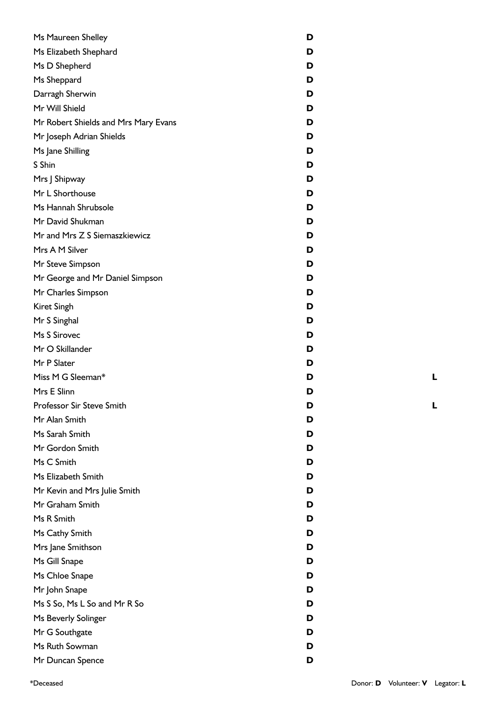| Ms Maureen Shelley                   | D |
|--------------------------------------|---|
| Ms Elizabeth Shephard                | D |
| Ms D Shepherd                        | D |
| Ms Sheppard                          | D |
| Darragh Sherwin                      | D |
| Mr Will Shield                       | D |
| Mr Robert Shields and Mrs Mary Evans | D |
| Mr Joseph Adrian Shields             | D |
| Ms Jane Shilling                     | D |
| S Shin                               | D |
| Mrs J Shipway                        | D |
| Mr L Shorthouse                      | D |
| Ms Hannah Shrubsole                  | D |
| Mr David Shukman                     | D |
| Mr and Mrs Z S Siemaszkiewicz        | D |
| Mrs A M Silver                       | D |
| Mr Steve Simpson                     | D |
| Mr George and Mr Daniel Simpson      | D |
| Mr Charles Simpson                   | D |
| Kiret Singh                          | D |
| Mr S Singhal                         | D |
| Ms S Sirovec                         | D |
| Mr O Skillander                      | D |
| Mr P Slater                          | D |
| Miss M G Sleeman*                    | D |
| Mrs E Slinn                          | D |
| Professor Sir Steve Smith            | D |
| Mr Alan Smith                        | D |
| Ms Sarah Smith                       | D |
| Mr Gordon Smith                      | D |
| Ms C Smith                           | D |
| Ms Elizabeth Smith                   | D |
| Mr Kevin and Mrs Julie Smith         | D |
| Mr Graham Smith                      | D |
| Ms R Smith                           | D |
| Ms Cathy Smith                       | D |
| Mrs Jane Smithson                    | D |
| Ms Gill Snape                        | D |
| Ms Chloe Snape                       | D |
| Mr John Snape                        | D |
| Ms S So, Ms L So and Mr R So         | D |
| Ms Beverly Solinger                  | D |
| Mr G Southgate                       | D |
| Ms Ruth Sowman                       | D |
| Mr Duncan Spence                     | D |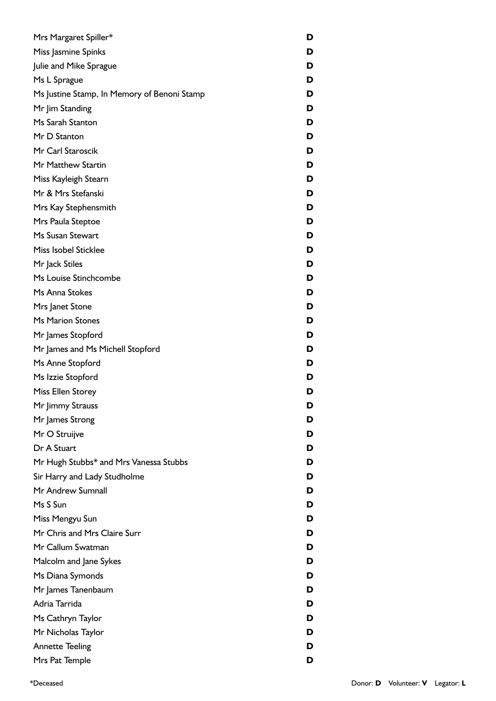| Mrs Margaret Spiller*                       | D |
|---------------------------------------------|---|
| Miss Jasmine Spinks                         | D |
| Julie and Mike Sprague                      | D |
| Ms L Sprague                                | D |
| Ms Justine Stamp, In Memory of Benoni Stamp | D |
| Mr Jim Standing                             | D |
| Ms Sarah Stanton                            | D |
| Mr D Stanton                                | D |
| Mr Carl Staroscik                           | D |
| Mr Matthew Startin                          | D |
| Miss Kayleigh Stearn                        | D |
| Mr & Mrs Stefanski                          | D |
| Mrs Kay Stephensmith                        | D |
| Mrs Paula Steptoe                           | D |
| Ms Susan Stewart                            | D |
| Miss Isobel Sticklee                        | D |
| Mr Jack Stiles                              | D |
| Ms Louise Stinchcombe                       | D |
| Ms Anna Stokes                              | D |
| Mrs Janet Stone                             | D |
| <b>Ms Marion Stones</b>                     | D |
| Mr James Stopford                           | D |
| Mr James and Ms Michell Stopford            | D |
| Ms Anne Stopford                            | D |
| Ms Izzie Stopford                           | D |
| Miss Ellen Storey                           | D |
| Mr Jimmy Strauss                            | D |
| Mr James Strong                             | D |
| Mr O Struijve                               | D |
| Dr A Stuart                                 | D |
| Mr Hugh Stubbs* and Mrs Vanessa Stubbs      | D |
| Sir Harry and Lady Studholme                | D |
| Mr Andrew Sumnall                           | D |
| Ms S Sun                                    | D |
| Miss Mengyu Sun                             | D |
| Mr Chris and Mrs Claire Surr                | D |
| Mr Callum Swatman                           | D |
| Malcolm and Jane Sykes                      | D |
| Ms Diana Symonds                            | D |
| Mr James Tanenbaum                          | D |
| Adria Tarrida                               | D |
| Ms Cathryn Taylor                           | D |
| Mr Nicholas Taylor                          | D |
| <b>Annette Teeling</b>                      | D |
| Mrs Pat Temple                              | D |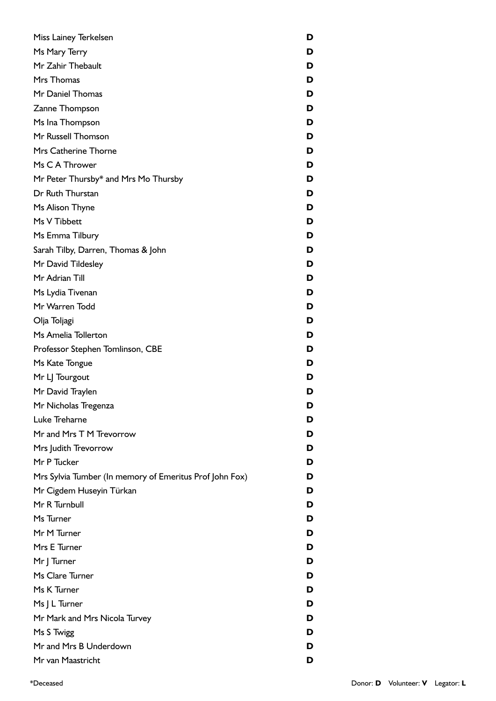| Miss Lainey Terkelsen                                   | D |
|---------------------------------------------------------|---|
| Ms Mary Terry                                           | D |
| Mr Zahir Thebault                                       | D |
| Mrs Thomas                                              | D |
| Mr Daniel Thomas                                        | D |
| Zanne Thompson                                          | D |
| Ms Ina Thompson                                         | D |
| Mr Russell Thomson                                      | D |
| Mrs Catherine Thorne                                    | D |
| Ms C A Thrower                                          | D |
| Mr Peter Thursby* and Mrs Mo Thursby                    | D |
| Dr Ruth Thurstan                                        | D |
| Ms Alison Thyne                                         | D |
| Ms V Tibbett                                            | D |
| Ms Emma Tilbury                                         | D |
| Sarah Tilby, Darren, Thomas & John                      | D |
| Mr David Tildesley                                      | D |
| Mr Adrian Till                                          | D |
| Ms Lydia Tivenan                                        | D |
| Mr Warren Todd                                          | D |
| Olja Toljagi                                            | D |
| Ms Amelia Tollerton                                     | D |
| Professor Stephen Tomlinson, CBE                        | D |
| Ms Kate Tongue                                          | D |
| Mr LJ Tourgout                                          | D |
| Mr David Traylen                                        | D |
| Mr Nicholas Tregenza                                    | D |
| Luke Treharne                                           | D |
| Mr and Mrs T M Trevorrow                                | D |
| Mrs Judith Trevorrow                                    | D |
| Mr P Tucker                                             | D |
| Mrs Sylvia Tumber (In memory of Emeritus Prof John Fox) | D |
| Mr Cigdem Huseyin Türkan                                | D |
| Mr R Turnbull                                           | D |
| Ms Turner                                               | D |
| Mr M Turner                                             | D |
| Mrs E Turner                                            | D |
| Mr J Turner                                             | D |
| Ms Clare Turner                                         | D |
| Ms K Turner                                             | D |
| Ms J L Turner                                           | D |
| Mr Mark and Mrs Nicola Turvey                           | D |
| Ms S Twigg                                              | D |
| Mr and Mrs B Underdown                                  | D |
| Mr van Maastricht                                       | D |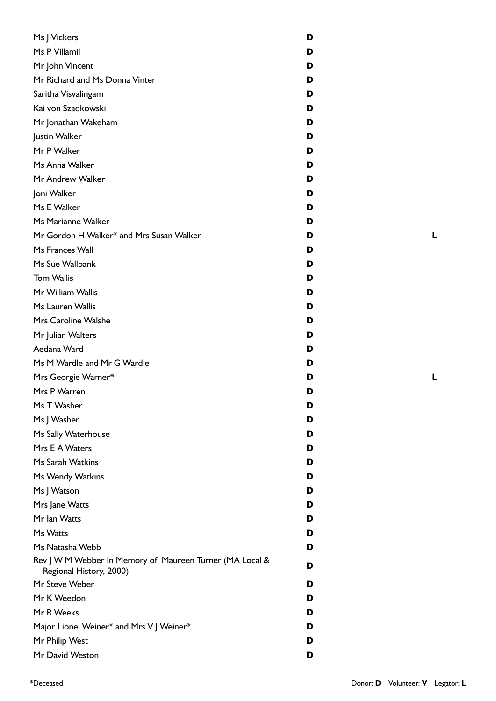| Ms J Vickers                                                                        | D |
|-------------------------------------------------------------------------------------|---|
| Ms P Villamil                                                                       | D |
| Mr John Vincent                                                                     | D |
| Mr Richard and Ms Donna Vinter                                                      | D |
| Saritha Visvalingam                                                                 | D |
| Kai von Szadkowski                                                                  | D |
| Mr Jonathan Wakeham                                                                 | D |
| Justin Walker                                                                       | D |
| Mr P Walker                                                                         | D |
| Ms Anna Walker                                                                      | D |
| Mr Andrew Walker                                                                    | D |
| Joni Walker                                                                         | D |
| Ms E Walker                                                                         | D |
| Ms Marianne Walker                                                                  | D |
| Mr Gordon H Walker* and Mrs Susan Walker                                            | D |
| Ms Frances Wall                                                                     | D |
| Ms Sue Wallbank                                                                     | D |
| <b>Tom Wallis</b>                                                                   | D |
| Mr William Wallis                                                                   | D |
| Ms Lauren Wallis                                                                    | D |
| Mrs Caroline Walshe                                                                 | D |
| Mr Julian Walters                                                                   | D |
| Aedana Ward                                                                         | D |
| Ms M Wardle and Mr G Wardle                                                         | D |
| Mrs Georgie Warner*                                                                 | D |
| Mrs P Warren                                                                        | D |
| Ms T Washer                                                                         | D |
| Ms J Washer                                                                         | D |
| Ms Sally Waterhouse                                                                 | D |
| Mrs E A Waters                                                                      | D |
| Ms Sarah Watkins                                                                    | D |
| Ms Wendy Watkins                                                                    | D |
| Ms J Watson                                                                         | D |
| Mrs Jane Watts                                                                      | D |
| Mr Ian Watts                                                                        | D |
| Ms Watts                                                                            | D |
| Ms Natasha Webb                                                                     | D |
| Rev J W M Webber In Memory of Maureen Turner (MA Local &<br>Regional History, 2000) | D |
| Mr Steve Weber                                                                      | D |
| Mr K Weedon                                                                         | D |
| Mr R Weeks                                                                          | D |
| Major Lionel Weiner* and Mrs V J Weiner*                                            | D |
| Mr Philip West                                                                      | D |
| Mr David Weston                                                                     | D |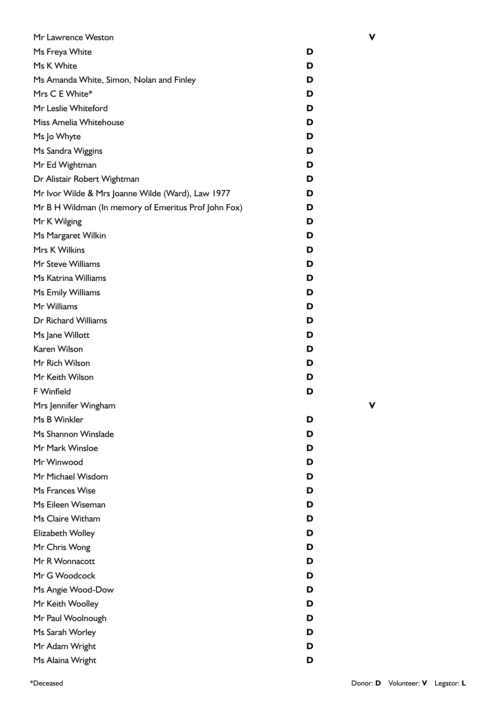| Mr Lawrence Weston                                   |   | ۷ |
|------------------------------------------------------|---|---|
| Ms Freya White                                       | D |   |
| Ms K White                                           | D |   |
| Ms Amanda White, Simon, Nolan and Finley             | D |   |
| Mrs C E White*                                       | D |   |
| Mr Leslie Whiteford                                  | D |   |
| Miss Amelia Whitehouse                               | D |   |
| Ms Jo Whyte                                          | D |   |
| Ms Sandra Wiggins                                    | D |   |
| Mr Ed Wightman                                       | D |   |
| Dr Alistair Robert Wightman                          | D |   |
| Mr Ivor Wilde & Mrs Joanne Wilde (Ward), Law 1977    | D |   |
| Mr B H Wildman (In memory of Emeritus Prof John Fox) | D |   |
| Mr K Wilging                                         | D |   |
| Ms Margaret Wilkin                                   | D |   |
| Mrs K Wilkins                                        | D |   |
| Mr Steve Williams                                    | D |   |
| Ms Katrina Williams                                  | D |   |
| Ms Emily Williams                                    | D |   |
| Mr Williams                                          | D |   |
| Dr Richard Williams                                  | D |   |
| Ms Jane Willott                                      | D |   |
| Karen Wilson                                         | D |   |
| Mr Rich Wilson                                       | D |   |
| Mr Keith Wilson                                      | D |   |
| F Winfield                                           | D |   |
| Mrs Jennifer Wingham                                 |   | v |
| Ms B Winkler                                         | D |   |
| Ms Shannon Winslade                                  | D |   |
| Mr Mark Winsloe                                      | D |   |
| Mr Winwood                                           | D |   |
| Mr Michael Wisdom                                    | D |   |
| Ms Frances Wise                                      | D |   |
| Ms Eileen Wiseman                                    | D |   |
| Ms Claire Witham                                     | D |   |
| Elizabeth Wolley                                     | D |   |
| Mr Chris Wong                                        | D |   |
| Mr R Wonnacott                                       | D |   |
| Mr G Woodcock                                        | D |   |
| Ms Angie Wood-Dow                                    | D |   |
| Mr Keith Woolley                                     | D |   |
| Mr Paul Woolnough                                    | D |   |
| Ms Sarah Worley                                      | D |   |
| Mr Adam Wright                                       | D |   |
| Ms Alaina Wright                                     | D |   |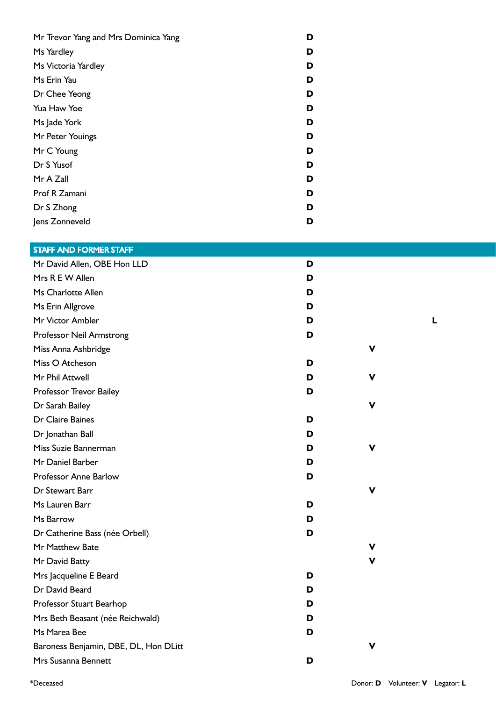| Mr Trevor Yang and Mrs Dominica Yang | D |
|--------------------------------------|---|
| Ms Yardley                           | D |
| Ms Victoria Yardley                  | D |
| Ms Erin Yau                          | D |
| Dr Chee Yeong                        | D |
| Yua Haw Yoe                          | D |
| Ms Jade York                         | D |
| Mr Peter Youings                     | D |
| Mr C Young                           | D |
| Dr S Yusof                           | D |
| Mr A Zall                            | D |
| Prof R Zamani                        | D |
| Dr S Zhong                           | D |
| Jens Zonneveld                       | D |

## STAFF AND FORMER STAFF

| Mr David Allen, OBE Hon LLD           | D |   |   |
|---------------------------------------|---|---|---|
| Mrs R E W Allen                       | D |   |   |
| Ms Charlotte Allen                    | D |   |   |
| Ms Erin Allgrove                      | D |   |   |
| Mr Victor Ambler                      | D |   | L |
| Professor Neil Armstrong              | D |   |   |
| Miss Anna Ashbridge                   |   | V |   |
| Miss O Atcheson                       | D |   |   |
| Mr Phil Attwell                       | D | v |   |
| Professor Trevor Bailey               | D |   |   |
| Dr Sarah Bailey                       |   | v |   |
| Dr Claire Baines                      | D |   |   |
| Dr Jonathan Ball                      | D |   |   |
| Miss Suzie Bannerman                  | D | v |   |
| Mr Daniel Barber                      | D |   |   |
| Professor Anne Barlow                 | D |   |   |
| Dr Stewart Barr                       |   | V |   |
| Ms Lauren Barr                        | D |   |   |
| Ms Barrow                             | D |   |   |
| Dr Catherine Bass (née Orbell)        | D |   |   |
| Mr Matthew Bate                       |   | v |   |
| Mr David Batty                        |   | v |   |
| Mrs Jacqueline E Beard                | D |   |   |
| Dr David Beard                        | D |   |   |
| Professor Stuart Bearhop              | D |   |   |
| Mrs Beth Beasant (née Reichwald)      | D |   |   |
| Ms Marea Bee                          | D |   |   |
| Baroness Benjamin, DBE, DL, Hon DLitt |   | v |   |
| Mrs Susanna Bennett                   | D |   |   |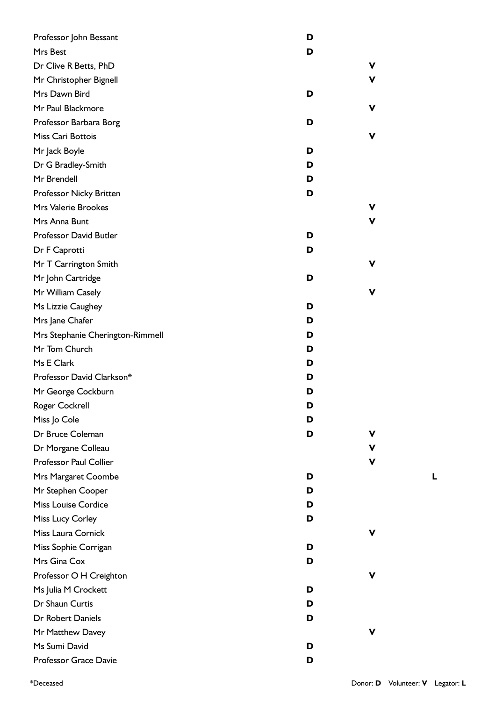| Professor John Bessant           | D |   |
|----------------------------------|---|---|
| Mrs Best                         | D |   |
| Dr Clive R Betts, PhD            |   | ۷ |
| Mr Christopher Bignell           |   | ۷ |
| Mrs Dawn Bird                    | D |   |
| Mr Paul Blackmore                |   | v |
| Professor Barbara Borg           | D |   |
| Miss Cari Bottois                |   | v |
| Mr Jack Boyle                    | D |   |
| Dr G Bradley-Smith               | D |   |
| Mr Brendell                      | D |   |
| Professor Nicky Britten          | D |   |
| Mrs Valerie Brookes              |   | v |
| Mrs Anna Bunt                    |   | v |
| <b>Professor David Butler</b>    | D |   |
| Dr F Caprotti                    | D |   |
| Mr T Carrington Smith            |   | ۷ |
| Mr John Cartridge                | D |   |
| Mr William Casely                |   | v |
| Ms Lizzie Caughey                | D |   |
| Mrs Jane Chafer                  | D |   |
| Mrs Stephanie Cherington-Rimmell | D |   |
| Mr Tom Church                    | D |   |
| Ms E Clark                       | D |   |
| Professor David Clarkson*        | D |   |
| Mr George Cockburn               | D |   |
| Roger Cockrell                   | D |   |
| Miss Jo Cole                     | D |   |
| Dr Bruce Coleman                 | D | v |
| Dr Morgane Colleau               |   | ۷ |
| Professor Paul Collier           |   | v |
| Mrs Margaret Coombe              | D |   |
| Mr Stephen Cooper                | D |   |
| <b>Miss Louise Cordice</b>       | D |   |
| Miss Lucy Corley                 | D |   |
| Miss Laura Cornick               |   | v |
| Miss Sophie Corrigan             | D |   |
| Mrs Gina Cox                     | D |   |
| Professor O H Creighton          |   | v |
| Ms Julia M Crockett              | D |   |
| Dr Shaun Curtis                  | D |   |
| Dr Robert Daniels                | D |   |
| Mr Matthew Davey                 |   | v |
| Ms Sumi David                    | D |   |
| Professor Grace Davie            | D |   |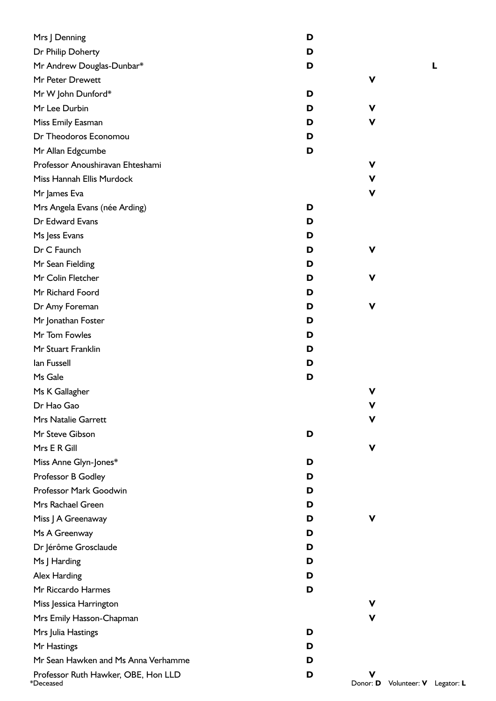| Mrs J Denning                                    | D |               |
|--------------------------------------------------|---|---------------|
| Dr Philip Doherty                                | D |               |
| Mr Andrew Douglas-Dunbar*                        | D |               |
| Mr Peter Drewett                                 |   | ۷             |
| Mr W John Dunford*                               | D |               |
| Mr Lee Durbin                                    | D | v             |
| Miss Emily Easman                                | D | v             |
| Dr Theodoros Economou                            | D |               |
| Mr Allan Edgcumbe                                | D |               |
| Professor Anoushiravan Ehteshami                 |   | V             |
| Miss Hannah Ellis Murdock                        |   | $\mathbf v$   |
| Mr James Eva                                     |   | v             |
| Mrs Angela Evans (née Arding)                    | D |               |
| Dr Edward Evans                                  | D |               |
| Ms Jess Evans                                    | D |               |
| Dr C Faunch                                      | D | ۷             |
| Mr Sean Fielding                                 | D |               |
| Mr Colin Fletcher                                | D | ۷             |
| Mr Richard Foord                                 | D |               |
| Dr Amy Foreman                                   | D | V             |
| Mr Jonathan Foster                               | D |               |
| Mr Tom Fowles                                    | D |               |
| Mr Stuart Franklin                               | D |               |
| lan Fussell                                      | D |               |
| Ms Gale                                          | D |               |
| Ms K Gallagher                                   |   | ۷             |
| Dr Hao Gao                                       |   | V             |
| Mrs Natalie Garrett                              |   | ۷             |
| Mr Steve Gibson                                  | D |               |
| Mrs E R Gill                                     |   | v             |
| Miss Anne Glyn-Jones*                            | D |               |
| Professor B Godley                               | D |               |
| Professor Mark Goodwin                           | D |               |
| Mrs Rachael Green                                | D |               |
| Miss J A Greenaway                               | D | v             |
| Ms A Greenway                                    | D |               |
| Dr Jérôme Grosclaude                             | D |               |
| Ms J Harding                                     | D |               |
| Alex Harding                                     | D |               |
| Mr Riccardo Harmes                               | D |               |
| Miss Jessica Harrington                          |   | v             |
| Mrs Emily Hasson-Chapman                         |   | v             |
| Mrs Julia Hastings                               | D |               |
| Mr Hastings                                      | D |               |
| Mr Sean Hawken and Ms Anna Verhamme              | D |               |
| Professor Ruth Hawker, OBE, Hon LLD<br>*Deceased | D | v<br>Donor: D |

**D** Volunteer: **V** Legator: **L**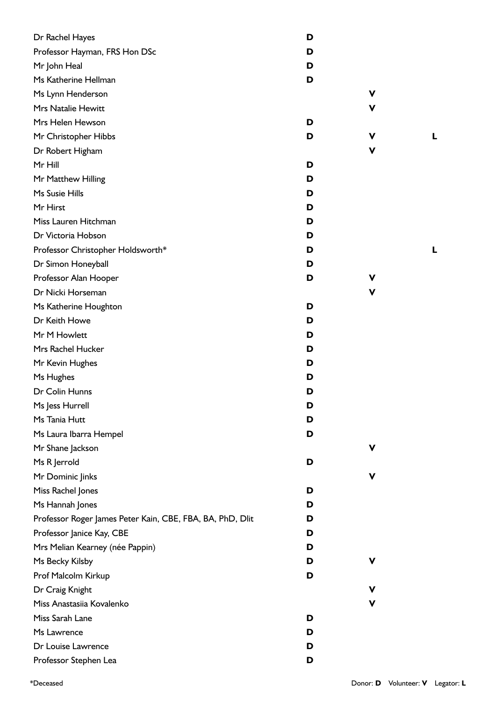| Dr Rachel Hayes                                           | D |             |  |
|-----------------------------------------------------------|---|-------------|--|
| Professor Hayman, FRS Hon DSc                             | D |             |  |
| Mr John Heal                                              | D |             |  |
| Ms Katherine Hellman                                      | D |             |  |
| Ms Lynn Henderson                                         |   | V           |  |
| Mrs Natalie Hewitt                                        |   | ۷           |  |
| Mrs Helen Hewson                                          | D |             |  |
| Mr Christopher Hibbs                                      | D | V           |  |
| Dr Robert Higham                                          |   | V           |  |
| Mr Hill                                                   | D |             |  |
| Mr Matthew Hilling                                        | D |             |  |
| Ms Susie Hills                                            | D |             |  |
| Mr Hirst                                                  | D |             |  |
| Miss Lauren Hitchman                                      | D |             |  |
| Dr Victoria Hobson                                        | D |             |  |
| Professor Christopher Holdsworth*                         | D |             |  |
| Dr Simon Honeyball                                        | D |             |  |
| Professor Alan Hooper                                     | D | v           |  |
| Dr Nicki Horseman                                         |   | V           |  |
| Ms Katherine Houghton                                     | D |             |  |
| Dr Keith Howe                                             | D |             |  |
| Mr M Howlett                                              | D |             |  |
| Mrs Rachel Hucker                                         | D |             |  |
| Mr Kevin Hughes                                           | D |             |  |
| Ms Hughes                                                 | D |             |  |
| Dr Colin Hunns                                            | D |             |  |
| Ms Jess Hurrell                                           | D |             |  |
| Ms Tania Hutt                                             | D |             |  |
| Ms Laura Ibarra Hempel                                    | D |             |  |
| Mr Shane Jackson                                          |   | V           |  |
| Ms R Jerrold                                              | D |             |  |
| Mr Dominic Jinks                                          |   | V           |  |
| Miss Rachel Jones                                         | D |             |  |
| Ms Hannah Jones                                           | D |             |  |
| Professor Roger James Peter Kain, CBE, FBA, BA, PhD, Dlit | D |             |  |
| Professor Janice Kay, CBE                                 | D |             |  |
| Mrs Melian Kearney (née Pappin)                           | D |             |  |
| Ms Becky Kilsby                                           | D | V           |  |
| Prof Malcolm Kirkup                                       | D |             |  |
| Dr Craig Knight                                           |   | $\mathbf v$ |  |
| Miss Anastasiia Kovalenko                                 |   | V           |  |
| Miss Sarah Lane                                           | D |             |  |
| Ms Lawrence                                               | D |             |  |
| Dr Louise Lawrence                                        | D |             |  |
| Professor Stephen Lea                                     | D |             |  |
|                                                           |   |             |  |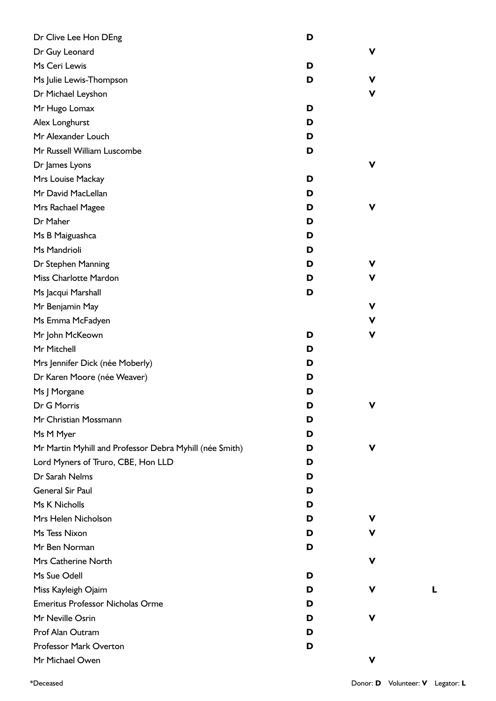| Dr Clive Lee Hon DEng                                   | D |             |  |
|---------------------------------------------------------|---|-------------|--|
| Dr Guy Leonard                                          |   | V           |  |
| Ms Ceri Lewis                                           | D |             |  |
| Ms Julie Lewis-Thompson                                 | D | V           |  |
| Dr Michael Leyshon                                      |   | V           |  |
| Mr Hugo Lomax                                           | D |             |  |
| Alex Longhurst                                          | D |             |  |
| Mr Alexander Louch                                      | D |             |  |
| Mr Russell William Luscombe                             | D |             |  |
| Dr James Lyons                                          |   | $\mathbf v$ |  |
| Mrs Louise Mackay                                       | D |             |  |
| Mr David MacLellan                                      | D |             |  |
| Mrs Rachael Magee                                       | D | V           |  |
| Dr Maher                                                | D |             |  |
| Ms B Maiguashca                                         | D |             |  |
| Ms Mandrioli                                            | D |             |  |
| Dr Stephen Manning                                      | D | ۷           |  |
| Miss Charlotte Mardon                                   | D | V           |  |
| Ms Jacqui Marshall                                      | D |             |  |
| Mr Benjamin May                                         |   | V           |  |
| Ms Emma McFadyen                                        |   | V           |  |
| Mr John McKeown                                         | D | V           |  |
| Mr Mitchell                                             | D |             |  |
| Mrs Jennifer Dick (née Moberly)                         | D |             |  |
| Dr Karen Moore (née Weaver)                             | D |             |  |
| Ms J Morgane                                            | D |             |  |
| Dr G Morris                                             | D | V           |  |
| Mr Christian Mossmann                                   | D |             |  |
| Ms M Myer                                               | D |             |  |
| Mr Martin Myhill and Professor Debra Myhill (née Smith) | D | V           |  |
| Lord Myners of Truro, CBE, Hon LLD                      | D |             |  |
| Dr Sarah Nelms                                          | D |             |  |
| <b>General Sir Paul</b>                                 | D |             |  |
| Ms K Nicholls                                           | D |             |  |
| Mrs Helen Nicholson                                     | D | v           |  |
| Ms Tess Nixon                                           | D | v           |  |
| Mr Ben Norman                                           | D |             |  |
| Mrs Catherine North                                     |   | ۷           |  |
| Ms Sue Odell                                            | D |             |  |
| Miss Kayleigh Ojaim                                     | D | ۷           |  |
| <b>Emeritus Professor Nicholas Orme</b>                 | D |             |  |
| Mr Neville Osrin                                        | D | v           |  |
| Prof Alan Outram                                        | D |             |  |
| Professor Mark Overton                                  | D |             |  |
| Mr Michael Owen                                         |   | V           |  |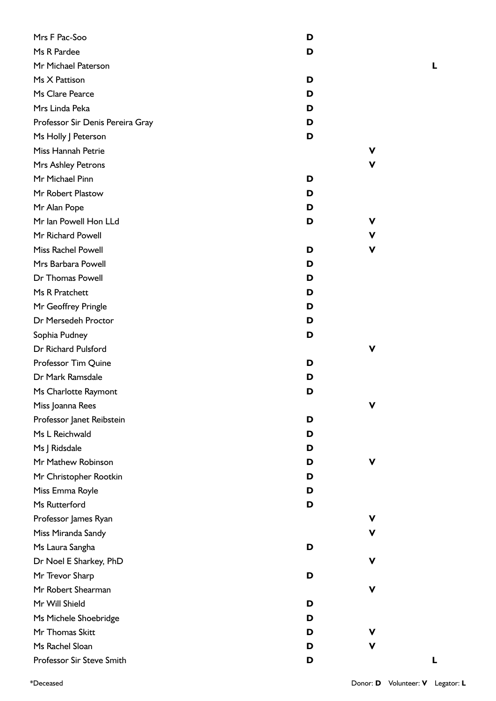| Mrs F Pac-Soo                    | D |   |
|----------------------------------|---|---|
| Ms R Pardee                      | D |   |
| Mr Michael Paterson              |   |   |
| Ms X Pattison                    | D |   |
| Ms Clare Pearce                  | D |   |
| Mrs Linda Peka                   | D |   |
| Professor Sir Denis Pereira Gray | D |   |
| Ms Holly J Peterson              | D |   |
| Miss Hannah Petrie               |   | v |
| Mrs Ashley Petrons               |   | v |
| Mr Michael Pinn                  | D |   |
| Mr Robert Plastow                | D |   |
| Mr Alan Pope                     | D |   |
| Mr Ian Powell Hon LLd            | D | v |
| Mr Richard Powell                |   | v |
| <b>Miss Rachel Powell</b>        | D | v |
| Mrs Barbara Powell               | D |   |
| Dr Thomas Powell                 | D |   |
| Ms R Pratchett                   | D |   |
| Mr Geoffrey Pringle              | D |   |
| Dr Mersedeh Proctor              | D |   |
| Sophia Pudney                    | D |   |
| Dr Richard Pulsford              |   | v |
| Professor Tim Quine              | D |   |
| Dr Mark Ramsdale                 | D |   |
| Ms Charlotte Raymont             | D |   |
| Miss Joanna Rees                 |   |   |
| Professor Janet Reibstein        | D |   |
| Ms L Reichwald                   | D |   |
| Ms J Ridsdale                    | D |   |
| Mr Mathew Robinson               | D | v |
| Mr Christopher Rootkin           | D |   |
| Miss Emma Royle                  | D |   |
| Ms Rutterford                    | D |   |
| Professor James Ryan             |   | v |
| Miss Miranda Sandy               |   | v |
| Ms Laura Sangha                  | D |   |
| Dr Noel E Sharkey, PhD           |   | v |
| Mr Trevor Sharp                  | D |   |
| Mr Robert Shearman               |   | v |
| Mr Will Shield                   | D |   |
| Ms Michele Shoebridge            | D |   |
| Mr Thomas Skitt                  | D | v |
| Ms Rachel Sloan                  | D | v |
| Professor Sir Steve Smith        | D |   |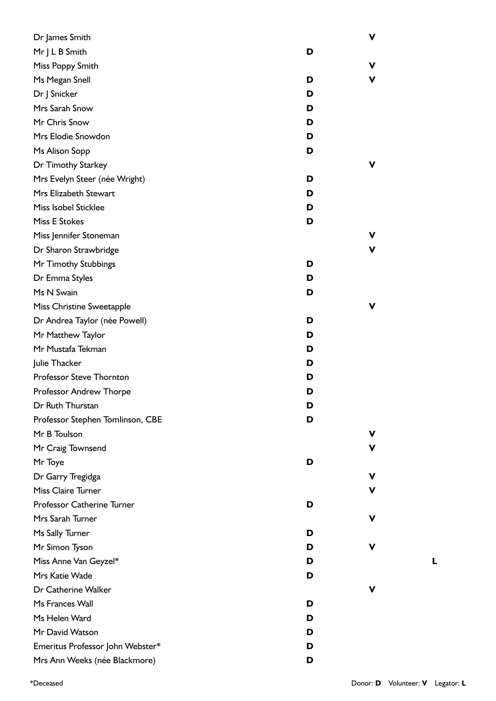| Dr James Smith                   |   | ۷ |
|----------------------------------|---|---|
| Mr J L B Smith                   | D |   |
| Miss Poppy Smith                 |   | v |
| Ms Megan Snell                   | D | ۷ |
| Dr J Snicker                     | D |   |
| Mrs Sarah Snow                   | D |   |
| Mr Chris Snow                    | D |   |
| Mrs Elodie Snowdon               | D |   |
| Ms Alison Sopp                   | D |   |
| Dr Timothy Starkey               |   | v |
| Mrs Evelyn Steer (née Wright)    | D |   |
| Mrs Elizabeth Stewart            | D |   |
| Miss Isobel Sticklee             | D |   |
| <b>Miss E Stokes</b>             | D |   |
| Miss Jennifer Stoneman           |   | v |
| Dr Sharon Strawbridge            |   | v |
| Mr Timothy Stubbings             | D |   |
| Dr Emma Styles                   | D |   |
| Ms N Swain                       | D |   |
| Miss Christine Sweetapple        |   | v |
| Dr Andrea Taylor (née Powell)    | D |   |
| Mr Matthew Taylor                | D |   |
| Mr Mustafa Tekman                | D |   |
| Julie Thacker                    | D |   |
| Professor Steve Thornton         | D |   |
| Professor Andrew Thorpe          | D |   |
| Dr Ruth Thurstan                 | D |   |
| Professor Stephen Tomlinson, CBE | D |   |
| Mr B Toulson                     |   | v |
| Mr Craig Townsend                |   | v |
| Mr Toye                          | D |   |
| Dr Garry Tregidga                |   | v |
| Miss Claire Turner               |   | v |
| Professor Catherine Turner       | D |   |
| Mrs Sarah Turner                 |   | v |
| Ms Sally Turner                  | D |   |
| Mr Simon Tyson                   | D | v |
| Miss Anne Van Geyzel*            | D |   |
| Mrs Katie Wade                   | D |   |
| Dr Catherine Walker              |   | v |
| Ms Frances Wall                  | D |   |
| Ms Helen Ward                    | D |   |
| Mr David Watson                  | D |   |
| Emeritus Professor John Webster* | D |   |
| Mrs Ann Weeks (née Blackmore)    | D |   |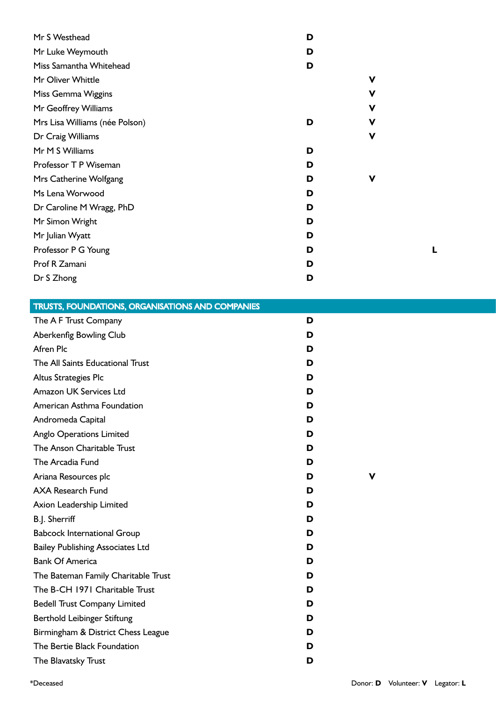| Mr S Westhead                  | D |             |
|--------------------------------|---|-------------|
| Mr Luke Weymouth               | D |             |
| Miss Samantha Whitehead        | D |             |
| Mr Oliver Whittle              |   | $\mathbf v$ |
| Miss Gemma Wiggins             |   | V           |
| Mr Geoffrey Williams           |   | V           |
| Mrs Lisa Williams (née Polson) | D | V           |
| Dr Craig Williams              |   | $\mathbf v$ |
| Mr M S Williams                | D |             |
| Professor T P Wiseman          | D |             |
| Mrs Catherine Wolfgang         | D | V           |
| Ms Lena Worwood                | D |             |
| Dr Caroline M Wragg, PhD       | D |             |
| Mr Simon Wright                | D |             |
| Mr Julian Wyatt                | D |             |
| Professor P G Young            | D |             |
| Prof R Zamani                  | D |             |
| Dr S Zhong                     | D |             |

| <b>TRUSTS, FOUNDATIONS, ORGANISATIONS AND COMPANIES</b> |   |   |  |
|---------------------------------------------------------|---|---|--|
| The A F Trust Company                                   | D |   |  |
| Aberkenfig Bowling Club                                 | D |   |  |
| Afren Plc                                               | D |   |  |
| The All Saints Educational Trust                        | D |   |  |
| Altus Strategies Plc                                    | D |   |  |
| Amazon UK Services Ltd                                  | D |   |  |
| American Asthma Foundation                              | D |   |  |
| Andromeda Capital                                       | D |   |  |
| <b>Anglo Operations Limited</b>                         | D |   |  |
| The Anson Charitable Trust                              | D |   |  |
| The Arcadia Fund                                        | D |   |  |
| Ariana Resources plc                                    | D | V |  |
| <b>AXA Research Fund</b>                                | D |   |  |
| Axion Leadership Limited                                | D |   |  |
| B.J. Sherriff                                           | D |   |  |
| <b>Babcock International Group</b>                      | D |   |  |
| <b>Bailey Publishing Associates Ltd</b>                 | D |   |  |
| <b>Bank Of America</b>                                  | D |   |  |
| The Bateman Family Charitable Trust                     | D |   |  |
| The B-CH 1971 Charitable Trust                          | D |   |  |
| <b>Bedell Trust Company Limited</b>                     | D |   |  |
| Berthold Leibinger Stiftung                             | D |   |  |
| Birmingham & District Chess League                      | D |   |  |
| The Bertie Black Foundation                             | D |   |  |
| The Blavatsky Trust                                     | D |   |  |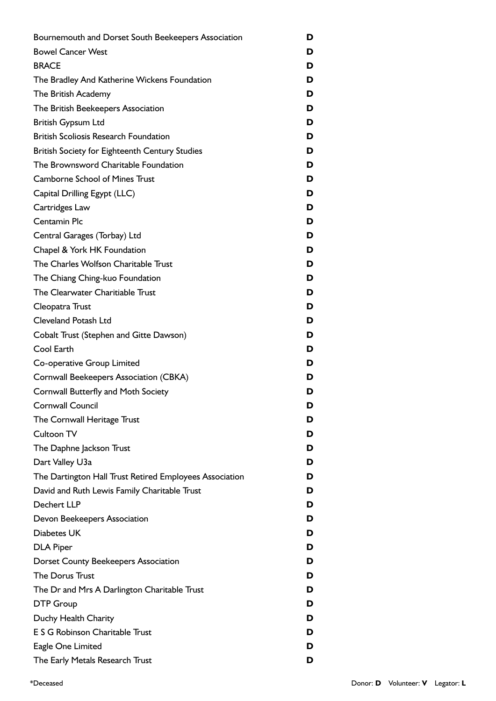| Bournemouth and Dorset South Beekeepers Association     | D |
|---------------------------------------------------------|---|
| <b>Bowel Cancer West</b>                                | D |
| <b>BRACE</b>                                            | D |
| The Bradley And Katherine Wickens Foundation            | D |
| The British Academy                                     | D |
| The British Beekeepers Association                      | D |
| <b>British Gypsum Ltd</b>                               | D |
| <b>British Scoliosis Research Foundation</b>            | D |
| British Society for Eighteenth Century Studies          | D |
| The Brownsword Charitable Foundation                    | D |
| <b>Camborne School of Mines Trust</b>                   | D |
| Capital Drilling Egypt (LLC)                            | D |
| Cartridges Law                                          | D |
| Centamin Plc                                            | D |
| Central Garages (Torbay) Ltd                            | D |
| Chapel & York HK Foundation                             | D |
| The Charles Wolfson Charitable Trust                    | D |
| The Chiang Ching-kuo Foundation                         | D |
| The Clearwater Charitiable Trust                        | D |
| Cleopatra Trust                                         | D |
| <b>Cleveland Potash Ltd</b>                             | D |
| Cobalt Trust (Stephen and Gitte Dawson)                 | D |
| Cool Earth                                              | D |
| Co-operative Group Limited                              | D |
| Cornwall Beekeepers Association (CBKA)                  | D |
| Cornwall Butterfly and Moth Society                     | D |
| <b>Cornwall Council</b>                                 | D |
| The Cornwall Heritage Trust                             | D |
| Cultoon TV                                              | D |
| The Daphne Jackson Trust                                | D |
| Dart Valley U3a                                         | D |
| The Dartington Hall Trust Retired Employees Association | D |
| David and Ruth Lewis Family Charitable Trust            | D |
| Dechert LLP                                             | D |
| Devon Beekeepers Association                            | D |
| Diabetes UK                                             | D |
| <b>DLA Piper</b>                                        | D |
| <b>Dorset County Beekeepers Association</b>             | D |
| The Dorus Trust                                         | D |
| The Dr and Mrs A Darlington Charitable Trust            | D |
| <b>DTP Group</b>                                        | D |
| Duchy Health Charity                                    | D |
| E S G Robinson Charitable Trust                         | D |
| Eagle One Limited                                       | D |
| The Early Metals Research Trust                         | D |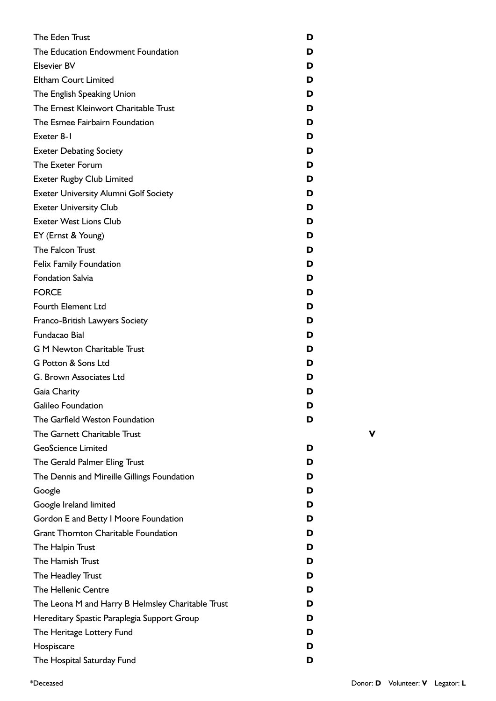| The Eden Trust                                    | D |  |
|---------------------------------------------------|---|--|
| The Education Endowment Foundation                | D |  |
| <b>Elsevier BV</b>                                | D |  |
| <b>Eltham Court Limited</b>                       | D |  |
| The English Speaking Union                        | D |  |
| The Ernest Kleinwort Charitable Trust             | D |  |
| The Esmee Fairbairn Foundation                    | D |  |
| Exeter 8-1                                        | D |  |
| <b>Exeter Debating Society</b>                    | D |  |
| The Exeter Forum                                  | D |  |
| <b>Exeter Rugby Club Limited</b>                  | D |  |
| <b>Exeter University Alumni Golf Society</b>      | D |  |
| <b>Exeter University Club</b>                     | D |  |
| <b>Exeter West Lions Club</b>                     | D |  |
| EY (Ernst & Young)                                | D |  |
| The Falcon Trust                                  | D |  |
| <b>Felix Family Foundation</b>                    | D |  |
| <b>Fondation Salvia</b>                           | D |  |
| <b>FORCE</b>                                      | D |  |
| Fourth Element Ltd                                | D |  |
| Franco-British Lawyers Society                    | D |  |
| Fundacao Bial                                     | D |  |
| <b>G M Newton Charitable Trust</b>                | D |  |
| G Potton & Sons Ltd                               | D |  |
| G. Brown Associates Ltd                           | D |  |
| Gaia Charity                                      | D |  |
| Galileo Foundation                                | D |  |
| The Garfield Weston Foundation                    | D |  |
| The Garnett Charitable Trust                      |   |  |
| <b>GeoScience Limited</b>                         | D |  |
| The Gerald Palmer Eling Trust                     | D |  |
| The Dennis and Mireille Gillings Foundation       | D |  |
| Google                                            | D |  |
| Google Ireland limited                            | D |  |
| Gordon E and Betty I Moore Foundation             | D |  |
| <b>Grant Thornton Charitable Foundation</b>       | D |  |
| The Halpin Trust                                  | D |  |
| The Hamish Trust                                  | D |  |
| The Headley Trust                                 | D |  |
| <b>The Hellenic Centre</b>                        | D |  |
| The Leona M and Harry B Helmsley Charitable Trust | D |  |
| Hereditary Spastic Paraplegia Support Group       | D |  |
| The Heritage Lottery Fund                         | D |  |
| Hospiscare                                        | D |  |
| The Hospital Saturday Fund                        | D |  |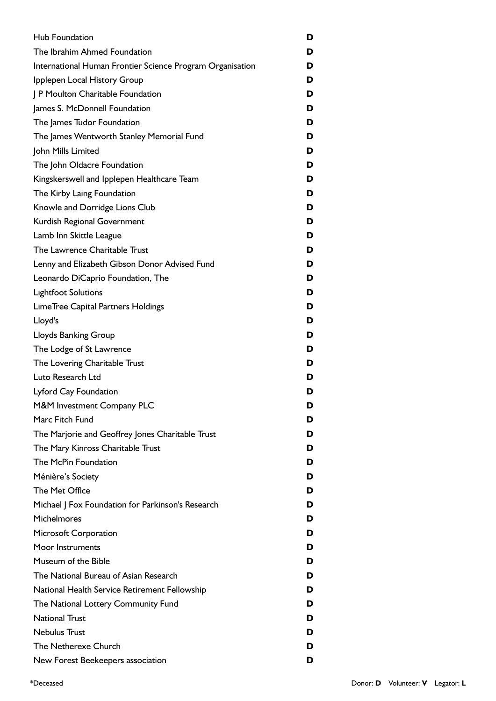| <b>Hub Foundation</b>                                     | D |
|-----------------------------------------------------------|---|
| The Ibrahim Ahmed Foundation                              | D |
| International Human Frontier Science Program Organisation | D |
| Ipplepen Local History Group                              | D |
| J P Moulton Charitable Foundation                         | D |
| James S. McDonnell Foundation                             | D |
| The James Tudor Foundation                                | D |
| The James Wentworth Stanley Memorial Fund                 | D |
| John Mills Limited                                        | D |
| The John Oldacre Foundation                               | D |
| Kingskerswell and Ipplepen Healthcare Team                | D |
| The Kirby Laing Foundation                                | D |
| Knowle and Dorridge Lions Club                            | D |
| Kurdish Regional Government                               | D |
| Lamb Inn Skittle League                                   | D |
| The Lawrence Charitable Trust                             | D |
| Lenny and Elizabeth Gibson Donor Advised Fund             | D |
| Leonardo DiCaprio Foundation, The                         | D |
| <b>Lightfoot Solutions</b>                                | D |
| LimeTree Capital Partners Holdings                        | D |
| Lloyd's                                                   | D |
| <b>Lloyds Banking Group</b>                               | D |
| The Lodge of St Lawrence                                  | D |
| The Lovering Charitable Trust                             | D |
| Luto Research Ltd                                         | D |
| Lyford Cay Foundation                                     | D |
| M&M Investment Company PLC                                | D |
| Marc Fitch Fund                                           | D |
| The Marjorie and Geoffrey Jones Charitable Trust          | D |
| The Mary Kinross Charitable Trust                         | D |
| The McPin Foundation                                      | D |
| Ménière's Society                                         | D |
| The Met Office                                            | D |
| Michael   Fox Foundation for Parkinson's Research         | D |
| Michelmores                                               | D |
| Microsoft Corporation                                     | D |
| Moor Instruments                                          | D |
| Museum of the Bible                                       | D |
| The National Bureau of Asian Research                     | D |
| National Health Service Retirement Fellowship             | D |
| The National Lottery Community Fund                       | D |
| <b>National Trust</b>                                     | D |
| <b>Nebulus Trust</b>                                      | D |
| The Netherexe Church                                      | D |
| New Forest Beekeepers association                         | D |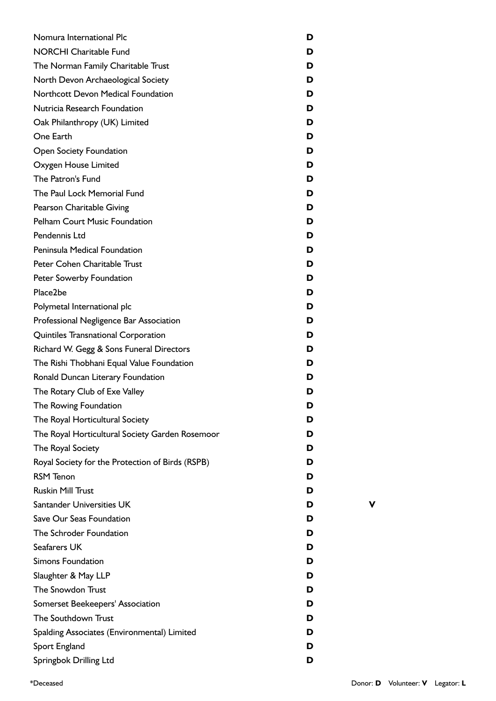| Nomura International Plc                         | D |  |
|--------------------------------------------------|---|--|
| <b>NORCHI Charitable Fund</b>                    | D |  |
| The Norman Family Charitable Trust               | D |  |
| North Devon Archaeological Society               | D |  |
| Northcott Devon Medical Foundation               | D |  |
| Nutricia Research Foundation                     | D |  |
| Oak Philanthropy (UK) Limited                    | D |  |
| One Earth                                        | D |  |
| Open Society Foundation                          | D |  |
| Oxygen House Limited                             | D |  |
| The Patron's Fund                                | D |  |
| The Paul Lock Memorial Fund                      | D |  |
| Pearson Charitable Giving                        | D |  |
| <b>Pelham Court Music Foundation</b>             | D |  |
| Pendennis Ltd                                    | D |  |
| Peninsula Medical Foundation                     | D |  |
| Peter Cohen Charitable Trust                     | D |  |
| Peter Sowerby Foundation                         | D |  |
| Place2be                                         | D |  |
| Polymetal International plc                      | D |  |
| Professional Negligence Bar Association          | D |  |
| Quintiles Transnational Corporation              | D |  |
| Richard W. Gegg & Sons Funeral Directors         | D |  |
| The Rishi Thobhani Equal Value Foundation        | D |  |
| Ronald Duncan Literary Foundation                | D |  |
| The Rotary Club of Exe Valley                    | D |  |
| The Rowing Foundation                            | D |  |
| The Royal Horticultural Society                  | D |  |
| The Royal Horticultural Society Garden Rosemoor  | D |  |
| The Royal Society                                | D |  |
| Royal Society for the Protection of Birds (RSPB) | D |  |
| <b>RSM Tenon</b>                                 | D |  |
| <b>Ruskin Mill Trust</b>                         | D |  |
| Santander Universities UK                        | D |  |
| Save Our Seas Foundation                         | D |  |
| The Schroder Foundation                          | D |  |
| Seafarers UK                                     | D |  |
| <b>Simons Foundation</b>                         | D |  |
| Slaughter & May LLP                              | D |  |
| The Snowdon Trust                                | D |  |
| Somerset Beekeepers' Association                 | D |  |
| The Southdown Trust                              | D |  |
| Spalding Associates (Environmental) Limited      | D |  |
| Sport England                                    | D |  |
|                                                  | D |  |
| Springbok Drilling Ltd                           |   |  |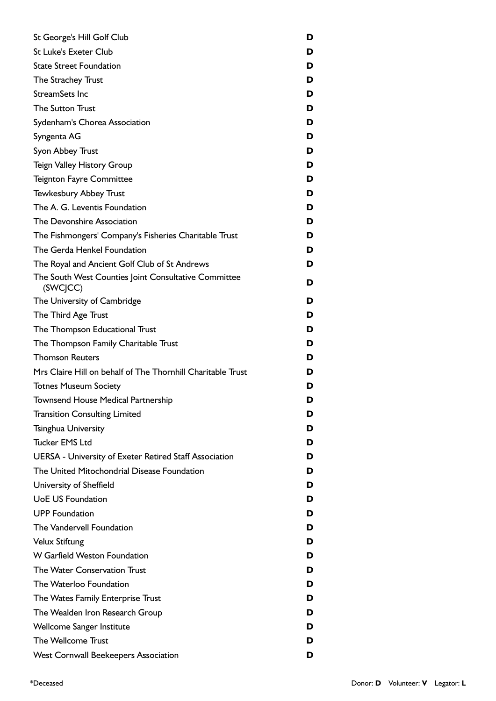| St George's Hill Golf Club                                       | D |
|------------------------------------------------------------------|---|
| <b>St Luke's Exeter Club</b>                                     | D |
| <b>State Street Foundation</b>                                   | D |
| The Strachey Trust                                               | D |
| StreamSets Inc                                                   | D |
| <b>The Sutton Trust</b>                                          | D |
| Sydenham's Chorea Association                                    | D |
| Syngenta AG                                                      | D |
| Syon Abbey Trust                                                 | D |
| <b>Teign Valley History Group</b>                                | D |
| <b>Teignton Fayre Committee</b>                                  | D |
| <b>Tewkesbury Abbey Trust</b>                                    | D |
| The A. G. Leventis Foundation                                    | D |
| The Devonshire Association                                       | D |
| The Fishmongers' Company's Fisheries Charitable Trust            | D |
| The Gerda Henkel Foundation                                      | D |
| The Royal and Ancient Golf Club of St Andrews                    | D |
| The South West Counties Joint Consultative Committee<br>(SWCJCC) | D |
| The University of Cambridge                                      | D |
| The Third Age Trust                                              | D |
| The Thompson Educational Trust                                   | D |
| The Thompson Family Charitable Trust                             | D |
| <b>Thomson Reuters</b>                                           | D |
| Mrs Claire Hill on behalf of The Thornhill Charitable Trust      | D |
| <b>Totnes Museum Society</b>                                     | D |
| <b>Townsend House Medical Partnership</b>                        | D |
| <b>Transition Consulting Limited</b>                             | D |
| <b>Tsinghua University</b>                                       | D |
| <b>Tucker EMS Ltd</b>                                            | D |
| <b>UERSA - University of Exeter Retired Staff Association</b>    | D |
| The United Mitochondrial Disease Foundation                      | D |
| University of Sheffield                                          | D |
| <b>UoE US Foundation</b>                                         | D |
| <b>UPP Foundation</b>                                            | D |
| The Vandervell Foundation                                        | D |
| <b>Velux Stiftung</b>                                            | D |
| W Garfield Weston Foundation                                     | D |
| The Water Conservation Trust                                     | D |
| The Waterloo Foundation                                          | D |
| The Wates Family Enterprise Trust                                | D |
| The Wealden Iron Research Group                                  | D |
| Wellcome Sanger Institute                                        | D |
| The Wellcome Trust                                               | D |
| <b>West Cornwall Beekeepers Association</b>                      | D |